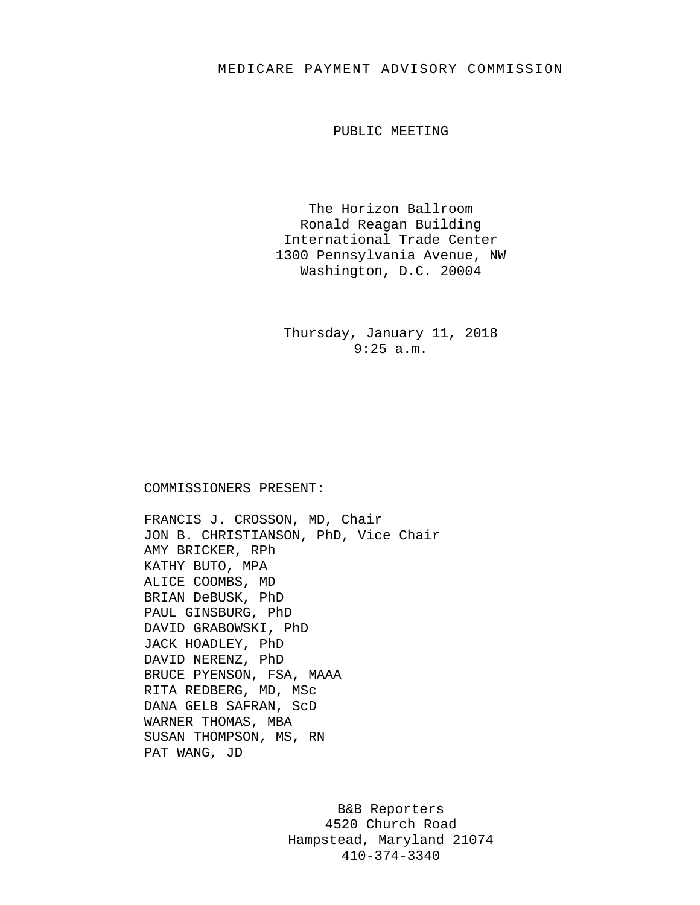## MEDICARE PAYMENT ADVISORY COMMISSION

PUBLIC MEETING

The Horizon Ballroom Ronald Reagan Building International Trade Center 1300 Pennsylvania Avenue, NW Washington, D.C. 20004

Thursday, January 11, 2018 9:25 a.m.

## COMMISSIONERS PRESENT:

FRANCIS J. CROSSON, MD, Chair JON B. CHRISTIANSON, PhD, Vice Chair AMY BRICKER, RPh KATHY BUTO, MPA ALICE COOMBS, MD BRIAN DeBUSK, PhD PAUL GINSBURG, PhD DAVID GRABOWSKI, PhD JACK HOADLEY, PhD DAVID NERENZ, PhD BRUCE PYENSON, FSA, MAAA RITA REDBERG, MD, MSc DANA GELB SAFRAN, ScD WARNER THOMAS, MBA SUSAN THOMPSON, MS, RN PAT WANG, JD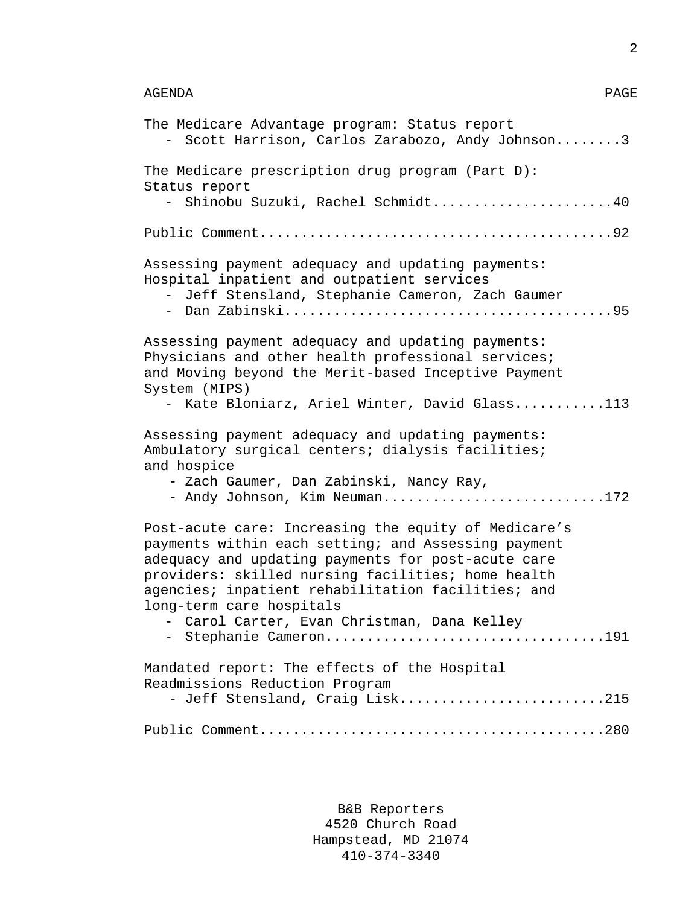```
AGENDA PAGE
```
2

| The Medicare Advantage program: Status report<br>Scott Harrison, Carlos Zarabozo, Andy Johnson3                                                                                                                                                                                                                                                                                    |
|------------------------------------------------------------------------------------------------------------------------------------------------------------------------------------------------------------------------------------------------------------------------------------------------------------------------------------------------------------------------------------|
| The Medicare prescription drug program (Part D):<br>Status report<br>Shinobu Suzuki, Rachel Schmidt40                                                                                                                                                                                                                                                                              |
|                                                                                                                                                                                                                                                                                                                                                                                    |
| Assessing payment adequacy and updating payments:<br>Hospital inpatient and outpatient services<br>Jeff Stensland, Stephanie Cameron, Zach Gaumer<br>$-$                                                                                                                                                                                                                           |
| Assessing payment adequacy and updating payments:<br>Physicians and other health professional services;<br>and Moving beyond the Merit-based Inceptive Payment<br>System (MIPS)<br>Kate Bloniarz, Ariel Winter, David Glass113<br>$\equiv$                                                                                                                                         |
| Assessing payment adequacy and updating payments:<br>Ambulatory surgical centers; dialysis facilities;<br>and hospice<br>- Zach Gaumer, Dan Zabinski, Nancy Ray,<br>- Andy Johnson, Kim Neuman172                                                                                                                                                                                  |
| Post-acute care: Increasing the equity of Medicare's<br>payments within each setting; and Assessing payment<br>adequacy and updating payments for post-acute care<br>providers: skilled nursing facilities; home health<br>agencies; inpatient rehabilitation facilities; and<br>long-term care hospitals<br>- Carol Carter, Evan Christman, Dana Kelley<br>- Stephanie Cameron191 |
| Mandated report: The effects of the Hospital<br>Readmissions Reduction Program<br>- Jeff Stensland, Craig Lisk215                                                                                                                                                                                                                                                                  |
|                                                                                                                                                                                                                                                                                                                                                                                    |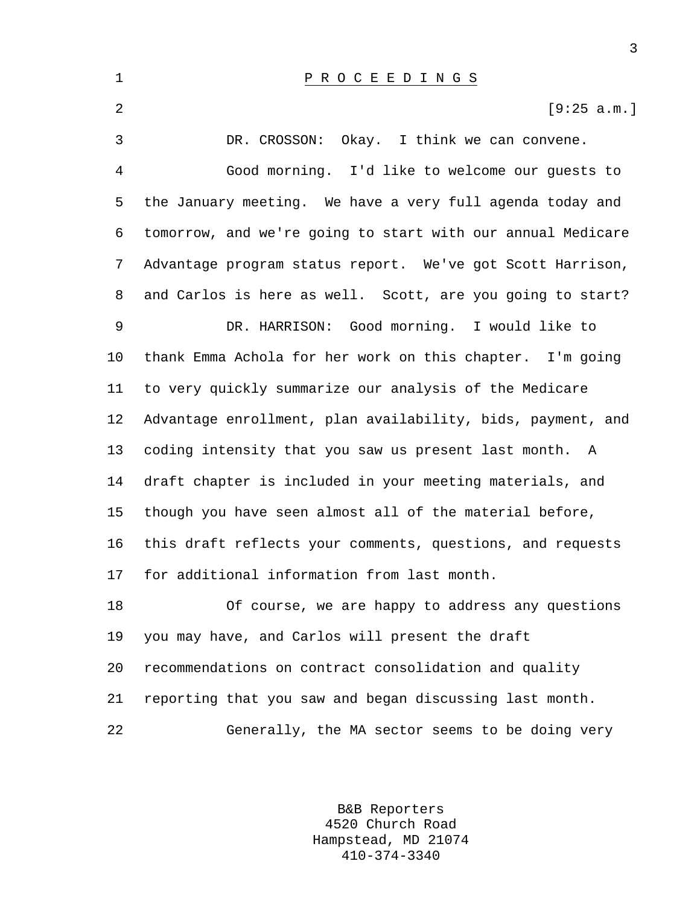2  $[9:25 \text{ a.m.}]$ 

3 DR. CROSSON: Okay. I think we can convene. 4 Good morning. I'd like to welcome our guests to 5 the January meeting. We have a very full agenda today and 6 tomorrow, and we're going to start with our annual Medicare 7 Advantage program status report. We've got Scott Harrison, 8 and Carlos is here as well. Scott, are you going to start? 9 DR. HARRISON: Good morning. I would like to 10 thank Emma Achola for her work on this chapter. I'm going 11 to very quickly summarize our analysis of the Medicare 12 Advantage enrollment, plan availability, bids, payment, and 13 coding intensity that you saw us present last month. A 14 draft chapter is included in your meeting materials, and 15 though you have seen almost all of the material before, 16 this draft reflects your comments, questions, and requests 17 for additional information from last month. 18 Of course, we are happy to address any questions 19 you may have, and Carlos will present the draft 20 recommendations on contract consolidation and quality 21 reporting that you saw and began discussing last month. 22 Generally, the MA sector seems to be doing very

> B&B Reporters 4520 Church Road Hampstead, MD 21074 410-374-3340

3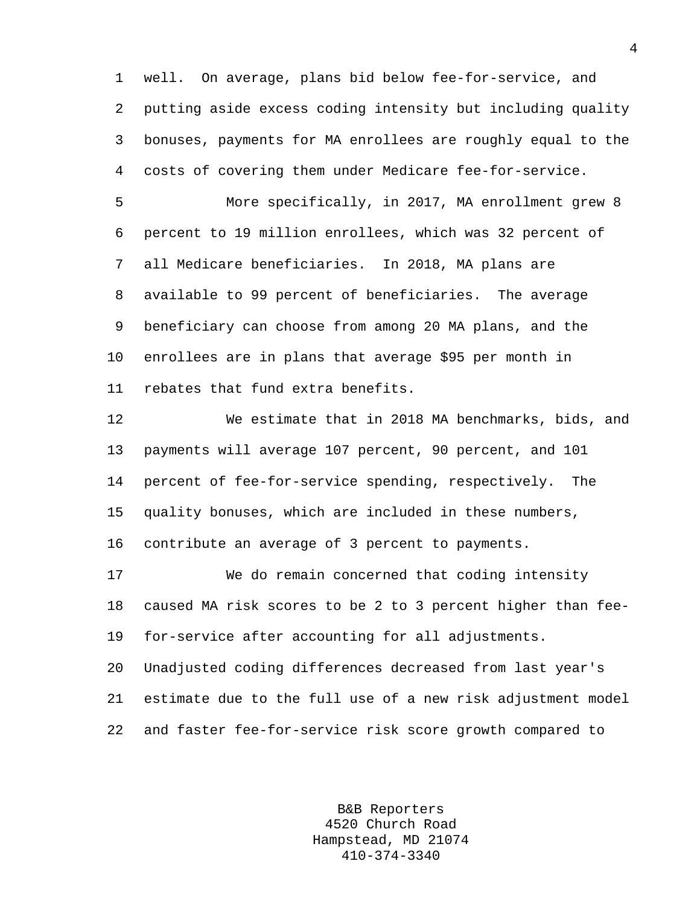1 well. On average, plans bid below fee-for-service, and 2 putting aside excess coding intensity but including quality 3 bonuses, payments for MA enrollees are roughly equal to the 4 costs of covering them under Medicare fee-for-service.

5 More specifically, in 2017, MA enrollment grew 8 6 percent to 19 million enrollees, which was 32 percent of 7 all Medicare beneficiaries. In 2018, MA plans are 8 available to 99 percent of beneficiaries. The average 9 beneficiary can choose from among 20 MA plans, and the 10 enrollees are in plans that average \$95 per month in 11 rebates that fund extra benefits.

12 We estimate that in 2018 MA benchmarks, bids, and 13 payments will average 107 percent, 90 percent, and 101 14 percent of fee-for-service spending, respectively. The 15 quality bonuses, which are included in these numbers, 16 contribute an average of 3 percent to payments.

17 We do remain concerned that coding intensity 18 caused MA risk scores to be 2 to 3 percent higher than fee-19 for-service after accounting for all adjustments. 20 Unadjusted coding differences decreased from last year's

21 estimate due to the full use of a new risk adjustment model 22 and faster fee-for-service risk score growth compared to

> B&B Reporters 4520 Church Road Hampstead, MD 21074 410-374-3340

4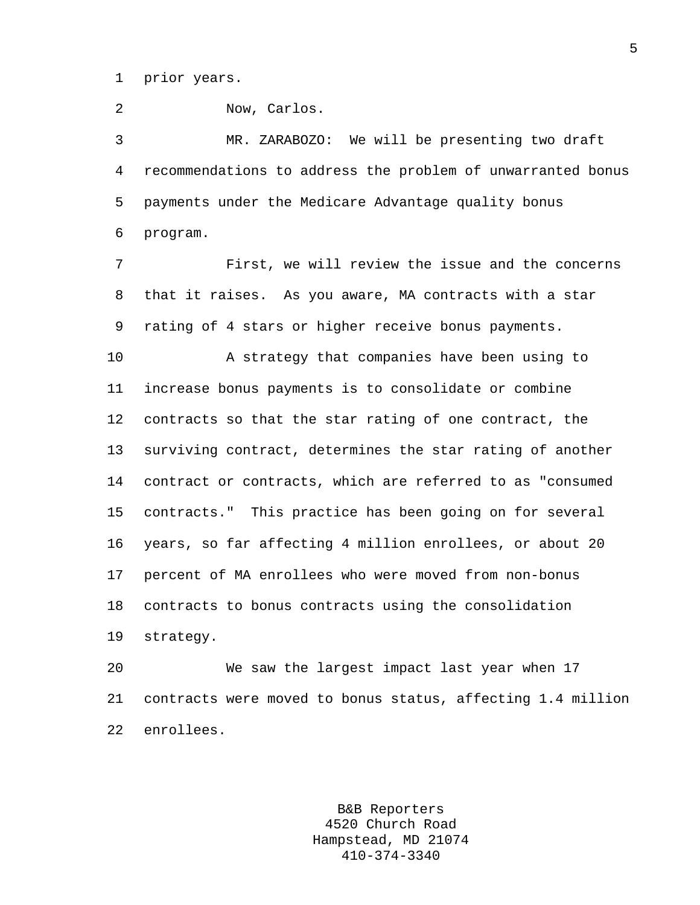1 prior years.

2 Now, Carlos.

3 MR. ZARABOZO: We will be presenting two draft 4 recommendations to address the problem of unwarranted bonus 5 payments under the Medicare Advantage quality bonus 6 program.

7 First, we will review the issue and the concerns 8 that it raises. As you aware, MA contracts with a star 9 rating of 4 stars or higher receive bonus payments.

10 A strategy that companies have been using to 11 increase bonus payments is to consolidate or combine 12 contracts so that the star rating of one contract, the 13 surviving contract, determines the star rating of another 14 contract or contracts, which are referred to as "consumed 15 contracts." This practice has been going on for several 16 years, so far affecting 4 million enrollees, or about 20 17 percent of MA enrollees who were moved from non-bonus 18 contracts to bonus contracts using the consolidation 19 strategy.

20 We saw the largest impact last year when 17 21 contracts were moved to bonus status, affecting 1.4 million 22 enrollees.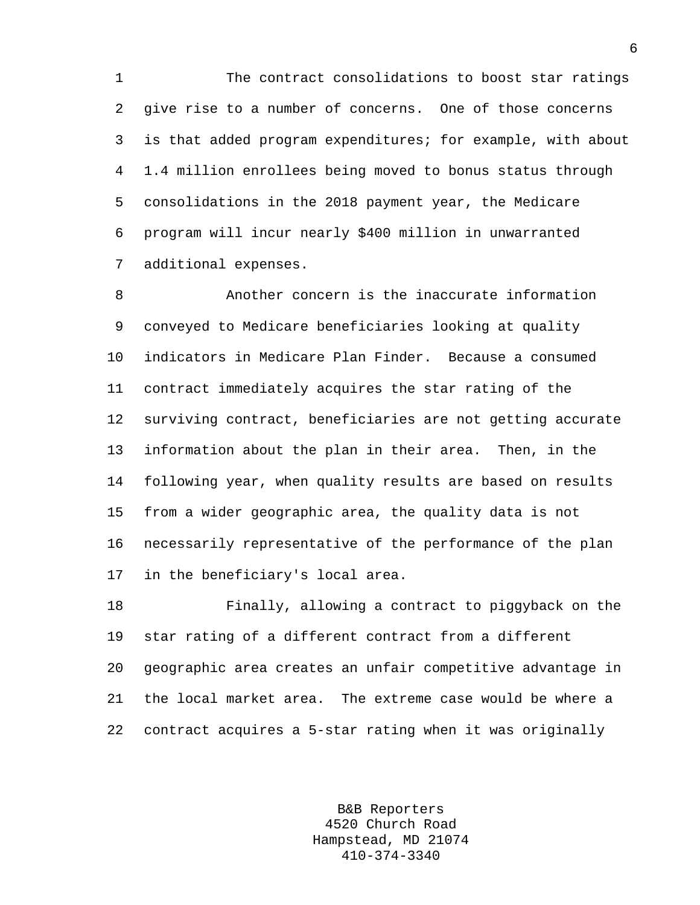1 The contract consolidations to boost star ratings 2 give rise to a number of concerns. One of those concerns 3 is that added program expenditures; for example, with about 4 1.4 million enrollees being moved to bonus status through 5 consolidations in the 2018 payment year, the Medicare 6 program will incur nearly \$400 million in unwarranted 7 additional expenses.

8 Another concern is the inaccurate information 9 conveyed to Medicare beneficiaries looking at quality 10 indicators in Medicare Plan Finder. Because a consumed 11 contract immediately acquires the star rating of the 12 surviving contract, beneficiaries are not getting accurate 13 information about the plan in their area. Then, in the 14 following year, when quality results are based on results 15 from a wider geographic area, the quality data is not 16 necessarily representative of the performance of the plan 17 in the beneficiary's local area.

18 Finally, allowing a contract to piggyback on the 19 star rating of a different contract from a different 20 geographic area creates an unfair competitive advantage in 21 the local market area. The extreme case would be where a 22 contract acquires a 5-star rating when it was originally

> B&B Reporters 4520 Church Road Hampstead, MD 21074 410-374-3340

6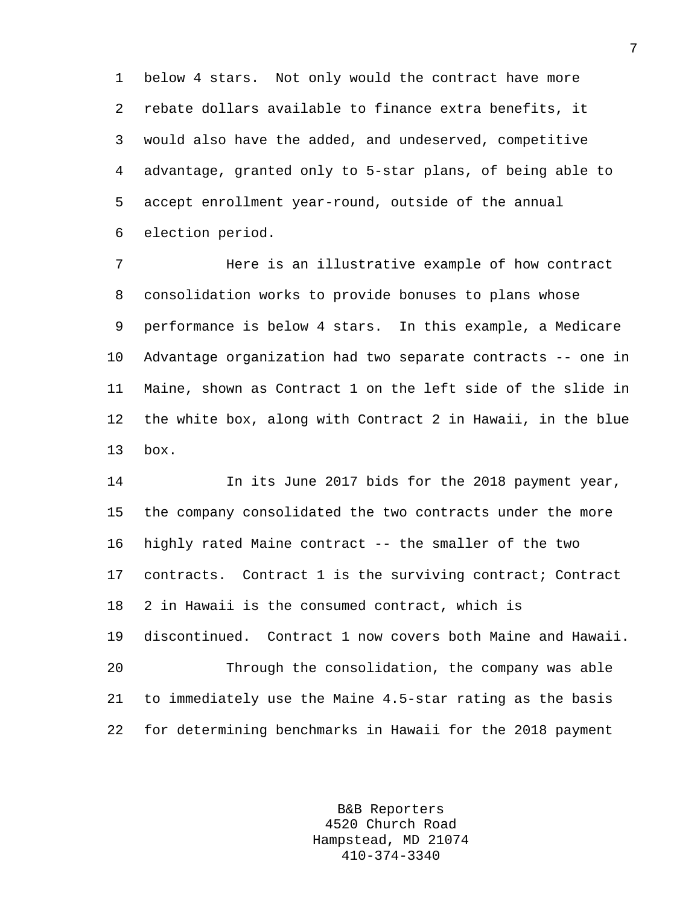1 below 4 stars. Not only would the contract have more 2 rebate dollars available to finance extra benefits, it 3 would also have the added, and undeserved, competitive 4 advantage, granted only to 5-star plans, of being able to 5 accept enrollment year-round, outside of the annual 6 election period.

7 Here is an illustrative example of how contract 8 consolidation works to provide bonuses to plans whose 9 performance is below 4 stars. In this example, a Medicare 10 Advantage organization had two separate contracts -- one in 11 Maine, shown as Contract 1 on the left side of the slide in 12 the white box, along with Contract 2 in Hawaii, in the blue 13 box.

14 In its June 2017 bids for the 2018 payment year, 15 the company consolidated the two contracts under the more 16 highly rated Maine contract -- the smaller of the two 17 contracts. Contract 1 is the surviving contract; Contract 18 2 in Hawaii is the consumed contract, which is 19 discontinued. Contract 1 now covers both Maine and Hawaii. 20 Through the consolidation, the company was able 21 to immediately use the Maine 4.5-star rating as the basis 22 for determining benchmarks in Hawaii for the 2018 payment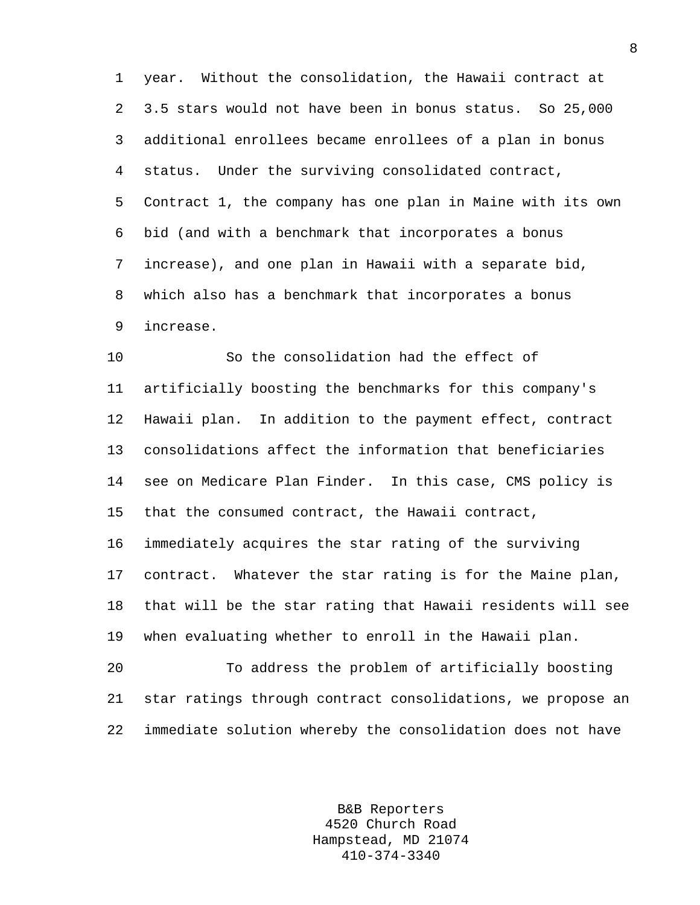1 year. Without the consolidation, the Hawaii contract at 2 3.5 stars would not have been in bonus status. So 25,000 3 additional enrollees became enrollees of a plan in bonus 4 status. Under the surviving consolidated contract, 5 Contract 1, the company has one plan in Maine with its own 6 bid (and with a benchmark that incorporates a bonus 7 increase), and one plan in Hawaii with a separate bid, 8 which also has a benchmark that incorporates a bonus 9 increase.

10 So the consolidation had the effect of 11 artificially boosting the benchmarks for this company's 12 Hawaii plan. In addition to the payment effect, contract 13 consolidations affect the information that beneficiaries 14 see on Medicare Plan Finder. In this case, CMS policy is 15 that the consumed contract, the Hawaii contract,

16 immediately acquires the star rating of the surviving 17 contract. Whatever the star rating is for the Maine plan, 18 that will be the star rating that Hawaii residents will see 19 when evaluating whether to enroll in the Hawaii plan.

20 To address the problem of artificially boosting 21 star ratings through contract consolidations, we propose an 22 immediate solution whereby the consolidation does not have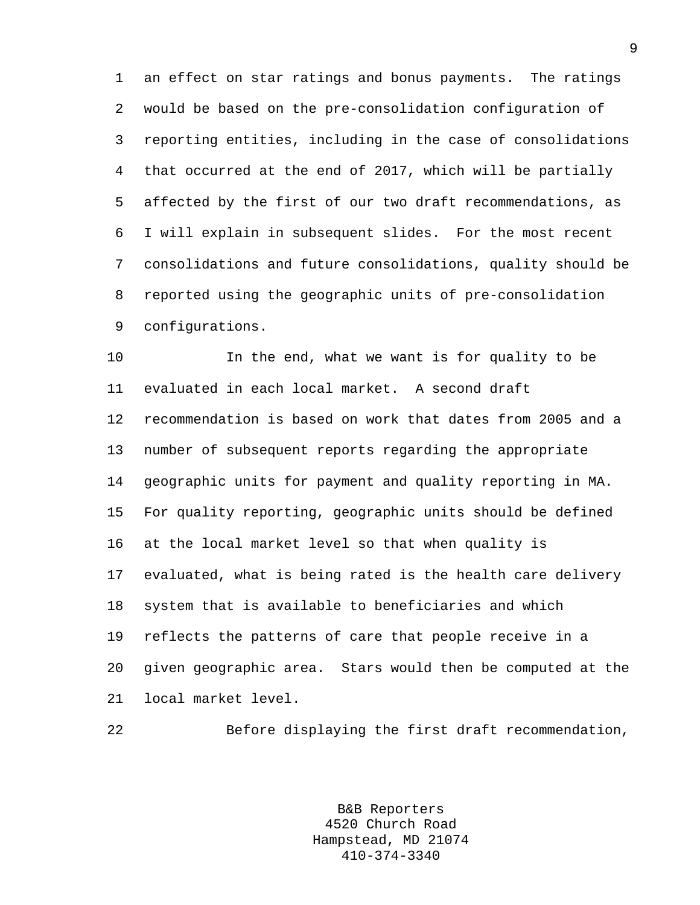1 an effect on star ratings and bonus payments. The ratings 2 would be based on the pre-consolidation configuration of 3 reporting entities, including in the case of consolidations 4 that occurred at the end of 2017, which will be partially 5 affected by the first of our two draft recommendations, as 6 I will explain in subsequent slides. For the most recent 7 consolidations and future consolidations, quality should be 8 reported using the geographic units of pre-consolidation 9 configurations.

10 In the end, what we want is for quality to be 11 evaluated in each local market. A second draft 12 recommendation is based on work that dates from 2005 and a 13 number of subsequent reports regarding the appropriate 14 geographic units for payment and quality reporting in MA. 15 For quality reporting, geographic units should be defined 16 at the local market level so that when quality is 17 evaluated, what is being rated is the health care delivery 18 system that is available to beneficiaries and which 19 reflects the patterns of care that people receive in a 20 given geographic area. Stars would then be computed at the 21 local market level.

22 Before displaying the first draft recommendation,

B&B Reporters 4520 Church Road Hampstead, MD 21074 410-374-3340

9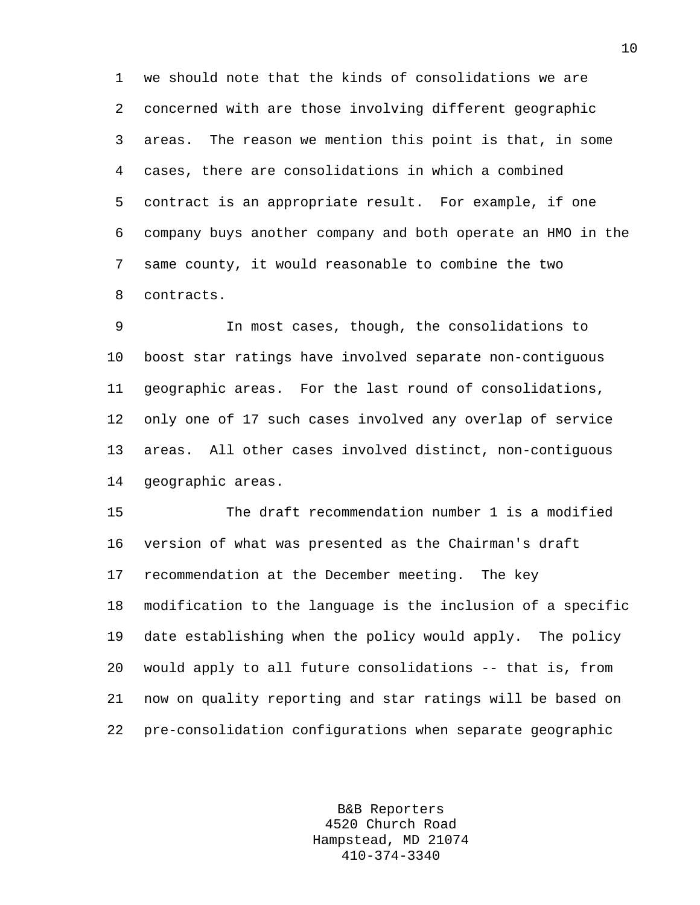1 we should note that the kinds of consolidations we are 2 concerned with are those involving different geographic 3 areas. The reason we mention this point is that, in some 4 cases, there are consolidations in which a combined 5 contract is an appropriate result. For example, if one 6 company buys another company and both operate an HMO in the 7 same county, it would reasonable to combine the two 8 contracts.

9 In most cases, though, the consolidations to 10 boost star ratings have involved separate non-contiguous 11 geographic areas. For the last round of consolidations, 12 only one of 17 such cases involved any overlap of service 13 areas. All other cases involved distinct, non-contiguous 14 geographic areas.

15 The draft recommendation number 1 is a modified 16 version of what was presented as the Chairman's draft 17 recommendation at the December meeting. The key 18 modification to the language is the inclusion of a specific 19 date establishing when the policy would apply. The policy 20 would apply to all future consolidations -- that is, from 21 now on quality reporting and star ratings will be based on 22 pre-consolidation configurations when separate geographic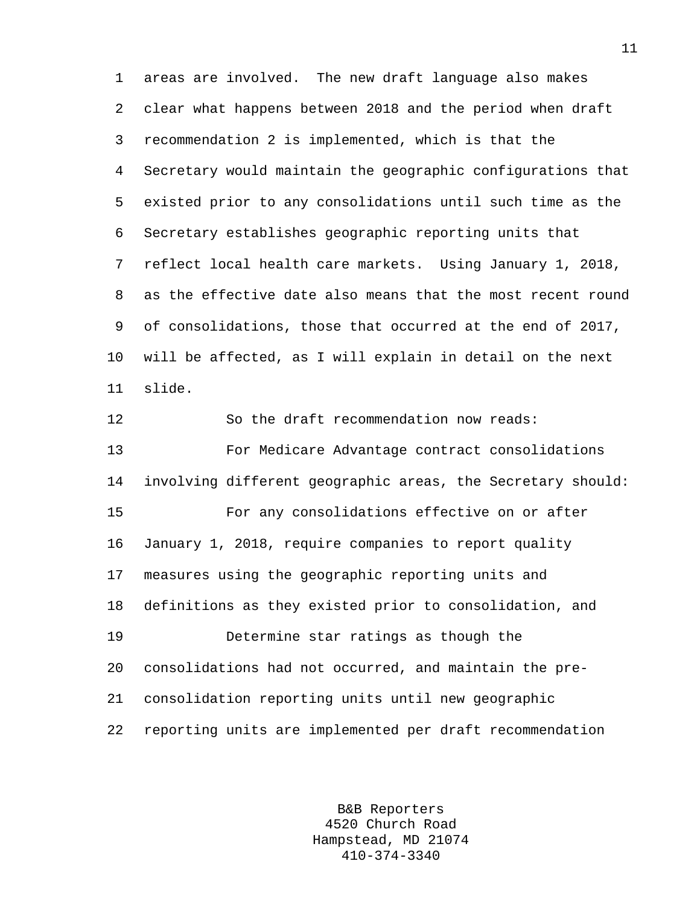1 areas are involved. The new draft language also makes 2 clear what happens between 2018 and the period when draft 3 recommendation 2 is implemented, which is that the 4 Secretary would maintain the geographic configurations that 5 existed prior to any consolidations until such time as the 6 Secretary establishes geographic reporting units that 7 reflect local health care markets. Using January 1, 2018, 8 as the effective date also means that the most recent round 9 of consolidations, those that occurred at the end of 2017, 10 will be affected, as I will explain in detail on the next 11 slide.

12 So the draft recommendation now reads: 13 For Medicare Advantage contract consolidations 14 involving different geographic areas, the Secretary should: 15 For any consolidations effective on or after 16 January 1, 2018, require companies to report quality 17 measures using the geographic reporting units and 18 definitions as they existed prior to consolidation, and 19 Determine star ratings as though the 20 consolidations had not occurred, and maintain the pre-21 consolidation reporting units until new geographic 22 reporting units are implemented per draft recommendation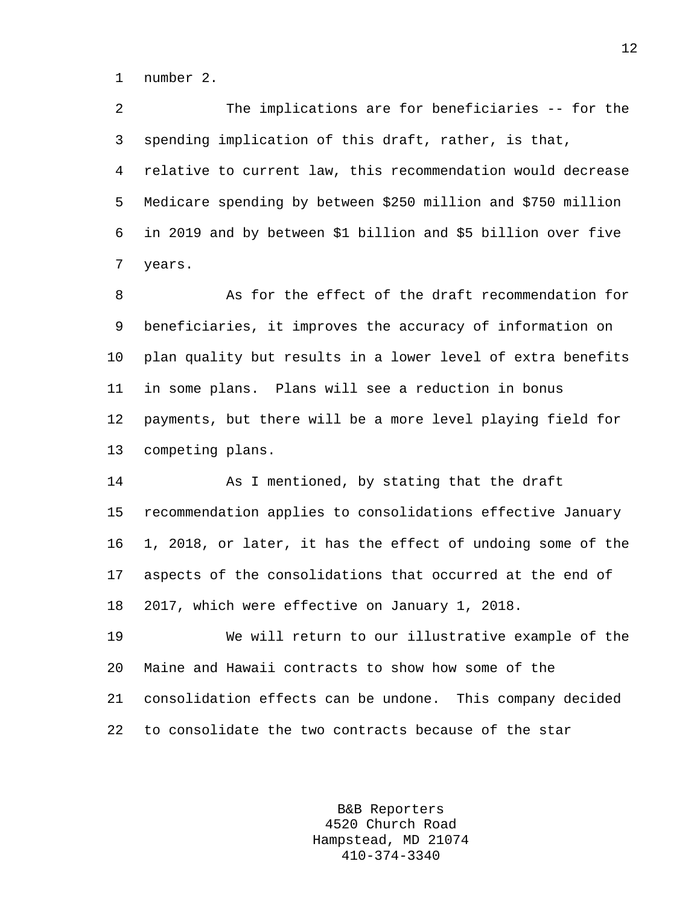1 number 2.

2 The implications are for beneficiaries -- for the 3 spending implication of this draft, rather, is that, 4 relative to current law, this recommendation would decrease 5 Medicare spending by between \$250 million and \$750 million 6 in 2019 and by between \$1 billion and \$5 billion over five 7 years.

8 As for the effect of the draft recommendation for 9 beneficiaries, it improves the accuracy of information on 10 plan quality but results in a lower level of extra benefits 11 in some plans. Plans will see a reduction in bonus 12 payments, but there will be a more level playing field for 13 competing plans.

14 As I mentioned, by stating that the draft 15 recommendation applies to consolidations effective January 16 1, 2018, or later, it has the effect of undoing some of the 17 aspects of the consolidations that occurred at the end of 18 2017, which were effective on January 1, 2018.

19 We will return to our illustrative example of the 20 Maine and Hawaii contracts to show how some of the 21 consolidation effects can be undone. This company decided 22 to consolidate the two contracts because of the star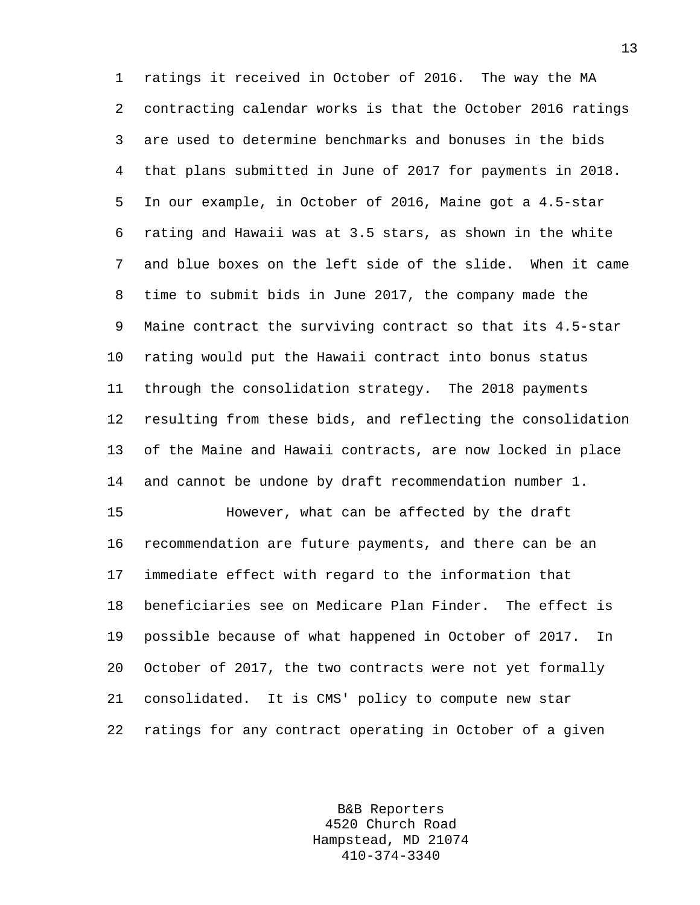1 ratings it received in October of 2016. The way the MA 2 contracting calendar works is that the October 2016 ratings 3 are used to determine benchmarks and bonuses in the bids 4 that plans submitted in June of 2017 for payments in 2018. 5 In our example, in October of 2016, Maine got a 4.5-star 6 rating and Hawaii was at 3.5 stars, as shown in the white 7 and blue boxes on the left side of the slide. When it came 8 time to submit bids in June 2017, the company made the 9 Maine contract the surviving contract so that its 4.5-star 10 rating would put the Hawaii contract into bonus status 11 through the consolidation strategy. The 2018 payments 12 resulting from these bids, and reflecting the consolidation 13 of the Maine and Hawaii contracts, are now locked in place 14 and cannot be undone by draft recommendation number 1.

15 However, what can be affected by the draft 16 recommendation are future payments, and there can be an 17 immediate effect with regard to the information that 18 beneficiaries see on Medicare Plan Finder. The effect is 19 possible because of what happened in October of 2017. In 20 October of 2017, the two contracts were not yet formally 21 consolidated. It is CMS' policy to compute new star 22 ratings for any contract operating in October of a given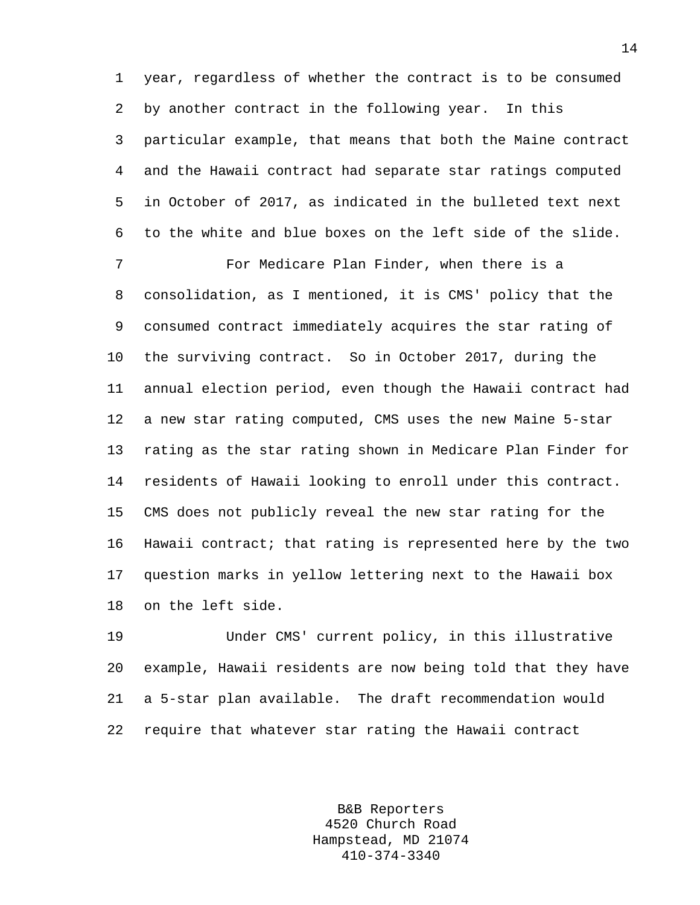1 year, regardless of whether the contract is to be consumed 2 by another contract in the following year. In this 3 particular example, that means that both the Maine contract 4 and the Hawaii contract had separate star ratings computed 5 in October of 2017, as indicated in the bulleted text next 6 to the white and blue boxes on the left side of the slide.

7 For Medicare Plan Finder, when there is a 8 consolidation, as I mentioned, it is CMS' policy that the 9 consumed contract immediately acquires the star rating of 10 the surviving contract. So in October 2017, during the 11 annual election period, even though the Hawaii contract had 12 a new star rating computed, CMS uses the new Maine 5-star 13 rating as the star rating shown in Medicare Plan Finder for 14 residents of Hawaii looking to enroll under this contract. 15 CMS does not publicly reveal the new star rating for the 16 Hawaii contract; that rating is represented here by the two 17 question marks in yellow lettering next to the Hawaii box 18 on the left side.

19 Under CMS' current policy, in this illustrative 20 example, Hawaii residents are now being told that they have 21 a 5-star plan available. The draft recommendation would 22 require that whatever star rating the Hawaii contract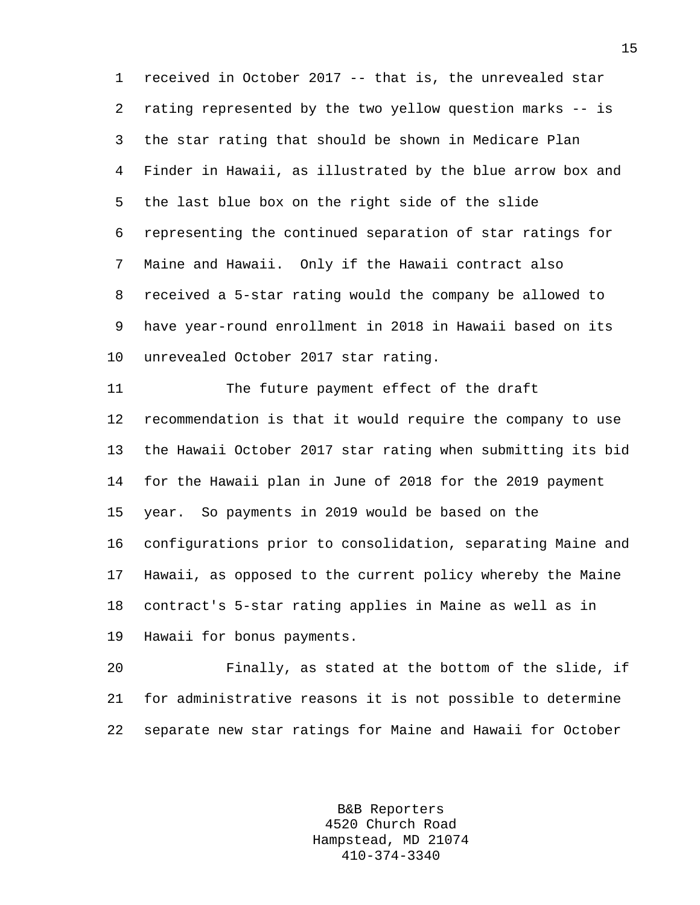1 received in October 2017 -- that is, the unrevealed star 2 rating represented by the two yellow question marks -- is 3 the star rating that should be shown in Medicare Plan 4 Finder in Hawaii, as illustrated by the blue arrow box and 5 the last blue box on the right side of the slide 6 representing the continued separation of star ratings for 7 Maine and Hawaii. Only if the Hawaii contract also 8 received a 5-star rating would the company be allowed to 9 have year-round enrollment in 2018 in Hawaii based on its 10 unrevealed October 2017 star rating.

11 The future payment effect of the draft 12 recommendation is that it would require the company to use 13 the Hawaii October 2017 star rating when submitting its bid 14 for the Hawaii plan in June of 2018 for the 2019 payment 15 year. So payments in 2019 would be based on the 16 configurations prior to consolidation, separating Maine and 17 Hawaii, as opposed to the current policy whereby the Maine 18 contract's 5-star rating applies in Maine as well as in 19 Hawaii for bonus payments.

20 Finally, as stated at the bottom of the slide, if 21 for administrative reasons it is not possible to determine 22 separate new star ratings for Maine and Hawaii for October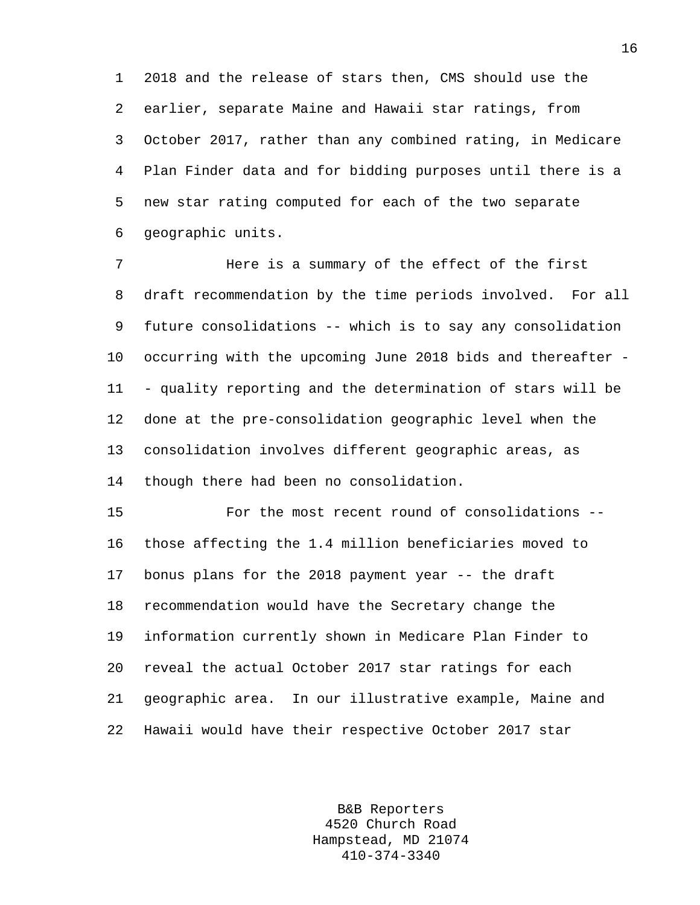1 2018 and the release of stars then, CMS should use the 2 earlier, separate Maine and Hawaii star ratings, from 3 October 2017, rather than any combined rating, in Medicare 4 Plan Finder data and for bidding purposes until there is a 5 new star rating computed for each of the two separate 6 geographic units.

7 Here is a summary of the effect of the first 8 draft recommendation by the time periods involved. For all 9 future consolidations -- which is to say any consolidation 10 occurring with the upcoming June 2018 bids and thereafter - 11 - quality reporting and the determination of stars will be 12 done at the pre-consolidation geographic level when the 13 consolidation involves different geographic areas, as 14 though there had been no consolidation.

15 For the most recent round of consolidations -- 16 those affecting the 1.4 million beneficiaries moved to 17 bonus plans for the 2018 payment year -- the draft 18 recommendation would have the Secretary change the 19 information currently shown in Medicare Plan Finder to 20 reveal the actual October 2017 star ratings for each 21 geographic area. In our illustrative example, Maine and 22 Hawaii would have their respective October 2017 star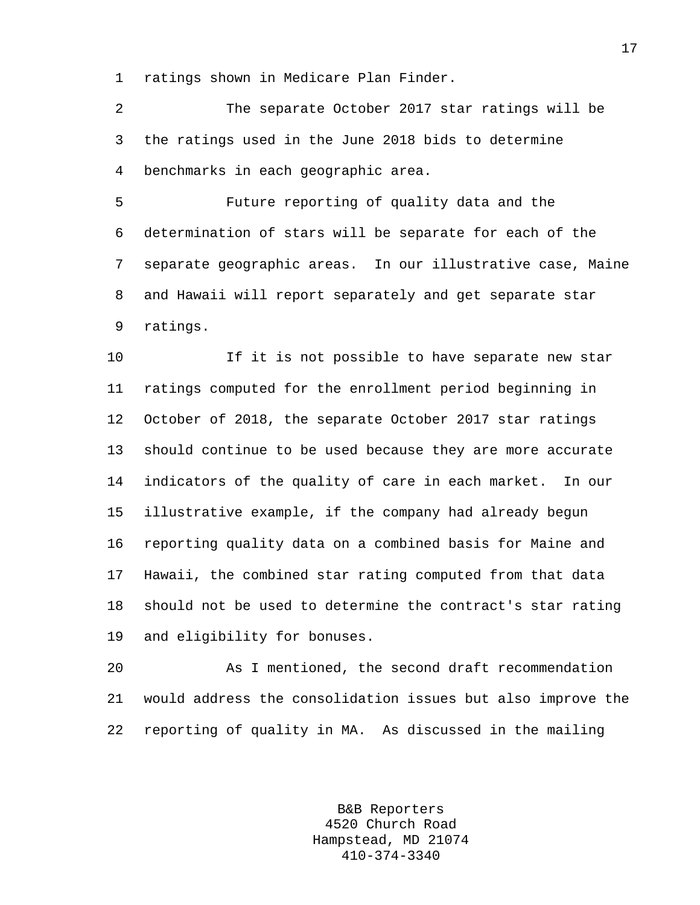1 ratings shown in Medicare Plan Finder.

2 The separate October 2017 star ratings will be 3 the ratings used in the June 2018 bids to determine 4 benchmarks in each geographic area.

5 Future reporting of quality data and the 6 determination of stars will be separate for each of the 7 separate geographic areas. In our illustrative case, Maine 8 and Hawaii will report separately and get separate star 9 ratings.

10 If it is not possible to have separate new star 11 ratings computed for the enrollment period beginning in 12 October of 2018, the separate October 2017 star ratings 13 should continue to be used because they are more accurate 14 indicators of the quality of care in each market. In our 15 illustrative example, if the company had already begun 16 reporting quality data on a combined basis for Maine and 17 Hawaii, the combined star rating computed from that data 18 should not be used to determine the contract's star rating 19 and eligibility for bonuses.

20 As I mentioned, the second draft recommendation 21 would address the consolidation issues but also improve the 22 reporting of quality in MA. As discussed in the mailing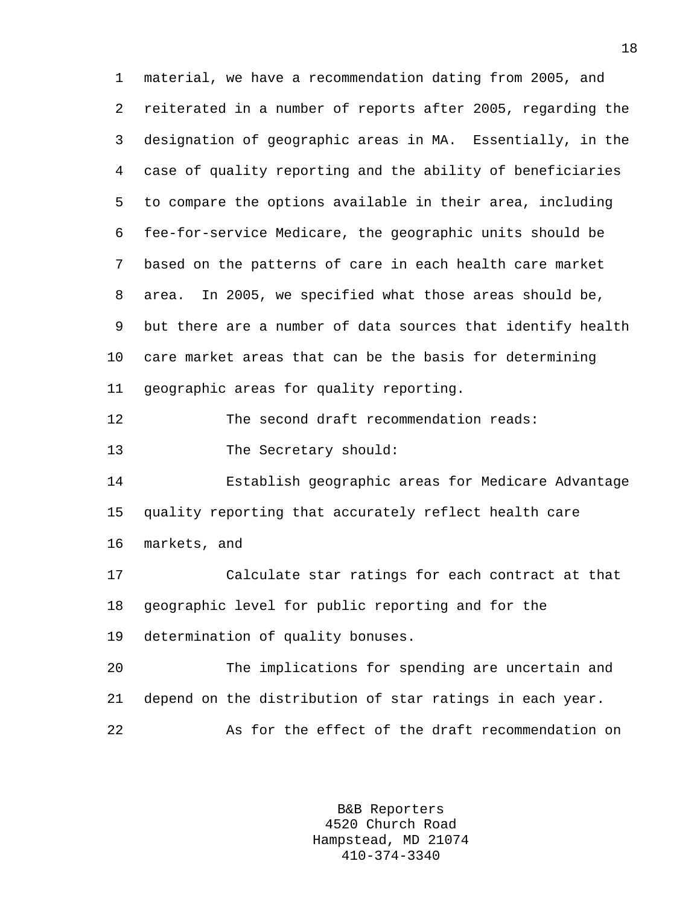1 material, we have a recommendation dating from 2005, and 2 reiterated in a number of reports after 2005, regarding the 3 designation of geographic areas in MA. Essentially, in the 4 case of quality reporting and the ability of beneficiaries 5 to compare the options available in their area, including 6 fee-for-service Medicare, the geographic units should be 7 based on the patterns of care in each health care market 8 area. In 2005, we specified what those areas should be, 9 but there are a number of data sources that identify health 10 care market areas that can be the basis for determining 11 geographic areas for quality reporting. 12 The second draft recommendation reads: 13 The Secretary should: 14 Establish geographic areas for Medicare Advantage 15 quality reporting that accurately reflect health care 16 markets, and 17 Calculate star ratings for each contract at that 18 geographic level for public reporting and for the 19 determination of quality bonuses. 20 The implications for spending are uncertain and 21 depend on the distribution of star ratings in each year. 22 As for the effect of the draft recommendation on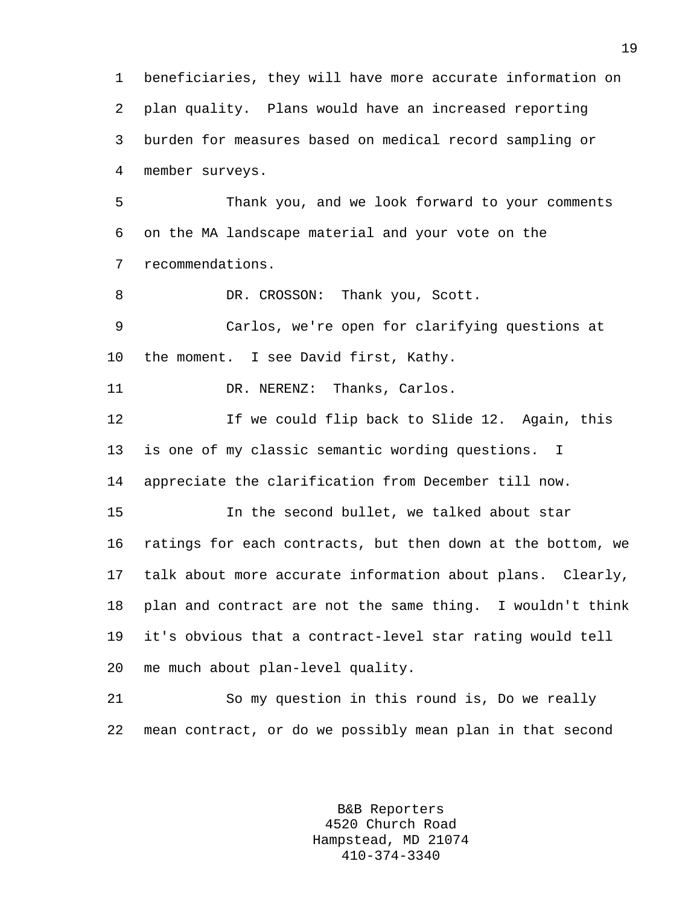1 beneficiaries, they will have more accurate information on 2 plan quality. Plans would have an increased reporting 3 burden for measures based on medical record sampling or 4 member surveys. 5 Thank you, and we look forward to your comments 6 on the MA landscape material and your vote on the 7 recommendations. 8 DR. CROSSON: Thank you, Scott. 9 Carlos, we're open for clarifying questions at 10 the moment. I see David first, Kathy. 11 DR. NERENZ: Thanks, Carlos. 12 If we could flip back to Slide 12. Again, this 13 is one of my classic semantic wording questions. I 14 appreciate the clarification from December till now. 15 In the second bullet, we talked about star 16 ratings for each contracts, but then down at the bottom, we 17 talk about more accurate information about plans. Clearly, 18 plan and contract are not the same thing. I wouldn't think 19 it's obvious that a contract-level star rating would tell 20 me much about plan-level quality. 21 So my question in this round is, Do we really 22 mean contract, or do we possibly mean plan in that second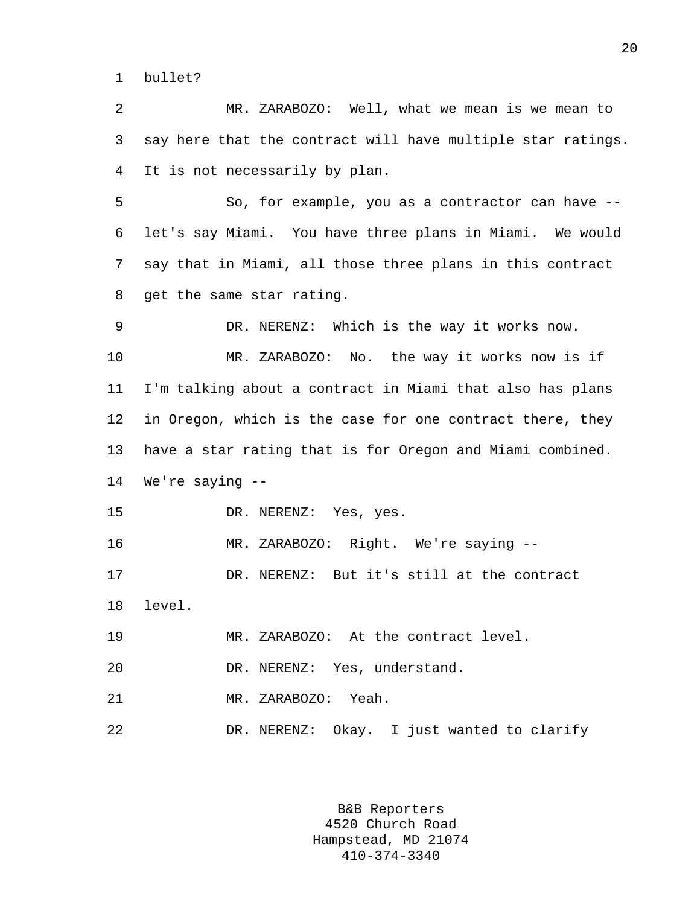1 bullet?

2 MR. ZARABOZO: Well, what we mean is we mean to 3 say here that the contract will have multiple star ratings. 4 It is not necessarily by plan.

5 So, for example, you as a contractor can have -- 6 let's say Miami. You have three plans in Miami. We would 7 say that in Miami, all those three plans in this contract 8 get the same star rating.

9 DR. NERENZ: Which is the way it works now. 10 MR. ZARABOZO: No. the way it works now is if 11 I'm talking about a contract in Miami that also has plans 12 in Oregon, which is the case for one contract there, they 13 have a star rating that is for Oregon and Miami combined. 14 We're saying --

15 DR. NERENZ: Yes, yes.

16 MR. ZARABOZO: Right. We're saying --

17 DR. NERENZ: But it's still at the contract 18 level.

19 MR. ZARABOZO: At the contract level.

20 DR. NERENZ: Yes, understand.

21 MR. ZARABOZO: Yeah.

22 DR. NERENZ: Okay. I just wanted to clarify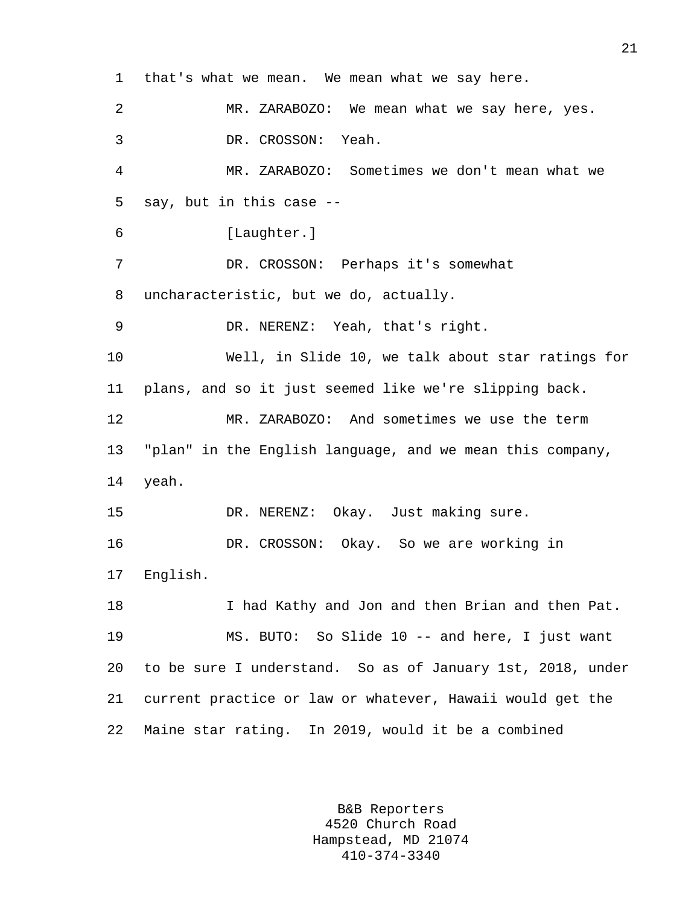1 that's what we mean. We mean what we say here. 2 MR. ZARABOZO: We mean what we say here, yes. 3 DR. CROSSON: Yeah. 4 MR. ZARABOZO: Sometimes we don't mean what we 5 say, but in this case -- 6 [Laughter.] 7 DR. CROSSON: Perhaps it's somewhat 8 uncharacteristic, but we do, actually. 9 DR. NERENZ: Yeah, that's right. 10 Well, in Slide 10, we talk about star ratings for 11 plans, and so it just seemed like we're slipping back. 12 MR. ZARABOZO: And sometimes we use the term 13 "plan" in the English language, and we mean this company, 14 yeah. 15 DR. NERENZ: Okay. Just making sure. 16 DR. CROSSON: Okay. So we are working in 17 English. 18 I had Kathy and Jon and then Brian and then Pat. 19 MS. BUTO: So Slide 10 -- and here, I just want 20 to be sure I understand. So as of January 1st, 2018, under 21 current practice or law or whatever, Hawaii would get the 22 Maine star rating. In 2019, would it be a combined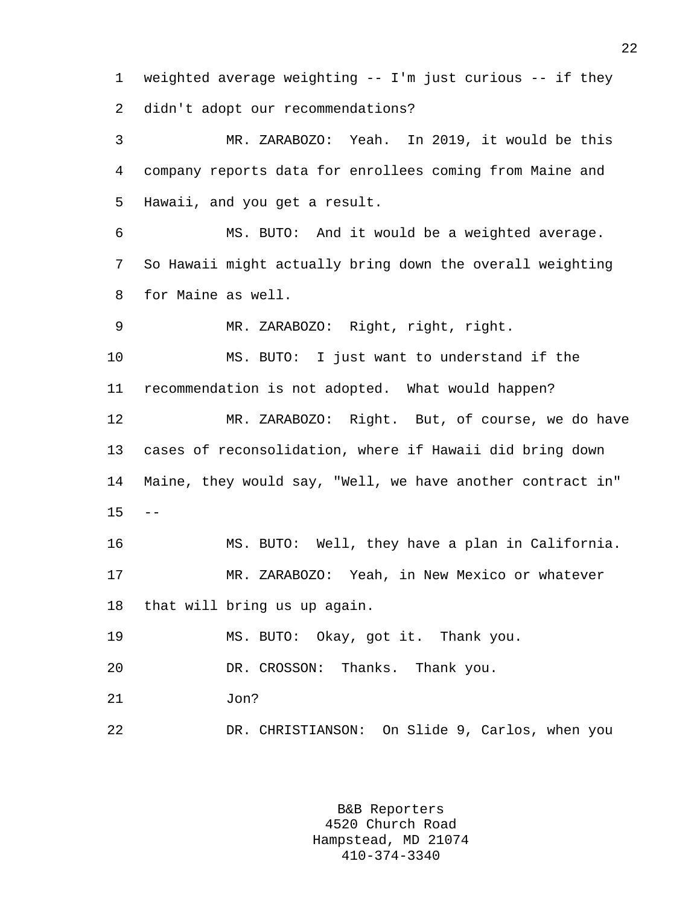1 weighted average weighting -- I'm just curious -- if they 2 didn't adopt our recommendations?

3 MR. ZARABOZO: Yeah. In 2019, it would be this 4 company reports data for enrollees coming from Maine and 5 Hawaii, and you get a result.

6 MS. BUTO: And it would be a weighted average. 7 So Hawaii might actually bring down the overall weighting 8 for Maine as well.

9 MR. ZARABOZO: Right, right, right.

10 MS. BUTO: I just want to understand if the 11 recommendation is not adopted. What would happen?

12 MR. ZARABOZO: Right. But, of course, we do have 13 cases of reconsolidation, where if Hawaii did bring down 14 Maine, they would say, "Well, we have another contract in"  $15 - -$ 

16 MS. BUTO: Well, they have a plan in California. 17 MR. ZARABOZO: Yeah, in New Mexico or whatever 18 that will bring us up again.

19 MS. BUTO: Okay, got it. Thank you.

20 DR. CROSSON: Thanks. Thank you.

21 Jon?

22 DR. CHRISTIANSON: On Slide 9, Carlos, when you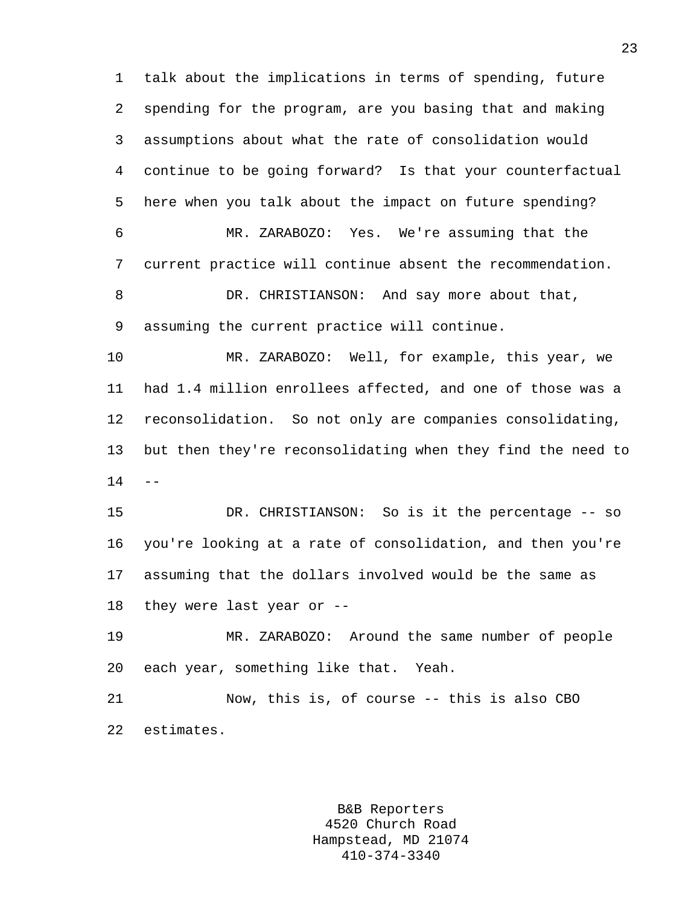1 talk about the implications in terms of spending, future 2 spending for the program, are you basing that and making 3 assumptions about what the rate of consolidation would 4 continue to be going forward? Is that your counterfactual 5 here when you talk about the impact on future spending? 6 MR. ZARABOZO: Yes. We're assuming that the 7 current practice will continue absent the recommendation. 8 DR. CHRISTIANSON: And say more about that, 9 assuming the current practice will continue.

10 MR. ZARABOZO: Well, for example, this year, we 11 had 1.4 million enrollees affected, and one of those was a 12 reconsolidation. So not only are companies consolidating, 13 but then they're reconsolidating when they find the need to  $14 - -$ 

15 DR. CHRISTIANSON: So is it the percentage -- so 16 you're looking at a rate of consolidation, and then you're 17 assuming that the dollars involved would be the same as 18 they were last year or --

19 MR. ZARABOZO: Around the same number of people 20 each year, something like that. Yeah.

21 Now, this is, of course -- this is also CBO 22 estimates.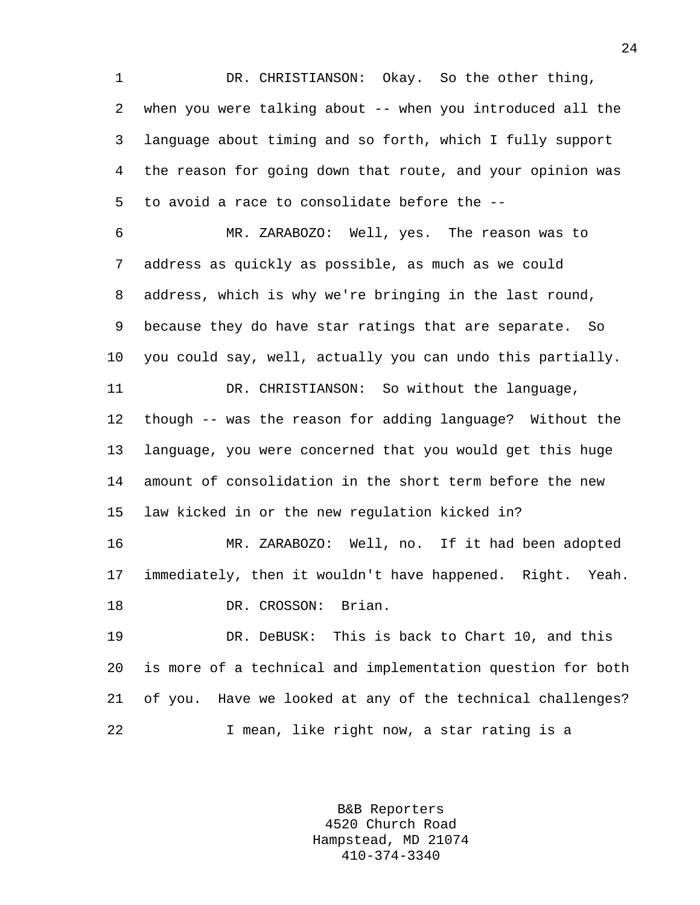1 DR. CHRISTIANSON: Okay. So the other thing, 2 when you were talking about -- when you introduced all the 3 language about timing and so forth, which I fully support 4 the reason for going down that route, and your opinion was 5 to avoid a race to consolidate before the --

6 MR. ZARABOZO: Well, yes. The reason was to 7 address as quickly as possible, as much as we could 8 address, which is why we're bringing in the last round, 9 because they do have star ratings that are separate. So 10 you could say, well, actually you can undo this partially. 11 DR. CHRISTIANSON: So without the language, 12 though -- was the reason for adding language? Without the 13 language, you were concerned that you would get this huge 14 amount of consolidation in the short term before the new 15 law kicked in or the new regulation kicked in? 16 MR. ZARABOZO: Well, no. If it had been adopted

18 DR. CROSSON: Brian.

19 DR. DeBUSK: This is back to Chart 10, and this 20 is more of a technical and implementation question for both 21 of you. Have we looked at any of the technical challenges? 22 I mean, like right now, a star rating is a

17 immediately, then it wouldn't have happened. Right. Yeah.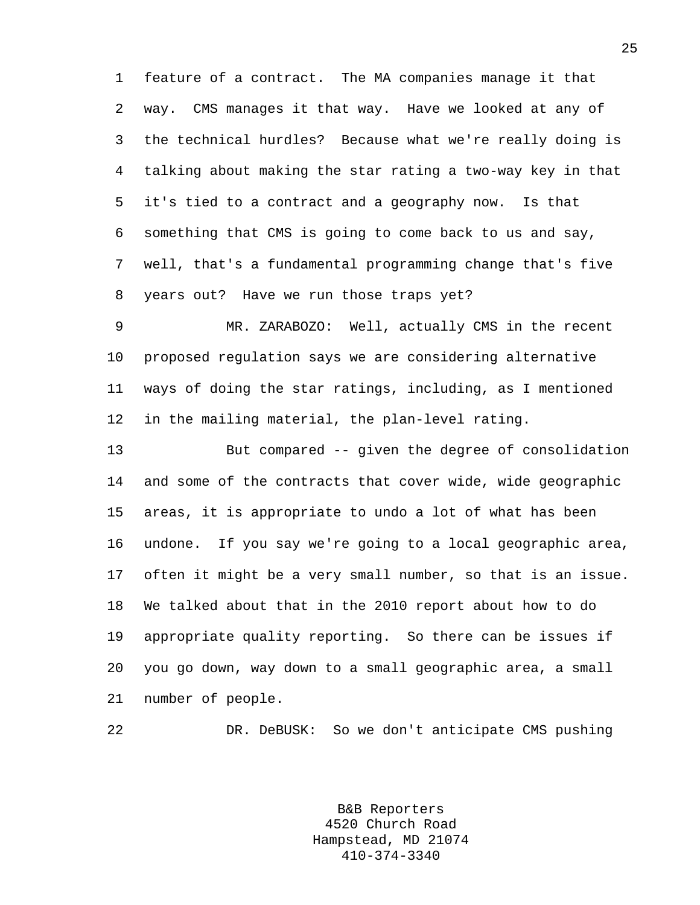1 feature of a contract. The MA companies manage it that 2 way. CMS manages it that way. Have we looked at any of 3 the technical hurdles? Because what we're really doing is 4 talking about making the star rating a two-way key in that 5 it's tied to a contract and a geography now. Is that 6 something that CMS is going to come back to us and say, 7 well, that's a fundamental programming change that's five 8 years out? Have we run those traps yet?

9 MR. ZARABOZO: Well, actually CMS in the recent 10 proposed regulation says we are considering alternative 11 ways of doing the star ratings, including, as I mentioned 12 in the mailing material, the plan-level rating.

13 But compared -- given the degree of consolidation 14 and some of the contracts that cover wide, wide geographic 15 areas, it is appropriate to undo a lot of what has been 16 undone. If you say we're going to a local geographic area, 17 often it might be a very small number, so that is an issue. 18 We talked about that in the 2010 report about how to do 19 appropriate quality reporting. So there can be issues if 20 you go down, way down to a small geographic area, a small 21 number of people.

22 DR. DeBUSK: So we don't anticipate CMS pushing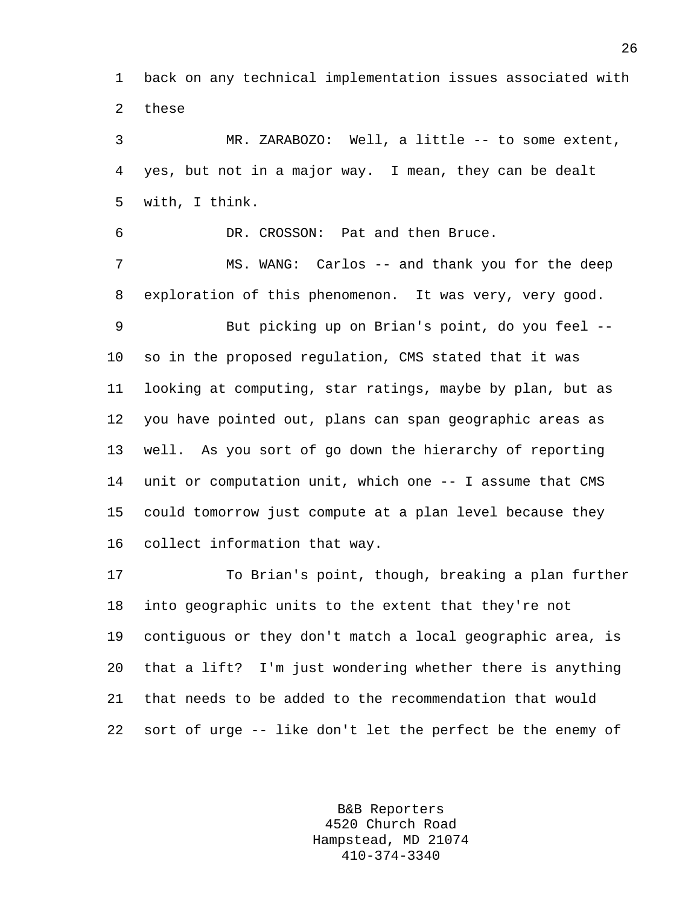1 back on any technical implementation issues associated with 2 these

3 MR. ZARABOZO: Well, a little -- to some extent, 4 yes, but not in a major way. I mean, they can be dealt 5 with, I think.

6 DR. CROSSON: Pat and then Bruce.

7 MS. WANG: Carlos -- and thank you for the deep 8 exploration of this phenomenon. It was very, very good.

9 But picking up on Brian's point, do you feel -- 10 so in the proposed regulation, CMS stated that it was 11 looking at computing, star ratings, maybe by plan, but as 12 you have pointed out, plans can span geographic areas as 13 well. As you sort of go down the hierarchy of reporting 14 unit or computation unit, which one -- I assume that CMS 15 could tomorrow just compute at a plan level because they 16 collect information that way.

17 To Brian's point, though, breaking a plan further 18 into geographic units to the extent that they're not 19 contiguous or they don't match a local geographic area, is 20 that a lift? I'm just wondering whether there is anything 21 that needs to be added to the recommendation that would 22 sort of urge -- like don't let the perfect be the enemy of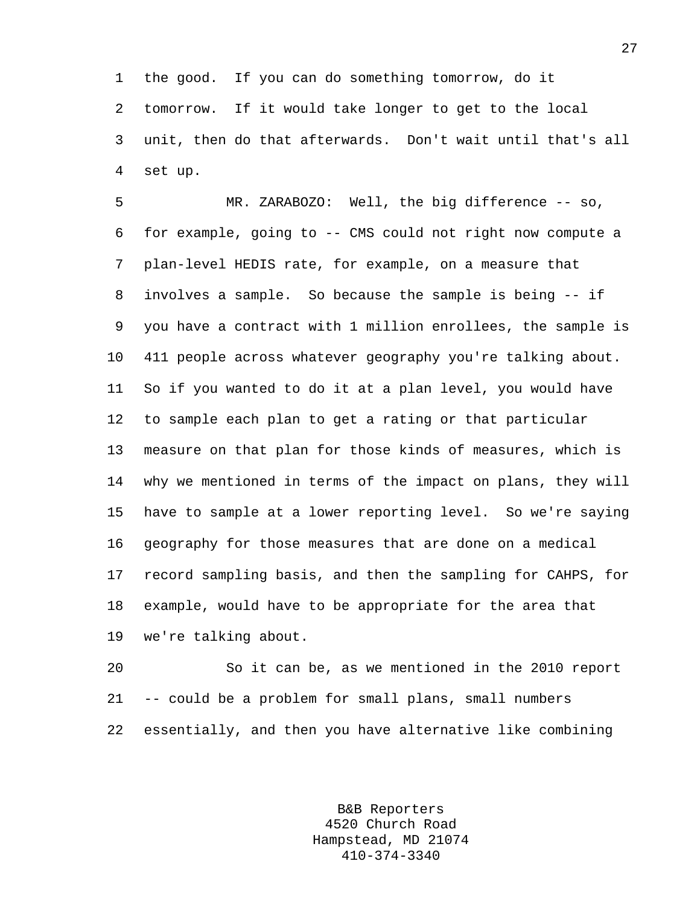1 the good. If you can do something tomorrow, do it 2 tomorrow. If it would take longer to get to the local 3 unit, then do that afterwards. Don't wait until that's all 4 set up.

5 MR. ZARABOZO: Well, the big difference -- so, 6 for example, going to -- CMS could not right now compute a 7 plan-level HEDIS rate, for example, on a measure that 8 involves a sample. So because the sample is being -- if 9 you have a contract with 1 million enrollees, the sample is 10 411 people across whatever geography you're talking about. 11 So if you wanted to do it at a plan level, you would have 12 to sample each plan to get a rating or that particular 13 measure on that plan for those kinds of measures, which is 14 why we mentioned in terms of the impact on plans, they will 15 have to sample at a lower reporting level. So we're saying 16 geography for those measures that are done on a medical 17 record sampling basis, and then the sampling for CAHPS, for 18 example, would have to be appropriate for the area that 19 we're talking about.

20 So it can be, as we mentioned in the 2010 report 21 -- could be a problem for small plans, small numbers 22 essentially, and then you have alternative like combining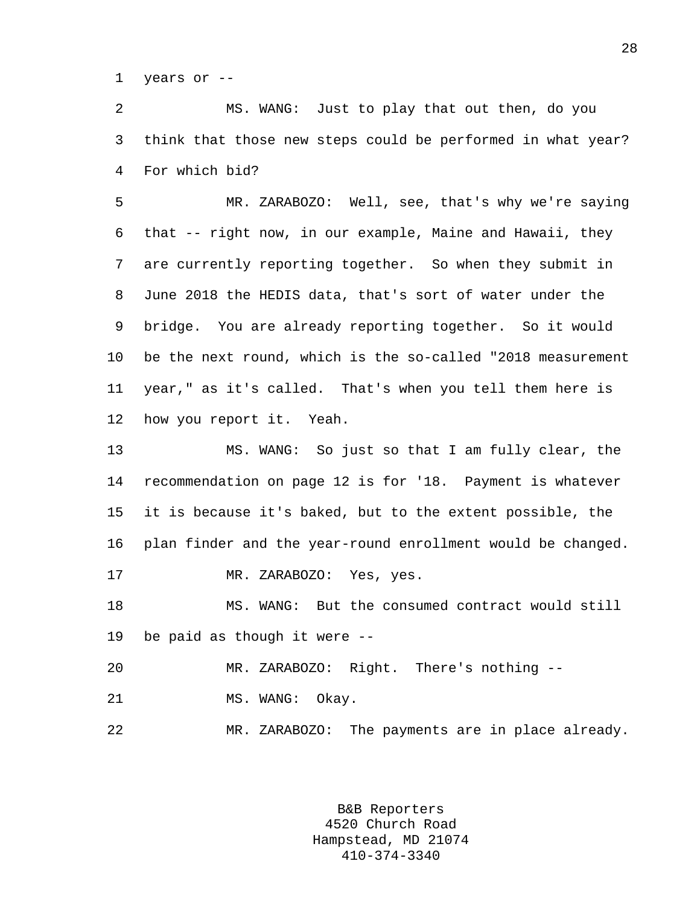1 years or --

2 MS. WANG: Just to play that out then, do you 3 think that those new steps could be performed in what year? 4 For which bid?

5 MR. ZARABOZO: Well, see, that's why we're saying 6 that -- right now, in our example, Maine and Hawaii, they 7 are currently reporting together. So when they submit in 8 June 2018 the HEDIS data, that's sort of water under the 9 bridge. You are already reporting together. So it would 10 be the next round, which is the so-called "2018 measurement 11 year," as it's called. That's when you tell them here is 12 how you report it. Yeah.

13 MS. WANG: So just so that I am fully clear, the 14 recommendation on page 12 is for '18. Payment is whatever 15 it is because it's baked, but to the extent possible, the 16 plan finder and the year-round enrollment would be changed. 17 MR. ZARABOZO: Yes, yes. 18 MS. WANG: But the consumed contract would still

19 be paid as though it were --

20 MR. ZARABOZO: Right. There's nothing -- 21 MS. WANG: Okay.

22 MR. ZARABOZO: The payments are in place already.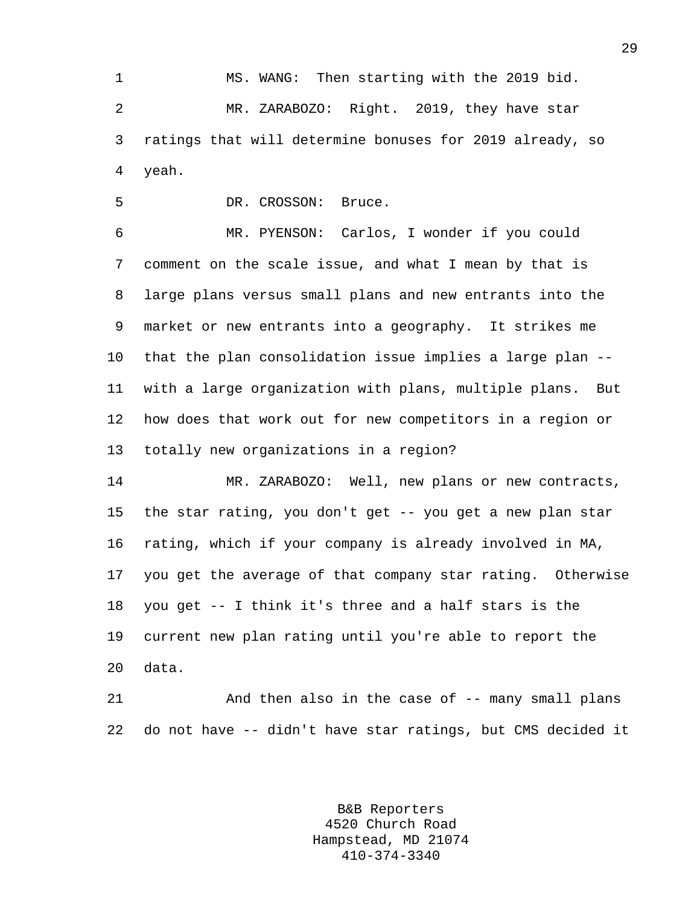1 MS. WANG: Then starting with the 2019 bid. 2 MR. ZARABOZO: Right. 2019, they have star 3 ratings that will determine bonuses for 2019 already, so 4 yeah.

5 DR. CROSSON: Bruce.

6 MR. PYENSON: Carlos, I wonder if you could 7 comment on the scale issue, and what I mean by that is 8 large plans versus small plans and new entrants into the 9 market or new entrants into a geography. It strikes me 10 that the plan consolidation issue implies a large plan -- 11 with a large organization with plans, multiple plans. But 12 how does that work out for new competitors in a region or 13 totally new organizations in a region?

14 MR. ZARABOZO: Well, new plans or new contracts, 15 the star rating, you don't get -- you get a new plan star 16 rating, which if your company is already involved in MA, 17 you get the average of that company star rating. Otherwise 18 you get -- I think it's three and a half stars is the 19 current new plan rating until you're able to report the 20 data.

21 And then also in the case of -- many small plans 22 do not have -- didn't have star ratings, but CMS decided it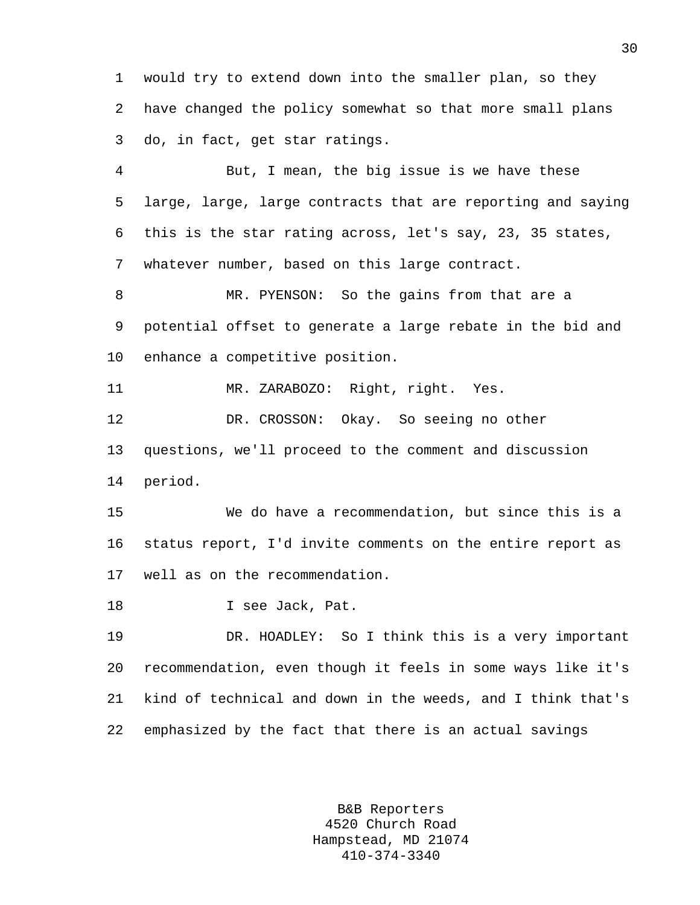1 would try to extend down into the smaller plan, so they 2 have changed the policy somewhat so that more small plans 3 do, in fact, get star ratings.

4 But, I mean, the big issue is we have these 5 large, large, large contracts that are reporting and saying 6 this is the star rating across, let's say, 23, 35 states, 7 whatever number, based on this large contract.

8 MR. PYENSON: So the gains from that are a 9 potential offset to generate a large rebate in the bid and 10 enhance a competitive position.

11 MR. ZARABOZO: Right, right. Yes.

12 DR. CROSSON: Okay. So seeing no other 13 questions, we'll proceed to the comment and discussion 14 period.

15 We do have a recommendation, but since this is a 16 status report, I'd invite comments on the entire report as 17 well as on the recommendation.

18 I see Jack, Pat.

19 DR. HOADLEY: So I think this is a very important 20 recommendation, even though it feels in some ways like it's 21 kind of technical and down in the weeds, and I think that's 22 emphasized by the fact that there is an actual savings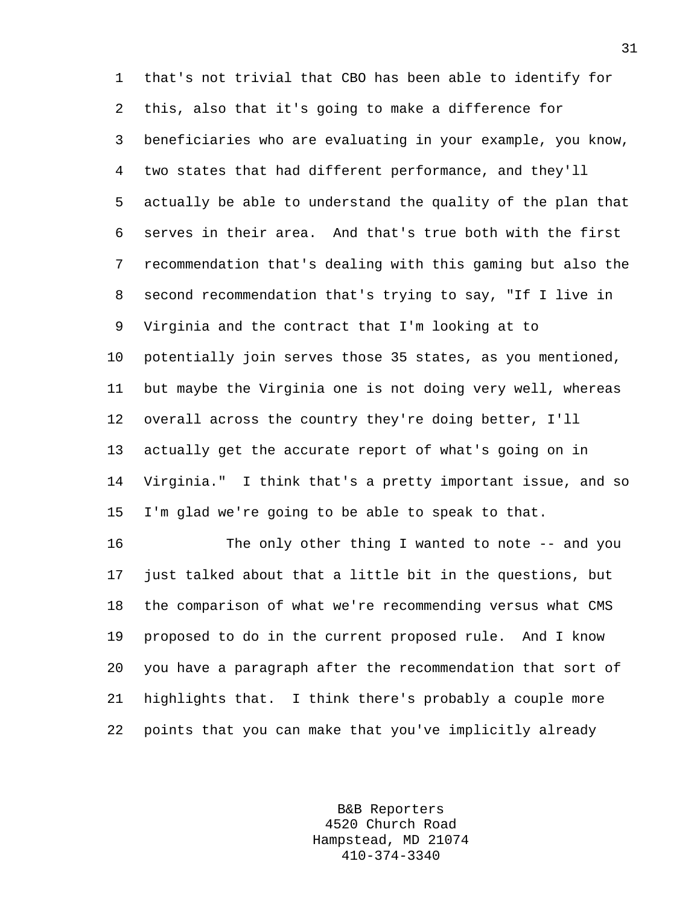1 that's not trivial that CBO has been able to identify for 2 this, also that it's going to make a difference for 3 beneficiaries who are evaluating in your example, you know, 4 two states that had different performance, and they'll 5 actually be able to understand the quality of the plan that 6 serves in their area. And that's true both with the first 7 recommendation that's dealing with this gaming but also the 8 second recommendation that's trying to say, "If I live in 9 Virginia and the contract that I'm looking at to 10 potentially join serves those 35 states, as you mentioned, 11 but maybe the Virginia one is not doing very well, whereas 12 overall across the country they're doing better, I'll 13 actually get the accurate report of what's going on in 14 Virginia." I think that's a pretty important issue, and so 15 I'm glad we're going to be able to speak to that.

16 The only other thing I wanted to note -- and you 17 just talked about that a little bit in the questions, but 18 the comparison of what we're recommending versus what CMS 19 proposed to do in the current proposed rule. And I know 20 you have a paragraph after the recommendation that sort of 21 highlights that. I think there's probably a couple more 22 points that you can make that you've implicitly already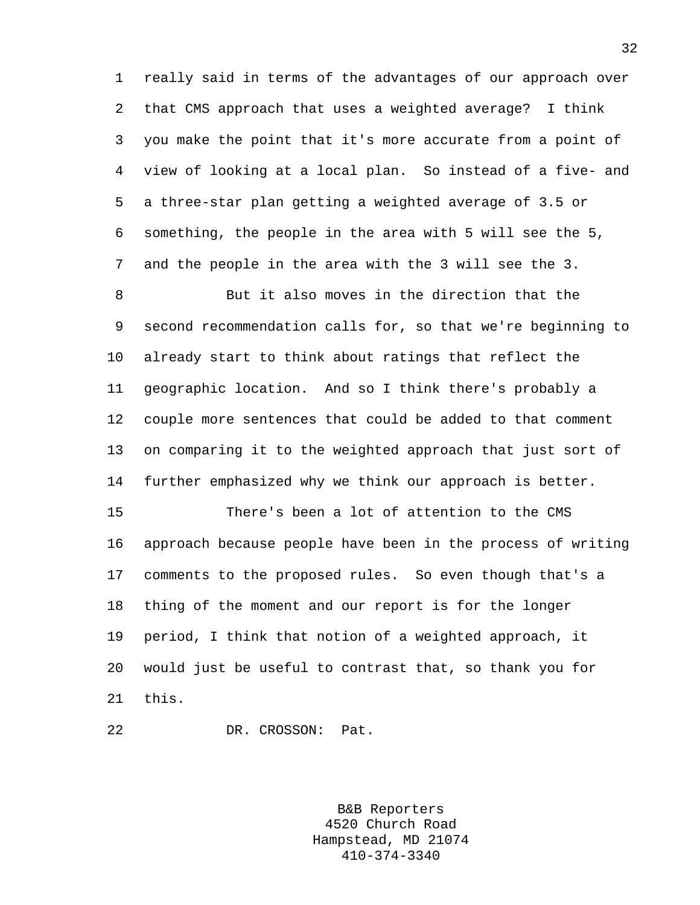1 really said in terms of the advantages of our approach over 2 that CMS approach that uses a weighted average? I think 3 you make the point that it's more accurate from a point of 4 view of looking at a local plan. So instead of a five- and 5 a three-star plan getting a weighted average of 3.5 or 6 something, the people in the area with 5 will see the 5, 7 and the people in the area with the 3 will see the 3.

8 But it also moves in the direction that the 9 second recommendation calls for, so that we're beginning to 10 already start to think about ratings that reflect the 11 geographic location. And so I think there's probably a 12 couple more sentences that could be added to that comment 13 on comparing it to the weighted approach that just sort of 14 further emphasized why we think our approach is better.

15 There's been a lot of attention to the CMS 16 approach because people have been in the process of writing 17 comments to the proposed rules. So even though that's a 18 thing of the moment and our report is for the longer 19 period, I think that notion of a weighted approach, it 20 would just be useful to contrast that, so thank you for 21 this.

22 DR. CROSSON: Pat.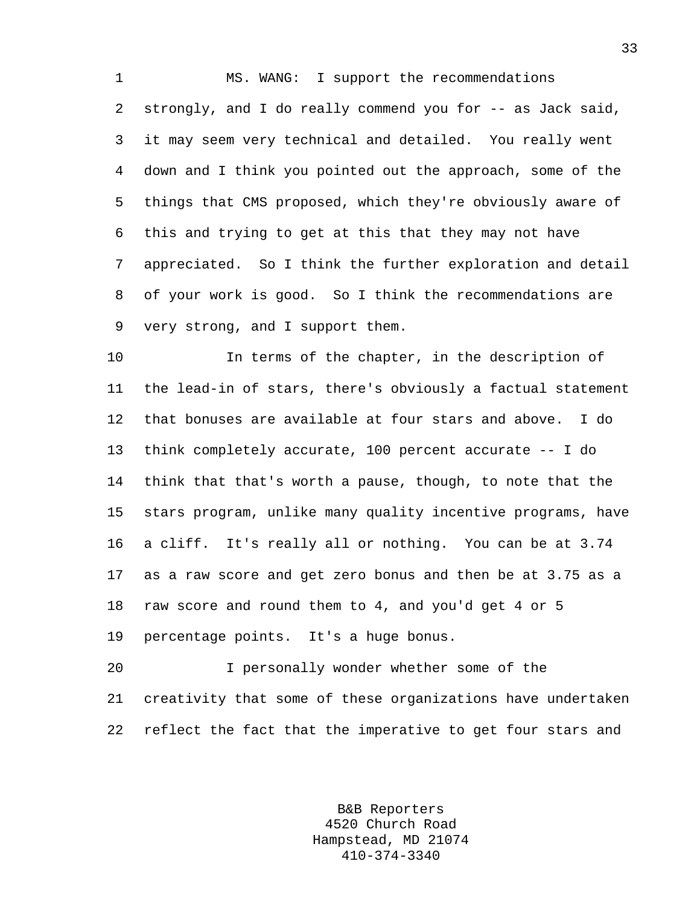1 MS. WANG: I support the recommendations 2 strongly, and I do really commend you for -- as Jack said, 3 it may seem very technical and detailed. You really went 4 down and I think you pointed out the approach, some of the 5 things that CMS proposed, which they're obviously aware of 6 this and trying to get at this that they may not have 7 appreciated. So I think the further exploration and detail 8 of your work is good. So I think the recommendations are 9 very strong, and I support them.

10 In terms of the chapter, in the description of 11 the lead-in of stars, there's obviously a factual statement 12 that bonuses are available at four stars and above. I do 13 think completely accurate, 100 percent accurate -- I do 14 think that that's worth a pause, though, to note that the 15 stars program, unlike many quality incentive programs, have 16 a cliff. It's really all or nothing. You can be at 3.74 17 as a raw score and get zero bonus and then be at 3.75 as a 18 raw score and round them to 4, and you'd get 4 or 5 19 percentage points. It's a huge bonus.

20 I personally wonder whether some of the 21 creativity that some of these organizations have undertaken 22 reflect the fact that the imperative to get four stars and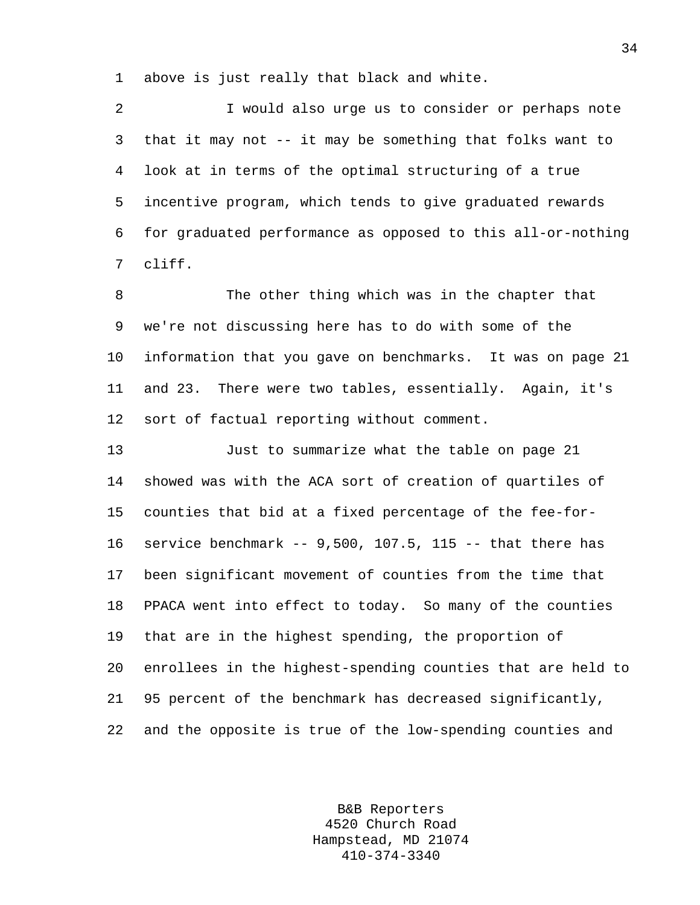1 above is just really that black and white.

2 I would also urge us to consider or perhaps note 3 that it may not -- it may be something that folks want to 4 look at in terms of the optimal structuring of a true 5 incentive program, which tends to give graduated rewards 6 for graduated performance as opposed to this all-or-nothing 7 cliff.

8 The other thing which was in the chapter that 9 we're not discussing here has to do with some of the 10 information that you gave on benchmarks. It was on page 21 11 and 23. There were two tables, essentially. Again, it's 12 sort of factual reporting without comment.

13 Just to summarize what the table on page 21 14 showed was with the ACA sort of creation of quartiles of 15 counties that bid at a fixed percentage of the fee-for-16 service benchmark -- 9,500, 107.5, 115 -- that there has 17 been significant movement of counties from the time that 18 PPACA went into effect to today. So many of the counties 19 that are in the highest spending, the proportion of 20 enrollees in the highest-spending counties that are held to 21 95 percent of the benchmark has decreased significantly, 22 and the opposite is true of the low-spending counties and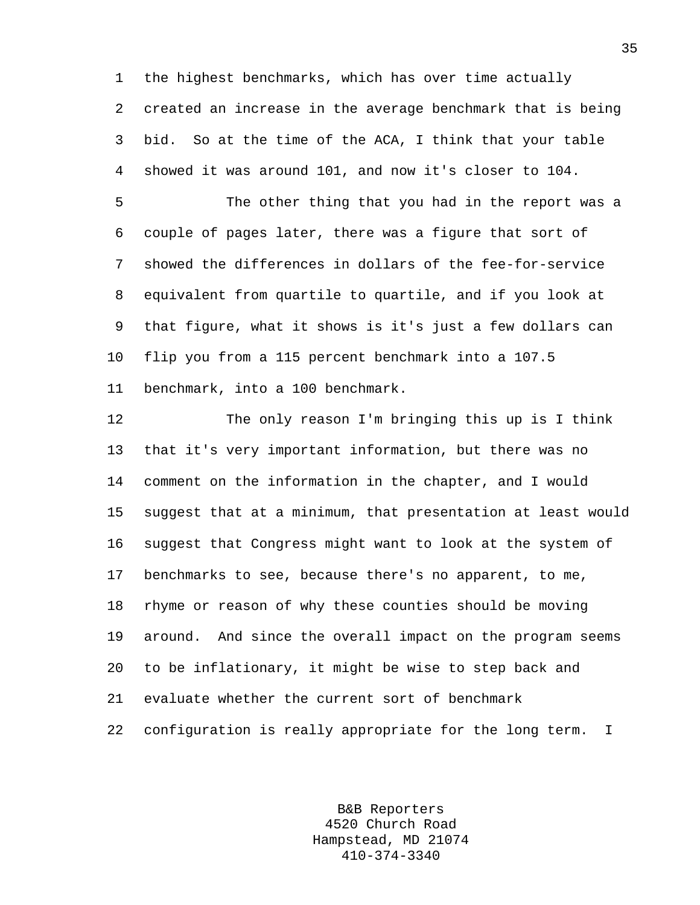1 the highest benchmarks, which has over time actually 2 created an increase in the average benchmark that is being 3 bid. So at the time of the ACA, I think that your table 4 showed it was around 101, and now it's closer to 104.

5 The other thing that you had in the report was a 6 couple of pages later, there was a figure that sort of 7 showed the differences in dollars of the fee-for-service 8 equivalent from quartile to quartile, and if you look at 9 that figure, what it shows is it's just a few dollars can 10 flip you from a 115 percent benchmark into a 107.5 11 benchmark, into a 100 benchmark.

12 The only reason I'm bringing this up is I think 13 that it's very important information, but there was no 14 comment on the information in the chapter, and I would 15 suggest that at a minimum, that presentation at least would 16 suggest that Congress might want to look at the system of 17 benchmarks to see, because there's no apparent, to me, 18 rhyme or reason of why these counties should be moving 19 around. And since the overall impact on the program seems 20 to be inflationary, it might be wise to step back and 21 evaluate whether the current sort of benchmark 22 configuration is really appropriate for the long term. I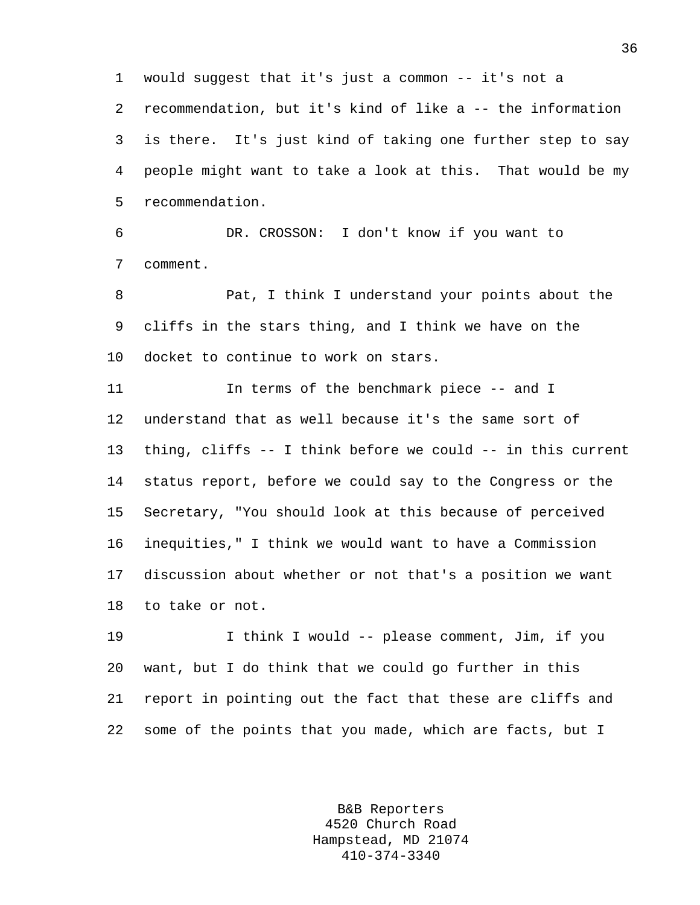1 would suggest that it's just a common -- it's not a 2 recommendation, but it's kind of like a -- the information 3 is there. It's just kind of taking one further step to say 4 people might want to take a look at this. That would be my 5 recommendation.

6 DR. CROSSON: I don't know if you want to 7 comment.

8 Pat, I think I understand your points about the 9 cliffs in the stars thing, and I think we have on the 10 docket to continue to work on stars.

11 In terms of the benchmark piece -- and I 12 understand that as well because it's the same sort of 13 thing, cliffs -- I think before we could -- in this current 14 status report, before we could say to the Congress or the 15 Secretary, "You should look at this because of perceived 16 inequities," I think we would want to have a Commission 17 discussion about whether or not that's a position we want 18 to take or not.

19 I think I would -- please comment, Jim, if you 20 want, but I do think that we could go further in this 21 report in pointing out the fact that these are cliffs and 22 some of the points that you made, which are facts, but I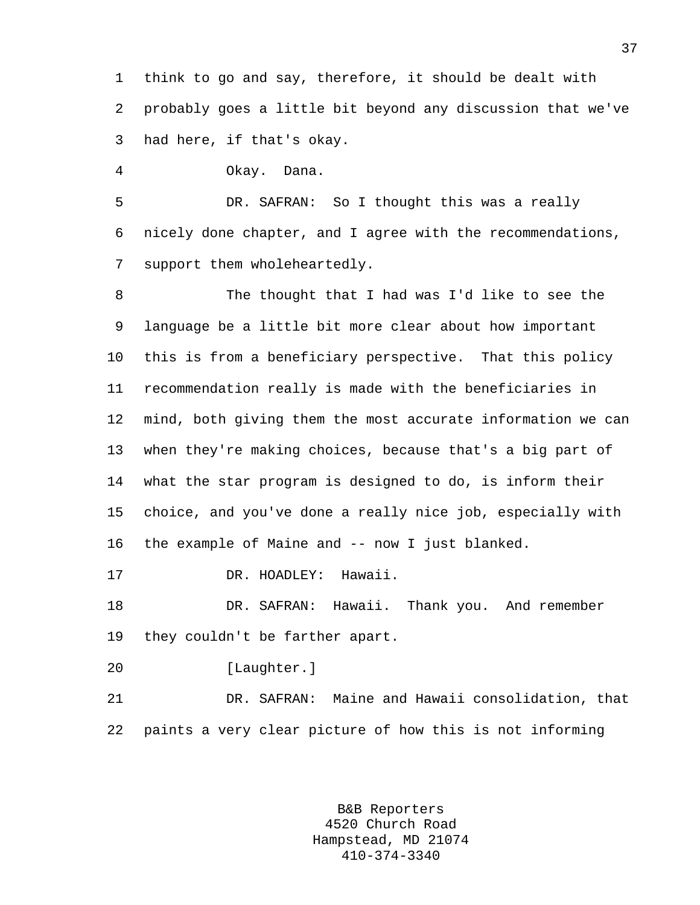1 think to go and say, therefore, it should be dealt with 2 probably goes a little bit beyond any discussion that we've 3 had here, if that's okay.

4 Okay. Dana.

5 DR. SAFRAN: So I thought this was a really 6 nicely done chapter, and I agree with the recommendations, 7 support them wholeheartedly.

8 The thought that I had was I'd like to see the 9 language be a little bit more clear about how important 10 this is from a beneficiary perspective. That this policy 11 recommendation really is made with the beneficiaries in 12 mind, both giving them the most accurate information we can 13 when they're making choices, because that's a big part of 14 what the star program is designed to do, is inform their 15 choice, and you've done a really nice job, especially with 16 the example of Maine and -- now I just blanked.

17 DR. HOADLEY: Hawaii.

18 DR. SAFRAN: Hawaii. Thank you. And remember 19 they couldn't be farther apart.

20 [Laughter.]

21 DR. SAFRAN: Maine and Hawaii consolidation, that 22 paints a very clear picture of how this is not informing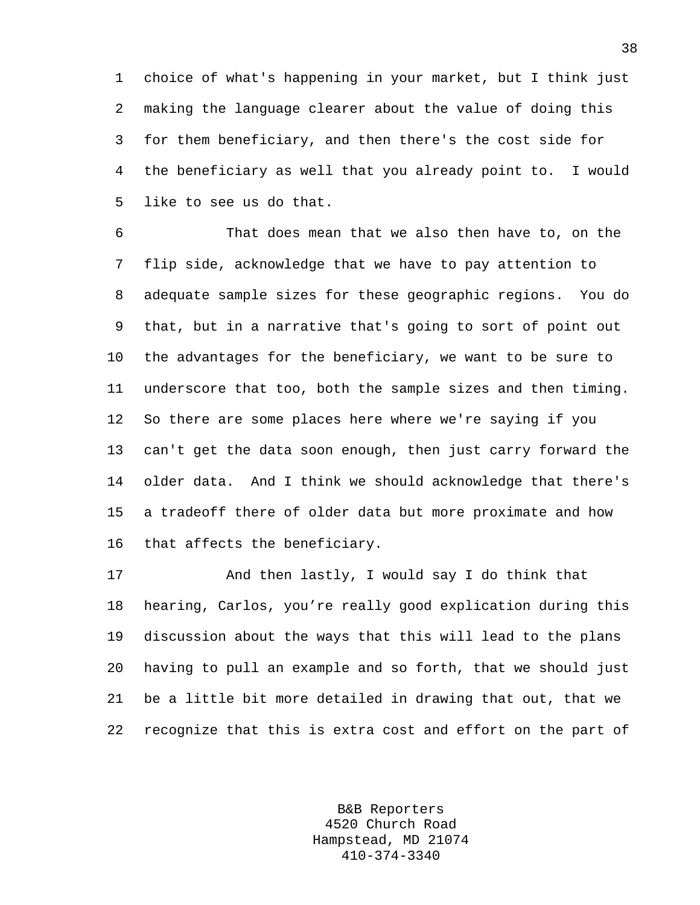1 choice of what's happening in your market, but I think just 2 making the language clearer about the value of doing this 3 for them beneficiary, and then there's the cost side for 4 the beneficiary as well that you already point to. I would 5 like to see us do that.

6 That does mean that we also then have to, on the 7 flip side, acknowledge that we have to pay attention to 8 adequate sample sizes for these geographic regions. You do 9 that, but in a narrative that's going to sort of point out 10 the advantages for the beneficiary, we want to be sure to 11 underscore that too, both the sample sizes and then timing. 12 So there are some places here where we're saying if you 13 can't get the data soon enough, then just carry forward the 14 older data. And I think we should acknowledge that there's 15 a tradeoff there of older data but more proximate and how 16 that affects the beneficiary.

17 And then lastly, I would say I do think that 18 hearing, Carlos, you're really good explication during this 19 discussion about the ways that this will lead to the plans 20 having to pull an example and so forth, that we should just 21 be a little bit more detailed in drawing that out, that we 22 recognize that this is extra cost and effort on the part of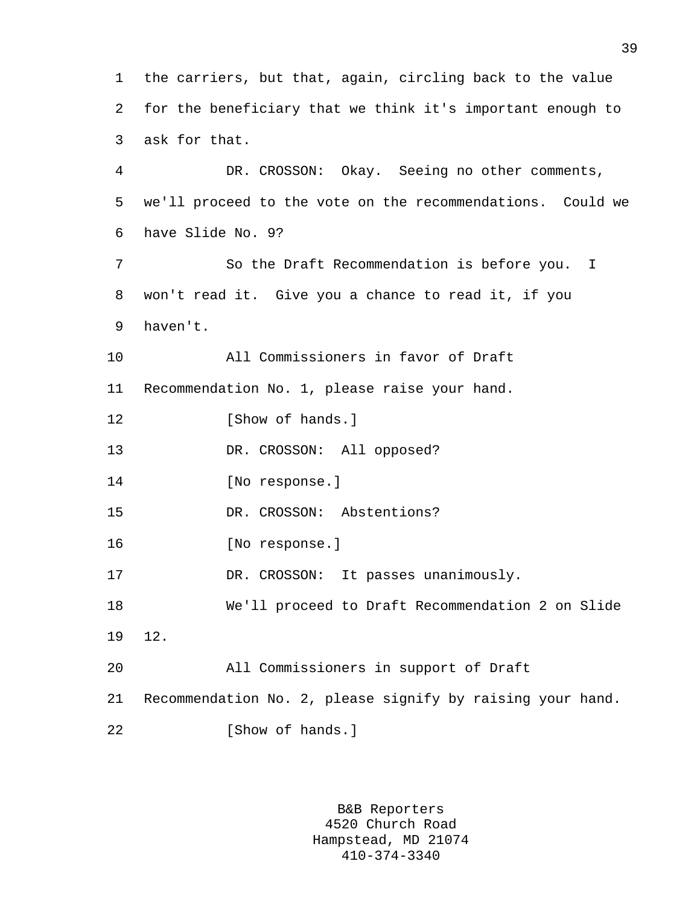1 the carriers, but that, again, circling back to the value 2 for the beneficiary that we think it's important enough to 3 ask for that. 4 DR. CROSSON: Okay. Seeing no other comments, 5 we'll proceed to the vote on the recommendations. Could we 6 have Slide No. 9? 7 So the Draft Recommendation is before you. I 8 won't read it. Give you a chance to read it, if you 9 haven't. 10 All Commissioners in favor of Draft 11 Recommendation No. 1, please raise your hand. 12 [Show of hands.] 13 DR. CROSSON: All opposed? 14 [No response.] 15 DR. CROSSON: Abstentions? 16 [No response.] 17 DR. CROSSON: It passes unanimously. 18 We'll proceed to Draft Recommendation 2 on Slide 19 12. 20 All Commissioners in support of Draft 21 Recommendation No. 2, please signify by raising your hand. 22 [Show of hands.]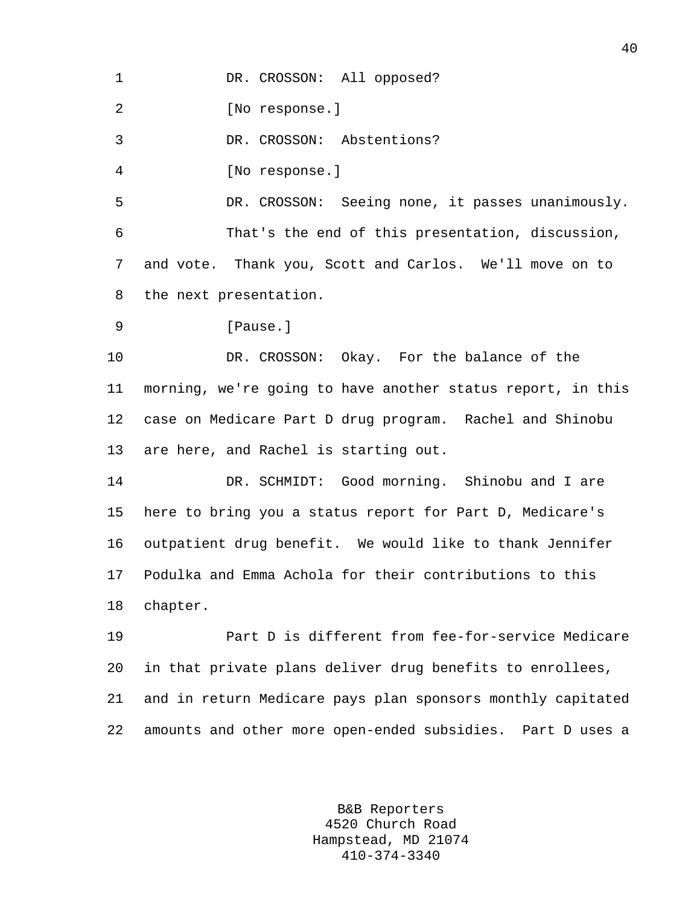1 DR. CROSSON: All opposed?

2 [No response.]

3 DR. CROSSON: Abstentions?

4 [No response.]

5 DR. CROSSON: Seeing none, it passes unanimously. 6 That's the end of this presentation, discussion, 7 and vote. Thank you, Scott and Carlos. We'll move on to 8 the next presentation.

```
9 Pause.
```
10 DR. CROSSON: Okay. For the balance of the 11 morning, we're going to have another status report, in this 12 case on Medicare Part D drug program. Rachel and Shinobu 13 are here, and Rachel is starting out.

14 DR. SCHMIDT: Good morning. Shinobu and I are 15 here to bring you a status report for Part D, Medicare's 16 outpatient drug benefit. We would like to thank Jennifer 17 Podulka and Emma Achola for their contributions to this 18 chapter.

19 Part D is different from fee-for-service Medicare 20 in that private plans deliver drug benefits to enrollees, 21 and in return Medicare pays plan sponsors monthly capitated 22 amounts and other more open-ended subsidies. Part D uses a

> B&B Reporters 4520 Church Road Hampstead, MD 21074 410-374-3340

40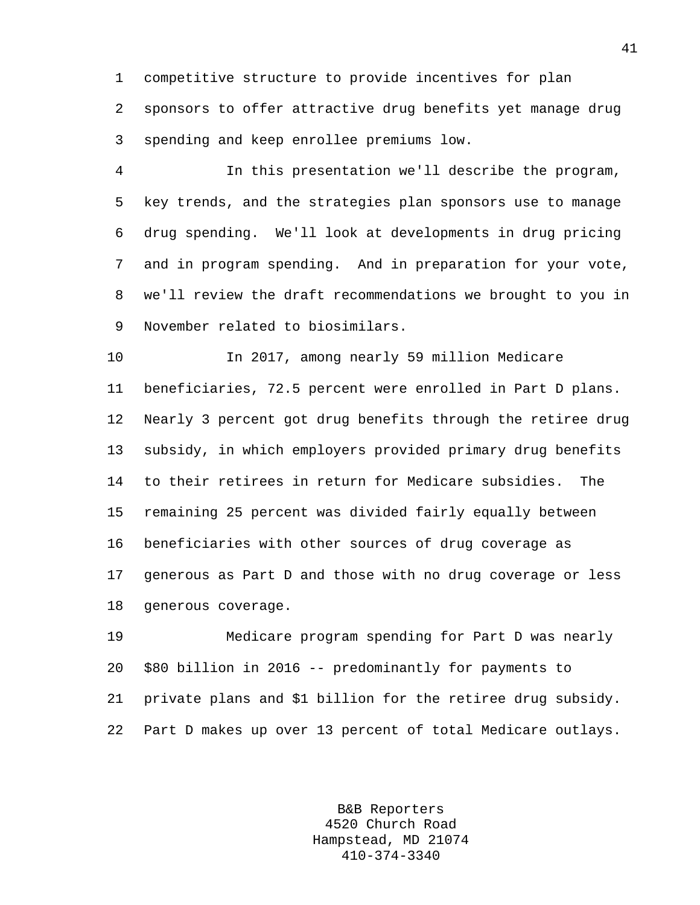1 competitive structure to provide incentives for plan 2 sponsors to offer attractive drug benefits yet manage drug 3 spending and keep enrollee premiums low.

4 In this presentation we'll describe the program, 5 key trends, and the strategies plan sponsors use to manage 6 drug spending. We'll look at developments in drug pricing 7 and in program spending. And in preparation for your vote, 8 we'll review the draft recommendations we brought to you in 9 November related to biosimilars.

10 In 2017, among nearly 59 million Medicare 11 beneficiaries, 72.5 percent were enrolled in Part D plans. 12 Nearly 3 percent got drug benefits through the retiree drug 13 subsidy, in which employers provided primary drug benefits 14 to their retirees in return for Medicare subsidies. The 15 remaining 25 percent was divided fairly equally between 16 beneficiaries with other sources of drug coverage as 17 generous as Part D and those with no drug coverage or less 18 generous coverage.

19 Medicare program spending for Part D was nearly 20 \$80 billion in 2016 -- predominantly for payments to 21 private plans and \$1 billion for the retiree drug subsidy. 22 Part D makes up over 13 percent of total Medicare outlays.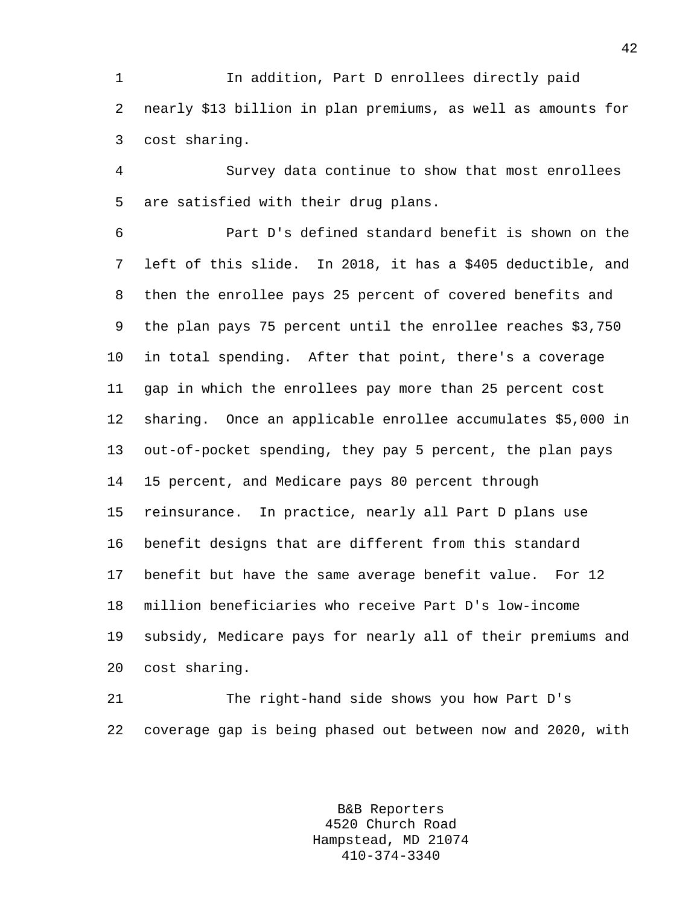1 In addition, Part D enrollees directly paid 2 nearly \$13 billion in plan premiums, as well as amounts for 3 cost sharing.

4 Survey data continue to show that most enrollees 5 are satisfied with their drug plans.

6 Part D's defined standard benefit is shown on the 7 left of this slide. In 2018, it has a \$405 deductible, and 8 then the enrollee pays 25 percent of covered benefits and 9 the plan pays 75 percent until the enrollee reaches \$3,750 10 in total spending. After that point, there's a coverage 11 gap in which the enrollees pay more than 25 percent cost 12 sharing. Once an applicable enrollee accumulates \$5,000 in 13 out-of-pocket spending, they pay 5 percent, the plan pays 14 15 percent, and Medicare pays 80 percent through 15 reinsurance. In practice, nearly all Part D plans use 16 benefit designs that are different from this standard 17 benefit but have the same average benefit value. For 12 18 million beneficiaries who receive Part D's low-income 19 subsidy, Medicare pays for nearly all of their premiums and 20 cost sharing.

21 The right-hand side shows you how Part D's 22 coverage gap is being phased out between now and 2020, with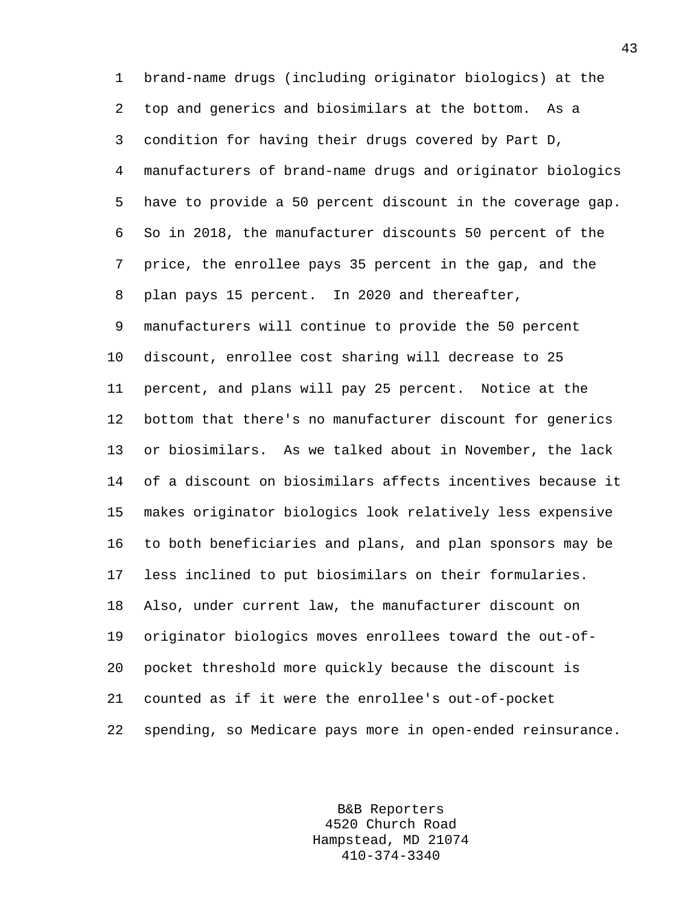1 brand-name drugs (including originator biologics) at the 2 top and generics and biosimilars at the bottom. As a 3 condition for having their drugs covered by Part D, 4 manufacturers of brand-name drugs and originator biologics 5 have to provide a 50 percent discount in the coverage gap. 6 So in 2018, the manufacturer discounts 50 percent of the 7 price, the enrollee pays 35 percent in the gap, and the 8 plan pays 15 percent. In 2020 and thereafter, 9 manufacturers will continue to provide the 50 percent 10 discount, enrollee cost sharing will decrease to 25 11 percent, and plans will pay 25 percent. Notice at the 12 bottom that there's no manufacturer discount for generics 13 or biosimilars. As we talked about in November, the lack 14 of a discount on biosimilars affects incentives because it 15 makes originator biologics look relatively less expensive 16 to both beneficiaries and plans, and plan sponsors may be 17 less inclined to put biosimilars on their formularies. 18 Also, under current law, the manufacturer discount on 19 originator biologics moves enrollees toward the out-of-20 pocket threshold more quickly because the discount is 21 counted as if it were the enrollee's out-of-pocket 22 spending, so Medicare pays more in open-ended reinsurance.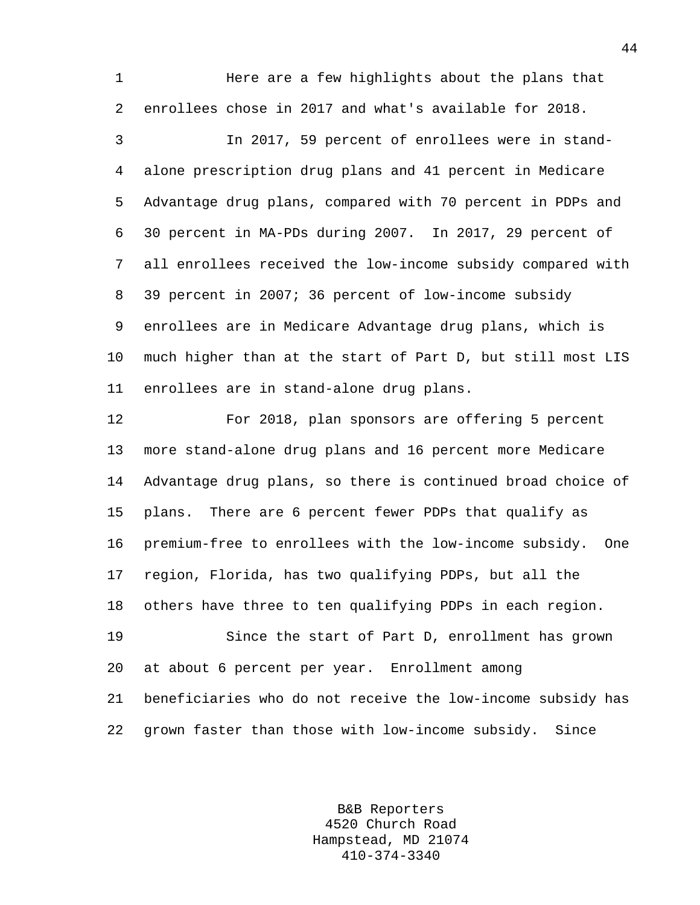1 **Here are a few highlights about the plans that** 2 enrollees chose in 2017 and what's available for 2018.

3 In 2017, 59 percent of enrollees were in stand-4 alone prescription drug plans and 41 percent in Medicare 5 Advantage drug plans, compared with 70 percent in PDPs and 6 30 percent in MA-PDs during 2007. In 2017, 29 percent of 7 all enrollees received the low-income subsidy compared with 8 39 percent in 2007; 36 percent of low-income subsidy 9 enrollees are in Medicare Advantage drug plans, which is 10 much higher than at the start of Part D, but still most LIS 11 enrollees are in stand-alone drug plans.

12 For 2018, plan sponsors are offering 5 percent 13 more stand-alone drug plans and 16 percent more Medicare 14 Advantage drug plans, so there is continued broad choice of 15 plans. There are 6 percent fewer PDPs that qualify as 16 premium-free to enrollees with the low-income subsidy. One 17 region, Florida, has two qualifying PDPs, but all the 18 others have three to ten qualifying PDPs in each region.

19 Since the start of Part D, enrollment has grown 20 at about 6 percent per year. Enrollment among 21 beneficiaries who do not receive the low-income subsidy has 22 grown faster than those with low-income subsidy. Since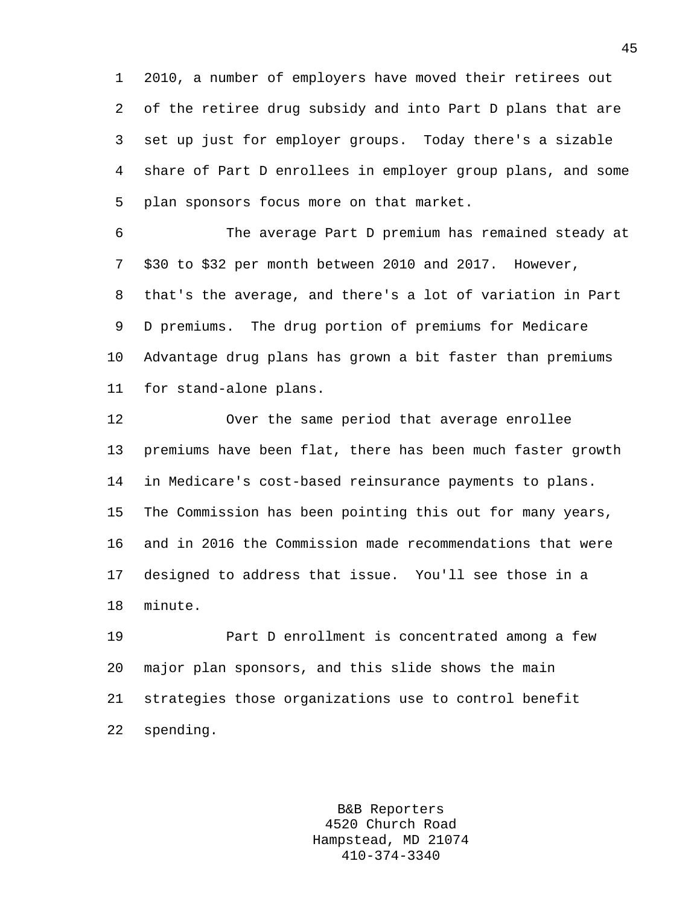1 2010, a number of employers have moved their retirees out 2 of the retiree drug subsidy and into Part D plans that are 3 set up just for employer groups. Today there's a sizable 4 share of Part D enrollees in employer group plans, and some 5 plan sponsors focus more on that market.

6 The average Part D premium has remained steady at 7 \$30 to \$32 per month between 2010 and 2017. However, 8 that's the average, and there's a lot of variation in Part 9 D premiums. The drug portion of premiums for Medicare 10 Advantage drug plans has grown a bit faster than premiums 11 for stand-alone plans.

12 Over the same period that average enrollee 13 premiums have been flat, there has been much faster growth 14 in Medicare's cost-based reinsurance payments to plans. 15 The Commission has been pointing this out for many years, 16 and in 2016 the Commission made recommendations that were 17 designed to address that issue. You'll see those in a 18 minute.

19 Part D enrollment is concentrated among a few 20 major plan sponsors, and this slide shows the main 21 strategies those organizations use to control benefit 22 spending.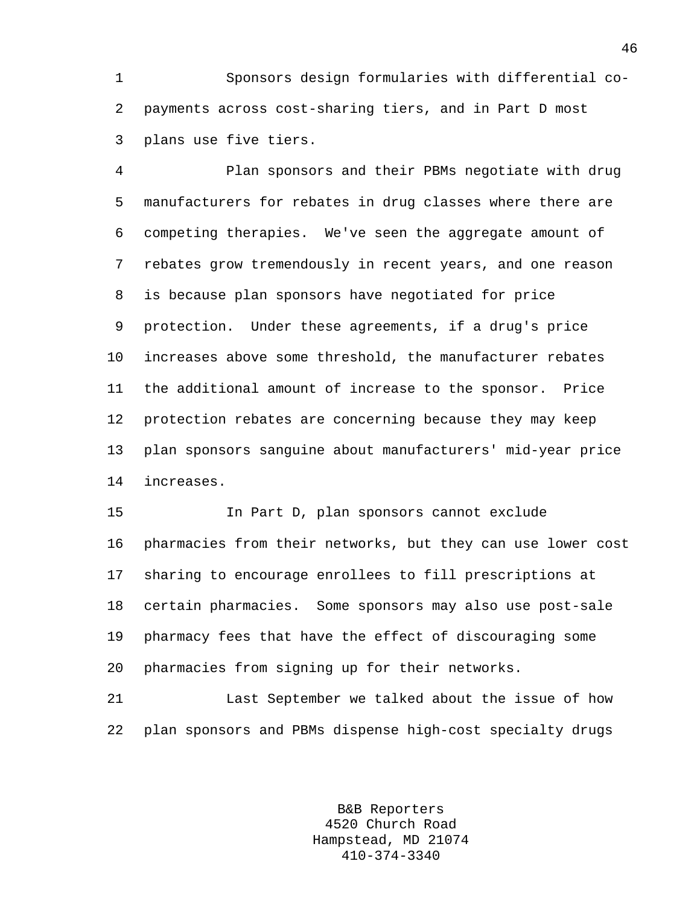1 Sponsors design formularies with differential co-2 payments across cost-sharing tiers, and in Part D most 3 plans use five tiers.

4 Plan sponsors and their PBMs negotiate with drug 5 manufacturers for rebates in drug classes where there are 6 competing therapies. We've seen the aggregate amount of 7 rebates grow tremendously in recent years, and one reason 8 is because plan sponsors have negotiated for price 9 protection. Under these agreements, if a drug's price 10 increases above some threshold, the manufacturer rebates 11 the additional amount of increase to the sponsor. Price 12 protection rebates are concerning because they may keep 13 plan sponsors sanguine about manufacturers' mid-year price 14 increases.

15 In Part D, plan sponsors cannot exclude 16 pharmacies from their networks, but they can use lower cost 17 sharing to encourage enrollees to fill prescriptions at 18 certain pharmacies. Some sponsors may also use post-sale 19 pharmacy fees that have the effect of discouraging some 20 pharmacies from signing up for their networks.

21 Last September we talked about the issue of how 22 plan sponsors and PBMs dispense high-cost specialty drugs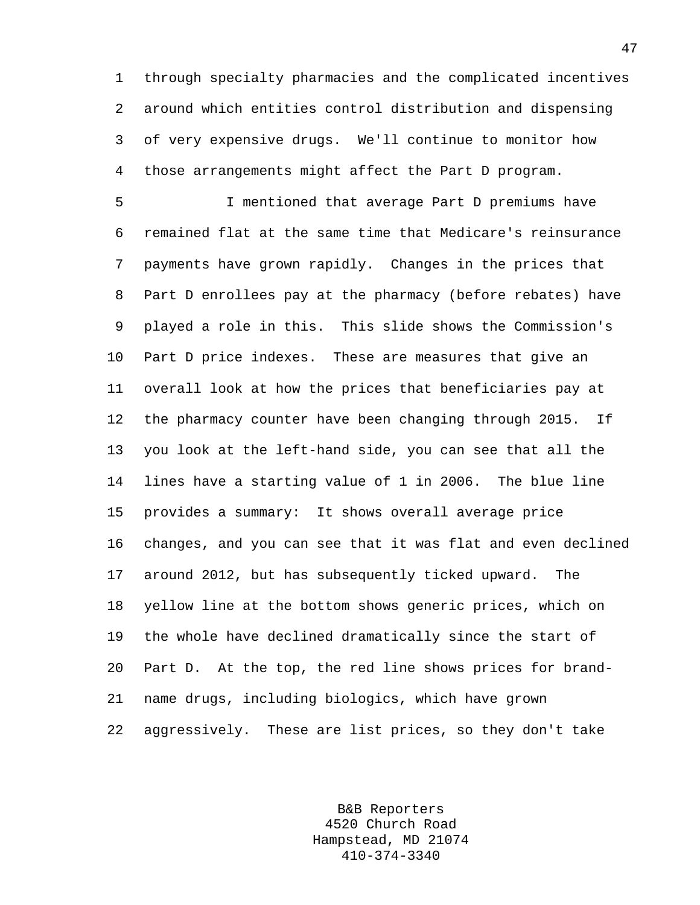1 through specialty pharmacies and the complicated incentives 2 around which entities control distribution and dispensing 3 of very expensive drugs. We'll continue to monitor how 4 those arrangements might affect the Part D program.

5 I mentioned that average Part D premiums have 6 remained flat at the same time that Medicare's reinsurance 7 payments have grown rapidly. Changes in the prices that 8 Part D enrollees pay at the pharmacy (before rebates) have 9 played a role in this. This slide shows the Commission's 10 Part D price indexes. These are measures that give an 11 overall look at how the prices that beneficiaries pay at 12 the pharmacy counter have been changing through 2015. If 13 you look at the left-hand side, you can see that all the 14 lines have a starting value of 1 in 2006. The blue line 15 provides a summary: It shows overall average price 16 changes, and you can see that it was flat and even declined 17 around 2012, but has subsequently ticked upward. The 18 yellow line at the bottom shows generic prices, which on 19 the whole have declined dramatically since the start of 20 Part D. At the top, the red line shows prices for brand-21 name drugs, including biologics, which have grown 22 aggressively. These are list prices, so they don't take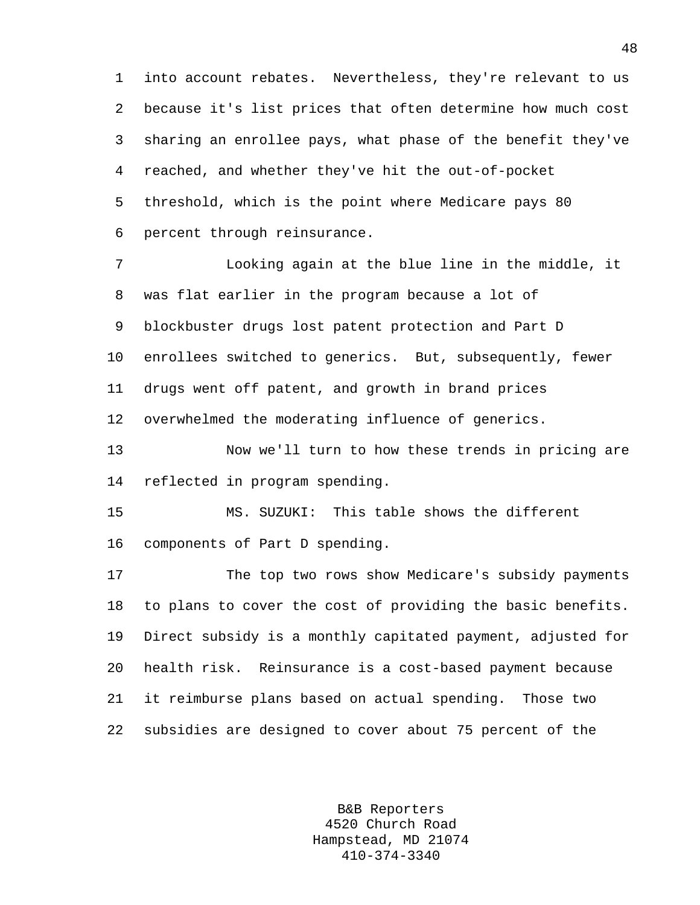1 into account rebates. Nevertheless, they're relevant to us 2 because it's list prices that often determine how much cost 3 sharing an enrollee pays, what phase of the benefit they've 4 reached, and whether they've hit the out-of-pocket 5 threshold, which is the point where Medicare pays 80 6 percent through reinsurance.

7 Looking again at the blue line in the middle, it 8 was flat earlier in the program because a lot of 9 blockbuster drugs lost patent protection and Part D 10 enrollees switched to generics. But, subsequently, fewer 11 drugs went off patent, and growth in brand prices 12 overwhelmed the moderating influence of generics.

13 Now we'll turn to how these trends in pricing are 14 reflected in program spending.

15 MS. SUZUKI: This table shows the different 16 components of Part D spending.

17 The top two rows show Medicare's subsidy payments 18 to plans to cover the cost of providing the basic benefits. 19 Direct subsidy is a monthly capitated payment, adjusted for 20 health risk. Reinsurance is a cost-based payment because 21 it reimburse plans based on actual spending. Those two 22 subsidies are designed to cover about 75 percent of the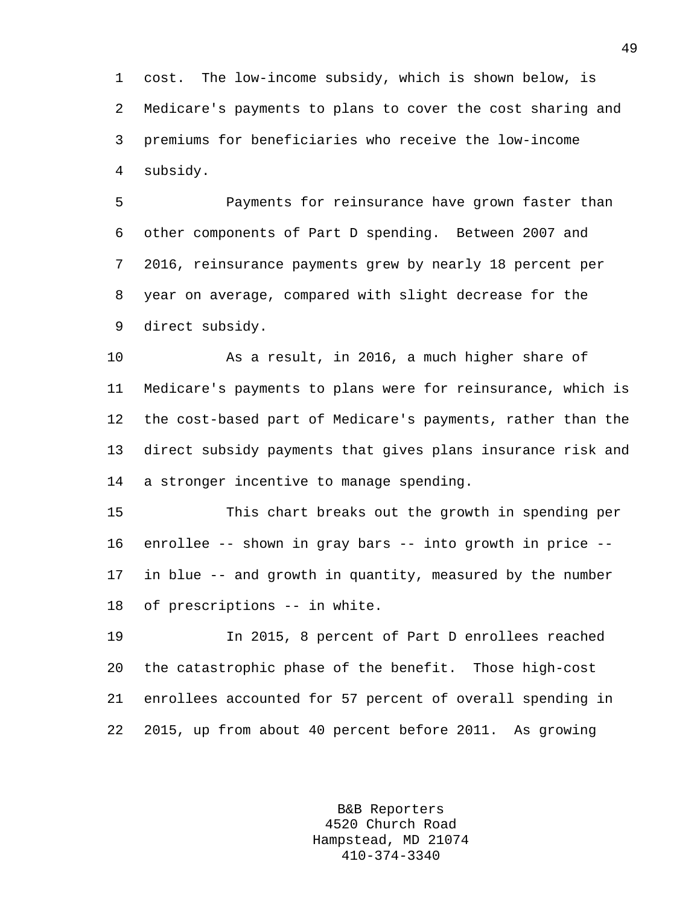1 cost. The low-income subsidy, which is shown below, is 2 Medicare's payments to plans to cover the cost sharing and 3 premiums for beneficiaries who receive the low-income 4 subsidy.

5 Payments for reinsurance have grown faster than 6 other components of Part D spending. Between 2007 and 7 2016, reinsurance payments grew by nearly 18 percent per 8 year on average, compared with slight decrease for the 9 direct subsidy.

10 As a result, in 2016, a much higher share of 11 Medicare's payments to plans were for reinsurance, which is 12 the cost-based part of Medicare's payments, rather than the 13 direct subsidy payments that gives plans insurance risk and 14 a stronger incentive to manage spending.

15 This chart breaks out the growth in spending per 16 enrollee -- shown in gray bars -- into growth in price -- 17 in blue -- and growth in quantity, measured by the number 18 of prescriptions -- in white.

19 In 2015, 8 percent of Part D enrollees reached 20 the catastrophic phase of the benefit. Those high-cost 21 enrollees accounted for 57 percent of overall spending in 22 2015, up from about 40 percent before 2011. As growing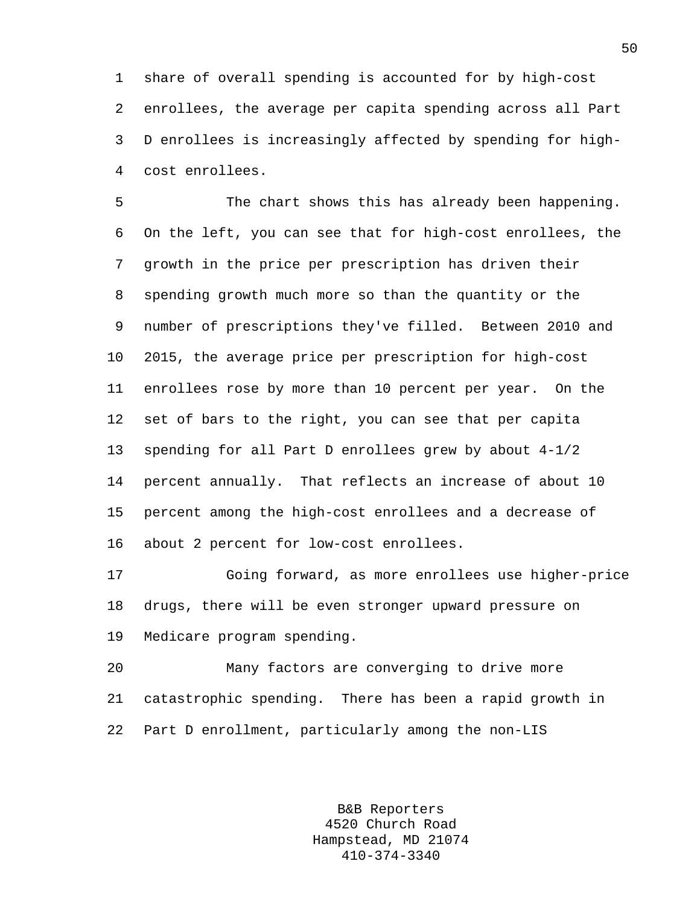1 share of overall spending is accounted for by high-cost 2 enrollees, the average per capita spending across all Part 3 D enrollees is increasingly affected by spending for high-4 cost enrollees.

5 The chart shows this has already been happening. 6 On the left, you can see that for high-cost enrollees, the 7 growth in the price per prescription has driven their 8 spending growth much more so than the quantity or the 9 number of prescriptions they've filled. Between 2010 and 10 2015, the average price per prescription for high-cost 11 enrollees rose by more than 10 percent per year. On the 12 set of bars to the right, you can see that per capita 13 spending for all Part D enrollees grew by about 4-1/2 14 percent annually. That reflects an increase of about 10 15 percent among the high-cost enrollees and a decrease of 16 about 2 percent for low-cost enrollees.

17 Going forward, as more enrollees use higher-price 18 drugs, there will be even stronger upward pressure on 19 Medicare program spending.

20 Many factors are converging to drive more 21 catastrophic spending. There has been a rapid growth in 22 Part D enrollment, particularly among the non-LIS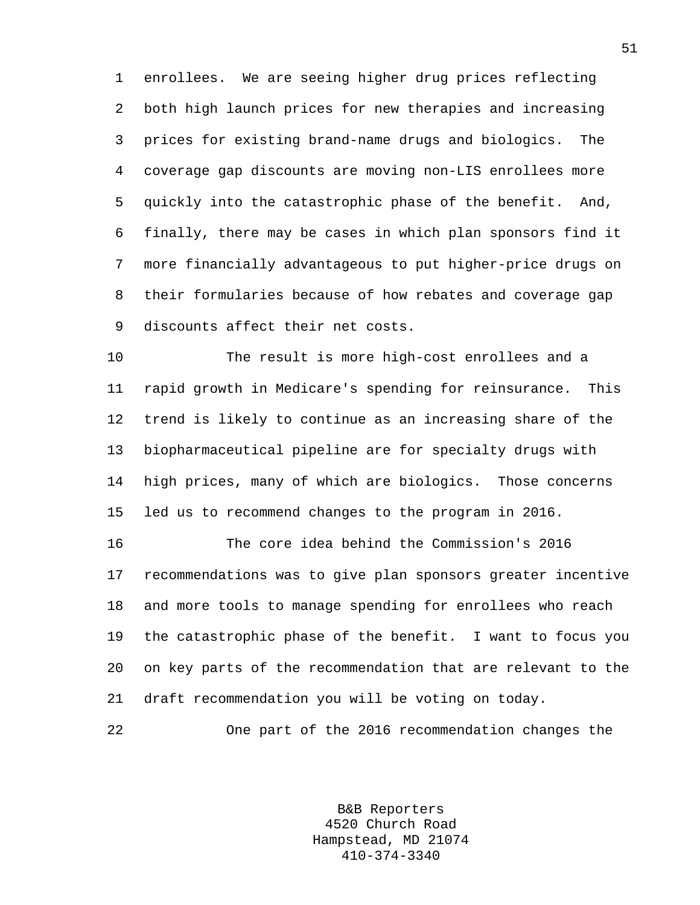1 enrollees. We are seeing higher drug prices reflecting 2 both high launch prices for new therapies and increasing 3 prices for existing brand-name drugs and biologics. The 4 coverage gap discounts are moving non-LIS enrollees more 5 quickly into the catastrophic phase of the benefit. And, 6 finally, there may be cases in which plan sponsors find it 7 more financially advantageous to put higher-price drugs on 8 their formularies because of how rebates and coverage gap 9 discounts affect their net costs.

10 The result is more high-cost enrollees and a 11 rapid growth in Medicare's spending for reinsurance. This 12 trend is likely to continue as an increasing share of the 13 biopharmaceutical pipeline are for specialty drugs with 14 high prices, many of which are biologics. Those concerns 15 led us to recommend changes to the program in 2016.

16 The core idea behind the Commission's 2016 17 recommendations was to give plan sponsors greater incentive 18 and more tools to manage spending for enrollees who reach 19 the catastrophic phase of the benefit. I want to focus you 20 on key parts of the recommendation that are relevant to the 21 draft recommendation you will be voting on today.

22 One part of the 2016 recommendation changes the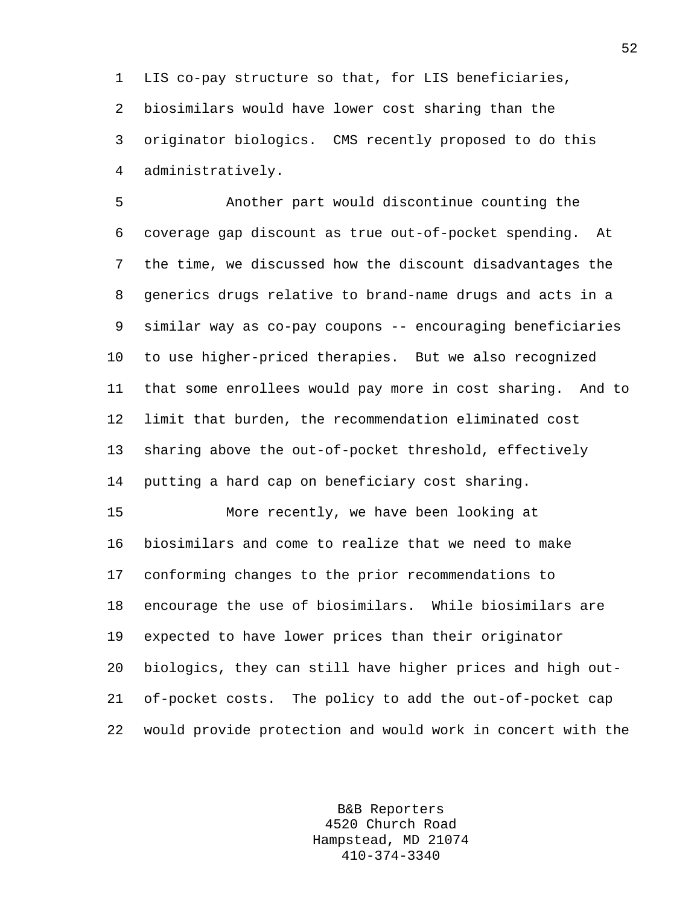1 LIS co-pay structure so that, for LIS beneficiaries, 2 biosimilars would have lower cost sharing than the 3 originator biologics. CMS recently proposed to do this 4 administratively.

5 Another part would discontinue counting the 6 coverage gap discount as true out-of-pocket spending. At 7 the time, we discussed how the discount disadvantages the 8 generics drugs relative to brand-name drugs and acts in a 9 similar way as co-pay coupons -- encouraging beneficiaries 10 to use higher-priced therapies. But we also recognized 11 that some enrollees would pay more in cost sharing. And to 12 limit that burden, the recommendation eliminated cost 13 sharing above the out-of-pocket threshold, effectively 14 putting a hard cap on beneficiary cost sharing.

15 More recently, we have been looking at 16 biosimilars and come to realize that we need to make 17 conforming changes to the prior recommendations to 18 encourage the use of biosimilars. While biosimilars are 19 expected to have lower prices than their originator 20 biologics, they can still have higher prices and high out-21 of-pocket costs. The policy to add the out-of-pocket cap 22 would provide protection and would work in concert with the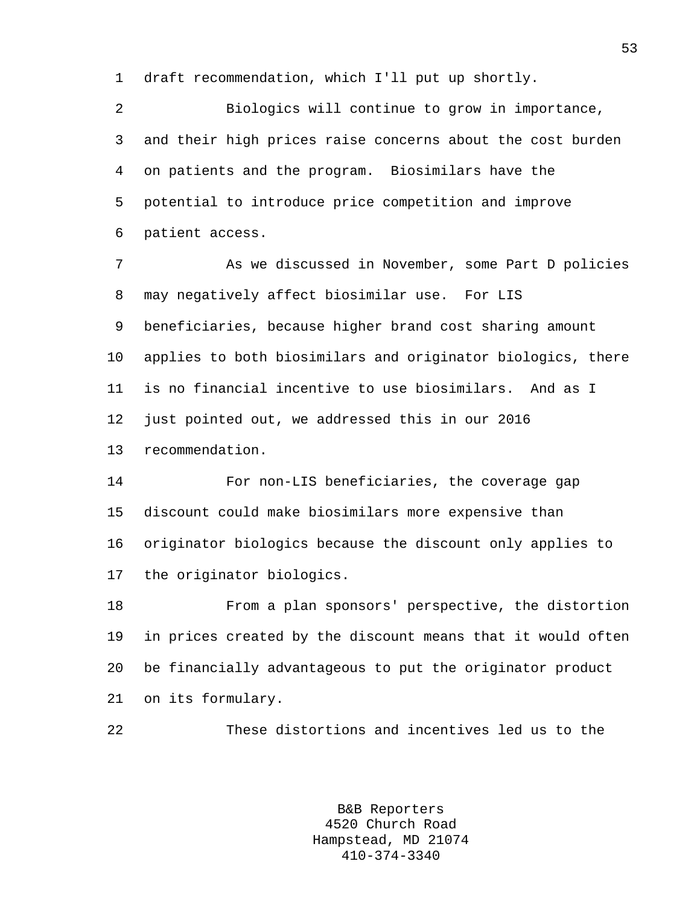1 draft recommendation, which I'll put up shortly.

2 Biologics will continue to grow in importance, 3 and their high prices raise concerns about the cost burden 4 on patients and the program. Biosimilars have the 5 potential to introduce price competition and improve 6 patient access.

7 As we discussed in November, some Part D policies 8 may negatively affect biosimilar use. For LIS 9 beneficiaries, because higher brand cost sharing amount 10 applies to both biosimilars and originator biologics, there 11 is no financial incentive to use biosimilars. And as I 12 just pointed out, we addressed this in our 2016 13 recommendation.

14 For non-LIS beneficiaries, the coverage gap 15 discount could make biosimilars more expensive than 16 originator biologics because the discount only applies to 17 the originator biologics.

18 From a plan sponsors' perspective, the distortion 19 in prices created by the discount means that it would often 20 be financially advantageous to put the originator product 21 on its formulary.

22 These distortions and incentives led us to the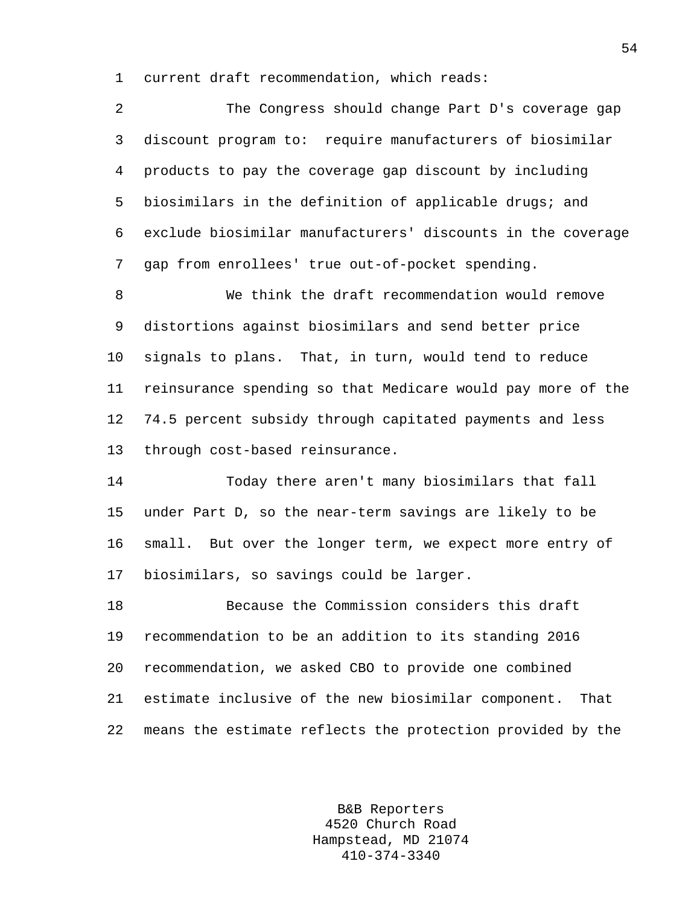1 current draft recommendation, which reads:

2 The Congress should change Part D's coverage gap 3 discount program to: require manufacturers of biosimilar 4 products to pay the coverage gap discount by including 5 biosimilars in the definition of applicable drugs; and 6 exclude biosimilar manufacturers' discounts in the coverage 7 gap from enrollees' true out-of-pocket spending.

8 We think the draft recommendation would remove 9 distortions against biosimilars and send better price 10 signals to plans. That, in turn, would tend to reduce 11 reinsurance spending so that Medicare would pay more of the 12 74.5 percent subsidy through capitated payments and less 13 through cost-based reinsurance.

14 Today there aren't many biosimilars that fall 15 under Part D, so the near-term savings are likely to be 16 small. But over the longer term, we expect more entry of 17 biosimilars, so savings could be larger.

18 Because the Commission considers this draft 19 recommendation to be an addition to its standing 2016 20 recommendation, we asked CBO to provide one combined 21 estimate inclusive of the new biosimilar component. That 22 means the estimate reflects the protection provided by the

> B&B Reporters 4520 Church Road Hampstead, MD 21074 410-374-3340

54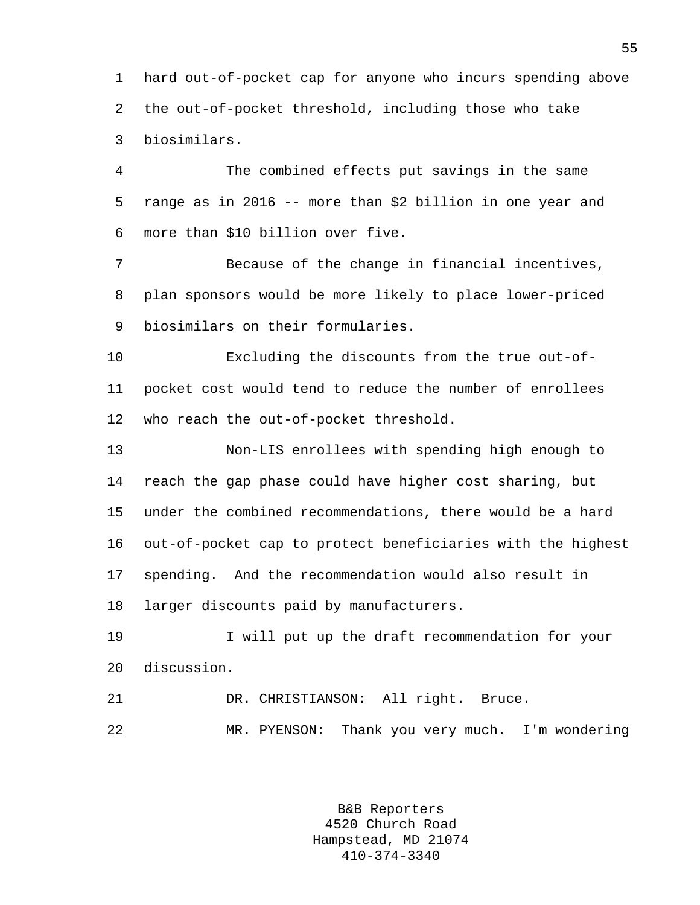1 hard out-of-pocket cap for anyone who incurs spending above 2 the out-of-pocket threshold, including those who take 3 biosimilars.

4 The combined effects put savings in the same 5 range as in 2016 -- more than \$2 billion in one year and 6 more than \$10 billion over five.

7 Because of the change in financial incentives, 8 plan sponsors would be more likely to place lower-priced 9 biosimilars on their formularies.

10 Excluding the discounts from the true out-of-11 pocket cost would tend to reduce the number of enrollees 12 who reach the out-of-pocket threshold.

13 Non-LIS enrollees with spending high enough to 14 reach the gap phase could have higher cost sharing, but 15 under the combined recommendations, there would be a hard 16 out-of-pocket cap to protect beneficiaries with the highest 17 spending. And the recommendation would also result in 18 larger discounts paid by manufacturers.

19 I will put up the draft recommendation for your 20 discussion.

21 DR. CHRISTIANSON: All right. Bruce. 22 MR. PYENSON: Thank you very much. I'm wondering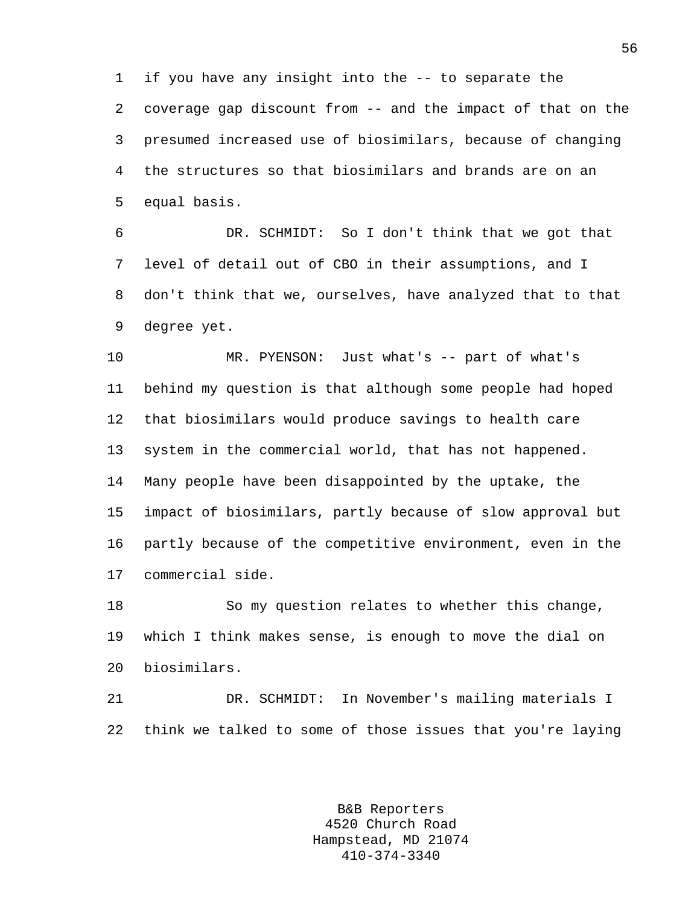1 if you have any insight into the -- to separate the 2 coverage gap discount from -- and the impact of that on the 3 presumed increased use of biosimilars, because of changing 4 the structures so that biosimilars and brands are on an 5 equal basis.

6 DR. SCHMIDT: So I don't think that we got that 7 level of detail out of CBO in their assumptions, and I 8 don't think that we, ourselves, have analyzed that to that 9 degree yet.

10 MR. PYENSON: Just what's -- part of what's 11 behind my question is that although some people had hoped 12 that biosimilars would produce savings to health care 13 system in the commercial world, that has not happened. 14 Many people have been disappointed by the uptake, the 15 impact of biosimilars, partly because of slow approval but 16 partly because of the competitive environment, even in the 17 commercial side.

18 So my question relates to whether this change, 19 which I think makes sense, is enough to move the dial on 20 biosimilars.

21 DR. SCHMIDT: In November's mailing materials I 22 think we talked to some of those issues that you're laying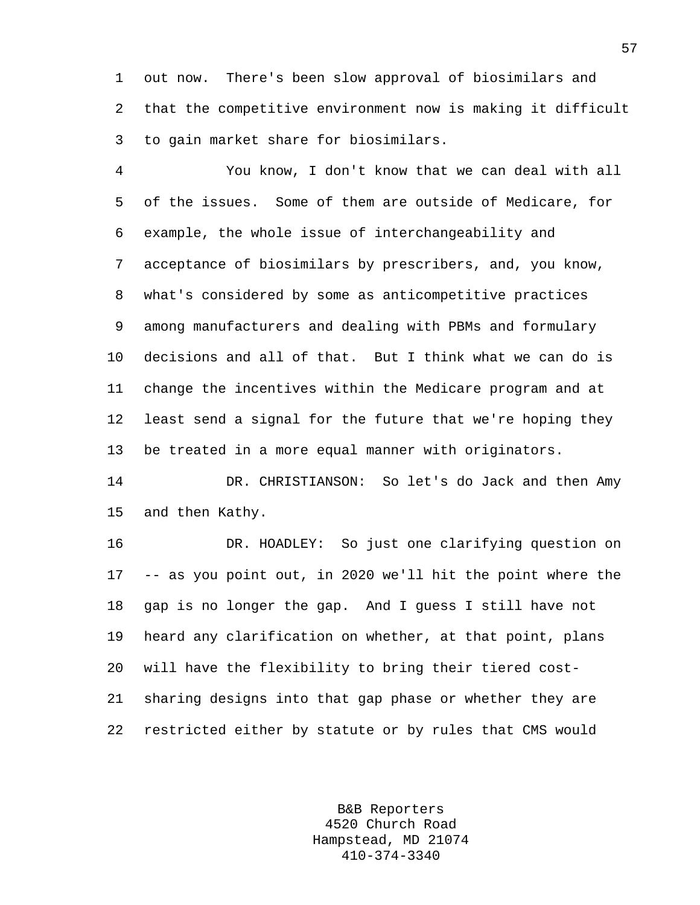1 out now. There's been slow approval of biosimilars and 2 that the competitive environment now is making it difficult 3 to gain market share for biosimilars.

4 You know, I don't know that we can deal with all 5 of the issues. Some of them are outside of Medicare, for 6 example, the whole issue of interchangeability and 7 acceptance of biosimilars by prescribers, and, you know, 8 what's considered by some as anticompetitive practices 9 among manufacturers and dealing with PBMs and formulary 10 decisions and all of that. But I think what we can do is 11 change the incentives within the Medicare program and at 12 least send a signal for the future that we're hoping they 13 be treated in a more equal manner with originators.

14 DR. CHRISTIANSON: So let's do Jack and then Amy 15 and then Kathy.

16 DR. HOADLEY: So just one clarifying question on 17 -- as you point out, in 2020 we'll hit the point where the 18 gap is no longer the gap. And I guess I still have not 19 heard any clarification on whether, at that point, plans 20 will have the flexibility to bring their tiered cost-21 sharing designs into that gap phase or whether they are 22 restricted either by statute or by rules that CMS would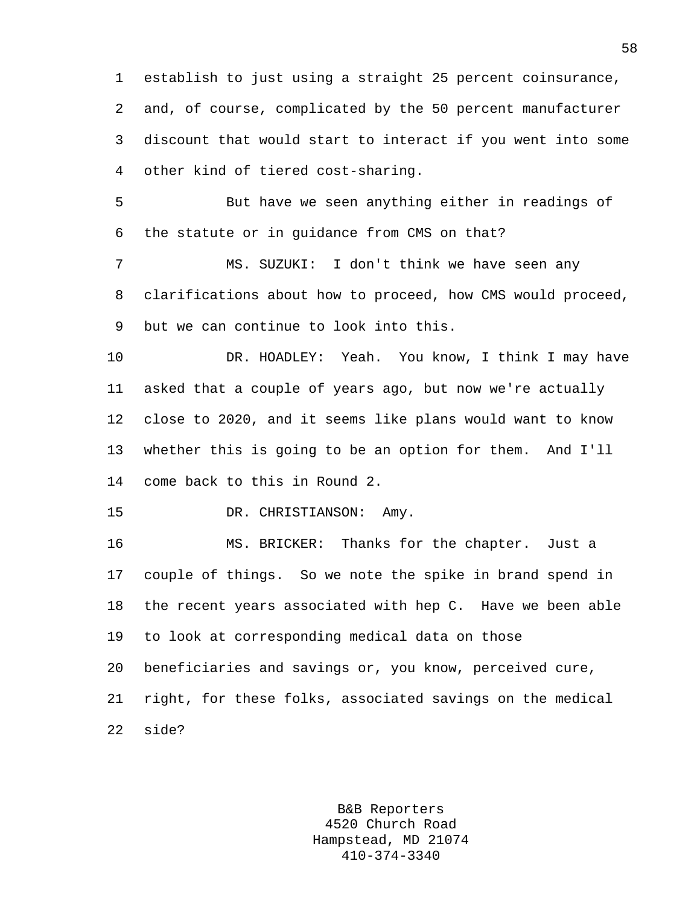1 establish to just using a straight 25 percent coinsurance, 2 and, of course, complicated by the 50 percent manufacturer 3 discount that would start to interact if you went into some 4 other kind of tiered cost-sharing.

5 But have we seen anything either in readings of 6 the statute or in guidance from CMS on that?

7 MS. SUZUKI: I don't think we have seen any 8 clarifications about how to proceed, how CMS would proceed, 9 but we can continue to look into this.

10 DR. HOADLEY: Yeah. You know, I think I may have 11 asked that a couple of years ago, but now we're actually 12 close to 2020, and it seems like plans would want to know 13 whether this is going to be an option for them. And I'll 14 come back to this in Round 2.

15 DR. CHRISTIANSON: Amy.

16 MS. BRICKER: Thanks for the chapter. Just a 17 couple of things. So we note the spike in brand spend in 18 the recent years associated with hep C. Have we been able 19 to look at corresponding medical data on those 20 beneficiaries and savings or, you know, perceived cure, 21 right, for these folks, associated savings on the medical

22 side?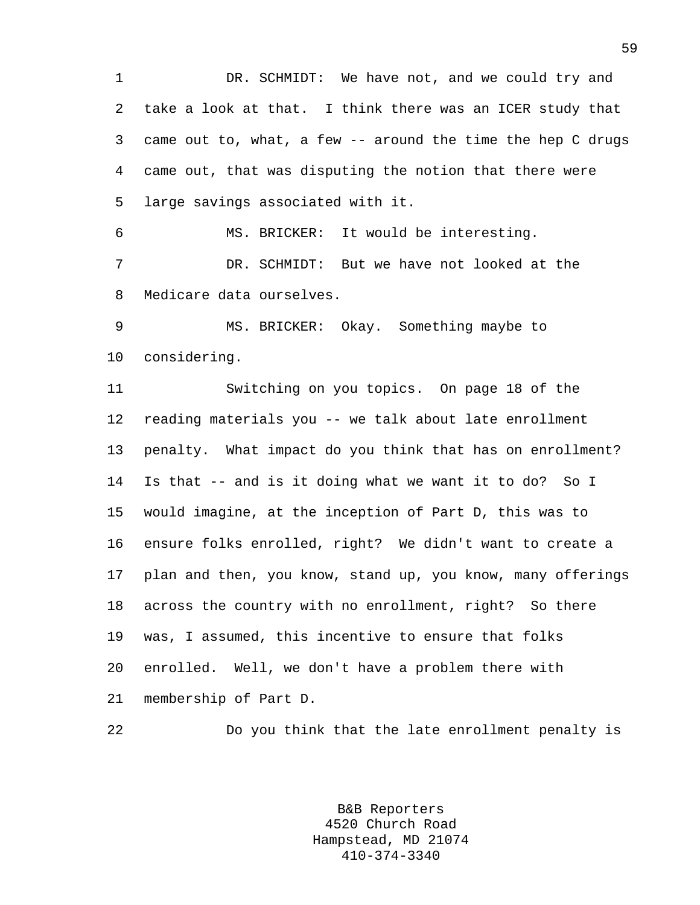1 DR. SCHMIDT: We have not, and we could try and 2 take a look at that. I think there was an ICER study that 3 came out to, what, a few -- around the time the hep C drugs 4 came out, that was disputing the notion that there were 5 large savings associated with it.

6 MS. BRICKER: It would be interesting. 7 DR. SCHMIDT: But we have not looked at the 8 Medicare data ourselves.

9 MS. BRICKER: Okay. Something maybe to 10 considering.

11 Switching on you topics. On page 18 of the 12 reading materials you -- we talk about late enrollment 13 penalty. What impact do you think that has on enrollment? 14 Is that -- and is it doing what we want it to do? So I 15 would imagine, at the inception of Part D, this was to 16 ensure folks enrolled, right? We didn't want to create a 17 plan and then, you know, stand up, you know, many offerings 18 across the country with no enrollment, right? So there 19 was, I assumed, this incentive to ensure that folks 20 enrolled. Well, we don't have a problem there with 21 membership of Part D.

22 Do you think that the late enrollment penalty is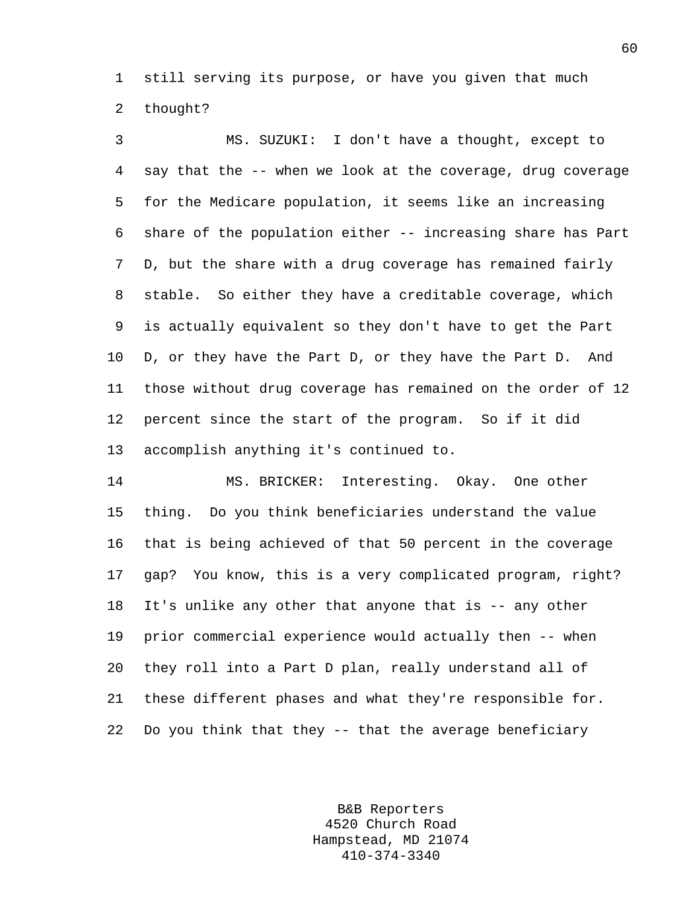1 still serving its purpose, or have you given that much 2 thought?

3 MS. SUZUKI: I don't have a thought, except to 4 say that the -- when we look at the coverage, drug coverage 5 for the Medicare population, it seems like an increasing 6 share of the population either -- increasing share has Part 7 D, but the share with a drug coverage has remained fairly 8 stable. So either they have a creditable coverage, which 9 is actually equivalent so they don't have to get the Part 10 D, or they have the Part D, or they have the Part D. And 11 those without drug coverage has remained on the order of 12 12 percent since the start of the program. So if it did 13 accomplish anything it's continued to.

14 MS. BRICKER: Interesting. Okay. One other 15 thing. Do you think beneficiaries understand the value 16 that is being achieved of that 50 percent in the coverage 17 gap? You know, this is a very complicated program, right? 18 It's unlike any other that anyone that is -- any other 19 prior commercial experience would actually then -- when 20 they roll into a Part D plan, really understand all of 21 these different phases and what they're responsible for. 22 Do you think that they -- that the average beneficiary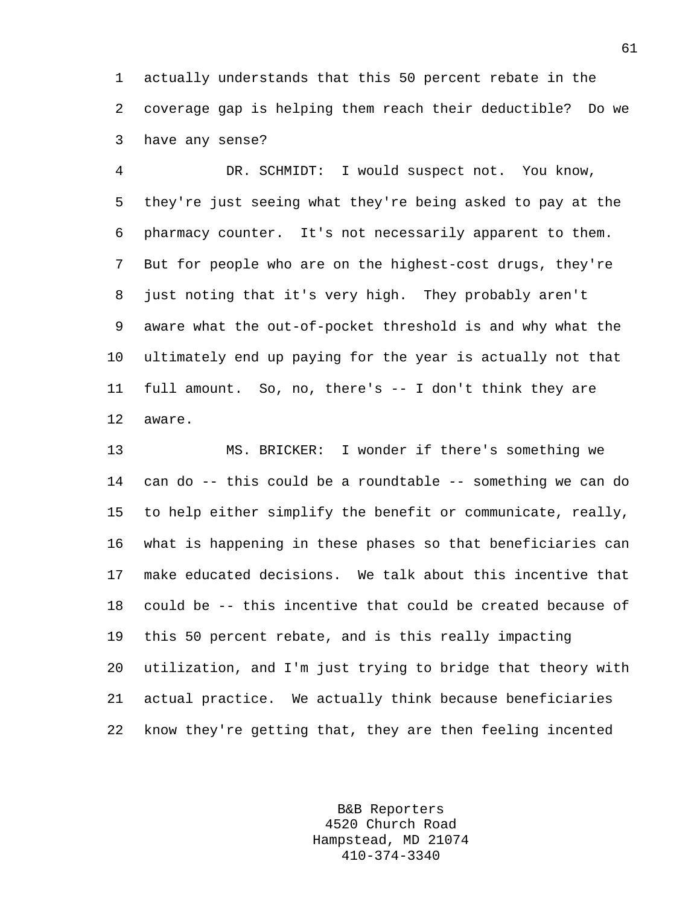1 actually understands that this 50 percent rebate in the 2 coverage gap is helping them reach their deductible? Do we 3 have any sense?

4 DR. SCHMIDT: I would suspect not. You know, 5 they're just seeing what they're being asked to pay at the 6 pharmacy counter. It's not necessarily apparent to them. 7 But for people who are on the highest-cost drugs, they're 8 just noting that it's very high. They probably aren't 9 aware what the out-of-pocket threshold is and why what the 10 ultimately end up paying for the year is actually not that 11 full amount. So, no, there's -- I don't think they are 12 aware.

13 MS. BRICKER: I wonder if there's something we 14 can do -- this could be a roundtable -- something we can do 15 to help either simplify the benefit or communicate, really, 16 what is happening in these phases so that beneficiaries can 17 make educated decisions. We talk about this incentive that 18 could be -- this incentive that could be created because of 19 this 50 percent rebate, and is this really impacting 20 utilization, and I'm just trying to bridge that theory with 21 actual practice. We actually think because beneficiaries 22 know they're getting that, they are then feeling incented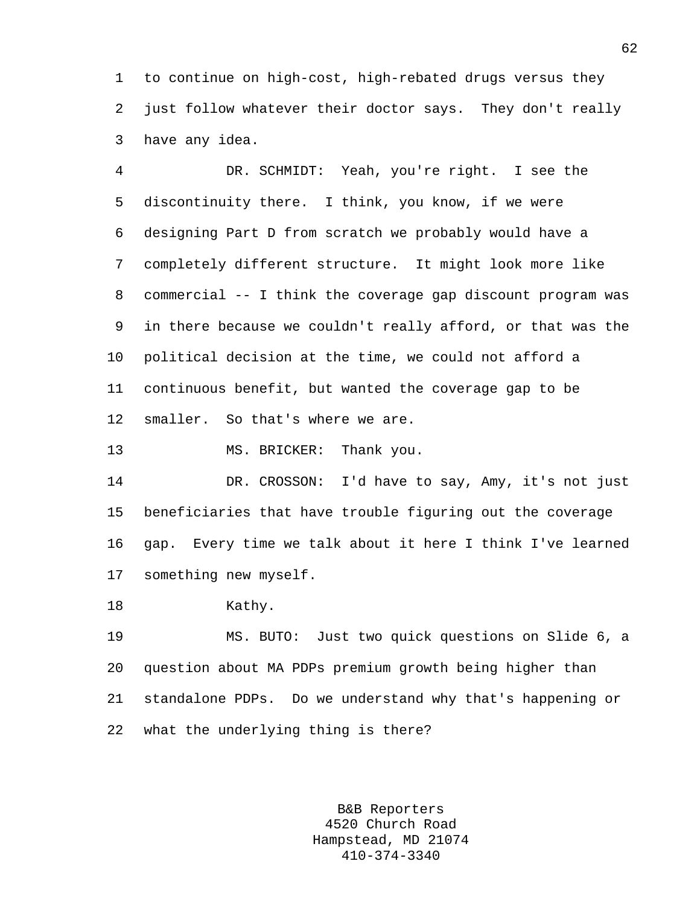1 to continue on high-cost, high-rebated drugs versus they 2 just follow whatever their doctor says. They don't really 3 have any idea.

4 DR. SCHMIDT: Yeah, you're right. I see the 5 discontinuity there. I think, you know, if we were 6 designing Part D from scratch we probably would have a 7 completely different structure. It might look more like 8 commercial -- I think the coverage gap discount program was 9 in there because we couldn't really afford, or that was the 10 political decision at the time, we could not afford a 11 continuous benefit, but wanted the coverage gap to be 12 smaller. So that's where we are.

13 MS. BRICKER: Thank you.

14 DR. CROSSON: I'd have to say, Amy, it's not just 15 beneficiaries that have trouble figuring out the coverage 16 gap. Every time we talk about it here I think I've learned 17 something new myself.

18 Kathy.

19 MS. BUTO: Just two quick questions on Slide 6, a 20 question about MA PDPs premium growth being higher than 21 standalone PDPs. Do we understand why that's happening or 22 what the underlying thing is there?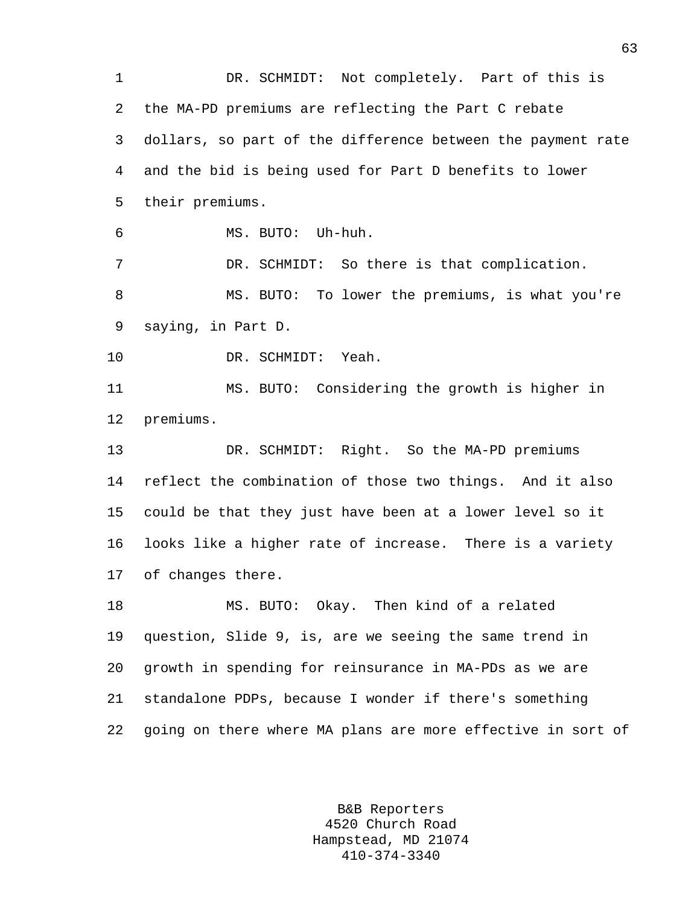1 DR. SCHMIDT: Not completely. Part of this is 2 the MA-PD premiums are reflecting the Part C rebate 3 dollars, so part of the difference between the payment rate 4 and the bid is being used for Part D benefits to lower 5 their premiums. 6 MS. BUTO: Uh-huh. 7 DR. SCHMIDT: So there is that complication. 8 MS. BUTO: To lower the premiums, is what you're 9 saying, in Part D. 10 DR. SCHMIDT: Yeah. 11 MS. BUTO: Considering the growth is higher in 12 premiums. 13 DR. SCHMIDT: Right. So the MA-PD premiums 14 reflect the combination of those two things. And it also 15 could be that they just have been at a lower level so it 16 looks like a higher rate of increase. There is a variety 17 of changes there. 18 MS. BUTO: Okay. Then kind of a related 19 question, Slide 9, is, are we seeing the same trend in 20 growth in spending for reinsurance in MA-PDs as we are 21 standalone PDPs, because I wonder if there's something 22 going on there where MA plans are more effective in sort of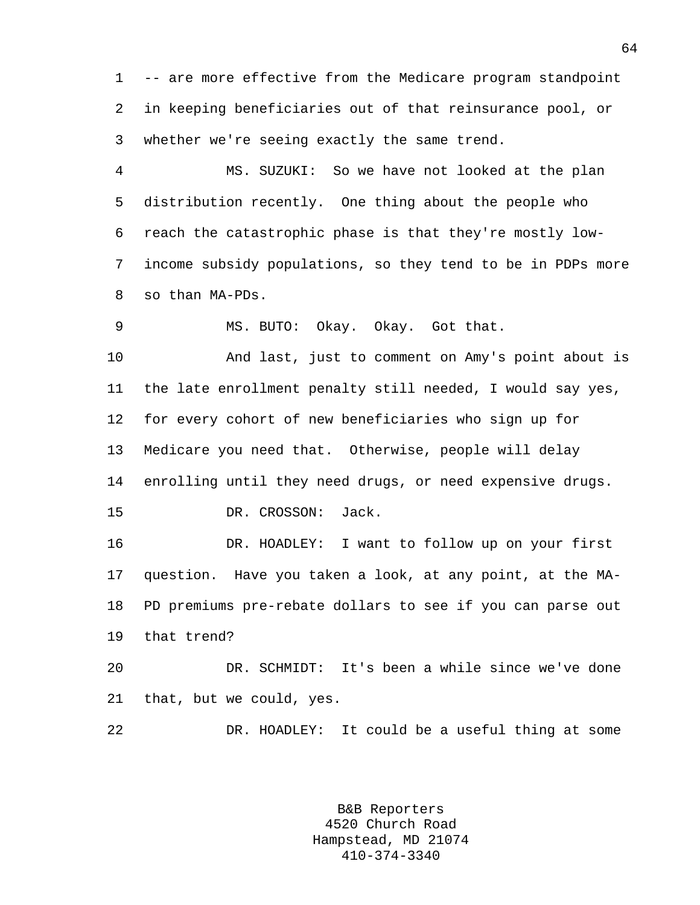1 -- are more effective from the Medicare program standpoint 2 in keeping beneficiaries out of that reinsurance pool, or 3 whether we're seeing exactly the same trend.

4 MS. SUZUKI: So we have not looked at the plan 5 distribution recently. One thing about the people who 6 reach the catastrophic phase is that they're mostly low-7 income subsidy populations, so they tend to be in PDPs more 8 so than MA-PDs.

9 MS. BUTO: Okay. Okay. Got that.

10 And last, just to comment on Amy's point about is 11 the late enrollment penalty still needed, I would say yes, 12 for every cohort of new beneficiaries who sign up for 13 Medicare you need that. Otherwise, people will delay 14 enrolling until they need drugs, or need expensive drugs. 15 DR. CROSSON: Jack.

16 DR. HOADLEY: I want to follow up on your first 17 question. Have you taken a look, at any point, at the MA-18 PD premiums pre-rebate dollars to see if you can parse out 19 that trend?

20 DR. SCHMIDT: It's been a while since we've done 21 that, but we could, yes.

22 DR. HOADLEY: It could be a useful thing at some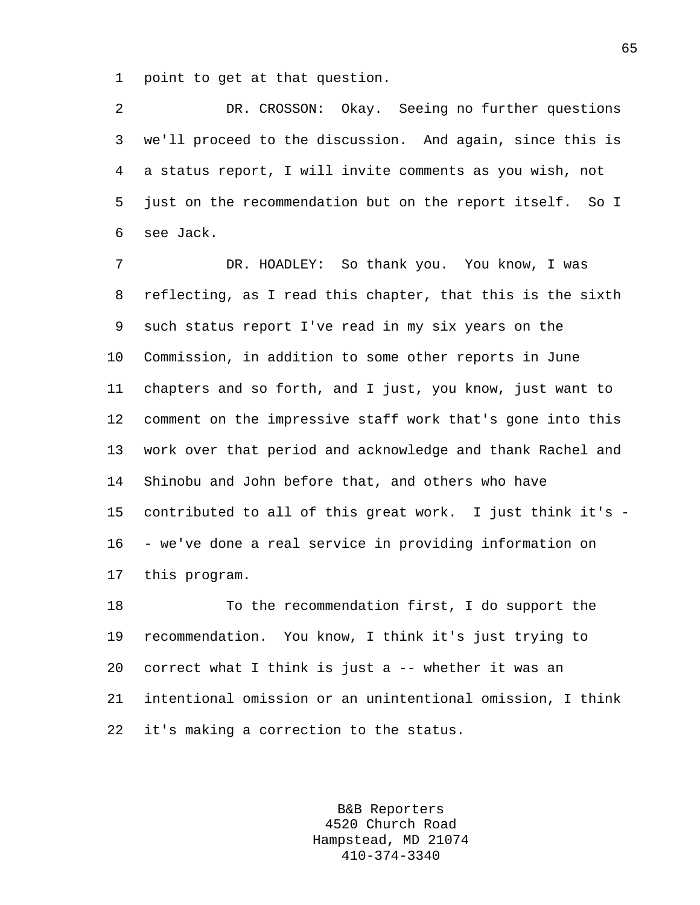1 point to get at that question.

2 DR. CROSSON: Okay. Seeing no further questions 3 we'll proceed to the discussion. And again, since this is 4 a status report, I will invite comments as you wish, not 5 just on the recommendation but on the report itself. So I 6 see Jack.

7 DR. HOADLEY: So thank you. You know, I was 8 reflecting, as I read this chapter, that this is the sixth 9 such status report I've read in my six years on the 10 Commission, in addition to some other reports in June 11 chapters and so forth, and I just, you know, just want to 12 comment on the impressive staff work that's gone into this 13 work over that period and acknowledge and thank Rachel and 14 Shinobu and John before that, and others who have 15 contributed to all of this great work. I just think it's - 16 - we've done a real service in providing information on 17 this program.

18 To the recommendation first, I do support the 19 recommendation. You know, I think it's just trying to 20 correct what I think is just a -- whether it was an 21 intentional omission or an unintentional omission, I think 22 it's making a correction to the status.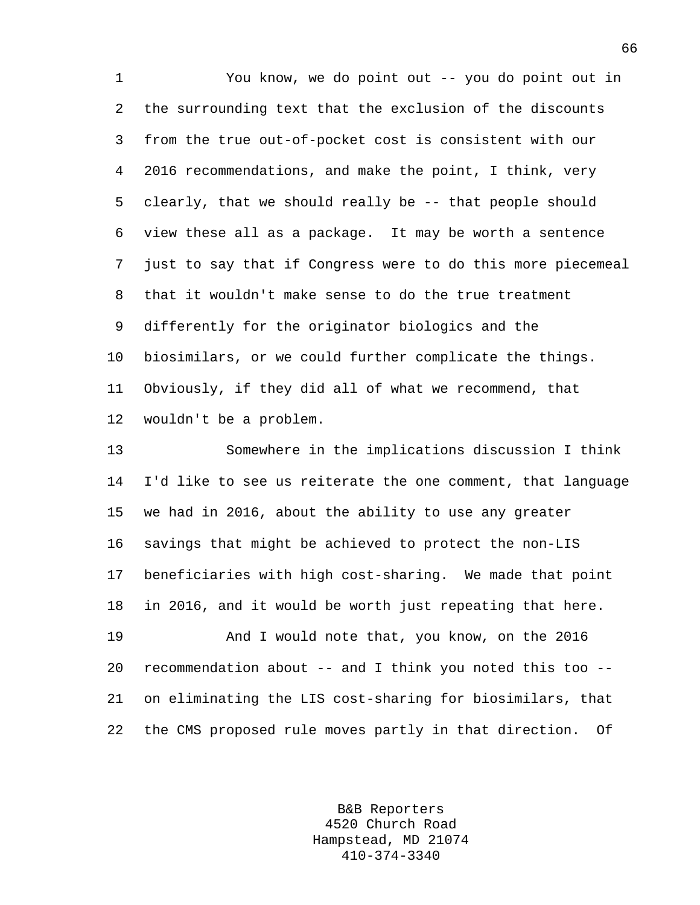1 You know, we do point out -- you do point out in 2 the surrounding text that the exclusion of the discounts 3 from the true out-of-pocket cost is consistent with our 4 2016 recommendations, and make the point, I think, very 5 clearly, that we should really be -- that people should 6 view these all as a package. It may be worth a sentence 7 just to say that if Congress were to do this more piecemeal 8 that it wouldn't make sense to do the true treatment 9 differently for the originator biologics and the 10 biosimilars, or we could further complicate the things. 11 Obviously, if they did all of what we recommend, that 12 wouldn't be a problem.

13 Somewhere in the implications discussion I think 14 I'd like to see us reiterate the one comment, that language 15 we had in 2016, about the ability to use any greater 16 savings that might be achieved to protect the non-LIS 17 beneficiaries with high cost-sharing. We made that point 18 in 2016, and it would be worth just repeating that here.

19 And I would note that, you know, on the 2016 20 recommendation about -- and I think you noted this too -- 21 on eliminating the LIS cost-sharing for biosimilars, that 22 the CMS proposed rule moves partly in that direction. Of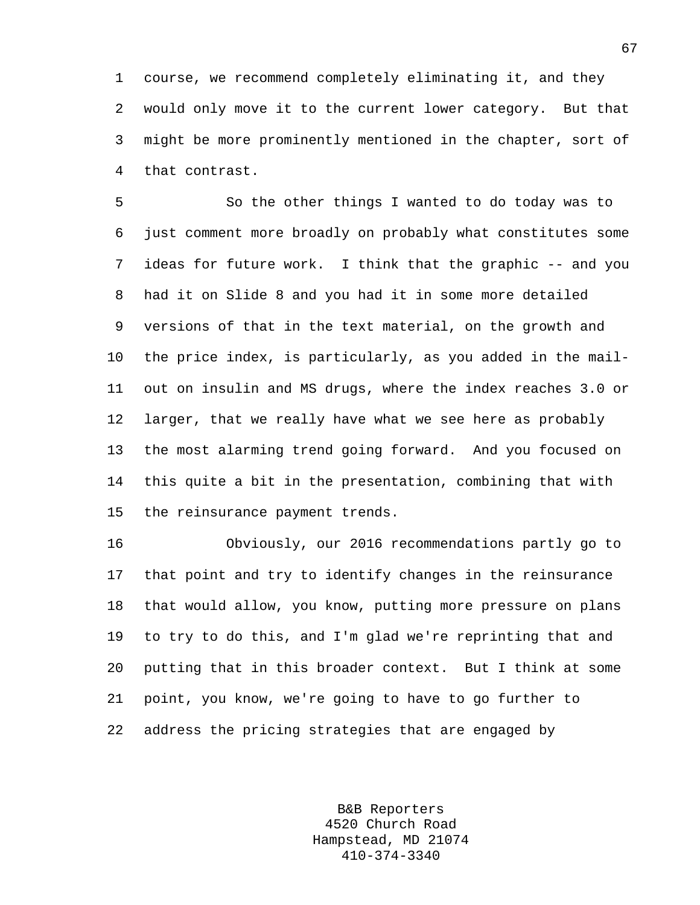1 course, we recommend completely eliminating it, and they 2 would only move it to the current lower category. But that 3 might be more prominently mentioned in the chapter, sort of 4 that contrast.

5 So the other things I wanted to do today was to 6 just comment more broadly on probably what constitutes some 7 ideas for future work. I think that the graphic -- and you 8 had it on Slide 8 and you had it in some more detailed 9 versions of that in the text material, on the growth and 10 the price index, is particularly, as you added in the mail-11 out on insulin and MS drugs, where the index reaches 3.0 or 12 larger, that we really have what we see here as probably 13 the most alarming trend going forward. And you focused on 14 this quite a bit in the presentation, combining that with 15 the reinsurance payment trends.

16 Obviously, our 2016 recommendations partly go to 17 that point and try to identify changes in the reinsurance 18 that would allow, you know, putting more pressure on plans 19 to try to do this, and I'm glad we're reprinting that and 20 putting that in this broader context. But I think at some 21 point, you know, we're going to have to go further to 22 address the pricing strategies that are engaged by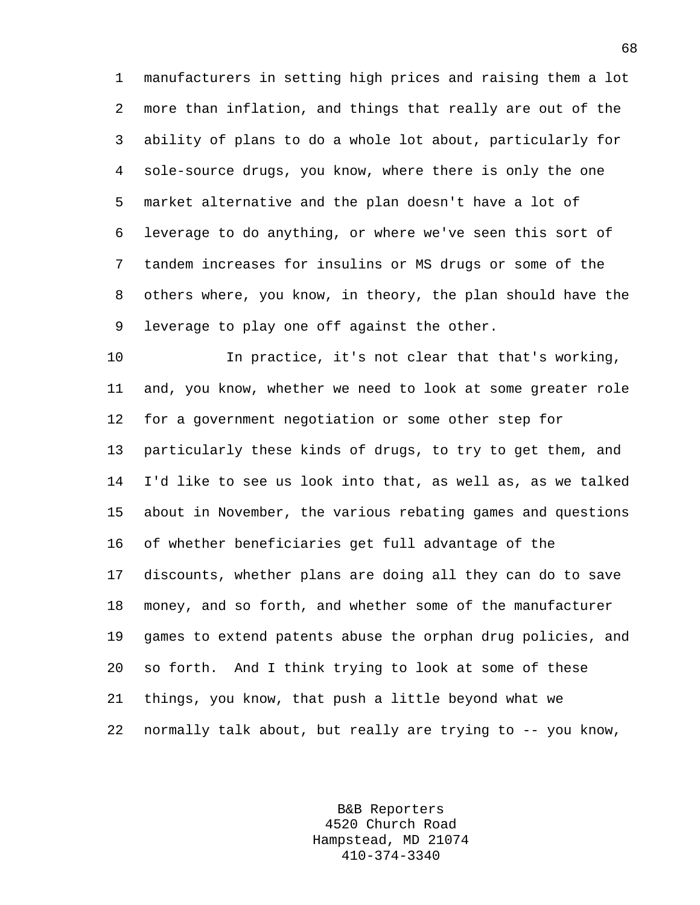1 manufacturers in setting high prices and raising them a lot 2 more than inflation, and things that really are out of the 3 ability of plans to do a whole lot about, particularly for 4 sole-source drugs, you know, where there is only the one 5 market alternative and the plan doesn't have a lot of 6 leverage to do anything, or where we've seen this sort of 7 tandem increases for insulins or MS drugs or some of the 8 others where, you know, in theory, the plan should have the 9 leverage to play one off against the other.

10 In practice, it's not clear that that's working, 11 and, you know, whether we need to look at some greater role 12 for a government negotiation or some other step for 13 particularly these kinds of drugs, to try to get them, and 14 I'd like to see us look into that, as well as, as we talked 15 about in November, the various rebating games and questions 16 of whether beneficiaries get full advantage of the 17 discounts, whether plans are doing all they can do to save 18 money, and so forth, and whether some of the manufacturer 19 games to extend patents abuse the orphan drug policies, and 20 so forth. And I think trying to look at some of these 21 things, you know, that push a little beyond what we 22 normally talk about, but really are trying to -- you know,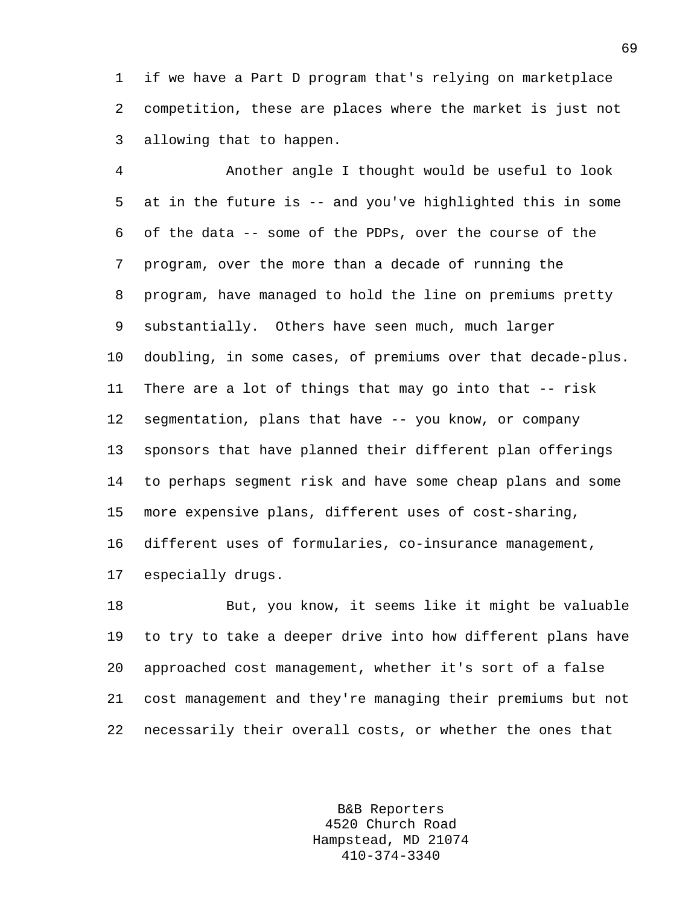1 if we have a Part D program that's relying on marketplace 2 competition, these are places where the market is just not 3 allowing that to happen.

4 Another angle I thought would be useful to look 5 at in the future is -- and you've highlighted this in some 6 of the data -- some of the PDPs, over the course of the 7 program, over the more than a decade of running the 8 program, have managed to hold the line on premiums pretty 9 substantially. Others have seen much, much larger 10 doubling, in some cases, of premiums over that decade-plus. 11 There are a lot of things that may go into that -- risk 12 segmentation, plans that have -- you know, or company 13 sponsors that have planned their different plan offerings 14 to perhaps segment risk and have some cheap plans and some 15 more expensive plans, different uses of cost-sharing, 16 different uses of formularies, co-insurance management, 17 especially drugs.

18 But, you know, it seems like it might be valuable 19 to try to take a deeper drive into how different plans have 20 approached cost management, whether it's sort of a false 21 cost management and they're managing their premiums but not 22 necessarily their overall costs, or whether the ones that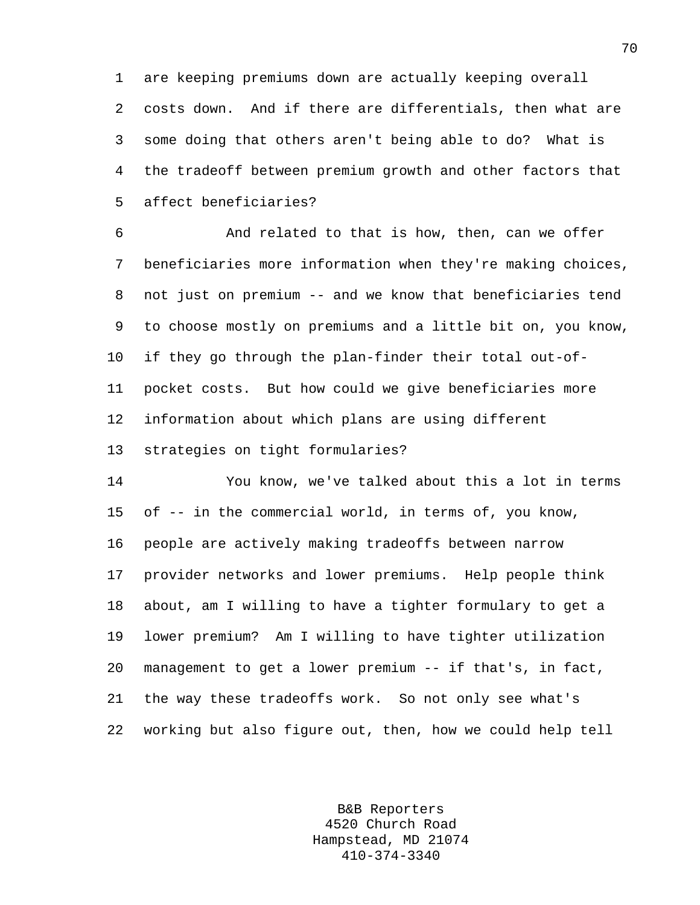1 are keeping premiums down are actually keeping overall 2 costs down. And if there are differentials, then what are 3 some doing that others aren't being able to do? What is 4 the tradeoff between premium growth and other factors that 5 affect beneficiaries?

6 And related to that is how, then, can we offer 7 beneficiaries more information when they're making choices, 8 not just on premium -- and we know that beneficiaries tend 9 to choose mostly on premiums and a little bit on, you know, 10 if they go through the plan-finder their total out-of-11 pocket costs. But how could we give beneficiaries more 12 information about which plans are using different 13 strategies on tight formularies?

14 You know, we've talked about this a lot in terms 15 of -- in the commercial world, in terms of, you know, 16 people are actively making tradeoffs between narrow 17 provider networks and lower premiums. Help people think 18 about, am I willing to have a tighter formulary to get a 19 lower premium? Am I willing to have tighter utilization 20 management to get a lower premium -- if that's, in fact, 21 the way these tradeoffs work. So not only see what's 22 working but also figure out, then, how we could help tell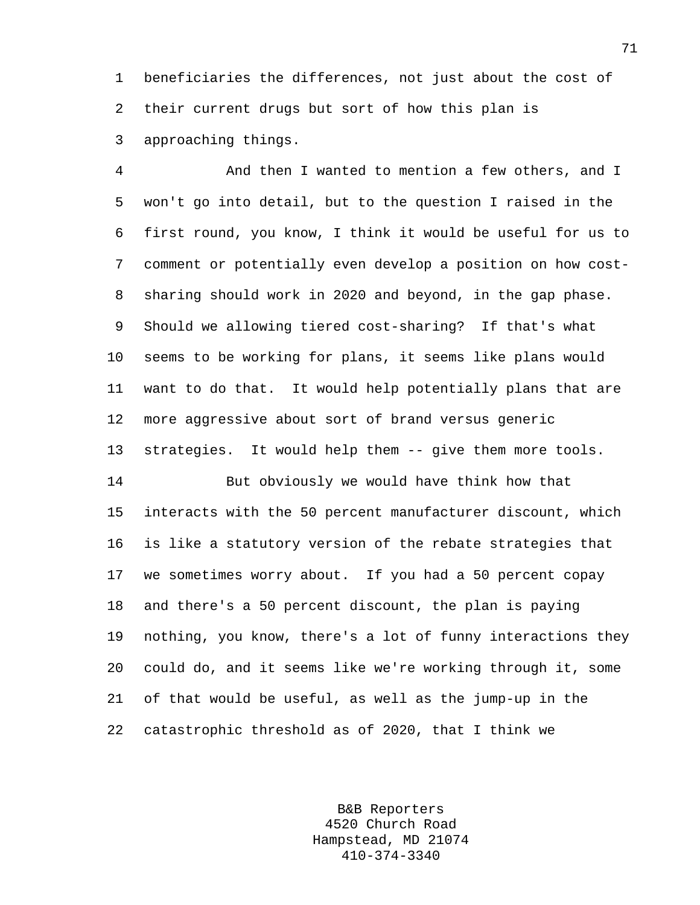1 beneficiaries the differences, not just about the cost of 2 their current drugs but sort of how this plan is 3 approaching things.

4 And then I wanted to mention a few others, and I 5 won't go into detail, but to the question I raised in the 6 first round, you know, I think it would be useful for us to 7 comment or potentially even develop a position on how cost-8 sharing should work in 2020 and beyond, in the gap phase. 9 Should we allowing tiered cost-sharing? If that's what 10 seems to be working for plans, it seems like plans would 11 want to do that. It would help potentially plans that are 12 more aggressive about sort of brand versus generic 13 strategies. It would help them -- give them more tools. 14 But obviously we would have think how that 15 interacts with the 50 percent manufacturer discount, which 16 is like a statutory version of the rebate strategies that 17 we sometimes worry about. If you had a 50 percent copay 18 and there's a 50 percent discount, the plan is paying 19 nothing, you know, there's a lot of funny interactions they 20 could do, and it seems like we're working through it, some 21 of that would be useful, as well as the jump-up in the 22 catastrophic threshold as of 2020, that I think we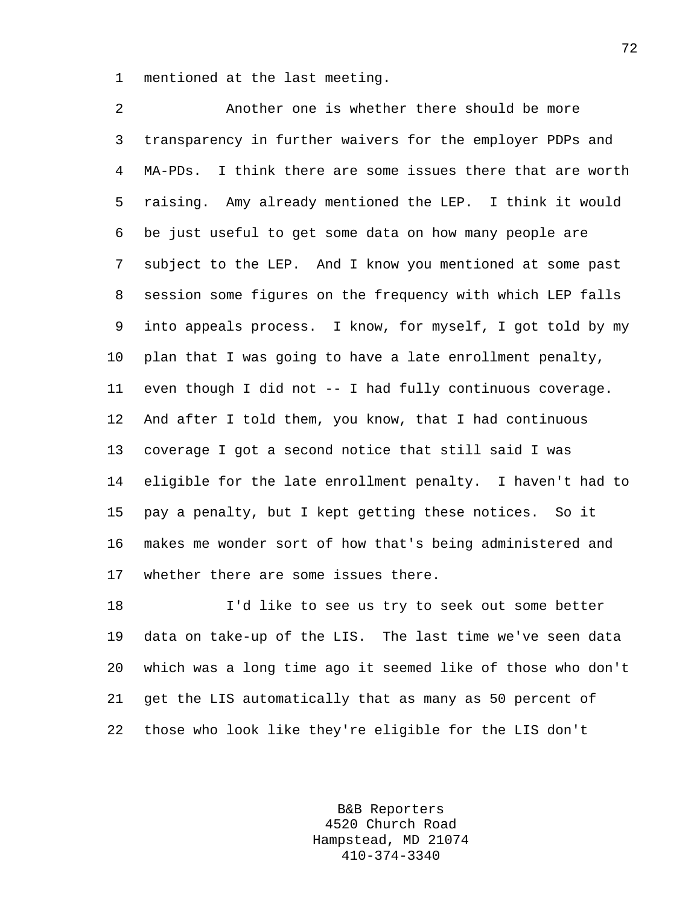1 mentioned at the last meeting.

2 Another one is whether there should be more 3 transparency in further waivers for the employer PDPs and 4 MA-PDs. I think there are some issues there that are worth 5 raising. Amy already mentioned the LEP. I think it would 6 be just useful to get some data on how many people are 7 subject to the LEP. And I know you mentioned at some past 8 session some figures on the frequency with which LEP falls 9 into appeals process. I know, for myself, I got told by my 10 plan that I was going to have a late enrollment penalty, 11 even though I did not -- I had fully continuous coverage. 12 And after I told them, you know, that I had continuous 13 coverage I got a second notice that still said I was 14 eligible for the late enrollment penalty. I haven't had to 15 pay a penalty, but I kept getting these notices. So it 16 makes me wonder sort of how that's being administered and 17 whether there are some issues there.

18 I'd like to see us try to seek out some better 19 data on take-up of the LIS. The last time we've seen data 20 which was a long time ago it seemed like of those who don't 21 get the LIS automatically that as many as 50 percent of 22 those who look like they're eligible for the LIS don't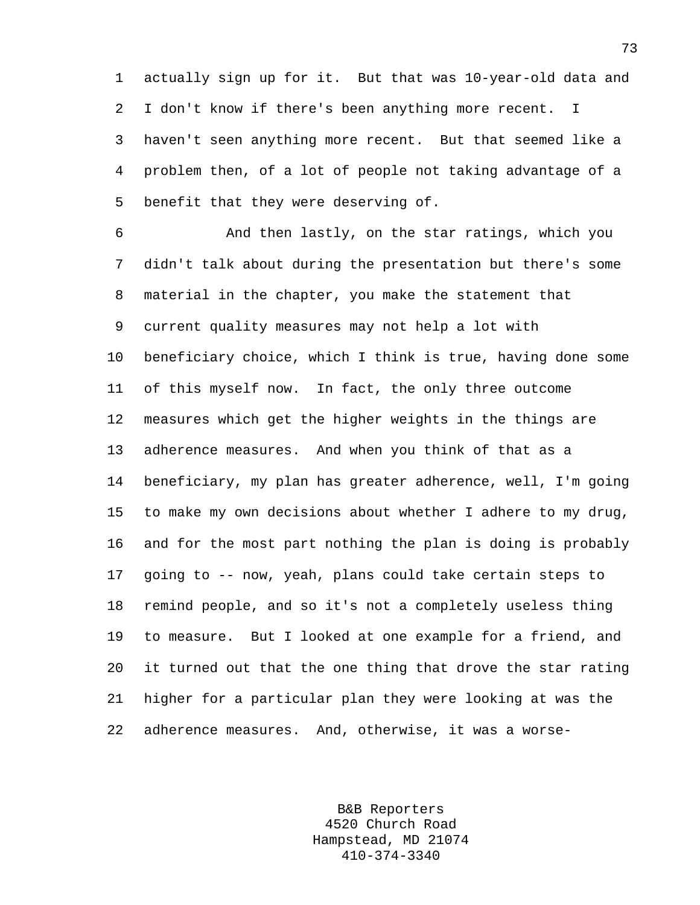1 actually sign up for it. But that was 10-year-old data and 2 I don't know if there's been anything more recent. I 3 haven't seen anything more recent. But that seemed like a 4 problem then, of a lot of people not taking advantage of a 5 benefit that they were deserving of.

6 And then lastly, on the star ratings, which you 7 didn't talk about during the presentation but there's some 8 material in the chapter, you make the statement that 9 current quality measures may not help a lot with 10 beneficiary choice, which I think is true, having done some 11 of this myself now. In fact, the only three outcome 12 measures which get the higher weights in the things are 13 adherence measures. And when you think of that as a 14 beneficiary, my plan has greater adherence, well, I'm going 15 to make my own decisions about whether I adhere to my drug, 16 and for the most part nothing the plan is doing is probably 17 going to -- now, yeah, plans could take certain steps to 18 remind people, and so it's not a completely useless thing 19 to measure. But I looked at one example for a friend, and 20 it turned out that the one thing that drove the star rating 21 higher for a particular plan they were looking at was the 22 adherence measures. And, otherwise, it was a worse-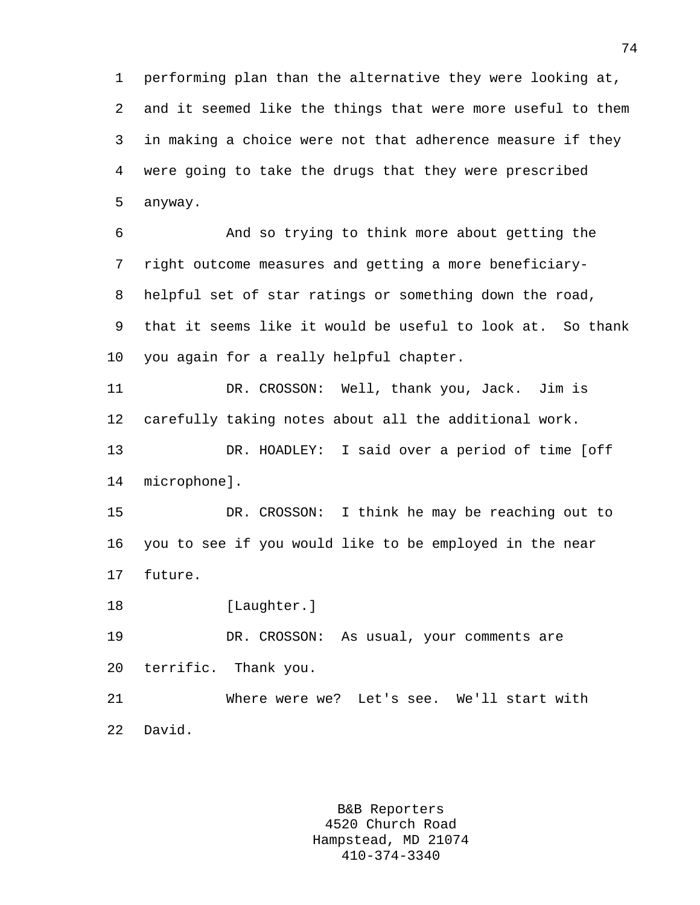1 performing plan than the alternative they were looking at, 2 and it seemed like the things that were more useful to them 3 in making a choice were not that adherence measure if they 4 were going to take the drugs that they were prescribed 5 anyway.

6 And so trying to think more about getting the 7 right outcome measures and getting a more beneficiary-8 helpful set of star ratings or something down the road, 9 that it seems like it would be useful to look at. So thank 10 you again for a really helpful chapter.

11 DR. CROSSON: Well, thank you, Jack. Jim is 12 carefully taking notes about all the additional work.

13 DR. HOADLEY: I said over a period of time [off 14 microphone].

15 DR. CROSSON: I think he may be reaching out to 16 you to see if you would like to be employed in the near 17 future.

18 [Laughter.]

19 DR. CROSSON: As usual, your comments are 20 terrific. Thank you.

21 Where were we? Let's see. We'll start with 22 David.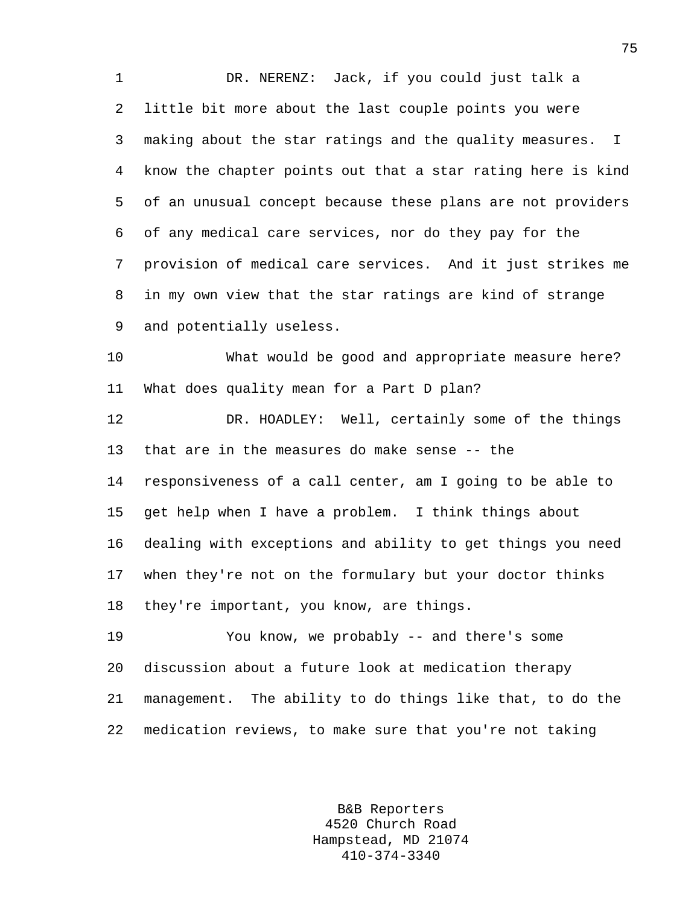1 DR. NERENZ: Jack, if you could just talk a 2 little bit more about the last couple points you were 3 making about the star ratings and the quality measures. I 4 know the chapter points out that a star rating here is kind 5 of an unusual concept because these plans are not providers 6 of any medical care services, nor do they pay for the 7 provision of medical care services. And it just strikes me 8 in my own view that the star ratings are kind of strange 9 and potentially useless.

10 What would be good and appropriate measure here? 11 What does quality mean for a Part D plan?

12 DR. HOADLEY: Well, certainly some of the things 13 that are in the measures do make sense -- the 14 responsiveness of a call center, am I going to be able to 15 get help when I have a problem. I think things about 16 dealing with exceptions and ability to get things you need 17 when they're not on the formulary but your doctor thinks 18 they're important, you know, are things.

19 You know, we probably -- and there's some 20 discussion about a future look at medication therapy 21 management. The ability to do things like that, to do the 22 medication reviews, to make sure that you're not taking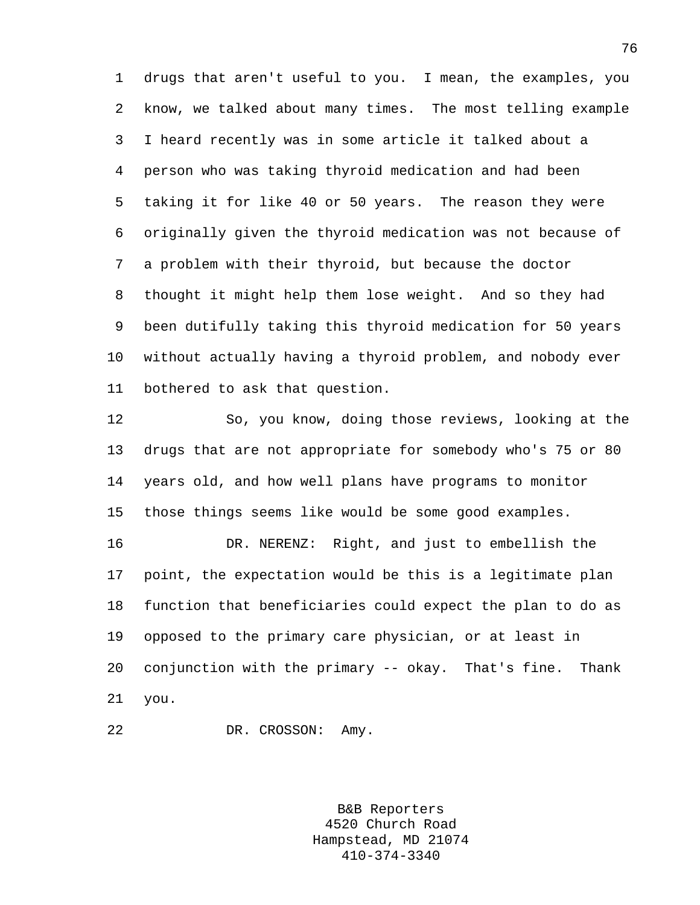1 drugs that aren't useful to you. I mean, the examples, you 2 know, we talked about many times. The most telling example 3 I heard recently was in some article it talked about a 4 person who was taking thyroid medication and had been 5 taking it for like 40 or 50 years. The reason they were 6 originally given the thyroid medication was not because of 7 a problem with their thyroid, but because the doctor 8 thought it might help them lose weight. And so they had 9 been dutifully taking this thyroid medication for 50 years 10 without actually having a thyroid problem, and nobody ever 11 bothered to ask that question.

12 So, you know, doing those reviews, looking at the 13 drugs that are not appropriate for somebody who's 75 or 80 14 years old, and how well plans have programs to monitor 15 those things seems like would be some good examples.

16 DR. NERENZ: Right, and just to embellish the 17 point, the expectation would be this is a legitimate plan 18 function that beneficiaries could expect the plan to do as 19 opposed to the primary care physician, or at least in 20 conjunction with the primary -- okay. That's fine. Thank 21 you.

22 DR. CROSSON: Amy.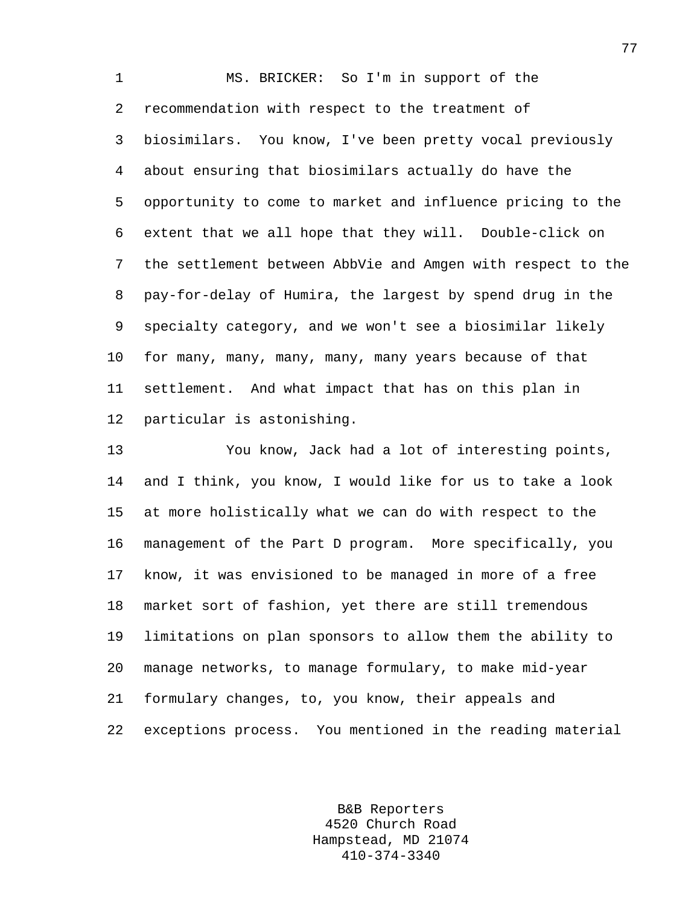1 MS. BRICKER: So I'm in support of the 2 recommendation with respect to the treatment of 3 biosimilars. You know, I've been pretty vocal previously 4 about ensuring that biosimilars actually do have the 5 opportunity to come to market and influence pricing to the 6 extent that we all hope that they will. Double-click on 7 the settlement between AbbVie and Amgen with respect to the 8 pay-for-delay of Humira, the largest by spend drug in the 9 specialty category, and we won't see a biosimilar likely 10 for many, many, many, many, many years because of that 11 settlement. And what impact that has on this plan in 12 particular is astonishing.

13 You know, Jack had a lot of interesting points, 14 and I think, you know, I would like for us to take a look 15 at more holistically what we can do with respect to the 16 management of the Part D program. More specifically, you 17 know, it was envisioned to be managed in more of a free 18 market sort of fashion, yet there are still tremendous 19 limitations on plan sponsors to allow them the ability to 20 manage networks, to manage formulary, to make mid-year 21 formulary changes, to, you know, their appeals and 22 exceptions process. You mentioned in the reading material

> B&B Reporters 4520 Church Road Hampstead, MD 21074 410-374-3340

77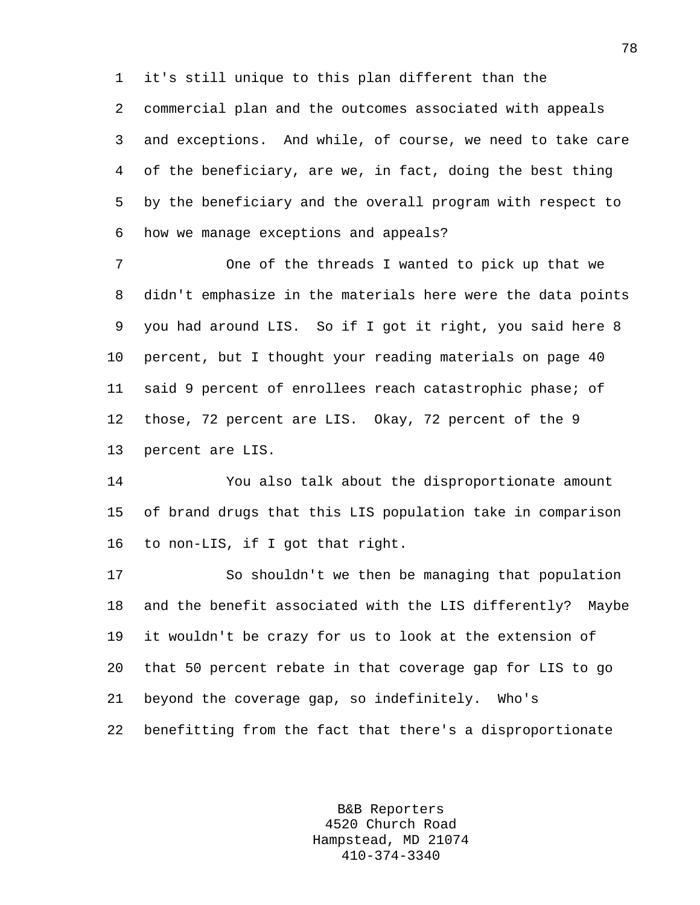1 it's still unique to this plan different than the

2 commercial plan and the outcomes associated with appeals 3 and exceptions. And while, of course, we need to take care 4 of the beneficiary, are we, in fact, doing the best thing 5 by the beneficiary and the overall program with respect to 6 how we manage exceptions and appeals?

7 One of the threads I wanted to pick up that we 8 didn't emphasize in the materials here were the data points 9 you had around LIS. So if I got it right, you said here 8 10 percent, but I thought your reading materials on page 40 11 said 9 percent of enrollees reach catastrophic phase; of 12 those, 72 percent are LIS. Okay, 72 percent of the 9 13 percent are LIS.

14 You also talk about the disproportionate amount 15 of brand drugs that this LIS population take in comparison 16 to non-LIS, if I got that right.

17 So shouldn't we then be managing that population 18 and the benefit associated with the LIS differently? Maybe 19 it wouldn't be crazy for us to look at the extension of 20 that 50 percent rebate in that coverage gap for LIS to go 21 beyond the coverage gap, so indefinitely. Who's 22 benefitting from the fact that there's a disproportionate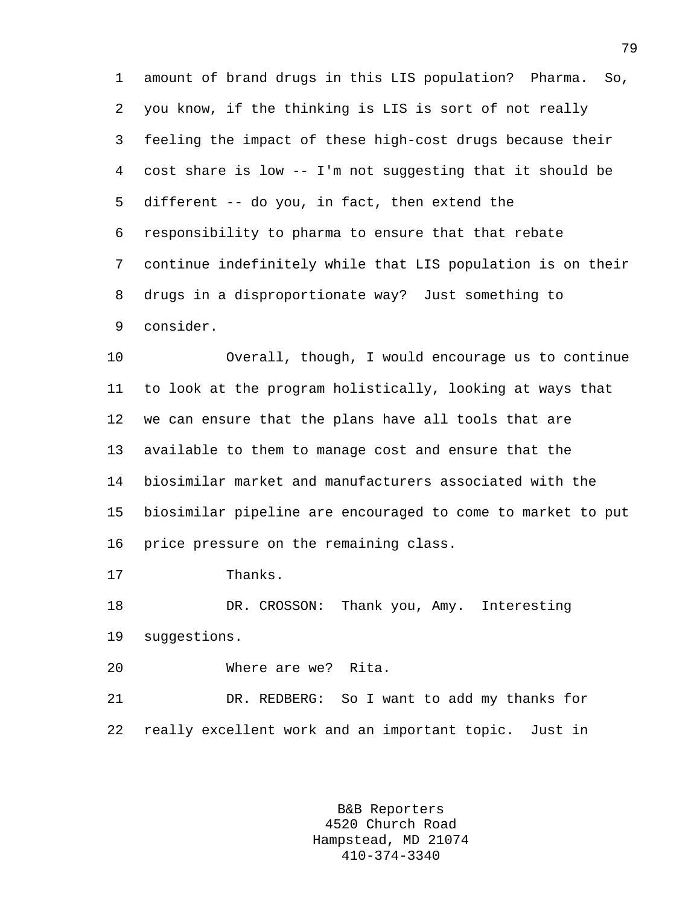1 amount of brand drugs in this LIS population? Pharma. So, 2 you know, if the thinking is LIS is sort of not really 3 feeling the impact of these high-cost drugs because their 4 cost share is low -- I'm not suggesting that it should be 5 different -- do you, in fact, then extend the 6 responsibility to pharma to ensure that that rebate 7 continue indefinitely while that LIS population is on their 8 drugs in a disproportionate way? Just something to 9 consider.

10 Overall, though, I would encourage us to continue 11 to look at the program holistically, looking at ways that 12 we can ensure that the plans have all tools that are 13 available to them to manage cost and ensure that the 14 biosimilar market and manufacturers associated with the 15 biosimilar pipeline are encouraged to come to market to put 16 price pressure on the remaining class.

17 Thanks.

18 DR. CROSSON: Thank you, Amy. Interesting 19 suggestions.

20 Where are we? Rita.

21 DR. REDBERG: So I want to add my thanks for 22 really excellent work and an important topic. Just in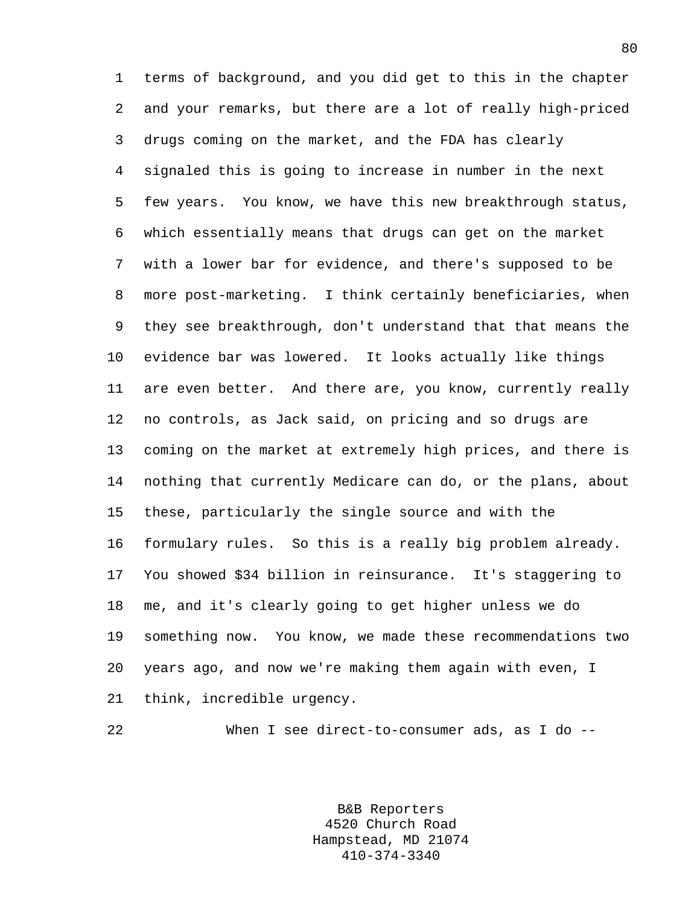1 terms of background, and you did get to this in the chapter 2 and your remarks, but there are a lot of really high-priced 3 drugs coming on the market, and the FDA has clearly 4 signaled this is going to increase in number in the next 5 few years. You know, we have this new breakthrough status, 6 which essentially means that drugs can get on the market 7 with a lower bar for evidence, and there's supposed to be 8 more post-marketing. I think certainly beneficiaries, when 9 they see breakthrough, don't understand that that means the 10 evidence bar was lowered. It looks actually like things 11 are even better. And there are, you know, currently really 12 no controls, as Jack said, on pricing and so drugs are 13 coming on the market at extremely high prices, and there is 14 nothing that currently Medicare can do, or the plans, about 15 these, particularly the single source and with the 16 formulary rules. So this is a really big problem already. 17 You showed \$34 billion in reinsurance. It's staggering to 18 me, and it's clearly going to get higher unless we do 19 something now. You know, we made these recommendations two 20 years ago, and now we're making them again with even, I 21 think, incredible urgency.

22 When I see direct-to-consumer ads, as I do --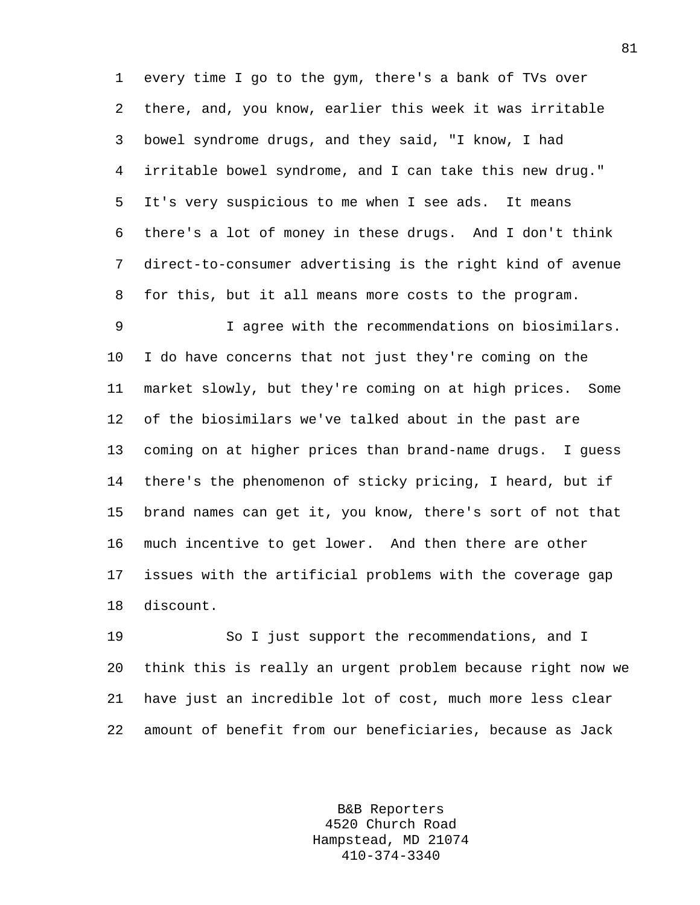1 every time I go to the gym, there's a bank of TVs over 2 there, and, you know, earlier this week it was irritable 3 bowel syndrome drugs, and they said, "I know, I had 4 irritable bowel syndrome, and I can take this new drug." 5 It's very suspicious to me when I see ads. It means 6 there's a lot of money in these drugs. And I don't think 7 direct-to-consumer advertising is the right kind of avenue 8 for this, but it all means more costs to the program.

9 I agree with the recommendations on biosimilars. 10 I do have concerns that not just they're coming on the 11 market slowly, but they're coming on at high prices. Some 12 of the biosimilars we've talked about in the past are 13 coming on at higher prices than brand-name drugs. I guess 14 there's the phenomenon of sticky pricing, I heard, but if 15 brand names can get it, you know, there's sort of not that 16 much incentive to get lower. And then there are other 17 issues with the artificial problems with the coverage gap 18 discount.

19 So I just support the recommendations, and I 20 think this is really an urgent problem because right now we 21 have just an incredible lot of cost, much more less clear 22 amount of benefit from our beneficiaries, because as Jack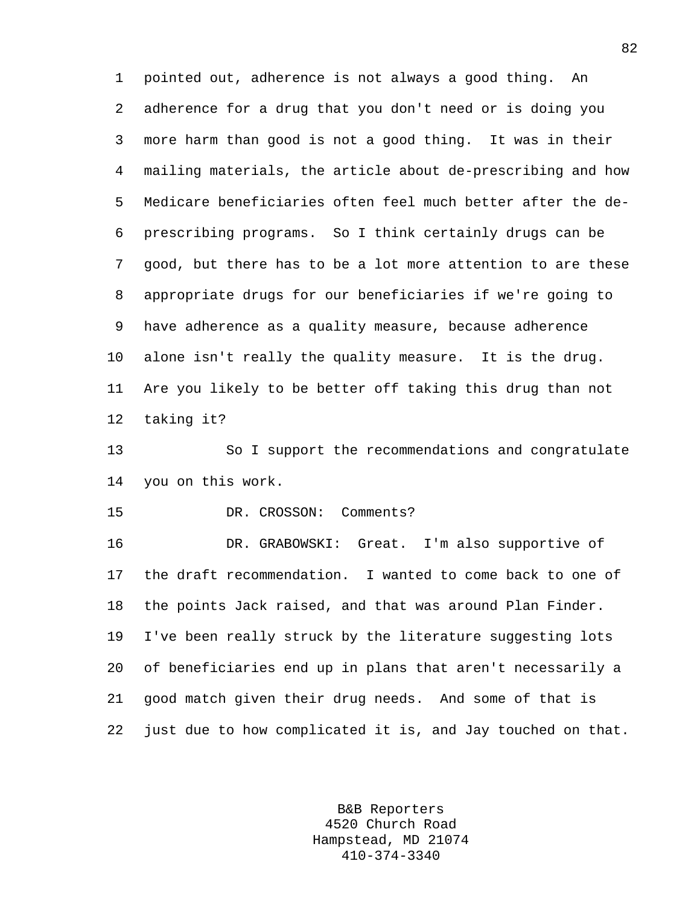1 pointed out, adherence is not always a good thing. An 2 adherence for a drug that you don't need or is doing you 3 more harm than good is not a good thing. It was in their 4 mailing materials, the article about de-prescribing and how 5 Medicare beneficiaries often feel much better after the de-6 prescribing programs. So I think certainly drugs can be 7 good, but there has to be a lot more attention to are these 8 appropriate drugs for our beneficiaries if we're going to 9 have adherence as a quality measure, because adherence 10 alone isn't really the quality measure. It is the drug. 11 Are you likely to be better off taking this drug than not 12 taking it?

13 So I support the recommendations and congratulate 14 you on this work.

15 DR. CROSSON: Comments?

16 DR. GRABOWSKI: Great. I'm also supportive of 17 the draft recommendation. I wanted to come back to one of 18 the points Jack raised, and that was around Plan Finder. 19 I've been really struck by the literature suggesting lots 20 of beneficiaries end up in plans that aren't necessarily a 21 good match given their drug needs. And some of that is 22 just due to how complicated it is, and Jay touched on that.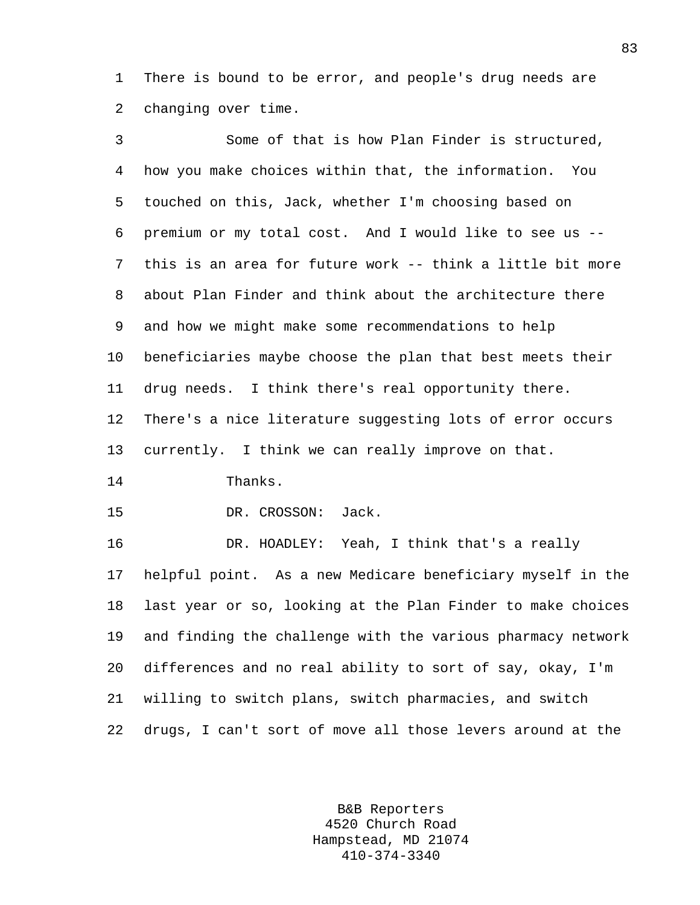1 There is bound to be error, and people's drug needs are 2 changing over time.

3 Some of that is how Plan Finder is structured, 4 how you make choices within that, the information. You 5 touched on this, Jack, whether I'm choosing based on 6 premium or my total cost. And I would like to see us -- 7 this is an area for future work -- think a little bit more 8 about Plan Finder and think about the architecture there 9 and how we might make some recommendations to help 10 beneficiaries maybe choose the plan that best meets their 11 drug needs. I think there's real opportunity there. 12 There's a nice literature suggesting lots of error occurs 13 currently. I think we can really improve on that. 14 Thanks. 15 DR. CROSSON: Jack. 16 DR. HOADLEY: Yeah, I think that's a really 17 helpful point. As a new Medicare beneficiary myself in the 18 last year or so, looking at the Plan Finder to make choices 19 and finding the challenge with the various pharmacy network 20 differences and no real ability to sort of say, okay, I'm 21 willing to switch plans, switch pharmacies, and switch 22 drugs, I can't sort of move all those levers around at the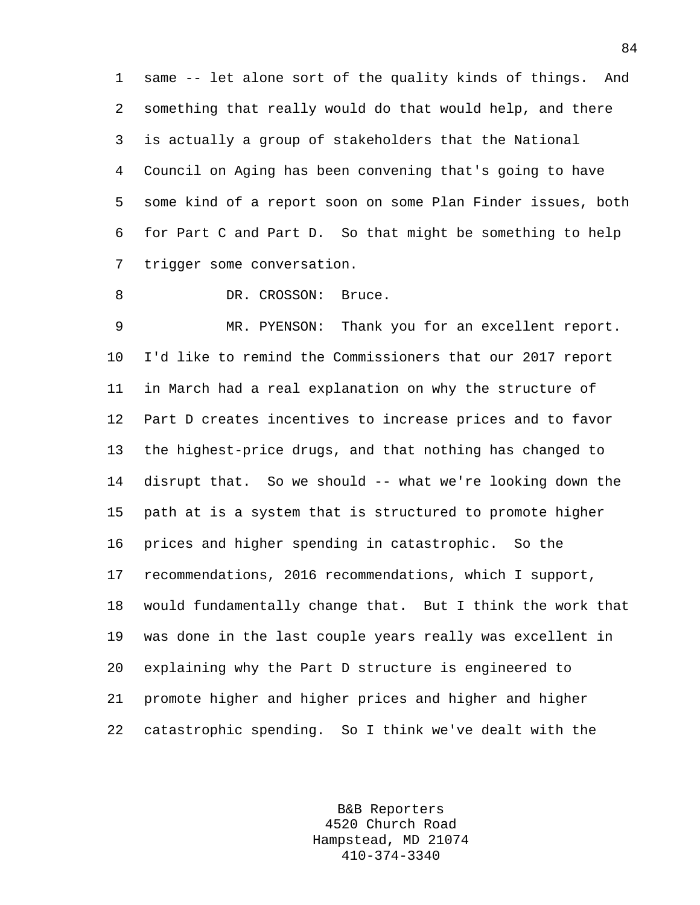1 same -- let alone sort of the quality kinds of things. And 2 something that really would do that would help, and there 3 is actually a group of stakeholders that the National 4 Council on Aging has been convening that's going to have 5 some kind of a report soon on some Plan Finder issues, both 6 for Part C and Part D. So that might be something to help 7 trigger some conversation.

8 DR. CROSSON: Bruce.

9 MR. PYENSON: Thank you for an excellent report. 10 I'd like to remind the Commissioners that our 2017 report 11 in March had a real explanation on why the structure of 12 Part D creates incentives to increase prices and to favor 13 the highest-price drugs, and that nothing has changed to 14 disrupt that. So we should -- what we're looking down the 15 path at is a system that is structured to promote higher 16 prices and higher spending in catastrophic. So the 17 recommendations, 2016 recommendations, which I support, 18 would fundamentally change that. But I think the work that 19 was done in the last couple years really was excellent in 20 explaining why the Part D structure is engineered to 21 promote higher and higher prices and higher and higher 22 catastrophic spending. So I think we've dealt with the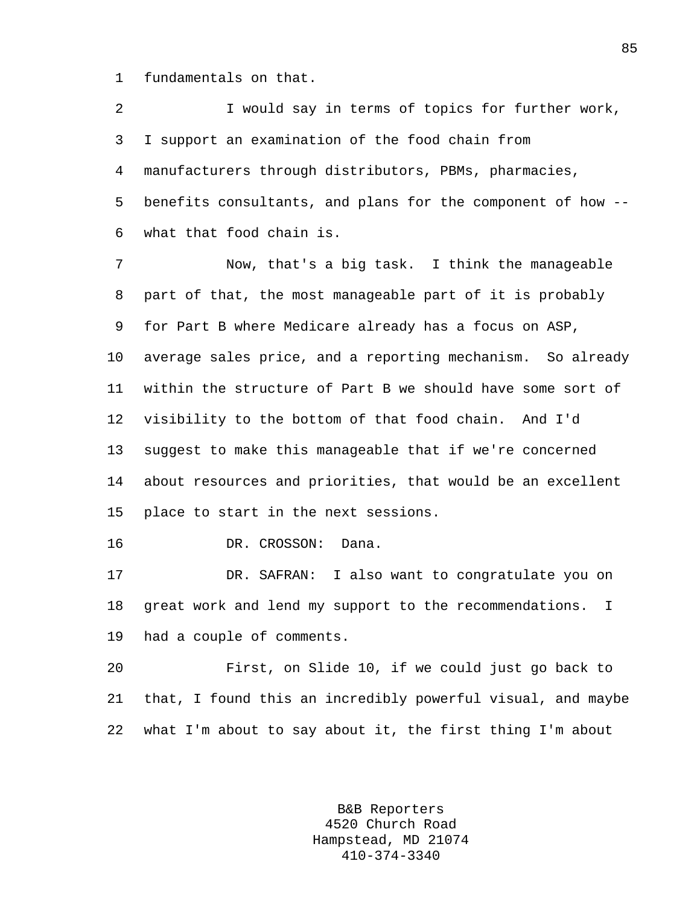1 fundamentals on that.

2 I would say in terms of topics for further work, 3 I support an examination of the food chain from 4 manufacturers through distributors, PBMs, pharmacies, 5 benefits consultants, and plans for the component of how -- 6 what that food chain is.

7 Now, that's a big task. I think the manageable 8 part of that, the most manageable part of it is probably 9 for Part B where Medicare already has a focus on ASP, 10 average sales price, and a reporting mechanism. So already 11 within the structure of Part B we should have some sort of 12 visibility to the bottom of that food chain. And I'd 13 suggest to make this manageable that if we're concerned 14 about resources and priorities, that would be an excellent 15 place to start in the next sessions.

16 DR. CROSSON: Dana.

17 DR. SAFRAN: I also want to congratulate you on 18 great work and lend my support to the recommendations. I 19 had a couple of comments.

20 First, on Slide 10, if we could just go back to 21 that, I found this an incredibly powerful visual, and maybe 22 what I'm about to say about it, the first thing I'm about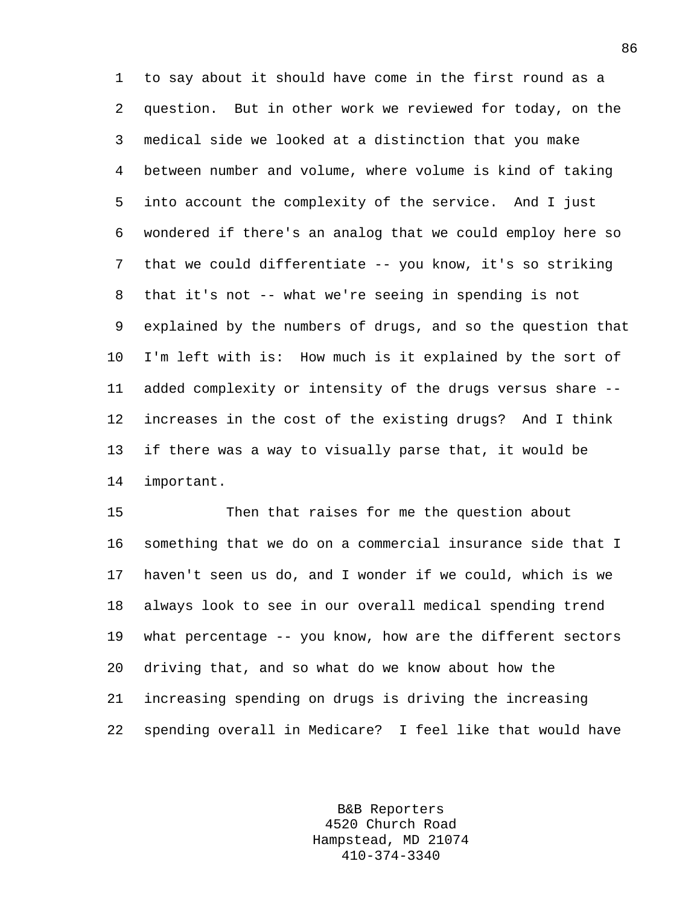1 to say about it should have come in the first round as a 2 question. But in other work we reviewed for today, on the 3 medical side we looked at a distinction that you make 4 between number and volume, where volume is kind of taking 5 into account the complexity of the service. And I just 6 wondered if there's an analog that we could employ here so 7 that we could differentiate -- you know, it's so striking 8 that it's not -- what we're seeing in spending is not 9 explained by the numbers of drugs, and so the question that 10 I'm left with is: How much is it explained by the sort of 11 added complexity or intensity of the drugs versus share -- 12 increases in the cost of the existing drugs? And I think 13 if there was a way to visually parse that, it would be 14 important.

15 Then that raises for me the question about 16 something that we do on a commercial insurance side that I 17 haven't seen us do, and I wonder if we could, which is we 18 always look to see in our overall medical spending trend 19 what percentage -- you know, how are the different sectors 20 driving that, and so what do we know about how the 21 increasing spending on drugs is driving the increasing 22 spending overall in Medicare? I feel like that would have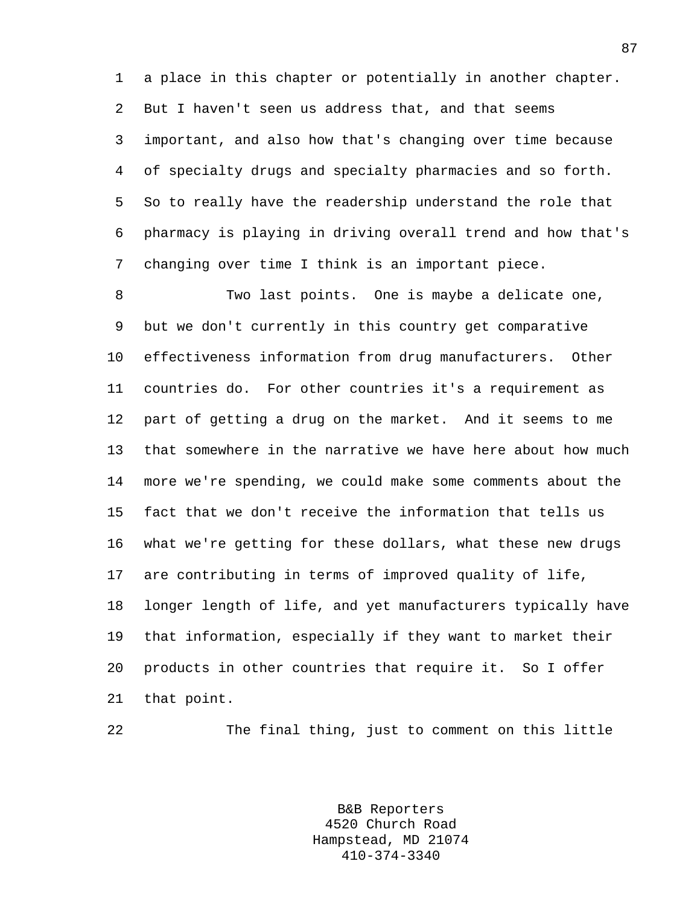1 a place in this chapter or potentially in another chapter. 2 But I haven't seen us address that, and that seems 3 important, and also how that's changing over time because 4 of specialty drugs and specialty pharmacies and so forth. 5 So to really have the readership understand the role that 6 pharmacy is playing in driving overall trend and how that's 7 changing over time I think is an important piece.

8 Two last points. One is maybe a delicate one, 9 but we don't currently in this country get comparative 10 effectiveness information from drug manufacturers. Other 11 countries do. For other countries it's a requirement as 12 part of getting a drug on the market. And it seems to me 13 that somewhere in the narrative we have here about how much 14 more we're spending, we could make some comments about the 15 fact that we don't receive the information that tells us 16 what we're getting for these dollars, what these new drugs 17 are contributing in terms of improved quality of life, 18 longer length of life, and yet manufacturers typically have 19 that information, especially if they want to market their 20 products in other countries that require it. So I offer 21 that point.

22 The final thing, just to comment on this little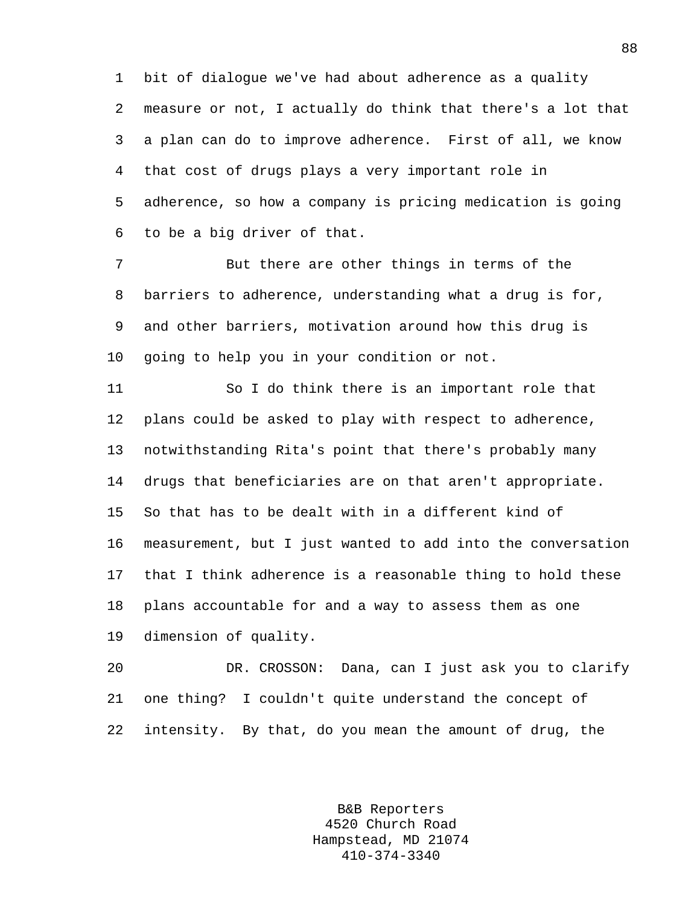1 bit of dialogue we've had about adherence as a quality 2 measure or not, I actually do think that there's a lot that 3 a plan can do to improve adherence. First of all, we know 4 that cost of drugs plays a very important role in 5 adherence, so how a company is pricing medication is going 6 to be a big driver of that.

7 But there are other things in terms of the 8 barriers to adherence, understanding what a drug is for, 9 and other barriers, motivation around how this drug is 10 going to help you in your condition or not.

11 So I do think there is an important role that 12 plans could be asked to play with respect to adherence, 13 notwithstanding Rita's point that there's probably many 14 drugs that beneficiaries are on that aren't appropriate. 15 So that has to be dealt with in a different kind of 16 measurement, but I just wanted to add into the conversation 17 that I think adherence is a reasonable thing to hold these 18 plans accountable for and a way to assess them as one 19 dimension of quality.

20 DR. CROSSON: Dana, can I just ask you to clarify 21 one thing? I couldn't quite understand the concept of 22 intensity. By that, do you mean the amount of drug, the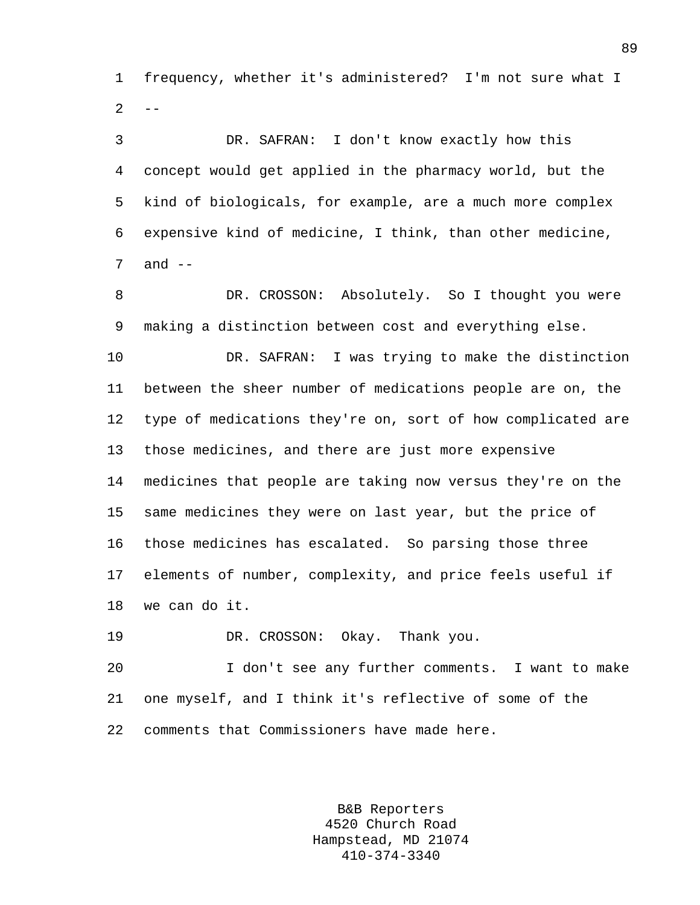1 frequency, whether it's administered? I'm not sure what I  $2 - -$ 

3 DR. SAFRAN: I don't know exactly how this 4 concept would get applied in the pharmacy world, but the 5 kind of biologicals, for example, are a much more complex 6 expensive kind of medicine, I think, than other medicine,  $7$  and  $-$ 

8 DR. CROSSON: Absolutely. So I thought you were 9 making a distinction between cost and everything else.

10 DR. SAFRAN: I was trying to make the distinction 11 between the sheer number of medications people are on, the 12 type of medications they're on, sort of how complicated are 13 those medicines, and there are just more expensive 14 medicines that people are taking now versus they're on the 15 same medicines they were on last year, but the price of 16 those medicines has escalated. So parsing those three 17 elements of number, complexity, and price feels useful if 18 we can do it.

19 DR. CROSSON: Okay. Thank you.

20 I don't see any further comments. I want to make 21 one myself, and I think it's reflective of some of the 22 comments that Commissioners have made here.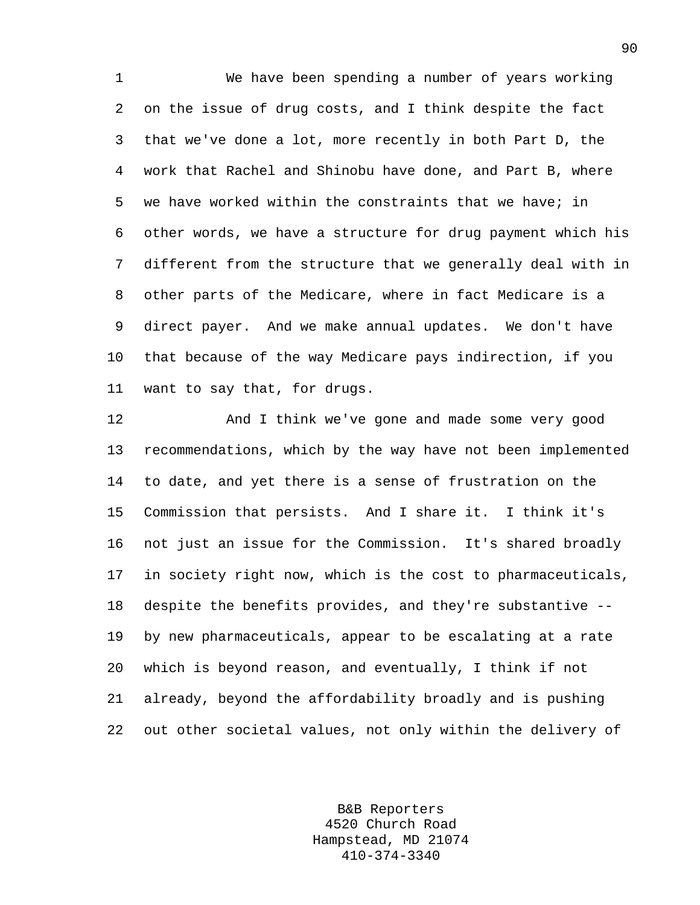1 We have been spending a number of years working 2 on the issue of drug costs, and I think despite the fact 3 that we've done a lot, more recently in both Part D, the 4 work that Rachel and Shinobu have done, and Part B, where 5 we have worked within the constraints that we have; in 6 other words, we have a structure for drug payment which his 7 different from the structure that we generally deal with in 8 other parts of the Medicare, where in fact Medicare is a 9 direct payer. And we make annual updates. We don't have 10 that because of the way Medicare pays indirection, if you 11 want to say that, for drugs.

12 And I think we've gone and made some very good 13 recommendations, which by the way have not been implemented 14 to date, and yet there is a sense of frustration on the 15 Commission that persists. And I share it. I think it's 16 not just an issue for the Commission. It's shared broadly 17 in society right now, which is the cost to pharmaceuticals, 18 despite the benefits provides, and they're substantive -- 19 by new pharmaceuticals, appear to be escalating at a rate 20 which is beyond reason, and eventually, I think if not 21 already, beyond the affordability broadly and is pushing 22 out other societal values, not only within the delivery of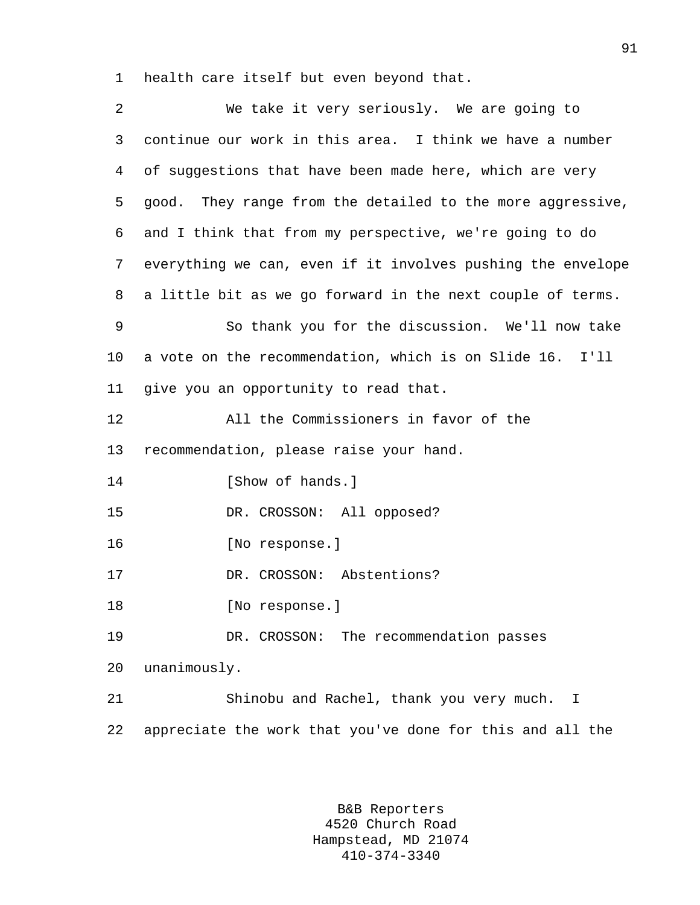1 health care itself but even beyond that.

| 2              | We take it very seriously. We are going to                  |
|----------------|-------------------------------------------------------------|
| 3              | continue our work in this area. I think we have a number    |
| $\overline{4}$ | of suggestions that have been made here, which are very     |
| 5              | good. They range from the detailed to the more aggressive,  |
| 6              | and I think that from my perspective, we're going to do     |
| 7              | everything we can, even if it involves pushing the envelope |
| 8              | a little bit as we go forward in the next couple of terms.  |
| 9              | So thank you for the discussion. We'll now take             |
| $10 \,$        | a vote on the recommendation, which is on Slide 16. I'll    |
| 11             | give you an opportunity to read that.                       |
| 12             | All the Commissioners in favor of the                       |
| 13             | recommendation, please raise your hand.                     |
| 14             | [Show of hands.]                                            |
| 15             | DR. CROSSON: All opposed?                                   |
| 16             | [No response.]                                              |
| 17             | DR. CROSSON: Abstentions?                                   |
| 18             | [No response.]                                              |
| 19             | DR. CROSSON: The recommendation passes                      |
| 20             | unanimously.                                                |
| 21             | Shinobu and Rachel, thank you very much.<br>I               |
| 22             | appreciate the work that you've done for this and all the   |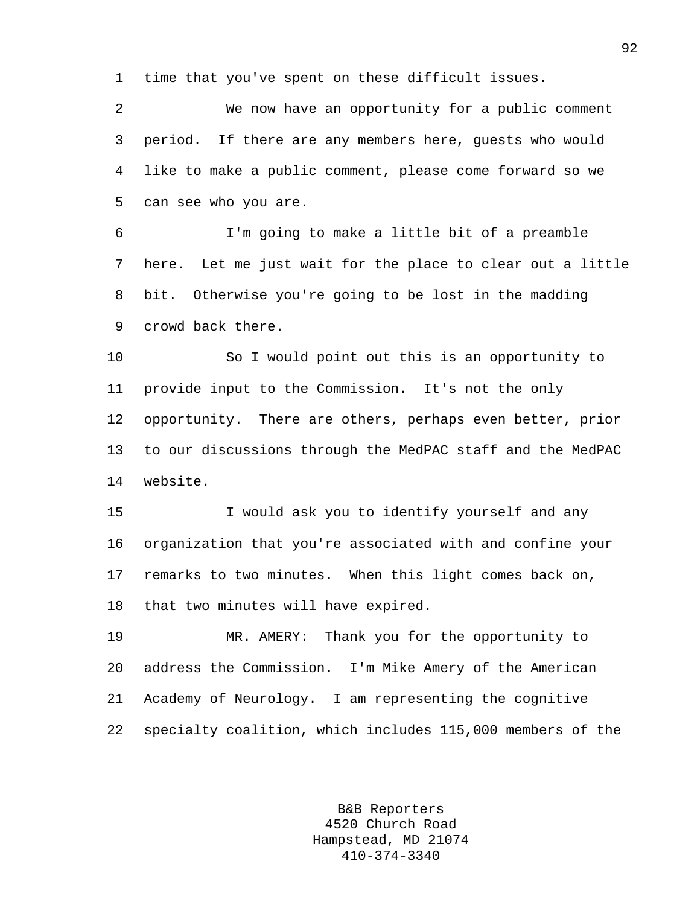1 time that you've spent on these difficult issues.

2 We now have an opportunity for a public comment 3 period. If there are any members here, guests who would 4 like to make a public comment, please come forward so we 5 can see who you are.

6 I'm going to make a little bit of a preamble 7 here. Let me just wait for the place to clear out a little 8 bit. Otherwise you're going to be lost in the madding 9 crowd back there.

10 So I would point out this is an opportunity to 11 provide input to the Commission. It's not the only 12 opportunity. There are others, perhaps even better, prior 13 to our discussions through the MedPAC staff and the MedPAC 14 website.

15 I would ask you to identify yourself and any 16 organization that you're associated with and confine your 17 remarks to two minutes. When this light comes back on, 18 that two minutes will have expired.

19 MR. AMERY: Thank you for the opportunity to 20 address the Commission. I'm Mike Amery of the American 21 Academy of Neurology. I am representing the cognitive 22 specialty coalition, which includes 115,000 members of the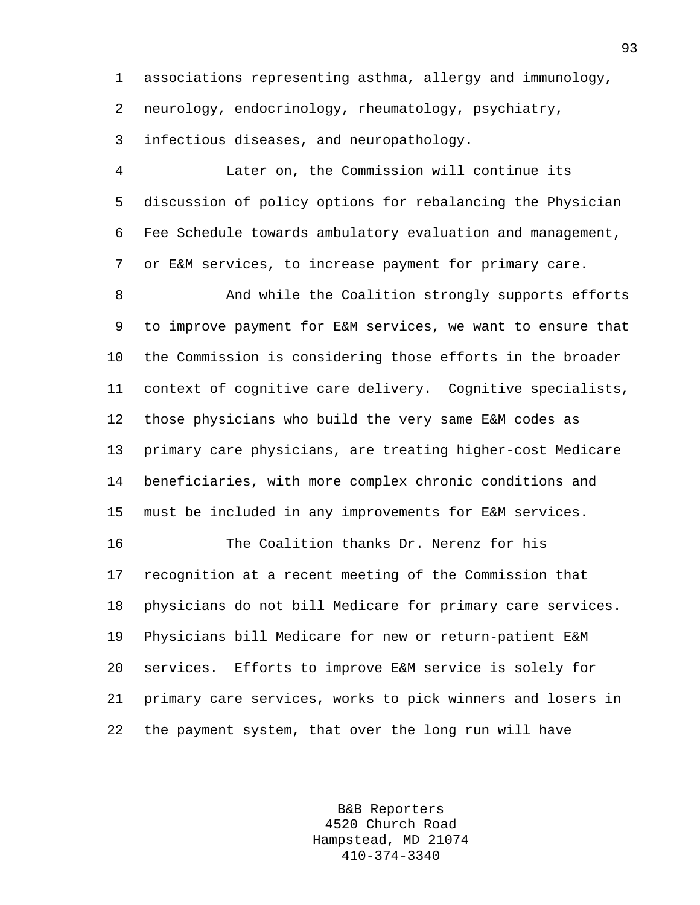1 associations representing asthma, allergy and immunology, 2 neurology, endocrinology, rheumatology, psychiatry,

3 infectious diseases, and neuropathology.

4 Later on, the Commission will continue its 5 discussion of policy options for rebalancing the Physician 6 Fee Schedule towards ambulatory evaluation and management, 7 or E&M services, to increase payment for primary care.

8 And while the Coalition strongly supports efforts 9 to improve payment for E&M services, we want to ensure that 10 the Commission is considering those efforts in the broader 11 context of cognitive care delivery. Cognitive specialists, 12 those physicians who build the very same E&M codes as 13 primary care physicians, are treating higher-cost Medicare 14 beneficiaries, with more complex chronic conditions and 15 must be included in any improvements for E&M services.

16 The Coalition thanks Dr. Nerenz for his 17 recognition at a recent meeting of the Commission that 18 physicians do not bill Medicare for primary care services. 19 Physicians bill Medicare for new or return-patient E&M 20 services. Efforts to improve E&M service is solely for 21 primary care services, works to pick winners and losers in 22 the payment system, that over the long run will have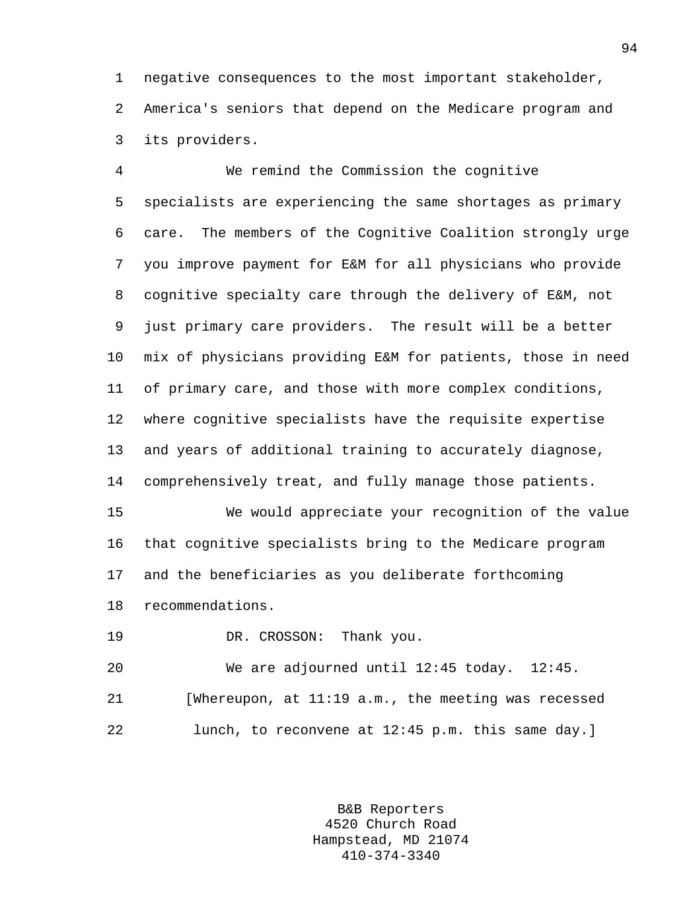1 negative consequences to the most important stakeholder, 2 America's seniors that depend on the Medicare program and 3 its providers.

4 We remind the Commission the cognitive 5 specialists are experiencing the same shortages as primary 6 care. The members of the Cognitive Coalition strongly urge 7 you improve payment for E&M for all physicians who provide 8 cognitive specialty care through the delivery of E&M, not 9 just primary care providers. The result will be a better 10 mix of physicians providing E&M for patients, those in need 11 of primary care, and those with more complex conditions, 12 where cognitive specialists have the requisite expertise 13 and years of additional training to accurately diagnose, 14 comprehensively treat, and fully manage those patients.

15 We would appreciate your recognition of the value 16 that cognitive specialists bring to the Medicare program 17 and the beneficiaries as you deliberate forthcoming 18 recommendations.

19 DR. CROSSON: Thank you.

20 We are adjourned until 12:45 today. 12:45. 21 [Whereupon, at 11:19 a.m., the meeting was recessed 22 lunch, to reconvene at 12:45 p.m. this same day.]

> B&B Reporters 4520 Church Road Hampstead, MD 21074 410-374-3340

94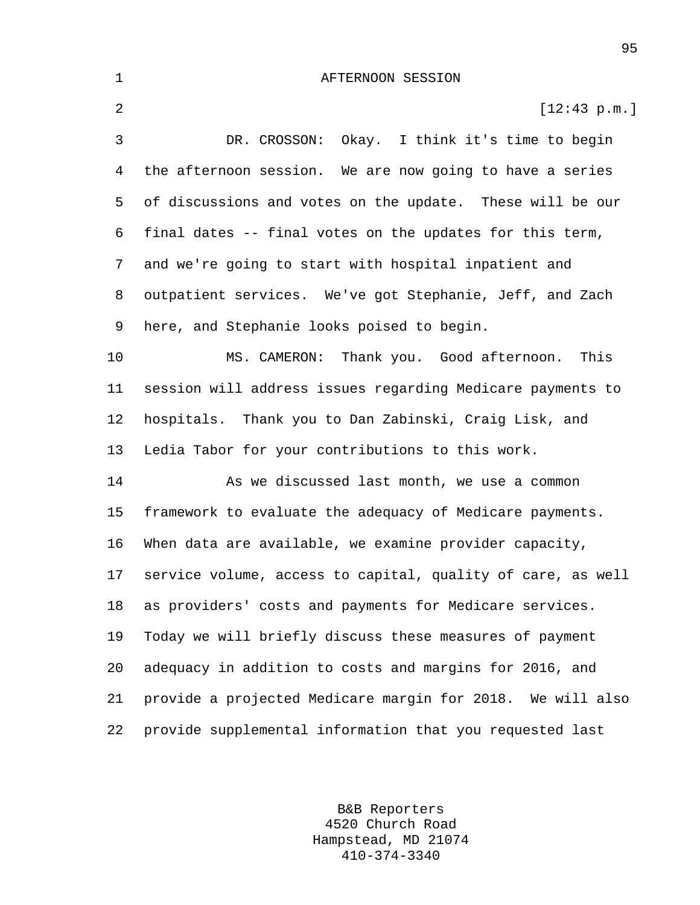1 AFTERNOON SESSION 2  $[12:43 \text{ p.m.}]$ 3 DR. CROSSON: Okay. I think it's time to begin 4 the afternoon session. We are now going to have a series 5 of discussions and votes on the update. These will be our 6 final dates -- final votes on the updates for this term, 7 and we're going to start with hospital inpatient and 8 outpatient services. We've got Stephanie, Jeff, and Zach 9 here, and Stephanie looks poised to begin. 10 MS. CAMERON: Thank you. Good afternoon. This 11 session will address issues regarding Medicare payments to 12 hospitals. Thank you to Dan Zabinski, Craig Lisk, and 13 Ledia Tabor for your contributions to this work. 14 As we discussed last month, we use a common 15 framework to evaluate the adequacy of Medicare payments. 16 When data are available, we examine provider capacity, 17 service volume, access to capital, quality of care, as well 18 as providers' costs and payments for Medicare services. 19 Today we will briefly discuss these measures of payment 20 adequacy in addition to costs and margins for 2016, and

21 provide a projected Medicare margin for 2018. We will also 22 provide supplemental information that you requested last

> B&B Reporters 4520 Church Road Hampstead, MD 21074 410-374-3340

95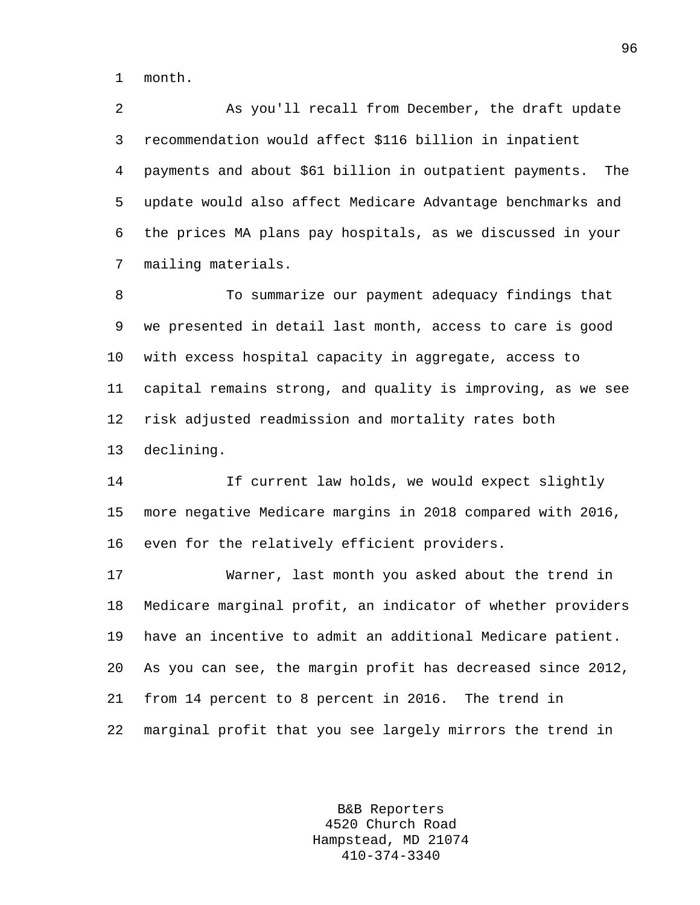1 month.

2 As you'll recall from December, the draft update 3 recommendation would affect \$116 billion in inpatient 4 payments and about \$61 billion in outpatient payments. The 5 update would also affect Medicare Advantage benchmarks and 6 the prices MA plans pay hospitals, as we discussed in your 7 mailing materials.

8 To summarize our payment adequacy findings that 9 we presented in detail last month, access to care is good 10 with excess hospital capacity in aggregate, access to 11 capital remains strong, and quality is improving, as we see 12 risk adjusted readmission and mortality rates both 13 declining.

14 If current law holds, we would expect slightly 15 more negative Medicare margins in 2018 compared with 2016, 16 even for the relatively efficient providers.

17 Warner, last month you asked about the trend in 18 Medicare marginal profit, an indicator of whether providers 19 have an incentive to admit an additional Medicare patient. 20 As you can see, the margin profit has decreased since 2012, 21 from 14 percent to 8 percent in 2016. The trend in 22 marginal profit that you see largely mirrors the trend in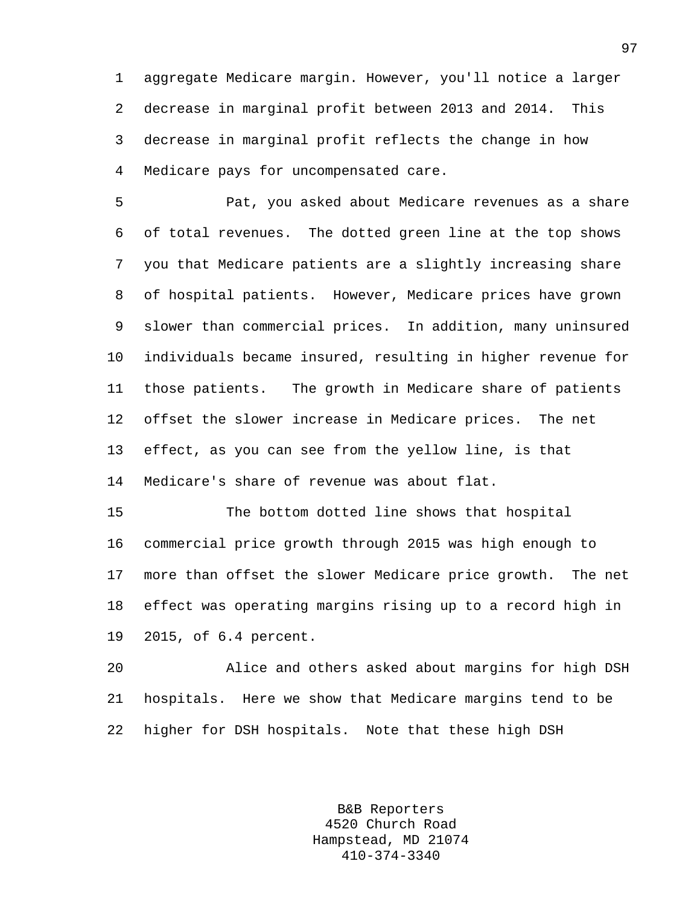1 aggregate Medicare margin. However, you'll notice a larger 2 decrease in marginal profit between 2013 and 2014. This 3 decrease in marginal profit reflects the change in how 4 Medicare pays for uncompensated care.

5 Pat, you asked about Medicare revenues as a share 6 of total revenues. The dotted green line at the top shows 7 you that Medicare patients are a slightly increasing share 8 of hospital patients. However, Medicare prices have grown 9 slower than commercial prices. In addition, many uninsured 10 individuals became insured, resulting in higher revenue for 11 those patients. The growth in Medicare share of patients 12 offset the slower increase in Medicare prices. The net 13 effect, as you can see from the yellow line, is that 14 Medicare's share of revenue was about flat.

15 The bottom dotted line shows that hospital 16 commercial price growth through 2015 was high enough to 17 more than offset the slower Medicare price growth. The net 18 effect was operating margins rising up to a record high in 19 2015, of 6.4 percent.

20 Alice and others asked about margins for high DSH 21 hospitals. Here we show that Medicare margins tend to be 22 higher for DSH hospitals. Note that these high DSH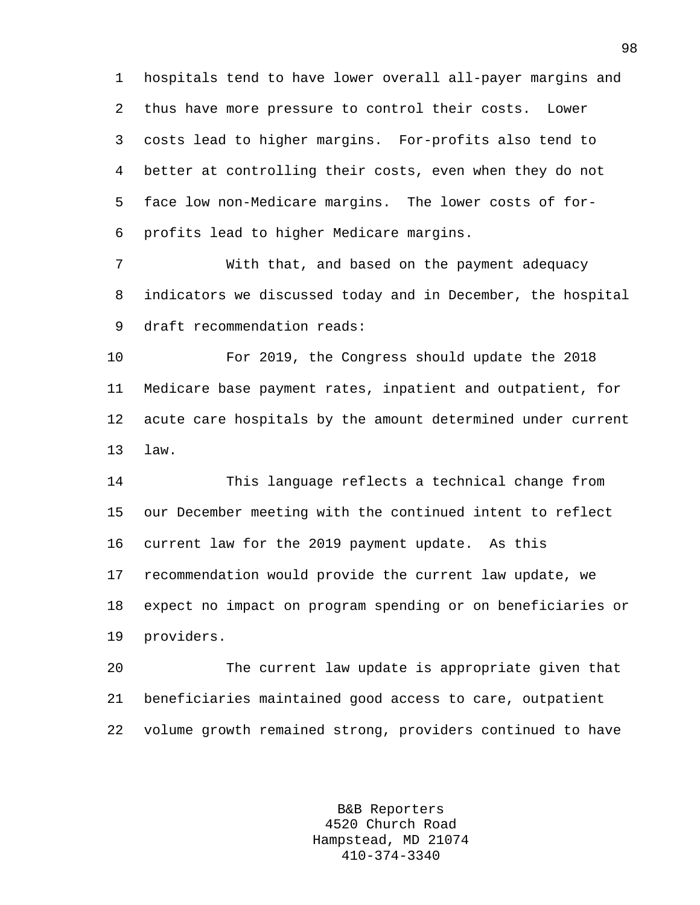1 hospitals tend to have lower overall all-payer margins and 2 thus have more pressure to control their costs. Lower 3 costs lead to higher margins. For-profits also tend to 4 better at controlling their costs, even when they do not 5 face low non-Medicare margins. The lower costs of for-6 profits lead to higher Medicare margins.

7 With that, and based on the payment adequacy 8 indicators we discussed today and in December, the hospital 9 draft recommendation reads:

10 For 2019, the Congress should update the 2018 11 Medicare base payment rates, inpatient and outpatient, for 12 acute care hospitals by the amount determined under current 13 law.

14 This language reflects a technical change from 15 our December meeting with the continued intent to reflect 16 current law for the 2019 payment update. As this 17 recommendation would provide the current law update, we 18 expect no impact on program spending or on beneficiaries or 19 providers.

20 The current law update is appropriate given that 21 beneficiaries maintained good access to care, outpatient 22 volume growth remained strong, providers continued to have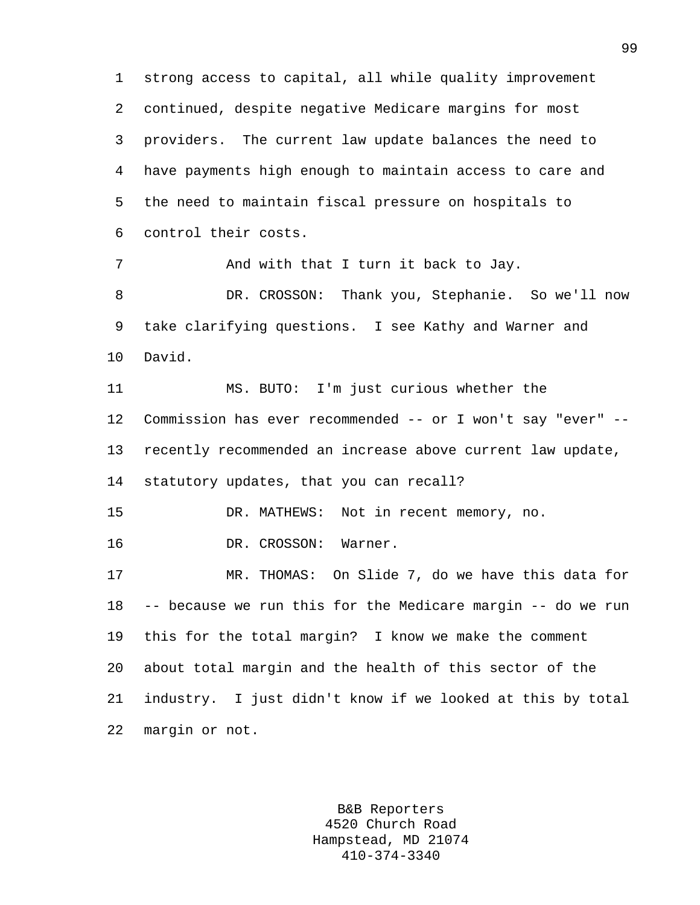1 strong access to capital, all while quality improvement 2 continued, despite negative Medicare margins for most 3 providers. The current law update balances the need to 4 have payments high enough to maintain access to care and 5 the need to maintain fiscal pressure on hospitals to 6 control their costs. 7 And with that I turn it back to Jay. 8 DR. CROSSON: Thank you, Stephanie. So we'll now 9 take clarifying questions. I see Kathy and Warner and 10 David. 11 MS. BUTO: I'm just curious whether the 12 Commission has ever recommended -- or I won't say "ever" -- 13 recently recommended an increase above current law update, 14 statutory updates, that you can recall? 15 DR. MATHEWS: Not in recent memory, no. 16 DR. CROSSON: Warner. 17 MR. THOMAS: On Slide 7, do we have this data for 18 -- because we run this for the Medicare margin -- do we run 19 this for the total margin? I know we make the comment 20 about total margin and the health of this sector of the 21 industry. I just didn't know if we looked at this by total 22 margin or not.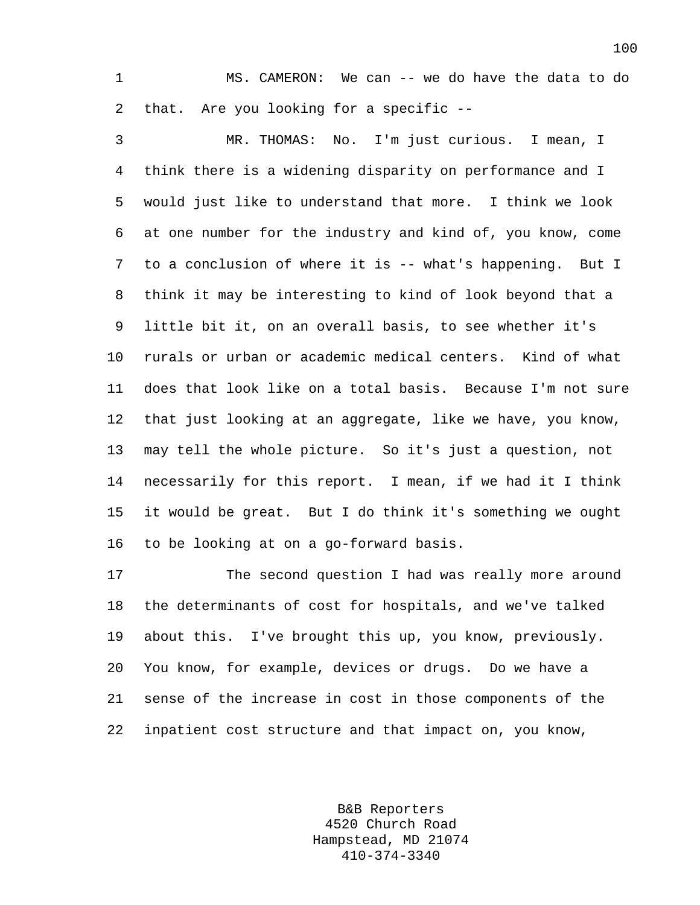1 MS. CAMERON: We can -- we do have the data to do 2 that. Are you looking for a specific --

3 MR. THOMAS: No. I'm just curious. I mean, I 4 think there is a widening disparity on performance and I 5 would just like to understand that more. I think we look 6 at one number for the industry and kind of, you know, come 7 to a conclusion of where it is -- what's happening. But I 8 think it may be interesting to kind of look beyond that a 9 little bit it, on an overall basis, to see whether it's 10 rurals or urban or academic medical centers. Kind of what 11 does that look like on a total basis. Because I'm not sure 12 that just looking at an aggregate, like we have, you know, 13 may tell the whole picture. So it's just a question, not 14 necessarily for this report. I mean, if we had it I think 15 it would be great. But I do think it's something we ought 16 to be looking at on a go-forward basis.

17 The second question I had was really more around 18 the determinants of cost for hospitals, and we've talked 19 about this. I've brought this up, you know, previously. 20 You know, for example, devices or drugs. Do we have a 21 sense of the increase in cost in those components of the 22 inpatient cost structure and that impact on, you know,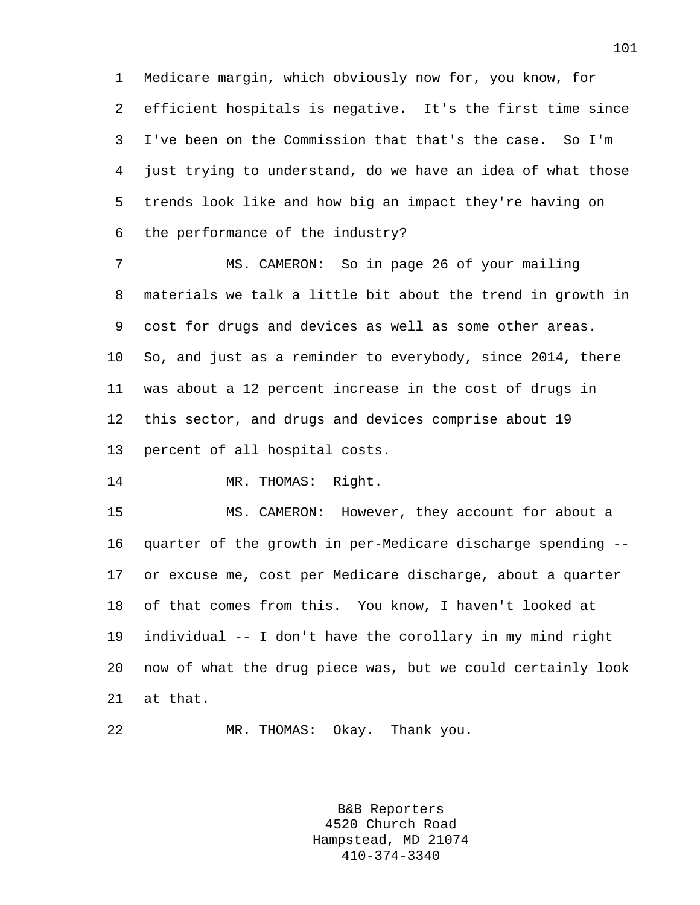1 Medicare margin, which obviously now for, you know, for 2 efficient hospitals is negative. It's the first time since 3 I've been on the Commission that that's the case. So I'm 4 just trying to understand, do we have an idea of what those 5 trends look like and how big an impact they're having on 6 the performance of the industry?

7 MS. CAMERON: So in page 26 of your mailing 8 materials we talk a little bit about the trend in growth in 9 cost for drugs and devices as well as some other areas. 10 So, and just as a reminder to everybody, since 2014, there 11 was about a 12 percent increase in the cost of drugs in 12 this sector, and drugs and devices comprise about 19 13 percent of all hospital costs.

14 MR. THOMAS: Right.

15 MS. CAMERON: However, they account for about a 16 quarter of the growth in per-Medicare discharge spending -- 17 or excuse me, cost per Medicare discharge, about a quarter 18 of that comes from this. You know, I haven't looked at 19 individual -- I don't have the corollary in my mind right 20 now of what the drug piece was, but we could certainly look 21 at that.

22 MR. THOMAS: Okay. Thank you.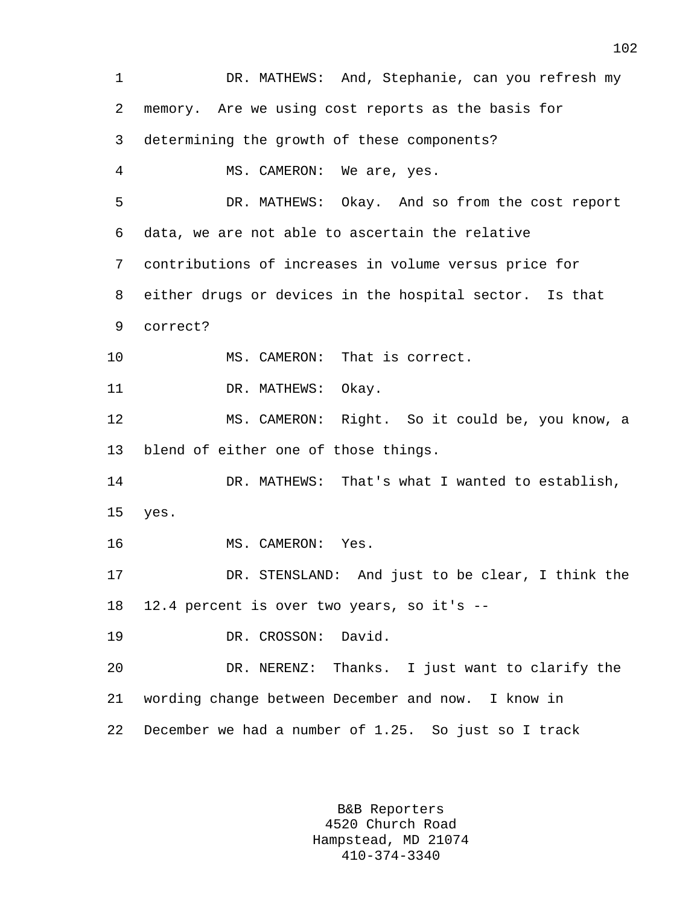1 DR. MATHEWS: And, Stephanie, can you refresh my 2 memory. Are we using cost reports as the basis for 3 determining the growth of these components? 4 MS. CAMERON: We are, yes. 5 DR. MATHEWS: Okay. And so from the cost report 6 data, we are not able to ascertain the relative 7 contributions of increases in volume versus price for 8 either drugs or devices in the hospital sector. Is that 9 correct? 10 MS. CAMERON: That is correct. 11 DR. MATHEWS: Okay. 12 MS. CAMERON: Right. So it could be, you know, a 13 blend of either one of those things. 14 DR. MATHEWS: That's what I wanted to establish, 15 yes. 16 MS. CAMERON: Yes. 17 DR. STENSLAND: And just to be clear, I think the 18 12.4 percent is over two years, so it's -- 19 DR. CROSSON: David. 20 DR. NERENZ: Thanks. I just want to clarify the 21 wording change between December and now. I know in 22 December we had a number of 1.25. So just so I track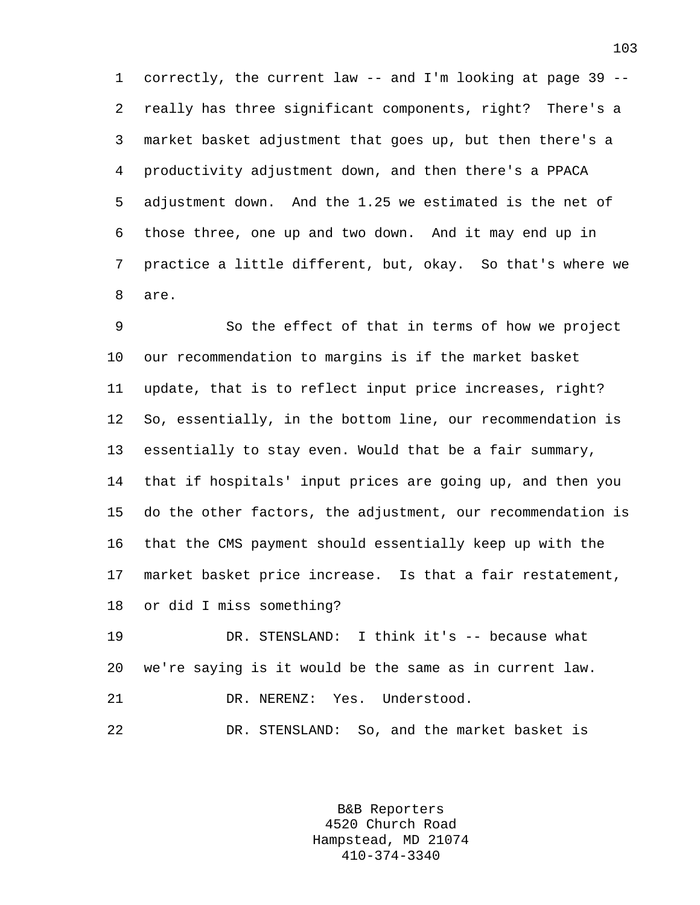1 correctly, the current law -- and I'm looking at page 39 -- 2 really has three significant components, right? There's a 3 market basket adjustment that goes up, but then there's a 4 productivity adjustment down, and then there's a PPACA 5 adjustment down. And the 1.25 we estimated is the net of 6 those three, one up and two down. And it may end up in 7 practice a little different, but, okay. So that's where we 8 are.

9 So the effect of that in terms of how we project 10 our recommendation to margins is if the market basket 11 update, that is to reflect input price increases, right? 12 So, essentially, in the bottom line, our recommendation is 13 essentially to stay even. Would that be a fair summary, 14 that if hospitals' input prices are going up, and then you 15 do the other factors, the adjustment, our recommendation is 16 that the CMS payment should essentially keep up with the 17 market basket price increase. Is that a fair restatement, 18 or did I miss something?

19 DR. STENSLAND: I think it's -- because what 20 we're saying is it would be the same as in current law. 21 DR. NERENZ: Yes. Understood.

22 DR. STENSLAND: So, and the market basket is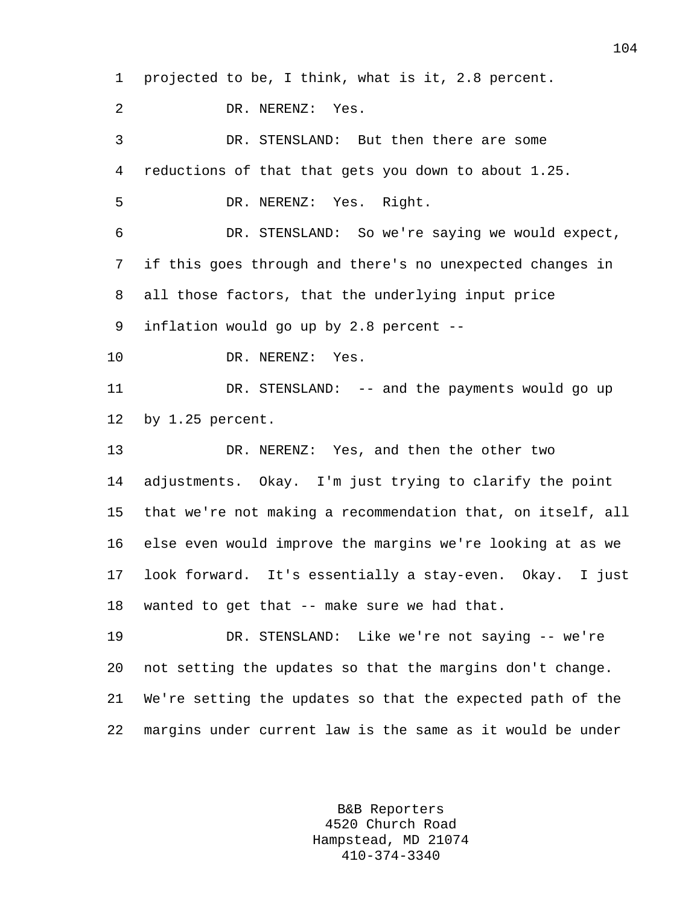1 projected to be, I think, what is it, 2.8 percent.

2 DR. NERENZ: Yes.

3 DR. STENSLAND: But then there are some 4 reductions of that that gets you down to about 1.25.

5 DR. NERENZ: Yes. Right.

6 DR. STENSLAND: So we're saying we would expect, 7 if this goes through and there's no unexpected changes in 8 all those factors, that the underlying input price 9 inflation would go up by 2.8 percent --

10 DR. NERENZ: Yes.

11 DR. STENSLAND: -- and the payments would go up 12 by 1.25 percent.

13 DR. NERENZ: Yes, and then the other two 14 adjustments. Okay. I'm just trying to clarify the point 15 that we're not making a recommendation that, on itself, all 16 else even would improve the margins we're looking at as we 17 look forward. It's essentially a stay-even. Okay. I just 18 wanted to get that -- make sure we had that.

19 DR. STENSLAND: Like we're not saying -- we're 20 not setting the updates so that the margins don't change. 21 We're setting the updates so that the expected path of the 22 margins under current law is the same as it would be under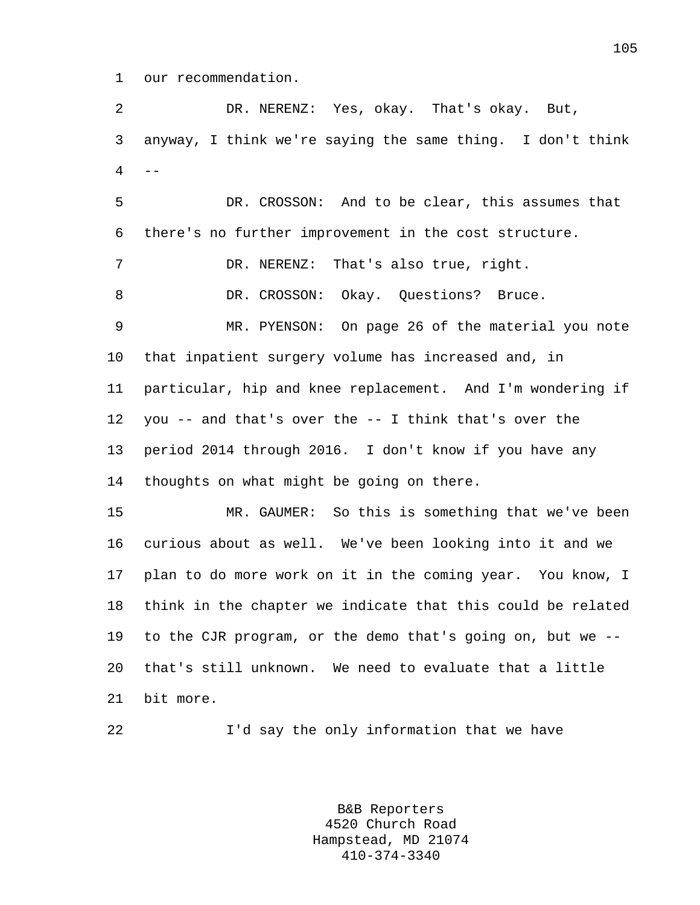1 our recommendation.

2 DR. NERENZ: Yes, okay. That's okay. But, 3 anyway, I think we're saying the same thing. I don't think  $4$  --

5 DR. CROSSON: And to be clear, this assumes that 6 there's no further improvement in the cost structure. 7 DR. NERENZ: That's also true, right. 8 DR. CROSSON: Okay. Questions? Bruce. 9 MR. PYENSON: On page 26 of the material you note 10 that inpatient surgery volume has increased and, in 11 particular, hip and knee replacement. And I'm wondering if 12 you -- and that's over the -- I think that's over the 13 period 2014 through 2016. I don't know if you have any 14 thoughts on what might be going on there. 15 MR. GAUMER: So this is something that we've been 16 curious about as well. We've been looking into it and we 17 plan to do more work on it in the coming year. You know, I 18 think in the chapter we indicate that this could be related 19 to the CJR program, or the demo that's going on, but we -- 20 that's still unknown. We need to evaluate that a little

- 21 bit more.
- 

22 I'd say the only information that we have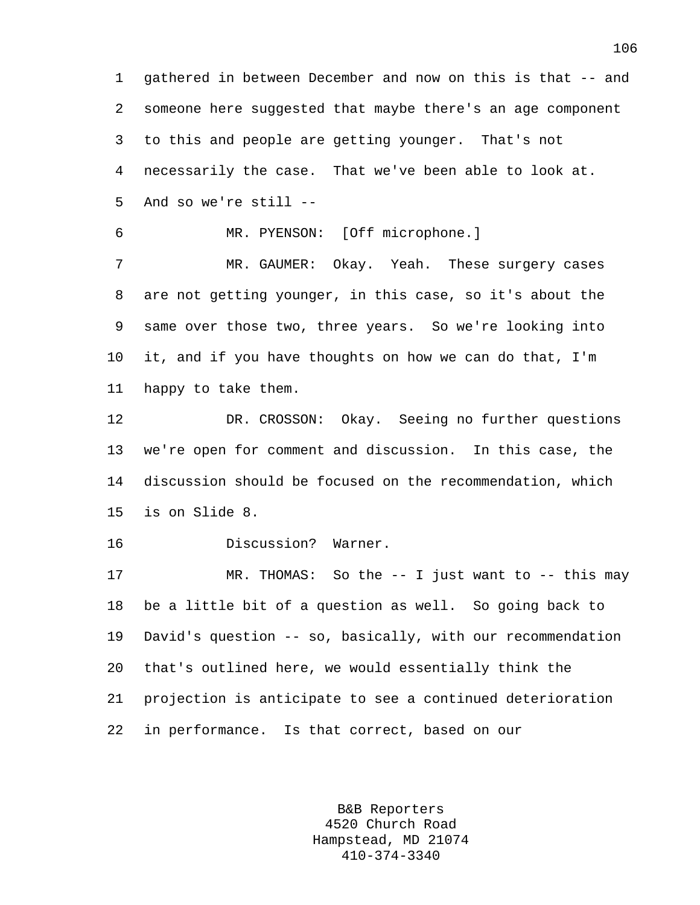1 gathered in between December and now on this is that -- and 2 someone here suggested that maybe there's an age component 3 to this and people are getting younger. That's not 4 necessarily the case. That we've been able to look at. 5 And so we're still --

6 MR. PYENSON: [Off microphone.]

7 MR. GAUMER: Okay. Yeah. These surgery cases 8 are not getting younger, in this case, so it's about the 9 same over those two, three years. So we're looking into 10 it, and if you have thoughts on how we can do that, I'm 11 happy to take them.

12 DR. CROSSON: Okay. Seeing no further questions 13 we're open for comment and discussion. In this case, the 14 discussion should be focused on the recommendation, which 15 is on Slide 8.

16 Discussion? Warner.

17 MR. THOMAS: So the -- I just want to -- this may 18 be a little bit of a question as well. So going back to 19 David's question -- so, basically, with our recommendation 20 that's outlined here, we would essentially think the 21 projection is anticipate to see a continued deterioration 22 in performance. Is that correct, based on our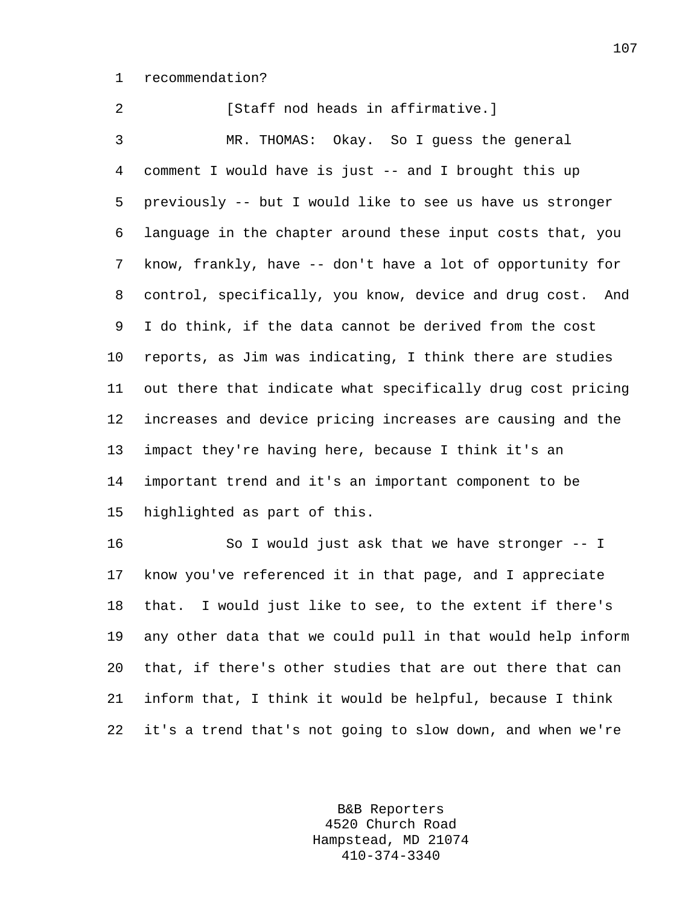1 recommendation?

2 [Staff nod heads in affirmative.] 3 MR. THOMAS: Okay. So I guess the general 4 comment I would have is just -- and I brought this up 5 previously -- but I would like to see us have us stronger 6 language in the chapter around these input costs that, you 7 know, frankly, have -- don't have a lot of opportunity for 8 control, specifically, you know, device and drug cost. And 9 I do think, if the data cannot be derived from the cost 10 reports, as Jim was indicating, I think there are studies 11 out there that indicate what specifically drug cost pricing 12 increases and device pricing increases are causing and the 13 impact they're having here, because I think it's an 14 important trend and it's an important component to be 15 highlighted as part of this.

16 So I would just ask that we have stronger -- I 17 know you've referenced it in that page, and I appreciate 18 that. I would just like to see, to the extent if there's 19 any other data that we could pull in that would help inform 20 that, if there's other studies that are out there that can 21 inform that, I think it would be helpful, because I think 22 it's a trend that's not going to slow down, and when we're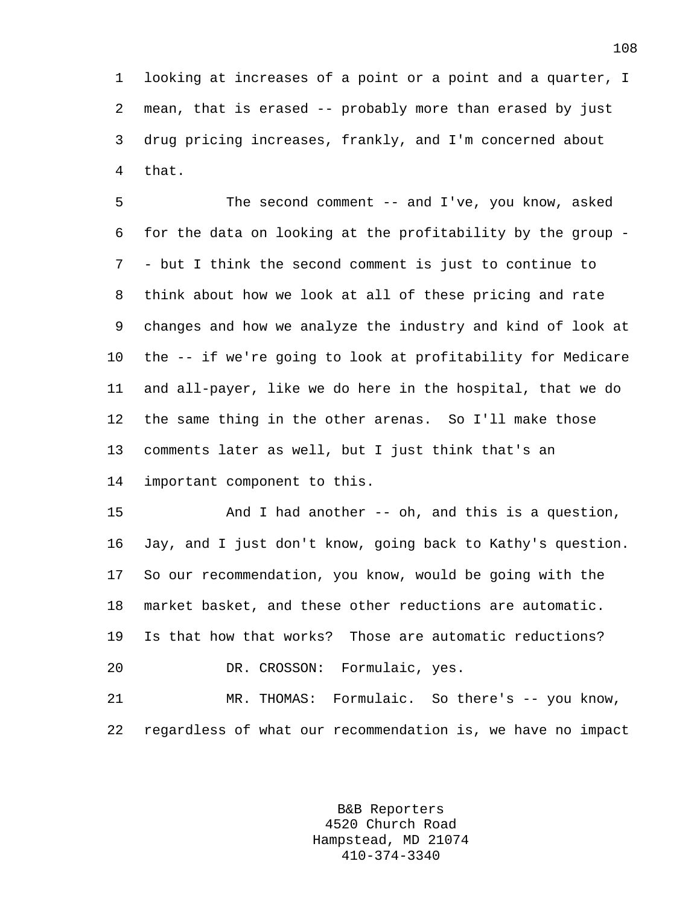1 looking at increases of a point or a point and a quarter, I 2 mean, that is erased -- probably more than erased by just 3 drug pricing increases, frankly, and I'm concerned about 4 that.

5 The second comment -- and I've, you know, asked 6 for the data on looking at the profitability by the group - 7 - but I think the second comment is just to continue to 8 think about how we look at all of these pricing and rate 9 changes and how we analyze the industry and kind of look at 10 the -- if we're going to look at profitability for Medicare 11 and all-payer, like we do here in the hospital, that we do 12 the same thing in the other arenas. So I'll make those 13 comments later as well, but I just think that's an 14 important component to this.

15 And I had another -- oh, and this is a question, 16 Jay, and I just don't know, going back to Kathy's question. 17 So our recommendation, you know, would be going with the 18 market basket, and these other reductions are automatic. 19 Is that how that works? Those are automatic reductions? 20 DR. CROSSON: Formulaic, yes.

21 MR. THOMAS: Formulaic. So there's -- you know, 22 regardless of what our recommendation is, we have no impact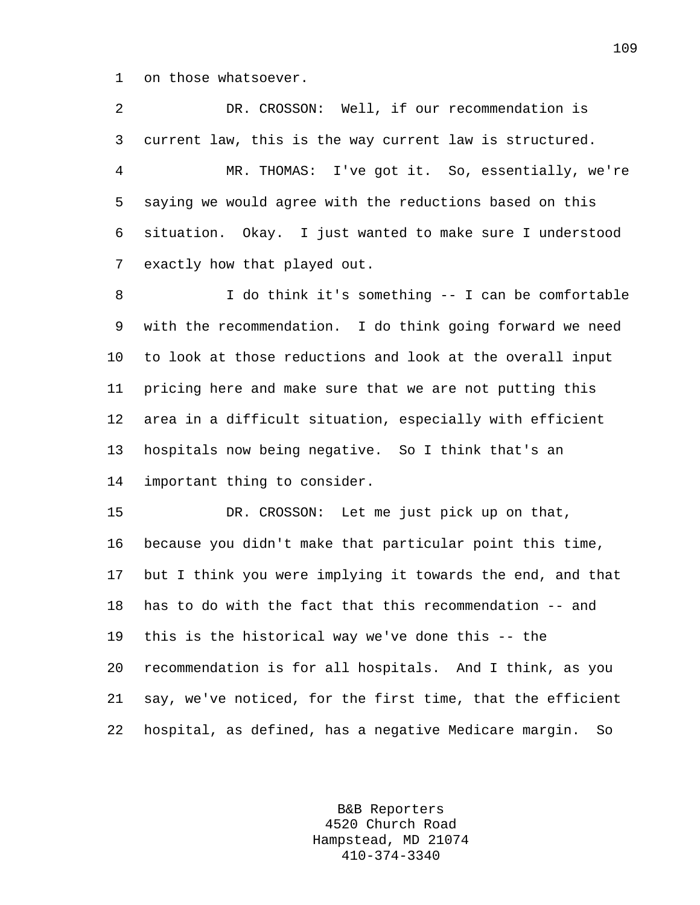1 on those whatsoever.

2 DR. CROSSON: Well, if our recommendation is 3 current law, this is the way current law is structured. 4 MR. THOMAS: I've got it. So, essentially, we're 5 saying we would agree with the reductions based on this 6 situation. Okay. I just wanted to make sure I understood 7 exactly how that played out.

8 I do think it's something -- I can be comfortable 9 with the recommendation. I do think going forward we need 10 to look at those reductions and look at the overall input 11 pricing here and make sure that we are not putting this 12 area in a difficult situation, especially with efficient 13 hospitals now being negative. So I think that's an 14 important thing to consider.

15 DR. CROSSON: Let me just pick up on that, 16 because you didn't make that particular point this time, 17 but I think you were implying it towards the end, and that 18 has to do with the fact that this recommendation -- and 19 this is the historical way we've done this -- the 20 recommendation is for all hospitals. And I think, as you 21 say, we've noticed, for the first time, that the efficient 22 hospital, as defined, has a negative Medicare margin. So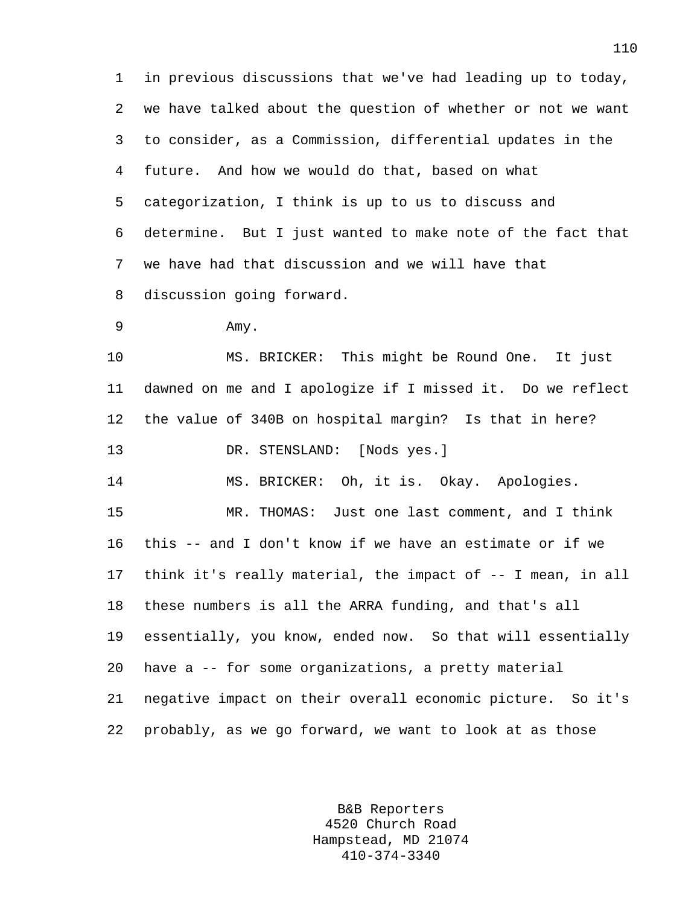1 in previous discussions that we've had leading up to today, 2 we have talked about the question of whether or not we want 3 to consider, as a Commission, differential updates in the 4 future. And how we would do that, based on what 5 categorization, I think is up to us to discuss and 6 determine. But I just wanted to make note of the fact that 7 we have had that discussion and we will have that 8 discussion going forward.

```
9 Amy.
```
10 MS. BRICKER: This might be Round One. It just 11 dawned on me and I apologize if I missed it. Do we reflect 12 the value of 340B on hospital margin? Is that in here? 13 DR. STENSLAND: [Nods yes.]

14 MS. BRICKER: Oh, it is. Okay. Apologies.

15 MR. THOMAS: Just one last comment, and I think 16 this -- and I don't know if we have an estimate or if we 17 think it's really material, the impact of -- I mean, in all 18 these numbers is all the ARRA funding, and that's all 19 essentially, you know, ended now. So that will essentially 20 have a -- for some organizations, a pretty material 21 negative impact on their overall economic picture. So it's 22 probably, as we go forward, we want to look at as those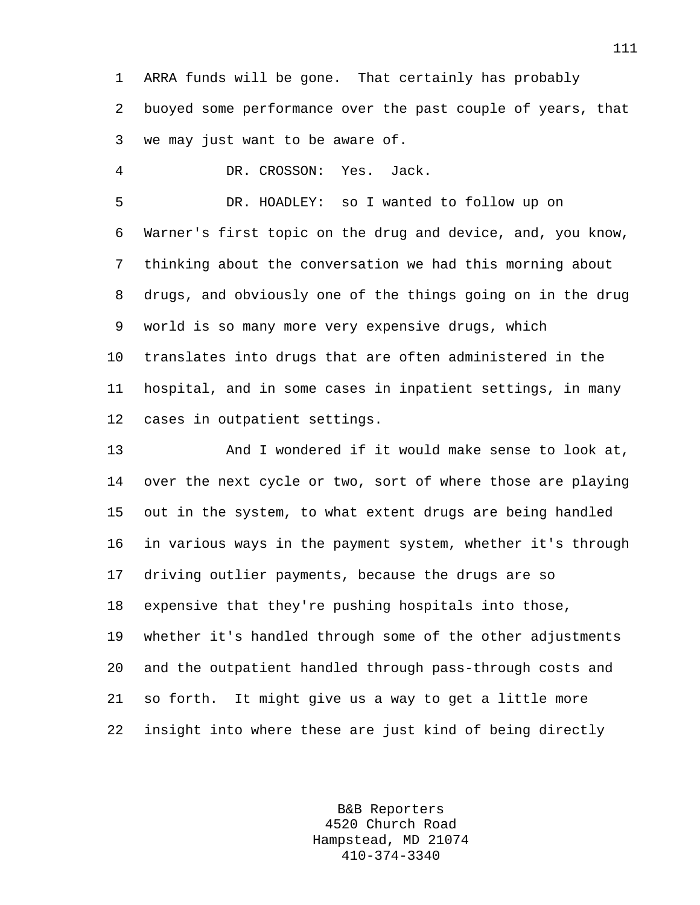1 ARRA funds will be gone. That certainly has probably 2 buoyed some performance over the past couple of years, that 3 we may just want to be aware of.

4 DR. CROSSON: Yes. Jack.

5 DR. HOADLEY: so I wanted to follow up on 6 Warner's first topic on the drug and device, and, you know, 7 thinking about the conversation we had this morning about 8 drugs, and obviously one of the things going on in the drug 9 world is so many more very expensive drugs, which 10 translates into drugs that are often administered in the 11 hospital, and in some cases in inpatient settings, in many 12 cases in outpatient settings.

13 And I wondered if it would make sense to look at, 14 over the next cycle or two, sort of where those are playing 15 out in the system, to what extent drugs are being handled 16 in various ways in the payment system, whether it's through 17 driving outlier payments, because the drugs are so 18 expensive that they're pushing hospitals into those, 19 whether it's handled through some of the other adjustments 20 and the outpatient handled through pass-through costs and 21 so forth. It might give us a way to get a little more 22 insight into where these are just kind of being directly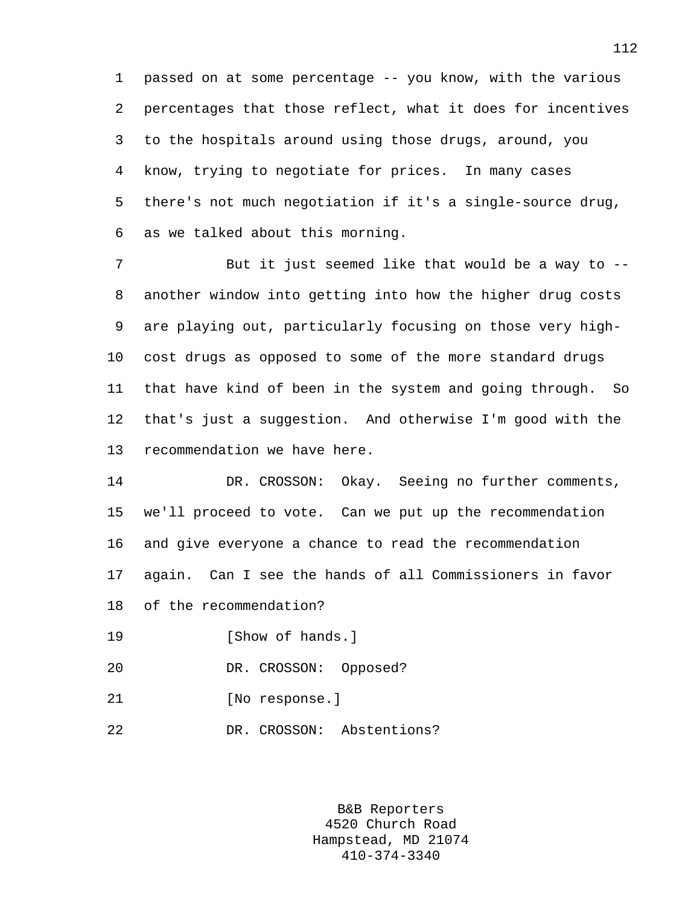1 passed on at some percentage -- you know, with the various 2 percentages that those reflect, what it does for incentives 3 to the hospitals around using those drugs, around, you 4 know, trying to negotiate for prices. In many cases 5 there's not much negotiation if it's a single-source drug, 6 as we talked about this morning.

7 But it just seemed like that would be a way to -- 8 another window into getting into how the higher drug costs 9 are playing out, particularly focusing on those very high-10 cost drugs as opposed to some of the more standard drugs 11 that have kind of been in the system and going through. So 12 that's just a suggestion. And otherwise I'm good with the 13 recommendation we have here.

14 DR. CROSSON: Okay. Seeing no further comments, 15 we'll proceed to vote. Can we put up the recommendation 16 and give everyone a chance to read the recommendation 17 again. Can I see the hands of all Commissioners in favor 18 of the recommendation?

19 **I** Show of hands.

20 DR. CROSSON: Opposed?

21 [No response.]

22 DR. CROSSON: Abstentions?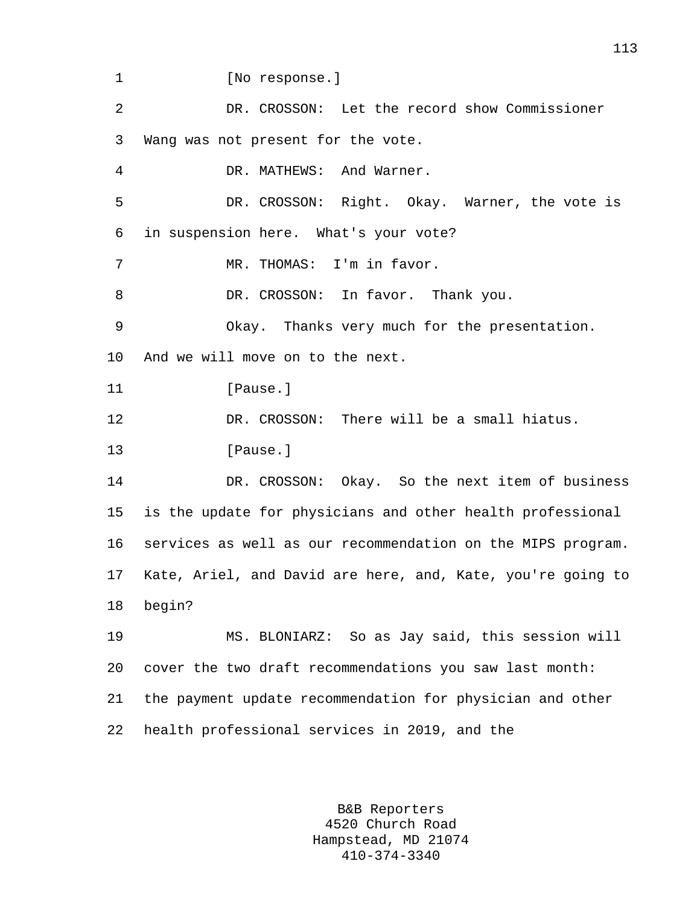1 [No response.]

2 DR. CROSSON: Let the record show Commissioner 3 Wang was not present for the vote. 4 DR. MATHEWS: And Warner. 5 DR. CROSSON: Right. Okay. Warner, the vote is 6 in suspension here. What's your vote? 7 MR. THOMAS: I'm in favor. 8 DR. CROSSON: In favor. Thank you. 9 Okay. Thanks very much for the presentation. 10 And we will move on to the next. 11 [Pause.] 12 DR. CROSSON: There will be a small hiatus. 13 **I**Pause. 14 DR. CROSSON: Okay. So the next item of business 15 is the update for physicians and other health professional 16 services as well as our recommendation on the MIPS program. 17 Kate, Ariel, and David are here, and, Kate, you're going to 18 begin? 19 MS. BLONIARZ: So as Jay said, this session will 20 cover the two draft recommendations you saw last month: 21 the payment update recommendation for physician and other

22 health professional services in 2019, and the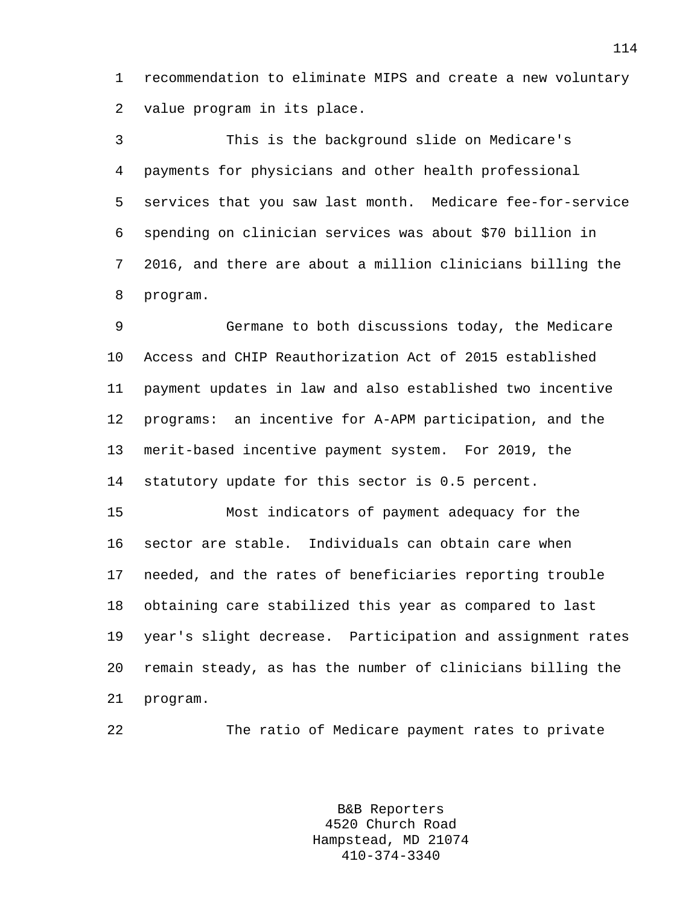1 recommendation to eliminate MIPS and create a new voluntary 2 value program in its place.

3 This is the background slide on Medicare's 4 payments for physicians and other health professional 5 services that you saw last month. Medicare fee-for-service 6 spending on clinician services was about \$70 billion in 7 2016, and there are about a million clinicians billing the 8 program.

9 Germane to both discussions today, the Medicare 10 Access and CHIP Reauthorization Act of 2015 established 11 payment updates in law and also established two incentive 12 programs: an incentive for A-APM participation, and the 13 merit-based incentive payment system. For 2019, the 14 statutory update for this sector is 0.5 percent.

15 Most indicators of payment adequacy for the 16 sector are stable. Individuals can obtain care when 17 needed, and the rates of beneficiaries reporting trouble 18 obtaining care stabilized this year as compared to last 19 year's slight decrease. Participation and assignment rates 20 remain steady, as has the number of clinicians billing the 21 program.

22 The ratio of Medicare payment rates to private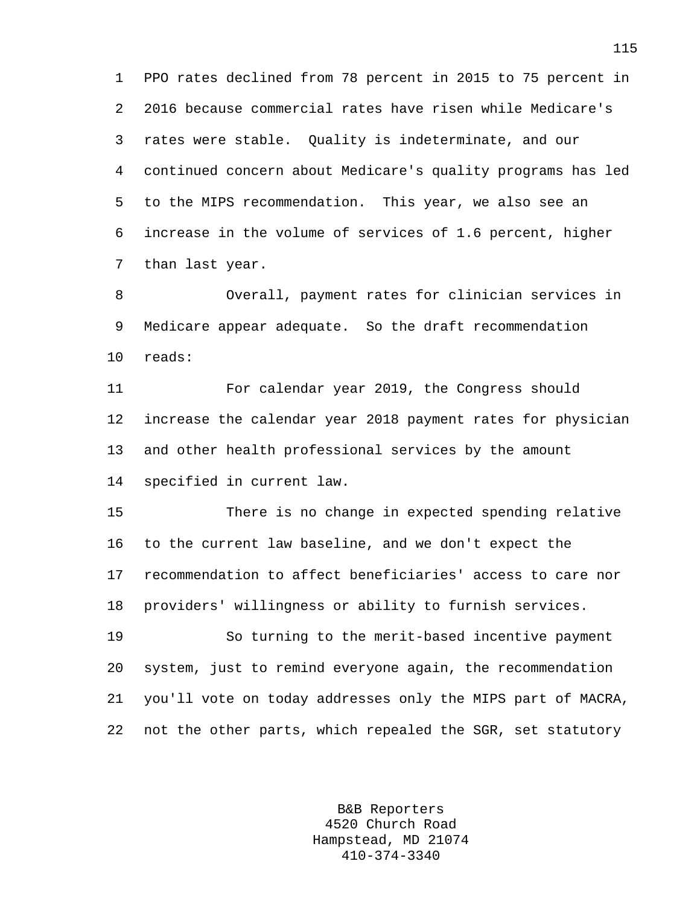1 PPO rates declined from 78 percent in 2015 to 75 percent in 2 2016 because commercial rates have risen while Medicare's 3 rates were stable. Quality is indeterminate, and our 4 continued concern about Medicare's quality programs has led 5 to the MIPS recommendation. This year, we also see an 6 increase in the volume of services of 1.6 percent, higher 7 than last year.

8 Overall, payment rates for clinician services in 9 Medicare appear adequate. So the draft recommendation 10 reads:

11 For calendar year 2019, the Congress should 12 increase the calendar year 2018 payment rates for physician 13 and other health professional services by the amount 14 specified in current law.

15 There is no change in expected spending relative 16 to the current law baseline, and we don't expect the 17 recommendation to affect beneficiaries' access to care nor 18 providers' willingness or ability to furnish services.

19 So turning to the merit-based incentive payment 20 system, just to remind everyone again, the recommendation 21 you'll vote on today addresses only the MIPS part of MACRA, 22 not the other parts, which repealed the SGR, set statutory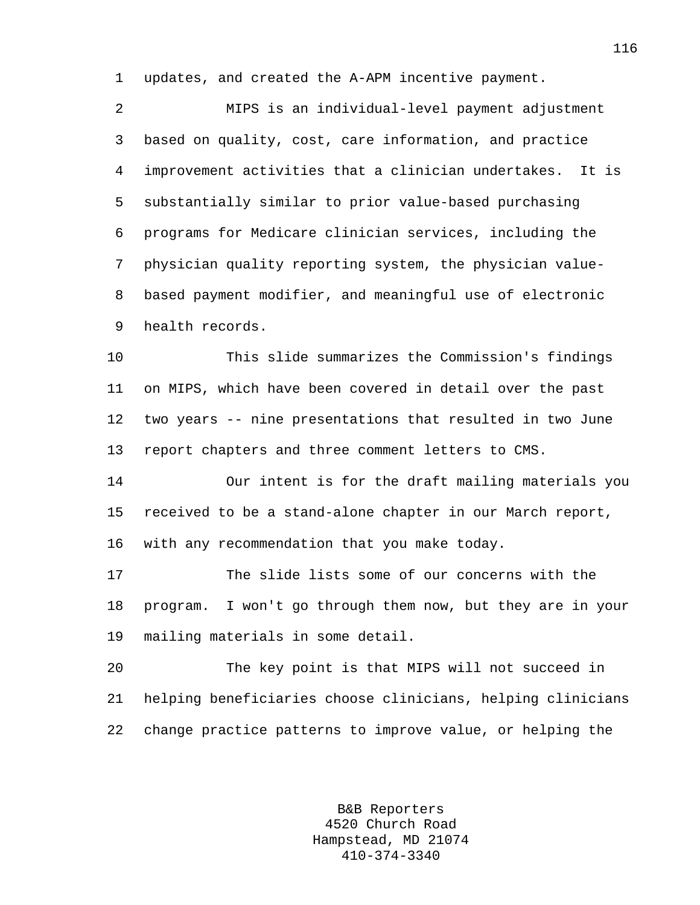1 updates, and created the A-APM incentive payment.

2 MIPS is an individual-level payment adjustment 3 based on quality, cost, care information, and practice 4 improvement activities that a clinician undertakes. It is 5 substantially similar to prior value-based purchasing 6 programs for Medicare clinician services, including the 7 physician quality reporting system, the physician value-8 based payment modifier, and meaningful use of electronic 9 health records.

10 This slide summarizes the Commission's findings 11 on MIPS, which have been covered in detail over the past 12 two years -- nine presentations that resulted in two June 13 report chapters and three comment letters to CMS.

14 Our intent is for the draft mailing materials you 15 received to be a stand-alone chapter in our March report, 16 with any recommendation that you make today.

17 The slide lists some of our concerns with the 18 program. I won't go through them now, but they are in your 19 mailing materials in some detail.

20 The key point is that MIPS will not succeed in 21 helping beneficiaries choose clinicians, helping clinicians 22 change practice patterns to improve value, or helping the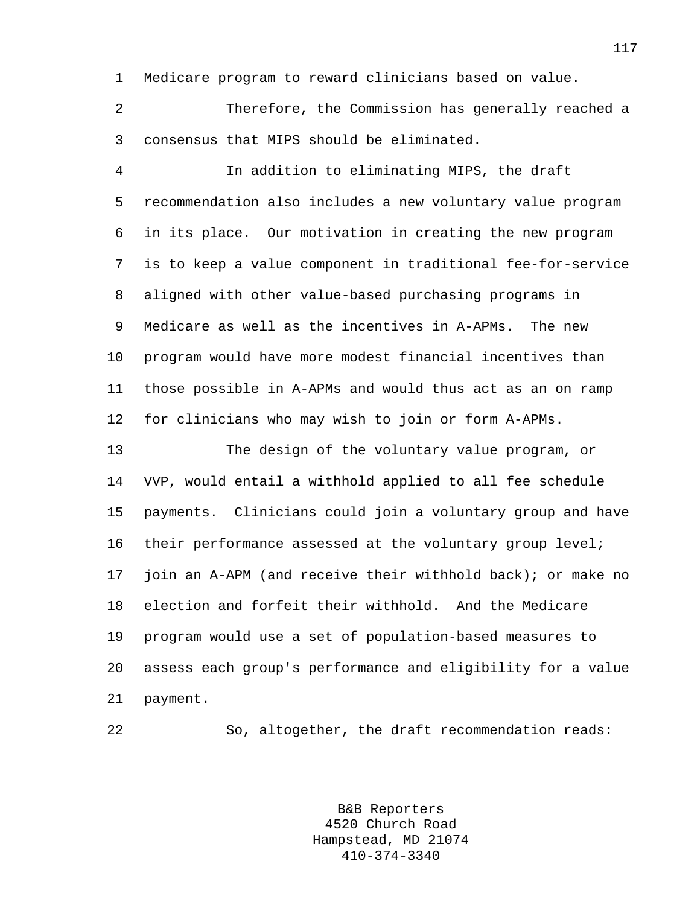1 Medicare program to reward clinicians based on value.

2 Therefore, the Commission has generally reached a 3 consensus that MIPS should be eliminated.

4 In addition to eliminating MIPS, the draft 5 recommendation also includes a new voluntary value program 6 in its place. Our motivation in creating the new program 7 is to keep a value component in traditional fee-for-service 8 aligned with other value-based purchasing programs in 9 Medicare as well as the incentives in A-APMs. The new 10 program would have more modest financial incentives than 11 those possible in A-APMs and would thus act as an on ramp 12 for clinicians who may wish to join or form A-APMs.

13 The design of the voluntary value program, or 14 VVP, would entail a withhold applied to all fee schedule 15 payments. Clinicians could join a voluntary group and have 16 their performance assessed at the voluntary group level; 17 join an A-APM (and receive their withhold back); or make no 18 election and forfeit their withhold. And the Medicare 19 program would use a set of population-based measures to 20 assess each group's performance and eligibility for a value 21 payment.

22 So, altogether, the draft recommendation reads: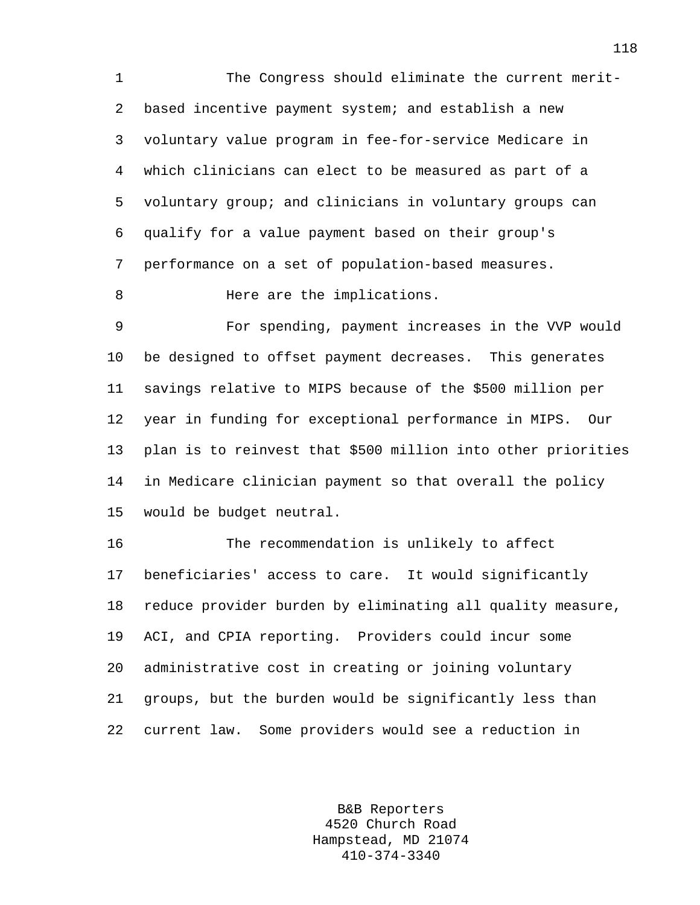1 The Congress should eliminate the current merit-2 based incentive payment system; and establish a new 3 voluntary value program in fee-for-service Medicare in 4 which clinicians can elect to be measured as part of a 5 voluntary group; and clinicians in voluntary groups can 6 qualify for a value payment based on their group's 7 performance on a set of population-based measures.

8 Here are the implications.

9 For spending, payment increases in the VVP would 10 be designed to offset payment decreases. This generates 11 savings relative to MIPS because of the \$500 million per 12 year in funding for exceptional performance in MIPS. Our 13 plan is to reinvest that \$500 million into other priorities 14 in Medicare clinician payment so that overall the policy 15 would be budget neutral.

16 The recommendation is unlikely to affect 17 beneficiaries' access to care. It would significantly 18 reduce provider burden by eliminating all quality measure, 19 ACI, and CPIA reporting. Providers could incur some 20 administrative cost in creating or joining voluntary 21 groups, but the burden would be significantly less than 22 current law. Some providers would see a reduction in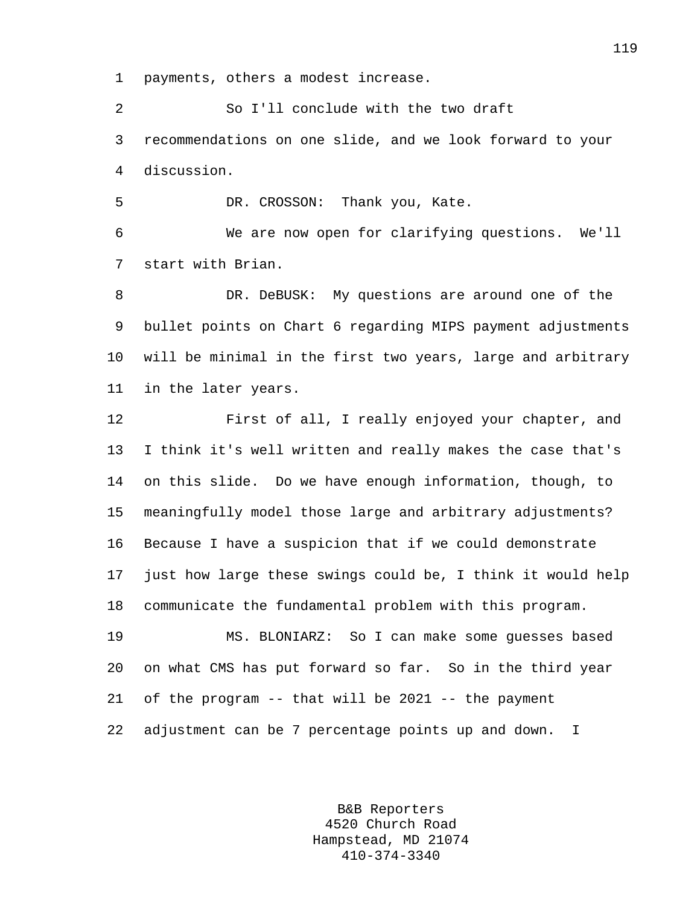1 payments, others a modest increase.

2 So I'll conclude with the two draft 3 recommendations on one slide, and we look forward to your 4 discussion.

5 DR. CROSSON: Thank you, Kate.

6 We are now open for clarifying questions. We'll 7 start with Brian.

8 DR. DeBUSK: My questions are around one of the 9 bullet points on Chart 6 regarding MIPS payment adjustments 10 will be minimal in the first two years, large and arbitrary 11 in the later years.

12 First of all, I really enjoyed your chapter, and 13 I think it's well written and really makes the case that's 14 on this slide. Do we have enough information, though, to 15 meaningfully model those large and arbitrary adjustments? 16 Because I have a suspicion that if we could demonstrate 17 just how large these swings could be, I think it would help 18 communicate the fundamental problem with this program.

19 MS. BLONIARZ: So I can make some guesses based 20 on what CMS has put forward so far. So in the third year 21 of the program -- that will be 2021 -- the payment 22 adjustment can be 7 percentage points up and down. I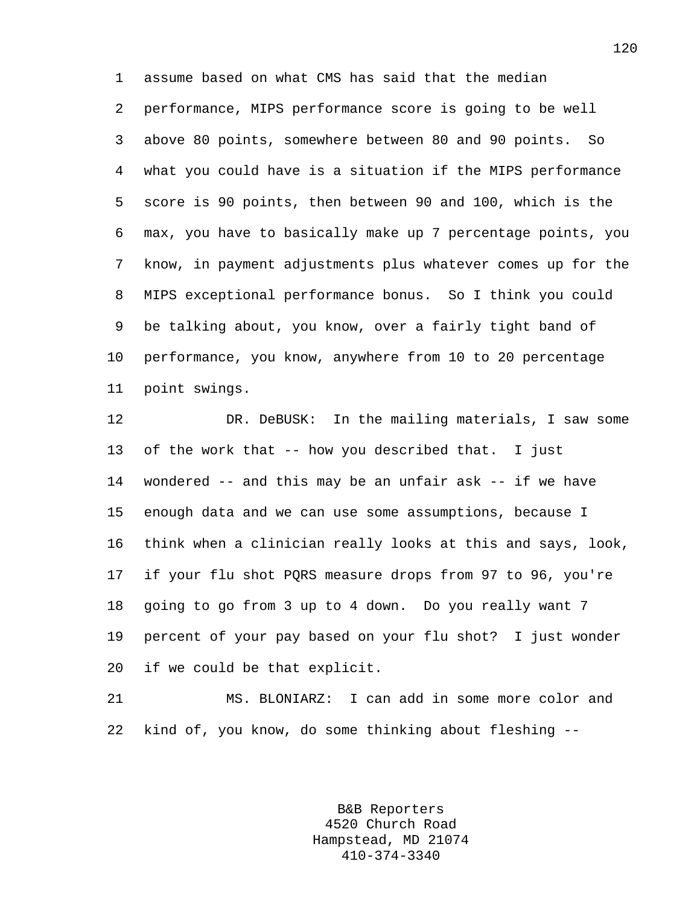1 assume based on what CMS has said that the median 2 performance, MIPS performance score is going to be well 3 above 80 points, somewhere between 80 and 90 points. So 4 what you could have is a situation if the MIPS performance 5 score is 90 points, then between 90 and 100, which is the 6 max, you have to basically make up 7 percentage points, you 7 know, in payment adjustments plus whatever comes up for the 8 MIPS exceptional performance bonus. So I think you could 9 be talking about, you know, over a fairly tight band of 10 performance, you know, anywhere from 10 to 20 percentage 11 point swings.

12 DR. DeBUSK: In the mailing materials, I saw some 13 of the work that -- how you described that. I just 14 wondered -- and this may be an unfair ask -- if we have 15 enough data and we can use some assumptions, because I 16 think when a clinician really looks at this and says, look, 17 if your flu shot PQRS measure drops from 97 to 96, you're 18 going to go from 3 up to 4 down. Do you really want 7 19 percent of your pay based on your flu shot? I just wonder 20 if we could be that explicit.

21 MS. BLONIARZ: I can add in some more color and 22 kind of, you know, do some thinking about fleshing --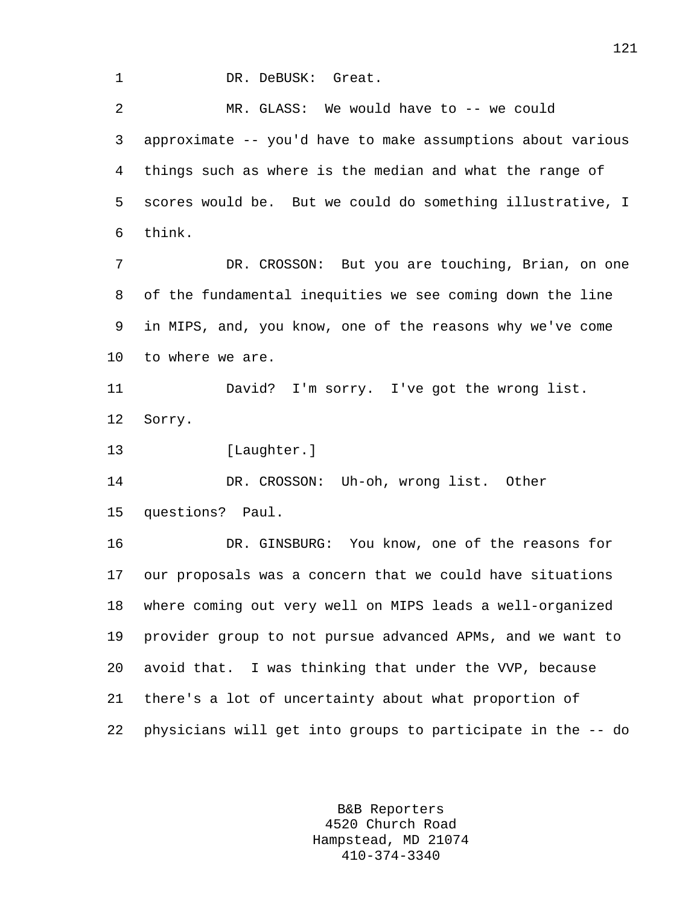1 DR. DeBUSK: Great.

2 MR. GLASS: We would have to -- we could 3 approximate -- you'd have to make assumptions about various 4 things such as where is the median and what the range of 5 scores would be. But we could do something illustrative, I 6 think. 7 DR. CROSSON: But you are touching, Brian, on one 8 of the fundamental inequities we see coming down the line 9 in MIPS, and, you know, one of the reasons why we've come 10 to where we are. 11 David? I'm sorry. I've got the wrong list. 12 Sorry. 13 [Laughter.] 14 DR. CROSSON: Uh-oh, wrong list. Other 15 questions? Paul. 16 DR. GINSBURG: You know, one of the reasons for 17 our proposals was a concern that we could have situations 18 where coming out very well on MIPS leads a well-organized 19 provider group to not pursue advanced APMs, and we want to 20 avoid that. I was thinking that under the VVP, because 21 there's a lot of uncertainty about what proportion of 22 physicians will get into groups to participate in the -- do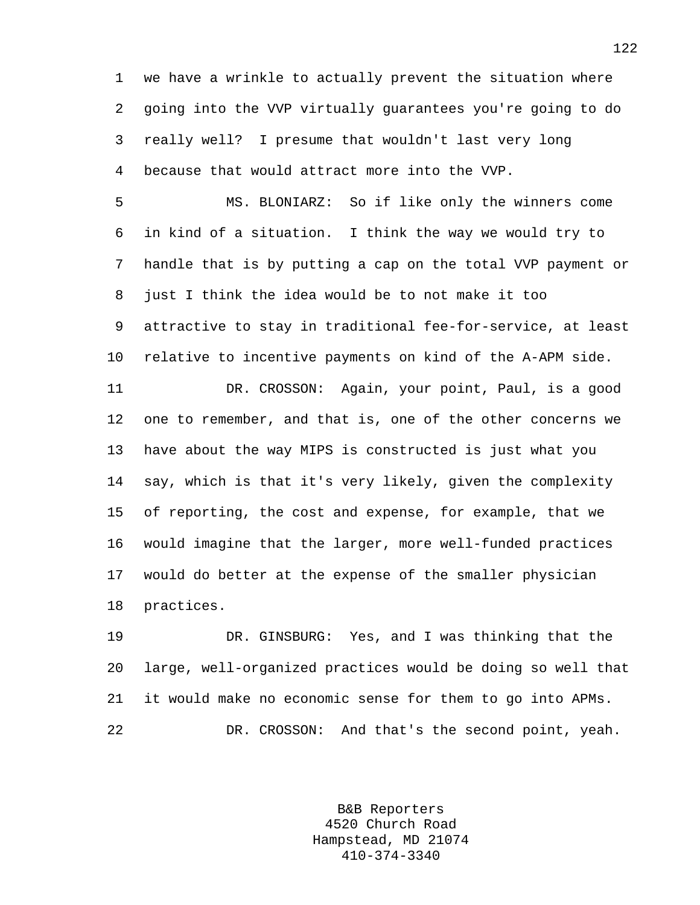1 we have a wrinkle to actually prevent the situation where 2 going into the VVP virtually guarantees you're going to do 3 really well? I presume that wouldn't last very long 4 because that would attract more into the VVP.

5 MS. BLONIARZ: So if like only the winners come 6 in kind of a situation. I think the way we would try to 7 handle that is by putting a cap on the total VVP payment or 8 just I think the idea would be to not make it too 9 attractive to stay in traditional fee-for-service, at least 10 relative to incentive payments on kind of the A-APM side. 11 DR. CROSSON: Again, your point, Paul, is a good 12 one to remember, and that is, one of the other concerns we 13 have about the way MIPS is constructed is just what you 14 say, which is that it's very likely, given the complexity 15 of reporting, the cost and expense, for example, that we 16 would imagine that the larger, more well-funded practices 17 would do better at the expense of the smaller physician 18 practices.

19 DR. GINSBURG: Yes, and I was thinking that the 20 large, well-organized practices would be doing so well that 21 it would make no economic sense for them to go into APMs. 22 DR. CROSSON: And that's the second point, yeah.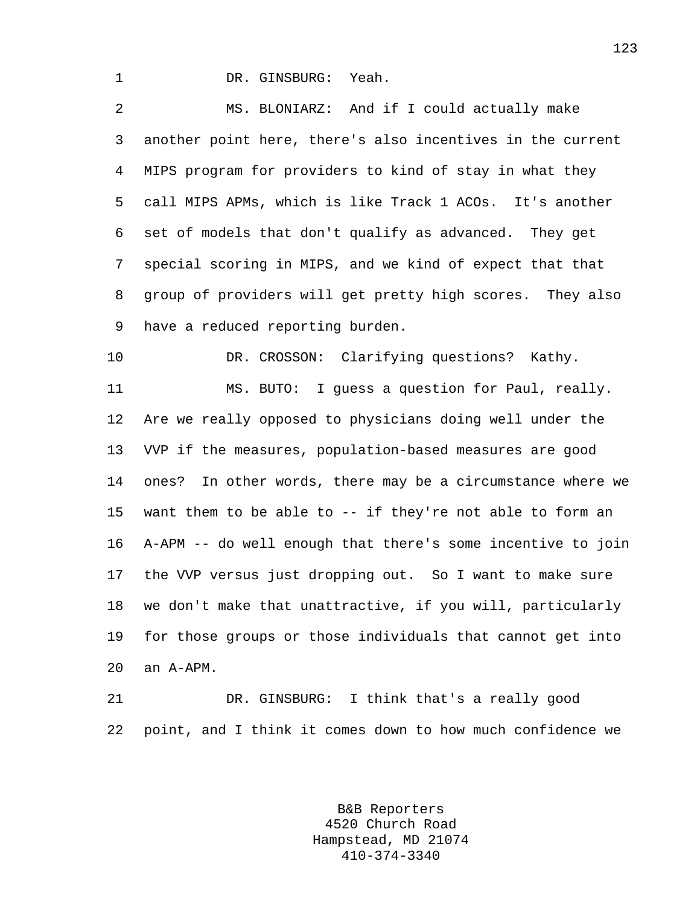1 DR. GINSBURG: Yeah.

2 MS. BLONIARZ: And if I could actually make 3 another point here, there's also incentives in the current 4 MIPS program for providers to kind of stay in what they 5 call MIPS APMs, which is like Track 1 ACOs. It's another 6 set of models that don't qualify as advanced. They get 7 special scoring in MIPS, and we kind of expect that that 8 group of providers will get pretty high scores. They also 9 have a reduced reporting burden.

10 DR. CROSSON: Clarifying questions? Kathy. 11 MS. BUTO: I guess a question for Paul, really. 12 Are we really opposed to physicians doing well under the 13 VVP if the measures, population-based measures are good 14 ones? In other words, there may be a circumstance where we 15 want them to be able to -- if they're not able to form an 16 A-APM -- do well enough that there's some incentive to join 17 the VVP versus just dropping out. So I want to make sure 18 we don't make that unattractive, if you will, particularly 19 for those groups or those individuals that cannot get into 20 an A-APM.

21 DR. GINSBURG: I think that's a really good 22 point, and I think it comes down to how much confidence we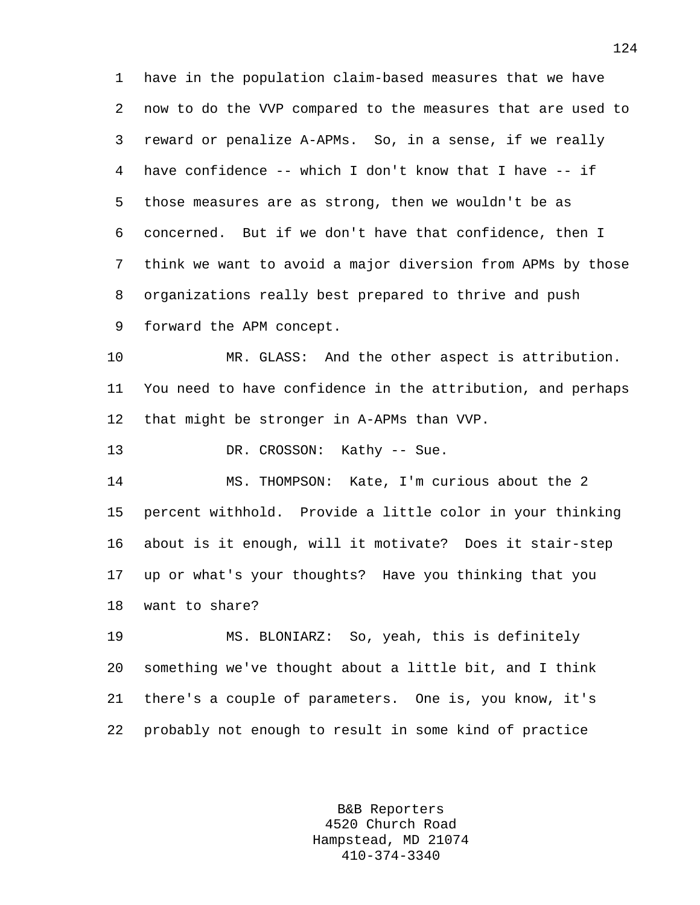1 have in the population claim-based measures that we have 2 now to do the VVP compared to the measures that are used to 3 reward or penalize A-APMs. So, in a sense, if we really 4 have confidence -- which I don't know that I have -- if 5 those measures are as strong, then we wouldn't be as 6 concerned. But if we don't have that confidence, then I 7 think we want to avoid a major diversion from APMs by those 8 organizations really best prepared to thrive and push 9 forward the APM concept.

10 MR. GLASS: And the other aspect is attribution. 11 You need to have confidence in the attribution, and perhaps 12 that might be stronger in A-APMs than VVP.

13 DR. CROSSON: Kathy -- Sue.

14 MS. THOMPSON: Kate, I'm curious about the 2 15 percent withhold. Provide a little color in your thinking 16 about is it enough, will it motivate? Does it stair-step 17 up or what's your thoughts? Have you thinking that you 18 want to share?

19 MS. BLONIARZ: So, yeah, this is definitely 20 something we've thought about a little bit, and I think 21 there's a couple of parameters. One is, you know, it's 22 probably not enough to result in some kind of practice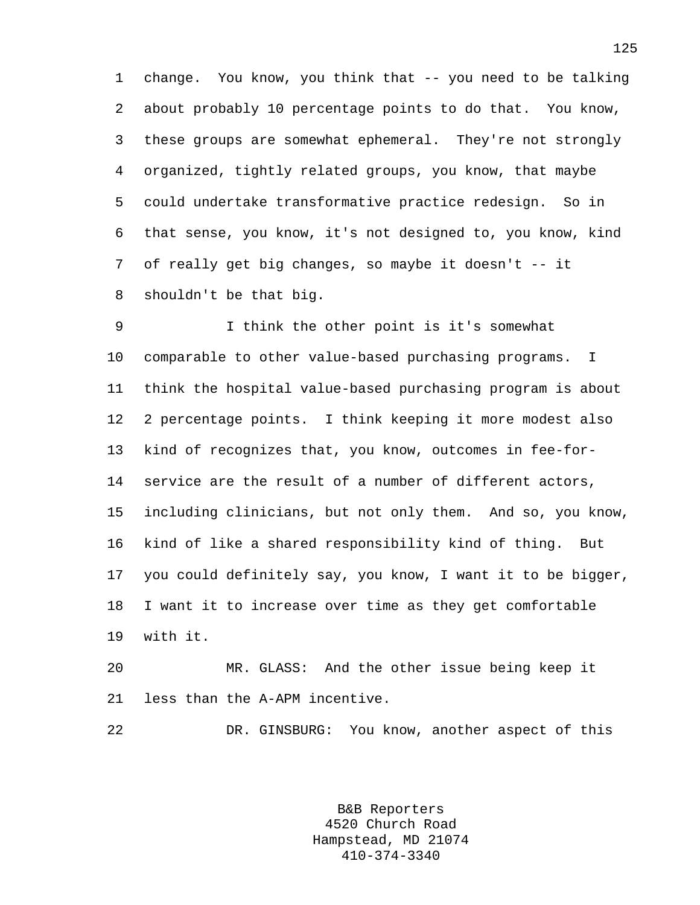1 change. You know, you think that -- you need to be talking 2 about probably 10 percentage points to do that. You know, 3 these groups are somewhat ephemeral. They're not strongly 4 organized, tightly related groups, you know, that maybe 5 could undertake transformative practice redesign. So in 6 that sense, you know, it's not designed to, you know, kind 7 of really get big changes, so maybe it doesn't -- it 8 shouldn't be that big.

9 I think the other point is it's somewhat 10 comparable to other value-based purchasing programs. I 11 think the hospital value-based purchasing program is about 12 2 percentage points. I think keeping it more modest also 13 kind of recognizes that, you know, outcomes in fee-for-14 service are the result of a number of different actors, 15 including clinicians, but not only them. And so, you know, 16 kind of like a shared responsibility kind of thing. But 17 you could definitely say, you know, I want it to be bigger, 18 I want it to increase over time as they get comfortable 19 with it.

20 MR. GLASS: And the other issue being keep it 21 less than the A-APM incentive.

22 DR. GINSBURG: You know, another aspect of this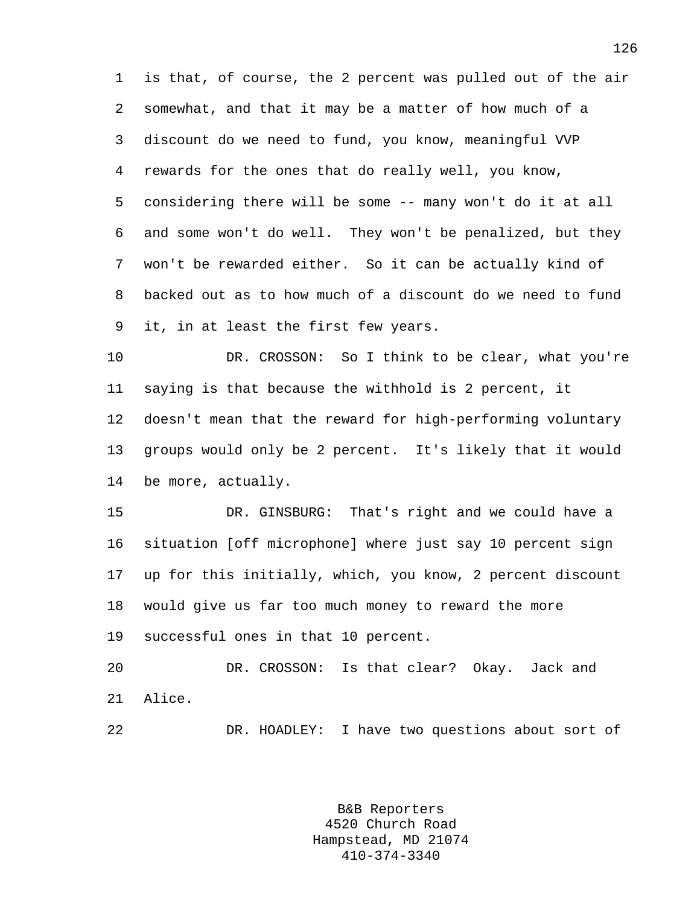1 is that, of course, the 2 percent was pulled out of the air 2 somewhat, and that it may be a matter of how much of a 3 discount do we need to fund, you know, meaningful VVP 4 rewards for the ones that do really well, you know, 5 considering there will be some -- many won't do it at all 6 and some won't do well. They won't be penalized, but they 7 won't be rewarded either. So it can be actually kind of 8 backed out as to how much of a discount do we need to fund 9 it, in at least the first few years.

10 DR. CROSSON: So I think to be clear, what you're 11 saying is that because the withhold is 2 percent, it 12 doesn't mean that the reward for high-performing voluntary 13 groups would only be 2 percent. It's likely that it would 14 be more, actually.

15 DR. GINSBURG: That's right and we could have a 16 situation [off microphone] where just say 10 percent sign 17 up for this initially, which, you know, 2 percent discount 18 would give us far too much money to reward the more 19 successful ones in that 10 percent.

20 DR. CROSSON: Is that clear? Okay. Jack and 21 Alice.

22 DR. HOADLEY: I have two questions about sort of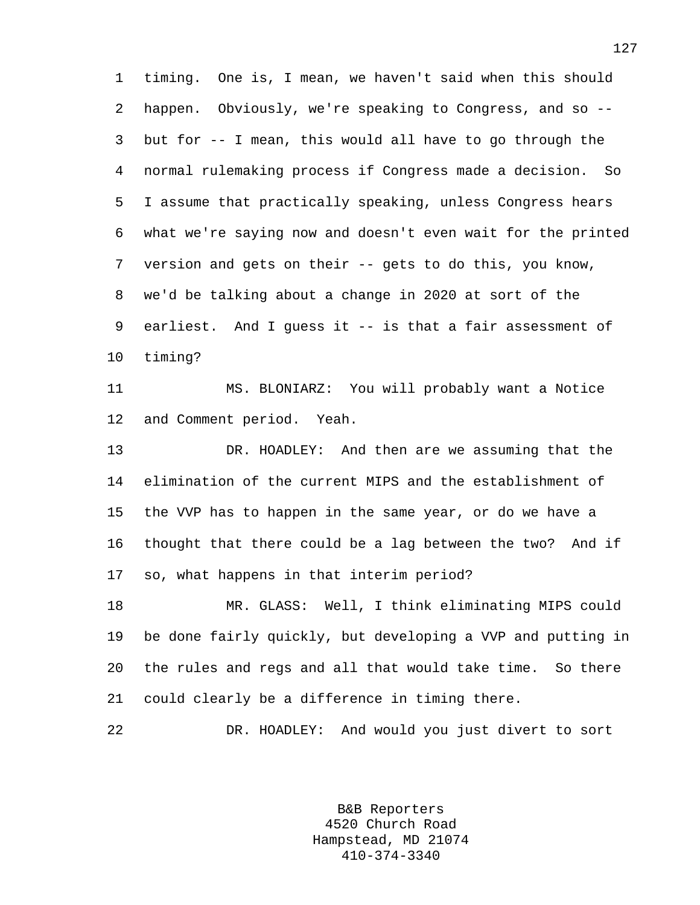1 timing. One is, I mean, we haven't said when this should 2 happen. Obviously, we're speaking to Congress, and so -- 3 but for -- I mean, this would all have to go through the 4 normal rulemaking process if Congress made a decision. So 5 I assume that practically speaking, unless Congress hears 6 what we're saying now and doesn't even wait for the printed 7 version and gets on their -- gets to do this, you know, 8 we'd be talking about a change in 2020 at sort of the 9 earliest. And I guess it -- is that a fair assessment of 10 timing?

11 MS. BLONIARZ: You will probably want a Notice 12 and Comment period. Yeah.

13 DR. HOADLEY: And then are we assuming that the 14 elimination of the current MIPS and the establishment of 15 the VVP has to happen in the same year, or do we have a 16 thought that there could be a lag between the two? And if 17 so, what happens in that interim period?

18 MR. GLASS: Well, I think eliminating MIPS could 19 be done fairly quickly, but developing a VVP and putting in 20 the rules and regs and all that would take time. So there 21 could clearly be a difference in timing there.

22 DR. HOADLEY: And would you just divert to sort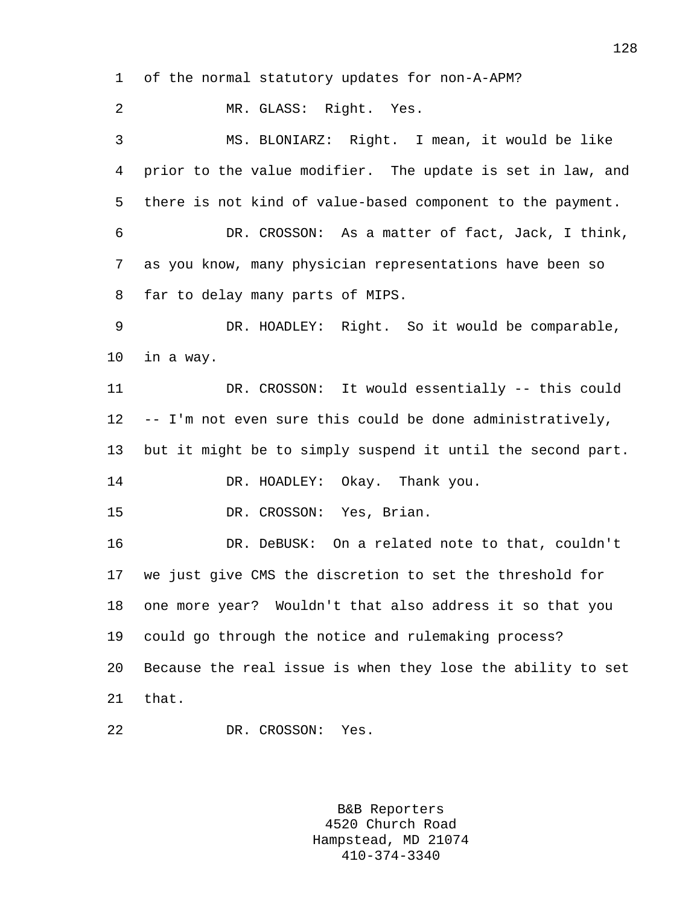1 of the normal statutory updates for non-A-APM?

2 MR. GLASS: Right. Yes. 3 MS. BLONIARZ: Right. I mean, it would be like 4 prior to the value modifier. The update is set in law, and 5 there is not kind of value-based component to the payment. 6 DR. CROSSON: As a matter of fact, Jack, I think, 7 as you know, many physician representations have been so 8 far to delay many parts of MIPS. 9 DR. HOADLEY: Right. So it would be comparable, 10 in a way. 11 DR. CROSSON: It would essentially -- this could 12 -- I'm not even sure this could be done administratively, 13 but it might be to simply suspend it until the second part. 14 DR. HOADLEY: Okay. Thank you. 15 DR. CROSSON: Yes, Brian. 16 DR. DeBUSK: On a related note to that, couldn't 17 we just give CMS the discretion to set the threshold for 18 one more year? Wouldn't that also address it so that you 19 could go through the notice and rulemaking process? 20 Because the real issue is when they lose the ability to set 21 that. 22 DR. CROSSON: Yes.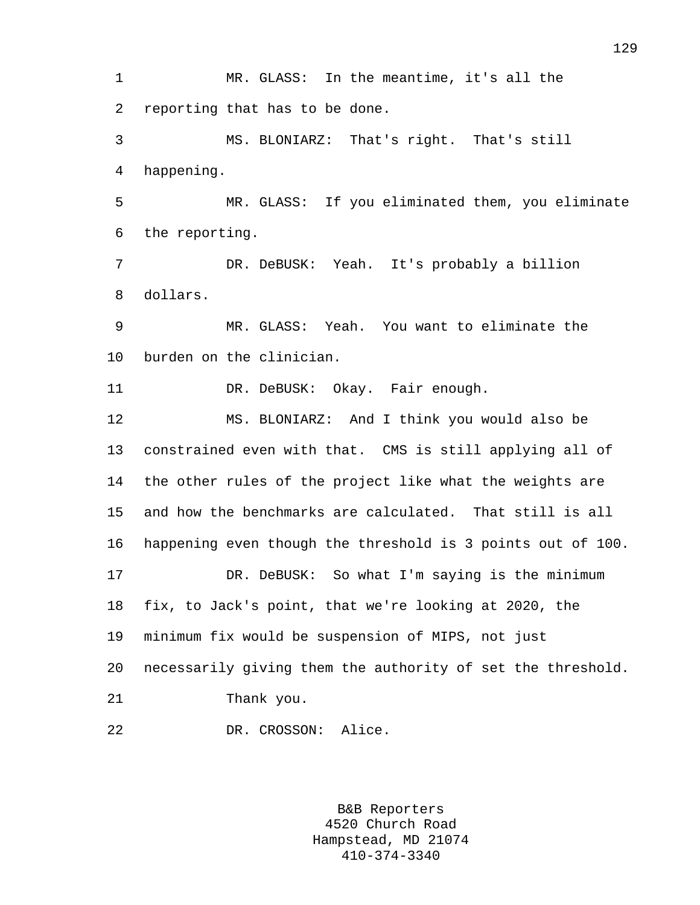1 MR. GLASS: In the meantime, it's all the 2 reporting that has to be done. 3 MS. BLONIARZ: That's right. That's still 4 happening. 5 MR. GLASS: If you eliminated them, you eliminate 6 the reporting. 7 DR. DeBUSK: Yeah. It's probably a billion 8 dollars. 9 MR. GLASS: Yeah. You want to eliminate the 10 burden on the clinician. 11 DR. DeBUSK: Okay. Fair enough. 12 MS. BLONIARZ: And I think you would also be 13 constrained even with that. CMS is still applying all of 14 the other rules of the project like what the weights are 15 and how the benchmarks are calculated. That still is all 16 happening even though the threshold is 3 points out of 100. 17 DR. DeBUSK: So what I'm saying is the minimum 18 fix, to Jack's point, that we're looking at 2020, the 19 minimum fix would be suspension of MIPS, not just 20 necessarily giving them the authority of set the threshold. 21 Thank you. 22 DR. CROSSON: Alice.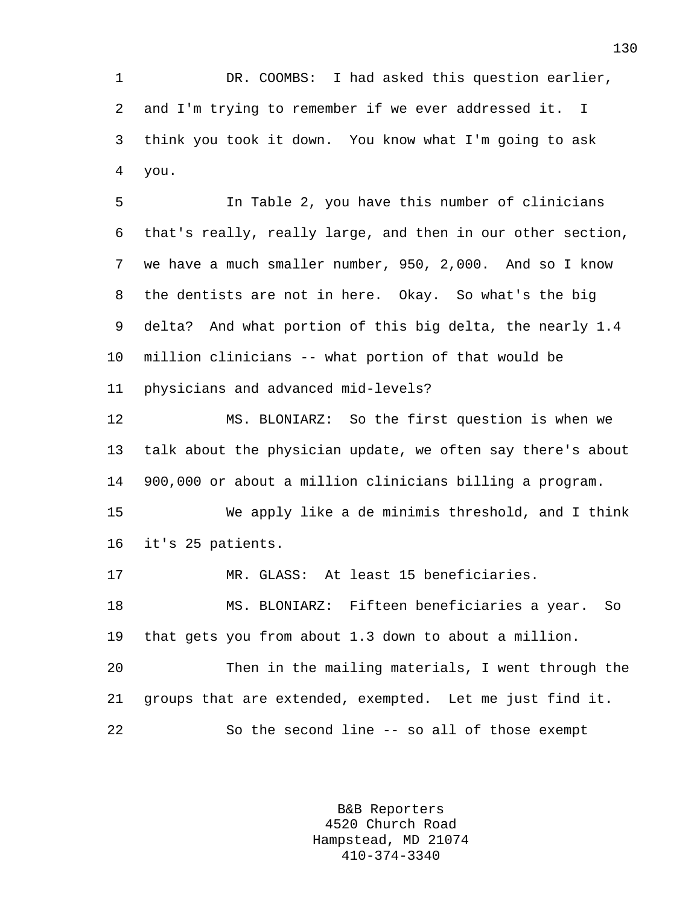1 DR. COOMBS: I had asked this question earlier, 2 and I'm trying to remember if we ever addressed it. I 3 think you took it down. You know what I'm going to ask 4 you.

5 In Table 2, you have this number of clinicians 6 that's really, really large, and then in our other section, 7 we have a much smaller number, 950, 2,000. And so I know 8 the dentists are not in here. Okay. So what's the big 9 delta? And what portion of this big delta, the nearly 1.4 10 million clinicians -- what portion of that would be 11 physicians and advanced mid-levels?

12 MS. BLONIARZ: So the first question is when we 13 talk about the physician update, we often say there's about 14 900,000 or about a million clinicians billing a program.

15 We apply like a de minimis threshold, and I think 16 it's 25 patients.

17 MR. GLASS: At least 15 beneficiaries.

18 MS. BLONIARZ: Fifteen beneficiaries a year. So 19 that gets you from about 1.3 down to about a million.

20 Then in the mailing materials, I went through the 21 groups that are extended, exempted. Let me just find it. 22 So the second line -- so all of those exempt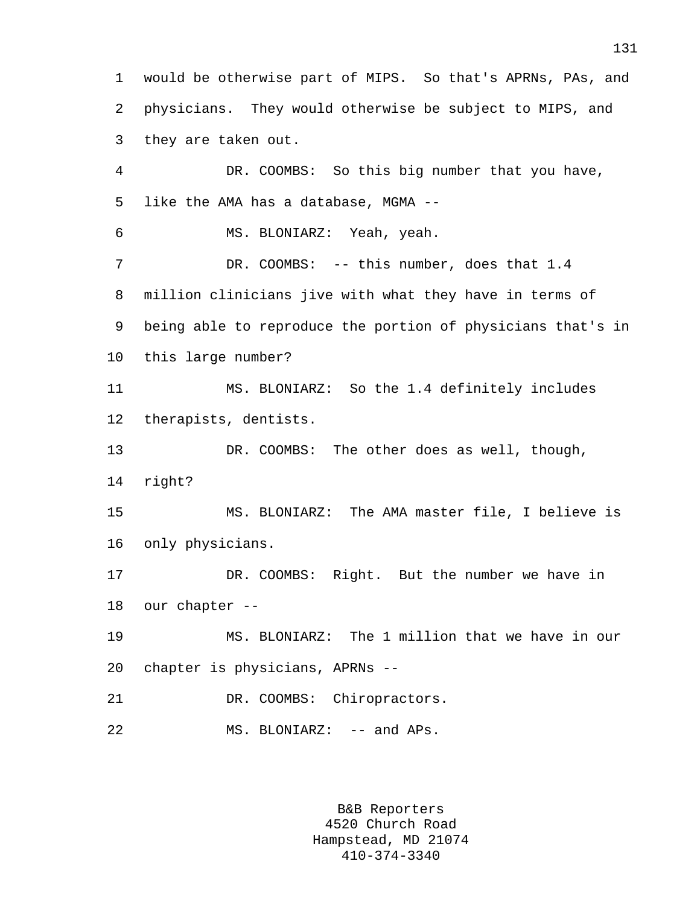1 would be otherwise part of MIPS. So that's APRNs, PAs, and 2 physicians. They would otherwise be subject to MIPS, and 3 they are taken out.

4 DR. COOMBS: So this big number that you have, 5 like the AMA has a database, MGMA -- 6 MS. BLONIARZ: Yeah, yeah. 7 DR. COOMBS: -- this number, does that 1.4 8 million clinicians jive with what they have in terms of 9 being able to reproduce the portion of physicians that's in 10 this large number? 11 MS. BLONIARZ: So the 1.4 definitely includes 12 therapists, dentists. 13 DR. COOMBS: The other does as well, though, 14 right? 15 MS. BLONIARZ: The AMA master file, I believe is 16 only physicians. 17 DR. COOMBS: Right. But the number we have in 18 our chapter -- 19 MS. BLONIARZ: The 1 million that we have in our 20 chapter is physicians, APRNs -- 21 DR. COOMBS: Chiropractors. 22 MS. BLONIARZ: -- and APs.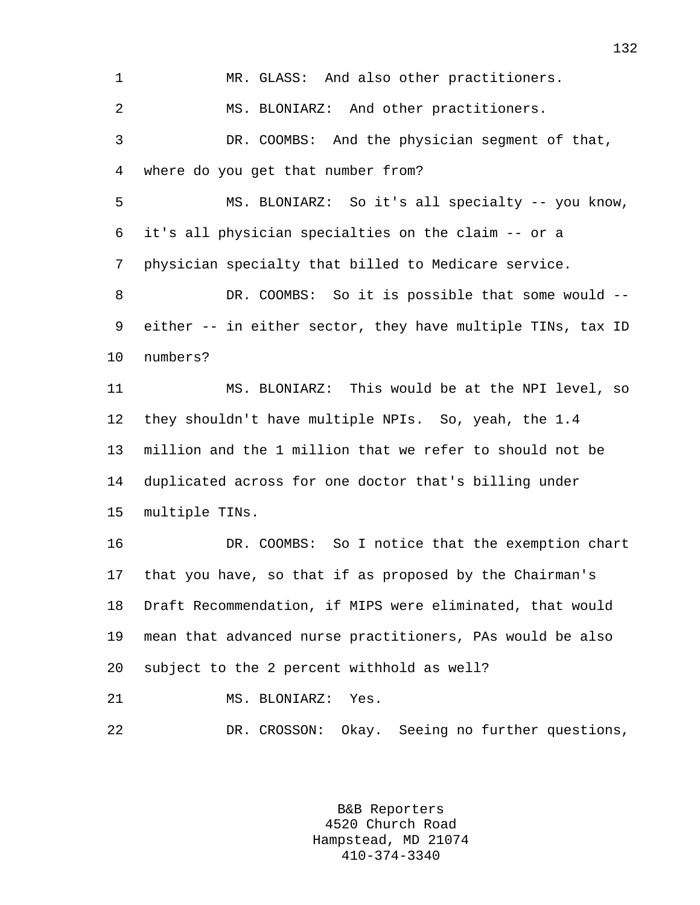1 MR. GLASS: And also other practitioners. 2 MS. BLONIARZ: And other practitioners. 3 DR. COOMBS: And the physician segment of that, 4 where do you get that number from? 5 MS. BLONIARZ: So it's all specialty -- you know, 6 it's all physician specialties on the claim -- or a 7 physician specialty that billed to Medicare service. 8 DR. COOMBS: So it is possible that some would -- 9 either -- in either sector, they have multiple TINs, tax ID 10 numbers? 11 MS. BLONIARZ: This would be at the NPI level, so 12 they shouldn't have multiple NPIs. So, yeah, the 1.4 13 million and the 1 million that we refer to should not be 14 duplicated across for one doctor that's billing under 15 multiple TINs. 16 DR. COOMBS: So I notice that the exemption chart 17 that you have, so that if as proposed by the Chairman's 18 Draft Recommendation, if MIPS were eliminated, that would 19 mean that advanced nurse practitioners, PAs would be also 20 subject to the 2 percent withhold as well? 21 MS. BLONIARZ: Yes. 22 DR. CROSSON: Okay. Seeing no further questions,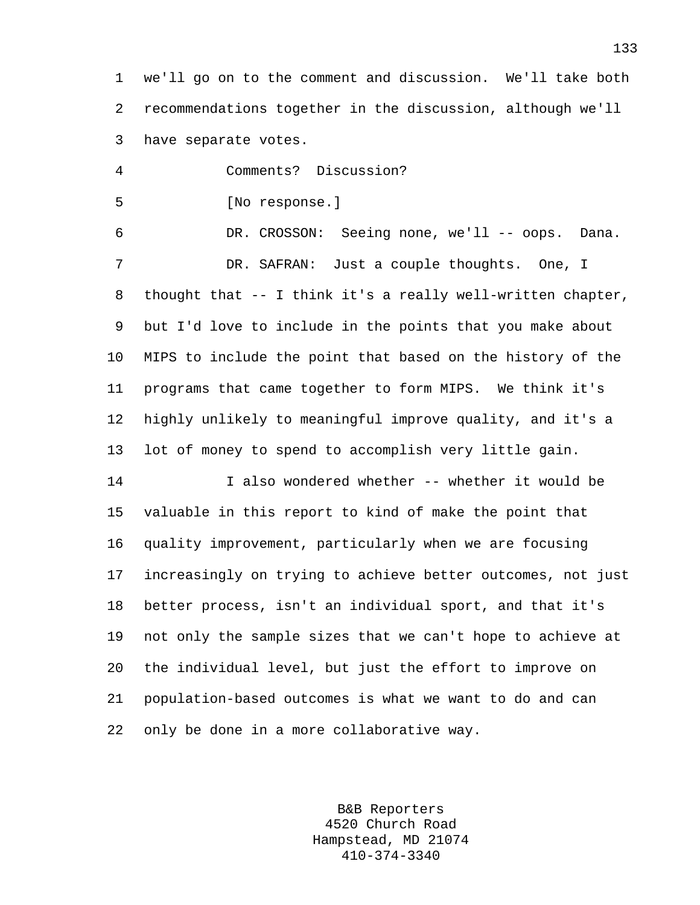1 we'll go on to the comment and discussion. We'll take both 2 recommendations together in the discussion, although we'll 3 have separate votes.

4 Comments? Discussion? 5 [No response.] 6 DR. CROSSON: Seeing none, we'll -- oops. Dana. 7 DR. SAFRAN: Just a couple thoughts. One, I 8 thought that -- I think it's a really well-written chapter, 9 but I'd love to include in the points that you make about 10 MIPS to include the point that based on the history of the 11 programs that came together to form MIPS. We think it's 12 highly unlikely to meaningful improve quality, and it's a 13 lot of money to spend to accomplish very little gain. 14 I also wondered whether -- whether it would be

15 valuable in this report to kind of make the point that 16 quality improvement, particularly when we are focusing 17 increasingly on trying to achieve better outcomes, not just 18 better process, isn't an individual sport, and that it's 19 not only the sample sizes that we can't hope to achieve at 20 the individual level, but just the effort to improve on 21 population-based outcomes is what we want to do and can 22 only be done in a more collaborative way.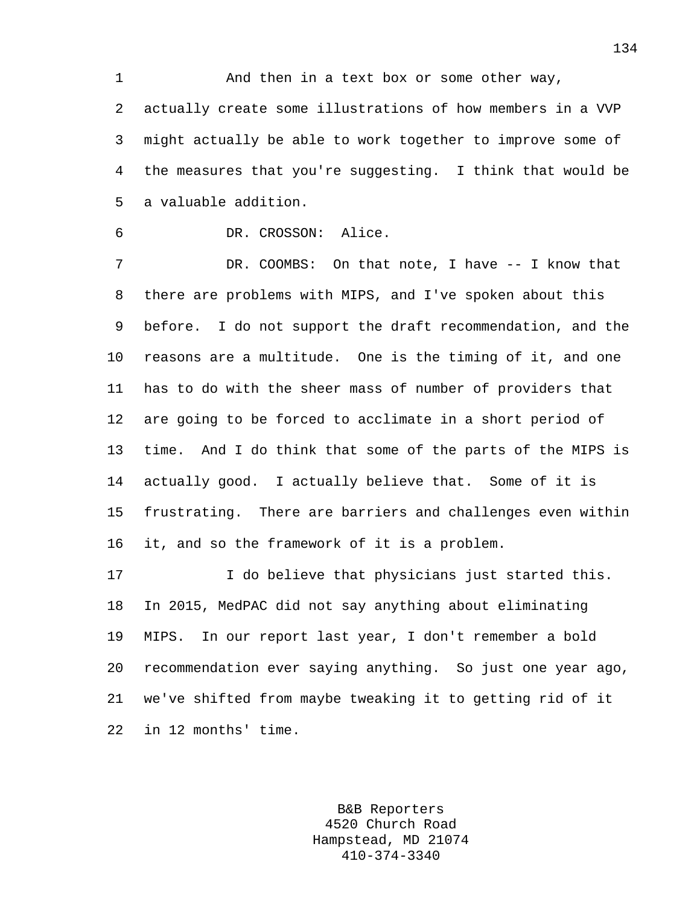1 And then in a text box or some other way, 2 actually create some illustrations of how members in a VVP 3 might actually be able to work together to improve some of 4 the measures that you're suggesting. I think that would be 5 a valuable addition.

## 6 DR. CROSSON: Alice.

7 DR. COOMBS: On that note, I have -- I know that 8 there are problems with MIPS, and I've spoken about this 9 before. I do not support the draft recommendation, and the 10 reasons are a multitude. One is the timing of it, and one 11 has to do with the sheer mass of number of providers that 12 are going to be forced to acclimate in a short period of 13 time. And I do think that some of the parts of the MIPS is 14 actually good. I actually believe that. Some of it is 15 frustrating. There are barriers and challenges even within 16 it, and so the framework of it is a problem.

17 I do believe that physicians just started this. 18 In 2015, MedPAC did not say anything about eliminating 19 MIPS. In our report last year, I don't remember a bold 20 recommendation ever saying anything. So just one year ago, 21 we've shifted from maybe tweaking it to getting rid of it 22 in 12 months' time.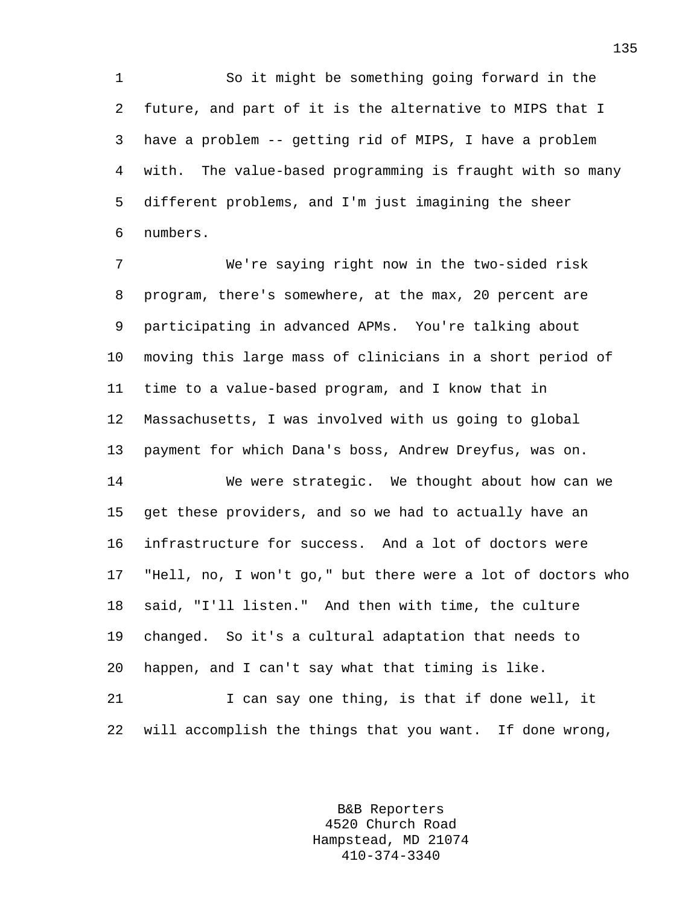1 So it might be something going forward in the 2 future, and part of it is the alternative to MIPS that I 3 have a problem -- getting rid of MIPS, I have a problem 4 with. The value-based programming is fraught with so many 5 different problems, and I'm just imagining the sheer 6 numbers.

7 We're saying right now in the two-sided risk 8 program, there's somewhere, at the max, 20 percent are 9 participating in advanced APMs. You're talking about 10 moving this large mass of clinicians in a short period of 11 time to a value-based program, and I know that in 12 Massachusetts, I was involved with us going to global 13 payment for which Dana's boss, Andrew Dreyfus, was on.

14 We were strategic. We thought about how can we 15 get these providers, and so we had to actually have an 16 infrastructure for success. And a lot of doctors were 17 "Hell, no, I won't go," but there were a lot of doctors who 18 said, "I'll listen." And then with time, the culture 19 changed. So it's a cultural adaptation that needs to 20 happen, and I can't say what that timing is like. 21 I can say one thing, is that if done well, it

22 will accomplish the things that you want. If done wrong,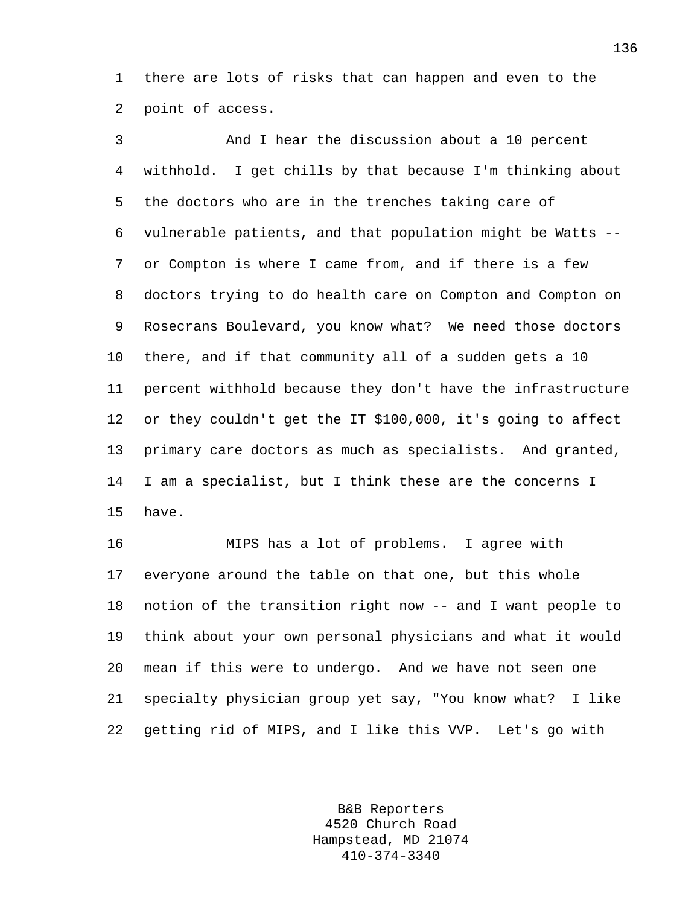1 there are lots of risks that can happen and even to the 2 point of access.

3 And I hear the discussion about a 10 percent 4 withhold. I get chills by that because I'm thinking about 5 the doctors who are in the trenches taking care of 6 vulnerable patients, and that population might be Watts -- 7 or Compton is where I came from, and if there is a few 8 doctors trying to do health care on Compton and Compton on 9 Rosecrans Boulevard, you know what? We need those doctors 10 there, and if that community all of a sudden gets a 10 11 percent withhold because they don't have the infrastructure 12 or they couldn't get the IT \$100,000, it's going to affect 13 primary care doctors as much as specialists. And granted, 14 I am a specialist, but I think these are the concerns I 15 have.

16 MIPS has a lot of problems. I agree with 17 everyone around the table on that one, but this whole 18 notion of the transition right now -- and I want people to 19 think about your own personal physicians and what it would 20 mean if this were to undergo. And we have not seen one 21 specialty physician group yet say, "You know what? I like 22 getting rid of MIPS, and I like this VVP. Let's go with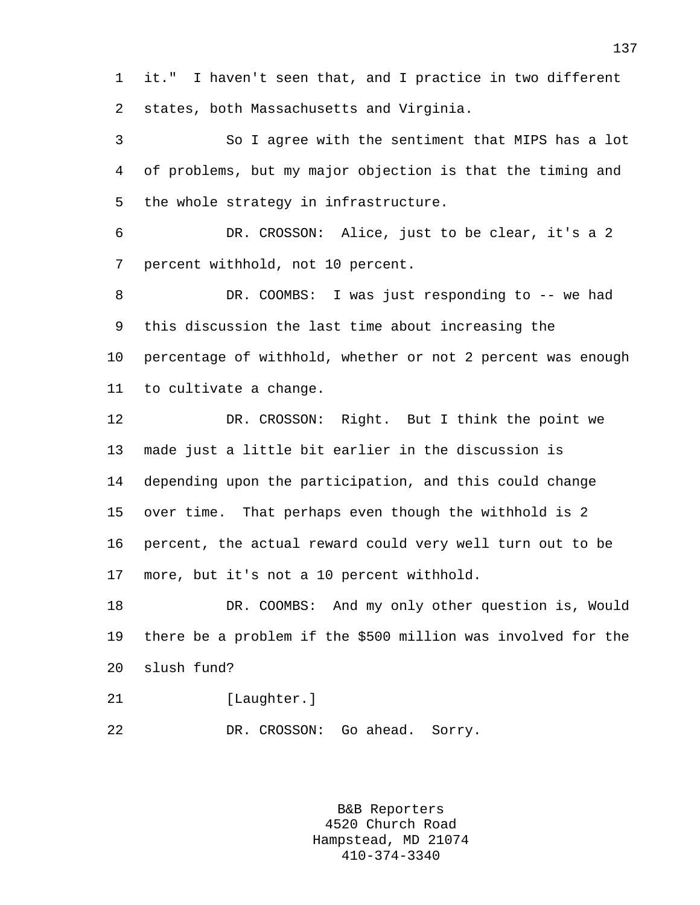1 it." I haven't seen that, and I practice in two different 2 states, both Massachusetts and Virginia.

3 So I agree with the sentiment that MIPS has a lot 4 of problems, but my major objection is that the timing and 5 the whole strategy in infrastructure.

6 DR. CROSSON: Alice, just to be clear, it's a 2 7 percent withhold, not 10 percent.

8 DR. COOMBS: I was just responding to -- we had 9 this discussion the last time about increasing the 10 percentage of withhold, whether or not 2 percent was enough 11 to cultivate a change.

12 DR. CROSSON: Right. But I think the point we 13 made just a little bit earlier in the discussion is 14 depending upon the participation, and this could change 15 over time. That perhaps even though the withhold is 2 16 percent, the actual reward could very well turn out to be 17 more, but it's not a 10 percent withhold.

18 DR. COOMBS: And my only other question is, Would 19 there be a problem if the \$500 million was involved for the 20 slush fund?

21 [Laughter.]

22 DR. CROSSON: Go ahead. Sorry.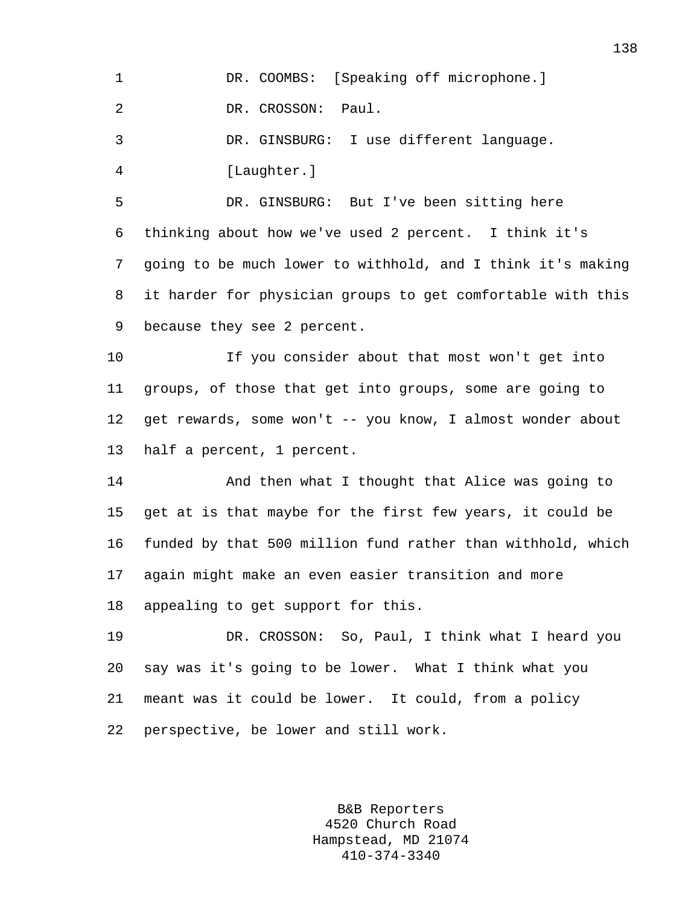|  |  | DR. COOMBS: [Speaking off microphone.] |  |
|--|--|----------------------------------------|--|
|  |  |                                        |  |

2 DR. CROSSON: Paul.

3 DR. GINSBURG: I use different language. 4 [Laughter.]

5 DR. GINSBURG: But I've been sitting here 6 thinking about how we've used 2 percent. I think it's 7 going to be much lower to withhold, and I think it's making 8 it harder for physician groups to get comfortable with this 9 because they see 2 percent.

10 If you consider about that most won't get into 11 groups, of those that get into groups, some are going to 12 get rewards, some won't -- you know, I almost wonder about 13 half a percent, 1 percent.

14 And then what I thought that Alice was going to 15 get at is that maybe for the first few years, it could be 16 funded by that 500 million fund rather than withhold, which 17 again might make an even easier transition and more 18 appealing to get support for this.

19 DR. CROSSON: So, Paul, I think what I heard you 20 say was it's going to be lower. What I think what you 21 meant was it could be lower. It could, from a policy 22 perspective, be lower and still work.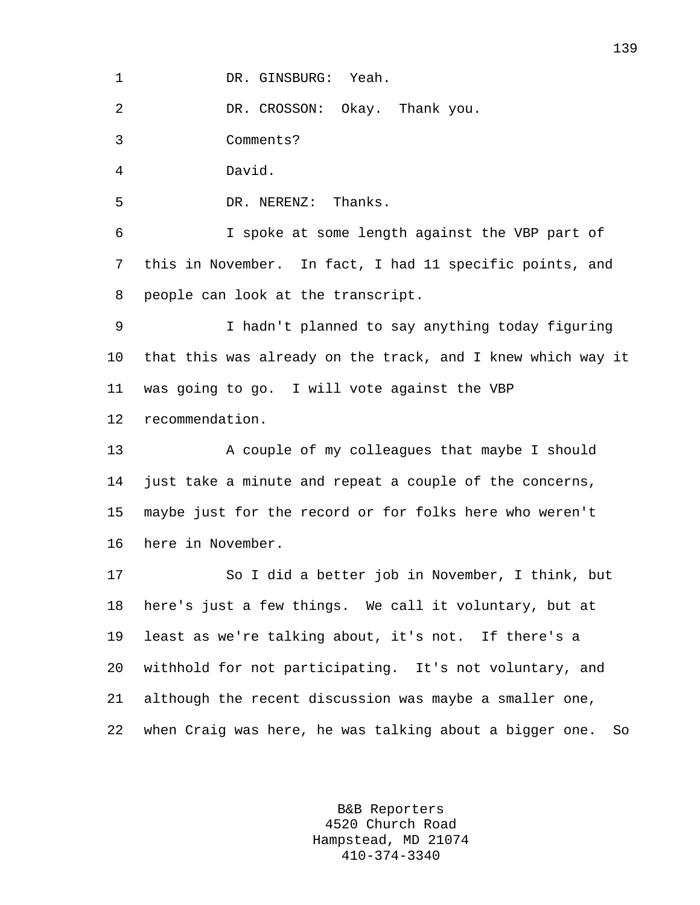1 DR. GINSBURG: Yeah.

2 DR. CROSSON: Okay. Thank you.

3 Comments?

4 David.

5 DR. NERENZ: Thanks.

6 I spoke at some length against the VBP part of 7 this in November. In fact, I had 11 specific points, and 8 people can look at the transcript.

9 I hadn't planned to say anything today figuring 10 that this was already on the track, and I knew which way it 11 was going to go. I will vote against the VBP 12 recommendation.

13 A couple of my colleagues that maybe I should 14 just take a minute and repeat a couple of the concerns, 15 maybe just for the record or for folks here who weren't 16 here in November.

17 So I did a better job in November, I think, but 18 here's just a few things. We call it voluntary, but at 19 least as we're talking about, it's not. If there's a 20 withhold for not participating. It's not voluntary, and 21 although the recent discussion was maybe a smaller one, 22 when Craig was here, he was talking about a bigger one. So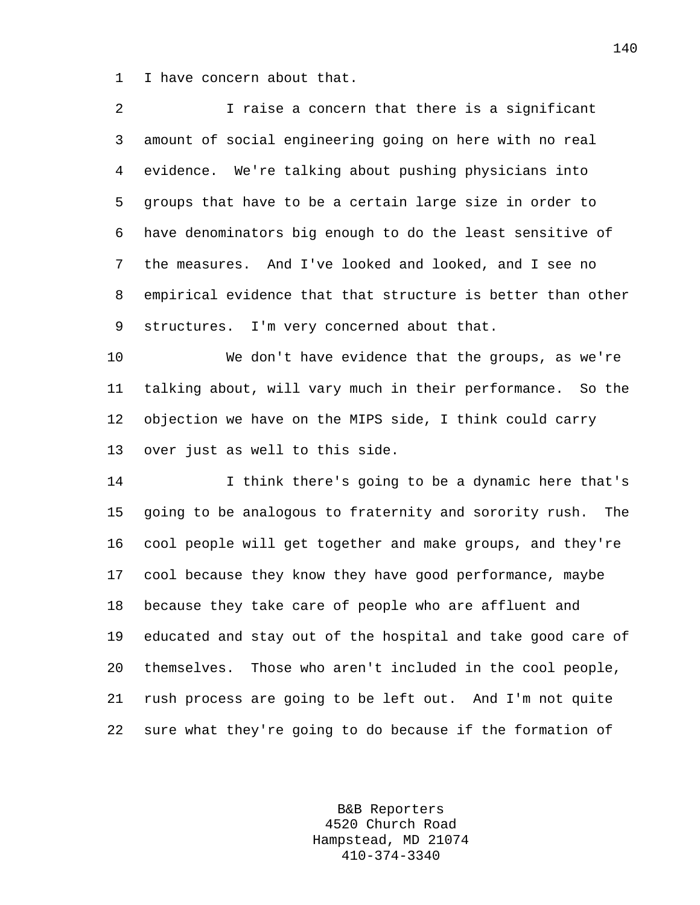1 I have concern about that.

| 2  | I raise a concern that there is a significant                 |
|----|---------------------------------------------------------------|
| 3  | amount of social engineering going on here with no real       |
| 4  | evidence. We're talking about pushing physicians into         |
| 5  | groups that have to be a certain large size in order to       |
| 6  | have denominators big enough to do the least sensitive of     |
| 7  | the measures. And I've looked and looked, and I see no        |
| 8  | empirical evidence that that structure is better than other   |
| 9  | structures. I'm very concerned about that.                    |
| 10 | We don't have evidence that the groups, as we're              |
| 11 | talking about, will vary much in their performance. So the    |
| 12 | objection we have on the MIPS side, I think could carry       |
| 13 | over just as well to this side.                               |
| 14 | I think there's going to be a dynamic here that's             |
| 15 | going to be analogous to fraternity and sorority rush.<br>The |
| 16 | cool people will get together and make groups, and they're    |
| 17 | cool because they know they have good performance, maybe      |
| 18 | because they take care of people who are affluent and         |
| 19 | educated and stay out of the hospital and take good care of   |
| 20 | themselves. Those who aren't included in the cool people,     |
| 21 | rush process are going to be left out. And I'm not quite      |

22 sure what they're going to do because if the formation of

B&B Reporters 4520 Church Road Hampstead, MD 21074 410-374-3340

140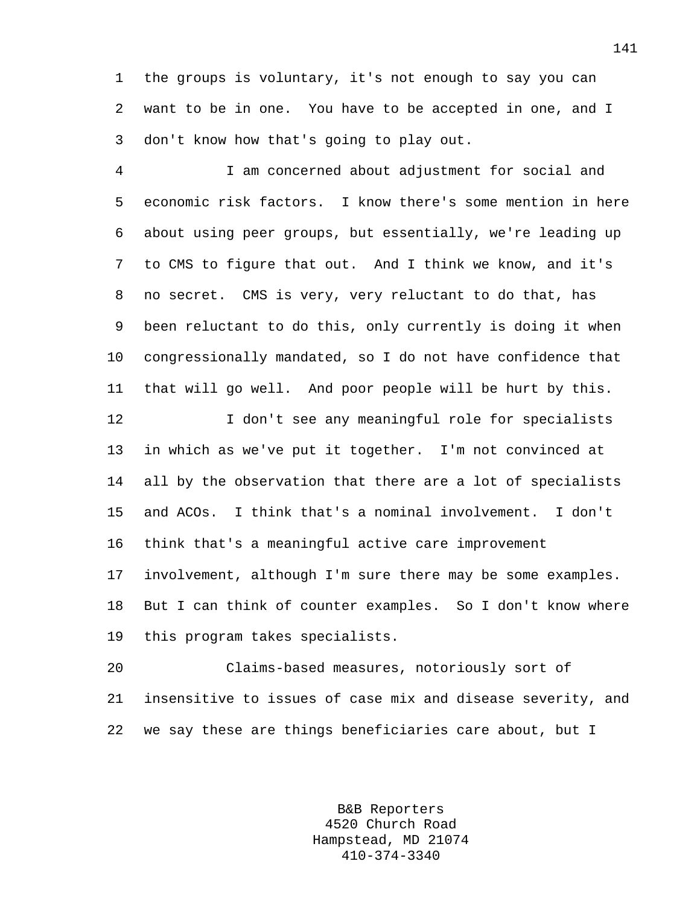1 the groups is voluntary, it's not enough to say you can 2 want to be in one. You have to be accepted in one, and I 3 don't know how that's going to play out.

4 I am concerned about adjustment for social and 5 economic risk factors. I know there's some mention in here 6 about using peer groups, but essentially, we're leading up 7 to CMS to figure that out. And I think we know, and it's 8 no secret. CMS is very, very reluctant to do that, has 9 been reluctant to do this, only currently is doing it when 10 congressionally mandated, so I do not have confidence that 11 that will go well. And poor people will be hurt by this.

12 I don't see any meaningful role for specialists 13 in which as we've put it together. I'm not convinced at 14 all by the observation that there are a lot of specialists 15 and ACOs. I think that's a nominal involvement. I don't 16 think that's a meaningful active care improvement 17 involvement, although I'm sure there may be some examples. 18 But I can think of counter examples. So I don't know where 19 this program takes specialists.

20 Claims-based measures, notoriously sort of 21 insensitive to issues of case mix and disease severity, and 22 we say these are things beneficiaries care about, but I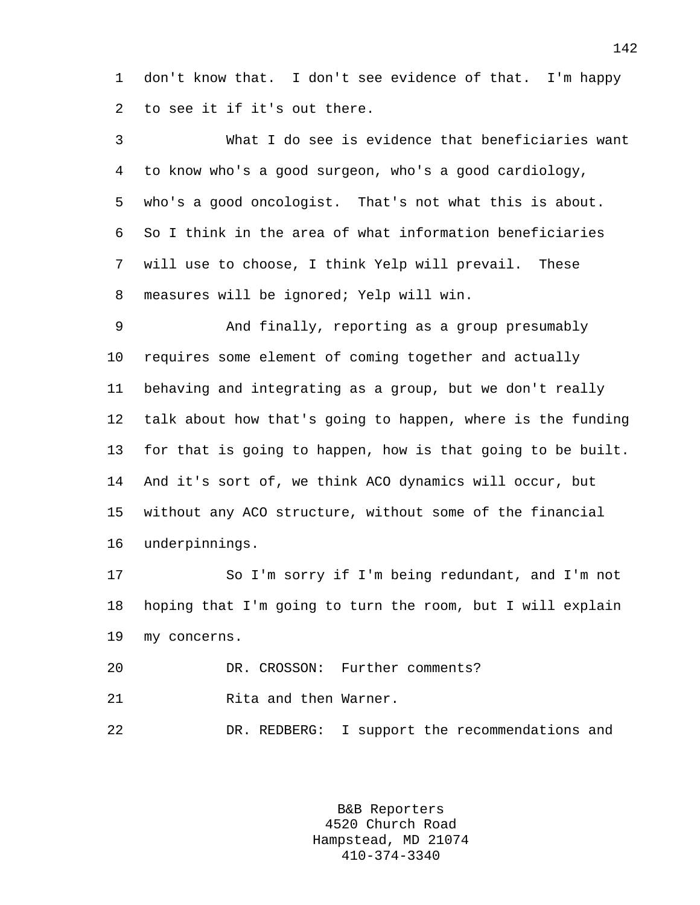1 don't know that. I don't see evidence of that. I'm happy 2 to see it if it's out there.

3 What I do see is evidence that beneficiaries want 4 to know who's a good surgeon, who's a good cardiology, 5 who's a good oncologist. That's not what this is about. 6 So I think in the area of what information beneficiaries 7 will use to choose, I think Yelp will prevail. These 8 measures will be ignored; Yelp will win.

9 And finally, reporting as a group presumably 10 requires some element of coming together and actually 11 behaving and integrating as a group, but we don't really 12 talk about how that's going to happen, where is the funding 13 for that is going to happen, how is that going to be built. 14 And it's sort of, we think ACO dynamics will occur, but 15 without any ACO structure, without some of the financial 16 underpinnings.

17 So I'm sorry if I'm being redundant, and I'm not 18 hoping that I'm going to turn the room, but I will explain 19 my concerns.

20 DR. CROSSON: Further comments?

21 Rita and then Warner.

22 DR. REDBERG: I support the recommendations and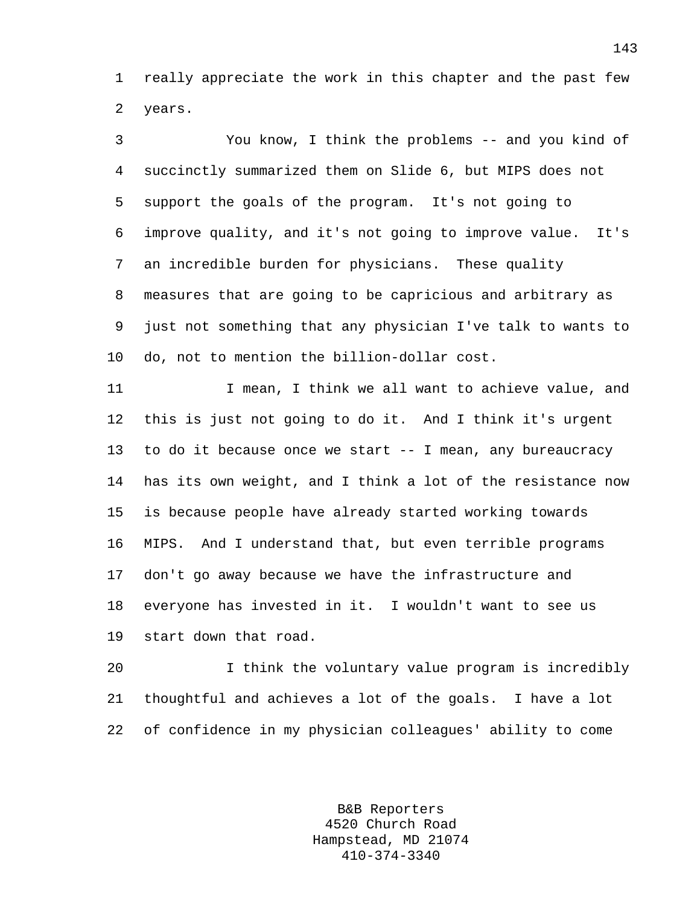1 really appreciate the work in this chapter and the past few 2 years.

3 You know, I think the problems -- and you kind of 4 succinctly summarized them on Slide 6, but MIPS does not 5 support the goals of the program. It's not going to 6 improve quality, and it's not going to improve value. It's 7 an incredible burden for physicians. These quality 8 measures that are going to be capricious and arbitrary as 9 just not something that any physician I've talk to wants to 10 do, not to mention the billion-dollar cost.

11 11 I mean, I think we all want to achieve value, and 12 this is just not going to do it. And I think it's urgent 13 to do it because once we start -- I mean, any bureaucracy 14 has its own weight, and I think a lot of the resistance now 15 is because people have already started working towards 16 MIPS. And I understand that, but even terrible programs 17 don't go away because we have the infrastructure and 18 everyone has invested in it. I wouldn't want to see us 19 start down that road.

20 I think the voluntary value program is incredibly 21 thoughtful and achieves a lot of the goals. I have a lot 22 of confidence in my physician colleagues' ability to come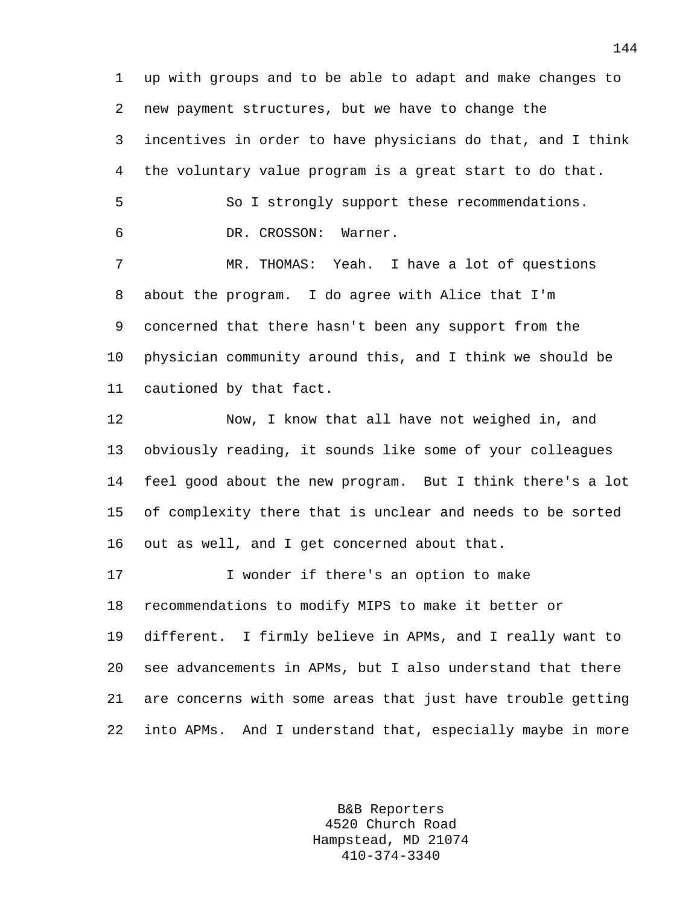1 up with groups and to be able to adapt and make changes to 2 new payment structures, but we have to change the 3 incentives in order to have physicians do that, and I think 4 the voluntary value program is a great start to do that. 5 So I strongly support these recommendations. 6 DR. CROSSON: Warner. 7 MR. THOMAS: Yeah. I have a lot of questions 8 about the program. I do agree with Alice that I'm 9 concerned that there hasn't been any support from the 10 physician community around this, and I think we should be 11 cautioned by that fact. 12 Now, I know that all have not weighed in, and 13 obviously reading, it sounds like some of your colleagues 14 feel good about the new program. But I think there's a lot 15 of complexity there that is unclear and needs to be sorted 16 out as well, and I get concerned about that. 17 I wonder if there's an option to make 18 recommendations to modify MIPS to make it better or 19 different. I firmly believe in APMs, and I really want to 20 see advancements in APMs, but I also understand that there

21 are concerns with some areas that just have trouble getting 22 into APMs. And I understand that, especially maybe in more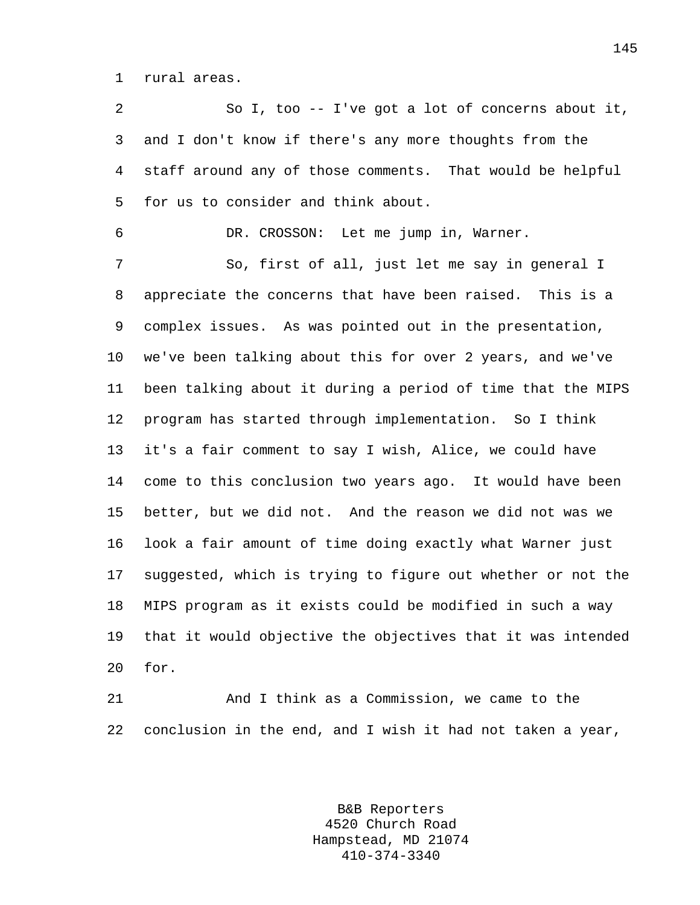1 rural areas.

2 So I, too -- I've got a lot of concerns about it, 3 and I don't know if there's any more thoughts from the 4 staff around any of those comments. That would be helpful 5 for us to consider and think about.

6 DR. CROSSON: Let me jump in, Warner.

7 So, first of all, just let me say in general I 8 appreciate the concerns that have been raised. This is a 9 complex issues. As was pointed out in the presentation, 10 we've been talking about this for over 2 years, and we've 11 been talking about it during a period of time that the MIPS 12 program has started through implementation. So I think 13 it's a fair comment to say I wish, Alice, we could have 14 come to this conclusion two years ago. It would have been 15 better, but we did not. And the reason we did not was we 16 look a fair amount of time doing exactly what Warner just 17 suggested, which is trying to figure out whether or not the 18 MIPS program as it exists could be modified in such a way 19 that it would objective the objectives that it was intended 20 for.

21 And I think as a Commission, we came to the 22 conclusion in the end, and I wish it had not taken a year,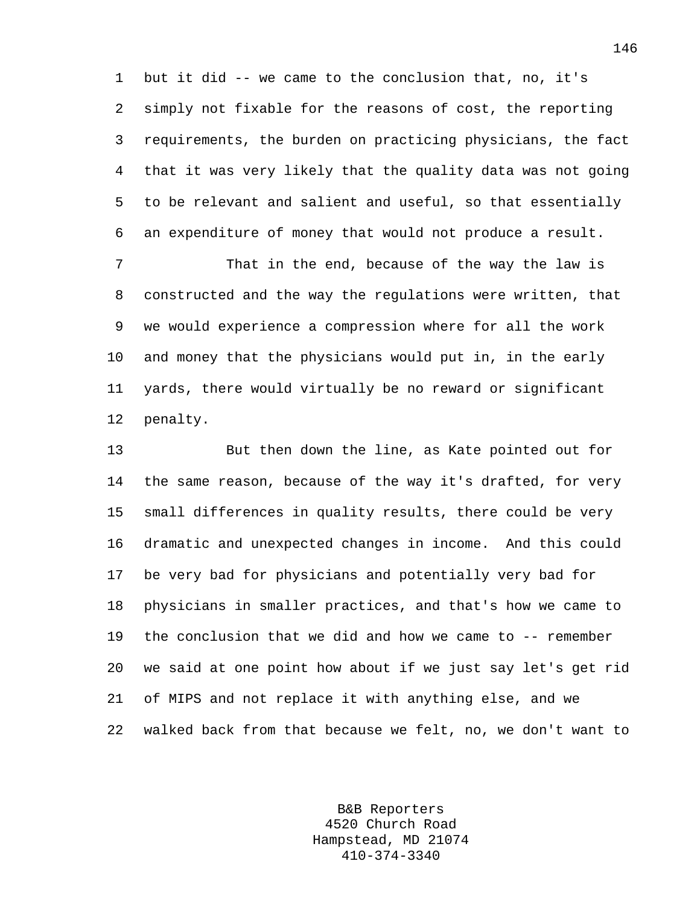1 but it did -- we came to the conclusion that, no, it's 2 simply not fixable for the reasons of cost, the reporting 3 requirements, the burden on practicing physicians, the fact 4 that it was very likely that the quality data was not going 5 to be relevant and salient and useful, so that essentially 6 an expenditure of money that would not produce a result.

7 That in the end, because of the way the law is 8 constructed and the way the regulations were written, that 9 we would experience a compression where for all the work 10 and money that the physicians would put in, in the early 11 yards, there would virtually be no reward or significant 12 penalty.

13 But then down the line, as Kate pointed out for 14 the same reason, because of the way it's drafted, for very 15 small differences in quality results, there could be very 16 dramatic and unexpected changes in income. And this could 17 be very bad for physicians and potentially very bad for 18 physicians in smaller practices, and that's how we came to 19 the conclusion that we did and how we came to -- remember 20 we said at one point how about if we just say let's get rid 21 of MIPS and not replace it with anything else, and we 22 walked back from that because we felt, no, we don't want to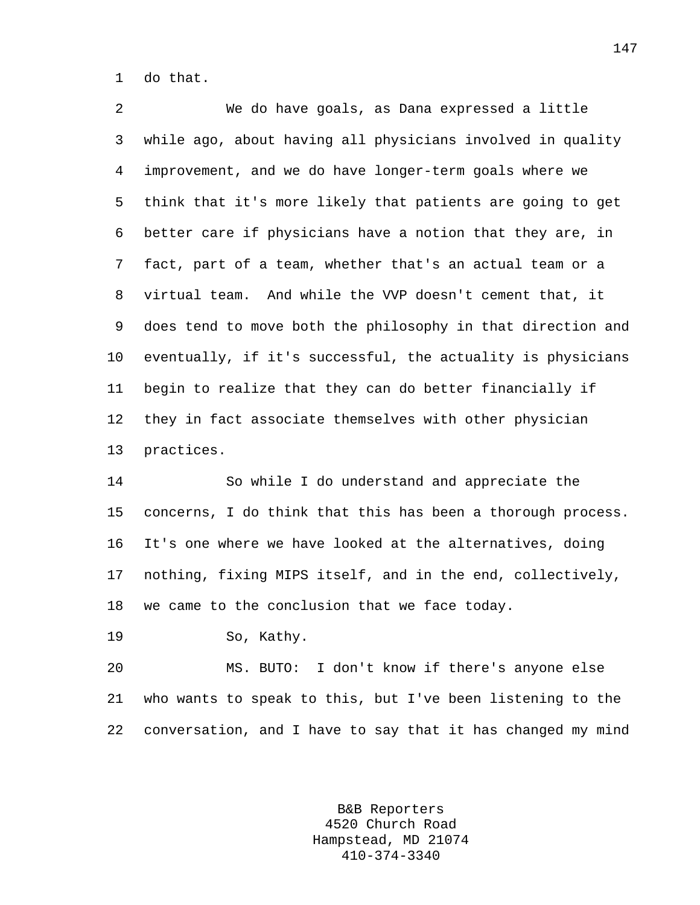1 do that.

2 We do have goals, as Dana expressed a little 3 while ago, about having all physicians involved in quality 4 improvement, and we do have longer-term goals where we 5 think that it's more likely that patients are going to get 6 better care if physicians have a notion that they are, in 7 fact, part of a team, whether that's an actual team or a 8 virtual team. And while the VVP doesn't cement that, it 9 does tend to move both the philosophy in that direction and 10 eventually, if it's successful, the actuality is physicians 11 begin to realize that they can do better financially if 12 they in fact associate themselves with other physician 13 practices.

14 So while I do understand and appreciate the 15 concerns, I do think that this has been a thorough process. 16 It's one where we have looked at the alternatives, doing 17 nothing, fixing MIPS itself, and in the end, collectively, 18 we came to the conclusion that we face today.

19 So, Kathy.

20 MS. BUTO: I don't know if there's anyone else 21 who wants to speak to this, but I've been listening to the 22 conversation, and I have to say that it has changed my mind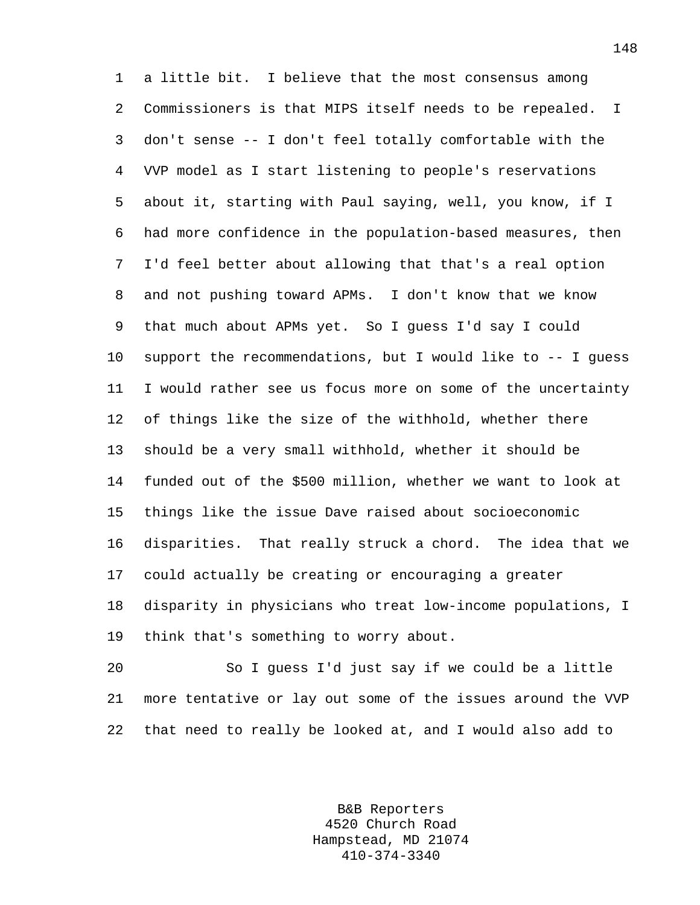1 a little bit. I believe that the most consensus among 2 Commissioners is that MIPS itself needs to be repealed. I 3 don't sense -- I don't feel totally comfortable with the 4 VVP model as I start listening to people's reservations 5 about it, starting with Paul saying, well, you know, if I 6 had more confidence in the population-based measures, then 7 I'd feel better about allowing that that's a real option 8 and not pushing toward APMs. I don't know that we know 9 that much about APMs yet. So I guess I'd say I could 10 support the recommendations, but I would like to -- I guess 11 I would rather see us focus more on some of the uncertainty 12 of things like the size of the withhold, whether there 13 should be a very small withhold, whether it should be 14 funded out of the \$500 million, whether we want to look at 15 things like the issue Dave raised about socioeconomic 16 disparities. That really struck a chord. The idea that we 17 could actually be creating or encouraging a greater 18 disparity in physicians who treat low-income populations, I 19 think that's something to worry about.

20 So I guess I'd just say if we could be a little 21 more tentative or lay out some of the issues around the VVP 22 that need to really be looked at, and I would also add to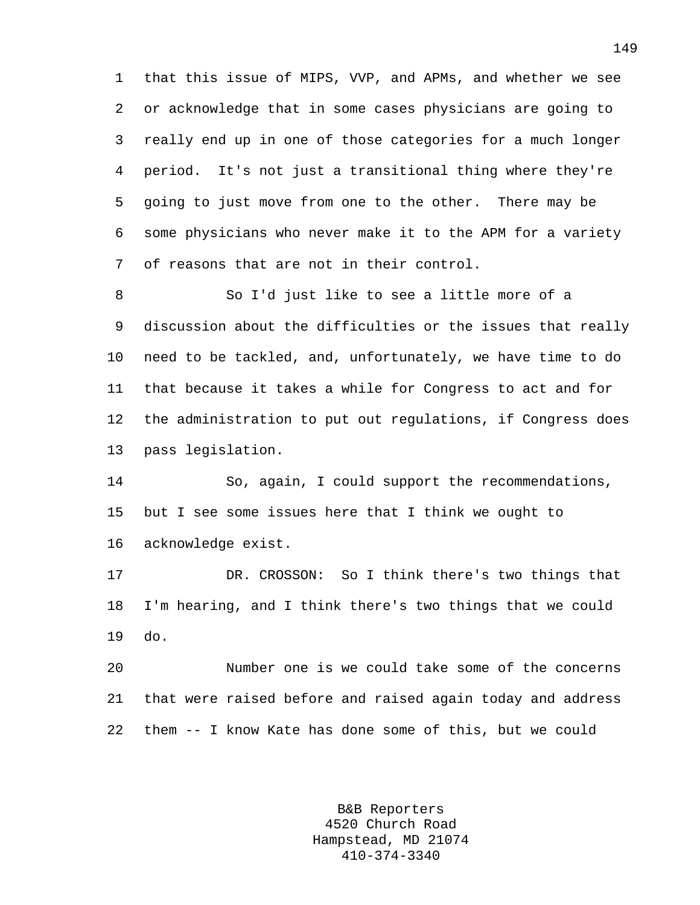1 that this issue of MIPS, VVP, and APMs, and whether we see 2 or acknowledge that in some cases physicians are going to 3 really end up in one of those categories for a much longer 4 period. It's not just a transitional thing where they're 5 going to just move from one to the other. There may be 6 some physicians who never make it to the APM for a variety 7 of reasons that are not in their control.

8 So I'd just like to see a little more of a 9 discussion about the difficulties or the issues that really 10 need to be tackled, and, unfortunately, we have time to do 11 that because it takes a while for Congress to act and for 12 the administration to put out regulations, if Congress does 13 pass legislation.

14 So, again, I could support the recommendations, 15 but I see some issues here that I think we ought to 16 acknowledge exist.

17 DR. CROSSON: So I think there's two things that 18 I'm hearing, and I think there's two things that we could 19 do.

20 Number one is we could take some of the concerns 21 that were raised before and raised again today and address 22 them -- I know Kate has done some of this, but we could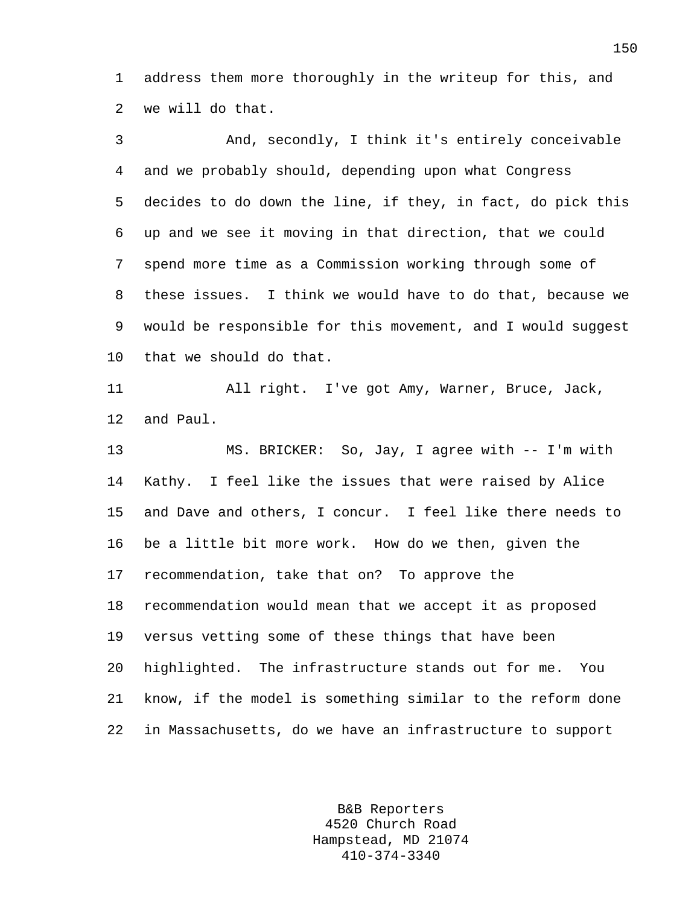1 address them more thoroughly in the writeup for this, and 2 we will do that.

3 And, secondly, I think it's entirely conceivable 4 and we probably should, depending upon what Congress 5 decides to do down the line, if they, in fact, do pick this 6 up and we see it moving in that direction, that we could 7 spend more time as a Commission working through some of 8 these issues. I think we would have to do that, because we 9 would be responsible for this movement, and I would suggest 10 that we should do that. 11 All right. I've got Amy, Warner, Bruce, Jack, 12 and Paul. 13 MS. BRICKER: So, Jay, I agree with -- I'm with 14 Kathy. I feel like the issues that were raised by Alice 15 and Dave and others, I concur. I feel like there needs to 16 be a little bit more work. How do we then, given the 17 recommendation, take that on? To approve the 18 recommendation would mean that we accept it as proposed

19 versus vetting some of these things that have been 20 highlighted. The infrastructure stands out for me. You 21 know, if the model is something similar to the reform done 22 in Massachusetts, do we have an infrastructure to support

> B&B Reporters 4520 Church Road Hampstead, MD 21074 410-374-3340

150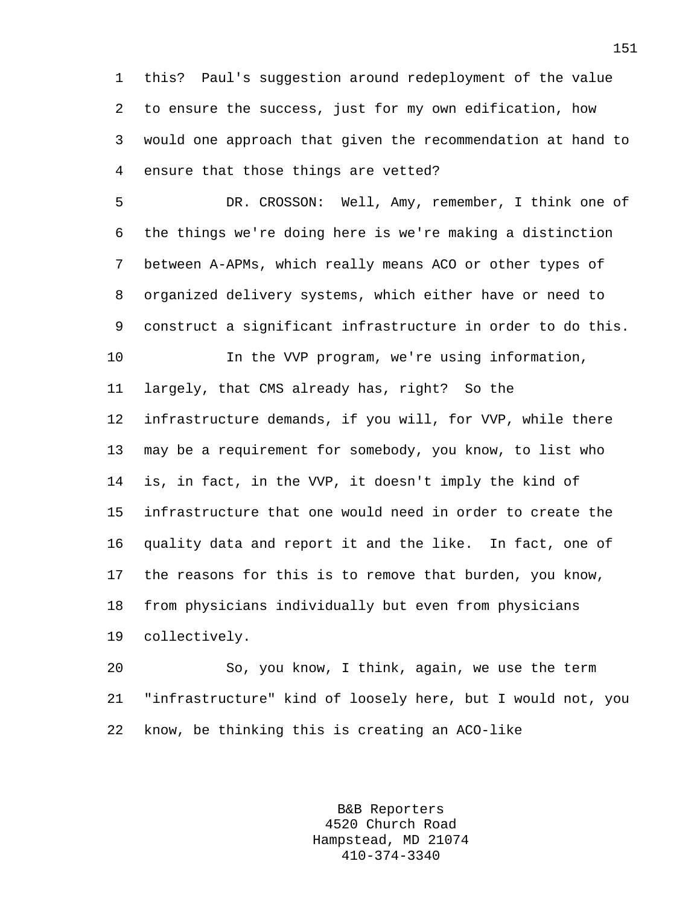1 this? Paul's suggestion around redeployment of the value 2 to ensure the success, just for my own edification, how 3 would one approach that given the recommendation at hand to 4 ensure that those things are vetted?

5 DR. CROSSON: Well, Amy, remember, I think one of 6 the things we're doing here is we're making a distinction 7 between A-APMs, which really means ACO or other types of 8 organized delivery systems, which either have or need to 9 construct a significant infrastructure in order to do this. 10 In the VVP program, we're using information, 11 largely, that CMS already has, right? So the 12 infrastructure demands, if you will, for VVP, while there 13 may be a requirement for somebody, you know, to list who 14 is, in fact, in the VVP, it doesn't imply the kind of 15 infrastructure that one would need in order to create the 16 quality data and report it and the like. In fact, one of 17 the reasons for this is to remove that burden, you know, 18 from physicians individually but even from physicians 19 collectively.

20 So, you know, I think, again, we use the term 21 "infrastructure" kind of loosely here, but I would not, you 22 know, be thinking this is creating an ACO-like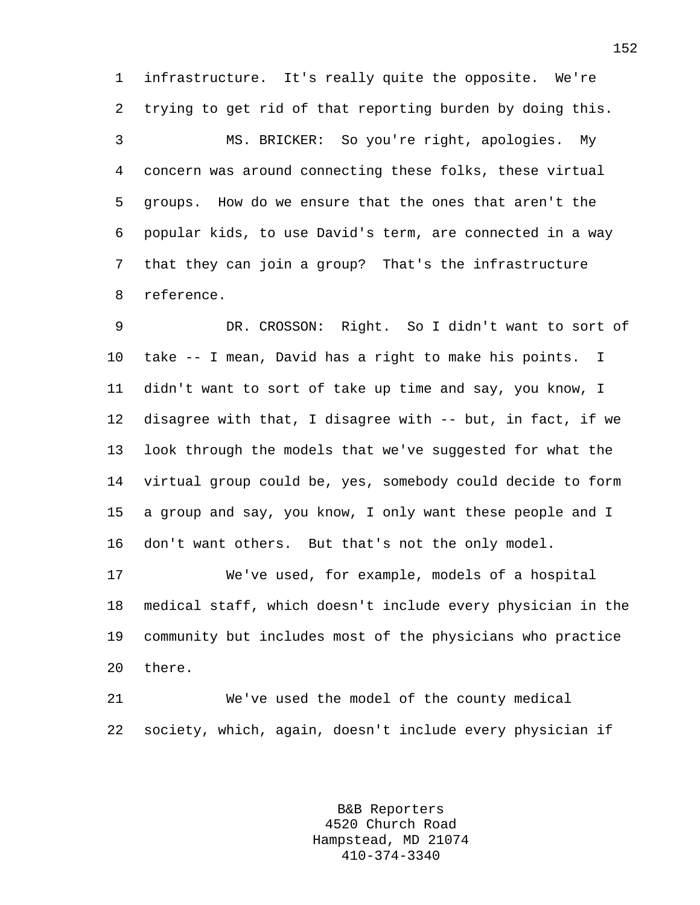1 infrastructure. It's really quite the opposite. We're 2 trying to get rid of that reporting burden by doing this.

3 MS. BRICKER: So you're right, apologies. My 4 concern was around connecting these folks, these virtual 5 groups. How do we ensure that the ones that aren't the 6 popular kids, to use David's term, are connected in a way 7 that they can join a group? That's the infrastructure 8 reference.

9 DR. CROSSON: Right. So I didn't want to sort of 10 take -- I mean, David has a right to make his points. I 11 didn't want to sort of take up time and say, you know, I 12 disagree with that, I disagree with -- but, in fact, if we 13 look through the models that we've suggested for what the 14 virtual group could be, yes, somebody could decide to form 15 a group and say, you know, I only want these people and I 16 don't want others. But that's not the only model.

17 We've used, for example, models of a hospital 18 medical staff, which doesn't include every physician in the 19 community but includes most of the physicians who practice 20 there.

21 We've used the model of the county medical 22 society, which, again, doesn't include every physician if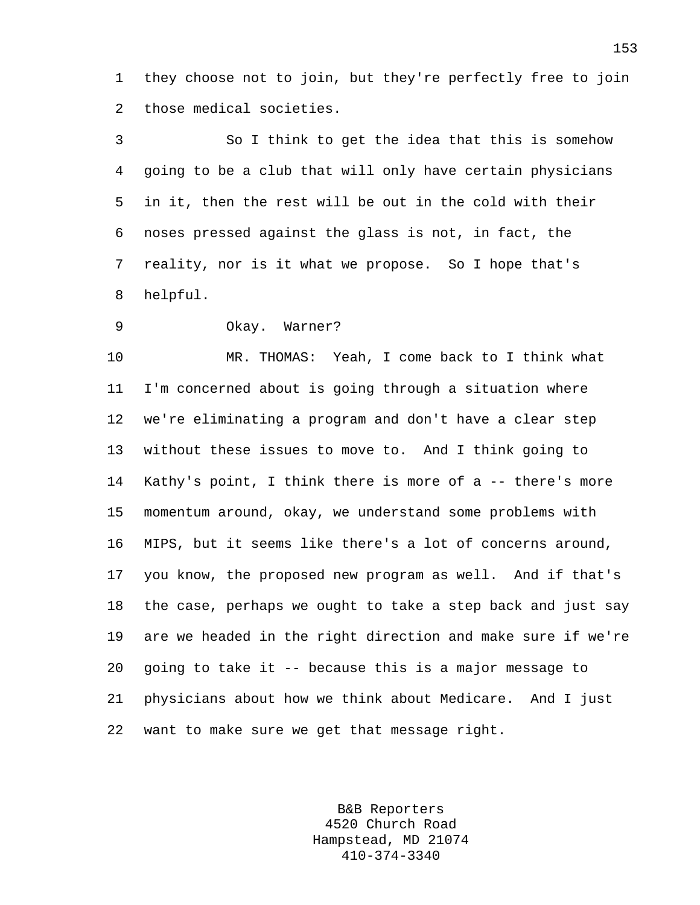1 they choose not to join, but they're perfectly free to join 2 those medical societies.

3 So I think to get the idea that this is somehow 4 going to be a club that will only have certain physicians 5 in it, then the rest will be out in the cold with their 6 noses pressed against the glass is not, in fact, the 7 reality, nor is it what we propose. So I hope that's 8 helpful.

9 Okay. Warner?

10 MR. THOMAS: Yeah, I come back to I think what 11 I'm concerned about is going through a situation where 12 we're eliminating a program and don't have a clear step 13 without these issues to move to. And I think going to 14 Kathy's point, I think there is more of a -- there's more 15 momentum around, okay, we understand some problems with 16 MIPS, but it seems like there's a lot of concerns around, 17 you know, the proposed new program as well. And if that's 18 the case, perhaps we ought to take a step back and just say 19 are we headed in the right direction and make sure if we're 20 going to take it -- because this is a major message to 21 physicians about how we think about Medicare. And I just 22 want to make sure we get that message right.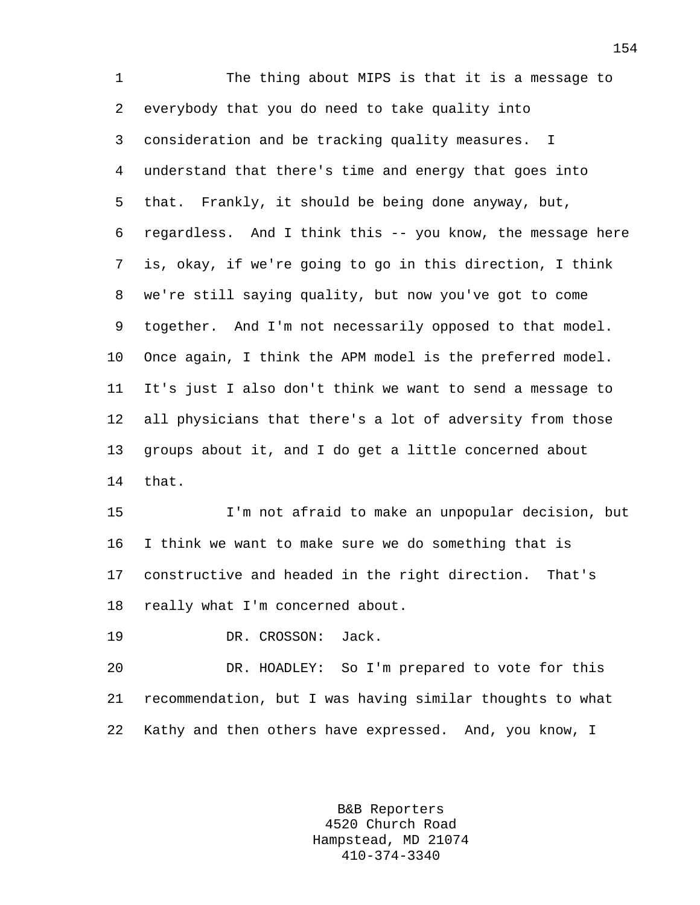1 The thing about MIPS is that it is a message to 2 everybody that you do need to take quality into 3 consideration and be tracking quality measures. I 4 understand that there's time and energy that goes into 5 that. Frankly, it should be being done anyway, but, 6 regardless. And I think this -- you know, the message here 7 is, okay, if we're going to go in this direction, I think 8 we're still saying quality, but now you've got to come 9 together. And I'm not necessarily opposed to that model. 10 Once again, I think the APM model is the preferred model. 11 It's just I also don't think we want to send a message to 12 all physicians that there's a lot of adversity from those 13 groups about it, and I do get a little concerned about 14 that.

15 I'm not afraid to make an unpopular decision, but 16 I think we want to make sure we do something that is 17 constructive and headed in the right direction. That's 18 really what I'm concerned about.

19 DR. CROSSON: Jack.

20 DR. HOADLEY: So I'm prepared to vote for this 21 recommendation, but I was having similar thoughts to what 22 Kathy and then others have expressed. And, you know, I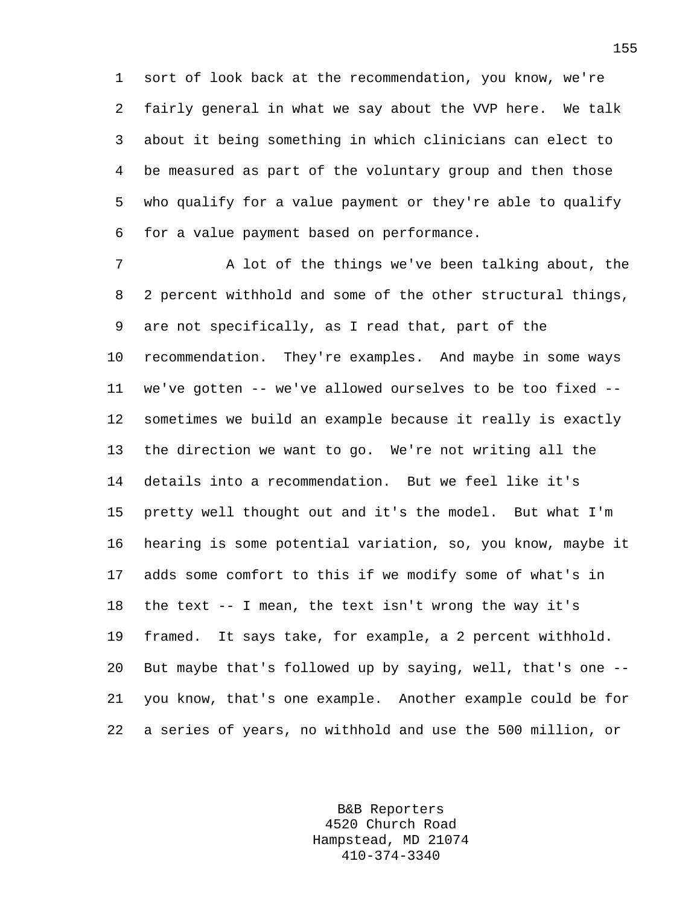1 sort of look back at the recommendation, you know, we're 2 fairly general in what we say about the VVP here. We talk 3 about it being something in which clinicians can elect to 4 be measured as part of the voluntary group and then those 5 who qualify for a value payment or they're able to qualify 6 for a value payment based on performance.

7 A lot of the things we've been talking about, the 8 2 percent withhold and some of the other structural things, 9 are not specifically, as I read that, part of the 10 recommendation. They're examples. And maybe in some ways 11 we've gotten -- we've allowed ourselves to be too fixed -- 12 sometimes we build an example because it really is exactly 13 the direction we want to go. We're not writing all the 14 details into a recommendation. But we feel like it's 15 pretty well thought out and it's the model. But what I'm 16 hearing is some potential variation, so, you know, maybe it 17 adds some comfort to this if we modify some of what's in 18 the text -- I mean, the text isn't wrong the way it's 19 framed. It says take, for example, a 2 percent withhold. 20 But maybe that's followed up by saying, well, that's one -- 21 you know, that's one example. Another example could be for 22 a series of years, no withhold and use the 500 million, or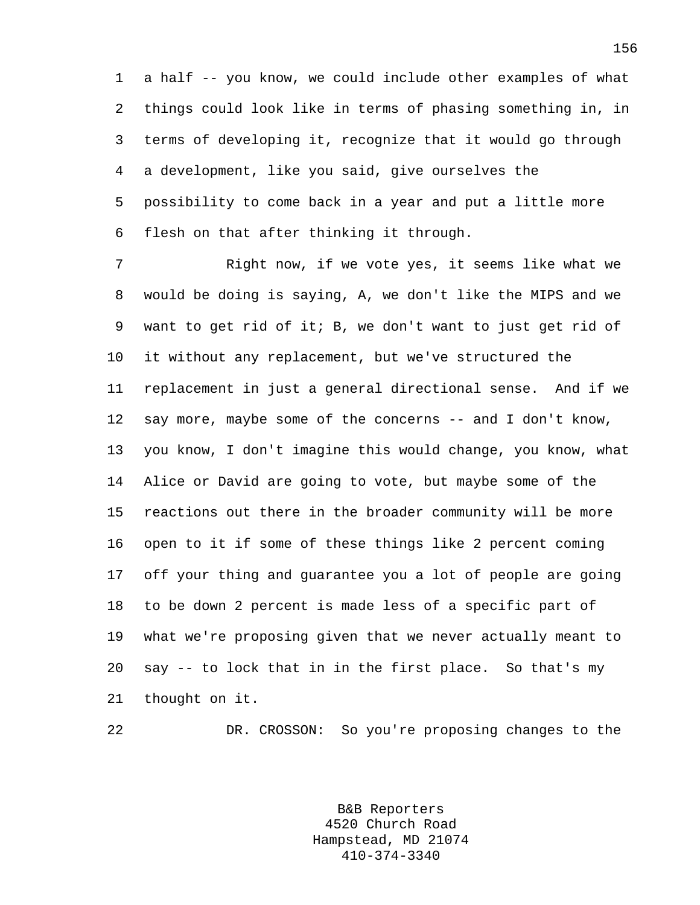1 a half -- you know, we could include other examples of what 2 things could look like in terms of phasing something in, in 3 terms of developing it, recognize that it would go through 4 a development, like you said, give ourselves the 5 possibility to come back in a year and put a little more 6 flesh on that after thinking it through.

7 Right now, if we vote yes, it seems like what we 8 would be doing is saying, A, we don't like the MIPS and we 9 want to get rid of it; B, we don't want to just get rid of 10 it without any replacement, but we've structured the 11 replacement in just a general directional sense. And if we 12 say more, maybe some of the concerns -- and I don't know, 13 you know, I don't imagine this would change, you know, what 14 Alice or David are going to vote, but maybe some of the 15 reactions out there in the broader community will be more 16 open to it if some of these things like 2 percent coming 17 off your thing and guarantee you a lot of people are going 18 to be down 2 percent is made less of a specific part of 19 what we're proposing given that we never actually meant to 20 say -- to lock that in in the first place. So that's my 21 thought on it.

22 DR. CROSSON: So you're proposing changes to the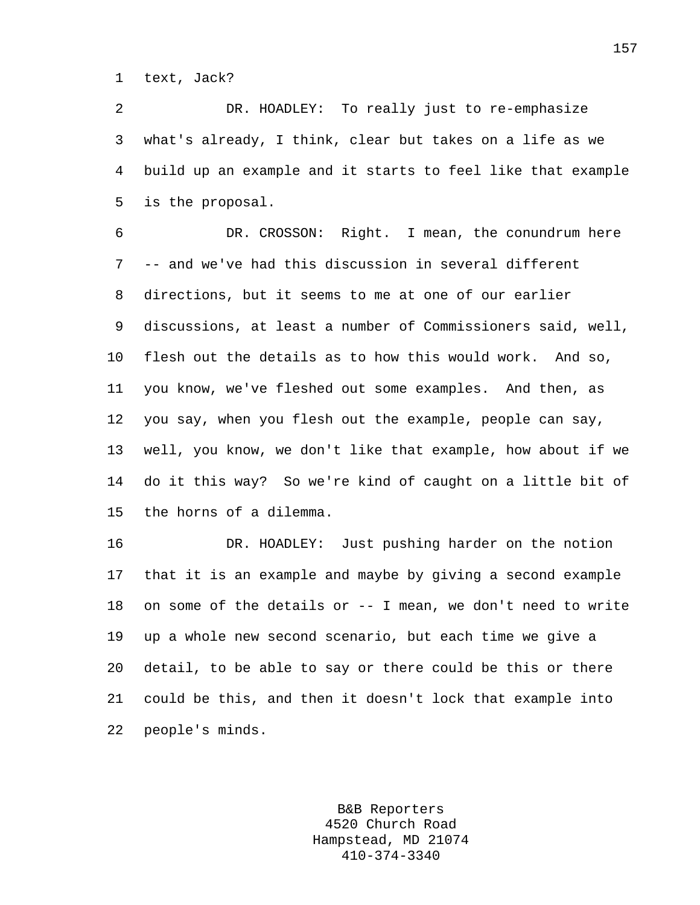1 text, Jack?

2 DR. HOADLEY: To really just to re-emphasize 3 what's already, I think, clear but takes on a life as we 4 build up an example and it starts to feel like that example 5 is the proposal.

6 DR. CROSSON: Right. I mean, the conundrum here 7 -- and we've had this discussion in several different 8 directions, but it seems to me at one of our earlier 9 discussions, at least a number of Commissioners said, well, 10 flesh out the details as to how this would work. And so, 11 you know, we've fleshed out some examples. And then, as 12 you say, when you flesh out the example, people can say, 13 well, you know, we don't like that example, how about if we 14 do it this way? So we're kind of caught on a little bit of 15 the horns of a dilemma.

16 DR. HOADLEY: Just pushing harder on the notion 17 that it is an example and maybe by giving a second example 18 on some of the details or -- I mean, we don't need to write 19 up a whole new second scenario, but each time we give a 20 detail, to be able to say or there could be this or there 21 could be this, and then it doesn't lock that example into 22 people's minds.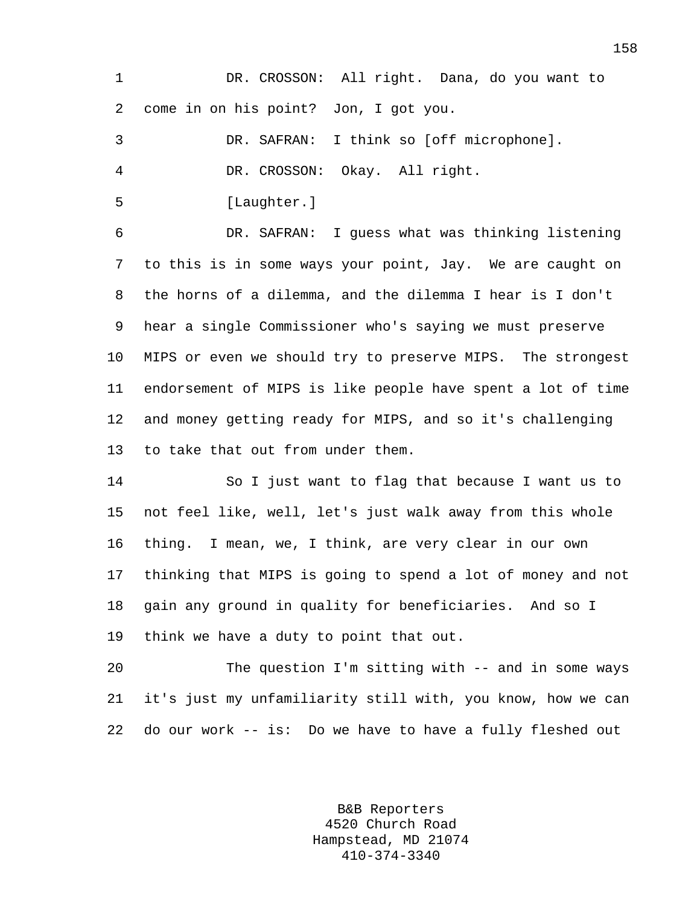1 DR. CROSSON: All right. Dana, do you want to 2 come in on his point? Jon, I got you.

3 DR. SAFRAN: I think so [off microphone]. 4 DR. CROSSON: Okay. All right.

5 [Laughter.]

6 DR. SAFRAN: I guess what was thinking listening 7 to this is in some ways your point, Jay. We are caught on 8 the horns of a dilemma, and the dilemma I hear is I don't 9 hear a single Commissioner who's saying we must preserve 10 MIPS or even we should try to preserve MIPS. The strongest 11 endorsement of MIPS is like people have spent a lot of time 12 and money getting ready for MIPS, and so it's challenging 13 to take that out from under them.

14 So I just want to flag that because I want us to 15 not feel like, well, let's just walk away from this whole 16 thing. I mean, we, I think, are very clear in our own 17 thinking that MIPS is going to spend a lot of money and not 18 gain any ground in quality for beneficiaries. And so I 19 think we have a duty to point that out.

20 The question I'm sitting with -- and in some ways 21 it's just my unfamiliarity still with, you know, how we can 22 do our work -- is: Do we have to have a fully fleshed out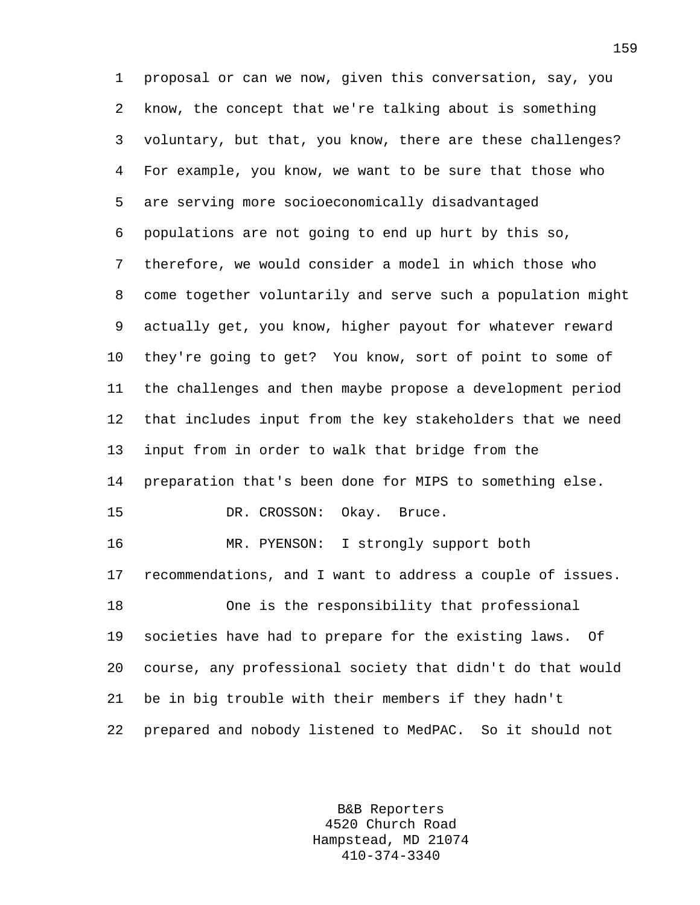1 proposal or can we now, given this conversation, say, you 2 know, the concept that we're talking about is something 3 voluntary, but that, you know, there are these challenges? 4 For example, you know, we want to be sure that those who 5 are serving more socioeconomically disadvantaged 6 populations are not going to end up hurt by this so, 7 therefore, we would consider a model in which those who 8 come together voluntarily and serve such a population might 9 actually get, you know, higher payout for whatever reward 10 they're going to get? You know, sort of point to some of 11 the challenges and then maybe propose a development period 12 that includes input from the key stakeholders that we need 13 input from in order to walk that bridge from the 14 preparation that's been done for MIPS to something else. 15 DR. CROSSON: Okay. Bruce. 16 MR. PYENSON: I strongly support both 17 recommendations, and I want to address a couple of issues. 18 One is the responsibility that professional 19 societies have had to prepare for the existing laws. Of 20 course, any professional society that didn't do that would 21 be in big trouble with their members if they hadn't 22 prepared and nobody listened to MedPAC. So it should not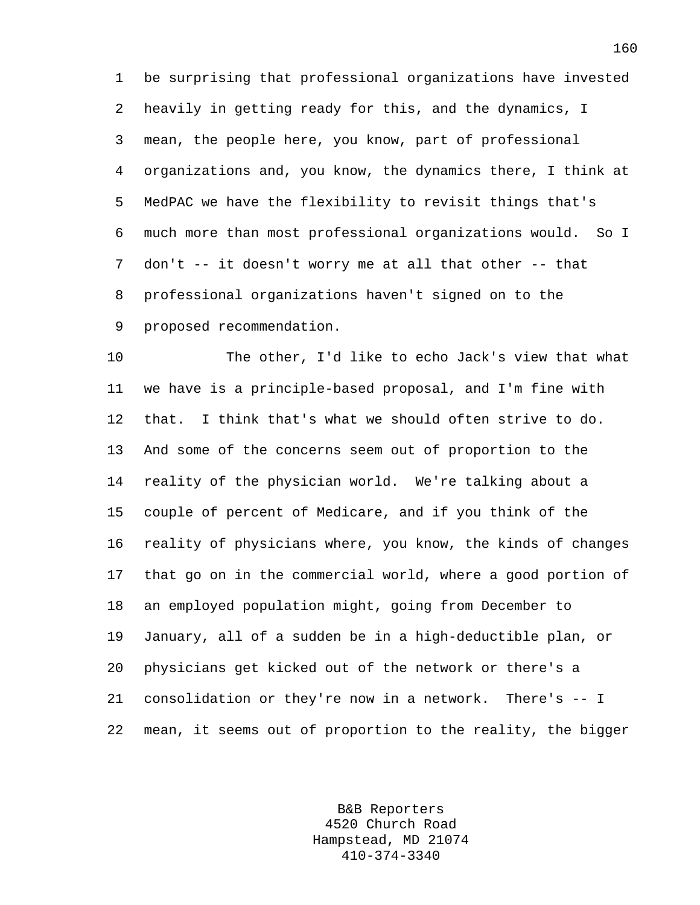1 be surprising that professional organizations have invested 2 heavily in getting ready for this, and the dynamics, I 3 mean, the people here, you know, part of professional 4 organizations and, you know, the dynamics there, I think at 5 MedPAC we have the flexibility to revisit things that's 6 much more than most professional organizations would. So I 7 don't -- it doesn't worry me at all that other -- that 8 professional organizations haven't signed on to the 9 proposed recommendation.

10 The other, I'd like to echo Jack's view that what 11 we have is a principle-based proposal, and I'm fine with 12 that. I think that's what we should often strive to do. 13 And some of the concerns seem out of proportion to the 14 reality of the physician world. We're talking about a 15 couple of percent of Medicare, and if you think of the 16 reality of physicians where, you know, the kinds of changes 17 that go on in the commercial world, where a good portion of 18 an employed population might, going from December to 19 January, all of a sudden be in a high-deductible plan, or 20 physicians get kicked out of the network or there's a 21 consolidation or they're now in a network. There's -- I 22 mean, it seems out of proportion to the reality, the bigger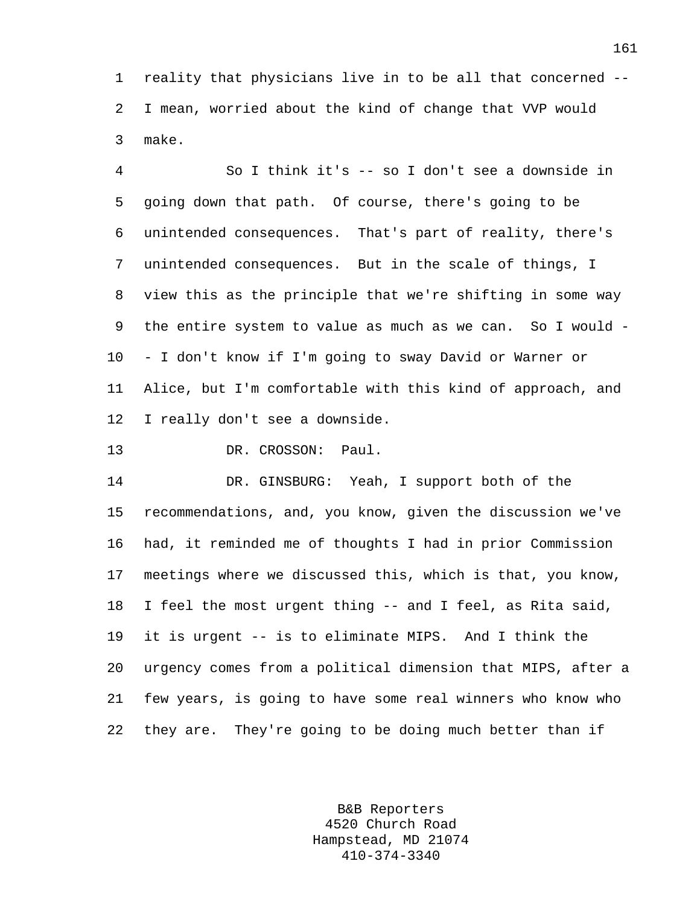1 reality that physicians live in to be all that concerned -- 2 I mean, worried about the kind of change that VVP would 3 make.

4 So I think it's -- so I don't see a downside in 5 going down that path. Of course, there's going to be 6 unintended consequences. That's part of reality, there's 7 unintended consequences. But in the scale of things, I 8 view this as the principle that we're shifting in some way 9 the entire system to value as much as we can. So I would - 10 - I don't know if I'm going to sway David or Warner or 11 Alice, but I'm comfortable with this kind of approach, and 12 I really don't see a downside.

13 DR. CROSSON: Paul.

14 DR. GINSBURG: Yeah, I support both of the 15 recommendations, and, you know, given the discussion we've 16 had, it reminded me of thoughts I had in prior Commission 17 meetings where we discussed this, which is that, you know, 18 I feel the most urgent thing -- and I feel, as Rita said, 19 it is urgent -- is to eliminate MIPS. And I think the 20 urgency comes from a political dimension that MIPS, after a 21 few years, is going to have some real winners who know who 22 they are. They're going to be doing much better than if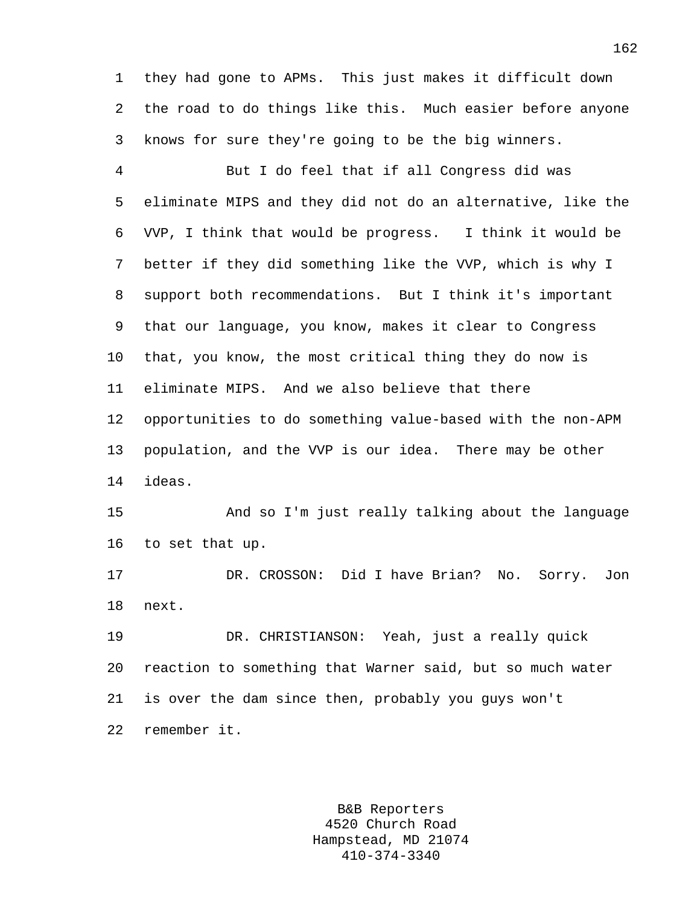1 they had gone to APMs. This just makes it difficult down 2 the road to do things like this. Much easier before anyone 3 knows for sure they're going to be the big winners.

4 But I do feel that if all Congress did was 5 eliminate MIPS and they did not do an alternative, like the 6 VVP, I think that would be progress. I think it would be 7 better if they did something like the VVP, which is why I 8 support both recommendations. But I think it's important 9 that our language, you know, makes it clear to Congress 10 that, you know, the most critical thing they do now is 11 eliminate MIPS. And we also believe that there 12 opportunities to do something value-based with the non-APM 13 population, and the VVP is our idea. There may be other 14 ideas.

15 And so I'm just really talking about the language 16 to set that up.

17 DR. CROSSON: Did I have Brian? No. Sorry. Jon 18 next.

19 DR. CHRISTIANSON: Yeah, just a really quick 20 reaction to something that Warner said, but so much water 21 is over the dam since then, probably you guys won't 22 remember it.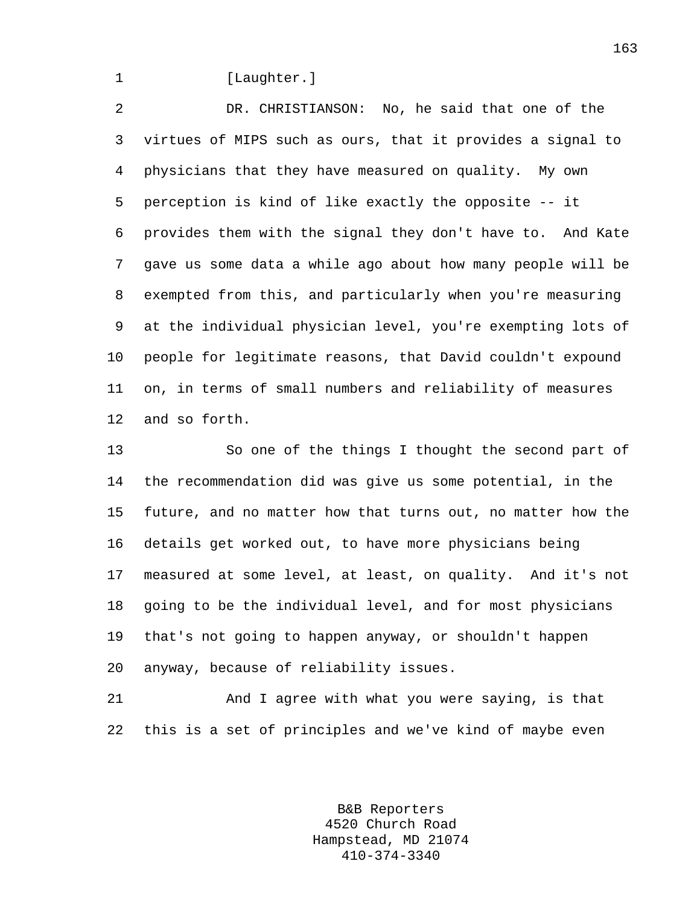## 1 [Laughter.]

2 DR. CHRISTIANSON: No, he said that one of the 3 virtues of MIPS such as ours, that it provides a signal to 4 physicians that they have measured on quality. My own 5 perception is kind of like exactly the opposite -- it 6 provides them with the signal they don't have to. And Kate 7 gave us some data a while ago about how many people will be 8 exempted from this, and particularly when you're measuring 9 at the individual physician level, you're exempting lots of 10 people for legitimate reasons, that David couldn't expound 11 on, in terms of small numbers and reliability of measures 12 and so forth.

13 So one of the things I thought the second part of 14 the recommendation did was give us some potential, in the 15 future, and no matter how that turns out, no matter how the 16 details get worked out, to have more physicians being 17 measured at some level, at least, on quality. And it's not 18 going to be the individual level, and for most physicians 19 that's not going to happen anyway, or shouldn't happen 20 anyway, because of reliability issues.

21 And I agree with what you were saying, is that 22 this is a set of principles and we've kind of maybe even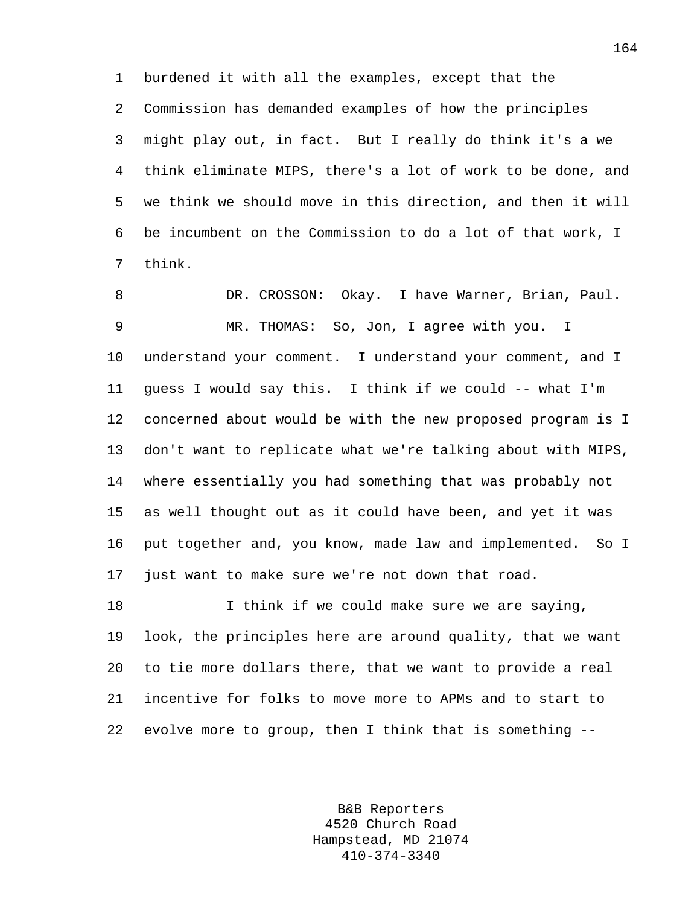1 burdened it with all the examples, except that the 2 Commission has demanded examples of how the principles 3 might play out, in fact. But I really do think it's a we 4 think eliminate MIPS, there's a lot of work to be done, and 5 we think we should move in this direction, and then it will 6 be incumbent on the Commission to do a lot of that work, I 7 think.

8 DR. CROSSON: Okay. I have Warner, Brian, Paul. 9 MR. THOMAS: So, Jon, I agree with you. I 10 understand your comment. I understand your comment, and I 11 guess I would say this. I think if we could -- what I'm 12 concerned about would be with the new proposed program is I 13 don't want to replicate what we're talking about with MIPS, 14 where essentially you had something that was probably not 15 as well thought out as it could have been, and yet it was 16 put together and, you know, made law and implemented. So I 17 just want to make sure we're not down that road.

18 I think if we could make sure we are saying, 19 look, the principles here are around quality, that we want 20 to tie more dollars there, that we want to provide a real 21 incentive for folks to move more to APMs and to start to 22 evolve more to group, then I think that is something --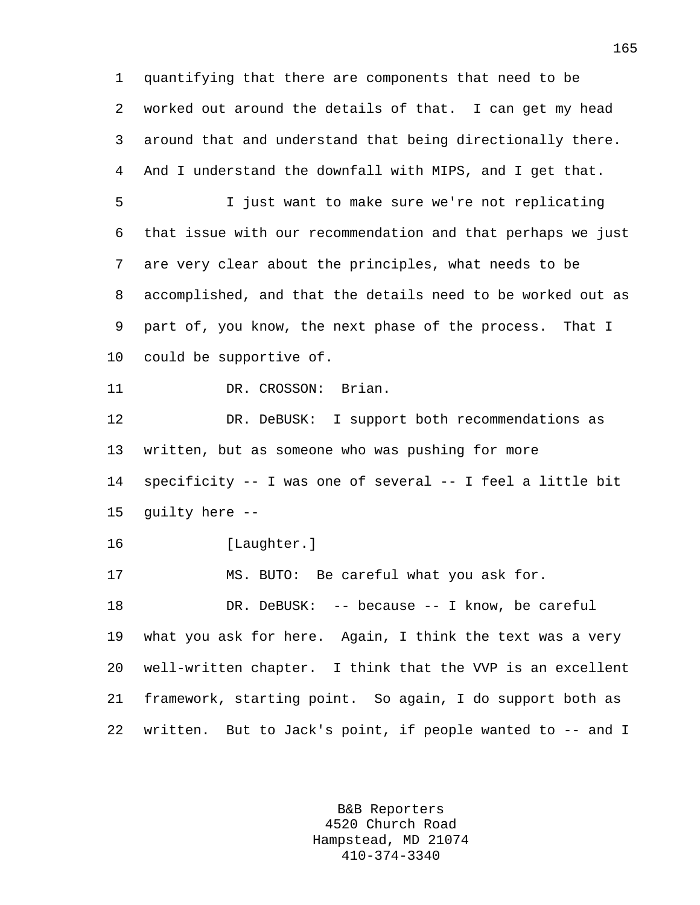1 quantifying that there are components that need to be 2 worked out around the details of that. I can get my head 3 around that and understand that being directionally there. 4 And I understand the downfall with MIPS, and I get that. 5 I just want to make sure we're not replicating 6 that issue with our recommendation and that perhaps we just 7 are very clear about the principles, what needs to be 8 accomplished, and that the details need to be worked out as 9 part of, you know, the next phase of the process. That I 10 could be supportive of. 11 DR. CROSSON: Brian. 12 DR. DeBUSK: I support both recommendations as 13 written, but as someone who was pushing for more 14 specificity -- I was one of several -- I feel a little bit 15 guilty here -- 16 [Laughter.] 17 MS. BUTO: Be careful what you ask for. 18 DR. DeBUSK: -- because -- I know, be careful 19 what you ask for here. Again, I think the text was a very 20 well-written chapter. I think that the VVP is an excellent 21 framework, starting point. So again, I do support both as

22 written. But to Jack's point, if people wanted to -- and I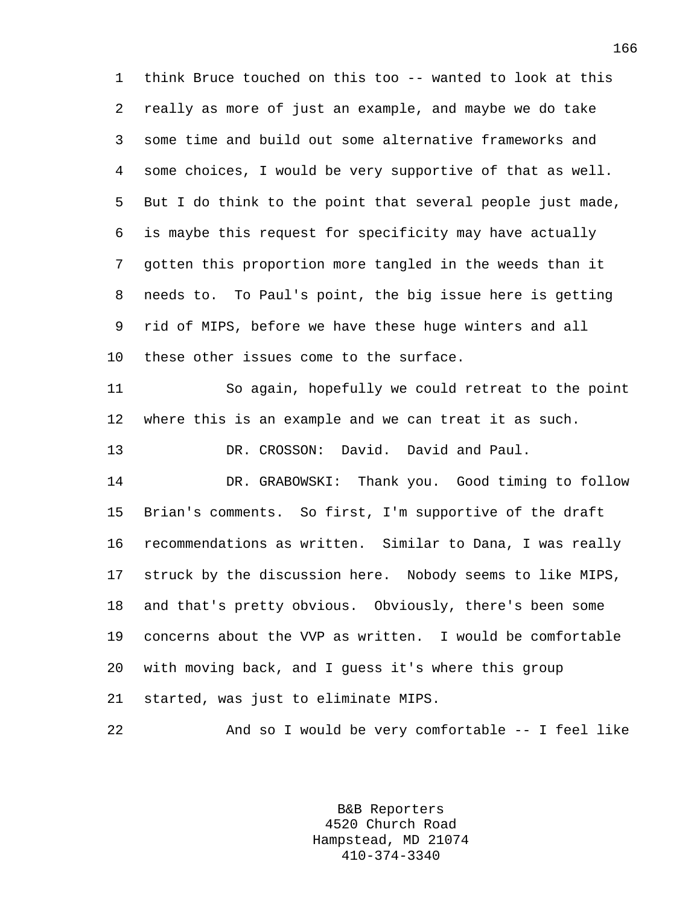1 think Bruce touched on this too -- wanted to look at this 2 really as more of just an example, and maybe we do take 3 some time and build out some alternative frameworks and 4 some choices, I would be very supportive of that as well. 5 But I do think to the point that several people just made, 6 is maybe this request for specificity may have actually 7 gotten this proportion more tangled in the weeds than it 8 needs to. To Paul's point, the big issue here is getting 9 rid of MIPS, before we have these huge winters and all 10 these other issues come to the surface.

11 So again, hopefully we could retreat to the point 12 where this is an example and we can treat it as such. 13 DR. CROSSON: David. David and Paul.

14 DR. GRABOWSKI: Thank you. Good timing to follow 15 Brian's comments. So first, I'm supportive of the draft 16 recommendations as written. Similar to Dana, I was really 17 struck by the discussion here. Nobody seems to like MIPS, 18 and that's pretty obvious. Obviously, there's been some 19 concerns about the VVP as written. I would be comfortable 20 with moving back, and I guess it's where this group 21 started, was just to eliminate MIPS.

22 And so I would be very comfortable -- I feel like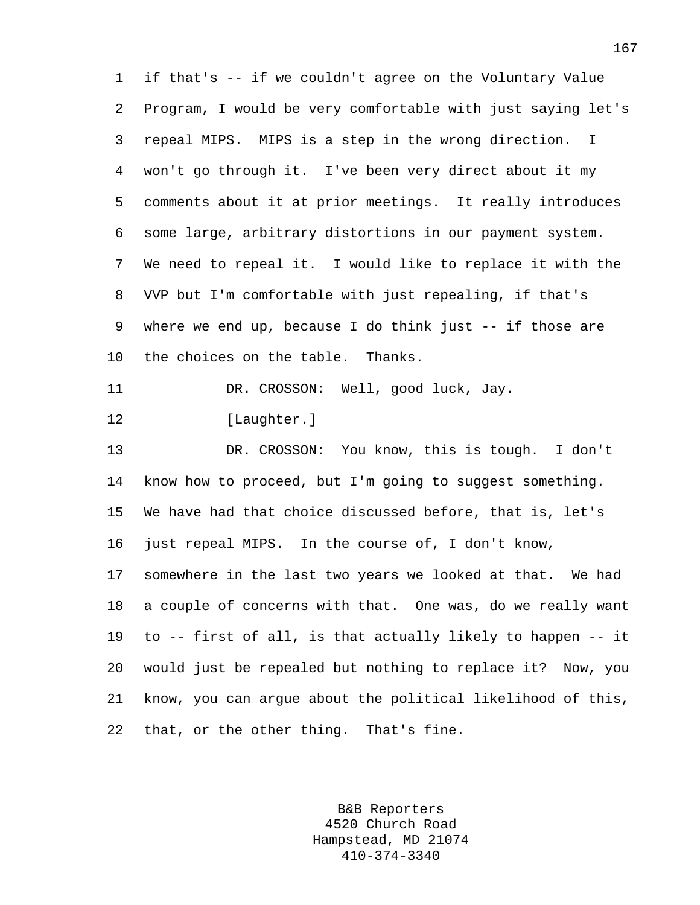1 if that's -- if we couldn't agree on the Voluntary Value 2 Program, I would be very comfortable with just saying let's 3 repeal MIPS. MIPS is a step in the wrong direction. I 4 won't go through it. I've been very direct about it my 5 comments about it at prior meetings. It really introduces 6 some large, arbitrary distortions in our payment system. 7 We need to repeal it. I would like to replace it with the 8 VVP but I'm comfortable with just repealing, if that's 9 where we end up, because I do think just -- if those are 10 the choices on the table. Thanks. 11 DR. CROSSON: Well, good luck, Jay. 12 [Laughter.] 13 DR. CROSSON: You know, this is tough. I don't 14 know how to proceed, but I'm going to suggest something. 15 We have had that choice discussed before, that is, let's 16 just repeal MIPS. In the course of, I don't know, 17 somewhere in the last two years we looked at that. We had 18 a couple of concerns with that. One was, do we really want 19 to -- first of all, is that actually likely to happen -- it 20 would just be repealed but nothing to replace it? Now, you 21 know, you can argue about the political likelihood of this, 22 that, or the other thing. That's fine.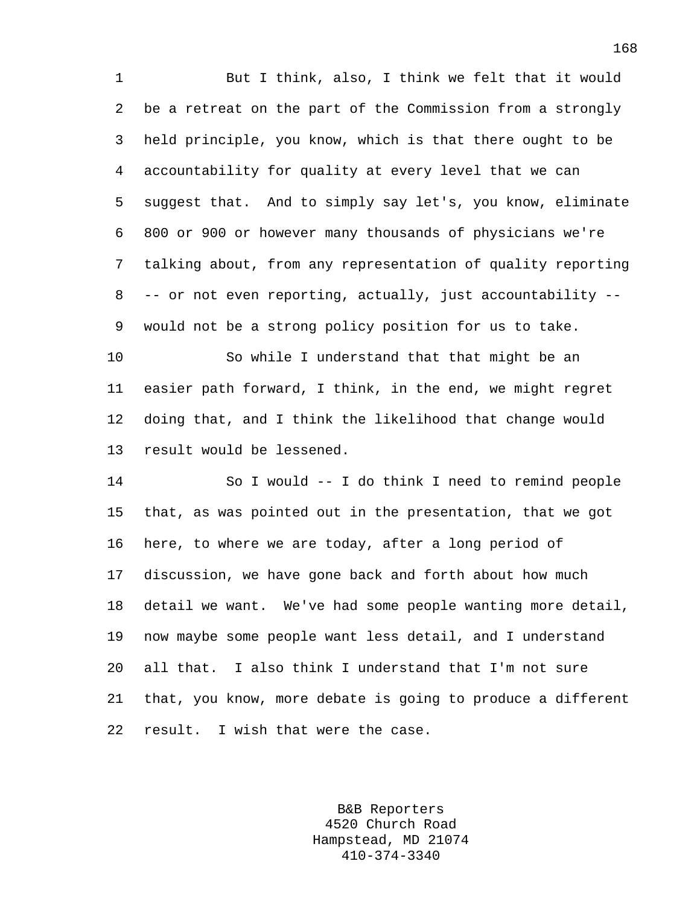1 But I think, also, I think we felt that it would 2 be a retreat on the part of the Commission from a strongly 3 held principle, you know, which is that there ought to be 4 accountability for quality at every level that we can 5 suggest that. And to simply say let's, you know, eliminate 6 800 or 900 or however many thousands of physicians we're 7 talking about, from any representation of quality reporting 8 -- or not even reporting, actually, just accountability -- 9 would not be a strong policy position for us to take.

10 So while I understand that that might be an 11 easier path forward, I think, in the end, we might regret 12 doing that, and I think the likelihood that change would 13 result would be lessened.

14 So I would -- I do think I need to remind people 15 that, as was pointed out in the presentation, that we got 16 here, to where we are today, after a long period of 17 discussion, we have gone back and forth about how much 18 detail we want. We've had some people wanting more detail, 19 now maybe some people want less detail, and I understand 20 all that. I also think I understand that I'm not sure 21 that, you know, more debate is going to produce a different 22 result. I wish that were the case.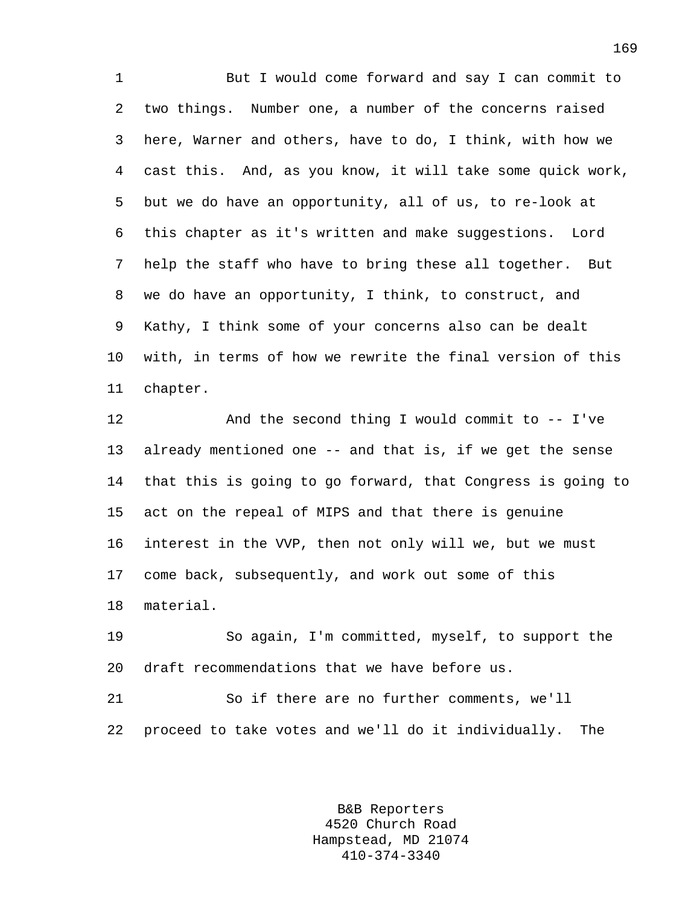1 But I would come forward and say I can commit to 2 two things. Number one, a number of the concerns raised 3 here, Warner and others, have to do, I think, with how we 4 cast this. And, as you know, it will take some quick work, 5 but we do have an opportunity, all of us, to re-look at 6 this chapter as it's written and make suggestions. Lord 7 help the staff who have to bring these all together. But 8 we do have an opportunity, I think, to construct, and 9 Kathy, I think some of your concerns also can be dealt 10 with, in terms of how we rewrite the final version of this 11 chapter.

12 And the second thing I would commit to -- I've 13 already mentioned one -- and that is, if we get the sense 14 that this is going to go forward, that Congress is going to 15 act on the repeal of MIPS and that there is genuine 16 interest in the VVP, then not only will we, but we must 17 come back, subsequently, and work out some of this 18 material.

19 So again, I'm committed, myself, to support the 20 draft recommendations that we have before us.

21 So if there are no further comments, we'll 22 proceed to take votes and we'll do it individually. The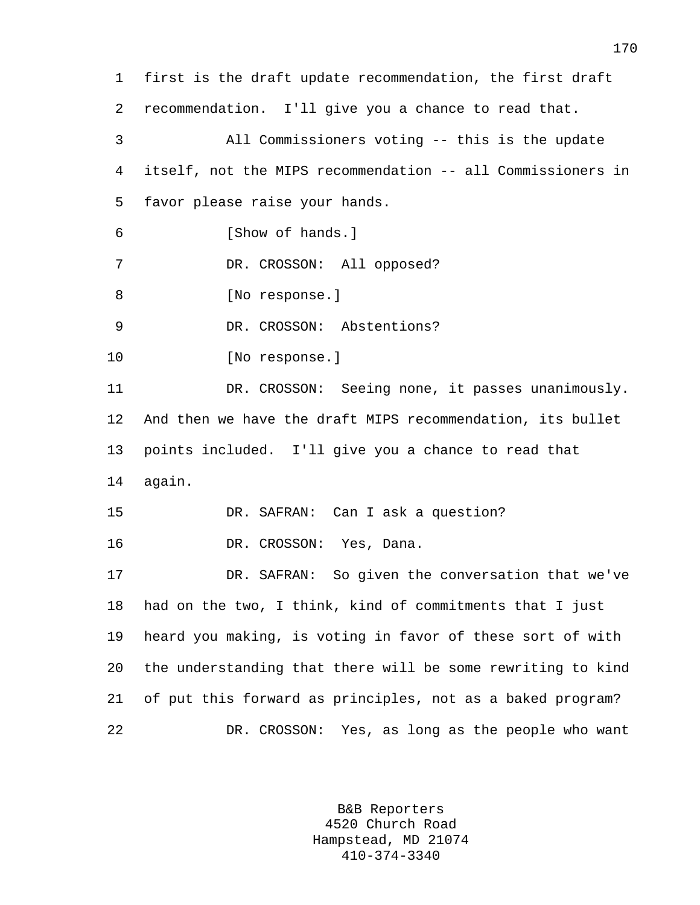1 first is the draft update recommendation, the first draft 2 recommendation. I'll give you a chance to read that. 3 All Commissioners voting -- this is the update 4 itself, not the MIPS recommendation -- all Commissioners in 5 favor please raise your hands. 6 [Show of hands.] 7 DR. CROSSON: All opposed? 8 [No response.] 9 DR. CROSSON: Abstentions? 10 [No response.] 11 DR. CROSSON: Seeing none, it passes unanimously. 12 And then we have the draft MIPS recommendation, its bullet 13 points included. I'll give you a chance to read that 14 again. 15 DR. SAFRAN: Can I ask a question? 16 DR. CROSSON: Yes, Dana. 17 DR. SAFRAN: So given the conversation that we've 18 had on the two, I think, kind of commitments that I just 19 heard you making, is voting in favor of these sort of with 20 the understanding that there will be some rewriting to kind 21 of put this forward as principles, not as a baked program? 22 DR. CROSSON: Yes, as long as the people who want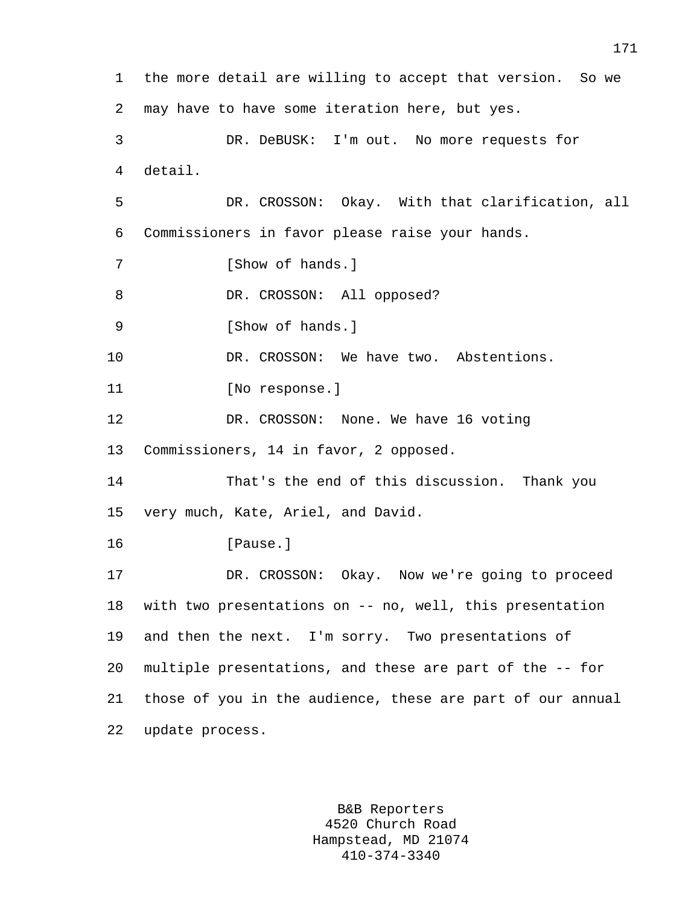1 the more detail are willing to accept that version. So we 2 may have to have some iteration here, but yes. 3 DR. DeBUSK: I'm out. No more requests for 4 detail. 5 DR. CROSSON: Okay. With that clarification, all 6 Commissioners in favor please raise your hands. 7 [Show of hands.] 8 DR. CROSSON: All opposed? 9 [Show of hands.] 10 DR. CROSSON: We have two. Abstentions. 11 [No response.] 12 DR. CROSSON: None. We have 16 voting 13 Commissioners, 14 in favor, 2 opposed. 14 That's the end of this discussion. Thank you 15 very much, Kate, Ariel, and David. 16 [Pause.] 17 DR. CROSSON: Okay. Now we're going to proceed 18 with two presentations on -- no, well, this presentation 19 and then the next. I'm sorry. Two presentations of 20 multiple presentations, and these are part of the -- for 21 those of you in the audience, these are part of our annual 22 update process.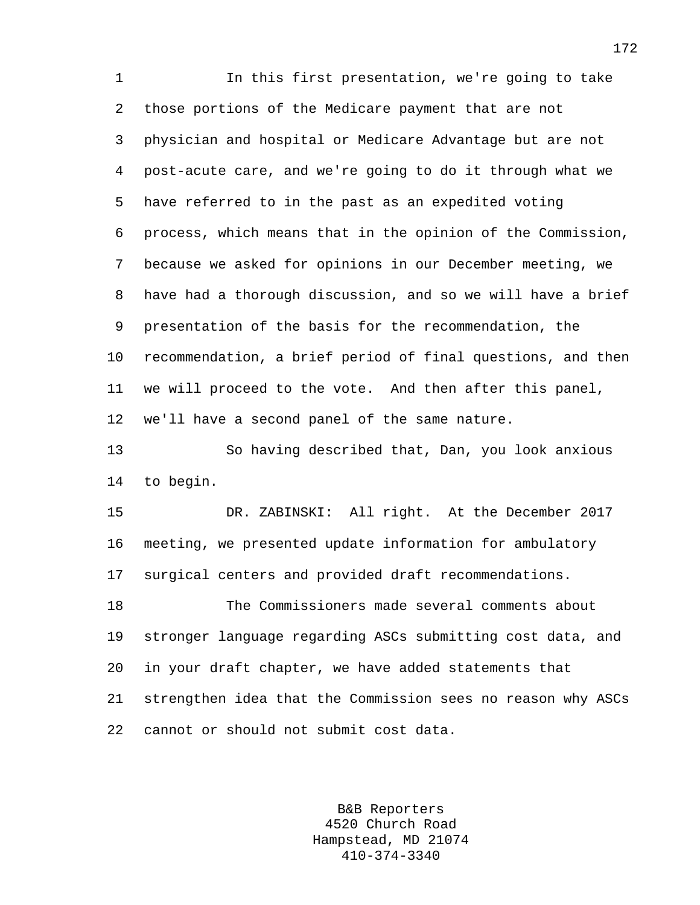1 In this first presentation, we're going to take 2 those portions of the Medicare payment that are not 3 physician and hospital or Medicare Advantage but are not 4 post-acute care, and we're going to do it through what we 5 have referred to in the past as an expedited voting 6 process, which means that in the opinion of the Commission, 7 because we asked for opinions in our December meeting, we 8 have had a thorough discussion, and so we will have a brief 9 presentation of the basis for the recommendation, the 10 recommendation, a brief period of final questions, and then 11 we will proceed to the vote. And then after this panel, 12 we'll have a second panel of the same nature.

13 So having described that, Dan, you look anxious 14 to begin.

15 DR. ZABINSKI: All right. At the December 2017 16 meeting, we presented update information for ambulatory 17 surgical centers and provided draft recommendations.

18 The Commissioners made several comments about 19 stronger language regarding ASCs submitting cost data, and 20 in your draft chapter, we have added statements that 21 strengthen idea that the Commission sees no reason why ASCs 22 cannot or should not submit cost data.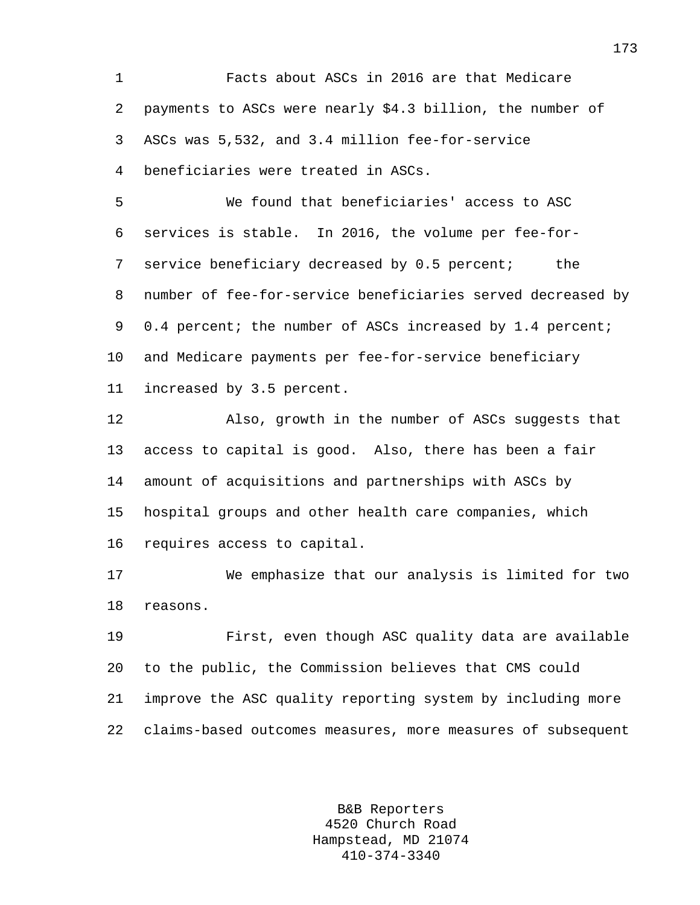1 Facts about ASCs in 2016 are that Medicare 2 payments to ASCs were nearly \$4.3 billion, the number of 3 ASCs was 5,532, and 3.4 million fee-for-service 4 beneficiaries were treated in ASCs.

5 We found that beneficiaries' access to ASC 6 services is stable. In 2016, the volume per fee-for-7 service beneficiary decreased by 0.5 percent; the 8 number of fee-for-service beneficiaries served decreased by 9 0.4 percent; the number of ASCs increased by 1.4 percent; 10 and Medicare payments per fee-for-service beneficiary 11 increased by 3.5 percent.

12 Also, growth in the number of ASCs suggests that 13 access to capital is good. Also, there has been a fair 14 amount of acquisitions and partnerships with ASCs by 15 hospital groups and other health care companies, which 16 requires access to capital.

17 We emphasize that our analysis is limited for two 18 reasons.

19 First, even though ASC quality data are available 20 to the public, the Commission believes that CMS could 21 improve the ASC quality reporting system by including more 22 claims-based outcomes measures, more measures of subsequent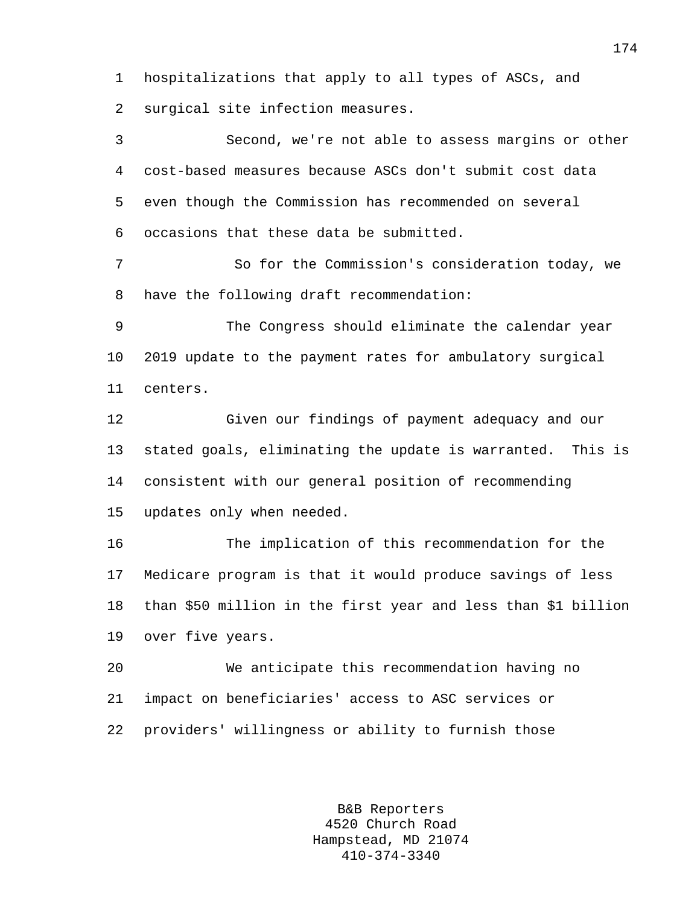1 hospitalizations that apply to all types of ASCs, and 2 surgical site infection measures.

3 Second, we're not able to assess margins or other 4 cost-based measures because ASCs don't submit cost data 5 even though the Commission has recommended on several 6 occasions that these data be submitted.

7 So for the Commission's consideration today, we 8 have the following draft recommendation:

9 The Congress should eliminate the calendar year 10 2019 update to the payment rates for ambulatory surgical 11 centers.

12 Given our findings of payment adequacy and our 13 stated goals, eliminating the update is warranted. This is 14 consistent with our general position of recommending 15 updates only when needed.

16 The implication of this recommendation for the 17 Medicare program is that it would produce savings of less 18 than \$50 million in the first year and less than \$1 billion 19 over five years.

20 We anticipate this recommendation having no 21 impact on beneficiaries' access to ASC services or 22 providers' willingness or ability to furnish those

> B&B Reporters 4520 Church Road Hampstead, MD 21074 410-374-3340

174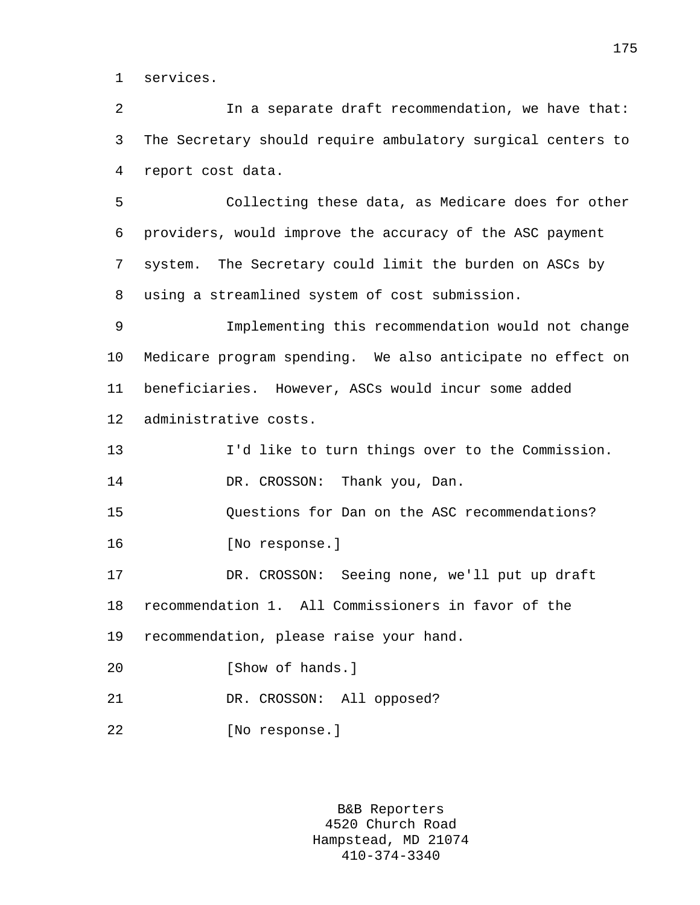1 services.

2 In a separate draft recommendation, we have that: 3 The Secretary should require ambulatory surgical centers to 4 report cost data.

5 Collecting these data, as Medicare does for other 6 providers, would improve the accuracy of the ASC payment 7 system. The Secretary could limit the burden on ASCs by 8 using a streamlined system of cost submission.

9 Implementing this recommendation would not change 10 Medicare program spending. We also anticipate no effect on 11 beneficiaries. However, ASCs would incur some added 12 administrative costs.

13 I'd like to turn things over to the Commission. 14 DR. CROSSON: Thank you, Dan.

15 Questions for Dan on the ASC recommendations?

16 [No response.]

17 DR. CROSSON: Seeing none, we'll put up draft 18 recommendation 1. All Commissioners in favor of the 19 recommendation, please raise your hand.

- 20 [Show of hands.]
- 21 DR. CROSSON: All opposed?
- 22 [No response.]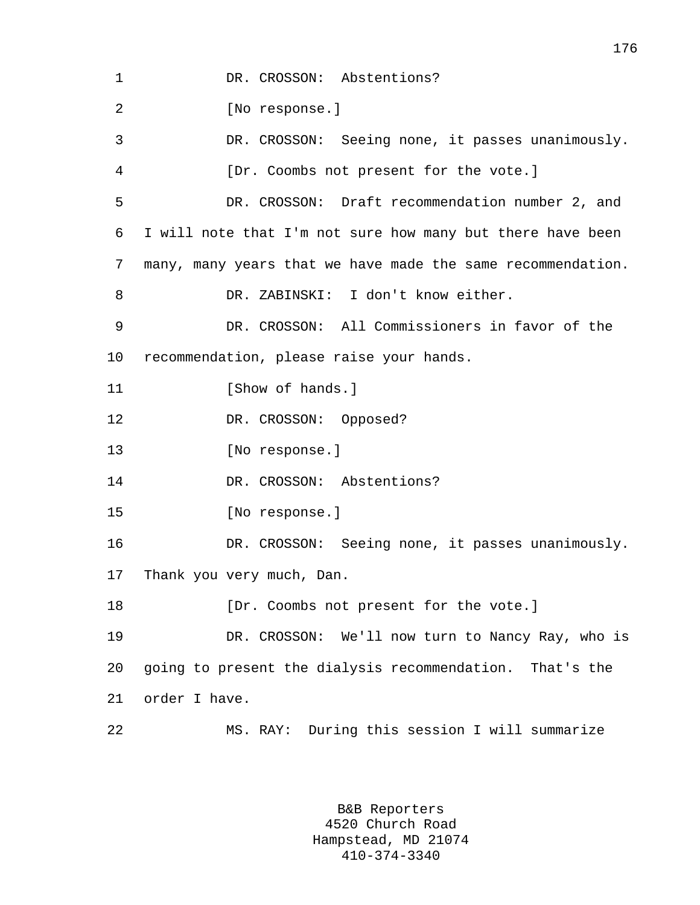1 DR. CROSSON: Abstentions? 2 [No response.] 3 DR. CROSSON: Seeing none, it passes unanimously. 4 [Dr. Coombs not present for the vote.] 5 DR. CROSSON: Draft recommendation number 2, and 6 I will note that I'm not sure how many but there have been 7 many, many years that we have made the same recommendation. 8 DR. ZABINSKI: I don't know either. 9 DR. CROSSON: All Commissioners in favor of the 10 recommendation, please raise your hands. 11 [Show of hands.] 12 DR. CROSSON: Opposed? 13 [No response.] 14 DR. CROSSON: Abstentions? 15 [No response.] 16 DR. CROSSON: Seeing none, it passes unanimously. 17 Thank you very much, Dan. 18 **Inc.** (Dr. Coombs not present for the vote.) 19 DR. CROSSON: We'll now turn to Nancy Ray, who is 20 going to present the dialysis recommendation. That's the 21 order I have. 22 MS. RAY: During this session I will summarize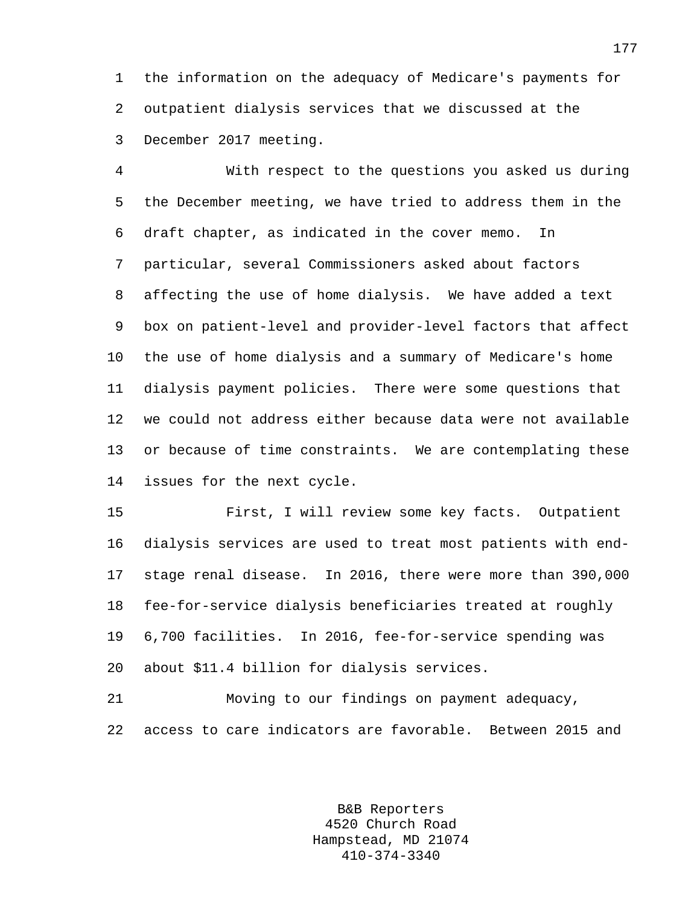1 the information on the adequacy of Medicare's payments for 2 outpatient dialysis services that we discussed at the 3 December 2017 meeting.

4 With respect to the questions you asked us during 5 the December meeting, we have tried to address them in the 6 draft chapter, as indicated in the cover memo. In 7 particular, several Commissioners asked about factors 8 affecting the use of home dialysis. We have added a text 9 box on patient-level and provider-level factors that affect 10 the use of home dialysis and a summary of Medicare's home 11 dialysis payment policies. There were some questions that 12 we could not address either because data were not available 13 or because of time constraints. We are contemplating these 14 issues for the next cycle.

15 First, I will review some key facts. Outpatient 16 dialysis services are used to treat most patients with end-17 stage renal disease. In 2016, there were more than 390,000 18 fee-for-service dialysis beneficiaries treated at roughly 19 6,700 facilities. In 2016, fee-for-service spending was 20 about \$11.4 billion for dialysis services.

21 Moving to our findings on payment adequacy, 22 access to care indicators are favorable. Between 2015 and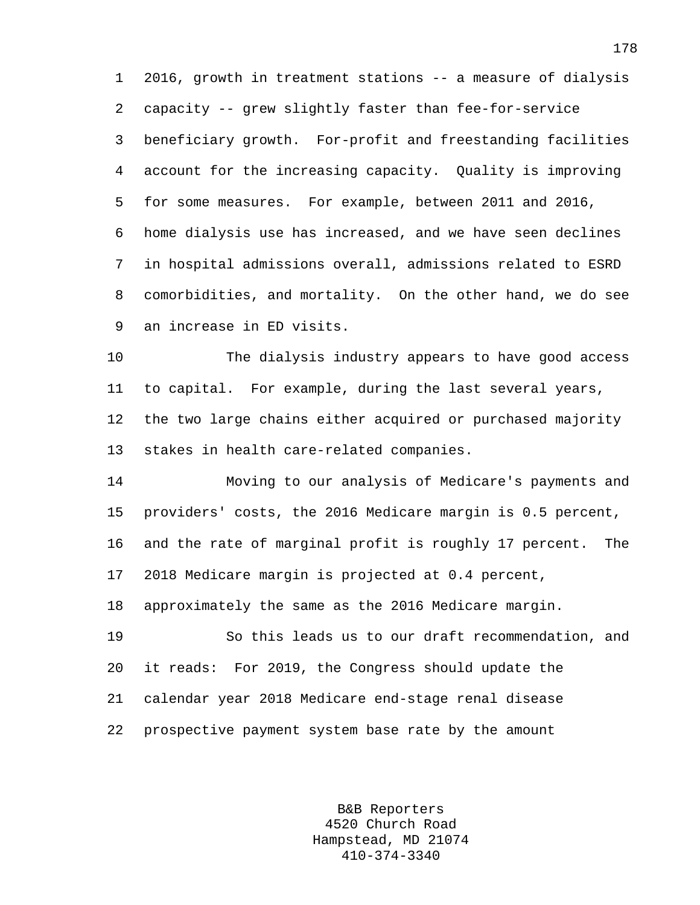1 2016, growth in treatment stations -- a measure of dialysis 2 capacity -- grew slightly faster than fee-for-service 3 beneficiary growth. For-profit and freestanding facilities 4 account for the increasing capacity. Quality is improving 5 for some measures. For example, between 2011 and 2016, 6 home dialysis use has increased, and we have seen declines 7 in hospital admissions overall, admissions related to ESRD 8 comorbidities, and mortality. On the other hand, we do see 9 an increase in ED visits.

10 The dialysis industry appears to have good access 11 to capital. For example, during the last several years, 12 the two large chains either acquired or purchased majority 13 stakes in health care-related companies.

14 Moving to our analysis of Medicare's payments and 15 providers' costs, the 2016 Medicare margin is 0.5 percent, 16 and the rate of marginal profit is roughly 17 percent. The 17 2018 Medicare margin is projected at 0.4 percent, 18 approximately the same as the 2016 Medicare margin.

19 So this leads us to our draft recommendation, and 20 it reads: For 2019, the Congress should update the 21 calendar year 2018 Medicare end-stage renal disease 22 prospective payment system base rate by the amount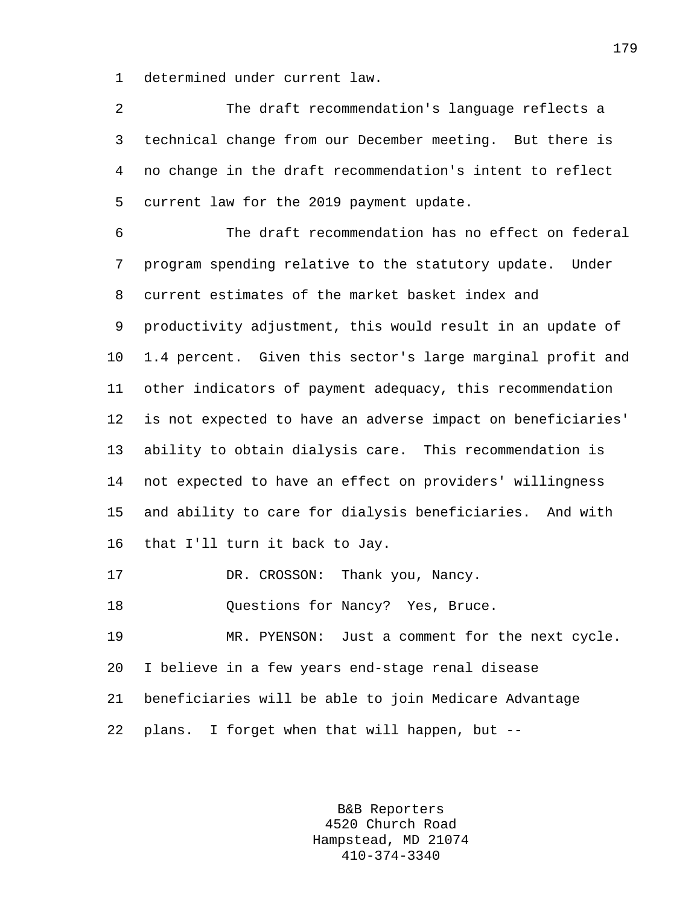1 determined under current law.

2 The draft recommendation's language reflects a 3 technical change from our December meeting. But there is 4 no change in the draft recommendation's intent to reflect 5 current law for the 2019 payment update. 6 The draft recommendation has no effect on federal 7 program spending relative to the statutory update. Under 8 current estimates of the market basket index and 9 productivity adjustment, this would result in an update of 10 1.4 percent. Given this sector's large marginal profit and 11 other indicators of payment adequacy, this recommendation 12 is not expected to have an adverse impact on beneficiaries' 13 ability to obtain dialysis care. This recommendation is 14 not expected to have an effect on providers' willingness 15 and ability to care for dialysis beneficiaries. And with 16 that I'll turn it back to Jay. 17 DR. CROSSON: Thank you, Nancy. 18 Ouestions for Nancy? Yes, Bruce. 19 MR. PYENSON: Just a comment for the next cycle. 20 I believe in a few years end-stage renal disease 21 beneficiaries will be able to join Medicare Advantage 22 plans. I forget when that will happen, but --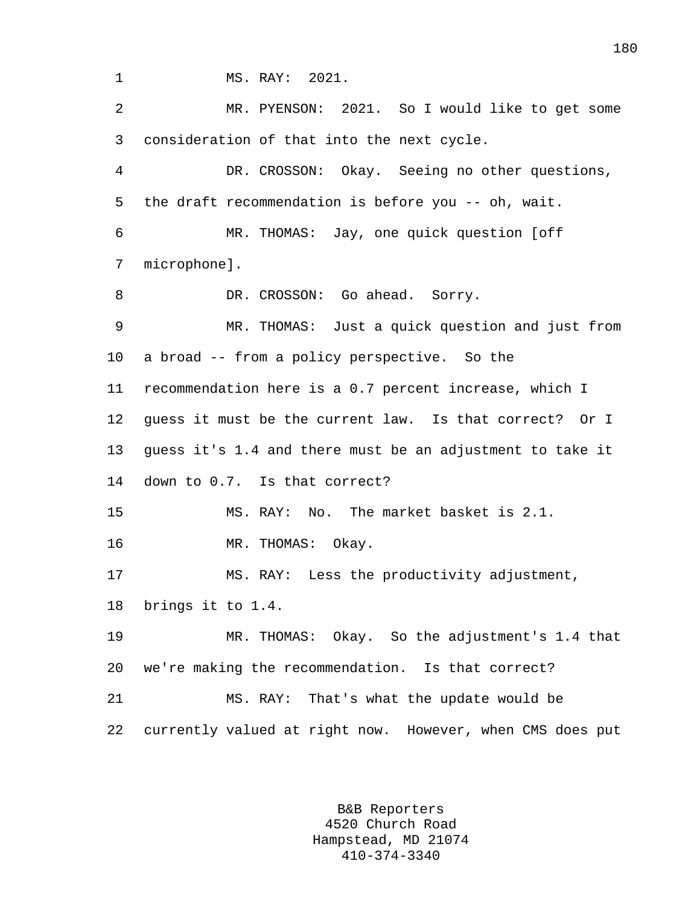1 MS. RAY: 2021. 2 MR. PYENSON: 2021. So I would like to get some 3 consideration of that into the next cycle. 4 DR. CROSSON: Okay. Seeing no other questions, 5 the draft recommendation is before you -- oh, wait. 6 MR. THOMAS: Jay, one quick question [off 7 microphone]. 8 DR. CROSSON: Go ahead. Sorry. 9 MR. THOMAS: Just a quick question and just from 10 a broad -- from a policy perspective. So the 11 recommendation here is a 0.7 percent increase, which I 12 guess it must be the current law. Is that correct? Or I 13 guess it's 1.4 and there must be an adjustment to take it 14 down to 0.7. Is that correct? 15 MS. RAY: No. The market basket is 2.1. 16 MR. THOMAS: Okay. 17 MS. RAY: Less the productivity adjustment, 18 brings it to 1.4. 19 MR. THOMAS: Okay. So the adjustment's 1.4 that 20 we're making the recommendation. Is that correct? 21 MS. RAY: That's what the update would be 22 currently valued at right now. However, when CMS does put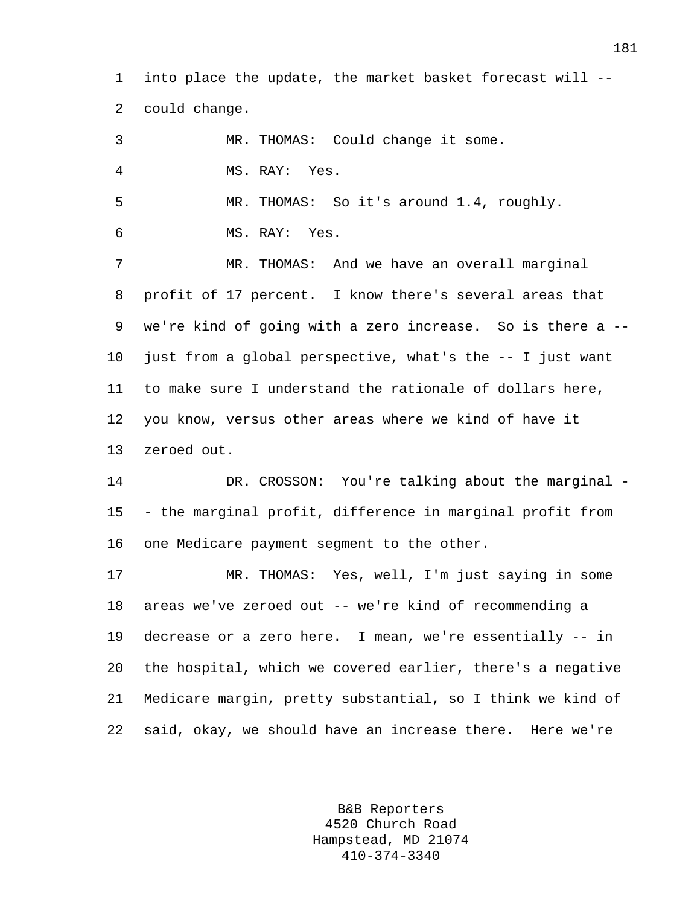1 into place the update, the market basket forecast will -- 2 could change.

3 MR. THOMAS: Could change it some. 4 MS. RAY: Yes. 5 MR. THOMAS: So it's around 1.4, roughly. 6 MS. RAY: Yes. 7 MR. THOMAS: And we have an overall marginal 8 profit of 17 percent. I know there's several areas that 9 we're kind of going with a zero increase. So is there a -- 10 just from a global perspective, what's the -- I just want 11 to make sure I understand the rationale of dollars here, 12 you know, versus other areas where we kind of have it 13 zeroed out. 14 DR. CROSSON: You're talking about the marginal - 15 - the marginal profit, difference in marginal profit from 16 one Medicare payment segment to the other. 17 MR. THOMAS: Yes, well, I'm just saying in some 18 areas we've zeroed out -- we're kind of recommending a 19 decrease or a zero here. I mean, we're essentially -- in 20 the hospital, which we covered earlier, there's a negative 21 Medicare margin, pretty substantial, so I think we kind of 22 said, okay, we should have an increase there. Here we're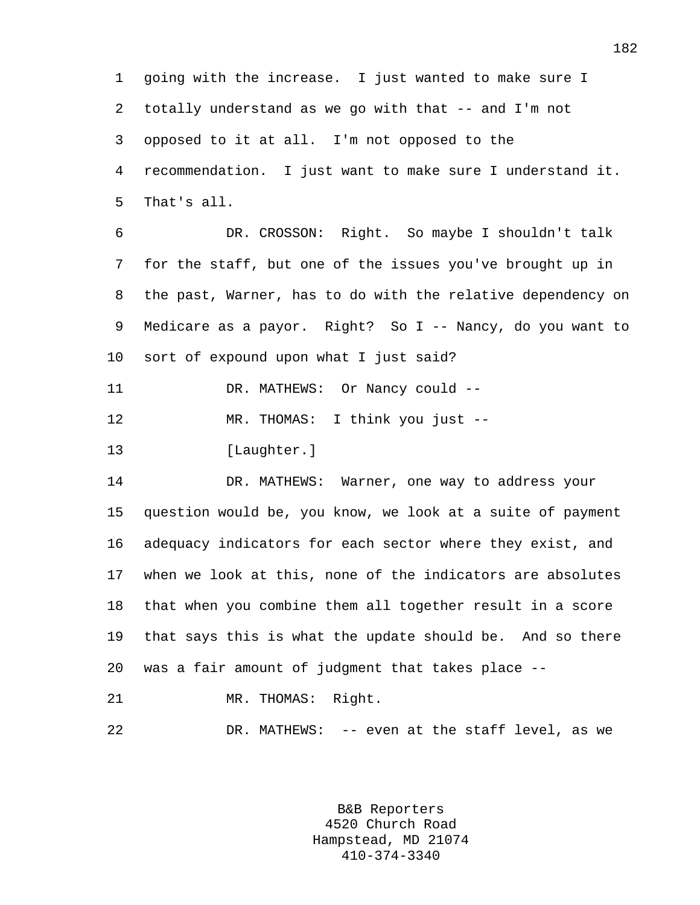1 going with the increase. I just wanted to make sure I 2 totally understand as we go with that -- and I'm not 3 opposed to it at all. I'm not opposed to the 4 recommendation. I just want to make sure I understand it. 5 That's all. 6 DR. CROSSON: Right. So maybe I shouldn't talk 7 for the staff, but one of the issues you've brought up in

8 the past, Warner, has to do with the relative dependency on 9 Medicare as a payor. Right? So I -- Nancy, do you want to 10 sort of expound upon what I just said?

11 DR. MATHEWS: Or Nancy could --

12 MR. THOMAS: I think you just --

13 [Laughter.]

14 DR. MATHEWS: Warner, one way to address your 15 question would be, you know, we look at a suite of payment 16 adequacy indicators for each sector where they exist, and 17 when we look at this, none of the indicators are absolutes 18 that when you combine them all together result in a score 19 that says this is what the update should be. And so there 20 was a fair amount of judgment that takes place --

21 MR. THOMAS: Right.

22 DR. MATHEWS: -- even at the staff level, as we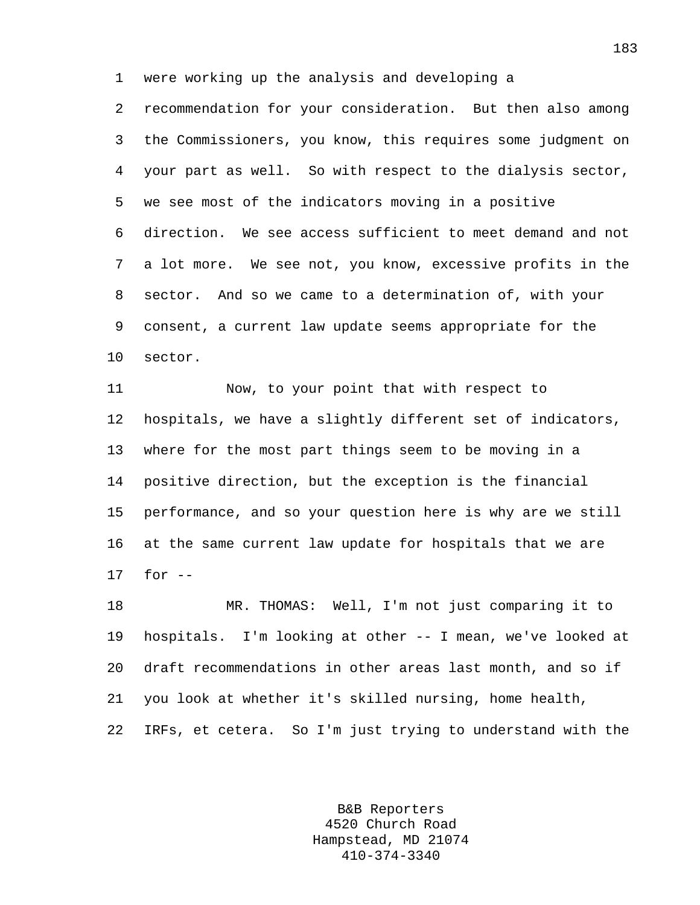1 were working up the analysis and developing a

2 recommendation for your consideration. But then also among 3 the Commissioners, you know, this requires some judgment on 4 your part as well. So with respect to the dialysis sector, 5 we see most of the indicators moving in a positive 6 direction. We see access sufficient to meet demand and not 7 a lot more. We see not, you know, excessive profits in the 8 sector. And so we came to a determination of, with your 9 consent, a current law update seems appropriate for the 10 sector.

11 Now, to your point that with respect to 12 hospitals, we have a slightly different set of indicators, 13 where for the most part things seem to be moving in a 14 positive direction, but the exception is the financial 15 performance, and so your question here is why are we still 16 at the same current law update for hospitals that we are 17 for --

18 MR. THOMAS: Well, I'm not just comparing it to 19 hospitals. I'm looking at other -- I mean, we've looked at 20 draft recommendations in other areas last month, and so if 21 you look at whether it's skilled nursing, home health, 22 IRFs, et cetera. So I'm just trying to understand with the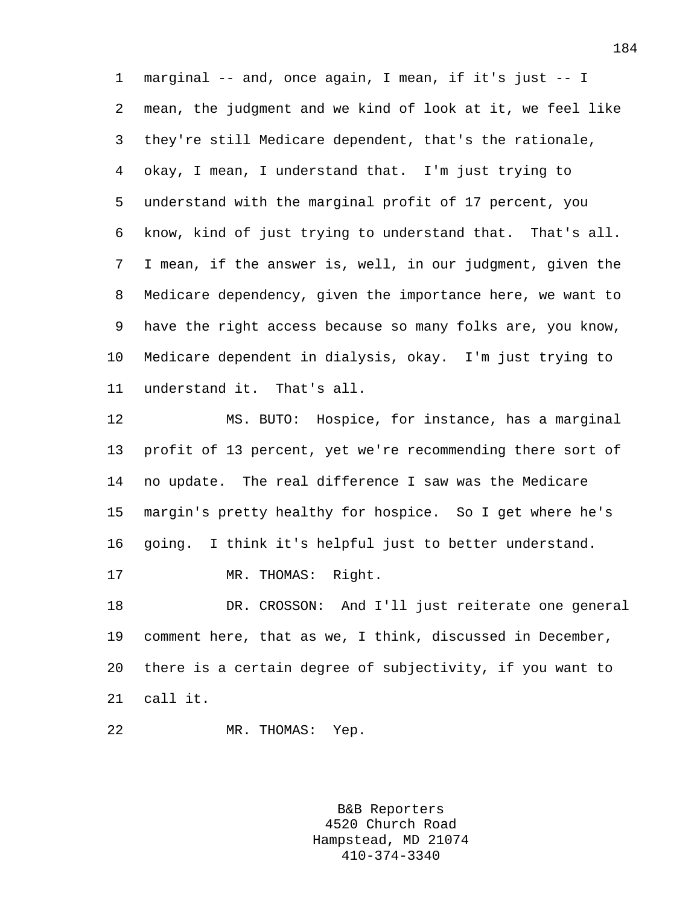1 marginal -- and, once again, I mean, if it's just -- I 2 mean, the judgment and we kind of look at it, we feel like 3 they're still Medicare dependent, that's the rationale, 4 okay, I mean, I understand that. I'm just trying to 5 understand with the marginal profit of 17 percent, you 6 know, kind of just trying to understand that. That's all. 7 I mean, if the answer is, well, in our judgment, given the 8 Medicare dependency, given the importance here, we want to 9 have the right access because so many folks are, you know, 10 Medicare dependent in dialysis, okay. I'm just trying to 11 understand it. That's all.

12 MS. BUTO: Hospice, for instance, has a marginal 13 profit of 13 percent, yet we're recommending there sort of 14 no update. The real difference I saw was the Medicare 15 margin's pretty healthy for hospice. So I get where he's 16 going. I think it's helpful just to better understand. 17 MR. THOMAS: Right. 18 DR. CROSSON: And I'll just reiterate one general 19 comment here, that as we, I think, discussed in December,

20 there is a certain degree of subjectivity, if you want to 21 call it.

22 MR. THOMAS: Yep.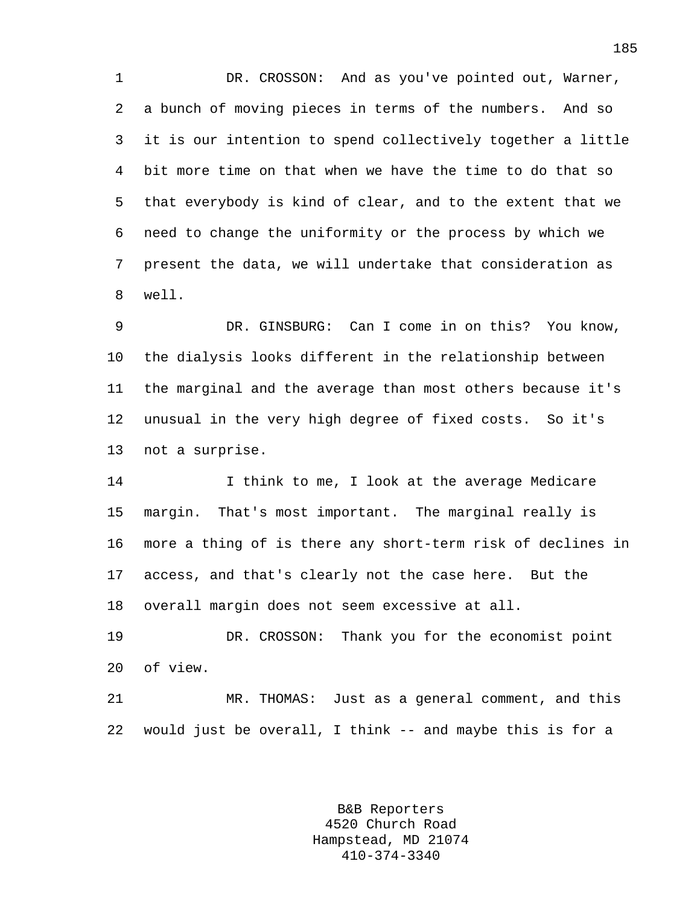1 DR. CROSSON: And as you've pointed out, Warner, 2 a bunch of moving pieces in terms of the numbers. And so 3 it is our intention to spend collectively together a little 4 bit more time on that when we have the time to do that so 5 that everybody is kind of clear, and to the extent that we 6 need to change the uniformity or the process by which we 7 present the data, we will undertake that consideration as 8 well.

9 DR. GINSBURG: Can I come in on this? You know, 10 the dialysis looks different in the relationship between 11 the marginal and the average than most others because it's 12 unusual in the very high degree of fixed costs. So it's 13 not a surprise.

14 I think to me, I look at the average Medicare 15 margin. That's most important. The marginal really is 16 more a thing of is there any short-term risk of declines in 17 access, and that's clearly not the case here. But the 18 overall margin does not seem excessive at all.

19 DR. CROSSON: Thank you for the economist point 20 of view.

21 MR. THOMAS: Just as a general comment, and this 22 would just be overall, I think -- and maybe this is for a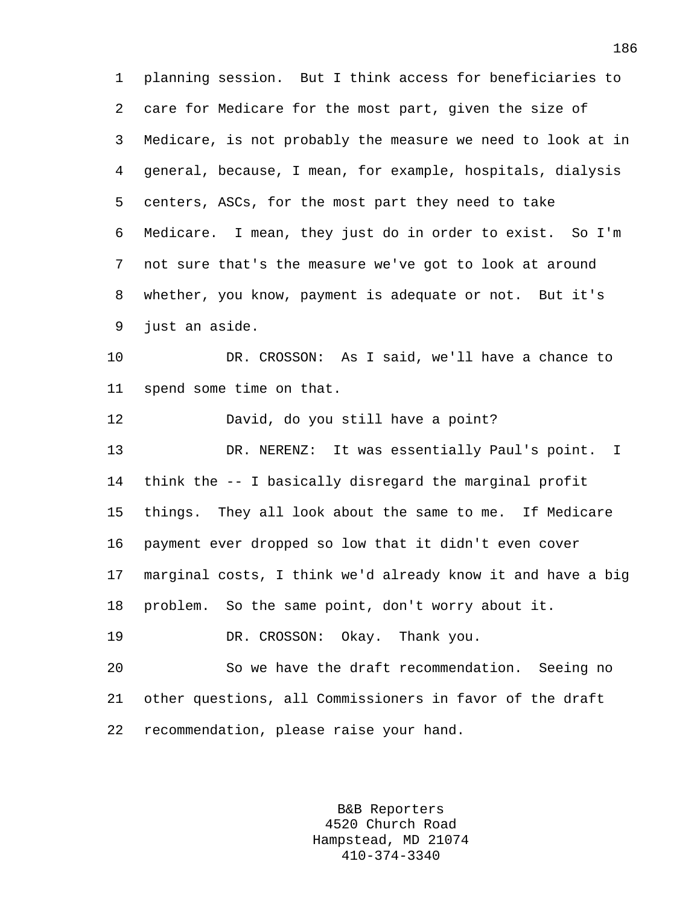1 planning session. But I think access for beneficiaries to 2 care for Medicare for the most part, given the size of 3 Medicare, is not probably the measure we need to look at in 4 general, because, I mean, for example, hospitals, dialysis 5 centers, ASCs, for the most part they need to take 6 Medicare. I mean, they just do in order to exist. So I'm 7 not sure that's the measure we've got to look at around 8 whether, you know, payment is adequate or not. But it's 9 just an aside. 10 DR. CROSSON: As I said, we'll have a chance to 11 spend some time on that. 12 David, do you still have a point? 13 DR. NERENZ: It was essentially Paul's point. I 14 think the -- I basically disregard the marginal profit 15 things. They all look about the same to me. If Medicare

16 payment ever dropped so low that it didn't even cover 17 marginal costs, I think we'd already know it and have a big 18 problem. So the same point, don't worry about it.

19 DR. CROSSON: Okay. Thank you.

20 So we have the draft recommendation. Seeing no 21 other questions, all Commissioners in favor of the draft 22 recommendation, please raise your hand.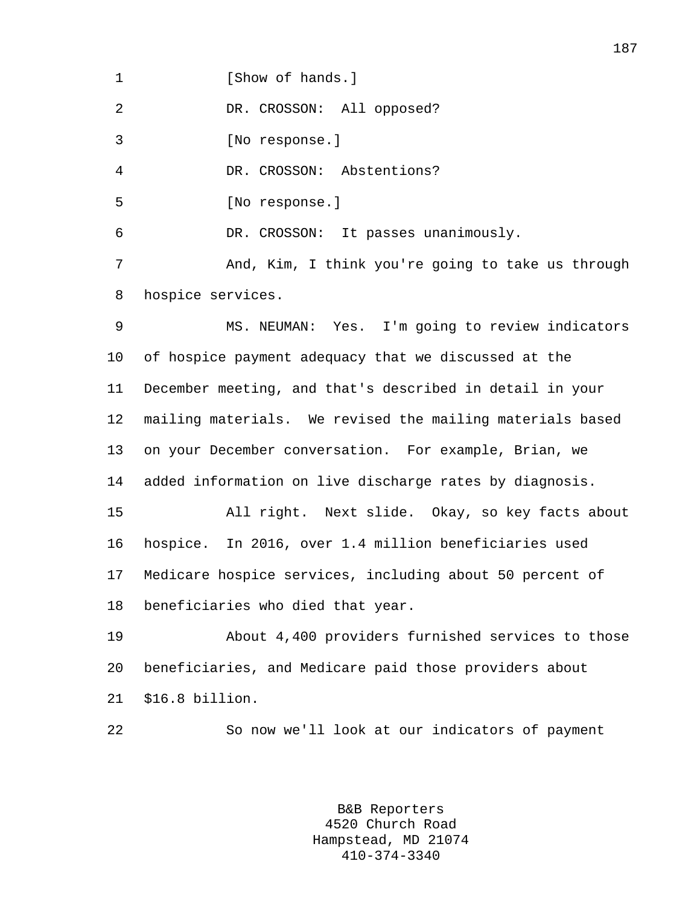1 **I** Show of hands.

2 DR. CROSSON: All opposed?

3 [No response.]

4 DR. CROSSON: Abstentions?

5 [No response.]

6 DR. CROSSON: It passes unanimously.

7 And, Kim, I think you're going to take us through 8 hospice services.

9 MS. NEUMAN: Yes. I'm going to review indicators 10 of hospice payment adequacy that we discussed at the 11 December meeting, and that's described in detail in your 12 mailing materials. We revised the mailing materials based 13 on your December conversation. For example, Brian, we 14 added information on live discharge rates by diagnosis. 15 All right. Next slide. Okay, so key facts about 16 hospice. In 2016, over 1.4 million beneficiaries used 17 Medicare hospice services, including about 50 percent of 18 beneficiaries who died that year.

19 About 4,400 providers furnished services to those 20 beneficiaries, and Medicare paid those providers about 21 \$16.8 billion.

22 So now we'll look at our indicators of payment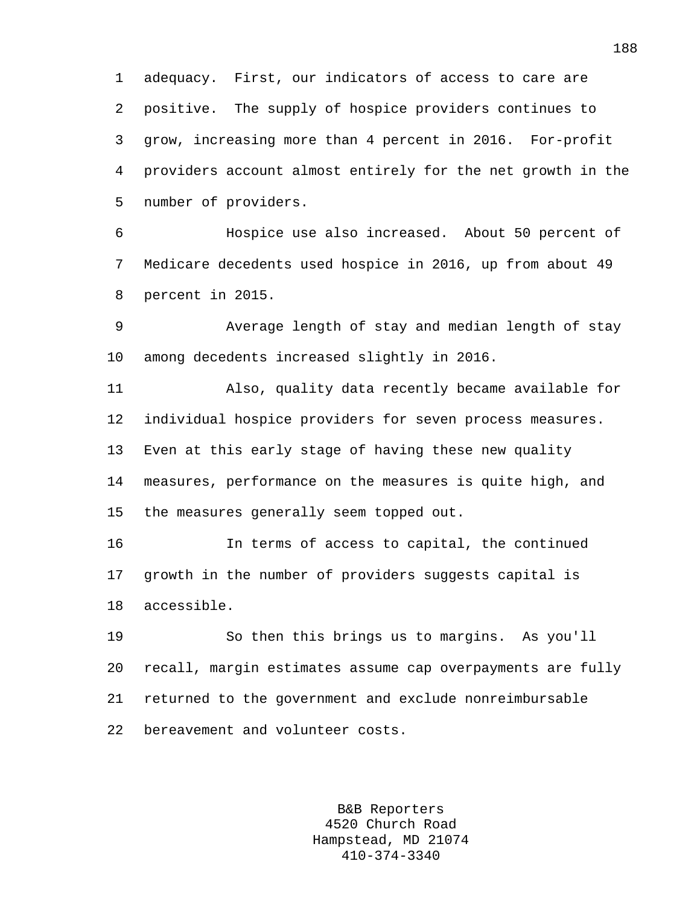1 adequacy. First, our indicators of access to care are 2 positive. The supply of hospice providers continues to 3 grow, increasing more than 4 percent in 2016. For-profit 4 providers account almost entirely for the net growth in the 5 number of providers.

6 Hospice use also increased. About 50 percent of 7 Medicare decedents used hospice in 2016, up from about 49 8 percent in 2015.

9 Average length of stay and median length of stay 10 among decedents increased slightly in 2016.

11 Also, quality data recently became available for 12 individual hospice providers for seven process measures. 13 Even at this early stage of having these new quality 14 measures, performance on the measures is quite high, and 15 the measures generally seem topped out.

16 In terms of access to capital, the continued 17 growth in the number of providers suggests capital is 18 accessible.

19 So then this brings us to margins. As you'll 20 recall, margin estimates assume cap overpayments are fully 21 returned to the government and exclude nonreimbursable 22 bereavement and volunteer costs.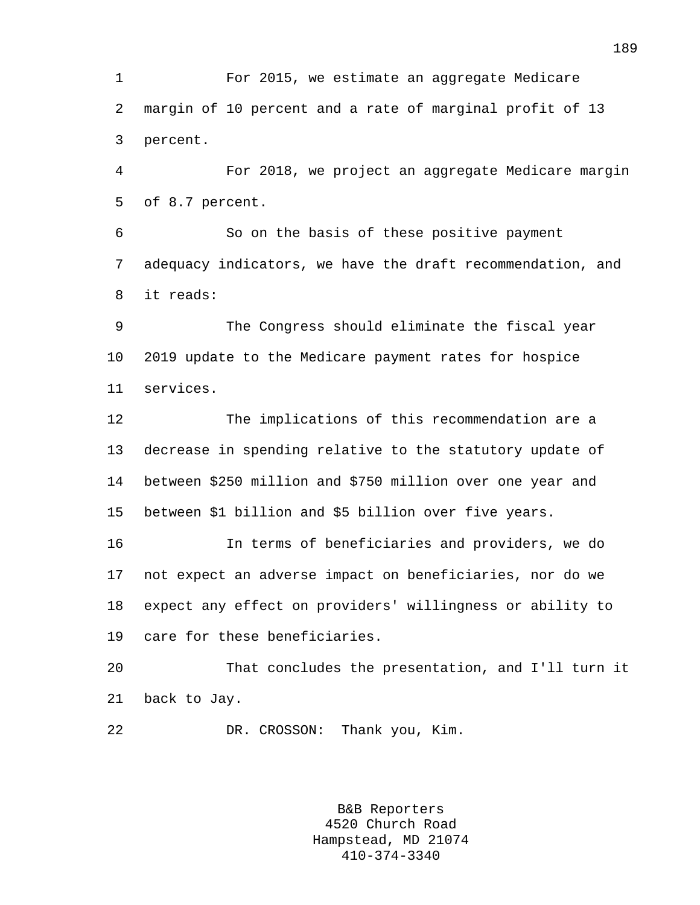1 For 2015, we estimate an aggregate Medicare 2 margin of 10 percent and a rate of marginal profit of 13 3 percent.

4 For 2018, we project an aggregate Medicare margin 5 of 8.7 percent.

6 So on the basis of these positive payment 7 adequacy indicators, we have the draft recommendation, and 8 it reads:

9 The Congress should eliminate the fiscal year 10 2019 update to the Medicare payment rates for hospice 11 services.

12 The implications of this recommendation are a 13 decrease in spending relative to the statutory update of 14 between \$250 million and \$750 million over one year and 15 between \$1 billion and \$5 billion over five years.

16 In terms of beneficiaries and providers, we do 17 not expect an adverse impact on beneficiaries, nor do we 18 expect any effect on providers' willingness or ability to 19 care for these beneficiaries.

20 That concludes the presentation, and I'll turn it 21 back to Jay.

22 DR. CROSSON: Thank you, Kim.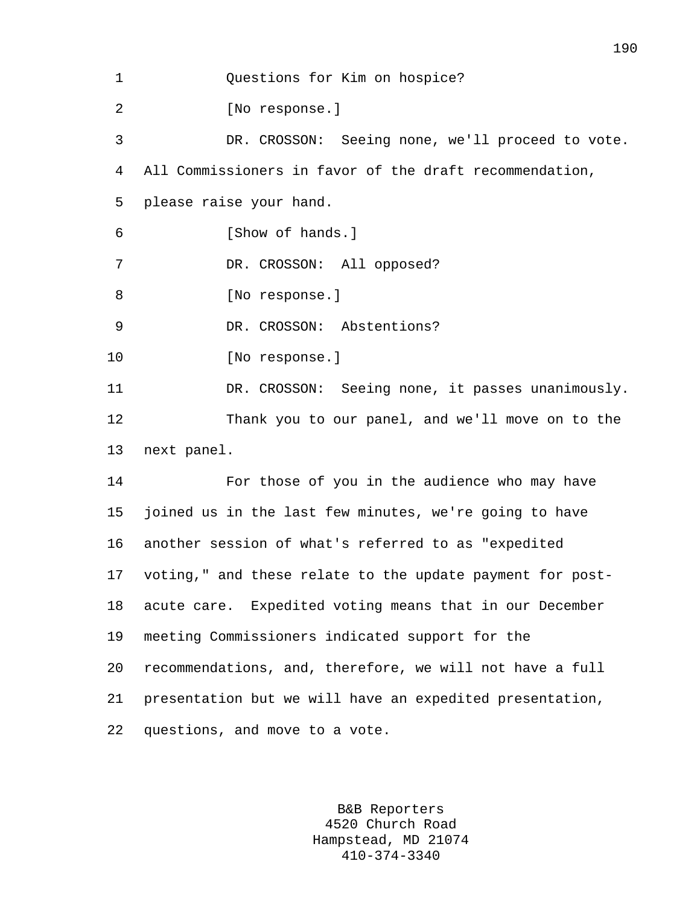1 Questions for Kim on hospice? 2 [No response.] 3 DR. CROSSON: Seeing none, we'll proceed to vote. 4 All Commissioners in favor of the draft recommendation, 5 please raise your hand. 6 [Show of hands.] 7 DR. CROSSON: All opposed? 8 [No response.] 9 DR. CROSSON: Abstentions? 10 [No response.] 11 DR. CROSSON: Seeing none, it passes unanimously. 12 Thank you to our panel, and we'll move on to the 13 next panel. 14 For those of you in the audience who may have 15 joined us in the last few minutes, we're going to have 16 another session of what's referred to as "expedited 17 voting," and these relate to the update payment for post-18 acute care. Expedited voting means that in our December 19 meeting Commissioners indicated support for the 20 recommendations, and, therefore, we will not have a full 21 presentation but we will have an expedited presentation, 22 questions, and move to a vote.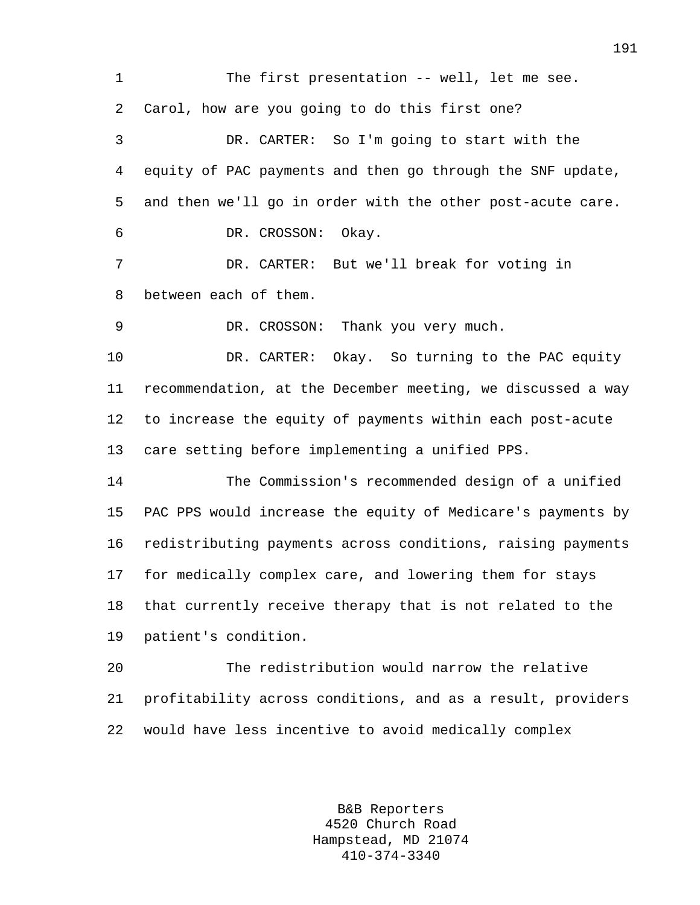1 The first presentation -- well, let me see. 2 Carol, how are you going to do this first one? 3 DR. CARTER: So I'm going to start with the 4 equity of PAC payments and then go through the SNF update, 5 and then we'll go in order with the other post-acute care. 6 DR. CROSSON: Okay. 7 DR. CARTER: But we'll break for voting in 8 between each of them. 9 DR. CROSSON: Thank you very much. 10 DR. CARTER: Okay. So turning to the PAC equity 11 recommendation, at the December meeting, we discussed a way 12 to increase the equity of payments within each post-acute 13 care setting before implementing a unified PPS. 14 The Commission's recommended design of a unified 15 PAC PPS would increase the equity of Medicare's payments by 16 redistributing payments across conditions, raising payments 17 for medically complex care, and lowering them for stays 18 that currently receive therapy that is not related to the 19 patient's condition. 20 The redistribution would narrow the relative 21 profitability across conditions, and as a result, providers 22 would have less incentive to avoid medically complex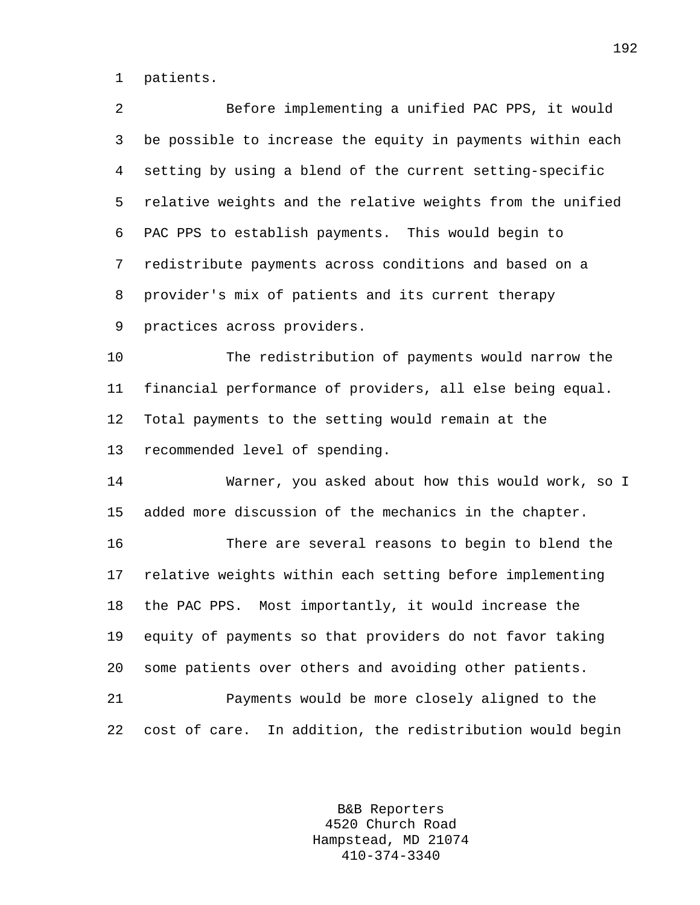1 patients.

| 2  | Before implementing a unified PAC PPS, it would            |
|----|------------------------------------------------------------|
| 3  | be possible to increase the equity in payments within each |
| 4  | setting by using a blend of the current setting-specific   |
| 5  | relative weights and the relative weights from the unified |
| 6  | PAC PPS to establish payments. This would begin to         |
| 7  | redistribute payments across conditions and based on a     |
| 8  | provider's mix of patients and its current therapy         |
| 9  | practices across providers.                                |
| 10 | The redistribution of payments would narrow the            |
| 11 | financial performance of providers, all else being equal.  |
| 12 | Total payments to the setting would remain at the          |
| 13 | recommended level of spending.                             |
| 14 | Warner, you asked about how this would work, so I          |
| 15 | added more discussion of the mechanics in the chapter.     |
| 16 | There are several reasons to begin to blend the            |
| 17 | relative weights within each setting before implementing   |
| 18 | the PAC PPS. Most importantly, it would increase the       |
| 19 | equity of payments so that providers do not favor taking   |
| 20 | some patients over others and avoiding other patients.     |
| 21 | Payments would be more closely aligned to the              |
| 22 | cost of care. In addition, the redistribution would begin  |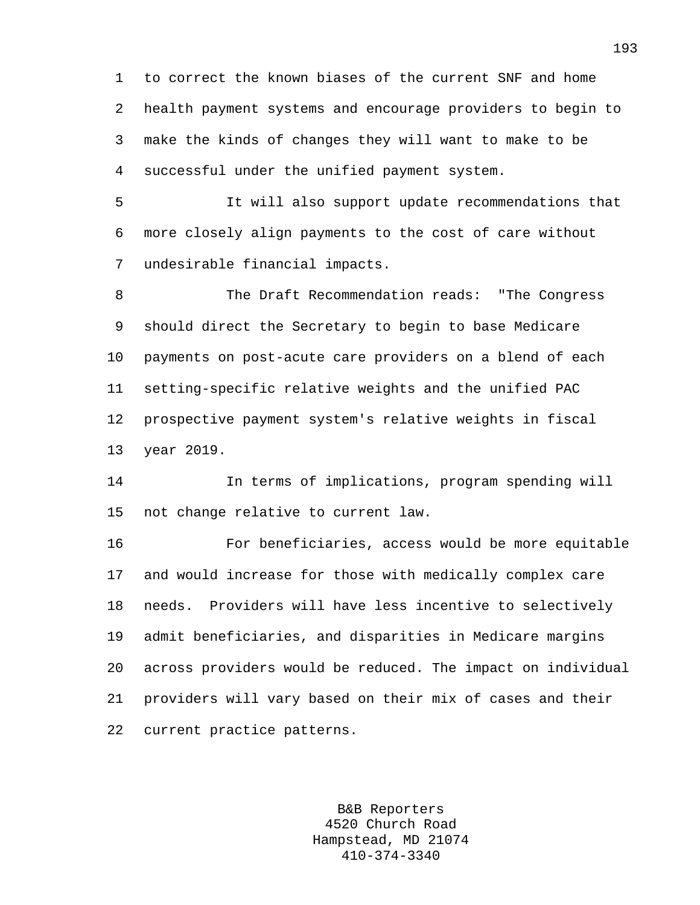1 to correct the known biases of the current SNF and home 2 health payment systems and encourage providers to begin to 3 make the kinds of changes they will want to make to be 4 successful under the unified payment system.

5 It will also support update recommendations that 6 more closely align payments to the cost of care without 7 undesirable financial impacts.

8 The Draft Recommendation reads: "The Congress 9 should direct the Secretary to begin to base Medicare 10 payments on post-acute care providers on a blend of each 11 setting-specific relative weights and the unified PAC 12 prospective payment system's relative weights in fiscal 13 year 2019.

14 In terms of implications, program spending will 15 not change relative to current law.

16 For beneficiaries, access would be more equitable 17 and would increase for those with medically complex care 18 needs. Providers will have less incentive to selectively 19 admit beneficiaries, and disparities in Medicare margins 20 across providers would be reduced. The impact on individual 21 providers will vary based on their mix of cases and their 22 current practice patterns.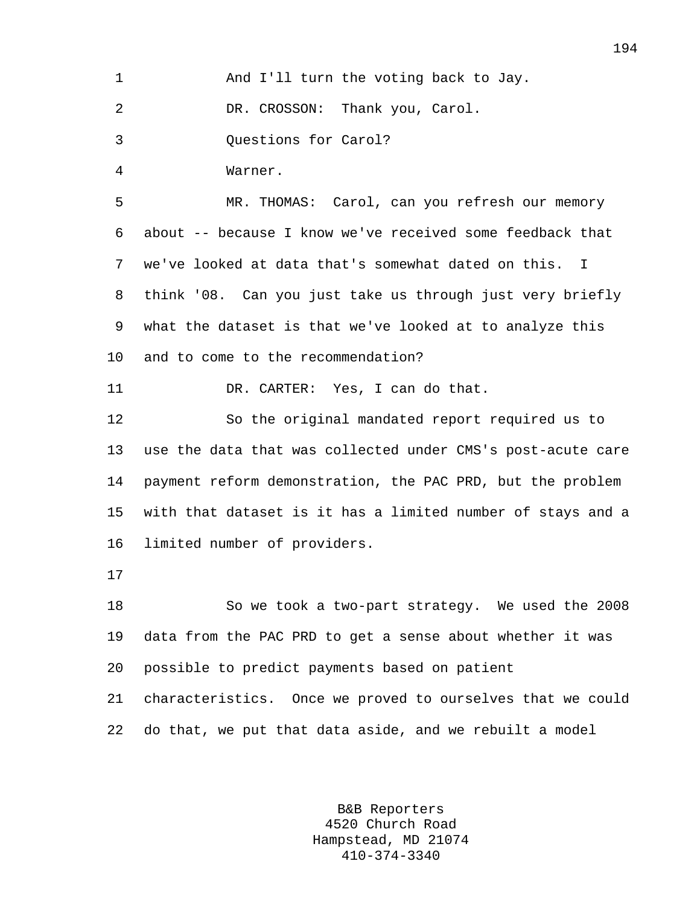| 1  | And I'll turn the voting back to Jay.                           |
|----|-----------------------------------------------------------------|
| 2  | DR. CROSSON: Thank you, Carol.                                  |
| 3  | Questions for Carol?                                            |
| 4  | Warner.                                                         |
| 5  | MR. THOMAS: Carol, can you refresh our memory                   |
| 6  | about -- because I know we've received some feedback that       |
| 7  | we've looked at data that's somewhat dated on this.<br><b>I</b> |
| 8  | think '08. Can you just take us through just very briefly       |
| 9  | what the dataset is that we've looked at to analyze this        |
| 10 | and to come to the recommendation?                              |
| 11 | DR. CARTER: Yes, I can do that.                                 |
| 12 | So the original mandated report required us to                  |
| 13 | use the data that was collected under CMS's post-acute care     |
| 14 | payment reform demonstration, the PAC PRD, but the problem      |
| 15 | with that dataset is it has a limited number of stays and a     |
| 16 | limited number of providers.                                    |
| 17 |                                                                 |
| 18 | So we took a two-part strategy. We used the 2008                |
| 19 | data from the PAC PRD to get a sense about whether it was       |
| 20 | possible to predict payments based on patient                   |
| 21 | characteristics. Once we proved to ourselves that we could      |
| 22 | do that, we put that data aside, and we rebuilt a model         |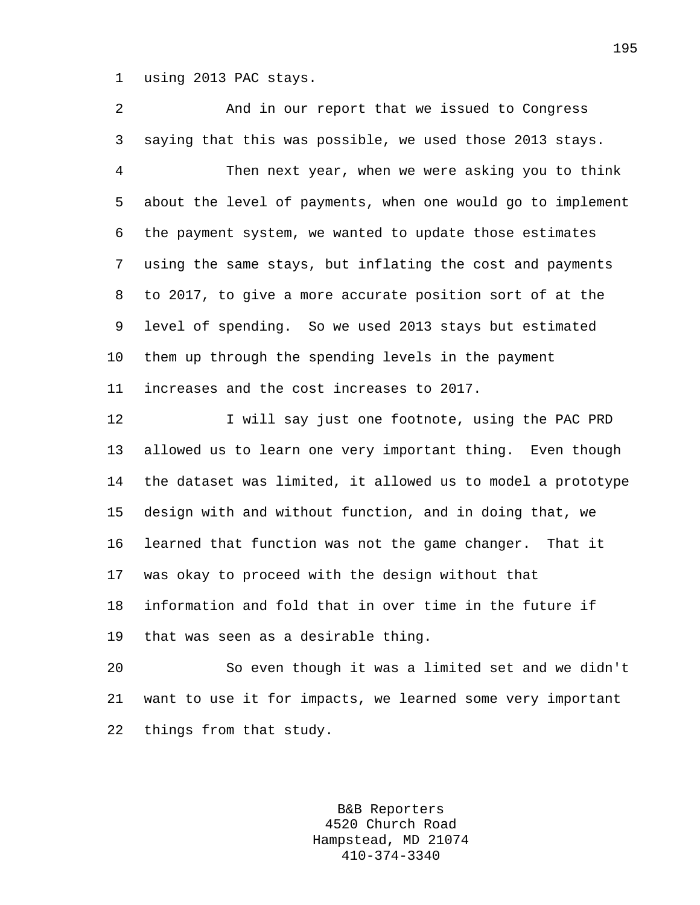1 using 2013 PAC stays.

2 And in our report that we issued to Congress 3 saying that this was possible, we used those 2013 stays. 4 Then next year, when we were asking you to think 5 about the level of payments, when one would go to implement 6 the payment system, we wanted to update those estimates 7 using the same stays, but inflating the cost and payments 8 to 2017, to give a more accurate position sort of at the 9 level of spending. So we used 2013 stays but estimated 10 them up through the spending levels in the payment 11 increases and the cost increases to 2017. 12 I will say just one footnote, using the PAC PRD 13 allowed us to learn one very important thing. Even though 14 the dataset was limited, it allowed us to model a prototype 15 design with and without function, and in doing that, we 16 learned that function was not the game changer. That it 17 was okay to proceed with the design without that 18 information and fold that in over time in the future if 19 that was seen as a desirable thing.

20 So even though it was a limited set and we didn't 21 want to use it for impacts, we learned some very important 22 things from that study.

> B&B Reporters 4520 Church Road Hampstead, MD 21074 410-374-3340

195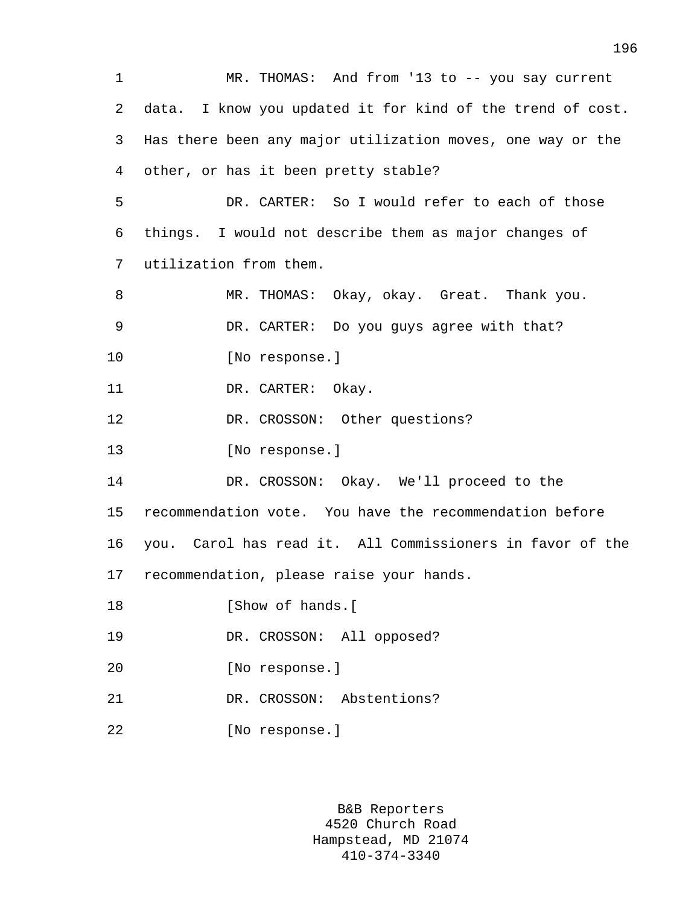1 MR. THOMAS: And from '13 to -- you say current 2 data. I know you updated it for kind of the trend of cost. 3 Has there been any major utilization moves, one way or the 4 other, or has it been pretty stable? 5 DR. CARTER: So I would refer to each of those 6 things. I would not describe them as major changes of 7 utilization from them. 8 MR. THOMAS: Okay, okay. Great. Thank you. 9 DR. CARTER: Do you guys agree with that? 10 [No response.] 11 DR. CARTER: Okay. 12 DR. CROSSON: Other questions? 13 [No response.] 14 DR. CROSSON: Okay. We'll proceed to the 15 recommendation vote. You have the recommendation before 16 you. Carol has read it. All Commissioners in favor of the 17 recommendation, please raise your hands. 18 **IShow of hands.**[ 19 DR. CROSSON: All opposed? 20 [No response.] 21 DR. CROSSON: Abstentions? 22 [No response.]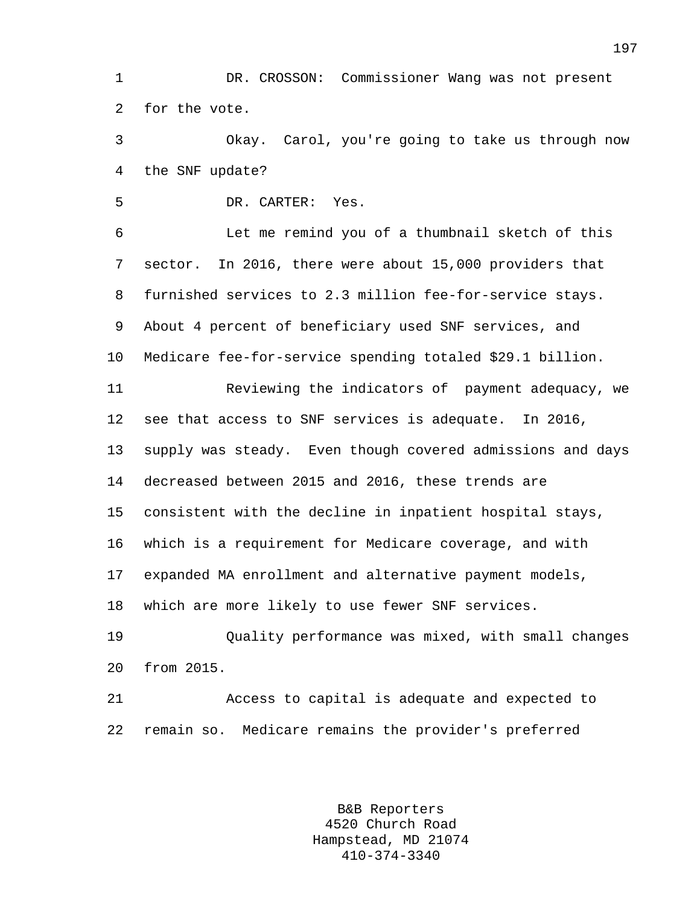1 DR. CROSSON: Commissioner Wang was not present 2 for the vote.

3 Okay. Carol, you're going to take us through now 4 the SNF update?

5 DR. CARTER: Yes.

6 Let me remind you of a thumbnail sketch of this 7 sector. In 2016, there were about 15,000 providers that 8 furnished services to 2.3 million fee-for-service stays. 9 About 4 percent of beneficiary used SNF services, and 10 Medicare fee-for-service spending totaled \$29.1 billion.

11 Reviewing the indicators of payment adequacy, we 12 see that access to SNF services is adequate. In 2016, 13 supply was steady. Even though covered admissions and days 14 decreased between 2015 and 2016, these trends are 15 consistent with the decline in inpatient hospital stays, 16 which is a requirement for Medicare coverage, and with 17 expanded MA enrollment and alternative payment models, 18 which are more likely to use fewer SNF services.

19 Quality performance was mixed, with small changes 20 from 2015.

21 Access to capital is adequate and expected to 22 remain so. Medicare remains the provider's preferred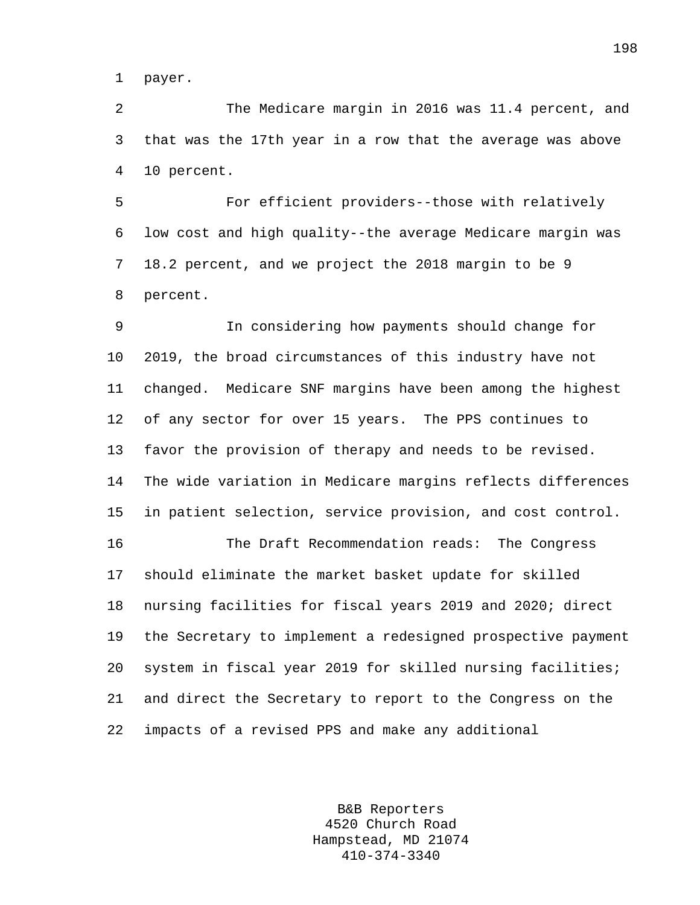1 payer.

2 The Medicare margin in 2016 was 11.4 percent, and 3 that was the 17th year in a row that the average was above 4 10 percent.

5 For efficient providers--those with relatively 6 low cost and high quality--the average Medicare margin was 7 18.2 percent, and we project the 2018 margin to be 9 8 percent.

9 In considering how payments should change for 10 2019, the broad circumstances of this industry have not 11 changed. Medicare SNF margins have been among the highest 12 of any sector for over 15 years. The PPS continues to 13 favor the provision of therapy and needs to be revised. 14 The wide variation in Medicare margins reflects differences 15 in patient selection, service provision, and cost control.

16 The Draft Recommendation reads: The Congress 17 should eliminate the market basket update for skilled 18 nursing facilities for fiscal years 2019 and 2020; direct 19 the Secretary to implement a redesigned prospective payment 20 system in fiscal year 2019 for skilled nursing facilities; 21 and direct the Secretary to report to the Congress on the 22 impacts of a revised PPS and make any additional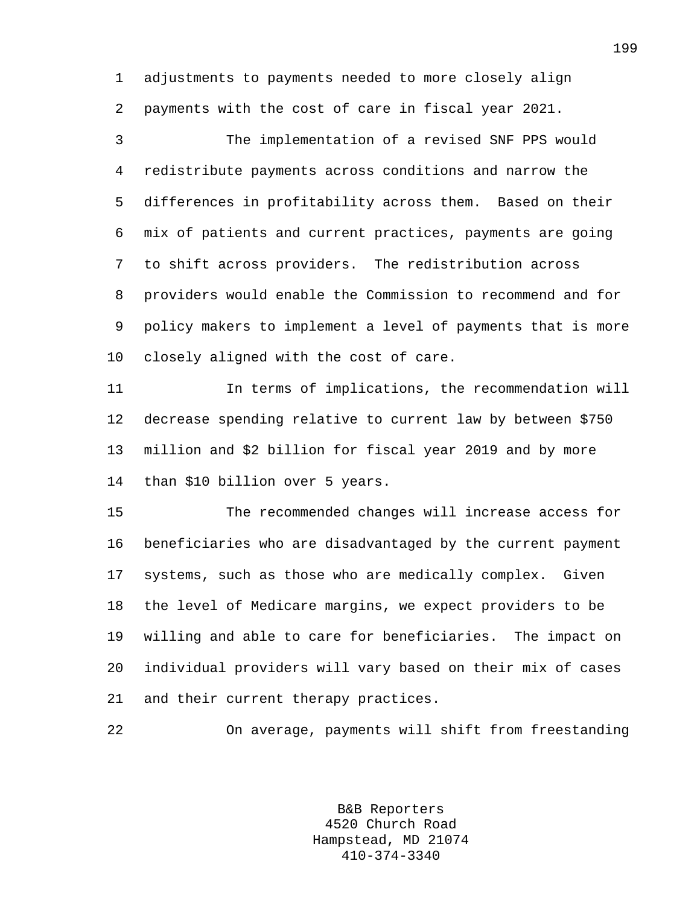1 adjustments to payments needed to more closely align 2 payments with the cost of care in fiscal year 2021.

3 The implementation of a revised SNF PPS would 4 redistribute payments across conditions and narrow the 5 differences in profitability across them. Based on their 6 mix of patients and current practices, payments are going 7 to shift across providers. The redistribution across 8 providers would enable the Commission to recommend and for 9 policy makers to implement a level of payments that is more 10 closely aligned with the cost of care.

11 In terms of implications, the recommendation will 12 decrease spending relative to current law by between \$750 13 million and \$2 billion for fiscal year 2019 and by more 14 than \$10 billion over 5 years.

15 The recommended changes will increase access for 16 beneficiaries who are disadvantaged by the current payment 17 systems, such as those who are medically complex. Given 18 the level of Medicare margins, we expect providers to be 19 willing and able to care for beneficiaries. The impact on 20 individual providers will vary based on their mix of cases 21 and their current therapy practices.

22 On average, payments will shift from freestanding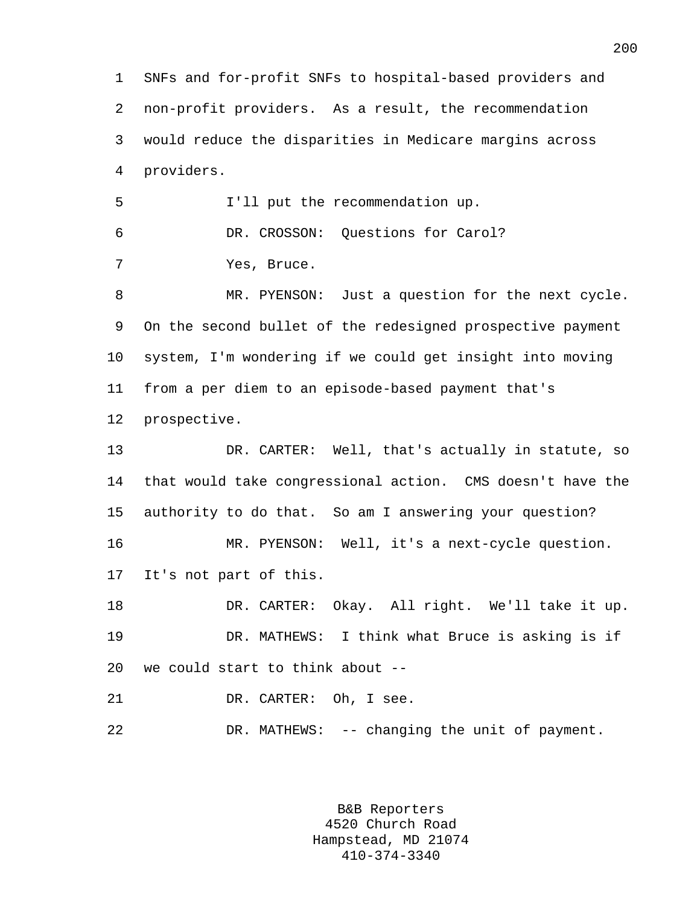1 SNFs and for-profit SNFs to hospital-based providers and 2 non-profit providers. As a result, the recommendation 3 would reduce the disparities in Medicare margins across 4 providers. 5 I'll put the recommendation up. 6 DR. CROSSON: Questions for Carol? 7 Yes, Bruce. 8 MR. PYENSON: Just a question for the next cycle. 9 On the second bullet of the redesigned prospective payment 10 system, I'm wondering if we could get insight into moving 11 from a per diem to an episode-based payment that's 12 prospective. 13 DR. CARTER: Well, that's actually in statute, so 14 that would take congressional action. CMS doesn't have the 15 authority to do that. So am I answering your question? 16 MR. PYENSON: Well, it's a next-cycle question. 17 It's not part of this. 18 DR. CARTER: Okay. All right. We'll take it up. 19 DR. MATHEWS: I think what Bruce is asking is if 20 we could start to think about -- 21 DR. CARTER: Oh, I see. 22 DR. MATHEWS: -- changing the unit of payment.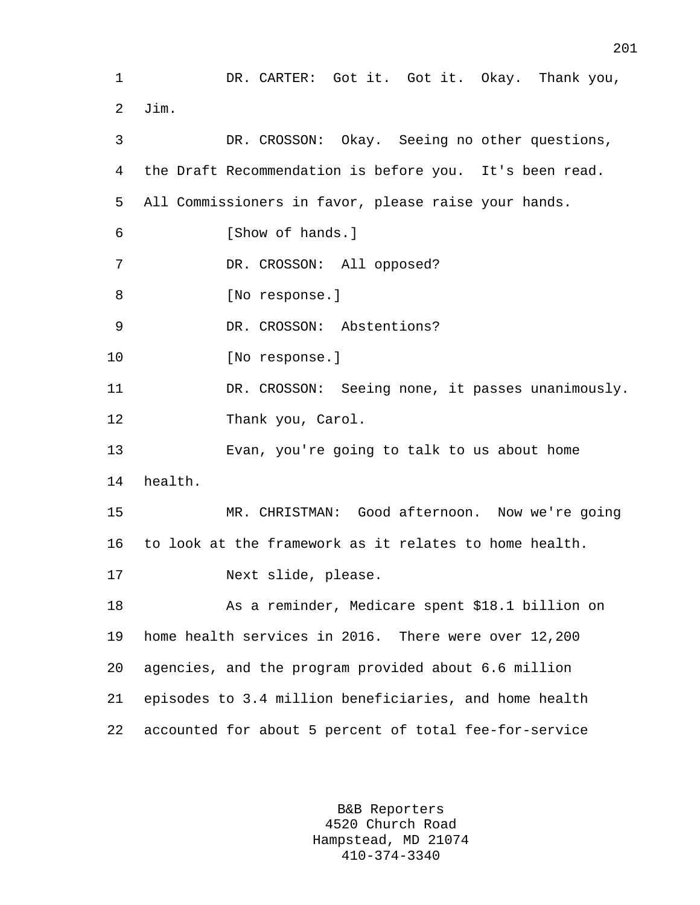1 DR. CARTER: Got it. Got it. Okay. Thank you, 2 Jim. 3 DR. CROSSON: Okay. Seeing no other questions, 4 the Draft Recommendation is before you. It's been read. 5 All Commissioners in favor, please raise your hands. 6 [Show of hands.] 7 DR. CROSSON: All opposed? 8 [No response.] 9 DR. CROSSON: Abstentions? 10 [No response.] 11 DR. CROSSON: Seeing none, it passes unanimously. 12 Thank you, Carol. 13 Evan, you're going to talk to us about home 14 health. 15 MR. CHRISTMAN: Good afternoon. Now we're going 16 to look at the framework as it relates to home health. 17 Next slide, please. 18 As a reminder, Medicare spent \$18.1 billion on 19 home health services in 2016. There were over 12,200 20 agencies, and the program provided about 6.6 million 21 episodes to 3.4 million beneficiaries, and home health 22 accounted for about 5 percent of total fee-for-service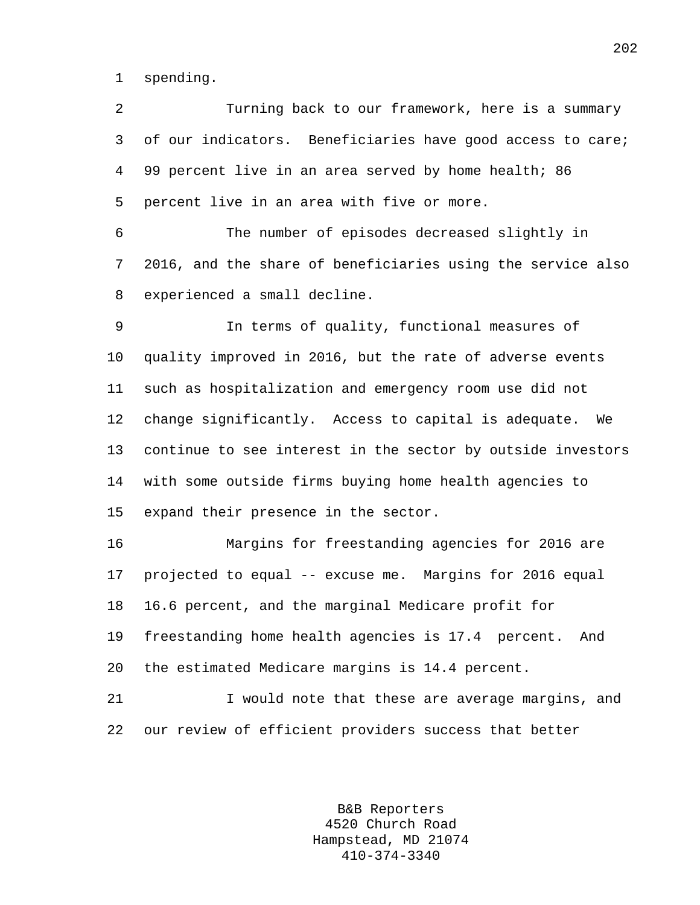1 spending.

2 Turning back to our framework, here is a summary 3 of our indicators. Beneficiaries have good access to care; 4 99 percent live in an area served by home health; 86 5 percent live in an area with five or more. 6 The number of episodes decreased slightly in 7 2016, and the share of beneficiaries using the service also 8 experienced a small decline. 9 In terms of quality, functional measures of 10 quality improved in 2016, but the rate of adverse events 11 such as hospitalization and emergency room use did not 12 change significantly. Access to capital is adequate. We 13 continue to see interest in the sector by outside investors 14 with some outside firms buying home health agencies to 15 expand their presence in the sector. 16 Margins for freestanding agencies for 2016 are 17 projected to equal -- excuse me. Margins for 2016 equal 18 16.6 percent, and the marginal Medicare profit for 19 freestanding home health agencies is 17.4 percent. And 20 the estimated Medicare margins is 14.4 percent. 21 I would note that these are average margins, and 22 our review of efficient providers success that better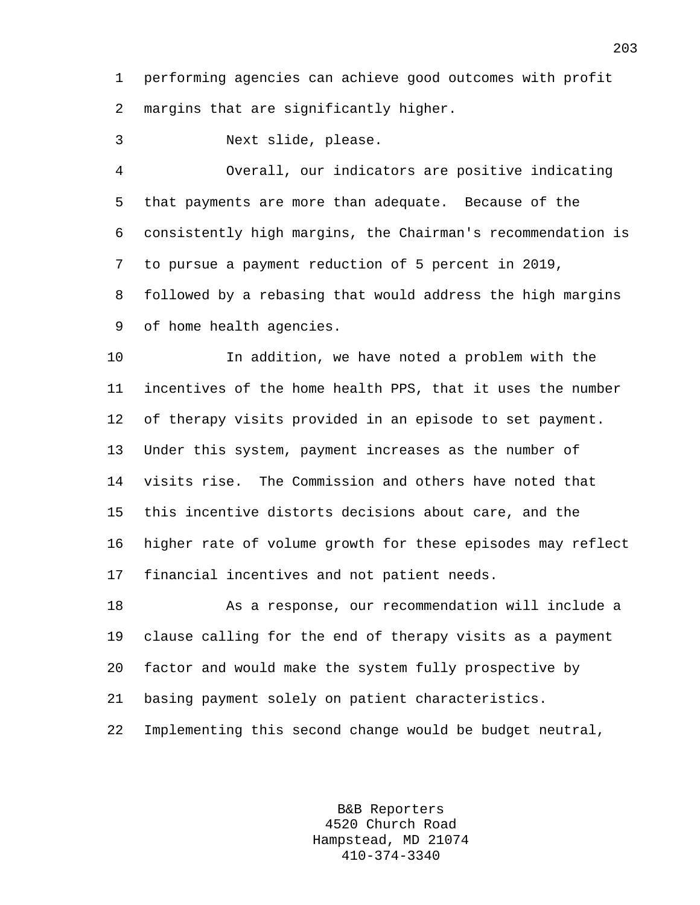1 performing agencies can achieve good outcomes with profit 2 margins that are significantly higher.

3 Next slide, please.

4 Overall, our indicators are positive indicating 5 that payments are more than adequate. Because of the 6 consistently high margins, the Chairman's recommendation is 7 to pursue a payment reduction of 5 percent in 2019, 8 followed by a rebasing that would address the high margins 9 of home health agencies.

10 In addition, we have noted a problem with the 11 incentives of the home health PPS, that it uses the number 12 of therapy visits provided in an episode to set payment. 13 Under this system, payment increases as the number of 14 visits rise. The Commission and others have noted that 15 this incentive distorts decisions about care, and the 16 higher rate of volume growth for these episodes may reflect 17 financial incentives and not patient needs.

18 As a response, our recommendation will include a 19 clause calling for the end of therapy visits as a payment 20 factor and would make the system fully prospective by 21 basing payment solely on patient characteristics. 22 Implementing this second change would be budget neutral,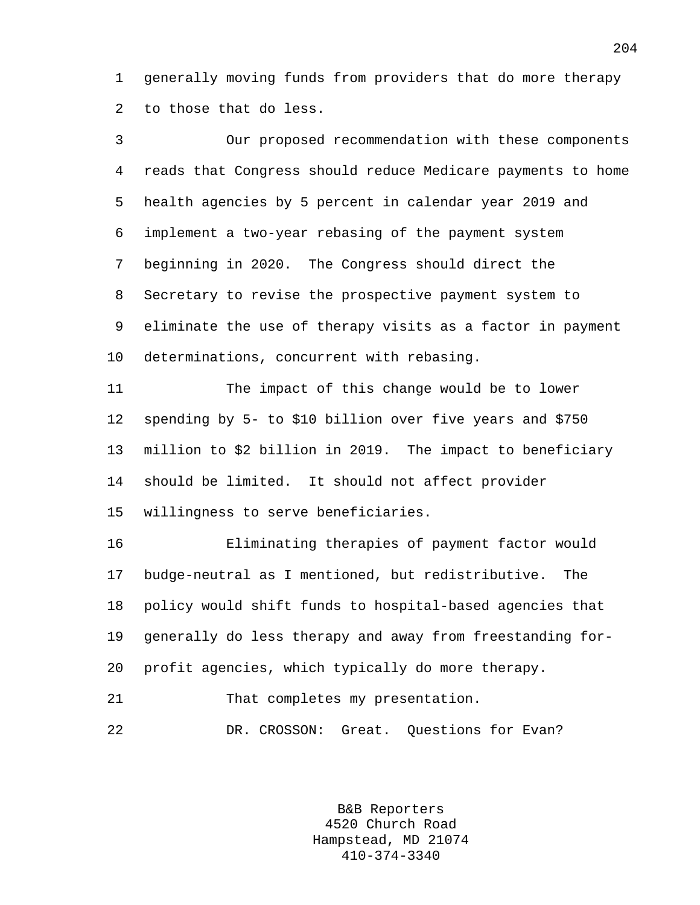1 generally moving funds from providers that do more therapy 2 to those that do less.

3 Our proposed recommendation with these components 4 reads that Congress should reduce Medicare payments to home 5 health agencies by 5 percent in calendar year 2019 and 6 implement a two-year rebasing of the payment system 7 beginning in 2020. The Congress should direct the 8 Secretary to revise the prospective payment system to 9 eliminate the use of therapy visits as a factor in payment 10 determinations, concurrent with rebasing. 11 The impact of this change would be to lower 12 spending by 5- to \$10 billion over five years and \$750 13 million to \$2 billion in 2019. The impact to beneficiary 14 should be limited. It should not affect provider 15 willingness to serve beneficiaries. 16 Eliminating therapies of payment factor would

17 budge-neutral as I mentioned, but redistributive. The 18 policy would shift funds to hospital-based agencies that 19 generally do less therapy and away from freestanding for-20 profit agencies, which typically do more therapy.

21 That completes my presentation.

22 DR. CROSSON: Great. Questions for Evan?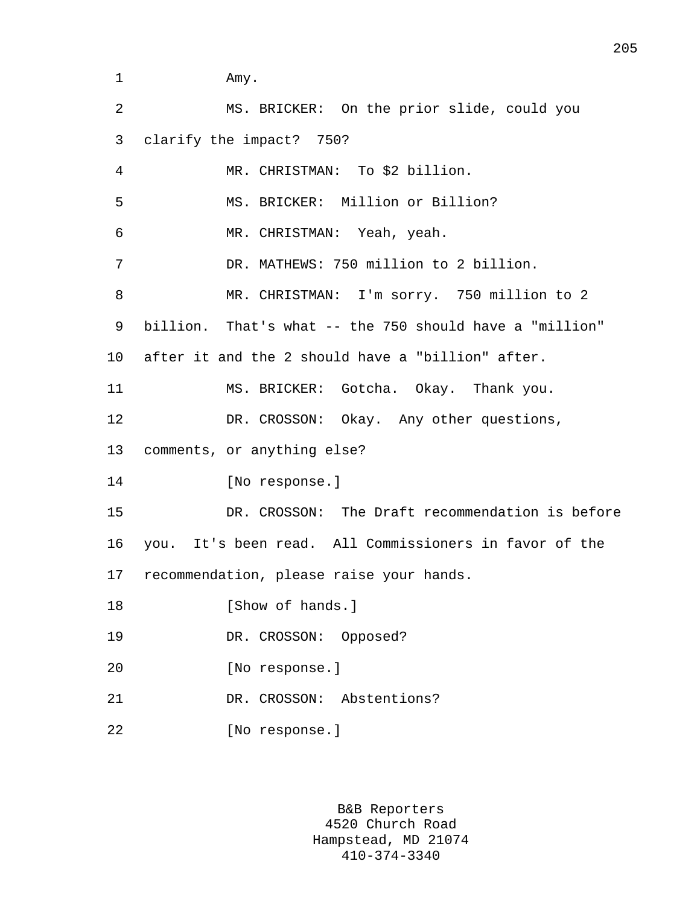1 Amy.

| $\overline{a}$ | MS. BRICKER: On the prior slide, could you              |
|----------------|---------------------------------------------------------|
| 3              | clarify the impact? 750?                                |
| 4              | MR. CHRISTMAN: To \$2 billion.                          |
| 5              | MS. BRICKER: Million or Billion?                        |
| 6              | MR. CHRISTMAN: Yeah, yeah.                              |
| 7              | DR. MATHEWS: 750 million to 2 billion.                  |
| 8              | MR. CHRISTMAN: I'm sorry. 750 million to 2              |
| 9              | billion. That's what -- the 750 should have a "million" |
| 10             | after it and the 2 should have a "billion" after.       |
| 11             | MS. BRICKER: Gotcha. Okay. Thank you.                   |
| 12             | DR. CROSSON: Okay. Any other questions,                 |
| 13             | comments, or anything else?                             |
| 14             | [No response.]                                          |
| 15             | DR. CROSSON: The Draft recommendation is before         |
| 16             | you. It's been read. All Commissioners in favor of the  |
|                | 17 recommendation, please raise your hands.             |
| 18             | [Show of hands.]                                        |
| 19             | DR. CROSSON:<br>Opposed?                                |
| 20             | [No response.]                                          |
| 21             | DR. CROSSON:<br>Abstentions?                            |
| 22             | [No response.]                                          |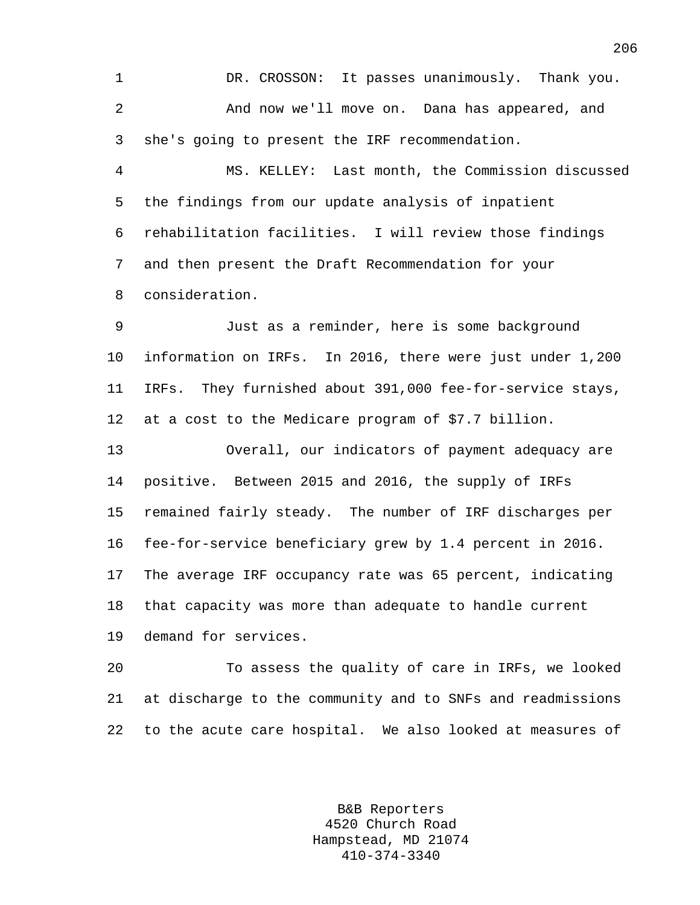1 DR. CROSSON: It passes unanimously. Thank you. 2 And now we'll move on. Dana has appeared, and 3 she's going to present the IRF recommendation.

4 MS. KELLEY: Last month, the Commission discussed 5 the findings from our update analysis of inpatient 6 rehabilitation facilities. I will review those findings 7 and then present the Draft Recommendation for your 8 consideration.

9 Just as a reminder, here is some background 10 information on IRFs. In 2016, there were just under 1,200 11 IRFs. They furnished about 391,000 fee-for-service stays, 12 at a cost to the Medicare program of \$7.7 billion.

13 Overall, our indicators of payment adequacy are 14 positive. Between 2015 and 2016, the supply of IRFs 15 remained fairly steady. The number of IRF discharges per 16 fee-for-service beneficiary grew by 1.4 percent in 2016. 17 The average IRF occupancy rate was 65 percent, indicating 18 that capacity was more than adequate to handle current 19 demand for services.

20 To assess the quality of care in IRFs, we looked 21 at discharge to the community and to SNFs and readmissions 22 to the acute care hospital. We also looked at measures of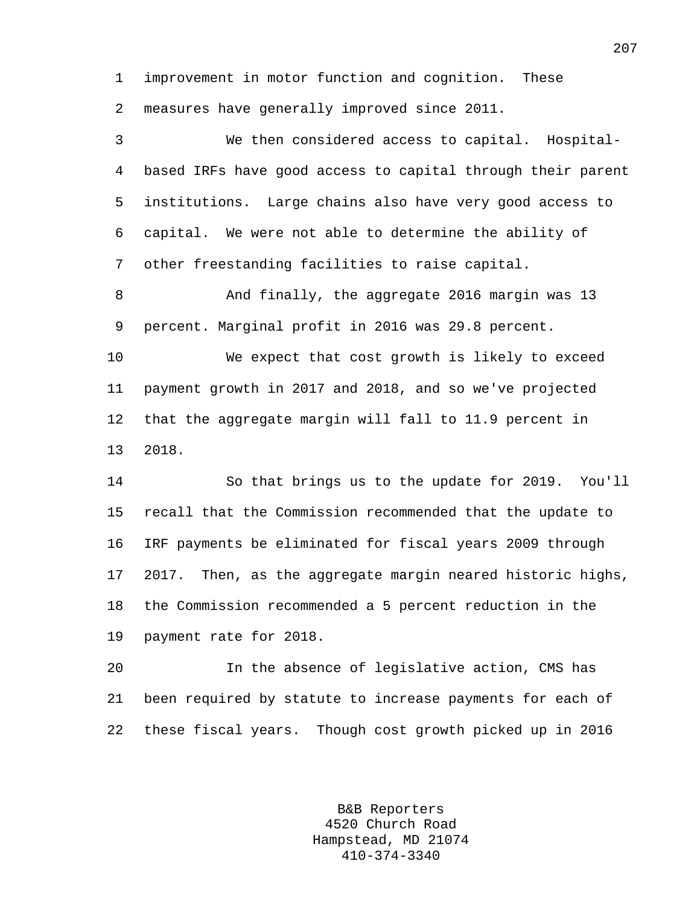1 improvement in motor function and cognition. These 2 measures have generally improved since 2011.

3 We then considered access to capital. Hospital-4 based IRFs have good access to capital through their parent 5 institutions. Large chains also have very good access to 6 capital. We were not able to determine the ability of 7 other freestanding facilities to raise capital.

8 And finally, the aggregate 2016 margin was 13 9 percent. Marginal profit in 2016 was 29.8 percent.

10 We expect that cost growth is likely to exceed 11 payment growth in 2017 and 2018, and so we've projected 12 that the aggregate margin will fall to 11.9 percent in 13 2018.

14 So that brings us to the update for 2019. You'll 15 recall that the Commission recommended that the update to 16 IRF payments be eliminated for fiscal years 2009 through 17 2017. Then, as the aggregate margin neared historic highs, 18 the Commission recommended a 5 percent reduction in the 19 payment rate for 2018.

20 In the absence of legislative action, CMS has 21 been required by statute to increase payments for each of 22 these fiscal years. Though cost growth picked up in 2016

> B&B Reporters 4520 Church Road Hampstead, MD 21074 410-374-3340

207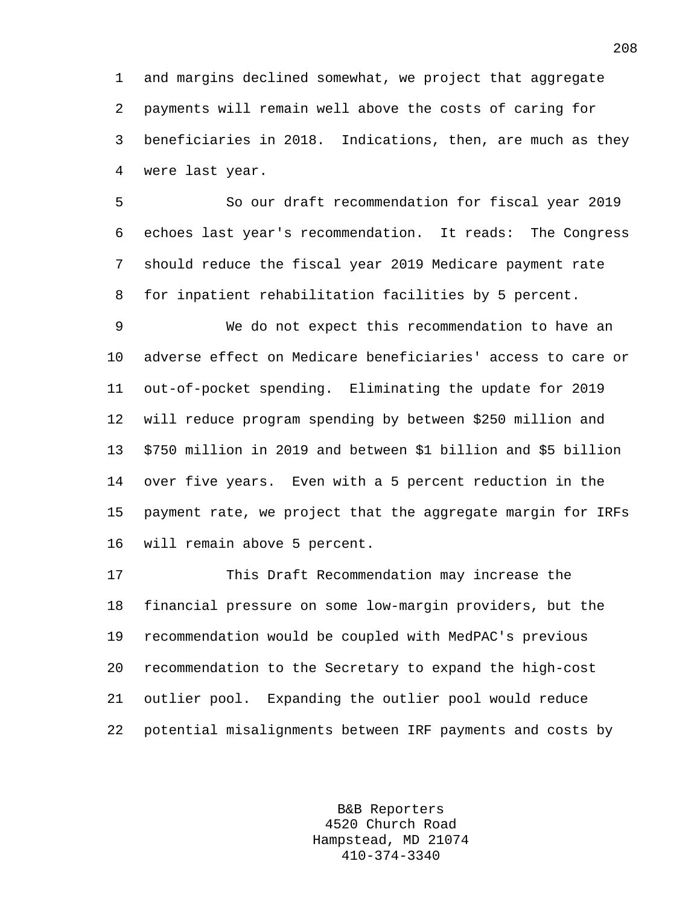1 and margins declined somewhat, we project that aggregate 2 payments will remain well above the costs of caring for 3 beneficiaries in 2018. Indications, then, are much as they 4 were last year.

5 So our draft recommendation for fiscal year 2019 6 echoes last year's recommendation. It reads: The Congress 7 should reduce the fiscal year 2019 Medicare payment rate 8 for inpatient rehabilitation facilities by 5 percent.

9 We do not expect this recommendation to have an 10 adverse effect on Medicare beneficiaries' access to care or 11 out-of-pocket spending. Eliminating the update for 2019 12 will reduce program spending by between \$250 million and 13 \$750 million in 2019 and between \$1 billion and \$5 billion 14 over five years. Even with a 5 percent reduction in the 15 payment rate, we project that the aggregate margin for IRFs 16 will remain above 5 percent.

17 This Draft Recommendation may increase the 18 financial pressure on some low-margin providers, but the 19 recommendation would be coupled with MedPAC's previous 20 recommendation to the Secretary to expand the high-cost 21 outlier pool. Expanding the outlier pool would reduce 22 potential misalignments between IRF payments and costs by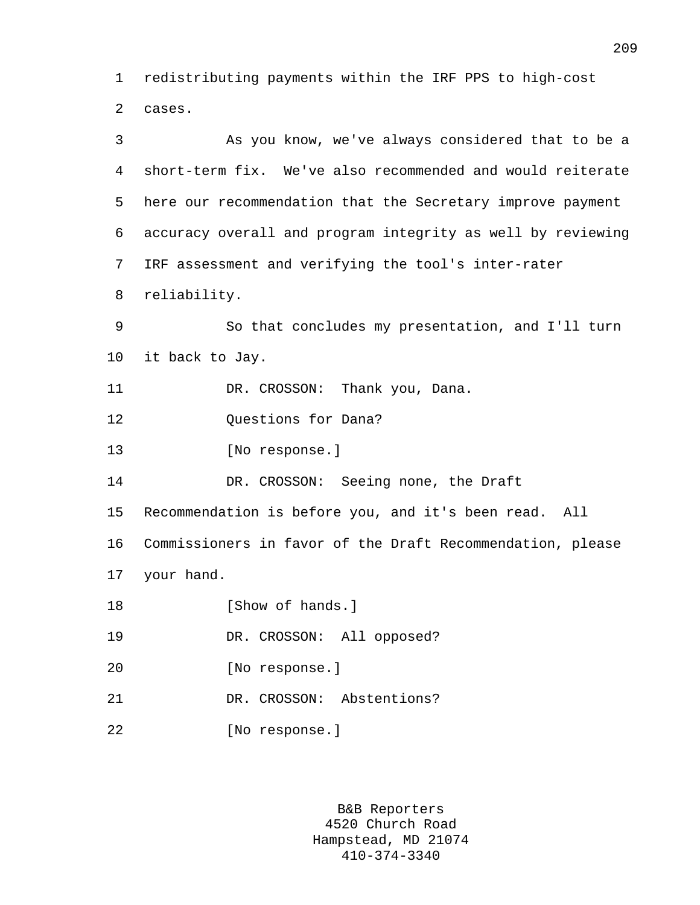1 redistributing payments within the IRF PPS to high-cost 2 cases.

3 As you know, we've always considered that to be a 4 short-term fix. We've also recommended and would reiterate 5 here our recommendation that the Secretary improve payment 6 accuracy overall and program integrity as well by reviewing 7 IRF assessment and verifying the tool's inter-rater 8 reliability. 9 So that concludes my presentation, and I'll turn 10 it back to Jay. 11 DR. CROSSON: Thank you, Dana. 12 Questions for Dana? 13 [No response.] 14 DR. CROSSON: Seeing none, the Draft 15 Recommendation is before you, and it's been read. All 16 Commissioners in favor of the Draft Recommendation, please 17 your hand. 18 **I**Show of hands. 19 DR. CROSSON: All opposed? 20 [No response.] 21 DR. CROSSON: Abstentions? 22 [No response.]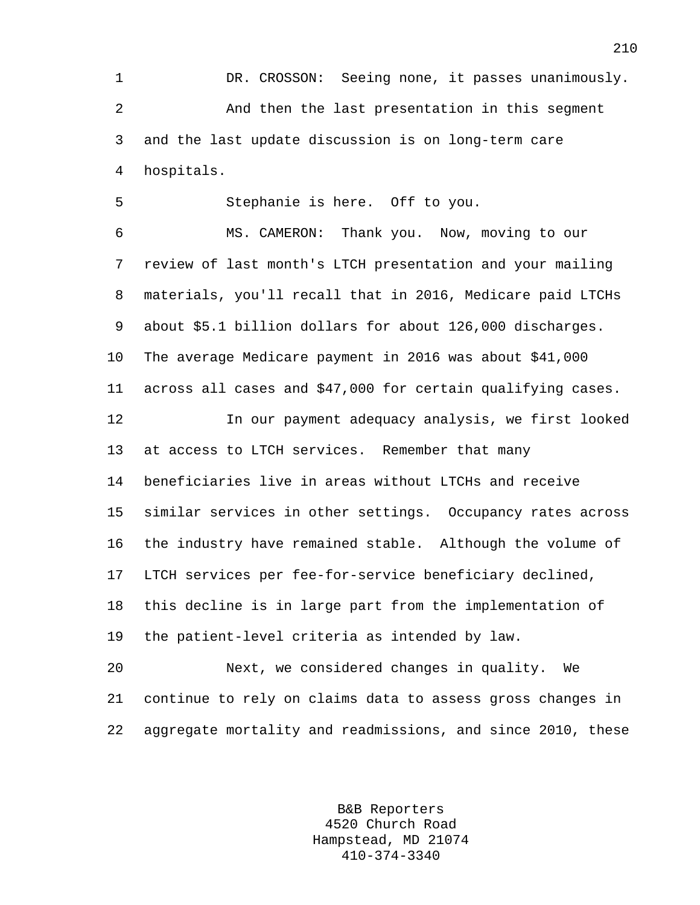1 DR. CROSSON: Seeing none, it passes unanimously. 2 And then the last presentation in this segment 3 and the last update discussion is on long-term care 4 hospitals.

5 Stephanie is here. Off to you.

6 MS. CAMERON: Thank you. Now, moving to our 7 review of last month's LTCH presentation and your mailing 8 materials, you'll recall that in 2016, Medicare paid LTCHs 9 about \$5.1 billion dollars for about 126,000 discharges. 10 The average Medicare payment in 2016 was about \$41,000 11 across all cases and \$47,000 for certain qualifying cases.

12 In our payment adequacy analysis, we first looked 13 at access to LTCH services. Remember that many 14 beneficiaries live in areas without LTCHs and receive 15 similar services in other settings. Occupancy rates across 16 the industry have remained stable. Although the volume of 17 LTCH services per fee-for-service beneficiary declined, 18 this decline is in large part from the implementation of 19 the patient-level criteria as intended by law.

20 Next, we considered changes in quality. We 21 continue to rely on claims data to assess gross changes in 22 aggregate mortality and readmissions, and since 2010, these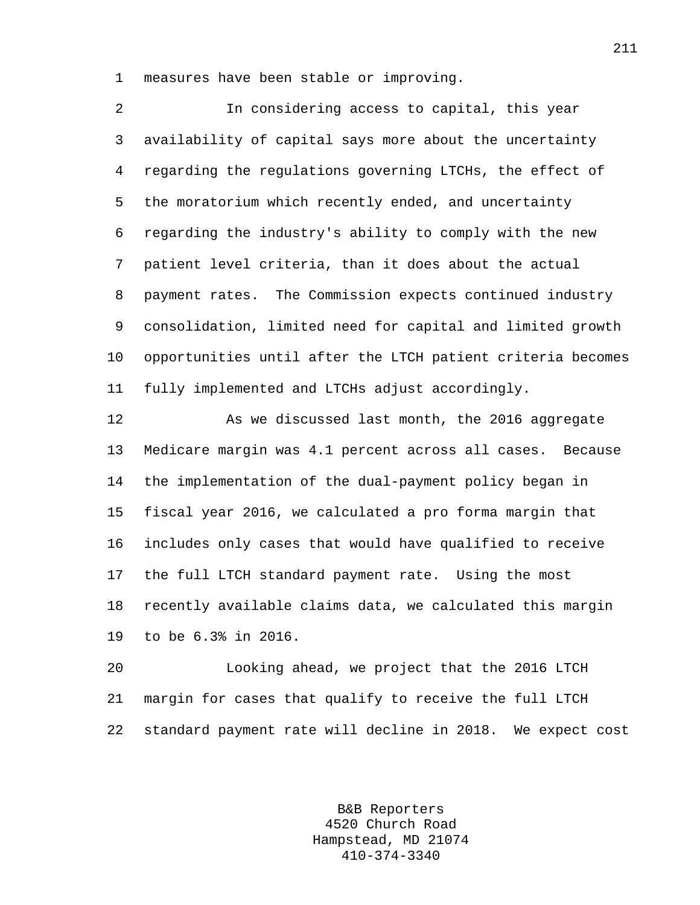1 measures have been stable or improving.

| 2              | In considering access to capital, this year                 |
|----------------|-------------------------------------------------------------|
| 3 <sup>7</sup> | availability of capital says more about the uncertainty     |
| 4              | regarding the regulations governing LTCHs, the effect of    |
| 5              | the moratorium which recently ended, and uncertainty        |
| 6              | regarding the industry's ability to comply with the new     |
| 7 <sup>7</sup> | patient level criteria, than it does about the actual       |
| 8              | payment rates. The Commission expects continued industry    |
| 9              | consolidation, limited need for capital and limited growth  |
| 10             | opportunities until after the LTCH patient criteria becomes |
| 11             | fully implemented and LTCHs adjust accordingly.             |

12 As we discussed last month, the 2016 aggregate 13 Medicare margin was 4.1 percent across all cases. Because 14 the implementation of the dual-payment policy began in 15 fiscal year 2016, we calculated a pro forma margin that 16 includes only cases that would have qualified to receive 17 the full LTCH standard payment rate. Using the most 18 recently available claims data, we calculated this margin 19 to be 6.3% in 2016.

20 Looking ahead, we project that the 2016 LTCH 21 margin for cases that qualify to receive the full LTCH 22 standard payment rate will decline in 2018. We expect cost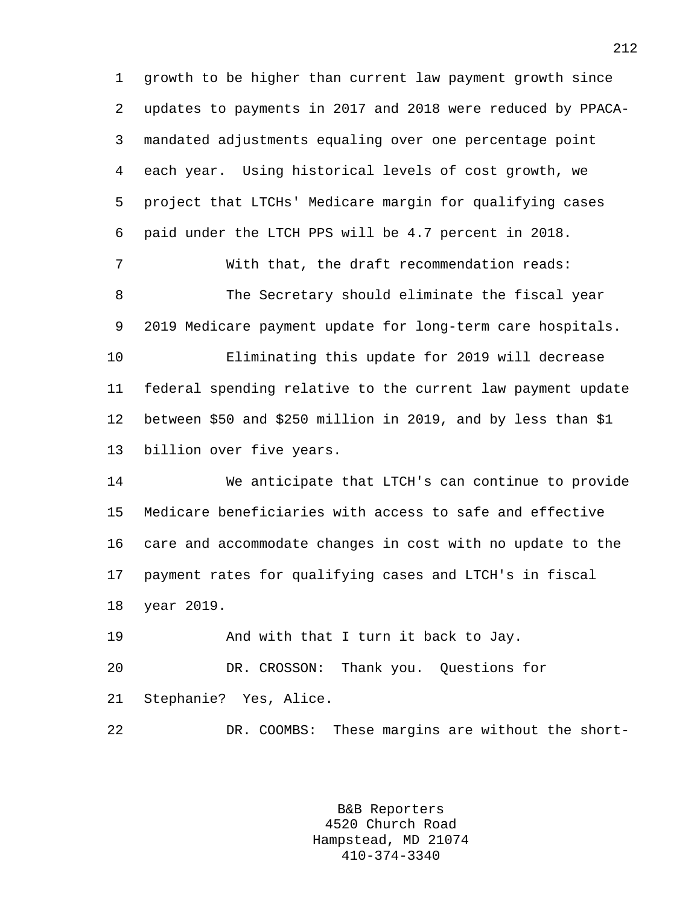1 growth to be higher than current law payment growth since 2 updates to payments in 2017 and 2018 were reduced by PPACA-3 mandated adjustments equaling over one percentage point 4 each year. Using historical levels of cost growth, we 5 project that LTCHs' Medicare margin for qualifying cases 6 paid under the LTCH PPS will be 4.7 percent in 2018. 7 With that, the draft recommendation reads: 8 The Secretary should eliminate the fiscal year 9 2019 Medicare payment update for long-term care hospitals. 10 Eliminating this update for 2019 will decrease 11 federal spending relative to the current law payment update 12 between \$50 and \$250 million in 2019, and by less than \$1 13 billion over five years. 14 We anticipate that LTCH's can continue to provide 15 Medicare beneficiaries with access to safe and effective

16 care and accommodate changes in cost with no update to the 17 payment rates for qualifying cases and LTCH's in fiscal 18 year 2019.

19 And with that I turn it back to Jay. 20 DR. CROSSON: Thank you. Questions for 21 Stephanie? Yes, Alice.

22 DR. COOMBS: These margins are without the short-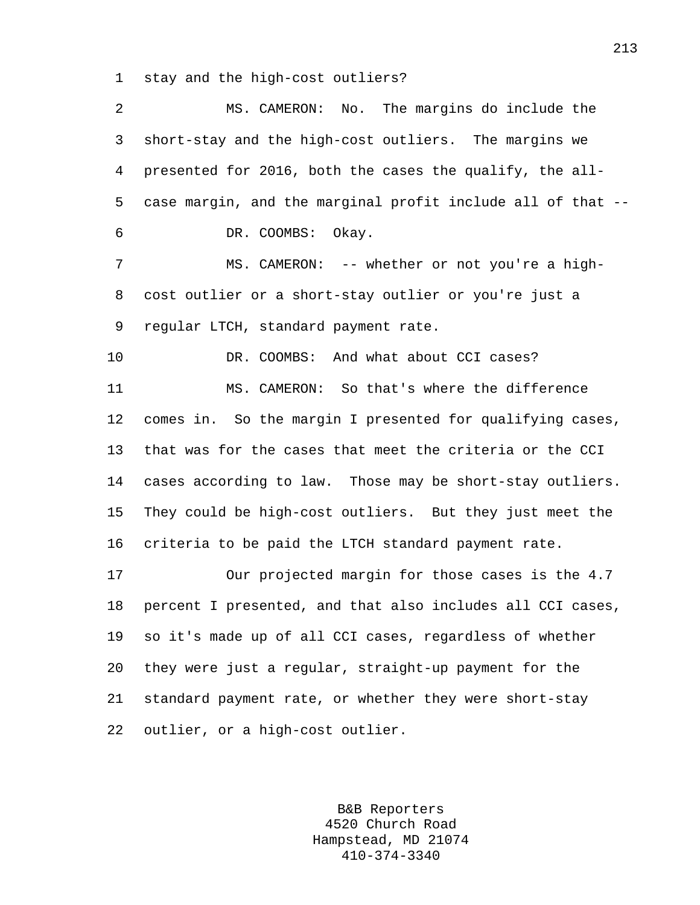1 stay and the high-cost outliers?

2 MS. CAMERON: No. The margins do include the 3 short-stay and the high-cost outliers. The margins we 4 presented for 2016, both the cases the qualify, the all-5 case margin, and the marginal profit include all of that -- 6 DR. COOMBS: Okay. 7 MS. CAMERON: -- whether or not you're a high-8 cost outlier or a short-stay outlier or you're just a 9 regular LTCH, standard payment rate. 10 DR. COOMBS: And what about CCI cases? 11 MS. CAMERON: So that's where the difference 12 comes in. So the margin I presented for qualifying cases, 13 that was for the cases that meet the criteria or the CCI 14 cases according to law. Those may be short-stay outliers. 15 They could be high-cost outliers. But they just meet the 16 criteria to be paid the LTCH standard payment rate. 17 Our projected margin for those cases is the 4.7 18 percent I presented, and that also includes all CCI cases, 19 so it's made up of all CCI cases, regardless of whether 20 they were just a regular, straight-up payment for the 21 standard payment rate, or whether they were short-stay 22 outlier, or a high-cost outlier.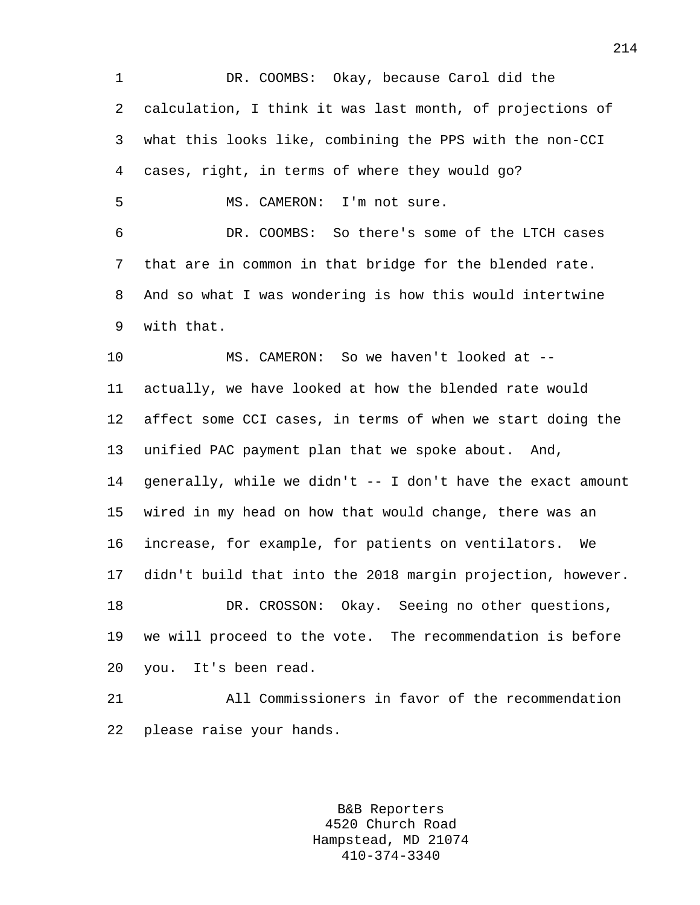1 DR. COOMBS: Okay, because Carol did the 2 calculation, I think it was last month, of projections of 3 what this looks like, combining the PPS with the non-CCI 4 cases, right, in terms of where they would go? 5 MS. CAMERON: I'm not sure. 6 DR. COOMBS: So there's some of the LTCH cases 7 that are in common in that bridge for the blended rate. 8 And so what I was wondering is how this would intertwine 9 with that. 10 MS. CAMERON: So we haven't looked at -- 11 actually, we have looked at how the blended rate would 12 affect some CCI cases, in terms of when we start doing the 13 unified PAC payment plan that we spoke about. And, 14 generally, while we didn't -- I don't have the exact amount 15 wired in my head on how that would change, there was an 16 increase, for example, for patients on ventilators. We 17 didn't build that into the 2018 margin projection, however. 18 DR. CROSSON: Okay. Seeing no other questions, 19 we will proceed to the vote. The recommendation is before 20 you. It's been read. 21 All Commissioners in favor of the recommendation

22 please raise your hands.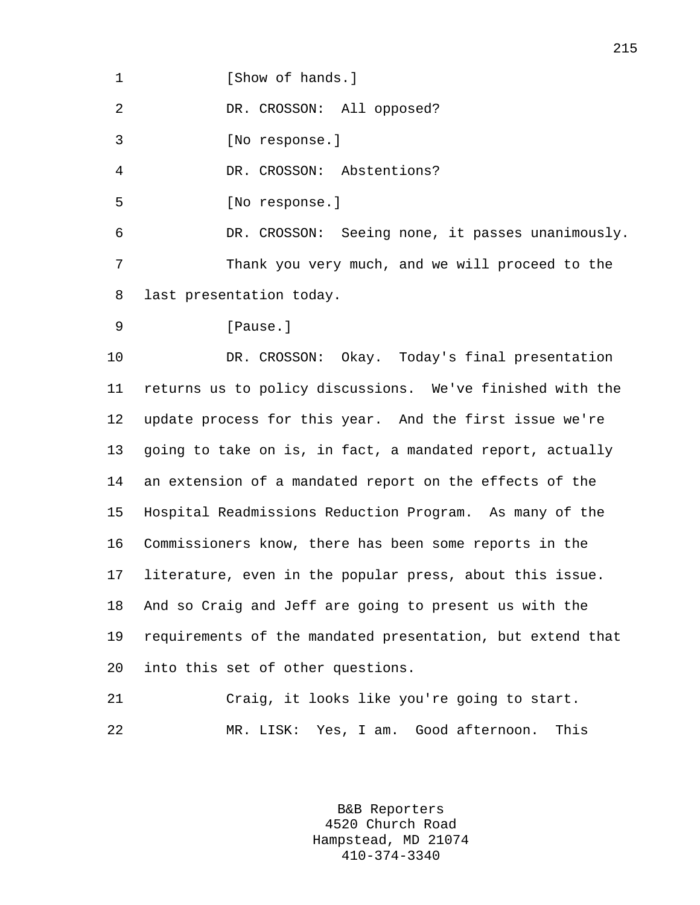1 **I** Show of hands.

2 DR. CROSSON: All opposed?

3 [No response.]

4 DR. CROSSON: Abstentions?

5 [No response.]

6 DR. CROSSON: Seeing none, it passes unanimously. 7 Thank you very much, and we will proceed to the 8 last presentation today.

```
9 [Pause.]
```
10 DR. CROSSON: Okay. Today's final presentation 11 returns us to policy discussions. We've finished with the 12 update process for this year. And the first issue we're 13 going to take on is, in fact, a mandated report, actually 14 an extension of a mandated report on the effects of the 15 Hospital Readmissions Reduction Program. As many of the 16 Commissioners know, there has been some reports in the 17 literature, even in the popular press, about this issue. 18 And so Craig and Jeff are going to present us with the 19 requirements of the mandated presentation, but extend that 20 into this set of other questions.

21 Craig, it looks like you're going to start. 22 MR. LISK: Yes, I am. Good afternoon. This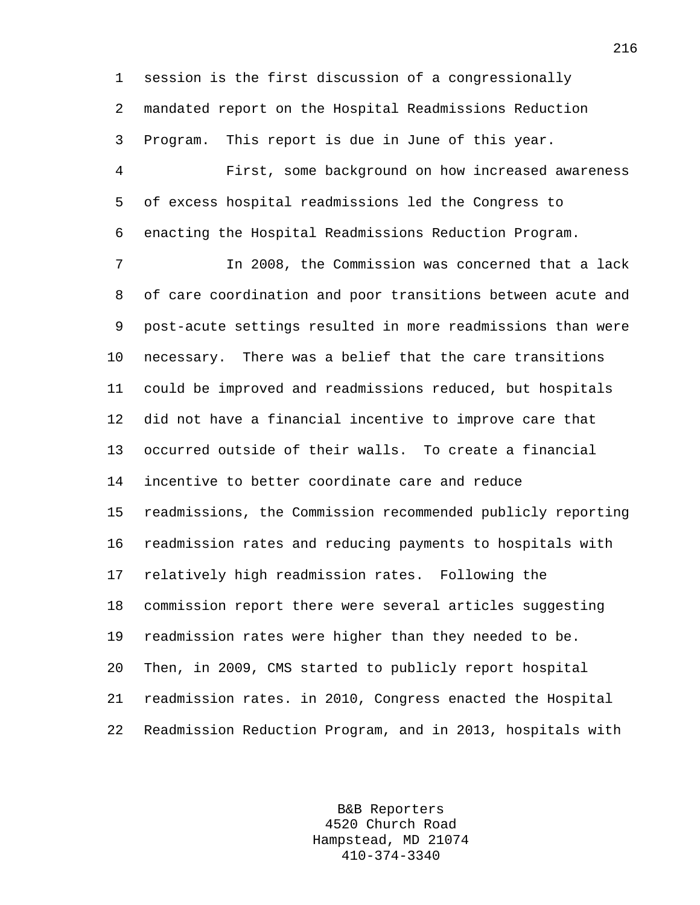1 session is the first discussion of a congressionally 2 mandated report on the Hospital Readmissions Reduction 3 Program. This report is due in June of this year.

4 First, some background on how increased awareness 5 of excess hospital readmissions led the Congress to 6 enacting the Hospital Readmissions Reduction Program.

7 In 2008, the Commission was concerned that a lack 8 of care coordination and poor transitions between acute and 9 post-acute settings resulted in more readmissions than were 10 necessary. There was a belief that the care transitions 11 could be improved and readmissions reduced, but hospitals 12 did not have a financial incentive to improve care that 13 occurred outside of their walls. To create a financial 14 incentive to better coordinate care and reduce 15 readmissions, the Commission recommended publicly reporting 16 readmission rates and reducing payments to hospitals with 17 relatively high readmission rates. Following the 18 commission report there were several articles suggesting 19 readmission rates were higher than they needed to be. 20 Then, in 2009, CMS started to publicly report hospital 21 readmission rates. in 2010, Congress enacted the Hospital 22 Readmission Reduction Program, and in 2013, hospitals with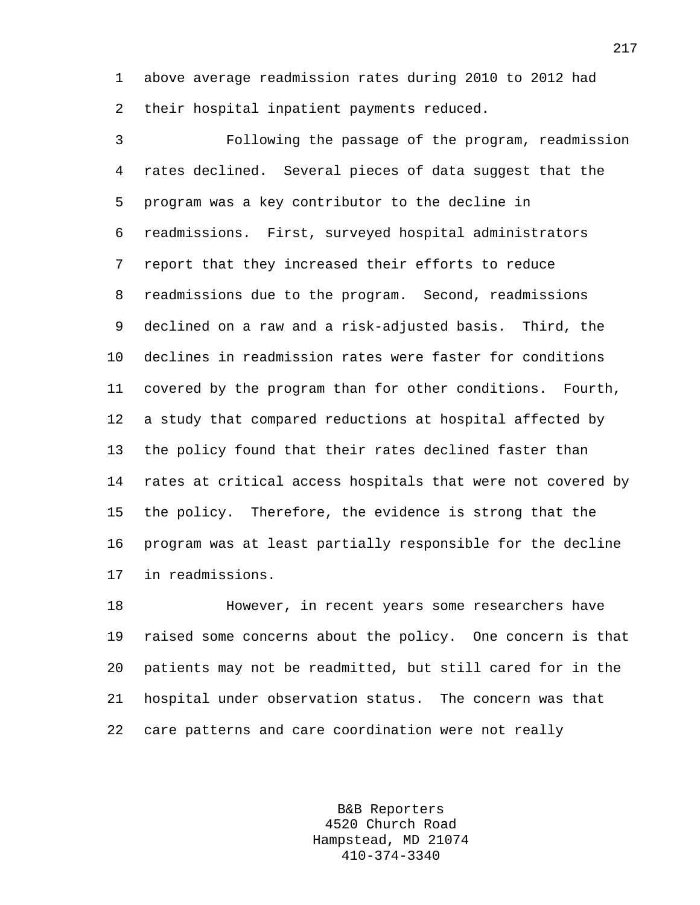1 above average readmission rates during 2010 to 2012 had 2 their hospital inpatient payments reduced.

3 Following the passage of the program, readmission 4 rates declined. Several pieces of data suggest that the 5 program was a key contributor to the decline in 6 readmissions. First, surveyed hospital administrators 7 report that they increased their efforts to reduce 8 readmissions due to the program. Second, readmissions 9 declined on a raw and a risk-adjusted basis. Third, the 10 declines in readmission rates were faster for conditions 11 covered by the program than for other conditions. Fourth, 12 a study that compared reductions at hospital affected by 13 the policy found that their rates declined faster than 14 rates at critical access hospitals that were not covered by 15 the policy. Therefore, the evidence is strong that the 16 program was at least partially responsible for the decline 17 in readmissions.

18 However, in recent years some researchers have 19 raised some concerns about the policy. One concern is that 20 patients may not be readmitted, but still cared for in the 21 hospital under observation status. The concern was that 22 care patterns and care coordination were not really

> B&B Reporters 4520 Church Road Hampstead, MD 21074 410-374-3340

217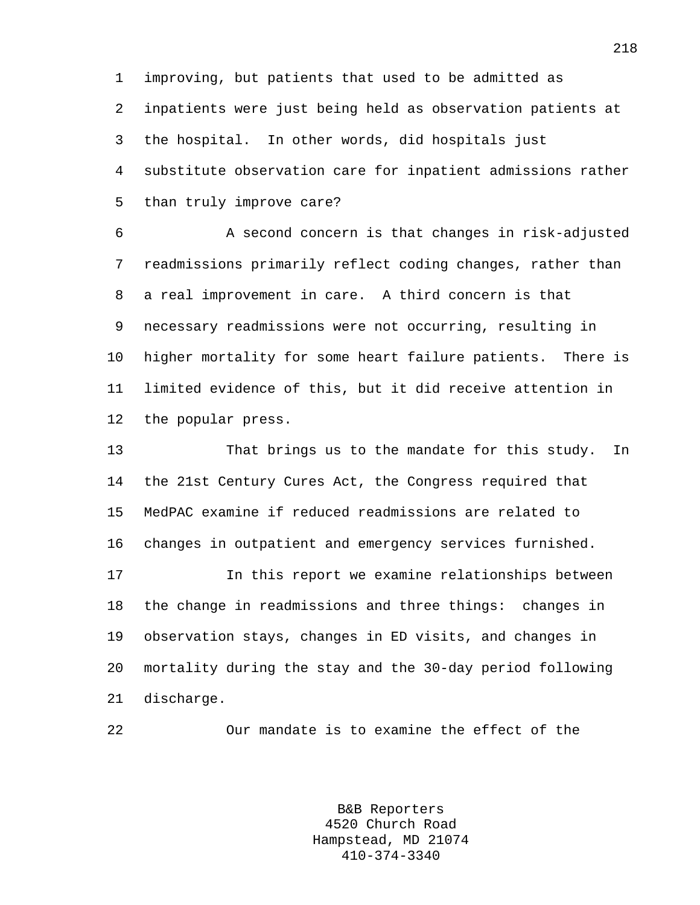1 improving, but patients that used to be admitted as 2 inpatients were just being held as observation patients at 3 the hospital. In other words, did hospitals just 4 substitute observation care for inpatient admissions rather 5 than truly improve care?

6 A second concern is that changes in risk-adjusted 7 readmissions primarily reflect coding changes, rather than 8 a real improvement in care. A third concern is that 9 necessary readmissions were not occurring, resulting in 10 higher mortality for some heart failure patients. There is 11 limited evidence of this, but it did receive attention in 12 the popular press.

13 That brings us to the mandate for this study. In 14 the 21st Century Cures Act, the Congress required that 15 MedPAC examine if reduced readmissions are related to 16 changes in outpatient and emergency services furnished. 17 In this report we examine relationships between 18 the change in readmissions and three things: changes in 19 observation stays, changes in ED visits, and changes in 20 mortality during the stay and the 30-day period following 21 discharge.

22 Our mandate is to examine the effect of the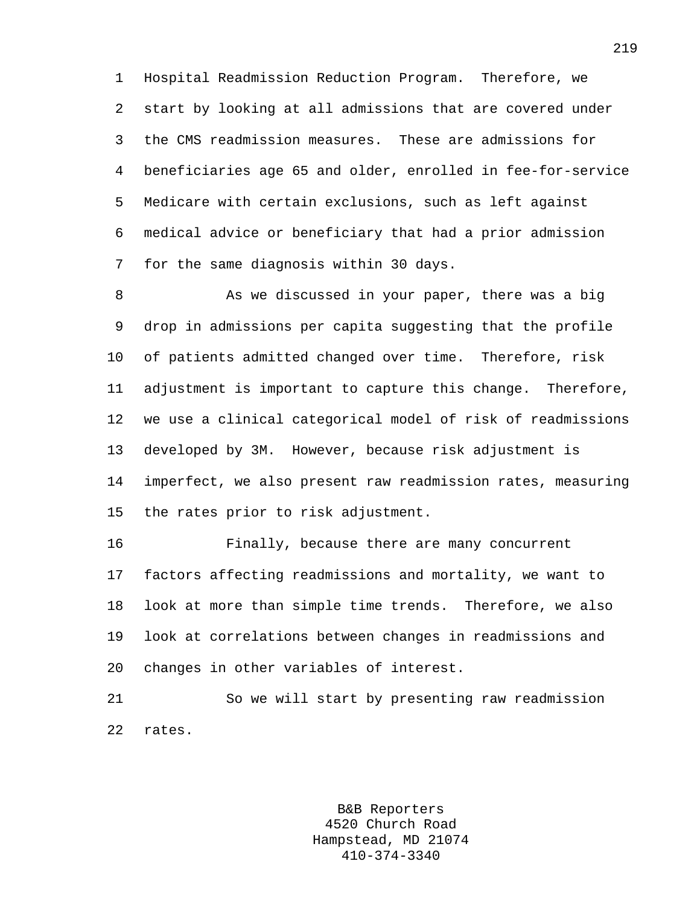1 Hospital Readmission Reduction Program. Therefore, we 2 start by looking at all admissions that are covered under 3 the CMS readmission measures. These are admissions for 4 beneficiaries age 65 and older, enrolled in fee-for-service 5 Medicare with certain exclusions, such as left against 6 medical advice or beneficiary that had a prior admission 7 for the same diagnosis within 30 days.

8 As we discussed in your paper, there was a big 9 drop in admissions per capita suggesting that the profile 10 of patients admitted changed over time. Therefore, risk 11 adjustment is important to capture this change. Therefore, 12 we use a clinical categorical model of risk of readmissions 13 developed by 3M. However, because risk adjustment is 14 imperfect, we also present raw readmission rates, measuring 15 the rates prior to risk adjustment.

16 Finally, because there are many concurrent 17 factors affecting readmissions and mortality, we want to 18 look at more than simple time trends. Therefore, we also 19 look at correlations between changes in readmissions and 20 changes in other variables of interest.

21 So we will start by presenting raw readmission 22 rates.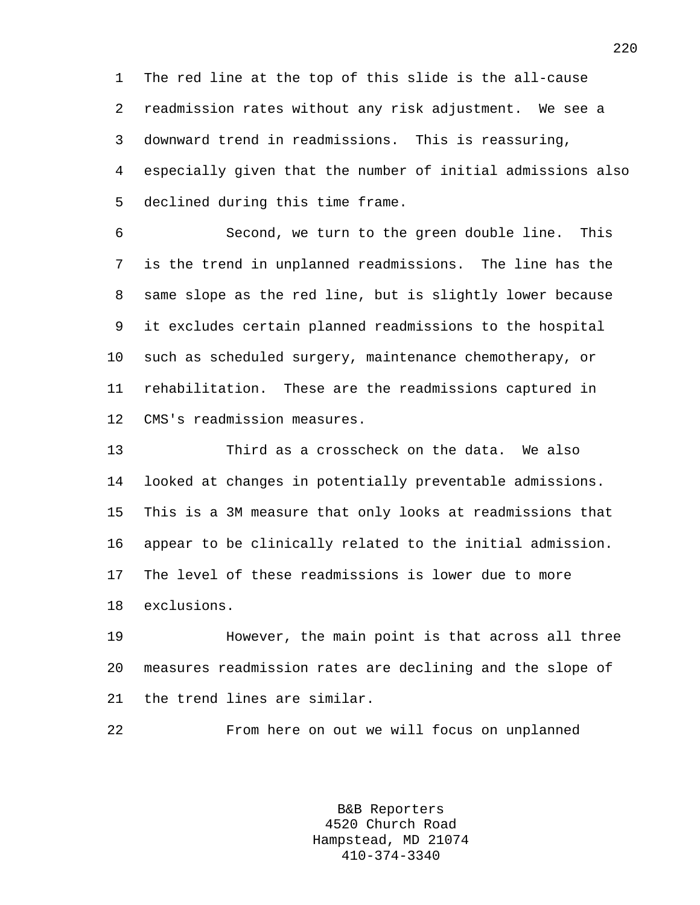1 The red line at the top of this slide is the all-cause 2 readmission rates without any risk adjustment. We see a 3 downward trend in readmissions. This is reassuring, 4 especially given that the number of initial admissions also 5 declined during this time frame.

6 Second, we turn to the green double line. This 7 is the trend in unplanned readmissions. The line has the 8 same slope as the red line, but is slightly lower because 9 it excludes certain planned readmissions to the hospital 10 such as scheduled surgery, maintenance chemotherapy, or 11 rehabilitation. These are the readmissions captured in 12 CMS's readmission measures.

13 Third as a crosscheck on the data. We also 14 looked at changes in potentially preventable admissions. 15 This is a 3M measure that only looks at readmissions that 16 appear to be clinically related to the initial admission. 17 The level of these readmissions is lower due to more 18 exclusions.

19 However, the main point is that across all three 20 measures readmission rates are declining and the slope of 21 the trend lines are similar.

22 From here on out we will focus on unplanned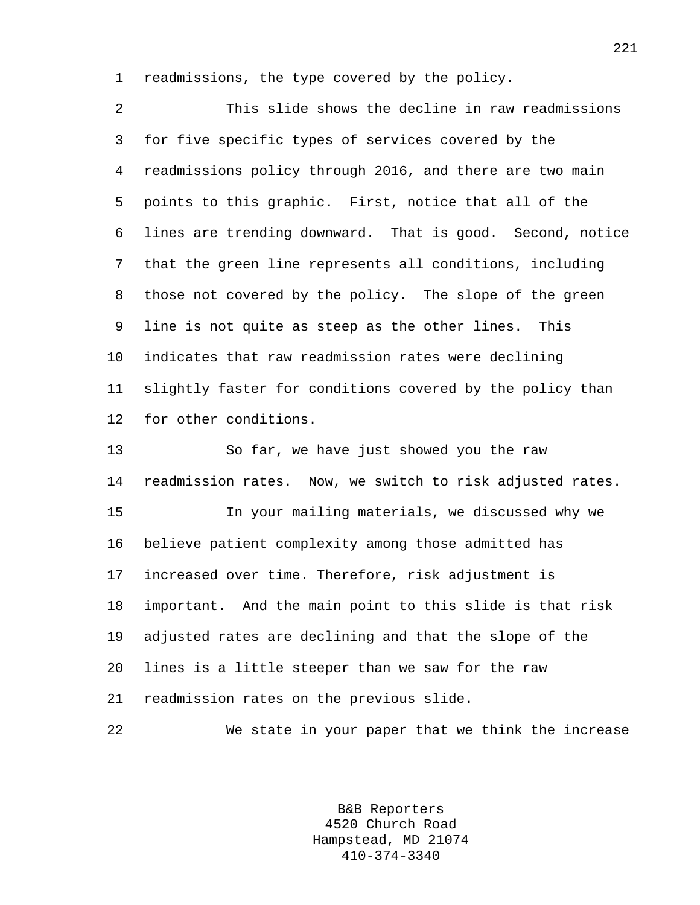1 readmissions, the type covered by the policy.

2 This slide shows the decline in raw readmissions 3 for five specific types of services covered by the 4 readmissions policy through 2016, and there are two main 5 points to this graphic. First, notice that all of the 6 lines are trending downward. That is good. Second, notice 7 that the green line represents all conditions, including 8 those not covered by the policy. The slope of the green 9 line is not quite as steep as the other lines. This 10 indicates that raw readmission rates were declining 11 slightly faster for conditions covered by the policy than 12 for other conditions.

13 So far, we have just showed you the raw 14 readmission rates. Now, we switch to risk adjusted rates. 15 In your mailing materials, we discussed why we 16 believe patient complexity among those admitted has 17 increased over time. Therefore, risk adjustment is 18 important. And the main point to this slide is that risk

19 adjusted rates are declining and that the slope of the 20 lines is a little steeper than we saw for the raw 21 readmission rates on the previous slide.

22 We state in your paper that we think the increase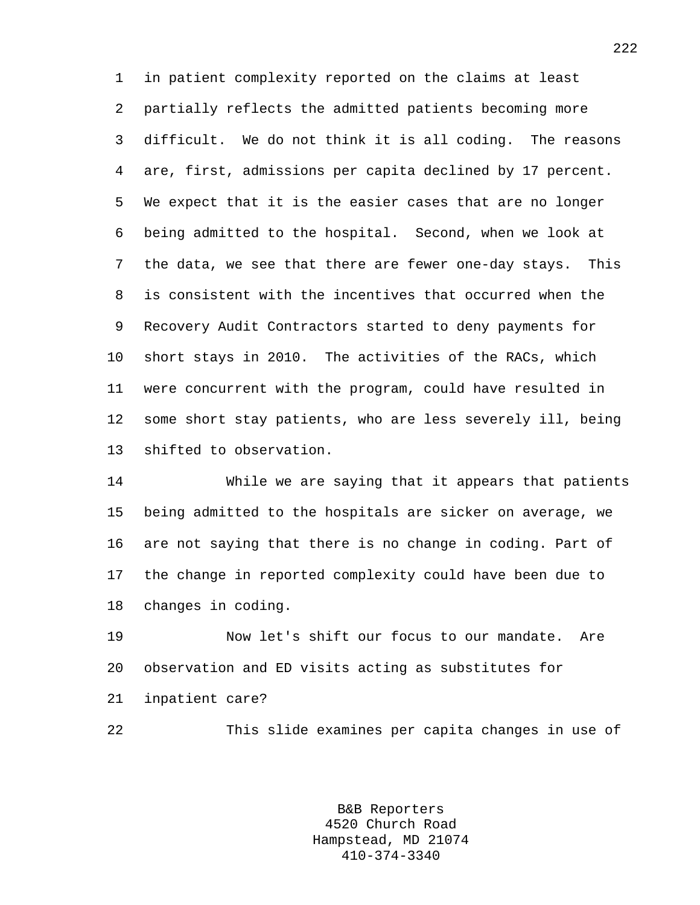1 in patient complexity reported on the claims at least 2 partially reflects the admitted patients becoming more 3 difficult. We do not think it is all coding. The reasons 4 are, first, admissions per capita declined by 17 percent. 5 We expect that it is the easier cases that are no longer 6 being admitted to the hospital. Second, when we look at 7 the data, we see that there are fewer one-day stays. This 8 is consistent with the incentives that occurred when the 9 Recovery Audit Contractors started to deny payments for 10 short stays in 2010. The activities of the RACs, which 11 were concurrent with the program, could have resulted in 12 some short stay patients, who are less severely ill, being 13 shifted to observation.

14 While we are saying that it appears that patients 15 being admitted to the hospitals are sicker on average, we 16 are not saying that there is no change in coding. Part of 17 the change in reported complexity could have been due to 18 changes in coding.

19 Now let's shift our focus to our mandate. Are 20 observation and ED visits acting as substitutes for 21 inpatient care?

22 This slide examines per capita changes in use of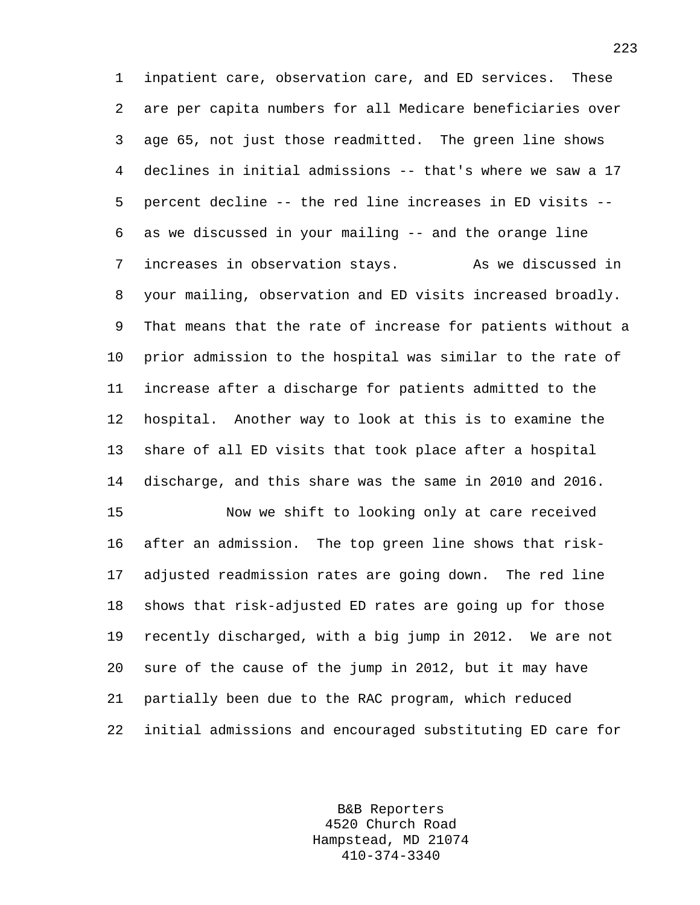1 inpatient care, observation care, and ED services. These 2 are per capita numbers for all Medicare beneficiaries over 3 age 65, not just those readmitted. The green line shows 4 declines in initial admissions -- that's where we saw a 17 5 percent decline -- the red line increases in ED visits -- 6 as we discussed in your mailing -- and the orange line 7 increases in observation stays. As we discussed in 8 your mailing, observation and ED visits increased broadly. 9 That means that the rate of increase for patients without a 10 prior admission to the hospital was similar to the rate of 11 increase after a discharge for patients admitted to the 12 hospital. Another way to look at this is to examine the 13 share of all ED visits that took place after a hospital 14 discharge, and this share was the same in 2010 and 2016.

15 Now we shift to looking only at care received 16 after an admission. The top green line shows that risk-17 adjusted readmission rates are going down. The red line 18 shows that risk-adjusted ED rates are going up for those 19 recently discharged, with a big jump in 2012. We are not 20 sure of the cause of the jump in 2012, but it may have 21 partially been due to the RAC program, which reduced 22 initial admissions and encouraged substituting ED care for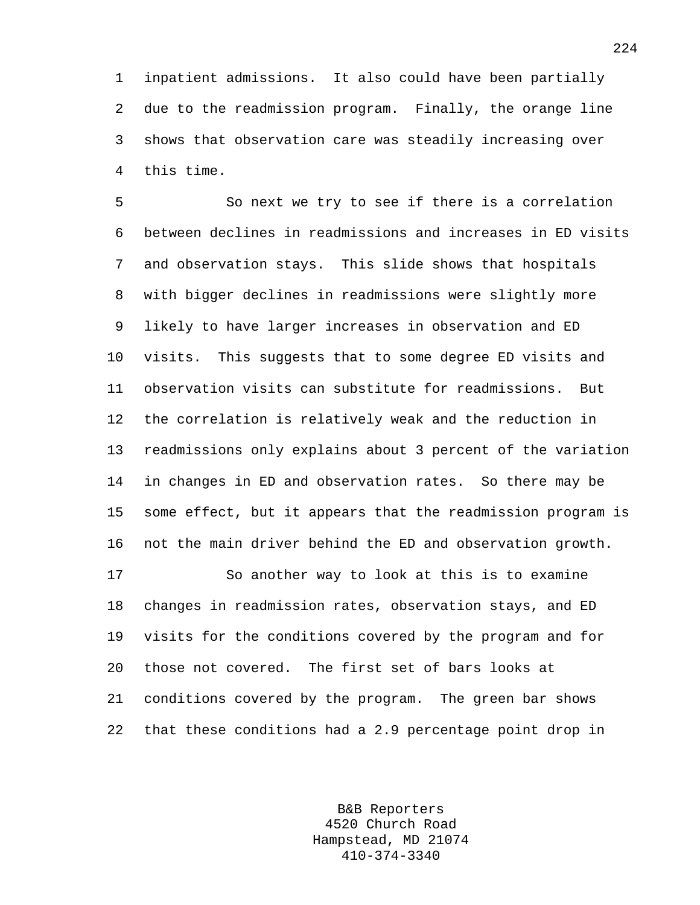1 inpatient admissions. It also could have been partially 2 due to the readmission program. Finally, the orange line 3 shows that observation care was steadily increasing over 4 this time.

5 So next we try to see if there is a correlation 6 between declines in readmissions and increases in ED visits 7 and observation stays. This slide shows that hospitals 8 with bigger declines in readmissions were slightly more 9 likely to have larger increases in observation and ED 10 visits. This suggests that to some degree ED visits and 11 observation visits can substitute for readmissions. But 12 the correlation is relatively weak and the reduction in 13 readmissions only explains about 3 percent of the variation 14 in changes in ED and observation rates. So there may be 15 some effect, but it appears that the readmission program is 16 not the main driver behind the ED and observation growth.

17 So another way to look at this is to examine 18 changes in readmission rates, observation stays, and ED 19 visits for the conditions covered by the program and for 20 those not covered. The first set of bars looks at 21 conditions covered by the program. The green bar shows 22 that these conditions had a 2.9 percentage point drop in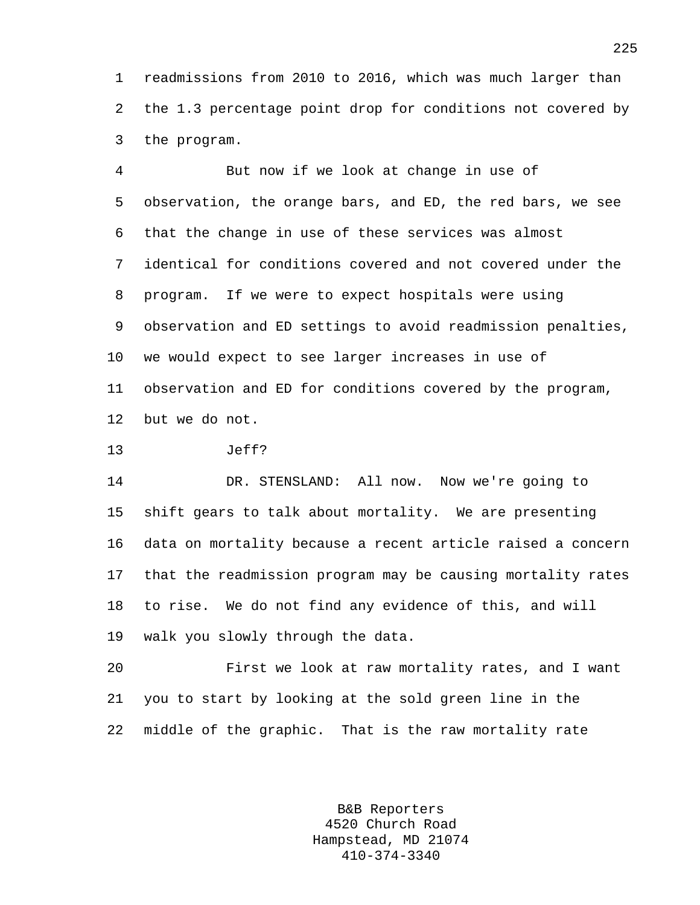1 readmissions from 2010 to 2016, which was much larger than 2 the 1.3 percentage point drop for conditions not covered by 3 the program.

4 But now if we look at change in use of 5 observation, the orange bars, and ED, the red bars, we see 6 that the change in use of these services was almost 7 identical for conditions covered and not covered under the 8 program. If we were to expect hospitals were using 9 observation and ED settings to avoid readmission penalties, 10 we would expect to see larger increases in use of 11 observation and ED for conditions covered by the program, 12 but we do not.

13 Jeff?

14 DR. STENSLAND: All now. Now we're going to 15 shift gears to talk about mortality. We are presenting 16 data on mortality because a recent article raised a concern 17 that the readmission program may be causing mortality rates 18 to rise. We do not find any evidence of this, and will 19 walk you slowly through the data.

20 First we look at raw mortality rates, and I want 21 you to start by looking at the sold green line in the 22 middle of the graphic. That is the raw mortality rate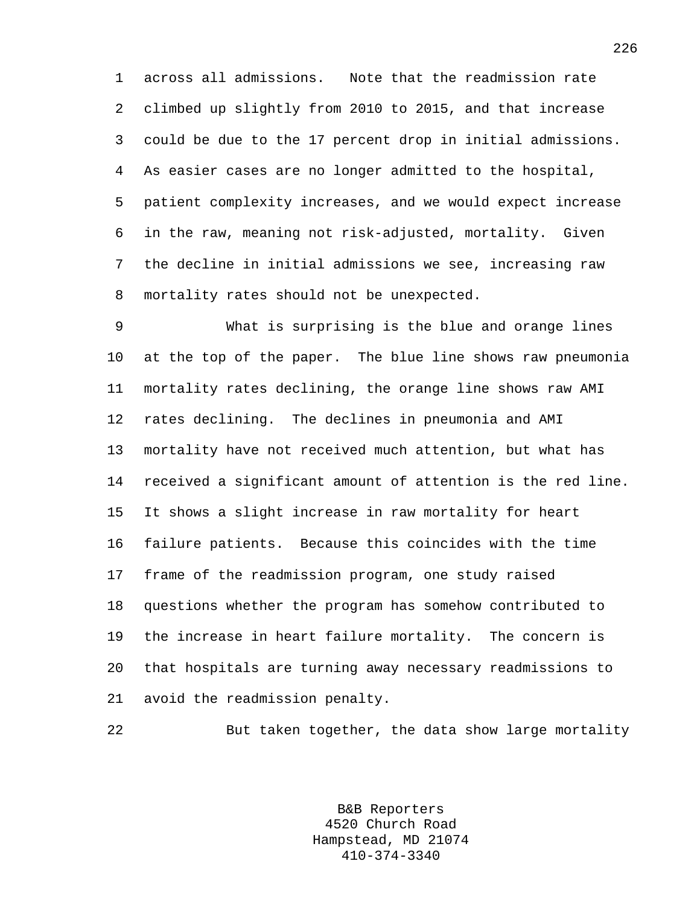1 across all admissions. Note that the readmission rate 2 climbed up slightly from 2010 to 2015, and that increase 3 could be due to the 17 percent drop in initial admissions. 4 As easier cases are no longer admitted to the hospital, 5 patient complexity increases, and we would expect increase 6 in the raw, meaning not risk-adjusted, mortality. Given 7 the decline in initial admissions we see, increasing raw 8 mortality rates should not be unexpected.

9 What is surprising is the blue and orange lines 10 at the top of the paper. The blue line shows raw pneumonia 11 mortality rates declining, the orange line shows raw AMI 12 rates declining. The declines in pneumonia and AMI 13 mortality have not received much attention, but what has 14 received a significant amount of attention is the red line. 15 It shows a slight increase in raw mortality for heart 16 failure patients. Because this coincides with the time 17 frame of the readmission program, one study raised 18 questions whether the program has somehow contributed to 19 the increase in heart failure mortality. The concern is 20 that hospitals are turning away necessary readmissions to 21 avoid the readmission penalty.

22 But taken together, the data show large mortality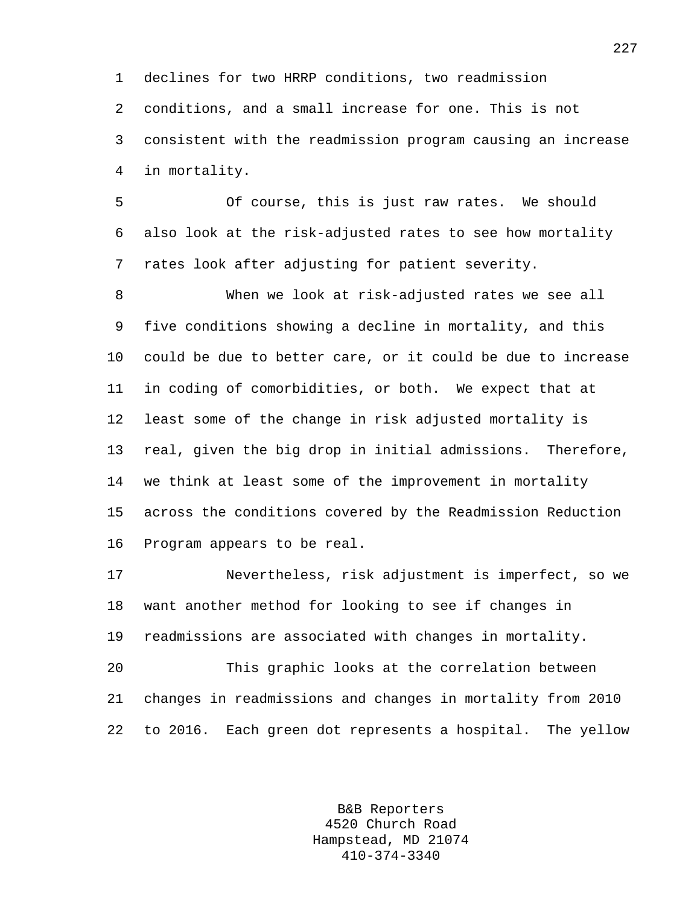1 declines for two HRRP conditions, two readmission 2 conditions, and a small increase for one. This is not 3 consistent with the readmission program causing an increase 4 in mortality.

5 Of course, this is just raw rates. We should 6 also look at the risk-adjusted rates to see how mortality 7 rates look after adjusting for patient severity.

8 When we look at risk-adjusted rates we see all 9 five conditions showing a decline in mortality, and this 10 could be due to better care, or it could be due to increase 11 in coding of comorbidities, or both. We expect that at 12 least some of the change in risk adjusted mortality is 13 real, given the big drop in initial admissions. Therefore, 14 we think at least some of the improvement in mortality 15 across the conditions covered by the Readmission Reduction 16 Program appears to be real.

17 Nevertheless, risk adjustment is imperfect, so we 18 want another method for looking to see if changes in 19 readmissions are associated with changes in mortality.

20 This graphic looks at the correlation between 21 changes in readmissions and changes in mortality from 2010 22 to 2016. Each green dot represents a hospital. The yellow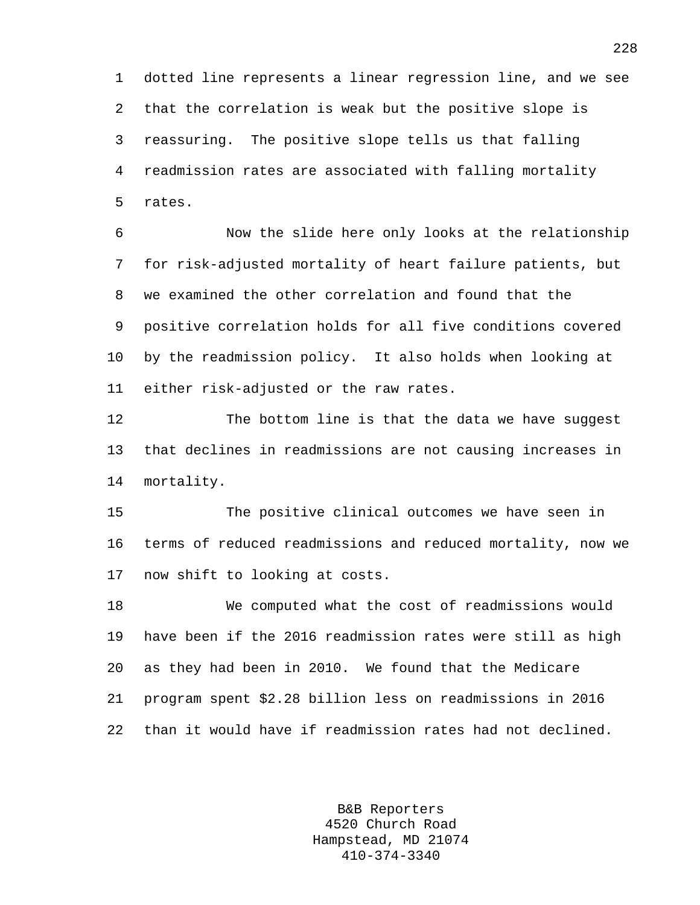1 dotted line represents a linear regression line, and we see 2 that the correlation is weak but the positive slope is 3 reassuring. The positive slope tells us that falling 4 readmission rates are associated with falling mortality 5 rates.

6 Now the slide here only looks at the relationship 7 for risk-adjusted mortality of heart failure patients, but 8 we examined the other correlation and found that the 9 positive correlation holds for all five conditions covered 10 by the readmission policy. It also holds when looking at 11 either risk-adjusted or the raw rates.

12 The bottom line is that the data we have suggest 13 that declines in readmissions are not causing increases in 14 mortality.

15 The positive clinical outcomes we have seen in 16 terms of reduced readmissions and reduced mortality, now we 17 now shift to looking at costs.

18 We computed what the cost of readmissions would 19 have been if the 2016 readmission rates were still as high 20 as they had been in 2010. We found that the Medicare 21 program spent \$2.28 billion less on readmissions in 2016 22 than it would have if readmission rates had not declined.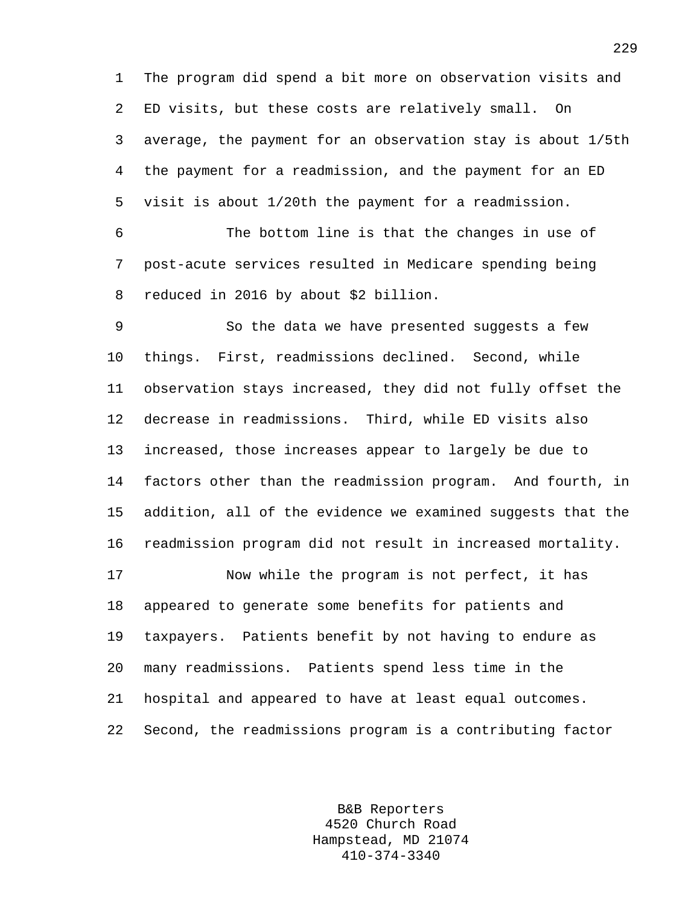1 The program did spend a bit more on observation visits and 2 ED visits, but these costs are relatively small. On 3 average, the payment for an observation stay is about 1/5th 4 the payment for a readmission, and the payment for an ED 5 visit is about 1/20th the payment for a readmission.

6 The bottom line is that the changes in use of 7 post-acute services resulted in Medicare spending being 8 reduced in 2016 by about \$2 billion.

9 So the data we have presented suggests a few 10 things. First, readmissions declined. Second, while 11 observation stays increased, they did not fully offset the 12 decrease in readmissions. Third, while ED visits also 13 increased, those increases appear to largely be due to 14 factors other than the readmission program. And fourth, in 15 addition, all of the evidence we examined suggests that the 16 readmission program did not result in increased mortality.

17 Now while the program is not perfect, it has 18 appeared to generate some benefits for patients and 19 taxpayers. Patients benefit by not having to endure as 20 many readmissions. Patients spend less time in the 21 hospital and appeared to have at least equal outcomes. 22 Second, the readmissions program is a contributing factor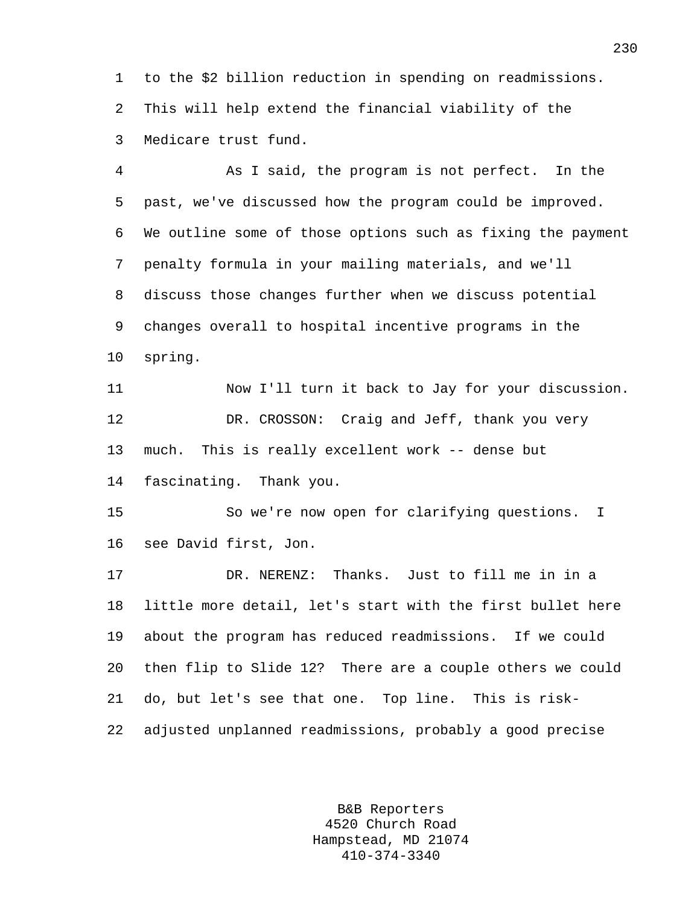1 to the \$2 billion reduction in spending on readmissions. 2 This will help extend the financial viability of the 3 Medicare trust fund.

4 As I said, the program is not perfect. In the 5 past, we've discussed how the program could be improved. 6 We outline some of those options such as fixing the payment 7 penalty formula in your mailing materials, and we'll 8 discuss those changes further when we discuss potential 9 changes overall to hospital incentive programs in the 10 spring. 11 Now I'll turn it back to Jay for your discussion. 12 DR. CROSSON: Craig and Jeff, thank you very 13 much. This is really excellent work -- dense but

14 fascinating. Thank you.

15 So we're now open for clarifying questions. I 16 see David first, Jon.

17 DR. NERENZ: Thanks. Just to fill me in in a 18 little more detail, let's start with the first bullet here 19 about the program has reduced readmissions. If we could 20 then flip to Slide 12? There are a couple others we could 21 do, but let's see that one. Top line. This is risk-22 adjusted unplanned readmissions, probably a good precise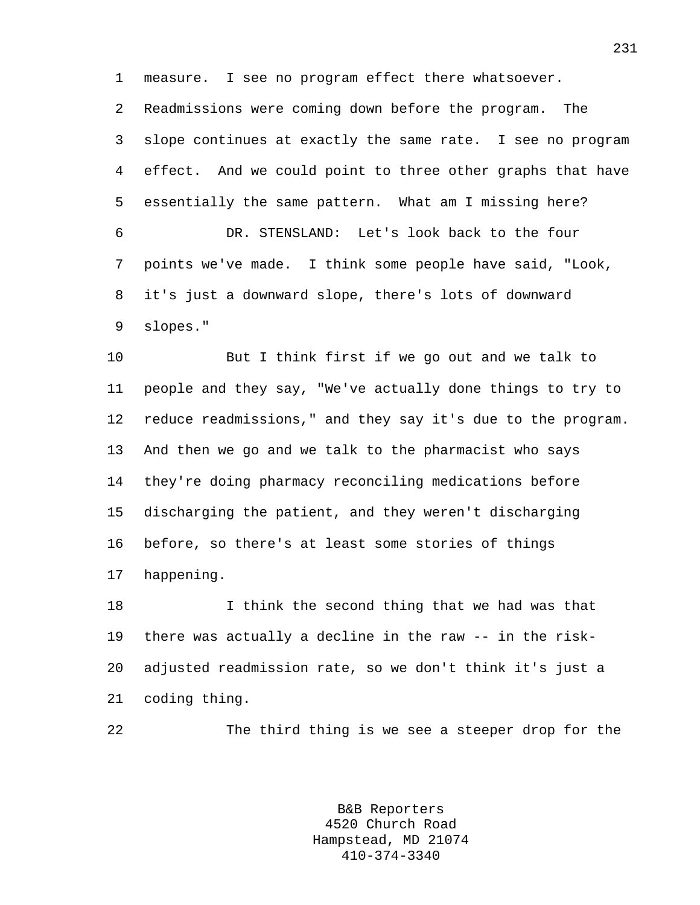1 measure. I see no program effect there whatsoever.

2 Readmissions were coming down before the program. The 3 slope continues at exactly the same rate. I see no program 4 effect. And we could point to three other graphs that have 5 essentially the same pattern. What am I missing here? 6 DR. STENSLAND: Let's look back to the four 7 points we've made. I think some people have said, "Look, 8 it's just a downward slope, there's lots of downward 9 slopes."

10 But I think first if we go out and we talk to 11 people and they say, "We've actually done things to try to 12 reduce readmissions," and they say it's due to the program. 13 And then we go and we talk to the pharmacist who says 14 they're doing pharmacy reconciling medications before 15 discharging the patient, and they weren't discharging 16 before, so there's at least some stories of things 17 happening.

18 I think the second thing that we had was that 19 there was actually a decline in the raw -- in the risk-20 adjusted readmission rate, so we don't think it's just a 21 coding thing.

22 The third thing is we see a steeper drop for the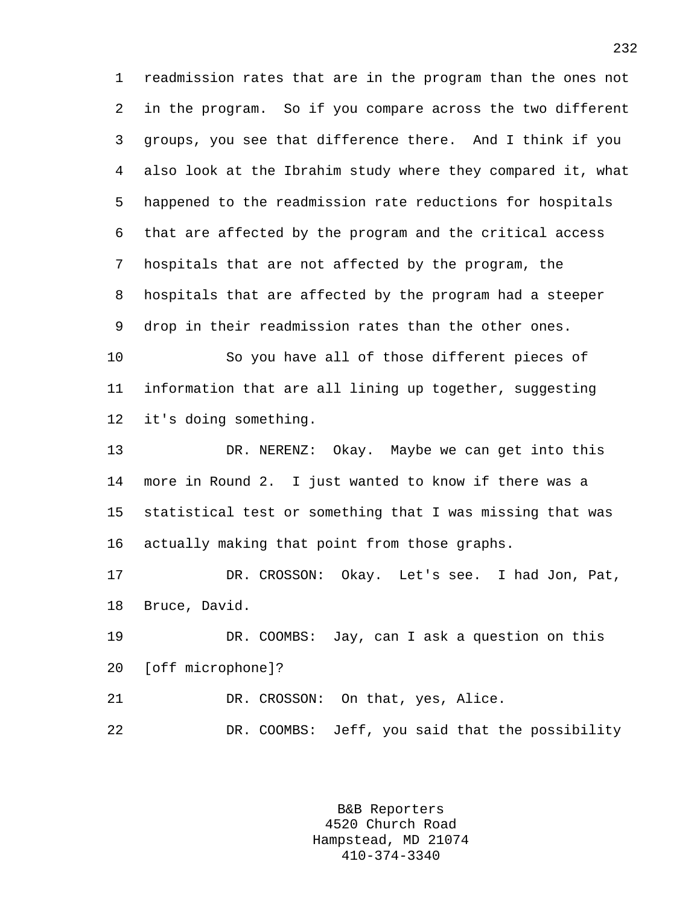1 readmission rates that are in the program than the ones not 2 in the program. So if you compare across the two different 3 groups, you see that difference there. And I think if you 4 also look at the Ibrahim study where they compared it, what 5 happened to the readmission rate reductions for hospitals 6 that are affected by the program and the critical access 7 hospitals that are not affected by the program, the 8 hospitals that are affected by the program had a steeper 9 drop in their readmission rates than the other ones.

10 So you have all of those different pieces of 11 information that are all lining up together, suggesting 12 it's doing something.

13 DR. NERENZ: Okay. Maybe we can get into this 14 more in Round 2. I just wanted to know if there was a 15 statistical test or something that I was missing that was 16 actually making that point from those graphs.

17 DR. CROSSON: Okay. Let's see. I had Jon, Pat, 18 Bruce, David.

19 DR. COOMBS: Jay, can I ask a question on this 20 [off microphone]?

21 DR. CROSSON: On that, yes, Alice.

22 DR. COOMBS: Jeff, you said that the possibility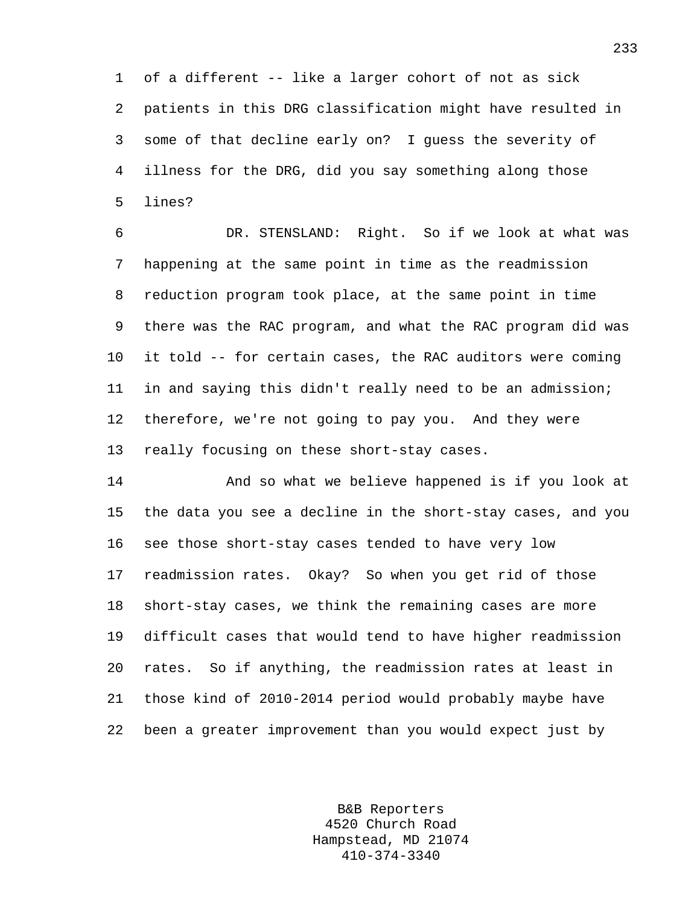1 of a different -- like a larger cohort of not as sick 2 patients in this DRG classification might have resulted in 3 some of that decline early on? I guess the severity of 4 illness for the DRG, did you say something along those 5 lines?

6 DR. STENSLAND: Right. So if we look at what was 7 happening at the same point in time as the readmission 8 reduction program took place, at the same point in time 9 there was the RAC program, and what the RAC program did was 10 it told -- for certain cases, the RAC auditors were coming 11 in and saying this didn't really need to be an admission; 12 therefore, we're not going to pay you. And they were 13 really focusing on these short-stay cases.

14 And so what we believe happened is if you look at 15 the data you see a decline in the short-stay cases, and you 16 see those short-stay cases tended to have very low 17 readmission rates. Okay? So when you get rid of those 18 short-stay cases, we think the remaining cases are more 19 difficult cases that would tend to have higher readmission 20 rates. So if anything, the readmission rates at least in 21 those kind of 2010-2014 period would probably maybe have 22 been a greater improvement than you would expect just by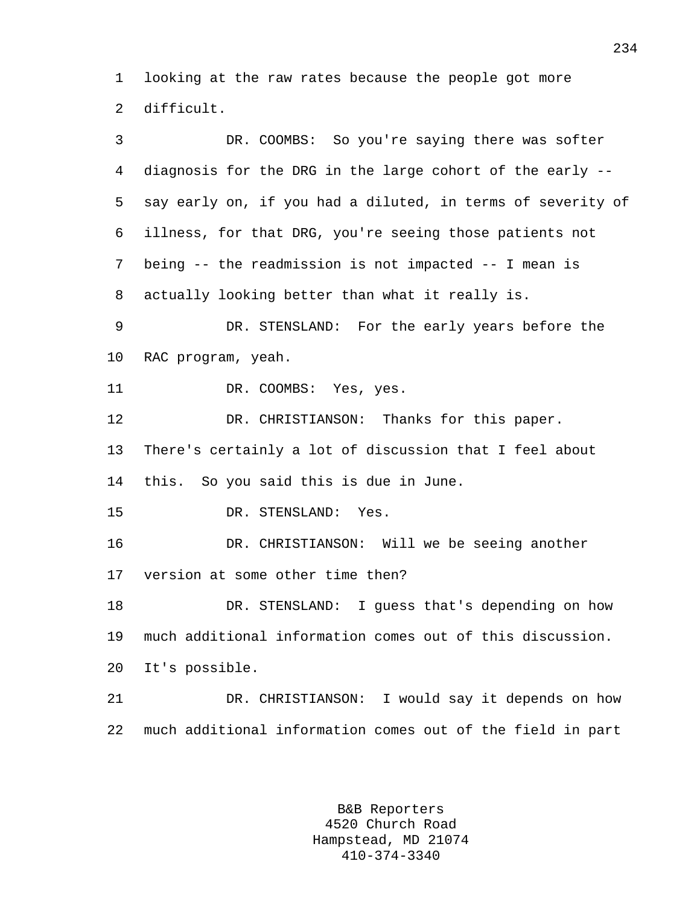1 looking at the raw rates because the people got more 2 difficult.

3 DR. COOMBS: So you're saying there was softer 4 diagnosis for the DRG in the large cohort of the early -- 5 say early on, if you had a diluted, in terms of severity of 6 illness, for that DRG, you're seeing those patients not 7 being -- the readmission is not impacted -- I mean is 8 actually looking better than what it really is. 9 DR. STENSLAND: For the early years before the 10 RAC program, yeah. 11 DR. COOMBS: Yes, yes. 12 DR. CHRISTIANSON: Thanks for this paper. 13 There's certainly a lot of discussion that I feel about 14 this. So you said this is due in June. 15 DR. STENSLAND: Yes. 16 DR. CHRISTIANSON: Will we be seeing another 17 version at some other time then? 18 DR. STENSLAND: I guess that's depending on how 19 much additional information comes out of this discussion. 20 It's possible. 21 DR. CHRISTIANSON: I would say it depends on how 22 much additional information comes out of the field in part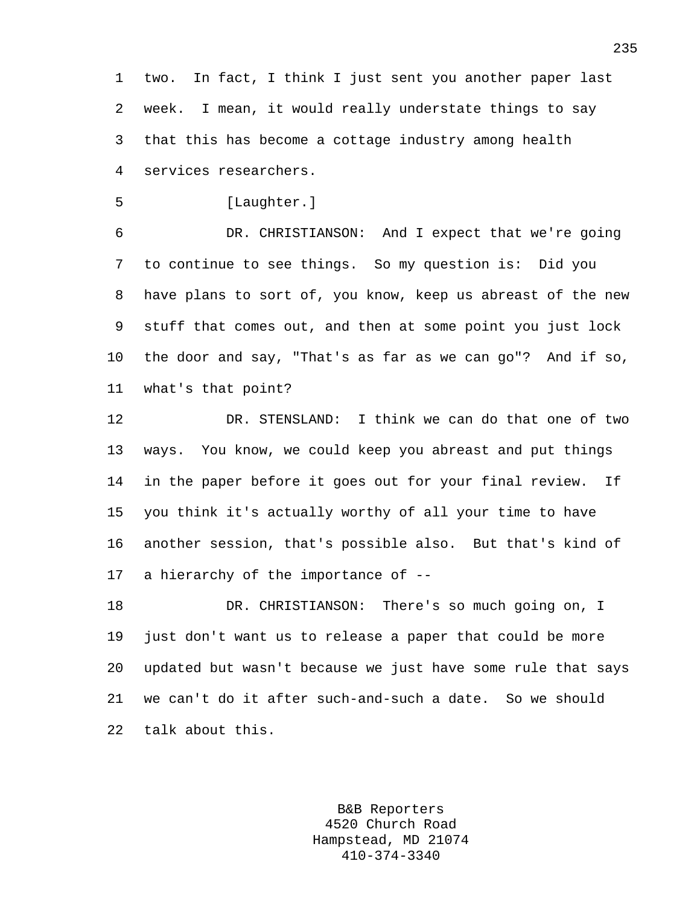1 two. In fact, I think I just sent you another paper last 2 week. I mean, it would really understate things to say 3 that this has become a cottage industry among health 4 services researchers.

5 [Laughter.]

6 DR. CHRISTIANSON: And I expect that we're going 7 to continue to see things. So my question is: Did you 8 have plans to sort of, you know, keep us abreast of the new 9 stuff that comes out, and then at some point you just lock 10 the door and say, "That's as far as we can go"? And if so, 11 what's that point?

12 DR. STENSLAND: I think we can do that one of two 13 ways. You know, we could keep you abreast and put things 14 in the paper before it goes out for your final review. If 15 you think it's actually worthy of all your time to have 16 another session, that's possible also. But that's kind of 17 a hierarchy of the importance of --

18 DR. CHRISTIANSON: There's so much going on, I 19 just don't want us to release a paper that could be more 20 updated but wasn't because we just have some rule that says 21 we can't do it after such-and-such a date. So we should 22 talk about this.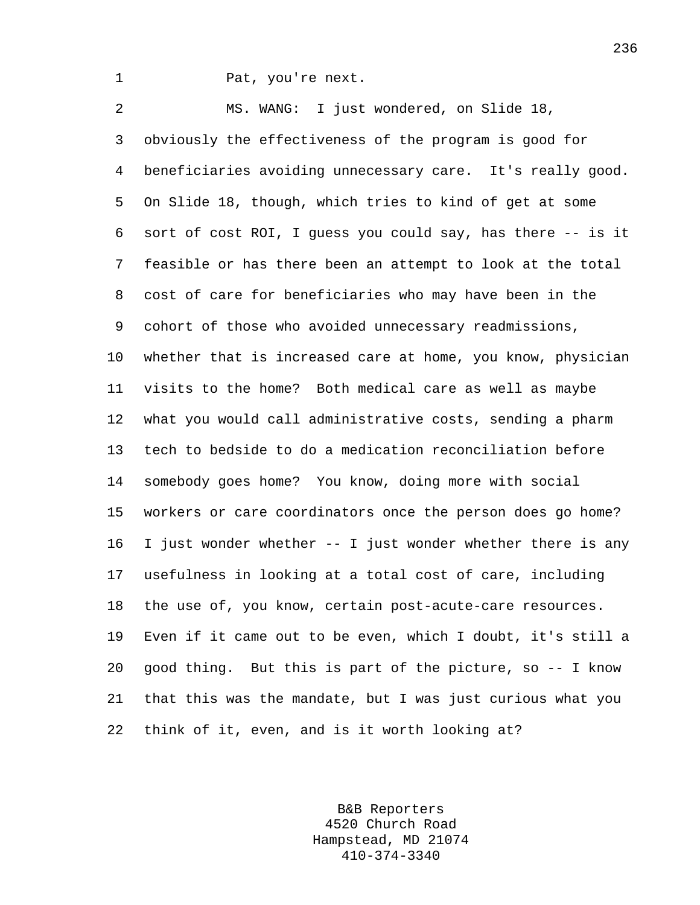1 Pat, you're next.

2 MS. WANG: I just wondered, on Slide 18, 3 obviously the effectiveness of the program is good for 4 beneficiaries avoiding unnecessary care. It's really good. 5 On Slide 18, though, which tries to kind of get at some 6 sort of cost ROI, I guess you could say, has there -- is it 7 feasible or has there been an attempt to look at the total 8 cost of care for beneficiaries who may have been in the 9 cohort of those who avoided unnecessary readmissions, 10 whether that is increased care at home, you know, physician 11 visits to the home? Both medical care as well as maybe 12 what you would call administrative costs, sending a pharm 13 tech to bedside to do a medication reconciliation before 14 somebody goes home? You know, doing more with social 15 workers or care coordinators once the person does go home? 16 I just wonder whether -- I just wonder whether there is any 17 usefulness in looking at a total cost of care, including 18 the use of, you know, certain post-acute-care resources. 19 Even if it came out to be even, which I doubt, it's still a 20 good thing. But this is part of the picture, so -- I know 21 that this was the mandate, but I was just curious what you 22 think of it, even, and is it worth looking at?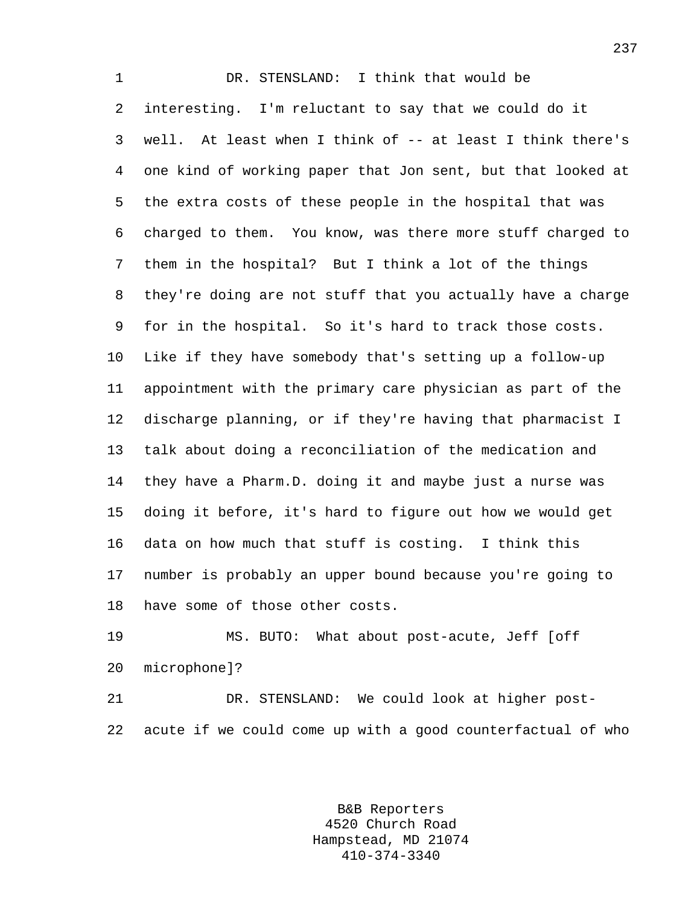1 DR. STENSLAND: I think that would be 2 interesting. I'm reluctant to say that we could do it 3 well. At least when I think of -- at least I think there's 4 one kind of working paper that Jon sent, but that looked at 5 the extra costs of these people in the hospital that was 6 charged to them. You know, was there more stuff charged to 7 them in the hospital? But I think a lot of the things 8 they're doing are not stuff that you actually have a charge 9 for in the hospital. So it's hard to track those costs. 10 Like if they have somebody that's setting up a follow-up 11 appointment with the primary care physician as part of the 12 discharge planning, or if they're having that pharmacist I 13 talk about doing a reconciliation of the medication and 14 they have a Pharm.D. doing it and maybe just a nurse was 15 doing it before, it's hard to figure out how we would get 16 data on how much that stuff is costing. I think this 17 number is probably an upper bound because you're going to 18 have some of those other costs.

19 MS. BUTO: What about post-acute, Jeff [off 20 microphone]?

21 DR. STENSLAND: We could look at higher post-22 acute if we could come up with a good counterfactual of who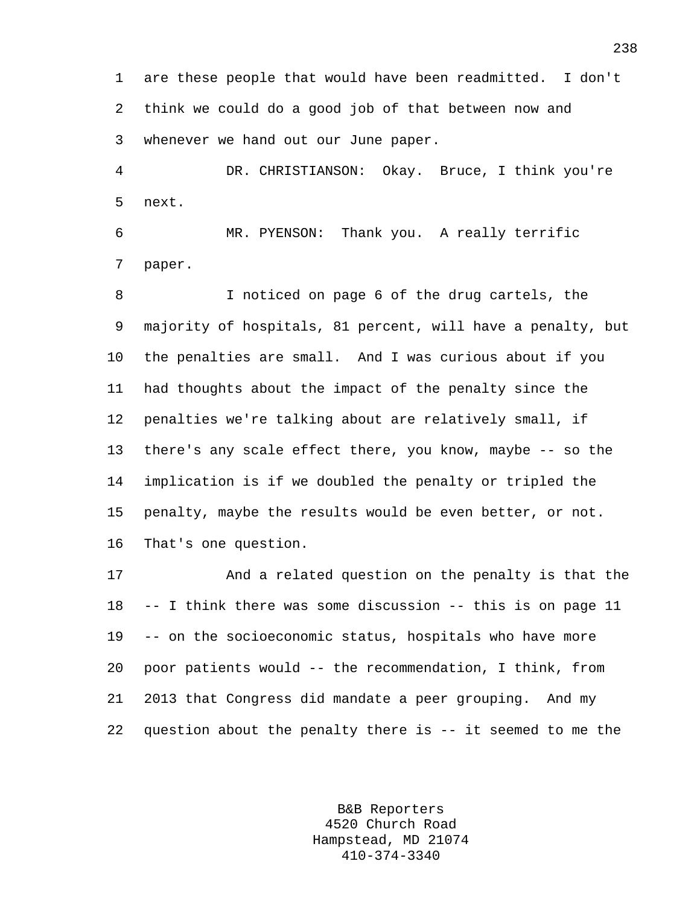1 are these people that would have been readmitted. I don't 2 think we could do a good job of that between now and 3 whenever we hand out our June paper.

4 DR. CHRISTIANSON: Okay. Bruce, I think you're 5 next.

6 MR. PYENSON: Thank you. A really terrific 7 paper.

8 I noticed on page 6 of the drug cartels, the 9 majority of hospitals, 81 percent, will have a penalty, but 10 the penalties are small. And I was curious about if you 11 had thoughts about the impact of the penalty since the 12 penalties we're talking about are relatively small, if 13 there's any scale effect there, you know, maybe -- so the 14 implication is if we doubled the penalty or tripled the 15 penalty, maybe the results would be even better, or not. 16 That's one question.

17 And a related question on the penalty is that the 18 -- I think there was some discussion -- this is on page 11 19 -- on the socioeconomic status, hospitals who have more 20 poor patients would -- the recommendation, I think, from 21 2013 that Congress did mandate a peer grouping. And my 22 question about the penalty there is -- it seemed to me the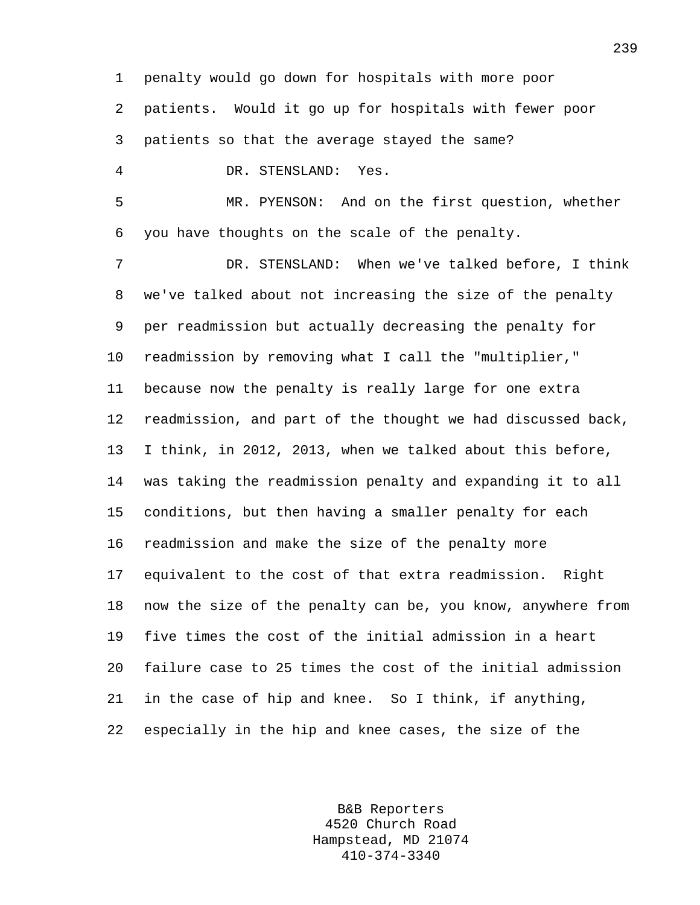1 penalty would go down for hospitals with more poor 2 patients. Would it go up for hospitals with fewer poor 3 patients so that the average stayed the same? 4 DR. STENSLAND: Yes. 5 MR. PYENSON: And on the first question, whether 6 you have thoughts on the scale of the penalty. 7 DR. STENSLAND: When we've talked before, I think 8 we've talked about not increasing the size of the penalty 9 per readmission but actually decreasing the penalty for 10 readmission by removing what I call the "multiplier," 11 because now the penalty is really large for one extra 12 readmission, and part of the thought we had discussed back, 13 I think, in 2012, 2013, when we talked about this before, 14 was taking the readmission penalty and expanding it to all 15 conditions, but then having a smaller penalty for each 16 readmission and make the size of the penalty more 17 equivalent to the cost of that extra readmission. Right 18 now the size of the penalty can be, you know, anywhere from 19 five times the cost of the initial admission in a heart 20 failure case to 25 times the cost of the initial admission 21 in the case of hip and knee. So I think, if anything, 22 especially in the hip and knee cases, the size of the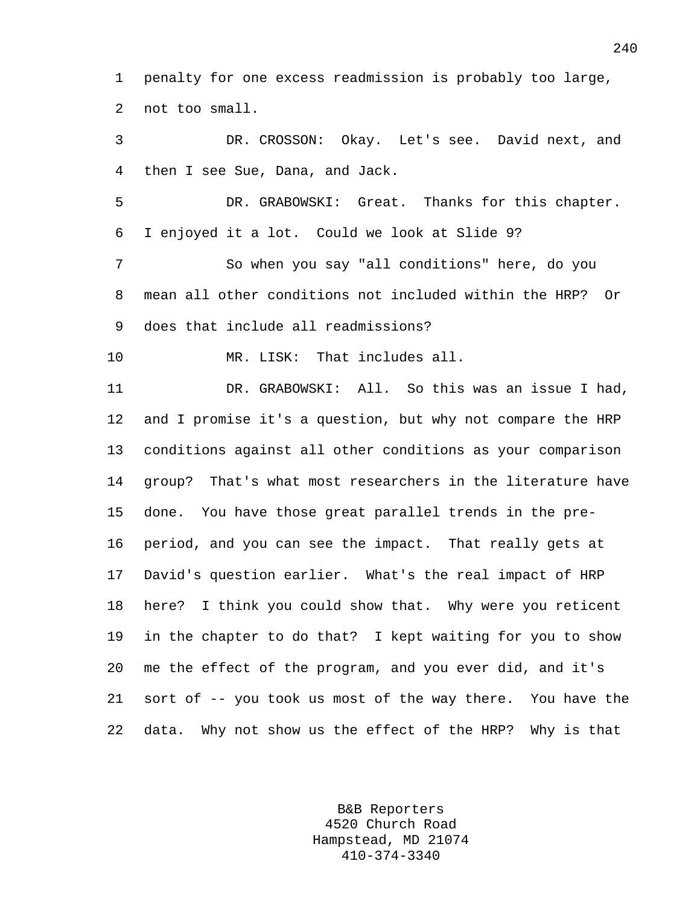1 penalty for one excess readmission is probably too large, 2 not too small.

3 DR. CROSSON: Okay. Let's see. David next, and 4 then I see Sue, Dana, and Jack.

5 DR. GRABOWSKI: Great. Thanks for this chapter. 6 I enjoyed it a lot. Could we look at Slide 9?

7 So when you say "all conditions" here, do you 8 mean all other conditions not included within the HRP? Or 9 does that include all readmissions?

10 MR. LISK: That includes all.

11 DR. GRABOWSKI: All. So this was an issue I had, 12 and I promise it's a question, but why not compare the HRP 13 conditions against all other conditions as your comparison 14 group? That's what most researchers in the literature have 15 done. You have those great parallel trends in the pre-16 period, and you can see the impact. That really gets at 17 David's question earlier. What's the real impact of HRP 18 here? I think you could show that. Why were you reticent 19 in the chapter to do that? I kept waiting for you to show 20 me the effect of the program, and you ever did, and it's 21 sort of -- you took us most of the way there. You have the 22 data. Why not show us the effect of the HRP? Why is that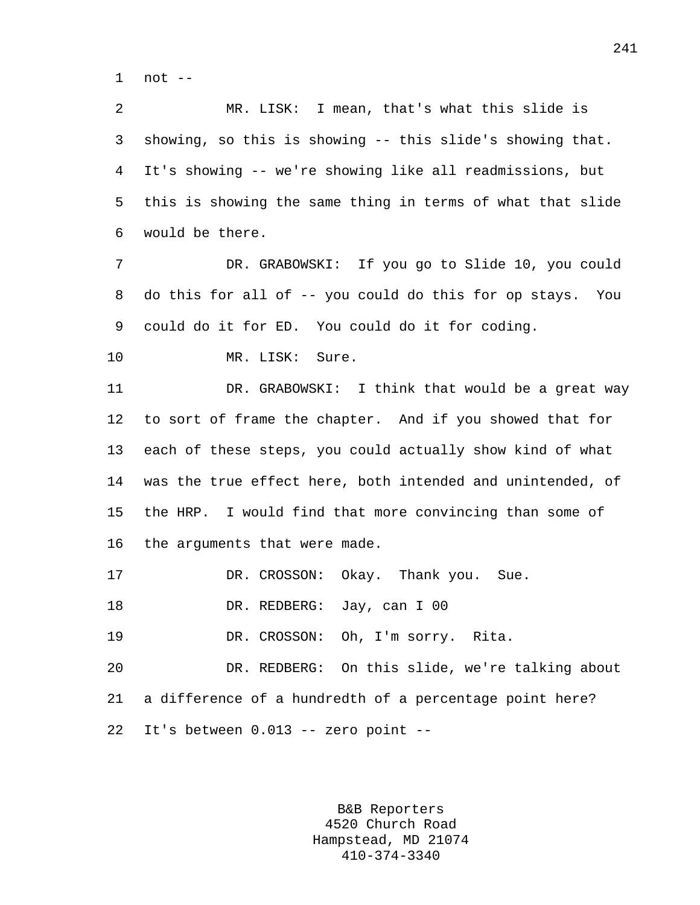1 not --

2 MR. LISK: I mean, that's what this slide is 3 showing, so this is showing -- this slide's showing that. 4 It's showing -- we're showing like all readmissions, but 5 this is showing the same thing in terms of what that slide 6 would be there.

7 DR. GRABOWSKI: If you go to Slide 10, you could 8 do this for all of -- you could do this for op stays. You 9 could do it for ED. You could do it for coding.

10 MR. LISK: Sure.

11 DR. GRABOWSKI: I think that would be a great way 12 to sort of frame the chapter. And if you showed that for 13 each of these steps, you could actually show kind of what 14 was the true effect here, both intended and unintended, of 15 the HRP. I would find that more convincing than some of 16 the arguments that were made.

17 DR. CROSSON: Okay. Thank you. Sue.

18 DR. REDBERG: Jay, can I 00

19 DR. CROSSON: Oh, I'm sorry. Rita.

20 DR. REDBERG: On this slide, we're talking about 21 a difference of a hundredth of a percentage point here? 22 It's between 0.013 -- zero point --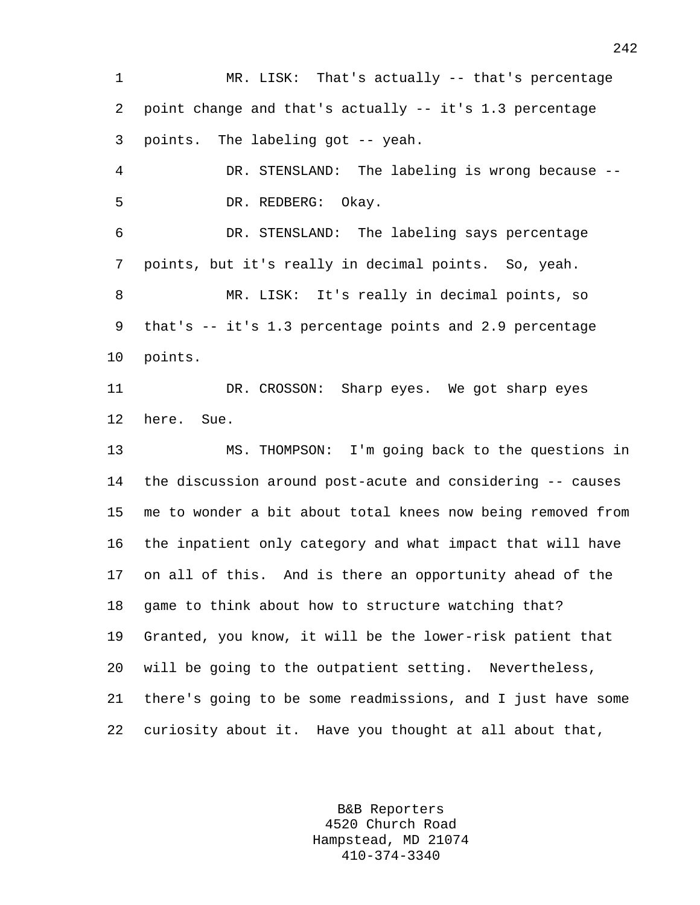1 MR. LISK: That's actually -- that's percentage 2 point change and that's actually -- it's 1.3 percentage 3 points. The labeling got -- yeah. 4 DR. STENSLAND: The labeling is wrong because -- 5 DR. REDBERG: Okay. 6 DR. STENSLAND: The labeling says percentage 7 points, but it's really in decimal points. So, yeah. 8 MR. LISK: It's really in decimal points, so 9 that's -- it's 1.3 percentage points and 2.9 percentage 10 points. 11 DR. CROSSON: Sharp eyes. We got sharp eyes 12 here. Sue. 13 MS. THOMPSON: I'm going back to the questions in 14 the discussion around post-acute and considering -- causes 15 me to wonder a bit about total knees now being removed from 16 the inpatient only category and what impact that will have 17 on all of this. And is there an opportunity ahead of the 18 game to think about how to structure watching that? 19 Granted, you know, it will be the lower-risk patient that 20 will be going to the outpatient setting. Nevertheless, 21 there's going to be some readmissions, and I just have some 22 curiosity about it. Have you thought at all about that,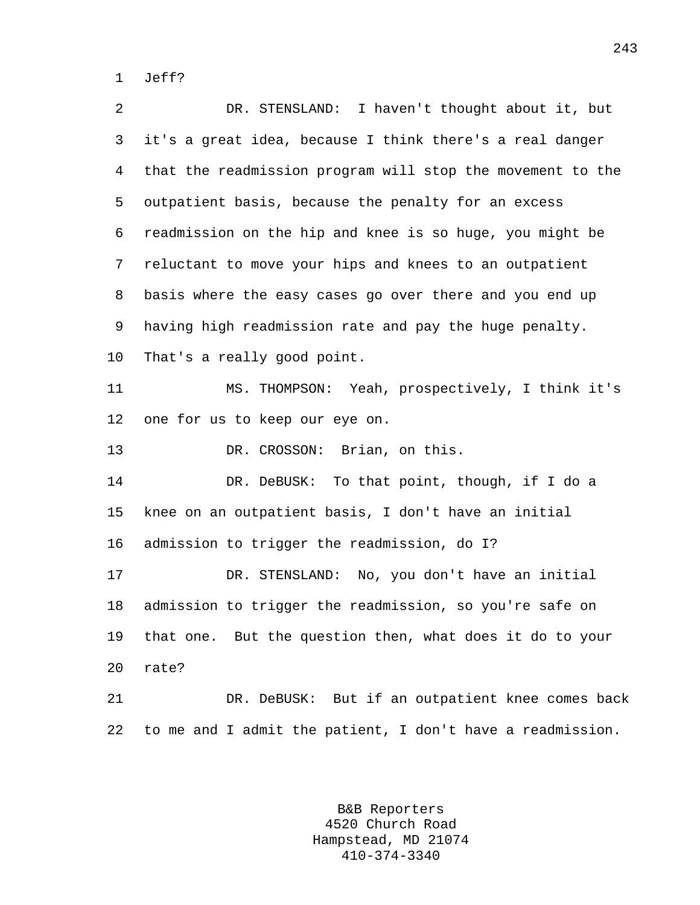1 Jeff?

2 DR. STENSLAND: I haven't thought about it, but 3 it's a great idea, because I think there's a real danger 4 that the readmission program will stop the movement to the 5 outpatient basis, because the penalty for an excess 6 readmission on the hip and knee is so huge, you might be 7 reluctant to move your hips and knees to an outpatient 8 basis where the easy cases go over there and you end up 9 having high readmission rate and pay the huge penalty. 10 That's a really good point. 11 MS. THOMPSON: Yeah, prospectively, I think it's 12 one for us to keep our eye on. 13 DR. CROSSON: Brian, on this. 14 DR. DeBUSK: To that point, though, if I do a 15 knee on an outpatient basis, I don't have an initial 16 admission to trigger the readmission, do I? 17 DR. STENSLAND: No, you don't have an initial 18 admission to trigger the readmission, so you're safe on 19 that one. But the question then, what does it do to your 20 rate? 21 DR. DeBUSK: But if an outpatient knee comes back 22 to me and I admit the patient, I don't have a readmission.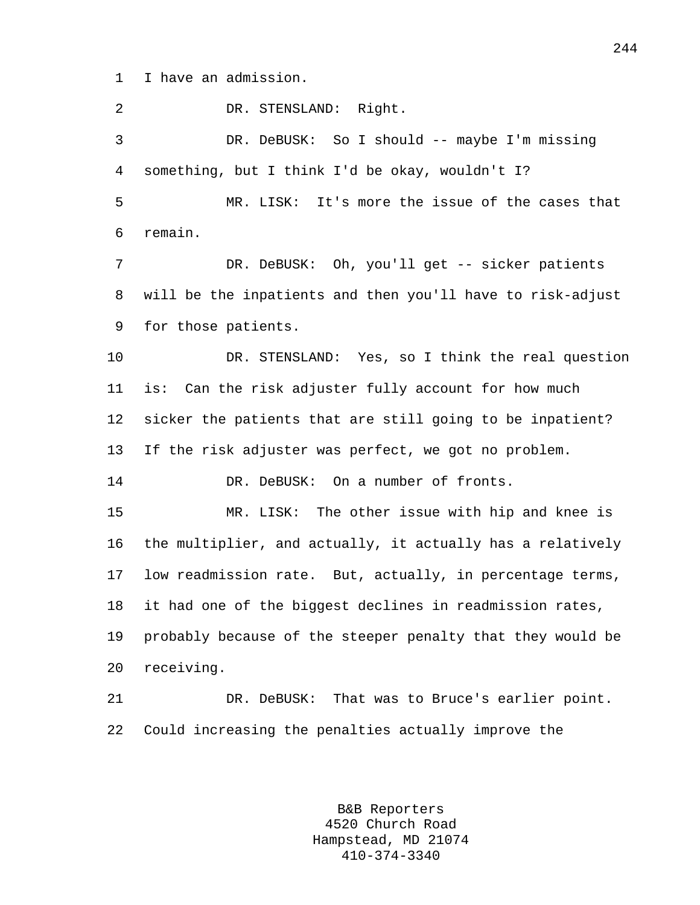1 I have an admission.

2 DR. STENSLAND: Right. 3 DR. DeBUSK: So I should -- maybe I'm missing 4 something, but I think I'd be okay, wouldn't I? 5 MR. LISK: It's more the issue of the cases that 6 remain. 7 DR. DeBUSK: Oh, you'll get -- sicker patients 8 will be the inpatients and then you'll have to risk-adjust 9 for those patients. 10 DR. STENSLAND: Yes, so I think the real question 11 is: Can the risk adjuster fully account for how much 12 sicker the patients that are still going to be inpatient? 13 If the risk adjuster was perfect, we got no problem. 14 DR. DeBUSK: On a number of fronts. 15 MR. LISK: The other issue with hip and knee is 16 the multiplier, and actually, it actually has a relatively 17 low readmission rate. But, actually, in percentage terms, 18 it had one of the biggest declines in readmission rates, 19 probably because of the steeper penalty that they would be 20 receiving. 21 DR. DeBUSK: That was to Bruce's earlier point. 22 Could increasing the penalties actually improve the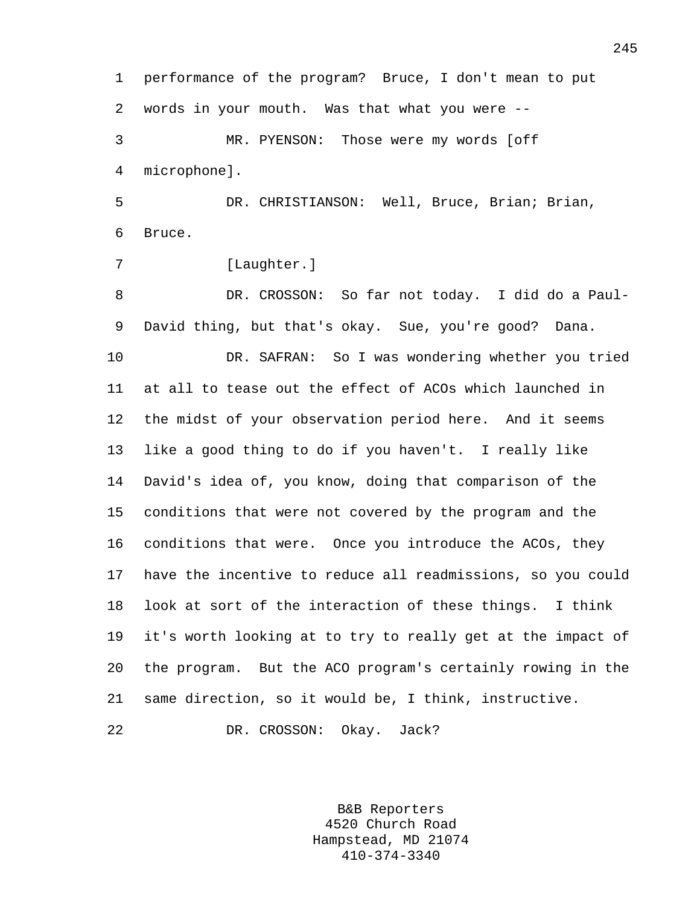1 performance of the program? Bruce, I don't mean to put 2 words in your mouth. Was that what you were -- 3 MR. PYENSON: Those were my words [off 4 microphone]. 5 DR. CHRISTIANSON: Well, Bruce, Brian; Brian, 6 Bruce. 7 [Laughter.] 8 DR. CROSSON: So far not today. I did do a Paul-9 David thing, but that's okay. Sue, you're good? Dana. 10 DR. SAFRAN: So I was wondering whether you tried 11 at all to tease out the effect of ACOs which launched in 12 the midst of your observation period here. And it seems 13 like a good thing to do if you haven't. I really like 14 David's idea of, you know, doing that comparison of the 15 conditions that were not covered by the program and the 16 conditions that were. Once you introduce the ACOs, they 17 have the incentive to reduce all readmissions, so you could 18 look at sort of the interaction of these things. I think 19 it's worth looking at to try to really get at the impact of 20 the program. But the ACO program's certainly rowing in the 21 same direction, so it would be, I think, instructive. 22 DR. CROSSON: Okay. Jack?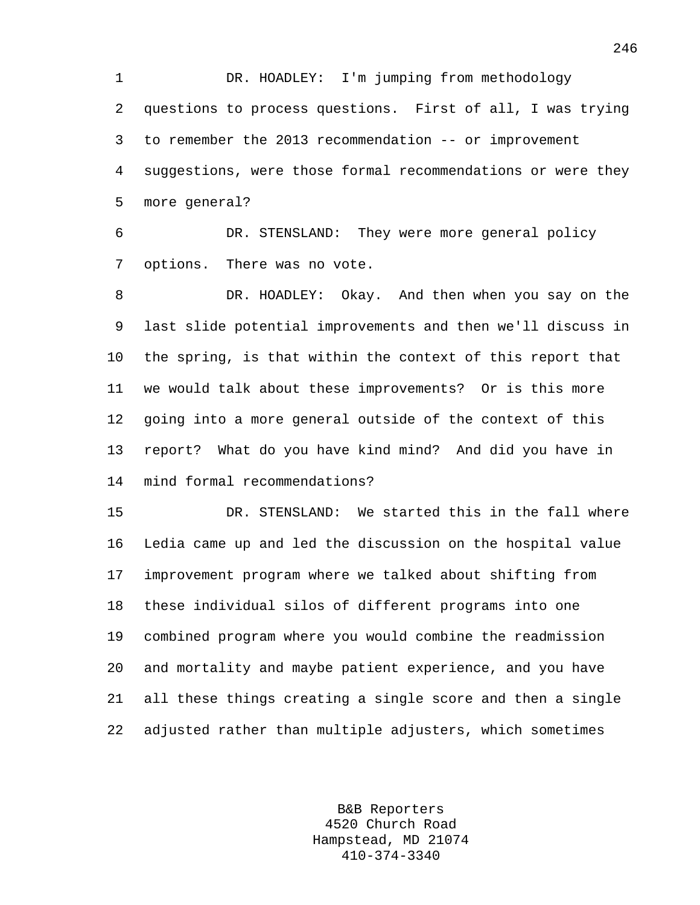1 DR. HOADLEY: I'm jumping from methodology 2 questions to process questions. First of all, I was trying 3 to remember the 2013 recommendation -- or improvement 4 suggestions, were those formal recommendations or were they 5 more general?

6 DR. STENSLAND: They were more general policy 7 options. There was no vote.

8 DR. HOADLEY: Okay. And then when you say on the 9 last slide potential improvements and then we'll discuss in 10 the spring, is that within the context of this report that 11 we would talk about these improvements? Or is this more 12 going into a more general outside of the context of this 13 report? What do you have kind mind? And did you have in 14 mind formal recommendations?

15 DR. STENSLAND: We started this in the fall where 16 Ledia came up and led the discussion on the hospital value 17 improvement program where we talked about shifting from 18 these individual silos of different programs into one 19 combined program where you would combine the readmission 20 and mortality and maybe patient experience, and you have 21 all these things creating a single score and then a single 22 adjusted rather than multiple adjusters, which sometimes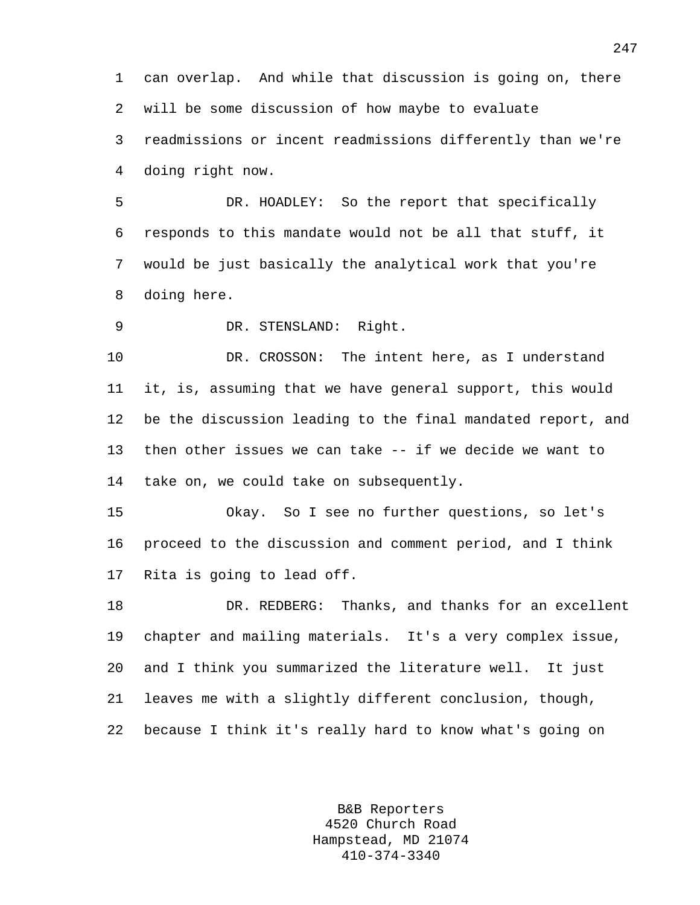1 can overlap. And while that discussion is going on, there 2 will be some discussion of how maybe to evaluate 3 readmissions or incent readmissions differently than we're

4 doing right now.

5 DR. HOADLEY: So the report that specifically 6 responds to this mandate would not be all that stuff, it 7 would be just basically the analytical work that you're 8 doing here.

9 DR. STENSLAND: Right.

10 DR. CROSSON: The intent here, as I understand 11 it, is, assuming that we have general support, this would 12 be the discussion leading to the final mandated report, and 13 then other issues we can take -- if we decide we want to 14 take on, we could take on subsequently.

15 Okay. So I see no further questions, so let's 16 proceed to the discussion and comment period, and I think 17 Rita is going to lead off.

18 DR. REDBERG: Thanks, and thanks for an excellent 19 chapter and mailing materials. It's a very complex issue, 20 and I think you summarized the literature well. It just 21 leaves me with a slightly different conclusion, though, 22 because I think it's really hard to know what's going on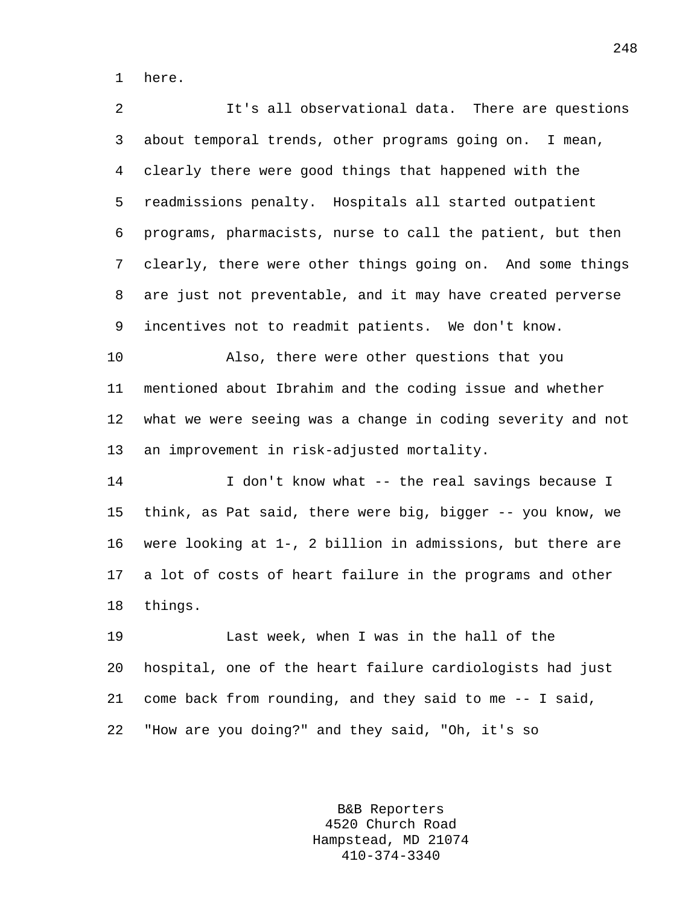1 here.

2 It's all observational data. There are questions 3 about temporal trends, other programs going on. I mean, 4 clearly there were good things that happened with the 5 readmissions penalty. Hospitals all started outpatient 6 programs, pharmacists, nurse to call the patient, but then 7 clearly, there were other things going on. And some things 8 are just not preventable, and it may have created perverse 9 incentives not to readmit patients. We don't know. 10 Also, there were other questions that you 11 mentioned about Ibrahim and the coding issue and whether 12 what we were seeing was a change in coding severity and not 13 an improvement in risk-adjusted mortality. 14 **I** don't know what -- the real savings because I

15 think, as Pat said, there were big, bigger -- you know, we 16 were looking at 1-, 2 billion in admissions, but there are 17 a lot of costs of heart failure in the programs and other 18 things.

19 Last week, when I was in the hall of the 20 hospital, one of the heart failure cardiologists had just 21 come back from rounding, and they said to me -- I said, 22 "How are you doing?" and they said, "Oh, it's so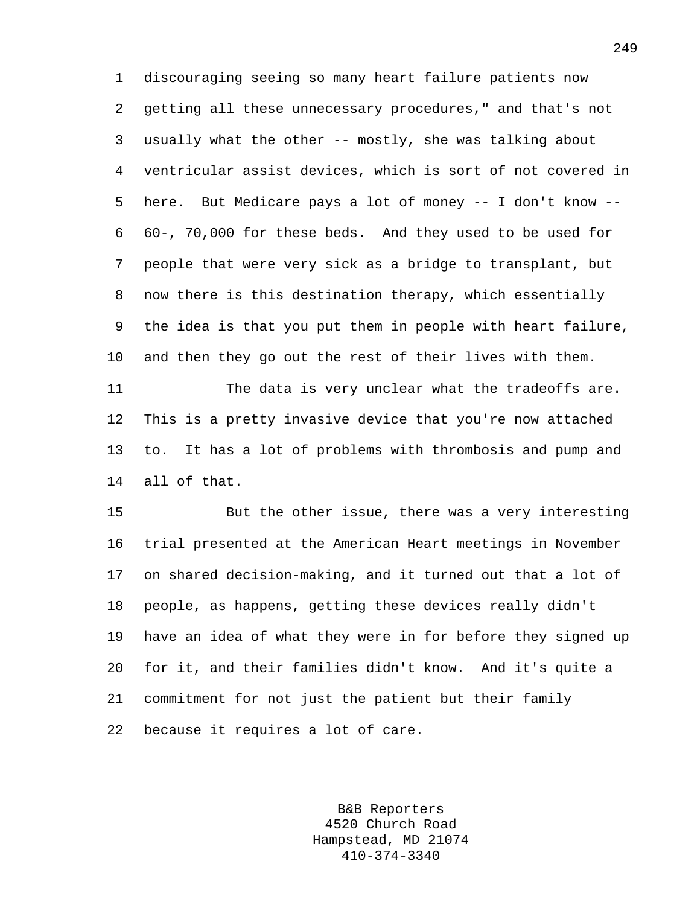1 discouraging seeing so many heart failure patients now 2 getting all these unnecessary procedures," and that's not 3 usually what the other -- mostly, she was talking about 4 ventricular assist devices, which is sort of not covered in 5 here. But Medicare pays a lot of money -- I don't know -- 6 60-, 70,000 for these beds. And they used to be used for 7 people that were very sick as a bridge to transplant, but 8 now there is this destination therapy, which essentially 9 the idea is that you put them in people with heart failure, 10 and then they go out the rest of their lives with them. 11 The data is very unclear what the tradeoffs are.

12 This is a pretty invasive device that you're now attached 13 to. It has a lot of problems with thrombosis and pump and 14 all of that.

15 But the other issue, there was a very interesting 16 trial presented at the American Heart meetings in November 17 on shared decision-making, and it turned out that a lot of 18 people, as happens, getting these devices really didn't 19 have an idea of what they were in for before they signed up 20 for it, and their families didn't know. And it's quite a 21 commitment for not just the patient but their family 22 because it requires a lot of care.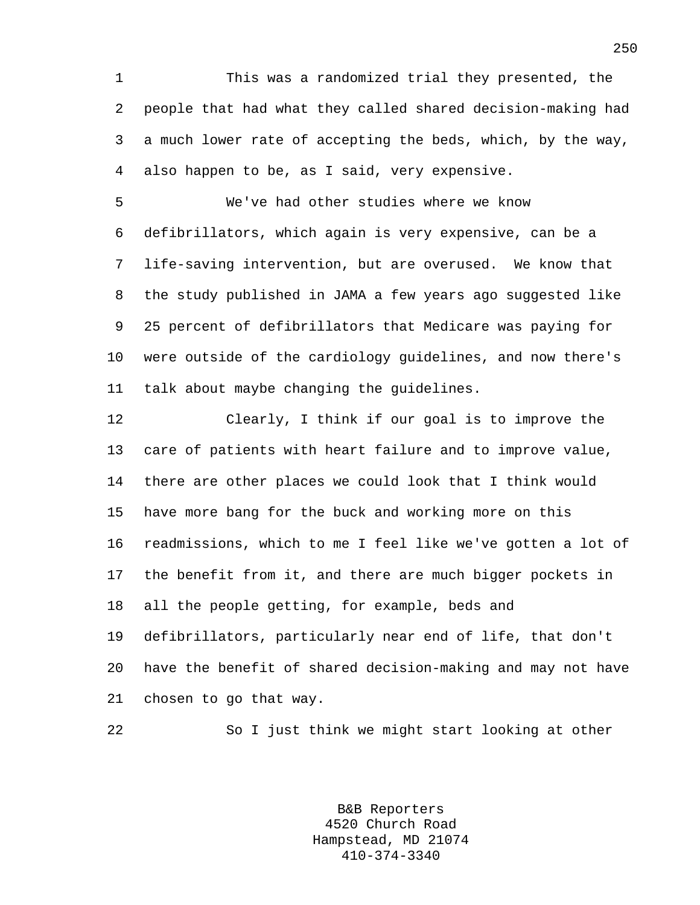1 This was a randomized trial they presented, the 2 people that had what they called shared decision-making had 3 a much lower rate of accepting the beds, which, by the way, 4 also happen to be, as I said, very expensive.

5 We've had other studies where we know 6 defibrillators, which again is very expensive, can be a 7 life-saving intervention, but are overused. We know that 8 the study published in JAMA a few years ago suggested like 9 25 percent of defibrillators that Medicare was paying for 10 were outside of the cardiology guidelines, and now there's 11 talk about maybe changing the guidelines.

12 Clearly, I think if our goal is to improve the 13 care of patients with heart failure and to improve value, 14 there are other places we could look that I think would 15 have more bang for the buck and working more on this 16 readmissions, which to me I feel like we've gotten a lot of 17 the benefit from it, and there are much bigger pockets in 18 all the people getting, for example, beds and 19 defibrillators, particularly near end of life, that don't 20 have the benefit of shared decision-making and may not have 21 chosen to go that way.

22 So I just think we might start looking at other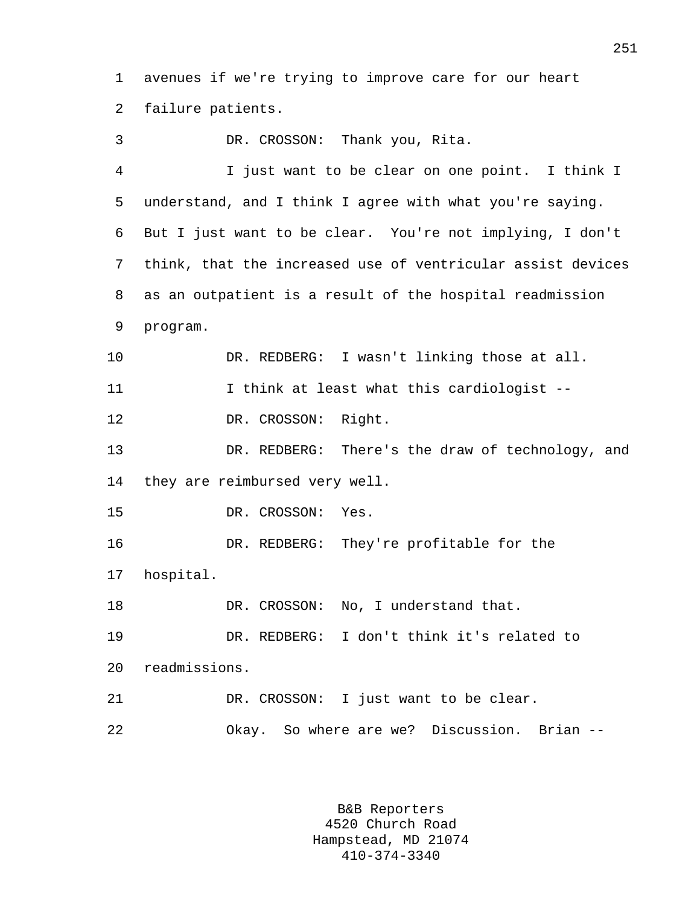1 avenues if we're trying to improve care for our heart 2 failure patients.

3 DR. CROSSON: Thank you, Rita. 4 I just want to be clear on one point. I think I 5 understand, and I think I agree with what you're saying. 6 But I just want to be clear. You're not implying, I don't 7 think, that the increased use of ventricular assist devices 8 as an outpatient is a result of the hospital readmission 9 program. 10 DR. REDBERG: I wasn't linking those at all. 11 I think at least what this cardiologist -- 12 DR. CROSSON: Right. 13 DR. REDBERG: There's the draw of technology, and 14 they are reimbursed very well. 15 DR. CROSSON: Yes. 16 DR. REDBERG: They're profitable for the 17 hospital. 18 DR. CROSSON: No, I understand that. 19 DR. REDBERG: I don't think it's related to 20 readmissions. 21 DR. CROSSON: I just want to be clear. 22 Okay. So where are we? Discussion. Brian --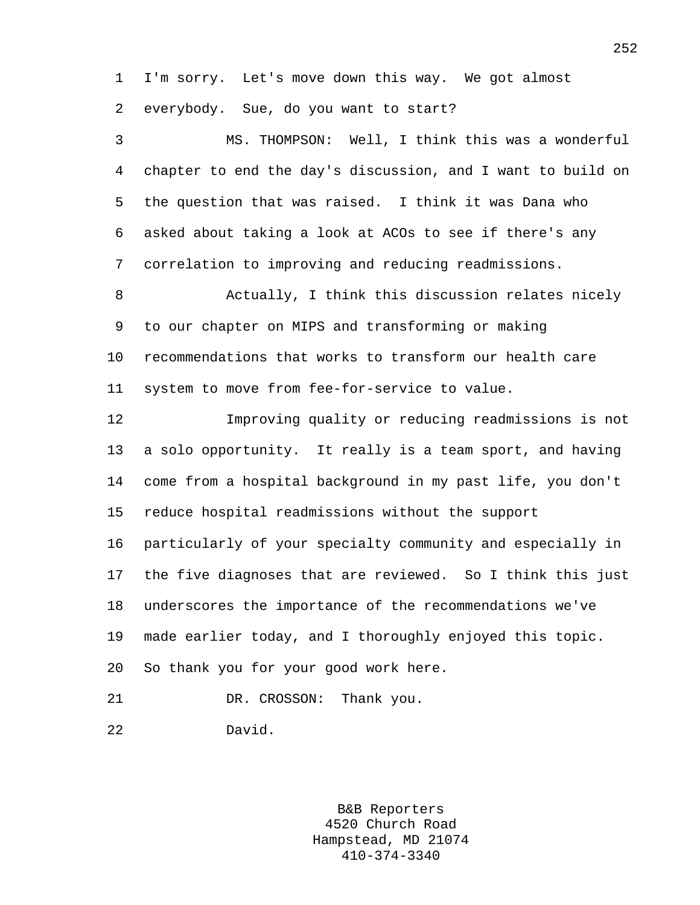1 I'm sorry. Let's move down this way. We got almost

2 everybody. Sue, do you want to start?

3 MS. THOMPSON: Well, I think this was a wonderful 4 chapter to end the day's discussion, and I want to build on 5 the question that was raised. I think it was Dana who 6 asked about taking a look at ACOs to see if there's any 7 correlation to improving and reducing readmissions.

8 Actually, I think this discussion relates nicely 9 to our chapter on MIPS and transforming or making 10 recommendations that works to transform our health care 11 system to move from fee-for-service to value.

12 Improving quality or reducing readmissions is not 13 a solo opportunity. It really is a team sport, and having 14 come from a hospital background in my past life, you don't 15 reduce hospital readmissions without the support 16 particularly of your specialty community and especially in 17 the five diagnoses that are reviewed. So I think this just 18 underscores the importance of the recommendations we've 19 made earlier today, and I thoroughly enjoyed this topic. 20 So thank you for your good work here.

21 DR. CROSSON: Thank you.

22 David.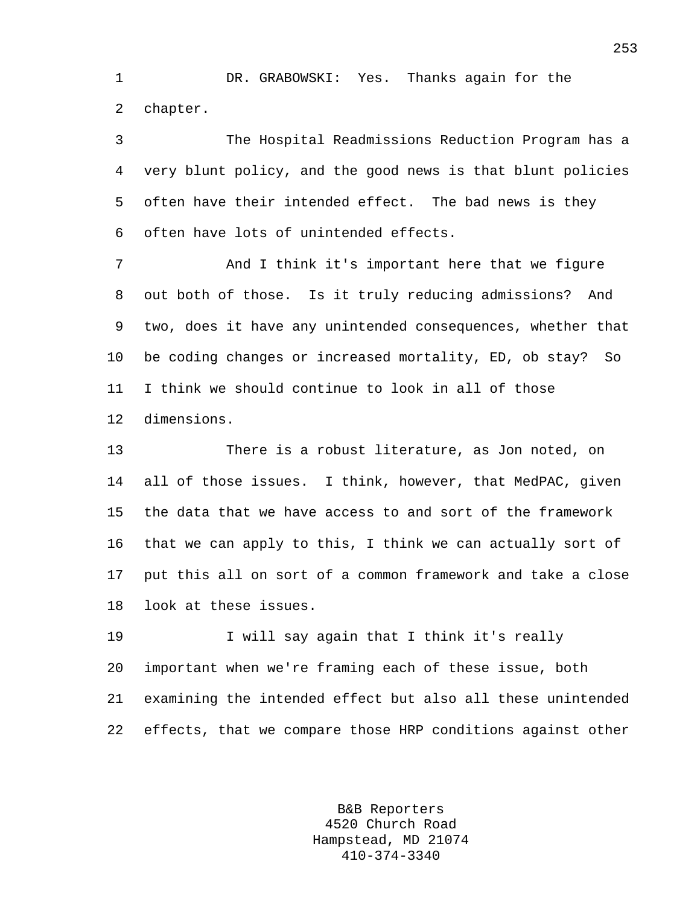1 DR. GRABOWSKI: Yes. Thanks again for the 2 chapter.

3 The Hospital Readmissions Reduction Program has a 4 very blunt policy, and the good news is that blunt policies 5 often have their intended effect. The bad news is they 6 often have lots of unintended effects.

7 And I think it's important here that we figure 8 out both of those. Is it truly reducing admissions? And 9 two, does it have any unintended consequences, whether that 10 be coding changes or increased mortality, ED, ob stay? So 11 I think we should continue to look in all of those 12 dimensions.

13 There is a robust literature, as Jon noted, on 14 all of those issues. I think, however, that MedPAC, given 15 the data that we have access to and sort of the framework 16 that we can apply to this, I think we can actually sort of 17 put this all on sort of a common framework and take a close 18 look at these issues.

19 I will say again that I think it's really 20 important when we're framing each of these issue, both 21 examining the intended effect but also all these unintended 22 effects, that we compare those HRP conditions against other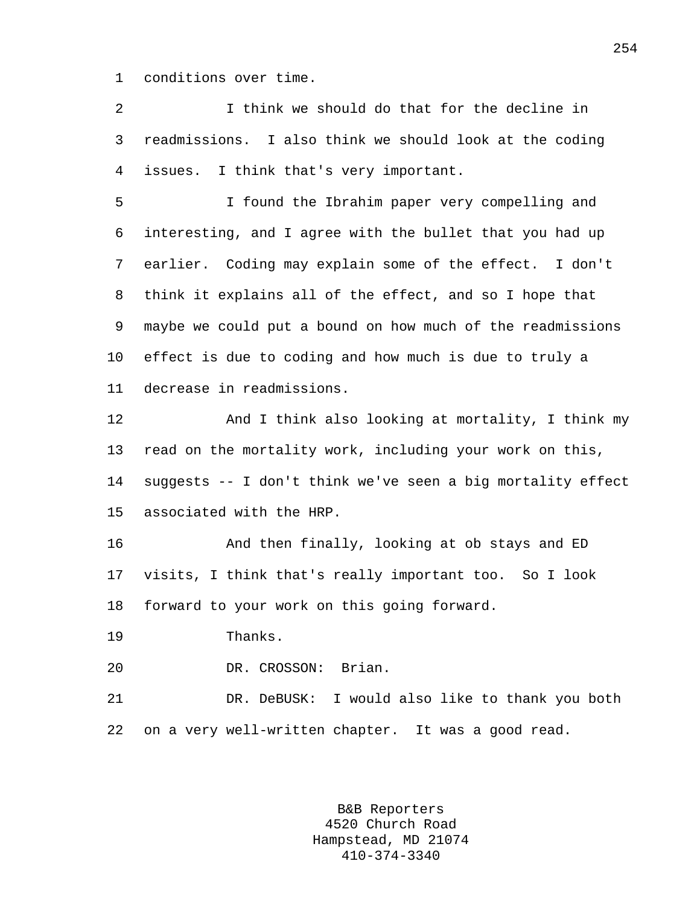1 conditions over time.

2 I think we should do that for the decline in 3 readmissions. I also think we should look at the coding 4 issues. I think that's very important.

5 I found the Ibrahim paper very compelling and 6 interesting, and I agree with the bullet that you had up 7 earlier. Coding may explain some of the effect. I don't 8 think it explains all of the effect, and so I hope that 9 maybe we could put a bound on how much of the readmissions 10 effect is due to coding and how much is due to truly a 11 decrease in readmissions.

12 And I think also looking at mortality, I think my 13 read on the mortality work, including your work on this, 14 suggests -- I don't think we've seen a big mortality effect 15 associated with the HRP.

16 And then finally, looking at ob stays and ED 17 visits, I think that's really important too. So I look 18 forward to your work on this going forward.

19 Thanks.

20 DR. CROSSON: Brian.

21 DR. DeBUSK: I would also like to thank you both 22 on a very well-written chapter. It was a good read.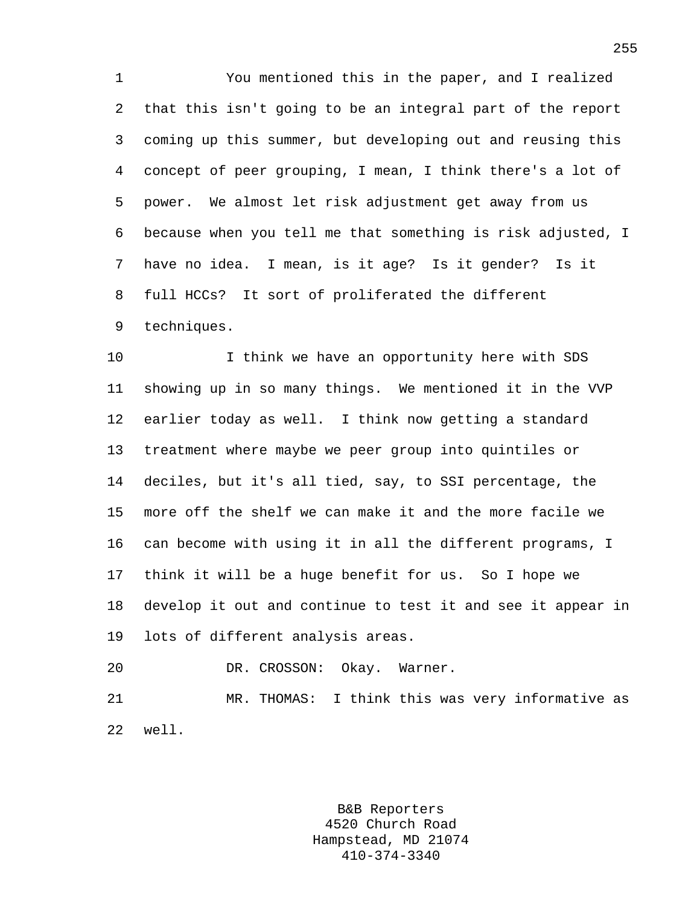1 You mentioned this in the paper, and I realized 2 that this isn't going to be an integral part of the report 3 coming up this summer, but developing out and reusing this 4 concept of peer grouping, I mean, I think there's a lot of 5 power. We almost let risk adjustment get away from us 6 because when you tell me that something is risk adjusted, I 7 have no idea. I mean, is it age? Is it gender? Is it 8 full HCCs? It sort of proliferated the different 9 techniques.

10 I think we have an opportunity here with SDS 11 showing up in so many things. We mentioned it in the VVP 12 earlier today as well. I think now getting a standard 13 treatment where maybe we peer group into quintiles or 14 deciles, but it's all tied, say, to SSI percentage, the 15 more off the shelf we can make it and the more facile we 16 can become with using it in all the different programs, I 17 think it will be a huge benefit for us. So I hope we 18 develop it out and continue to test it and see it appear in 19 lots of different analysis areas.

20 DR. CROSSON: Okay. Warner. 21 MR. THOMAS: I think this was very informative as 22 well.

> B&B Reporters 4520 Church Road Hampstead, MD 21074 410-374-3340

255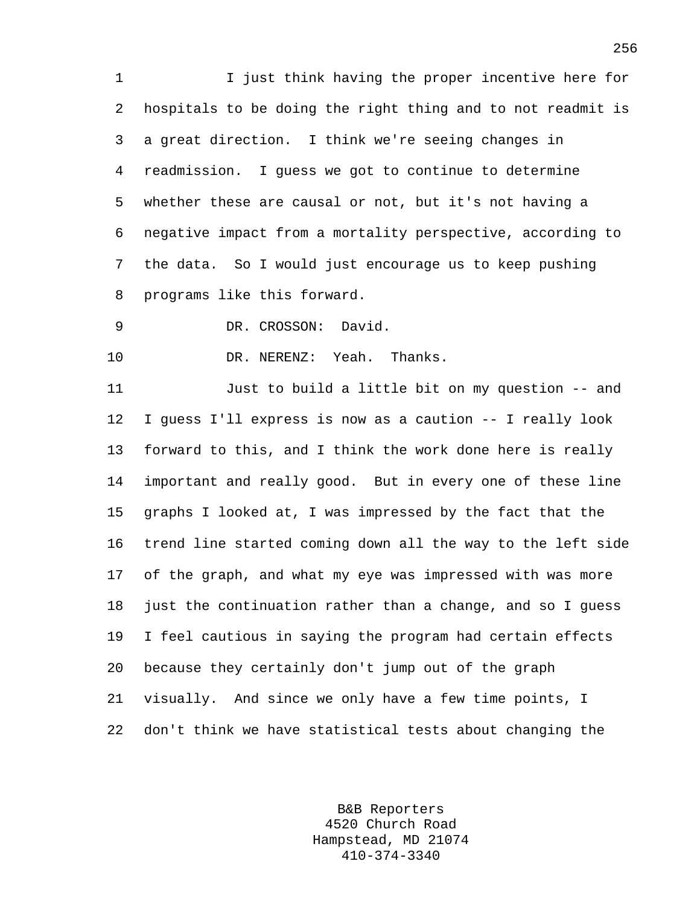1 I just think having the proper incentive here for 2 hospitals to be doing the right thing and to not readmit is 3 a great direction. I think we're seeing changes in 4 readmission. I guess we got to continue to determine 5 whether these are causal or not, but it's not having a 6 negative impact from a mortality perspective, according to 7 the data. So I would just encourage us to keep pushing 8 programs like this forward.

9 DR. CROSSON: David.

10 DR. NERENZ: Yeah. Thanks.

11 Just to build a little bit on my question -- and 12 I guess I'll express is now as a caution -- I really look 13 forward to this, and I think the work done here is really 14 important and really good. But in every one of these line 15 graphs I looked at, I was impressed by the fact that the 16 trend line started coming down all the way to the left side 17 of the graph, and what my eye was impressed with was more 18 just the continuation rather than a change, and so I guess 19 I feel cautious in saying the program had certain effects 20 because they certainly don't jump out of the graph 21 visually. And since we only have a few time points, I 22 don't think we have statistical tests about changing the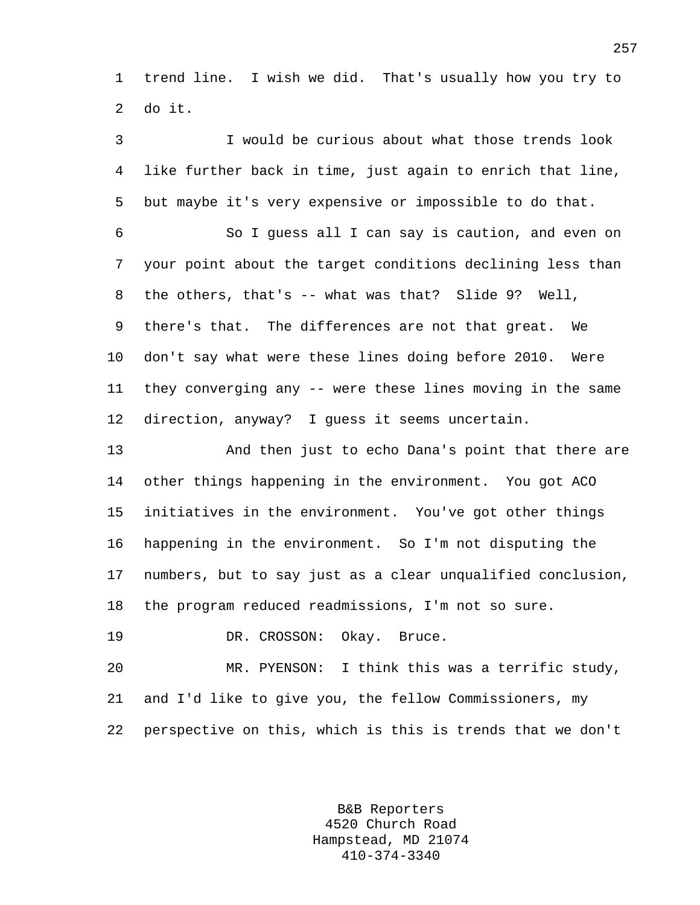1 trend line. I wish we did. That's usually how you try to 2 do it.

3 I would be curious about what those trends look 4 like further back in time, just again to enrich that line, 5 but maybe it's very expensive or impossible to do that. 6 So I guess all I can say is caution, and even on 7 your point about the target conditions declining less than 8 the others, that's -- what was that? Slide 9? Well, 9 there's that. The differences are not that great. We 10 don't say what were these lines doing before 2010. Were 11 they converging any -- were these lines moving in the same 12 direction, anyway? I guess it seems uncertain. 13 And then just to echo Dana's point that there are 14 other things happening in the environment. You got ACO 15 initiatives in the environment. You've got other things 16 happening in the environment. So I'm not disputing the 17 numbers, but to say just as a clear unqualified conclusion, 18 the program reduced readmissions, I'm not so sure.

19 DR. CROSSON: Okay. Bruce.

20 MR. PYENSON: I think this was a terrific study, 21 and I'd like to give you, the fellow Commissioners, my 22 perspective on this, which is this is trends that we don't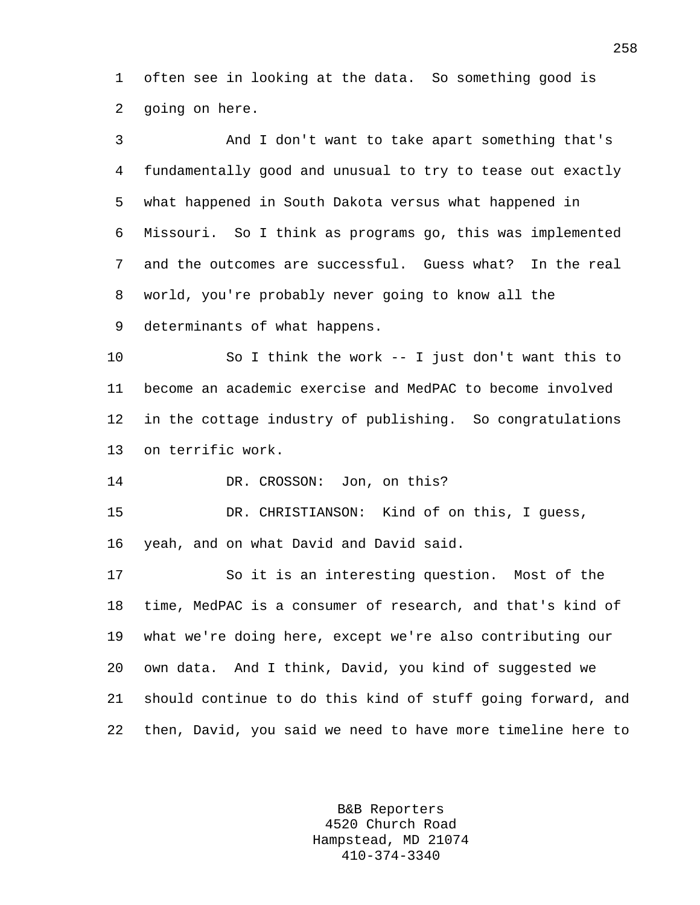1 often see in looking at the data. So something good is 2 going on here.

3 And I don't want to take apart something that's 4 fundamentally good and unusual to try to tease out exactly 5 what happened in South Dakota versus what happened in 6 Missouri. So I think as programs go, this was implemented 7 and the outcomes are successful. Guess what? In the real 8 world, you're probably never going to know all the 9 determinants of what happens. 10 So I think the work -- I just don't want this to 11 become an academic exercise and MedPAC to become involved 12 in the cottage industry of publishing. So congratulations 13 on terrific work. 14 DR. CROSSON: Jon, on this? 15 DR. CHRISTIANSON: Kind of on this, I guess, 16 yeah, and on what David and David said. 17 So it is an interesting question. Most of the 18 time, MedPAC is a consumer of research, and that's kind of 19 what we're doing here, except we're also contributing our 20 own data. And I think, David, you kind of suggested we 21 should continue to do this kind of stuff going forward, and 22 then, David, you said we need to have more timeline here to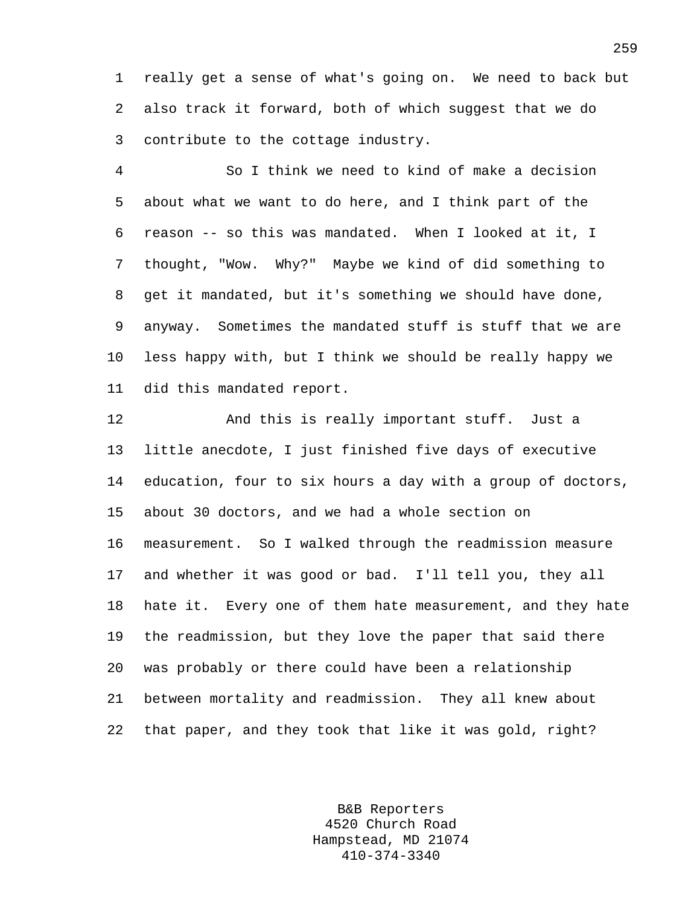1 really get a sense of what's going on. We need to back but 2 also track it forward, both of which suggest that we do 3 contribute to the cottage industry.

4 So I think we need to kind of make a decision 5 about what we want to do here, and I think part of the 6 reason -- so this was mandated. When I looked at it, I 7 thought, "Wow. Why?" Maybe we kind of did something to 8 get it mandated, but it's something we should have done, 9 anyway. Sometimes the mandated stuff is stuff that we are 10 less happy with, but I think we should be really happy we 11 did this mandated report.

12 And this is really important stuff. Just a 13 little anecdote, I just finished five days of executive 14 education, four to six hours a day with a group of doctors, 15 about 30 doctors, and we had a whole section on 16 measurement. So I walked through the readmission measure 17 and whether it was good or bad. I'll tell you, they all 18 hate it. Every one of them hate measurement, and they hate 19 the readmission, but they love the paper that said there 20 was probably or there could have been a relationship 21 between mortality and readmission. They all knew about 22 that paper, and they took that like it was gold, right?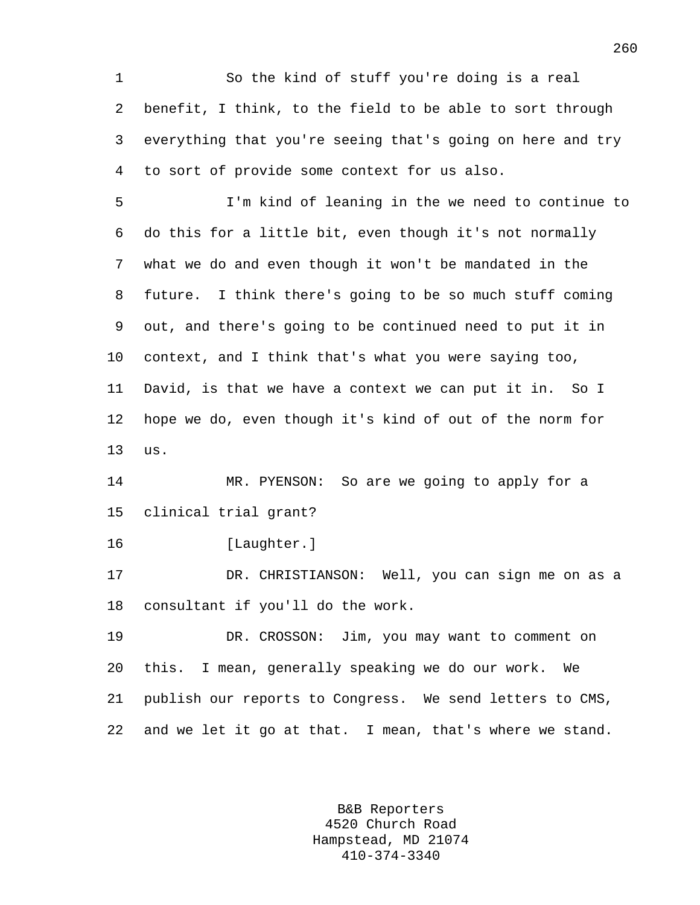1 So the kind of stuff you're doing is a real 2 benefit, I think, to the field to be able to sort through 3 everything that you're seeing that's going on here and try 4 to sort of provide some context for us also.

5 I'm kind of leaning in the we need to continue to 6 do this for a little bit, even though it's not normally 7 what we do and even though it won't be mandated in the 8 future. I think there's going to be so much stuff coming 9 out, and there's going to be continued need to put it in 10 context, and I think that's what you were saying too, 11 David, is that we have a context we can put it in. So I 12 hope we do, even though it's kind of out of the norm for 13 us.

14 MR. PYENSON: So are we going to apply for a 15 clinical trial grant?

16 [Laughter.]

17 DR. CHRISTIANSON: Well, you can sign me on as a 18 consultant if you'll do the work.

19 DR. CROSSON: Jim, you may want to comment on 20 this. I mean, generally speaking we do our work. We 21 publish our reports to Congress. We send letters to CMS, 22 and we let it go at that. I mean, that's where we stand.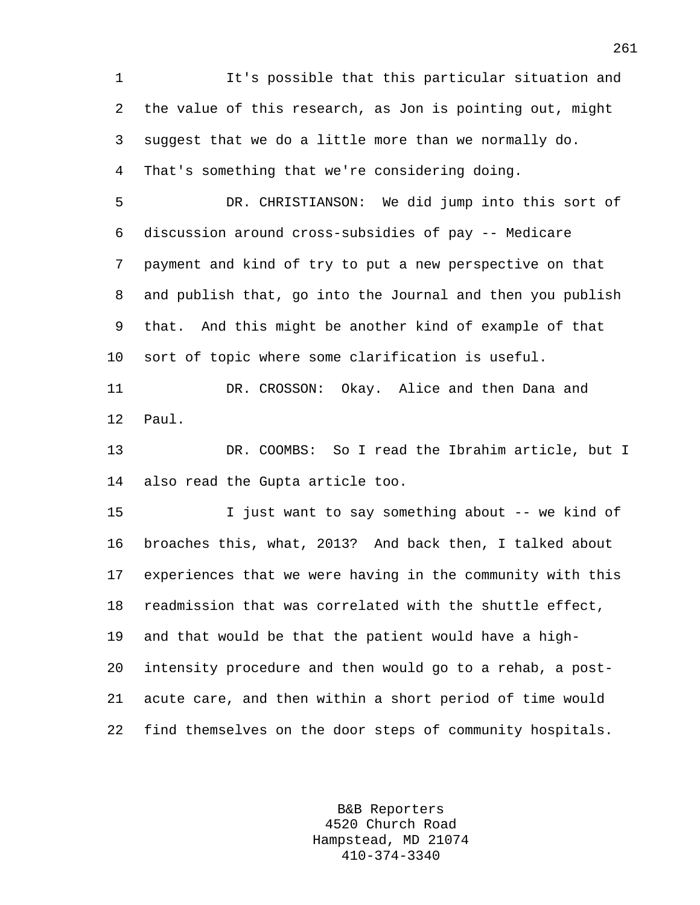1 It's possible that this particular situation and 2 the value of this research, as Jon is pointing out, might 3 suggest that we do a little more than we normally do. 4 That's something that we're considering doing.

5 DR. CHRISTIANSON: We did jump into this sort of 6 discussion around cross-subsidies of pay -- Medicare 7 payment and kind of try to put a new perspective on that 8 and publish that, go into the Journal and then you publish 9 that. And this might be another kind of example of that 10 sort of topic where some clarification is useful.

11 DR. CROSSON: Okay. Alice and then Dana and 12 Paul.

13 DR. COOMBS: So I read the Ibrahim article, but I 14 also read the Gupta article too.

15 I just want to say something about -- we kind of 16 broaches this, what, 2013? And back then, I talked about 17 experiences that we were having in the community with this 18 readmission that was correlated with the shuttle effect, 19 and that would be that the patient would have a high-20 intensity procedure and then would go to a rehab, a post-21 acute care, and then within a short period of time would 22 find themselves on the door steps of community hospitals.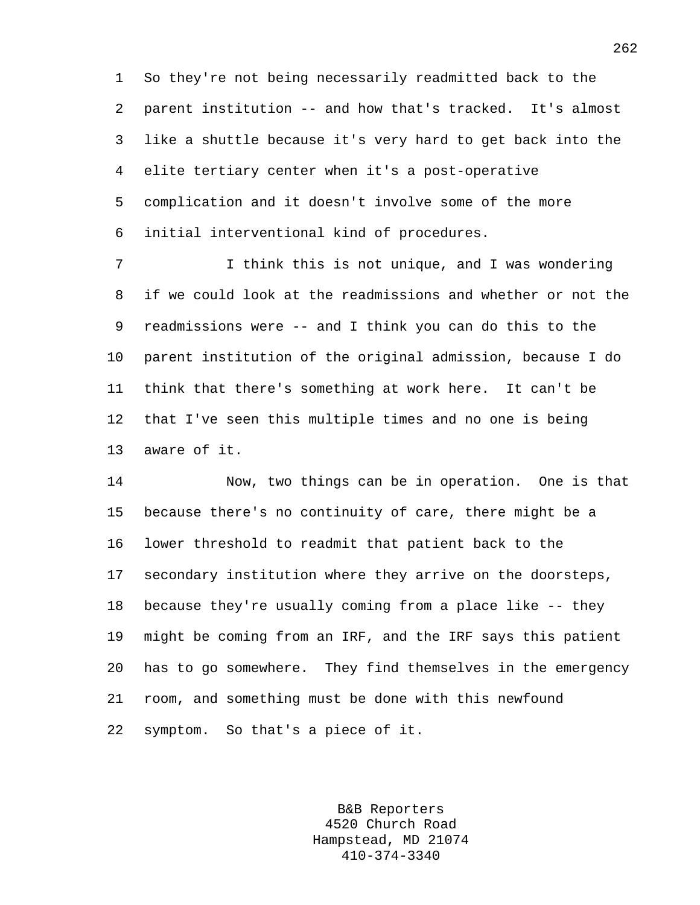1 So they're not being necessarily readmitted back to the 2 parent institution -- and how that's tracked. It's almost 3 like a shuttle because it's very hard to get back into the 4 elite tertiary center when it's a post-operative 5 complication and it doesn't involve some of the more 6 initial interventional kind of procedures.

7 I think this is not unique, and I was wondering 8 if we could look at the readmissions and whether or not the 9 readmissions were -- and I think you can do this to the 10 parent institution of the original admission, because I do 11 think that there's something at work here. It can't be 12 that I've seen this multiple times and no one is being 13 aware of it.

14 Now, two things can be in operation. One is that 15 because there's no continuity of care, there might be a 16 lower threshold to readmit that patient back to the 17 secondary institution where they arrive on the doorsteps, 18 because they're usually coming from a place like -- they 19 might be coming from an IRF, and the IRF says this patient 20 has to go somewhere. They find themselves in the emergency 21 room, and something must be done with this newfound 22 symptom. So that's a piece of it.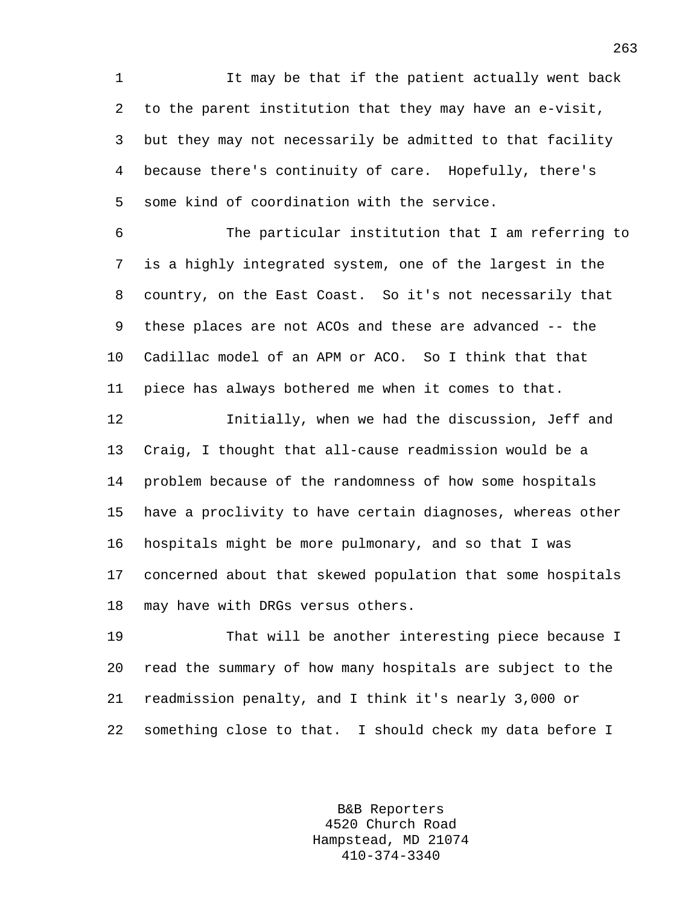1 It may be that if the patient actually went back 2 to the parent institution that they may have an e-visit, 3 but they may not necessarily be admitted to that facility 4 because there's continuity of care. Hopefully, there's 5 some kind of coordination with the service.

6 The particular institution that I am referring to 7 is a highly integrated system, one of the largest in the 8 country, on the East Coast. So it's not necessarily that 9 these places are not ACOs and these are advanced -- the 10 Cadillac model of an APM or ACO. So I think that that 11 piece has always bothered me when it comes to that.

12 Initially, when we had the discussion, Jeff and 13 Craig, I thought that all-cause readmission would be a 14 problem because of the randomness of how some hospitals 15 have a proclivity to have certain diagnoses, whereas other 16 hospitals might be more pulmonary, and so that I was 17 concerned about that skewed population that some hospitals 18 may have with DRGs versus others.

19 That will be another interesting piece because I 20 read the summary of how many hospitals are subject to the 21 readmission penalty, and I think it's nearly 3,000 or 22 something close to that. I should check my data before I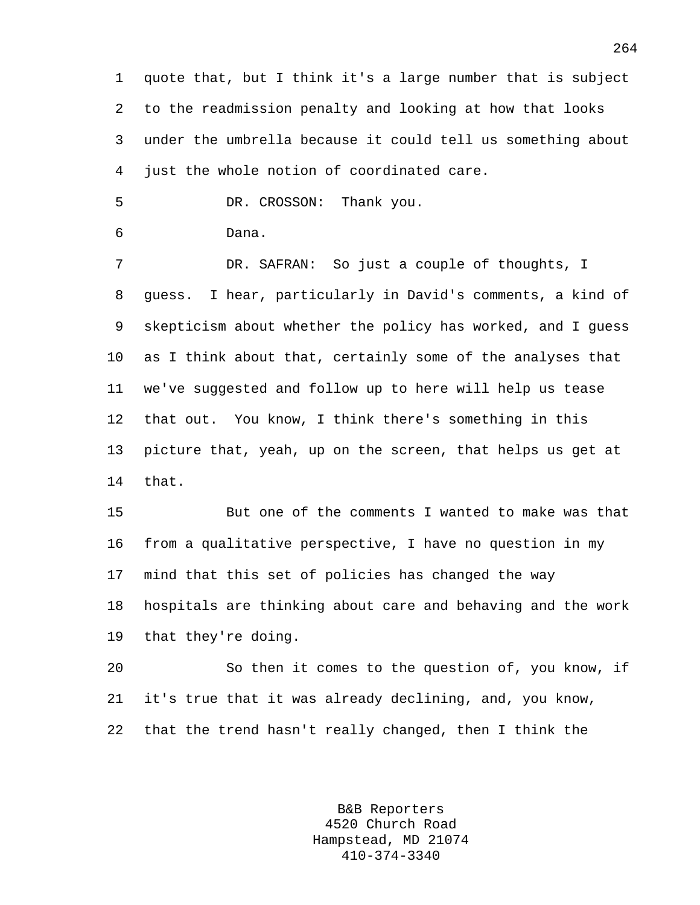1 quote that, but I think it's a large number that is subject 2 to the readmission penalty and looking at how that looks 3 under the umbrella because it could tell us something about 4 just the whole notion of coordinated care.

5 DR. CROSSON: Thank you.

```
6 Dana.
```
7 DR. SAFRAN: So just a couple of thoughts, I 8 guess. I hear, particularly in David's comments, a kind of 9 skepticism about whether the policy has worked, and I guess 10 as I think about that, certainly some of the analyses that 11 we've suggested and follow up to here will help us tease 12 that out. You know, I think there's something in this 13 picture that, yeah, up on the screen, that helps us get at 14 that.

15 But one of the comments I wanted to make was that 16 from a qualitative perspective, I have no question in my 17 mind that this set of policies has changed the way 18 hospitals are thinking about care and behaving and the work 19 that they're doing.

20 So then it comes to the question of, you know, if 21 it's true that it was already declining, and, you know, 22 that the trend hasn't really changed, then I think the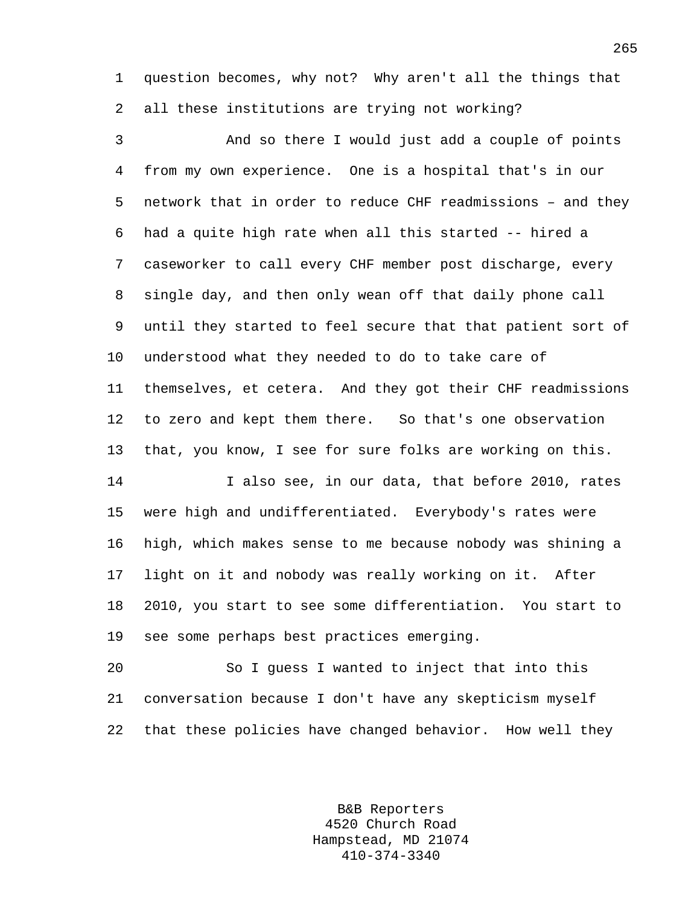1 question becomes, why not? Why aren't all the things that 2 all these institutions are trying not working?

3 And so there I would just add a couple of points 4 from my own experience. One is a hospital that's in our 5 network that in order to reduce CHF readmissions – and they 6 had a quite high rate when all this started -- hired a 7 caseworker to call every CHF member post discharge, every 8 single day, and then only wean off that daily phone call 9 until they started to feel secure that that patient sort of 10 understood what they needed to do to take care of 11 themselves, et cetera. And they got their CHF readmissions 12 to zero and kept them there. So that's one observation 13 that, you know, I see for sure folks are working on this.

14 I also see, in our data, that before 2010, rates 15 were high and undifferentiated. Everybody's rates were 16 high, which makes sense to me because nobody was shining a 17 light on it and nobody was really working on it. After 18 2010, you start to see some differentiation. You start to 19 see some perhaps best practices emerging.

20 So I guess I wanted to inject that into this 21 conversation because I don't have any skepticism myself 22 that these policies have changed behavior. How well they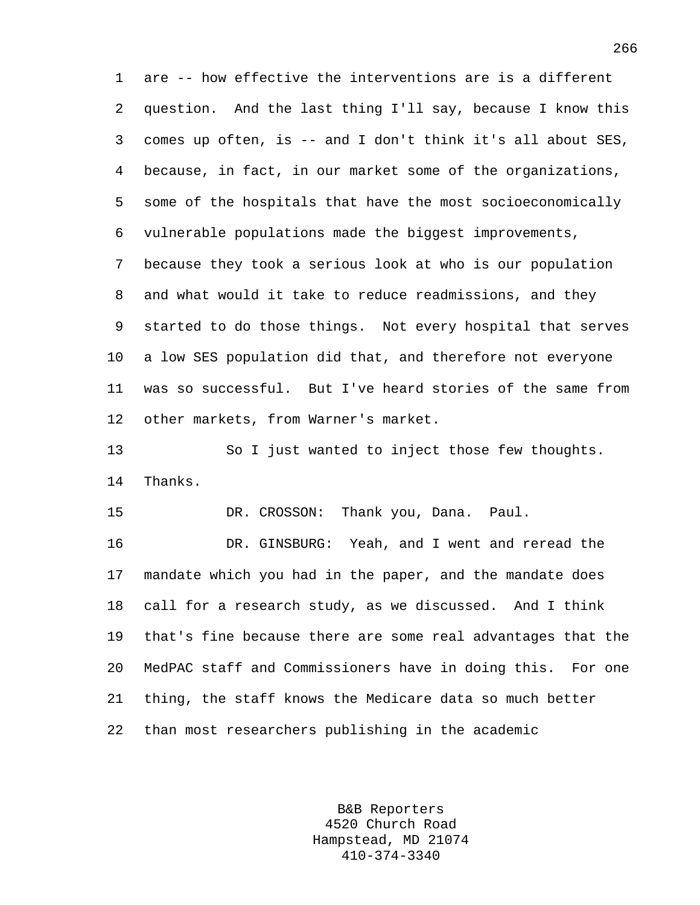1 are -- how effective the interventions are is a different 2 question. And the last thing I'll say, because I know this 3 comes up often, is -- and I don't think it's all about SES, 4 because, in fact, in our market some of the organizations, 5 some of the hospitals that have the most socioeconomically 6 vulnerable populations made the biggest improvements, 7 because they took a serious look at who is our population 8 and what would it take to reduce readmissions, and they 9 started to do those things. Not every hospital that serves 10 a low SES population did that, and therefore not everyone 11 was so successful. But I've heard stories of the same from 12 other markets, from Warner's market.

13 So I just wanted to inject those few thoughts. 14 Thanks.

15 DR. CROSSON: Thank you, Dana. Paul.

16 DR. GINSBURG: Yeah, and I went and reread the 17 mandate which you had in the paper, and the mandate does 18 call for a research study, as we discussed. And I think 19 that's fine because there are some real advantages that the 20 MedPAC staff and Commissioners have in doing this. For one 21 thing, the staff knows the Medicare data so much better 22 than most researchers publishing in the academic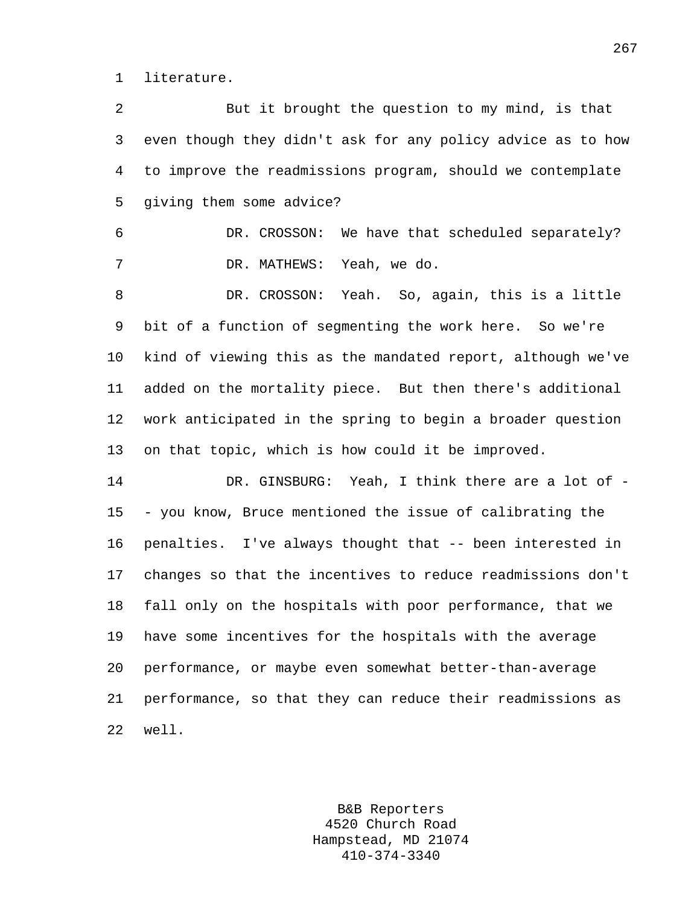1 literature.

2 But it brought the question to my mind, is that 3 even though they didn't ask for any policy advice as to how 4 to improve the readmissions program, should we contemplate 5 giving them some advice? 6 DR. CROSSON: We have that scheduled separately? 7 DR. MATHEWS: Yeah, we do. 8 DR. CROSSON: Yeah. So, again, this is a little 9 bit of a function of segmenting the work here. So we're 10 kind of viewing this as the mandated report, although we've 11 added on the mortality piece. But then there's additional 12 work anticipated in the spring to begin a broader question 13 on that topic, which is how could it be improved. 14 DR. GINSBURG: Yeah, I think there are a lot of - 15 - you know, Bruce mentioned the issue of calibrating the 16 penalties. I've always thought that -- been interested in 17 changes so that the incentives to reduce readmissions don't 18 fall only on the hospitals with poor performance, that we 19 have some incentives for the hospitals with the average 20 performance, or maybe even somewhat better-than-average 21 performance, so that they can reduce their readmissions as 22 well.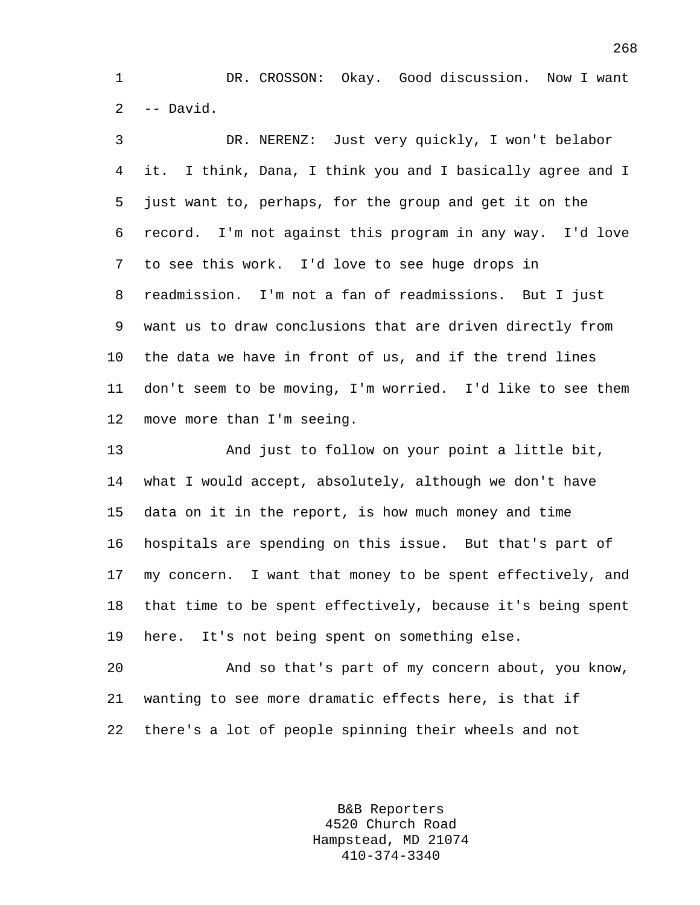1 DR. CROSSON: Okay. Good discussion. Now I want  $2 - -$  David.

3 DR. NERENZ: Just very quickly, I won't belabor 4 it. I think, Dana, I think you and I basically agree and I 5 just want to, perhaps, for the group and get it on the 6 record. I'm not against this program in any way. I'd love 7 to see this work. I'd love to see huge drops in 8 readmission. I'm not a fan of readmissions. But I just 9 want us to draw conclusions that are driven directly from 10 the data we have in front of us, and if the trend lines 11 don't seem to be moving, I'm worried. I'd like to see them 12 move more than I'm seeing.

13 And just to follow on your point a little bit, 14 what I would accept, absolutely, although we don't have 15 data on it in the report, is how much money and time 16 hospitals are spending on this issue. But that's part of 17 my concern. I want that money to be spent effectively, and 18 that time to be spent effectively, because it's being spent 19 here. It's not being spent on something else.

20 And so that's part of my concern about, you know, 21 wanting to see more dramatic effects here, is that if 22 there's a lot of people spinning their wheels and not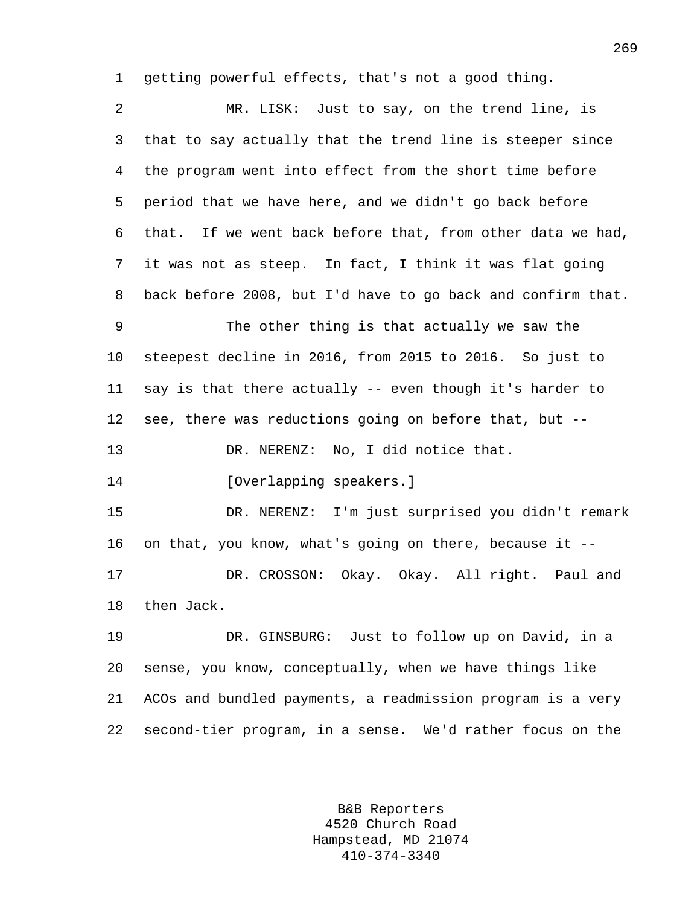1 getting powerful effects, that's not a good thing.

2 MR. LISK: Just to say, on the trend line, is 3 that to say actually that the trend line is steeper since 4 the program went into effect from the short time before 5 period that we have here, and we didn't go back before 6 that. If we went back before that, from other data we had, 7 it was not as steep. In fact, I think it was flat going 8 back before 2008, but I'd have to go back and confirm that. 9 The other thing is that actually we saw the 10 steepest decline in 2016, from 2015 to 2016. So just to 11 say is that there actually -- even though it's harder to 12 see, there was reductions going on before that, but -- 13 DR. NERENZ: No, I did notice that. 14 [Overlapping speakers.] 15 DR. NERENZ: I'm just surprised you didn't remark 16 on that, you know, what's going on there, because it -- 17 DR. CROSSON: Okay. Okay. All right. Paul and 18 then Jack. 19 DR. GINSBURG: Just to follow up on David, in a 20 sense, you know, conceptually, when we have things like 21 ACOs and bundled payments, a readmission program is a very 22 second-tier program, in a sense. We'd rather focus on the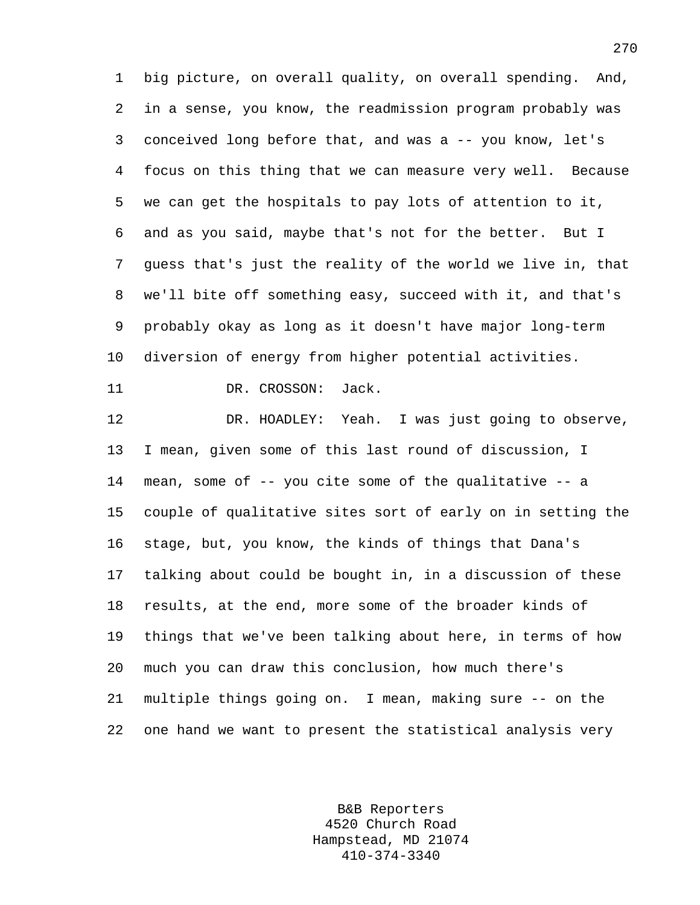1 big picture, on overall quality, on overall spending. And, 2 in a sense, you know, the readmission program probably was 3 conceived long before that, and was a -- you know, let's 4 focus on this thing that we can measure very well. Because 5 we can get the hospitals to pay lots of attention to it, 6 and as you said, maybe that's not for the better. But I 7 guess that's just the reality of the world we live in, that 8 we'll bite off something easy, succeed with it, and that's 9 probably okay as long as it doesn't have major long-term 10 diversion of energy from higher potential activities.

11 DR. CROSSON: Jack.

12 DR. HOADLEY: Yeah. I was just going to observe, 13 I mean, given some of this last round of discussion, I 14 mean, some of -- you cite some of the qualitative -- a 15 couple of qualitative sites sort of early on in setting the 16 stage, but, you know, the kinds of things that Dana's 17 talking about could be bought in, in a discussion of these 18 results, at the end, more some of the broader kinds of 19 things that we've been talking about here, in terms of how 20 much you can draw this conclusion, how much there's 21 multiple things going on. I mean, making sure -- on the 22 one hand we want to present the statistical analysis very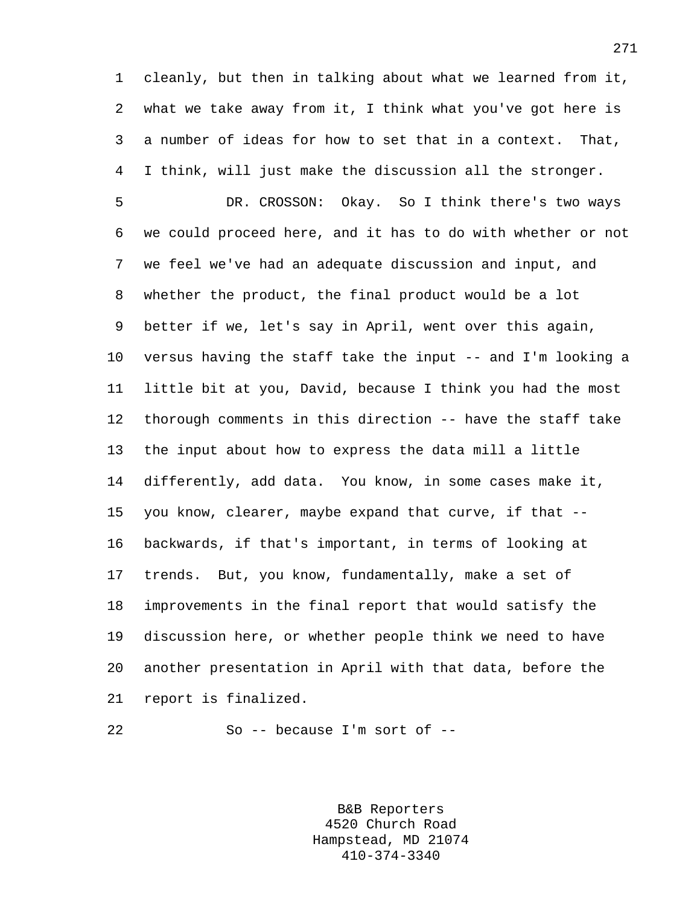1 cleanly, but then in talking about what we learned from it, 2 what we take away from it, I think what you've got here is 3 a number of ideas for how to set that in a context. That, 4 I think, will just make the discussion all the stronger.

5 DR. CROSSON: Okay. So I think there's two ways 6 we could proceed here, and it has to do with whether or not 7 we feel we've had an adequate discussion and input, and 8 whether the product, the final product would be a lot 9 better if we, let's say in April, went over this again, 10 versus having the staff take the input -- and I'm looking a 11 little bit at you, David, because I think you had the most 12 thorough comments in this direction -- have the staff take 13 the input about how to express the data mill a little 14 differently, add data. You know, in some cases make it, 15 you know, clearer, maybe expand that curve, if that -- 16 backwards, if that's important, in terms of looking at 17 trends. But, you know, fundamentally, make a set of 18 improvements in the final report that would satisfy the 19 discussion here, or whether people think we need to have 20 another presentation in April with that data, before the 21 report is finalized.

22 So -- because I'm sort of --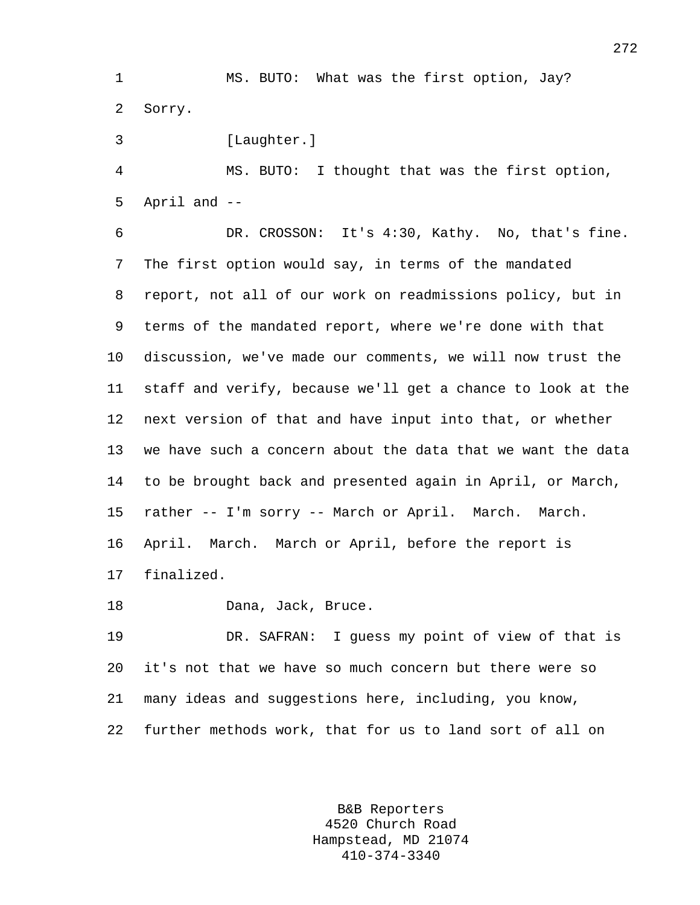1 MS. BUTO: What was the first option, Jay? 2 Sorry.

3 [Laughter.]

4 MS. BUTO: I thought that was the first option, 5 April and --

6 DR. CROSSON: It's 4:30, Kathy. No, that's fine. 7 The first option would say, in terms of the mandated 8 report, not all of our work on readmissions policy, but in 9 terms of the mandated report, where we're done with that 10 discussion, we've made our comments, we will now trust the 11 staff and verify, because we'll get a chance to look at the 12 next version of that and have input into that, or whether 13 we have such a concern about the data that we want the data 14 to be brought back and presented again in April, or March, 15 rather -- I'm sorry -- March or April. March. March. 16 April. March. March or April, before the report is 17 finalized.

18 Dana, Jack, Bruce.

19 DR. SAFRAN: I guess my point of view of that is 20 it's not that we have so much concern but there were so 21 many ideas and suggestions here, including, you know, 22 further methods work, that for us to land sort of all on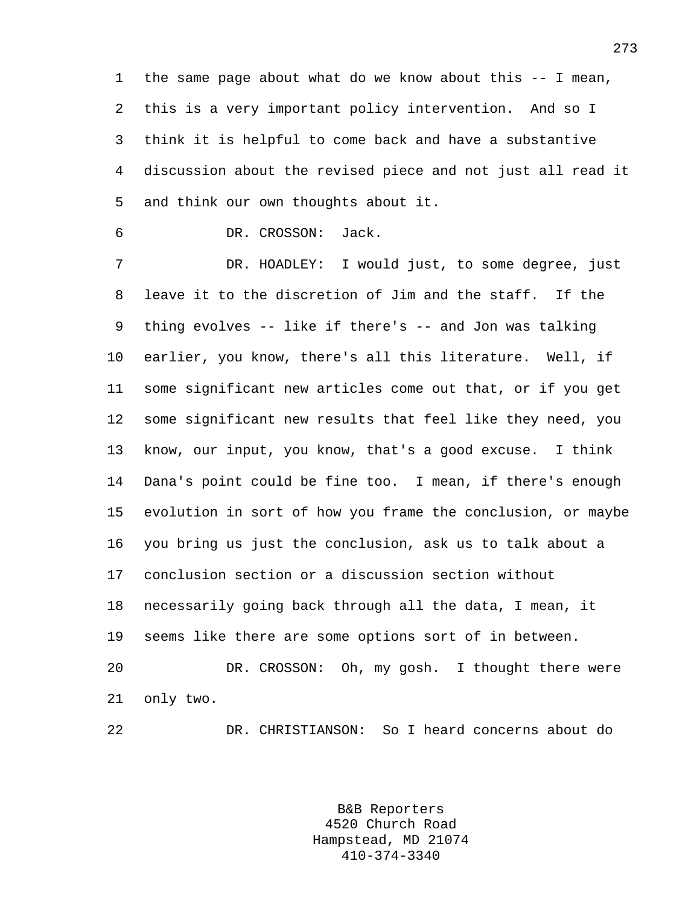1 the same page about what do we know about this -- I mean, 2 this is a very important policy intervention. And so I 3 think it is helpful to come back and have a substantive 4 discussion about the revised piece and not just all read it 5 and think our own thoughts about it.

6 DR. CROSSON: Jack.

7 DR. HOADLEY: I would just, to some degree, just 8 leave it to the discretion of Jim and the staff. If the 9 thing evolves -- like if there's -- and Jon was talking 10 earlier, you know, there's all this literature. Well, if 11 some significant new articles come out that, or if you get 12 some significant new results that feel like they need, you 13 know, our input, you know, that's a good excuse. I think 14 Dana's point could be fine too. I mean, if there's enough 15 evolution in sort of how you frame the conclusion, or maybe 16 you bring us just the conclusion, ask us to talk about a 17 conclusion section or a discussion section without 18 necessarily going back through all the data, I mean, it 19 seems like there are some options sort of in between. 20 DR. CROSSON: Oh, my gosh. I thought there were 21 only two.

22 DR. CHRISTIANSON: So I heard concerns about do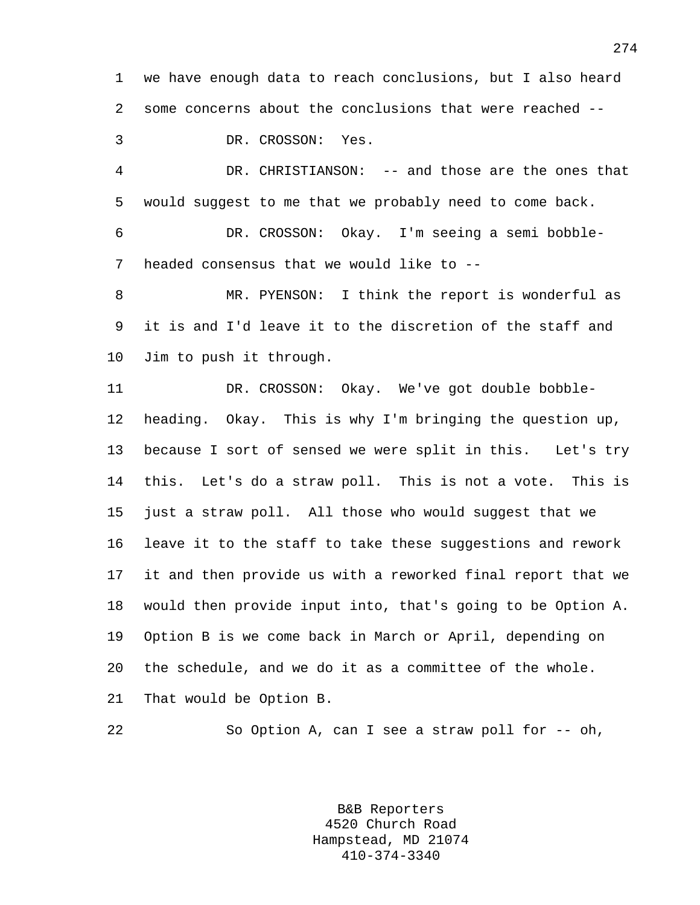1 we have enough data to reach conclusions, but I also heard 2 some concerns about the conclusions that were reached --

3 DR. CROSSON: Yes.

4 DR. CHRISTIANSON: -- and those are the ones that 5 would suggest to me that we probably need to come back.

6 DR. CROSSON: Okay. I'm seeing a semi bobble-7 headed consensus that we would like to --

8 MR. PYENSON: I think the report is wonderful as 9 it is and I'd leave it to the discretion of the staff and 10 Jim to push it through.

11 DR. CROSSON: Okay. We've got double bobble-12 heading. Okay. This is why I'm bringing the question up, 13 because I sort of sensed we were split in this. Let's try 14 this. Let's do a straw poll. This is not a vote. This is 15 just a straw poll. All those who would suggest that we 16 leave it to the staff to take these suggestions and rework 17 it and then provide us with a reworked final report that we 18 would then provide input into, that's going to be Option A. 19 Option B is we come back in March or April, depending on 20 the schedule, and we do it as a committee of the whole. 21 That would be Option B.

22 So Option A, can I see a straw poll for -- oh,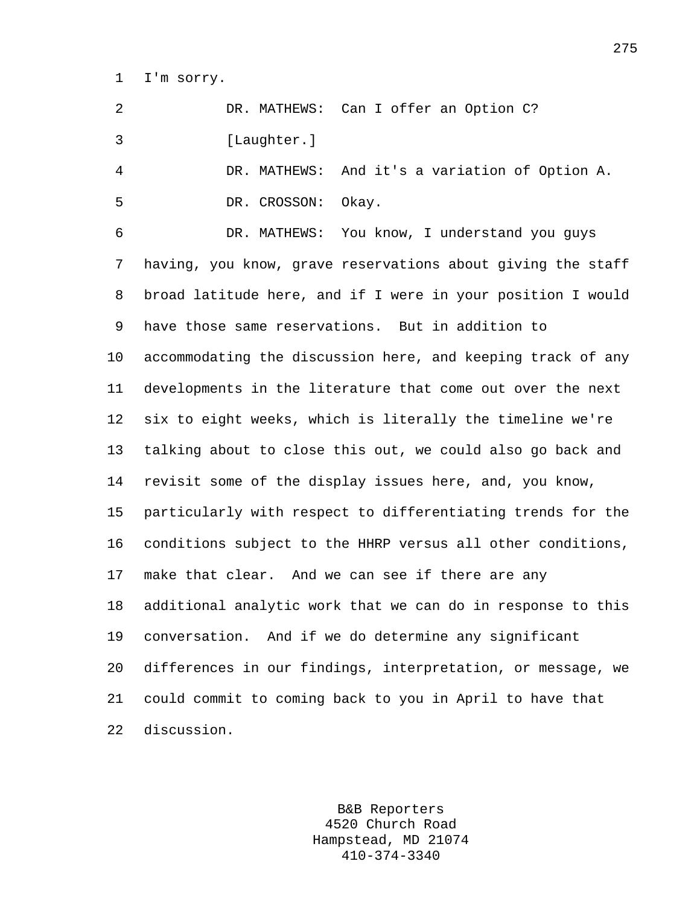1 I'm sorry.

2 DR. MATHEWS: Can I offer an Option C? 3 [Laughter.]

4 DR. MATHEWS: And it's a variation of Option A. 5 DR. CROSSON: Okay.

6 DR. MATHEWS: You know, I understand you guys 7 having, you know, grave reservations about giving the staff 8 broad latitude here, and if I were in your position I would 9 have those same reservations. But in addition to 10 accommodating the discussion here, and keeping track of any 11 developments in the literature that come out over the next 12 six to eight weeks, which is literally the timeline we're 13 talking about to close this out, we could also go back and 14 revisit some of the display issues here, and, you know, 15 particularly with respect to differentiating trends for the 16 conditions subject to the HHRP versus all other conditions, 17 make that clear. And we can see if there are any 18 additional analytic work that we can do in response to this 19 conversation. And if we do determine any significant 20 differences in our findings, interpretation, or message, we 21 could commit to coming back to you in April to have that 22 discussion.

> B&B Reporters 4520 Church Road Hampstead, MD 21074 410-374-3340

275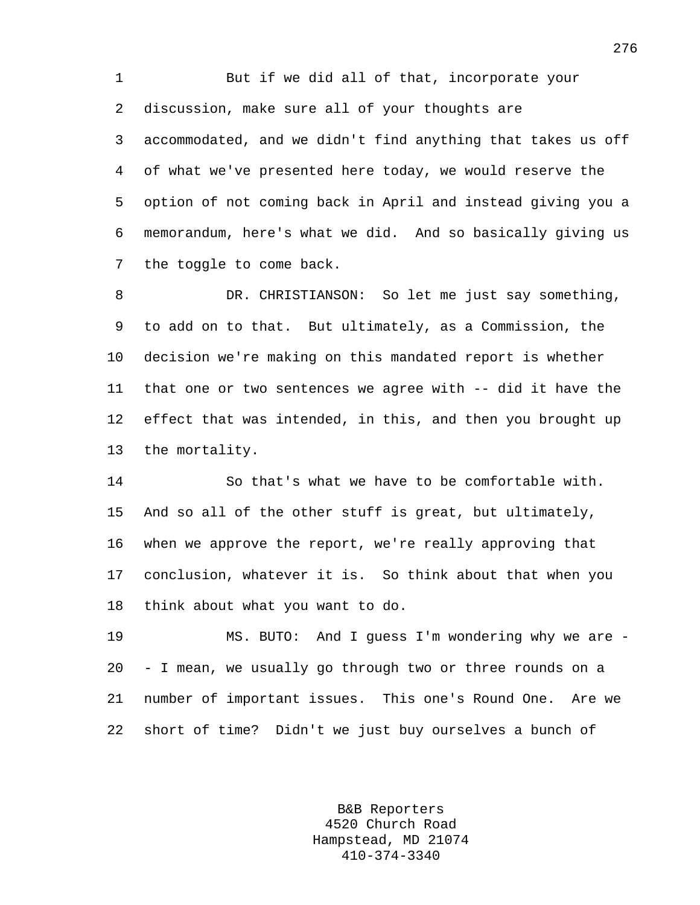1 But if we did all of that, incorporate your 2 discussion, make sure all of your thoughts are 3 accommodated, and we didn't find anything that takes us off 4 of what we've presented here today, we would reserve the 5 option of not coming back in April and instead giving you a 6 memorandum, here's what we did. And so basically giving us 7 the toggle to come back.

8 DR. CHRISTIANSON: So let me just say something, 9 to add on to that. But ultimately, as a Commission, the 10 decision we're making on this mandated report is whether 11 that one or two sentences we agree with -- did it have the 12 effect that was intended, in this, and then you brought up 13 the mortality.

14 So that's what we have to be comfortable with. 15 And so all of the other stuff is great, but ultimately, 16 when we approve the report, we're really approving that 17 conclusion, whatever it is. So think about that when you 18 think about what you want to do.

19 MS. BUTO: And I guess I'm wondering why we are - 20 - I mean, we usually go through two or three rounds on a 21 number of important issues. This one's Round One. Are we 22 short of time? Didn't we just buy ourselves a bunch of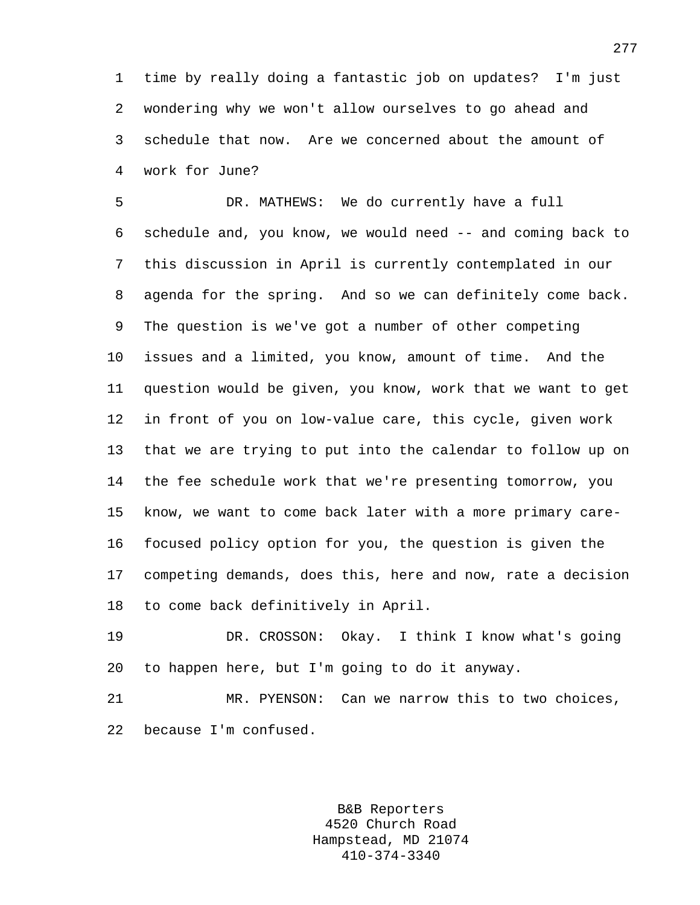1 time by really doing a fantastic job on updates? I'm just 2 wondering why we won't allow ourselves to go ahead and 3 schedule that now. Are we concerned about the amount of 4 work for June?

5 DR. MATHEWS: We do currently have a full 6 schedule and, you know, we would need -- and coming back to 7 this discussion in April is currently contemplated in our 8 agenda for the spring. And so we can definitely come back. 9 The question is we've got a number of other competing 10 issues and a limited, you know, amount of time. And the 11 question would be given, you know, work that we want to get 12 in front of you on low-value care, this cycle, given work 13 that we are trying to put into the calendar to follow up on 14 the fee schedule work that we're presenting tomorrow, you 15 know, we want to come back later with a more primary care-16 focused policy option for you, the question is given the 17 competing demands, does this, here and now, rate a decision 18 to come back definitively in April.

19 DR. CROSSON: Okay. I think I know what's going 20 to happen here, but I'm going to do it anyway.

21 MR. PYENSON: Can we narrow this to two choices, 22 because I'm confused.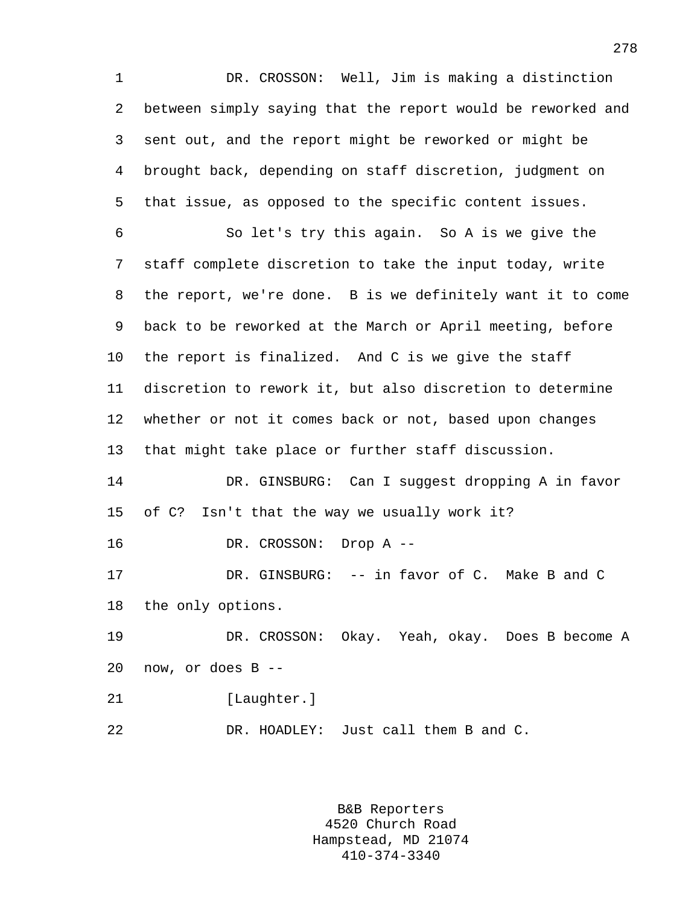1 DR. CROSSON: Well, Jim is making a distinction 2 between simply saying that the report would be reworked and 3 sent out, and the report might be reworked or might be 4 brought back, depending on staff discretion, judgment on 5 that issue, as opposed to the specific content issues. 6 So let's try this again. So A is we give the 7 staff complete discretion to take the input today, write 8 the report, we're done. B is we definitely want it to come 9 back to be reworked at the March or April meeting, before 10 the report is finalized. And C is we give the staff 11 discretion to rework it, but also discretion to determine 12 whether or not it comes back or not, based upon changes 13 that might take place or further staff discussion. 14 DR. GINSBURG: Can I suggest dropping A in favor 15 of C? Isn't that the way we usually work it? 16 DR. CROSSON: Drop A -- 17 DR. GINSBURG: -- in favor of C. Make B and C 18 the only options. 19 DR. CROSSON: Okay. Yeah, okay. Does B become A 20 now, or does B -- 21 [Laughter.] 22 DR. HOADLEY: Just call them B and C.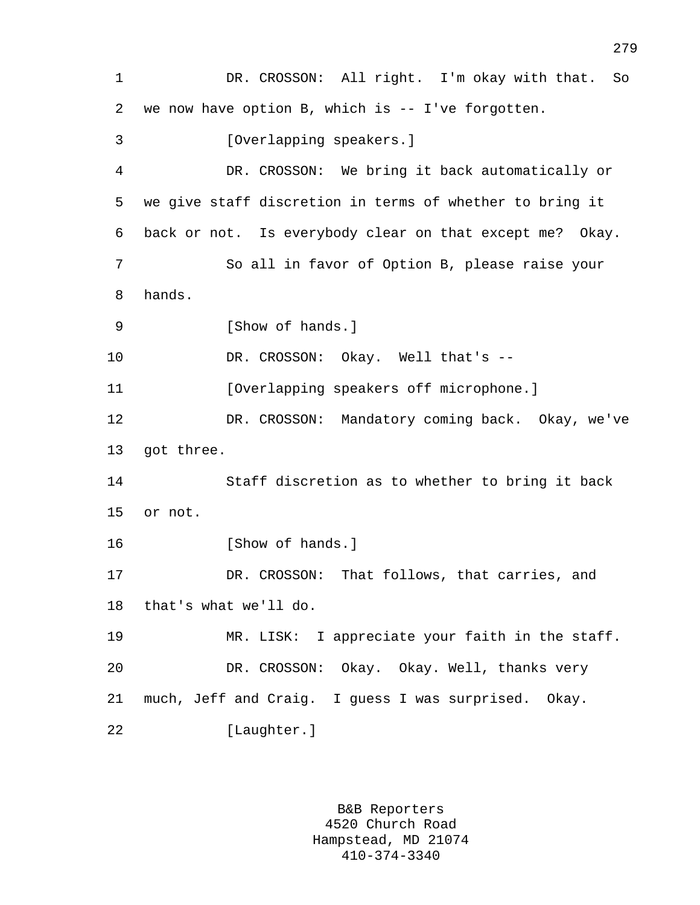1 DR. CROSSON: All right. I'm okay with that. So 2 we now have option B, which is -- I've forgotten. 3 [Overlapping speakers.] 4 DR. CROSSON: We bring it back automatically or 5 we give staff discretion in terms of whether to bring it 6 back or not. Is everybody clear on that except me? Okay. 7 So all in favor of Option B, please raise your 8 hands. 9 [Show of hands.] 10 DR. CROSSON: Okay. Well that's --11 **Interpreteral Contact (Overlapping speakers off microphone.**) 12 DR. CROSSON: Mandatory coming back. Okay, we've 13 got three. 14 Staff discretion as to whether to bring it back 15 or not. 16 [Show of hands.] 17 DR. CROSSON: That follows, that carries, and 18 that's what we'll do. 19 MR. LISK: I appreciate your faith in the staff. 20 DR. CROSSON: Okay. Okay. Well, thanks very 21 much, Jeff and Craig. I guess I was surprised. Okay. 22 [Laughter.]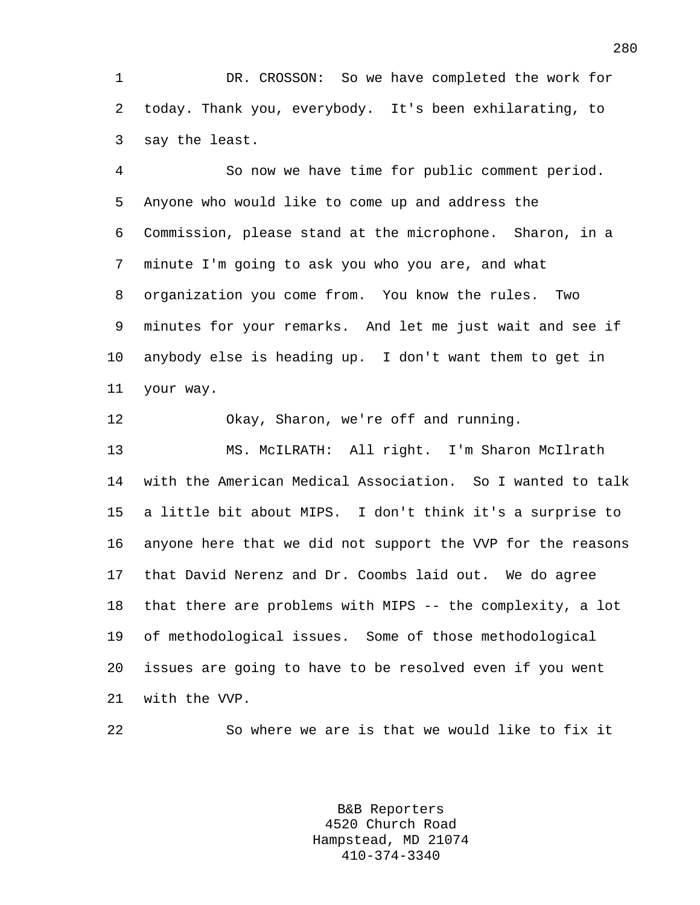1 DR. CROSSON: So we have completed the work for 2 today. Thank you, everybody. It's been exhilarating, to 3 say the least.

4 So now we have time for public comment period. 5 Anyone who would like to come up and address the 6 Commission, please stand at the microphone. Sharon, in a 7 minute I'm going to ask you who you are, and what 8 organization you come from. You know the rules. Two 9 minutes for your remarks. And let me just wait and see if 10 anybody else is heading up. I don't want them to get in 11 your way.

12 Okay, Sharon, we're off and running.

13 MS. McILRATH: All right. I'm Sharon McIlrath 14 with the American Medical Association. So I wanted to talk 15 a little bit about MIPS. I don't think it's a surprise to 16 anyone here that we did not support the VVP for the reasons 17 that David Nerenz and Dr. Coombs laid out. We do agree 18 that there are problems with MIPS -- the complexity, a lot 19 of methodological issues. Some of those methodological 20 issues are going to have to be resolved even if you went 21 with the VVP.

22 So where we are is that we would like to fix it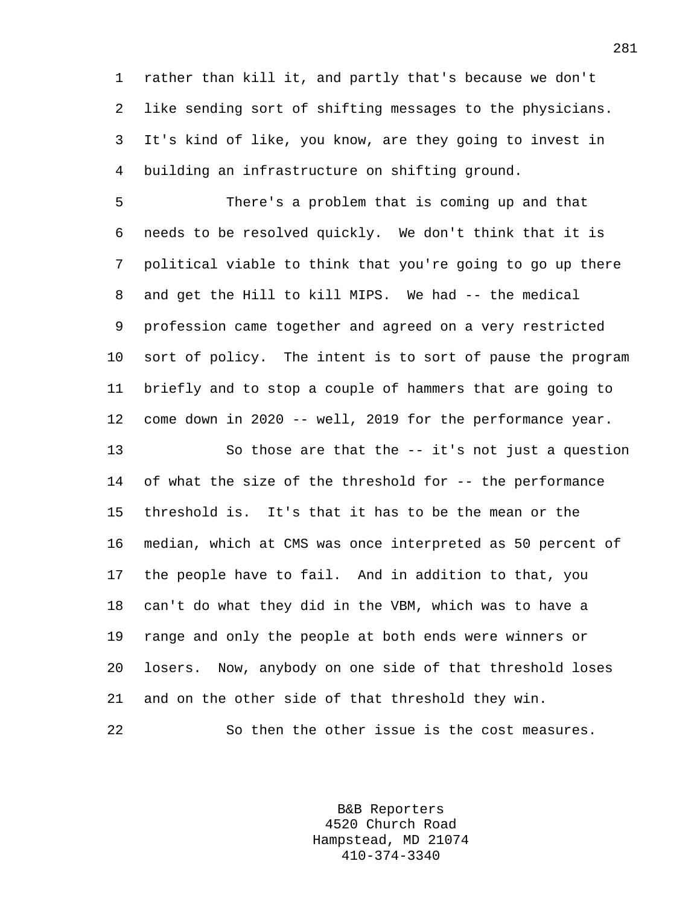1 rather than kill it, and partly that's because we don't 2 like sending sort of shifting messages to the physicians. 3 It's kind of like, you know, are they going to invest in 4 building an infrastructure on shifting ground.

5 There's a problem that is coming up and that 6 needs to be resolved quickly. We don't think that it is 7 political viable to think that you're going to go up there 8 and get the Hill to kill MIPS. We had -- the medical 9 profession came together and agreed on a very restricted 10 sort of policy. The intent is to sort of pause the program 11 briefly and to stop a couple of hammers that are going to 12 come down in 2020 -- well, 2019 for the performance year.

13 So those are that the -- it's not just a question 14 of what the size of the threshold for -- the performance 15 threshold is. It's that it has to be the mean or the 16 median, which at CMS was once interpreted as 50 percent of 17 the people have to fail. And in addition to that, you 18 can't do what they did in the VBM, which was to have a 19 range and only the people at both ends were winners or 20 losers. Now, anybody on one side of that threshold loses 21 and on the other side of that threshold they win.

22 So then the other issue is the cost measures.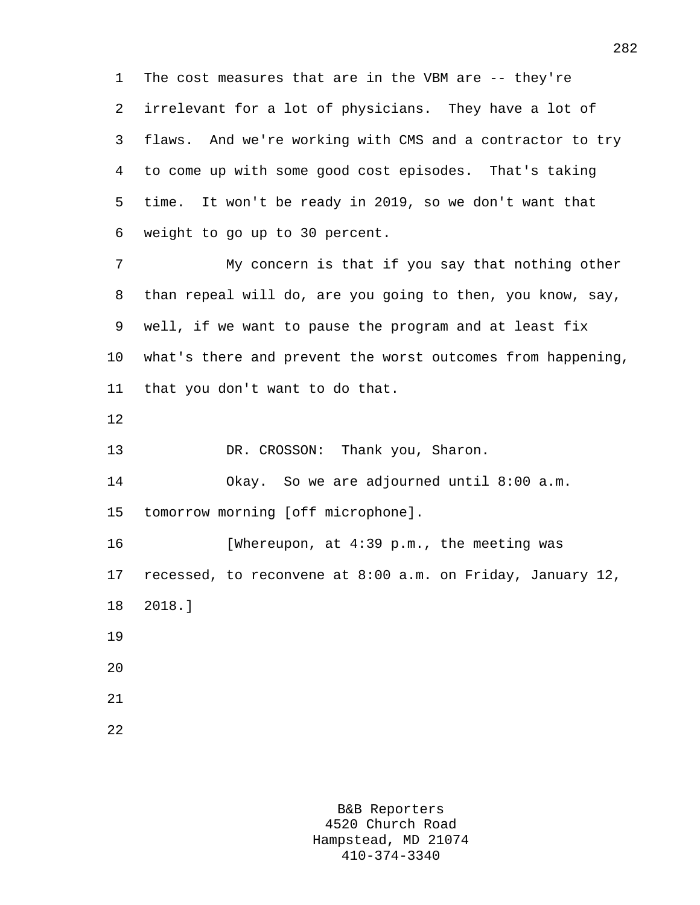1 The cost measures that are in the VBM are -- they're 2 irrelevant for a lot of physicians. They have a lot of 3 flaws. And we're working with CMS and a contractor to try 4 to come up with some good cost episodes. That's taking 5 time. It won't be ready in 2019, so we don't want that 6 weight to go up to 30 percent.

7 My concern is that if you say that nothing other 8 than repeal will do, are you going to then, you know, say, 9 well, if we want to pause the program and at least fix 10 what's there and prevent the worst outcomes from happening, 11 that you don't want to do that.

12

13 DR. CROSSON: Thank you, Sharon.

14 Okay. So we are adjourned until 8:00 a.m.

15 tomorrow morning [off microphone].

16 [Whereupon, at 4:39 p.m., the meeting was 17 recessed, to reconvene at 8:00 a.m. on Friday, January 12, 18 2018.] 19 20

22

21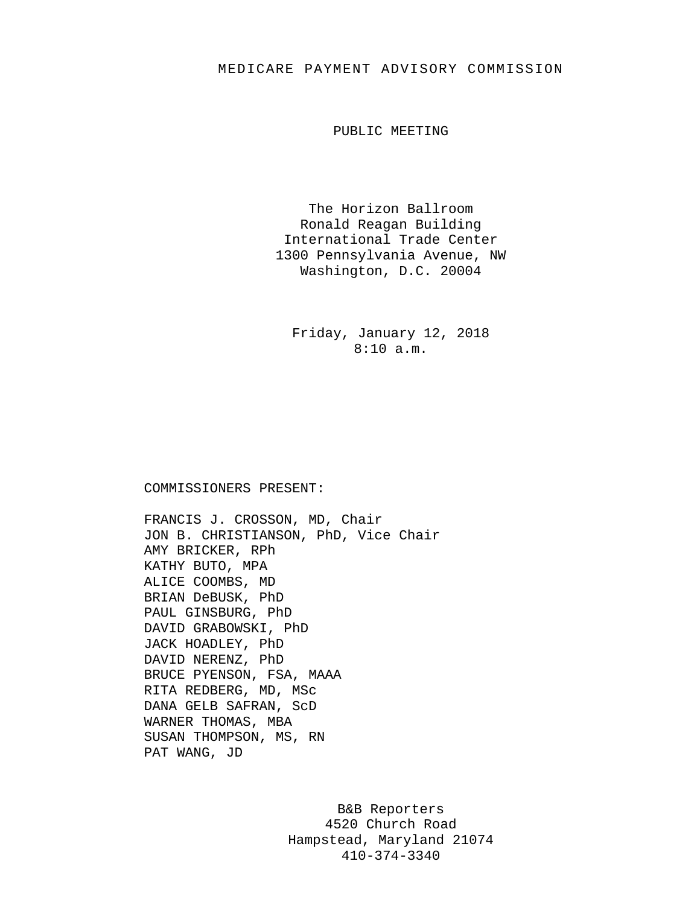## MEDICARE PAYMENT ADVISORY COMMISSION

PUBLIC MEETING

The Horizon Ballroom Ronald Reagan Building International Trade Center 1300 Pennsylvania Avenue, NW Washington, D.C. 20004

Friday, January 12, 2018 8:10 a.m.

## COMMISSIONERS PRESENT:

FRANCIS J. CROSSON, MD, Chair JON B. CHRISTIANSON, PhD, Vice Chair AMY BRICKER, RPh KATHY BUTO, MPA ALICE COOMBS, MD BRIAN DeBUSK, PhD PAUL GINSBURG, PhD DAVID GRABOWSKI, PhD JACK HOADLEY, PhD DAVID NERENZ, PhD BRUCE PYENSON, FSA, MAAA RITA REDBERG, MD, MSc DANA GELB SAFRAN, ScD WARNER THOMAS, MBA SUSAN THOMPSON, MS, RN PAT WANG, JD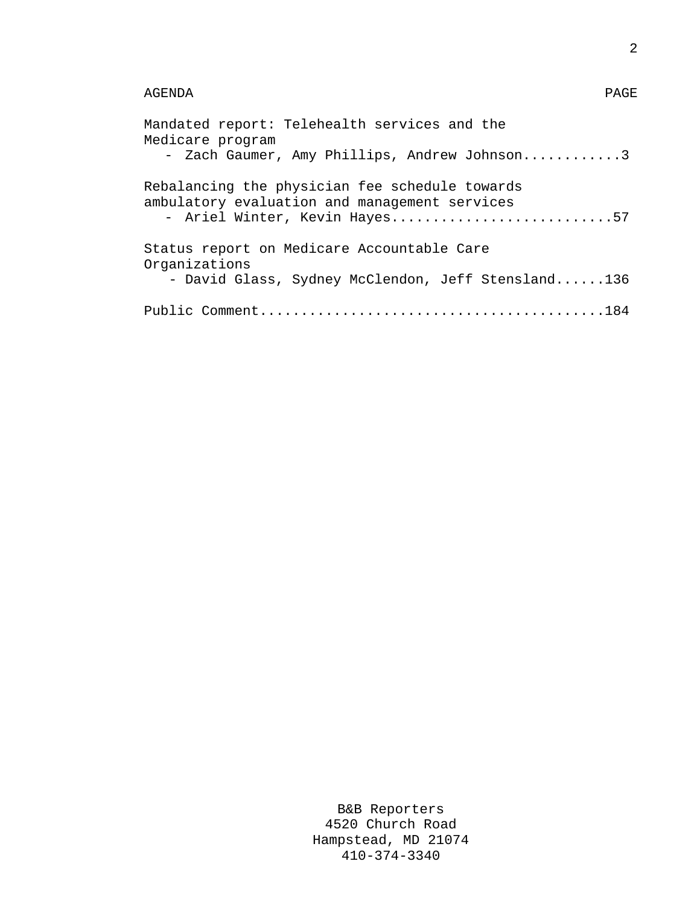## AGENDA PAGE

| Mandated report: Telehealth services and the<br>Medicare program<br>- Zach Gaumer, Amy Phillips, Andrew Johnson3                 |
|----------------------------------------------------------------------------------------------------------------------------------|
| Rebalancing the physician fee schedule towards<br>ambulatory evaluation and management services<br>- Ariel Winter, Kevin Hayes57 |
| Status report on Medicare Accountable Care<br>Organizations<br>- David Glass, Sydney McClendon, Jeff Stensland136                |
|                                                                                                                                  |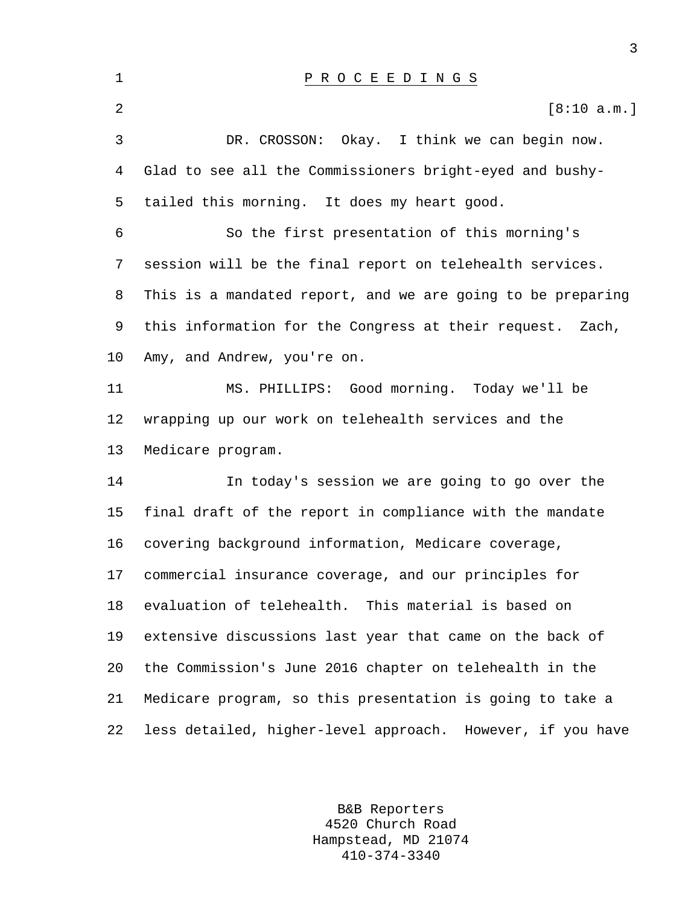| $\mathbf 1$ | P R O C E E D I N G S                                        |
|-------------|--------------------------------------------------------------|
| 2           | [8:10 a.m.]                                                  |
| 3           | Okay. I think we can begin now.<br>DR. CROSSON:              |
| 4           | Glad to see all the Commissioners bright-eyed and bushy-     |
| 5           | tailed this morning. It does my heart good.                  |
| 6           | So the first presentation of this morning's                  |
| 7           | session will be the final report on telehealth services.     |
| 8           | This is a mandated report, and we are going to be preparing  |
| 9           | this information for the Congress at their request.<br>Zach, |
| 10          | Amy, and Andrew, you're on.                                  |
| 11          | MS. PHILLIPS: Good morning. Today we'll be                   |
| 12          | wrapping up our work on telehealth services and the          |
| 13          | Medicare program.                                            |
| 14          | In today's session we are going to go over the               |
| 15          | final draft of the report in compliance with the mandate     |
| 16          | covering background information, Medicare coverage,          |
| 17          | commercial insurance coverage, and our principles for        |
| 18          | evaluation of telehealth. This material is based on          |
| 19          | extensive discussions last year that came on the back of     |
| 20          | the Commission's June 2016 chapter on telehealth in the      |
| 21          | Medicare program, so this presentation is going to take a    |
| 22          | less detailed, higher-level approach. However, if you have   |

B&B Reporters 4520 Church Road Hampstead, MD 21074 410-374-3340

3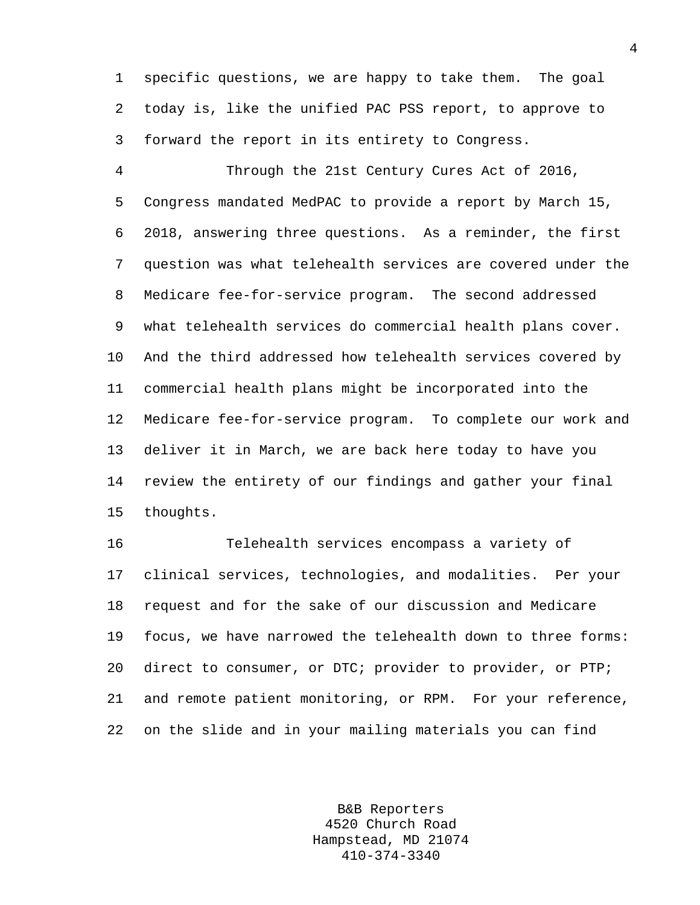1 specific questions, we are happy to take them. The goal 2 today is, like the unified PAC PSS report, to approve to 3 forward the report in its entirety to Congress.

4 Through the 21st Century Cures Act of 2016, 5 Congress mandated MedPAC to provide a report by March 15, 6 2018, answering three questions. As a reminder, the first 7 question was what telehealth services are covered under the 8 Medicare fee-for-service program. The second addressed 9 what telehealth services do commercial health plans cover. 10 And the third addressed how telehealth services covered by 11 commercial health plans might be incorporated into the 12 Medicare fee-for-service program. To complete our work and 13 deliver it in March, we are back here today to have you 14 review the entirety of our findings and gather your final 15 thoughts.

16 Telehealth services encompass a variety of 17 clinical services, technologies, and modalities. Per your 18 request and for the sake of our discussion and Medicare 19 focus, we have narrowed the telehealth down to three forms: 20 direct to consumer, or DTC; provider to provider, or PTP; 21 and remote patient monitoring, or RPM. For your reference, 22 on the slide and in your mailing materials you can find

> B&B Reporters 4520 Church Road Hampstead, MD 21074 410-374-3340

4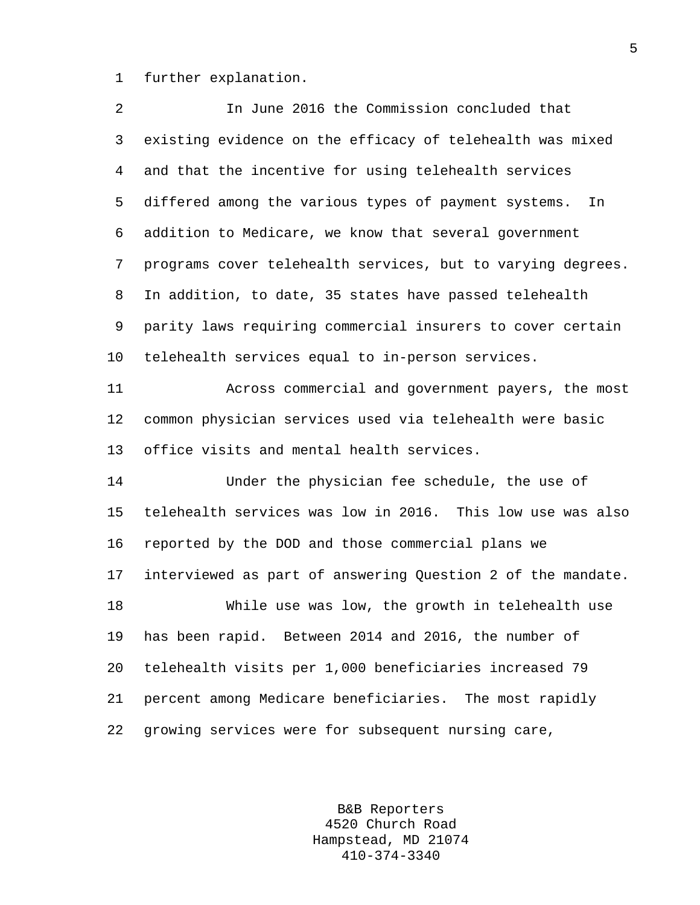1 further explanation.

| 2       | In June 2016 the Commission concluded that                  |
|---------|-------------------------------------------------------------|
| 3       | existing evidence on the efficacy of telehealth was mixed   |
| 4       | and that the incentive for using telehealth services        |
| 5       | differed among the various types of payment systems.<br>In  |
| 6       | addition to Medicare, we know that several government       |
| 7       | programs cover telehealth services, but to varying degrees. |
| 8       | In addition, to date, 35 states have passed telehealth      |
| 9       | parity laws requiring commercial insurers to cover certain  |
| $10 \,$ | telehealth services equal to in-person services.            |
| 11      | Across commercial and government payers, the most           |
| 12      | common physician services used via telehealth were basic    |
| 13      | office visits and mental health services.                   |
| 14      | Under the physician fee schedule, the use of                |
| 15      | telehealth services was low in 2016. This low use was also  |
| 16      | reported by the DOD and those commercial plans we           |
| 17      | interviewed as part of answering Question 2 of the mandate. |
| 18      | While use was low, the growth in telehealth use             |
| 19      | has been rapid. Between 2014 and 2016, the number of        |
| 20      | telehealth visits per 1,000 beneficiaries increased 79      |
| 21      | percent among Medicare beneficiaries. The most rapidly      |
| 22      | growing services were for subsequent nursing care,          |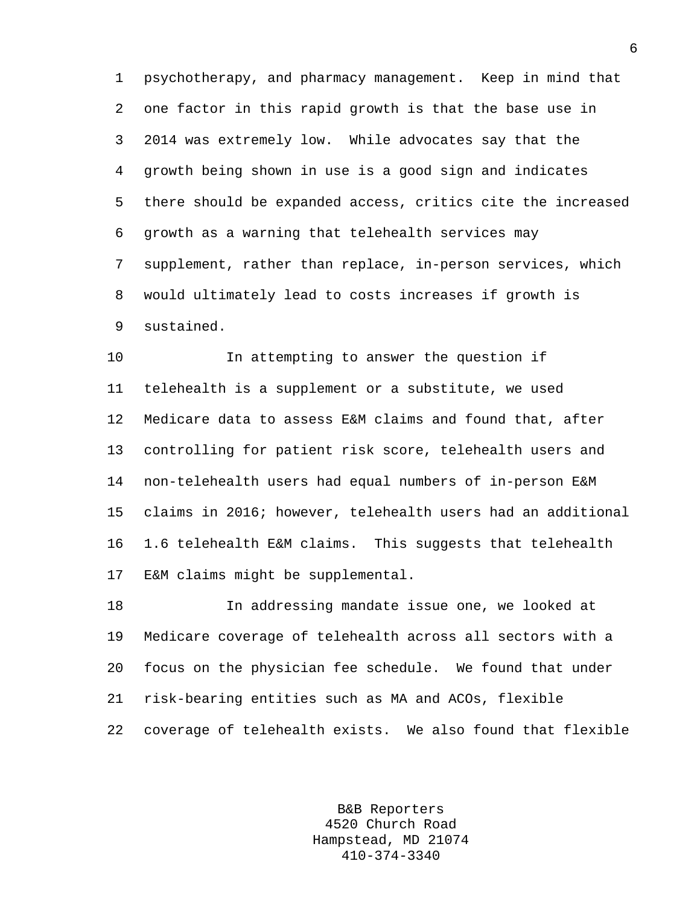1 psychotherapy, and pharmacy management. Keep in mind that 2 one factor in this rapid growth is that the base use in 3 2014 was extremely low. While advocates say that the 4 growth being shown in use is a good sign and indicates 5 there should be expanded access, critics cite the increased 6 growth as a warning that telehealth services may 7 supplement, rather than replace, in-person services, which 8 would ultimately lead to costs increases if growth is 9 sustained.

10 In attempting to answer the question if 11 telehealth is a supplement or a substitute, we used 12 Medicare data to assess E&M claims and found that, after 13 controlling for patient risk score, telehealth users and 14 non-telehealth users had equal numbers of in-person E&M 15 claims in 2016; however, telehealth users had an additional 16 1.6 telehealth E&M claims. This suggests that telehealth 17 E&M claims might be supplemental.

18 In addressing mandate issue one, we looked at 19 Medicare coverage of telehealth across all sectors with a 20 focus on the physician fee schedule. We found that under 21 risk-bearing entities such as MA and ACOs, flexible 22 coverage of telehealth exists. We also found that flexible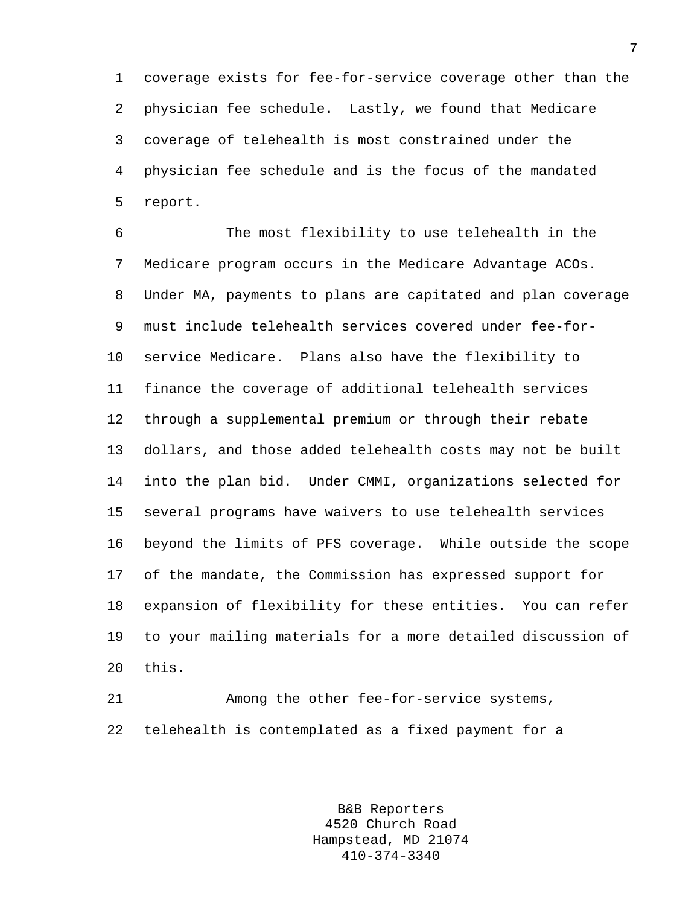1 coverage exists for fee-for-service coverage other than the 2 physician fee schedule. Lastly, we found that Medicare 3 coverage of telehealth is most constrained under the 4 physician fee schedule and is the focus of the mandated 5 report.

6 The most flexibility to use telehealth in the 7 Medicare program occurs in the Medicare Advantage ACOs. 8 Under MA, payments to plans are capitated and plan coverage 9 must include telehealth services covered under fee-for-10 service Medicare. Plans also have the flexibility to 11 finance the coverage of additional telehealth services 12 through a supplemental premium or through their rebate 13 dollars, and those added telehealth costs may not be built 14 into the plan bid. Under CMMI, organizations selected for 15 several programs have waivers to use telehealth services 16 beyond the limits of PFS coverage. While outside the scope 17 of the mandate, the Commission has expressed support for 18 expansion of flexibility for these entities. You can refer 19 to your mailing materials for a more detailed discussion of 20 this.

21 Among the other fee-for-service systems, 22 telehealth is contemplated as a fixed payment for a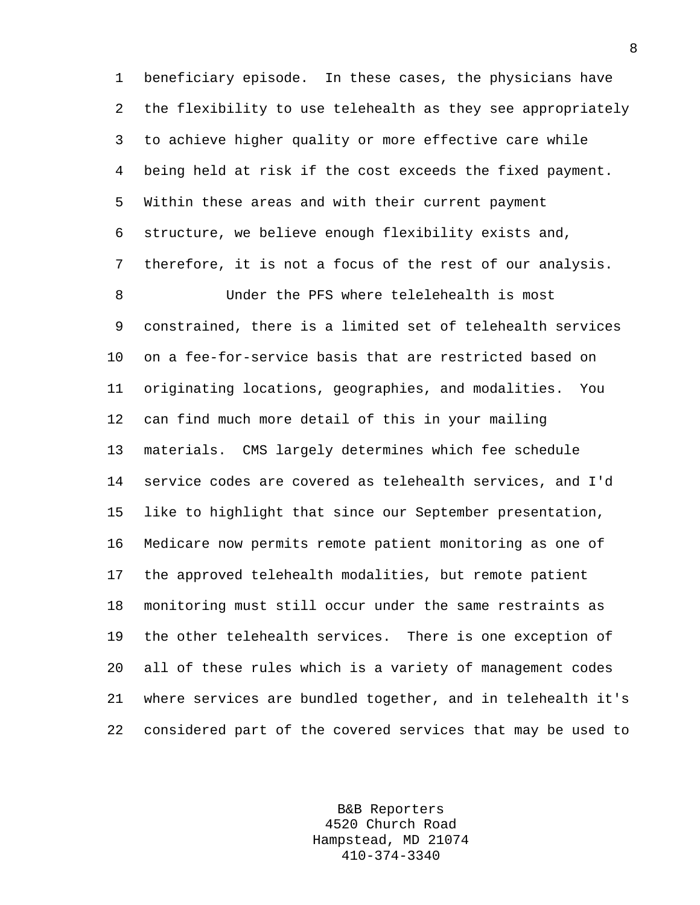1 beneficiary episode. In these cases, the physicians have 2 the flexibility to use telehealth as they see appropriately 3 to achieve higher quality or more effective care while 4 being held at risk if the cost exceeds the fixed payment. 5 Within these areas and with their current payment 6 structure, we believe enough flexibility exists and, 7 therefore, it is not a focus of the rest of our analysis.

8 Under the PFS where telelehealth is most 9 constrained, there is a limited set of telehealth services 10 on a fee-for-service basis that are restricted based on 11 originating locations, geographies, and modalities. You 12 can find much more detail of this in your mailing 13 materials. CMS largely determines which fee schedule 14 service codes are covered as telehealth services, and I'd 15 like to highlight that since our September presentation, 16 Medicare now permits remote patient monitoring as one of 17 the approved telehealth modalities, but remote patient 18 monitoring must still occur under the same restraints as 19 the other telehealth services. There is one exception of 20 all of these rules which is a variety of management codes 21 where services are bundled together, and in telehealth it's 22 considered part of the covered services that may be used to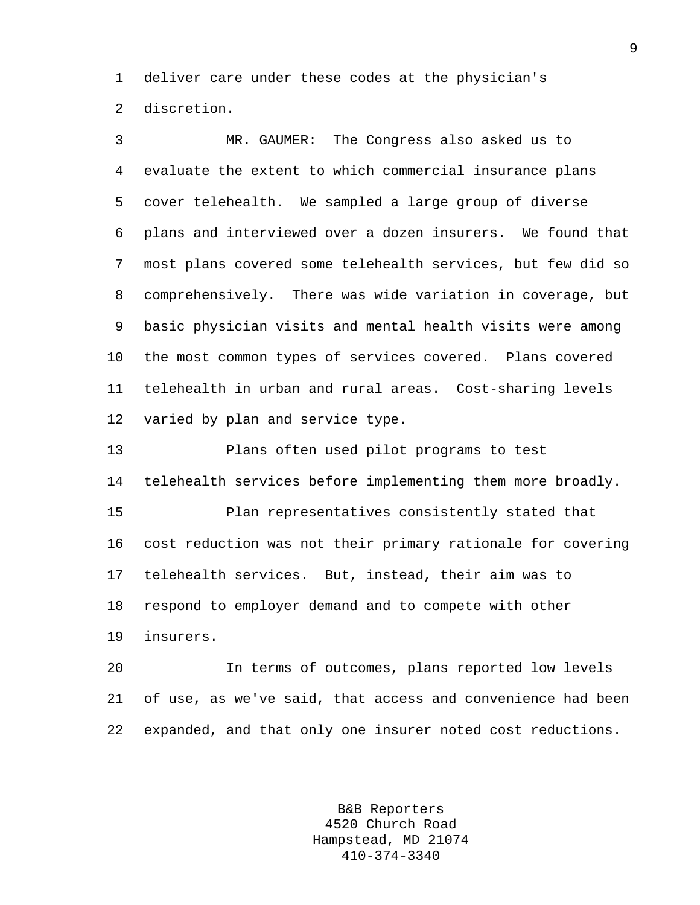1 deliver care under these codes at the physician's 2 discretion.

3 MR. GAUMER: The Congress also asked us to 4 evaluate the extent to which commercial insurance plans 5 cover telehealth. We sampled a large group of diverse 6 plans and interviewed over a dozen insurers. We found that 7 most plans covered some telehealth services, but few did so 8 comprehensively. There was wide variation in coverage, but 9 basic physician visits and mental health visits were among 10 the most common types of services covered. Plans covered 11 telehealth in urban and rural areas. Cost-sharing levels 12 varied by plan and service type.

13 Plans often used pilot programs to test 14 telehealth services before implementing them more broadly. 15 Plan representatives consistently stated that 16 cost reduction was not their primary rationale for covering

18 respond to employer demand and to compete with other

17 telehealth services. But, instead, their aim was to

19 insurers.

20 In terms of outcomes, plans reported low levels 21 of use, as we've said, that access and convenience had been 22 expanded, and that only one insurer noted cost reductions.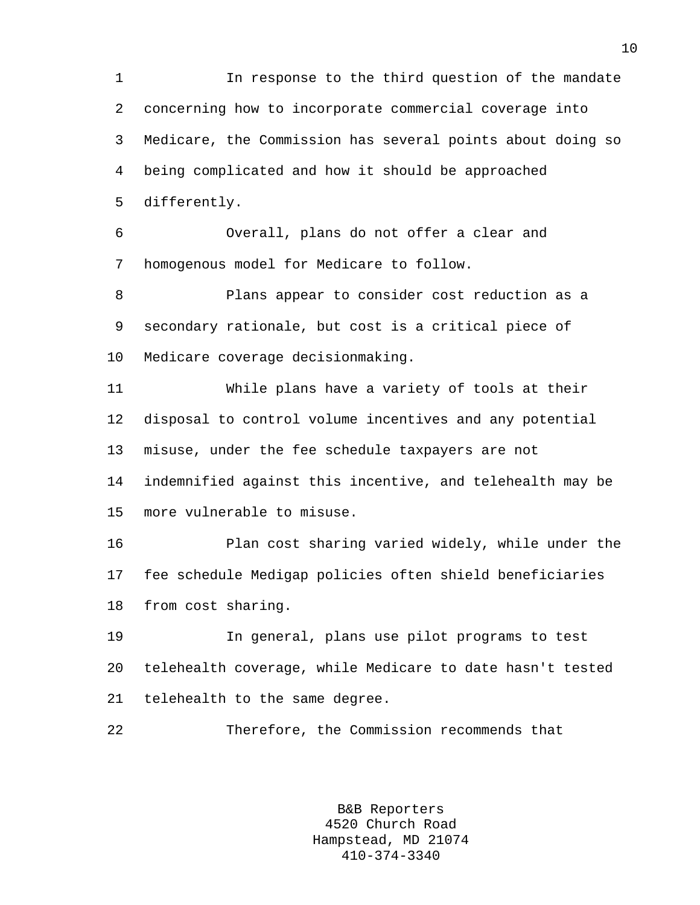1 In response to the third question of the mandate 2 concerning how to incorporate commercial coverage into 3 Medicare, the Commission has several points about doing so 4 being complicated and how it should be approached 5 differently.

6 Overall, plans do not offer a clear and 7 homogenous model for Medicare to follow.

8 Plans appear to consider cost reduction as a 9 secondary rationale, but cost is a critical piece of 10 Medicare coverage decisionmaking.

11 While plans have a variety of tools at their 12 disposal to control volume incentives and any potential 13 misuse, under the fee schedule taxpayers are not 14 indemnified against this incentive, and telehealth may be 15 more vulnerable to misuse.

16 Plan cost sharing varied widely, while under the 17 fee schedule Medigap policies often shield beneficiaries 18 from cost sharing.

19 In general, plans use pilot programs to test 20 telehealth coverage, while Medicare to date hasn't tested 21 telehealth to the same degree.

22 Therefore, the Commission recommends that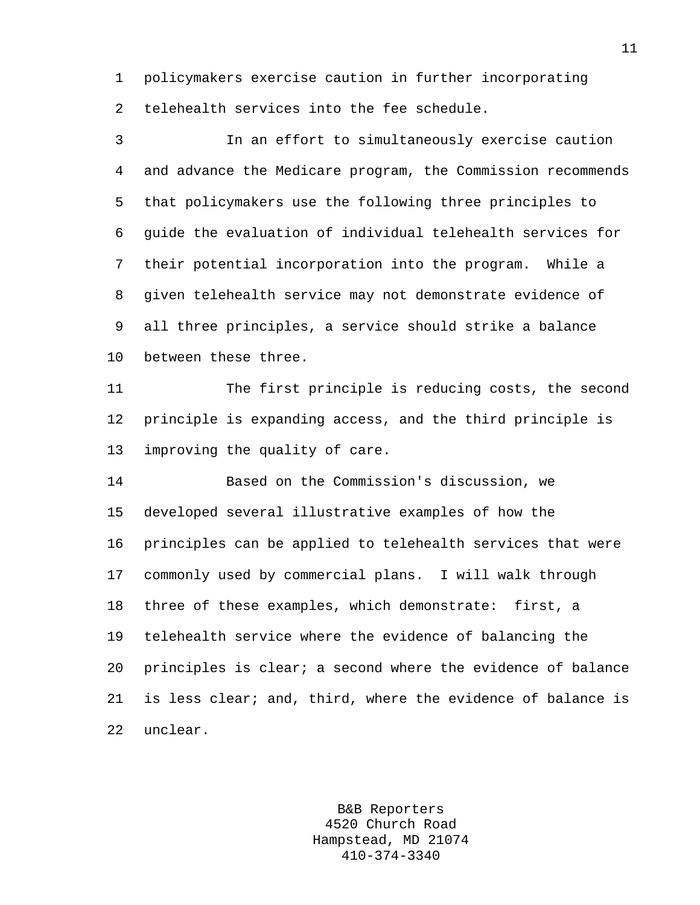1 policymakers exercise caution in further incorporating 2 telehealth services into the fee schedule.

3 In an effort to simultaneously exercise caution 4 and advance the Medicare program, the Commission recommends 5 that policymakers use the following three principles to 6 guide the evaluation of individual telehealth services for 7 their potential incorporation into the program. While a 8 given telehealth service may not demonstrate evidence of 9 all three principles, a service should strike a balance 10 between these three. 11 The first principle is reducing costs, the second 12 principle is expanding access, and the third principle is 13 improving the quality of care. 14 Based on the Commission's discussion, we 15 developed several illustrative examples of how the

16 principles can be applied to telehealth services that were 17 commonly used by commercial plans. I will walk through 18 three of these examples, which demonstrate: first, a 19 telehealth service where the evidence of balancing the 20 principles is clear; a second where the evidence of balance 21 is less clear; and, third, where the evidence of balance is 22 unclear.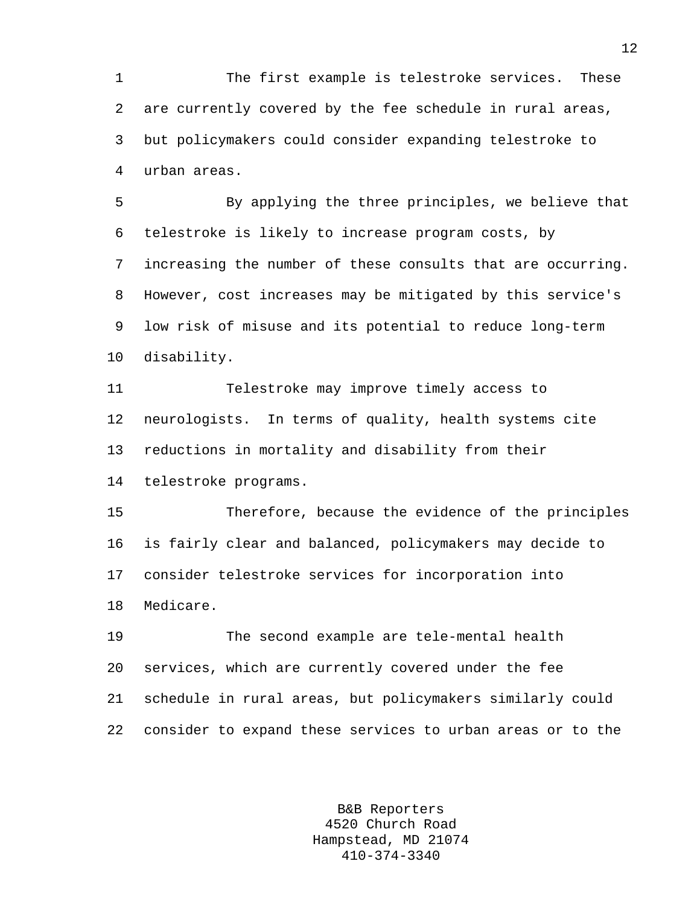1 The first example is telestroke services. These 2 are currently covered by the fee schedule in rural areas, 3 but policymakers could consider expanding telestroke to 4 urban areas.

5 By applying the three principles, we believe that 6 telestroke is likely to increase program costs, by 7 increasing the number of these consults that are occurring. 8 However, cost increases may be mitigated by this service's 9 low risk of misuse and its potential to reduce long-term 10 disability.

11 Telestroke may improve timely access to 12 neurologists. In terms of quality, health systems cite 13 reductions in mortality and disability from their 14 telestroke programs.

15 Therefore, because the evidence of the principles 16 is fairly clear and balanced, policymakers may decide to 17 consider telestroke services for incorporation into 18 Medicare.

19 The second example are tele-mental health 20 services, which are currently covered under the fee 21 schedule in rural areas, but policymakers similarly could 22 consider to expand these services to urban areas or to the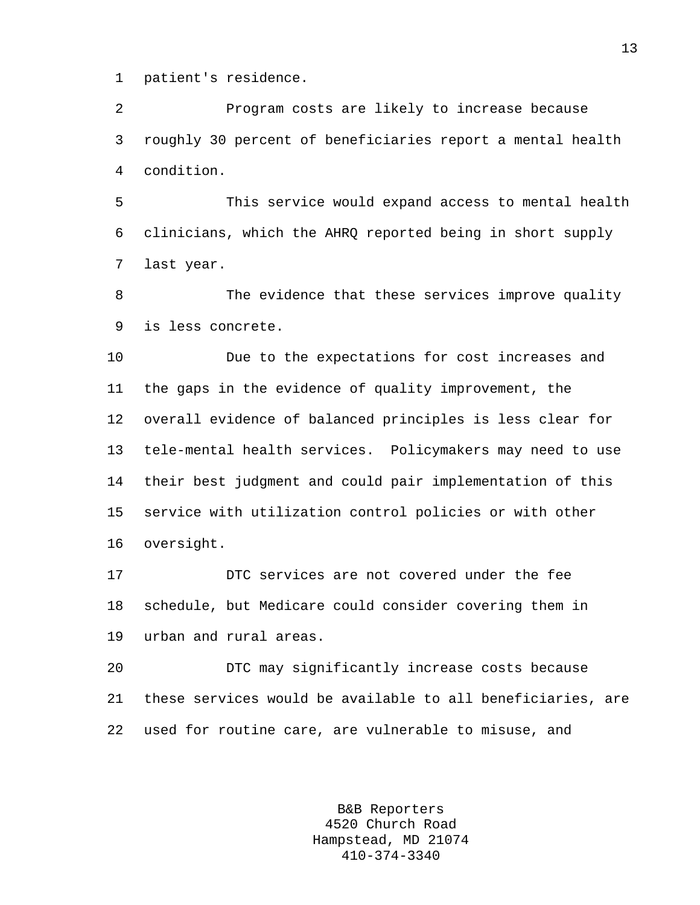1 patient's residence.

2 Program costs are likely to increase because 3 roughly 30 percent of beneficiaries report a mental health 4 condition.

5 This service would expand access to mental health 6 clinicians, which the AHRQ reported being in short supply 7 last year.

8 The evidence that these services improve quality 9 is less concrete.

10 Due to the expectations for cost increases and 11 the gaps in the evidence of quality improvement, the 12 overall evidence of balanced principles is less clear for 13 tele-mental health services. Policymakers may need to use 14 their best judgment and could pair implementation of this 15 service with utilization control policies or with other 16 oversight.

17 DTC services are not covered under the fee 18 schedule, but Medicare could consider covering them in 19 urban and rural areas.

20 DTC may significantly increase costs because 21 these services would be available to all beneficiaries, are 22 used for routine care, are vulnerable to misuse, and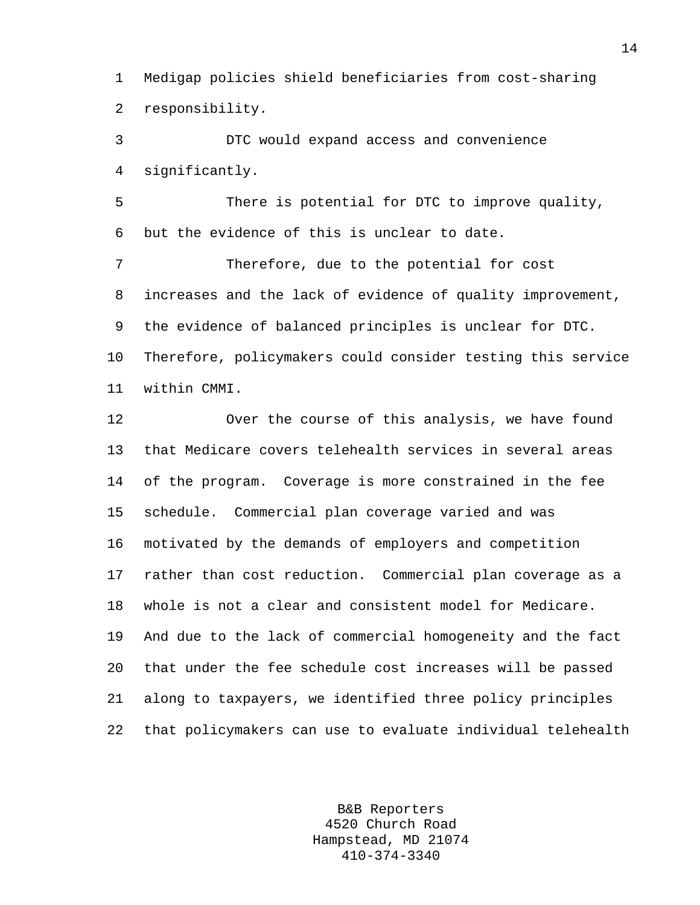1 Medigap policies shield beneficiaries from cost-sharing 2 responsibility.

3 DTC would expand access and convenience 4 significantly.

5 There is potential for DTC to improve quality, 6 but the evidence of this is unclear to date.

7 Therefore, due to the potential for cost 8 increases and the lack of evidence of quality improvement, 9 the evidence of balanced principles is unclear for DTC. 10 Therefore, policymakers could consider testing this service 11 within CMMI.

12 Over the course of this analysis, we have found 13 that Medicare covers telehealth services in several areas 14 of the program. Coverage is more constrained in the fee 15 schedule. Commercial plan coverage varied and was 16 motivated by the demands of employers and competition 17 rather than cost reduction. Commercial plan coverage as a 18 whole is not a clear and consistent model for Medicare. 19 And due to the lack of commercial homogeneity and the fact 20 that under the fee schedule cost increases will be passed 21 along to taxpayers, we identified three policy principles 22 that policymakers can use to evaluate individual telehealth

> B&B Reporters 4520 Church Road Hampstead, MD 21074 410-374-3340

14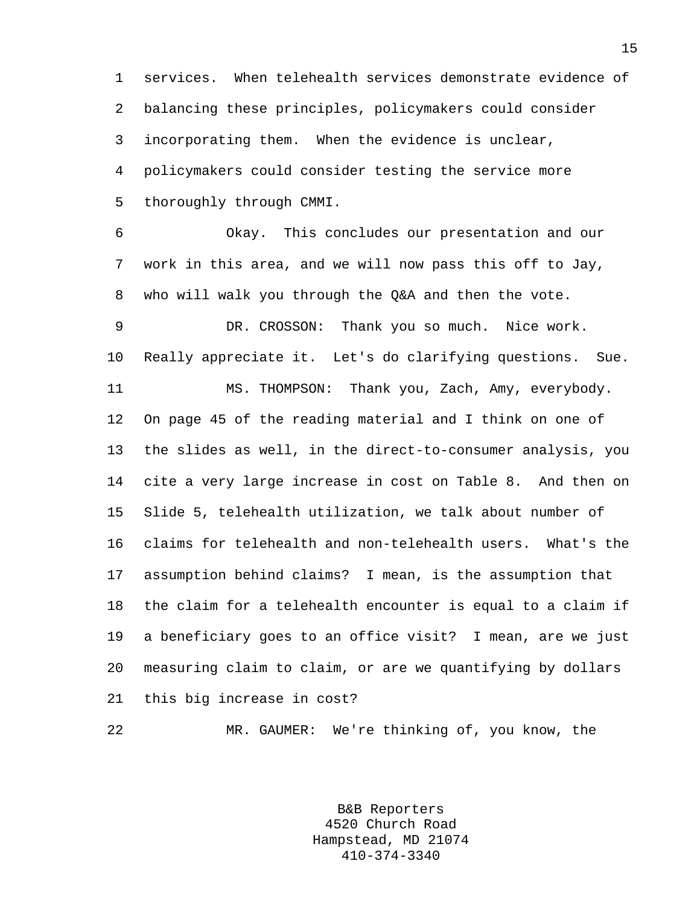1 services. When telehealth services demonstrate evidence of 2 balancing these principles, policymakers could consider 3 incorporating them. When the evidence is unclear, 4 policymakers could consider testing the service more 5 thoroughly through CMMI.

6 Okay. This concludes our presentation and our 7 work in this area, and we will now pass this off to Jay, 8 who will walk you through the Q&A and then the vote. 9 DR. CROSSON: Thank you so much. Nice work. 10 Really appreciate it. Let's do clarifying questions. Sue. 11 MS. THOMPSON: Thank you, Zach, Amy, everybody. 12 On page 45 of the reading material and I think on one of 13 the slides as well, in the direct-to-consumer analysis, you 14 cite a very large increase in cost on Table 8. And then on 15 Slide 5, telehealth utilization, we talk about number of 16 claims for telehealth and non-telehealth users. What's the 17 assumption behind claims? I mean, is the assumption that 18 the claim for a telehealth encounter is equal to a claim if 19 a beneficiary goes to an office visit? I mean, are we just 20 measuring claim to claim, or are we quantifying by dollars 21 this big increase in cost?

22 MR. GAUMER: We're thinking of, you know, the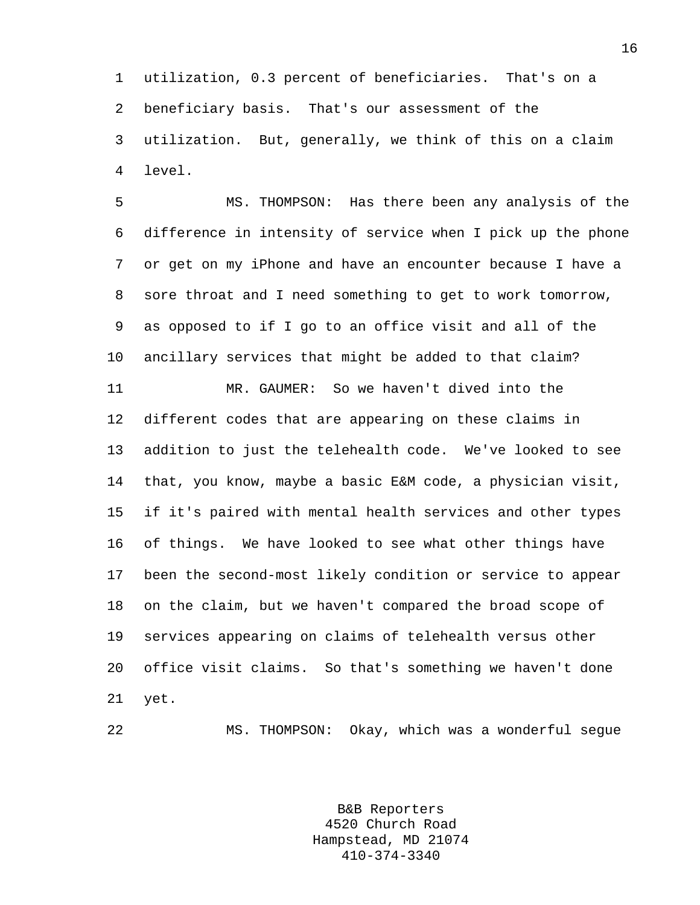1 utilization, 0.3 percent of beneficiaries. That's on a 2 beneficiary basis. That's our assessment of the 3 utilization. But, generally, we think of this on a claim 4 level.

5 MS. THOMPSON: Has there been any analysis of the 6 difference in intensity of service when I pick up the phone 7 or get on my iPhone and have an encounter because I have a 8 sore throat and I need something to get to work tomorrow, 9 as opposed to if I go to an office visit and all of the 10 ancillary services that might be added to that claim? 11 MR. GAUMER: So we haven't dived into the 12 different codes that are appearing on these claims in 13 addition to just the telehealth code. We've looked to see 14 that, you know, maybe a basic E&M code, a physician visit, 15 if it's paired with mental health services and other types 16 of things. We have looked to see what other things have 17 been the second-most likely condition or service to appear 18 on the claim, but we haven't compared the broad scope of 19 services appearing on claims of telehealth versus other 20 office visit claims. So that's something we haven't done 21 yet.

22 MS. THOMPSON: Okay, which was a wonderful segue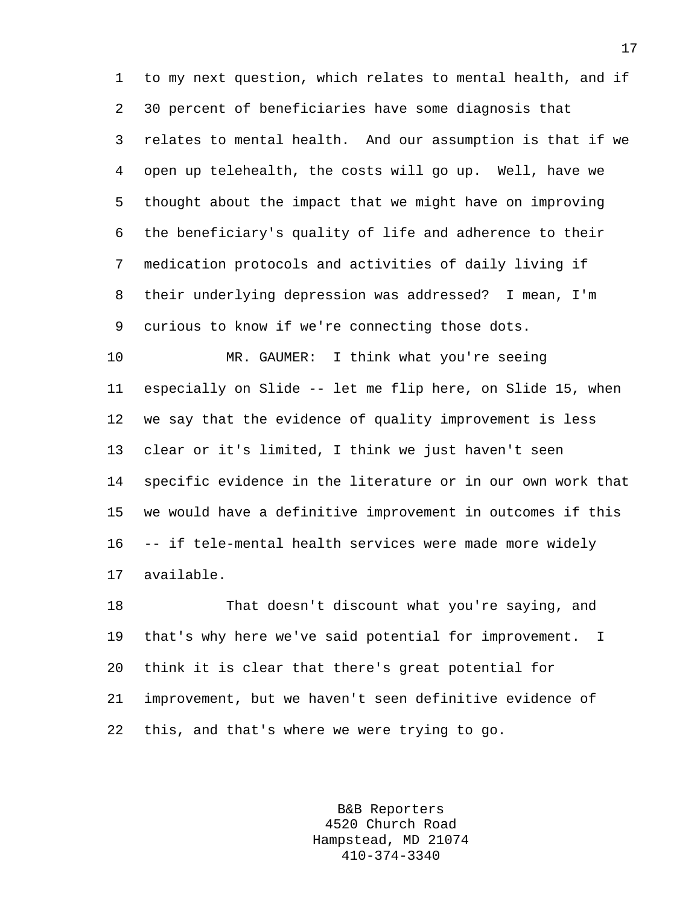1 to my next question, which relates to mental health, and if 2 30 percent of beneficiaries have some diagnosis that 3 relates to mental health. And our assumption is that if we 4 open up telehealth, the costs will go up. Well, have we 5 thought about the impact that we might have on improving 6 the beneficiary's quality of life and adherence to their 7 medication protocols and activities of daily living if 8 their underlying depression was addressed? I mean, I'm 9 curious to know if we're connecting those dots.

10 MR. GAUMER: I think what you're seeing 11 especially on Slide -- let me flip here, on Slide 15, when 12 we say that the evidence of quality improvement is less 13 clear or it's limited, I think we just haven't seen 14 specific evidence in the literature or in our own work that 15 we would have a definitive improvement in outcomes if this 16 -- if tele-mental health services were made more widely 17 available.

18 That doesn't discount what you're saying, and 19 that's why here we've said potential for improvement. I 20 think it is clear that there's great potential for 21 improvement, but we haven't seen definitive evidence of 22 this, and that's where we were trying to go.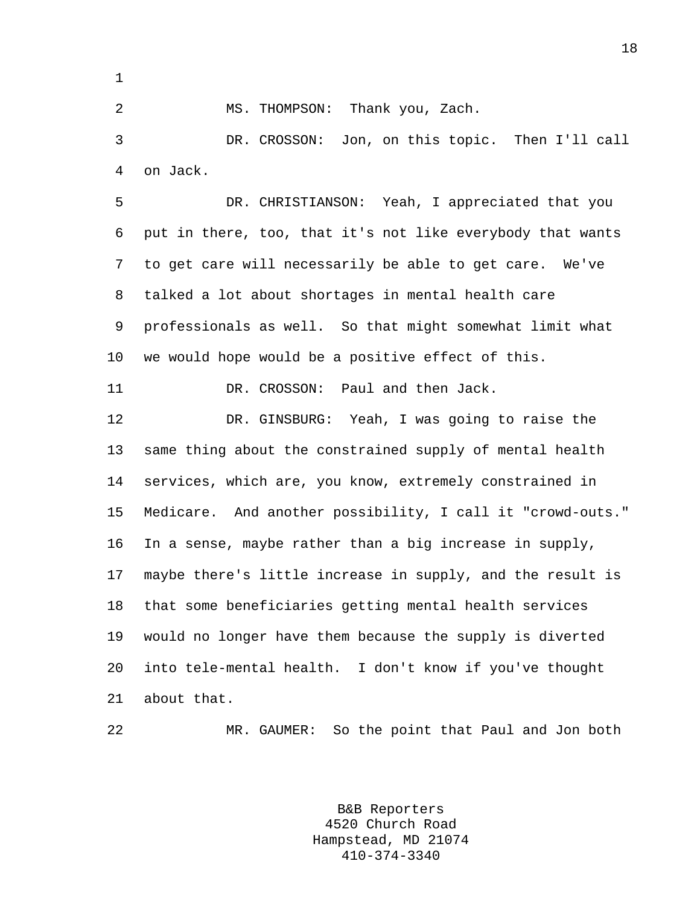1

2 MS. THOMPSON: Thank you, Zach.

3 DR. CROSSON: Jon, on this topic. Then I'll call 4 on Jack.

5 DR. CHRISTIANSON: Yeah, I appreciated that you 6 put in there, too, that it's not like everybody that wants 7 to get care will necessarily be able to get care. We've 8 talked a lot about shortages in mental health care 9 professionals as well. So that might somewhat limit what 10 we would hope would be a positive effect of this.

11 DR. CROSSON: Paul and then Jack.

12 DR. GINSBURG: Yeah, I was going to raise the 13 same thing about the constrained supply of mental health 14 services, which are, you know, extremely constrained in 15 Medicare. And another possibility, I call it "crowd-outs." 16 In a sense, maybe rather than a big increase in supply, 17 maybe there's little increase in supply, and the result is 18 that some beneficiaries getting mental health services 19 would no longer have them because the supply is diverted 20 into tele-mental health. I don't know if you've thought 21 about that.

22 MR. GAUMER: So the point that Paul and Jon both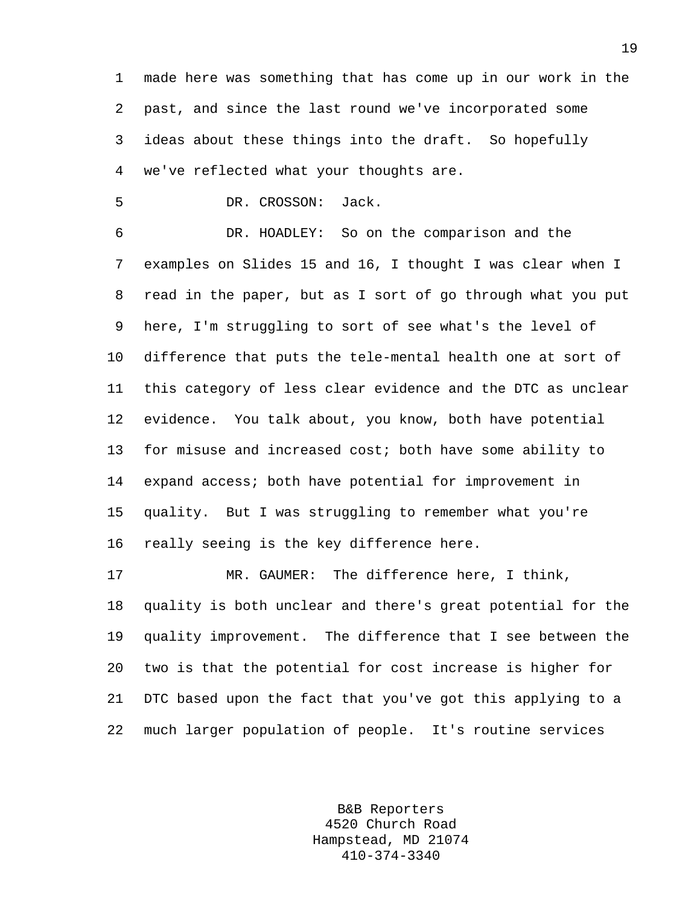1 made here was something that has come up in our work in the 2 past, and since the last round we've incorporated some 3 ideas about these things into the draft. So hopefully 4 we've reflected what your thoughts are.

5 DR. CROSSON: Jack.

6 DR. HOADLEY: So on the comparison and the 7 examples on Slides 15 and 16, I thought I was clear when I 8 read in the paper, but as I sort of go through what you put 9 here, I'm struggling to sort of see what's the level of 10 difference that puts the tele-mental health one at sort of 11 this category of less clear evidence and the DTC as unclear 12 evidence. You talk about, you know, both have potential 13 for misuse and increased cost; both have some ability to 14 expand access; both have potential for improvement in 15 quality. But I was struggling to remember what you're 16 really seeing is the key difference here.

17 MR. GAUMER: The difference here, I think, 18 quality is both unclear and there's great potential for the 19 quality improvement. The difference that I see between the 20 two is that the potential for cost increase is higher for 21 DTC based upon the fact that you've got this applying to a 22 much larger population of people. It's routine services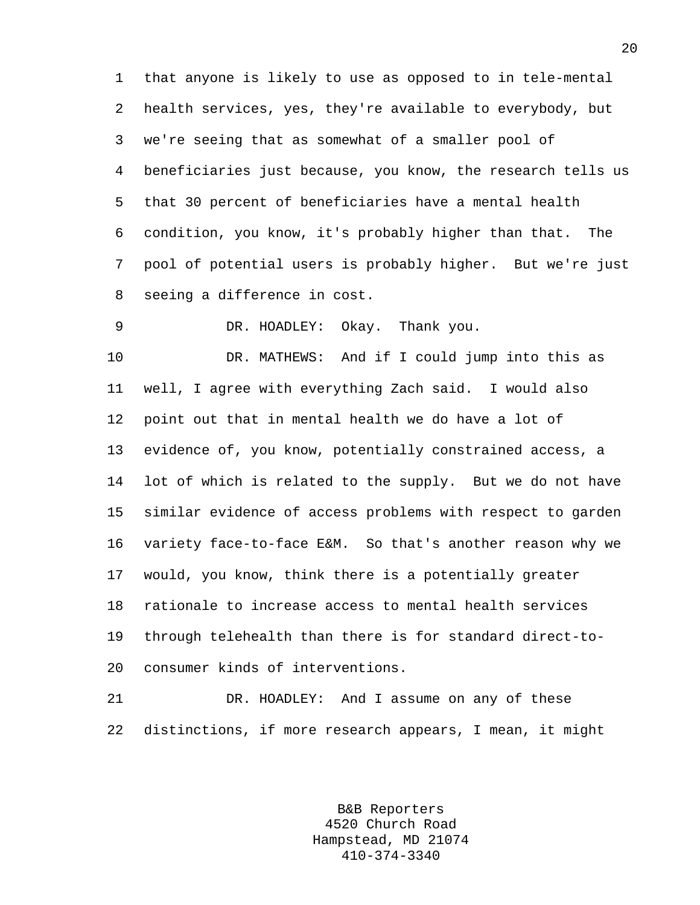1 that anyone is likely to use as opposed to in tele-mental 2 health services, yes, they're available to everybody, but 3 we're seeing that as somewhat of a smaller pool of 4 beneficiaries just because, you know, the research tells us 5 that 30 percent of beneficiaries have a mental health 6 condition, you know, it's probably higher than that. The 7 pool of potential users is probably higher. But we're just 8 seeing a difference in cost.

9 DR. HOADLEY: Okay. Thank you.

10 DR. MATHEWS: And if I could jump into this as 11 well, I agree with everything Zach said. I would also 12 point out that in mental health we do have a lot of 13 evidence of, you know, potentially constrained access, a 14 lot of which is related to the supply. But we do not have 15 similar evidence of access problems with respect to garden 16 variety face-to-face E&M. So that's another reason why we 17 would, you know, think there is a potentially greater 18 rationale to increase access to mental health services 19 through telehealth than there is for standard direct-to-20 consumer kinds of interventions.

21 DR. HOADLEY: And I assume on any of these 22 distinctions, if more research appears, I mean, it might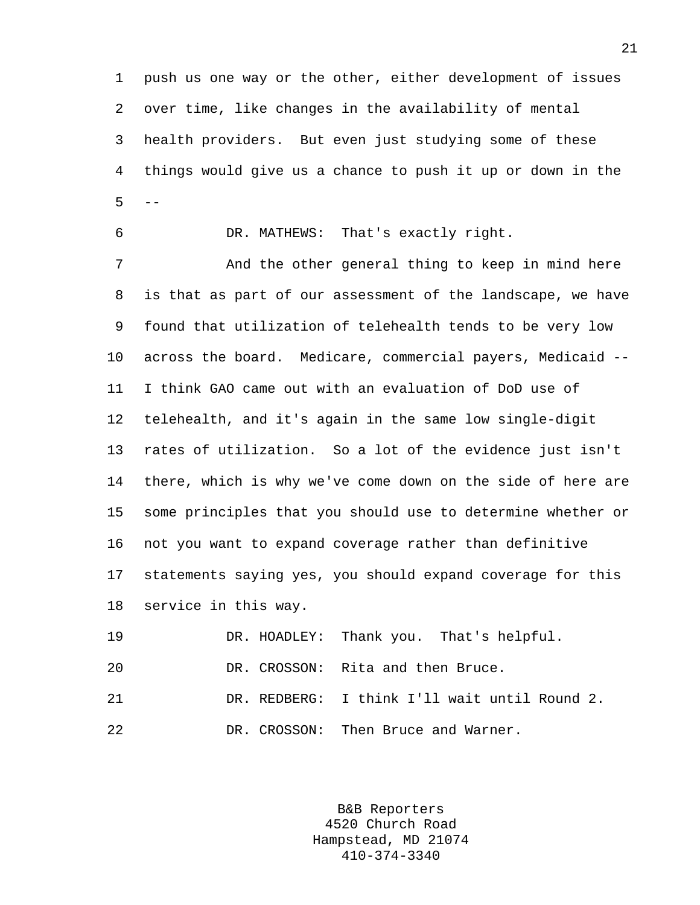1 push us one way or the other, either development of issues 2 over time, like changes in the availability of mental 3 health providers. But even just studying some of these 4 things would give us a chance to push it up or down in the  $5 - -$ 

6 DR. MATHEWS: That's exactly right.

7 And the other general thing to keep in mind here 8 is that as part of our assessment of the landscape, we have 9 found that utilization of telehealth tends to be very low 10 across the board. Medicare, commercial payers, Medicaid -- 11 I think GAO came out with an evaluation of DoD use of 12 telehealth, and it's again in the same low single-digit 13 rates of utilization. So a lot of the evidence just isn't 14 there, which is why we've come down on the side of here are 15 some principles that you should use to determine whether or 16 not you want to expand coverage rather than definitive 17 statements saying yes, you should expand coverage for this 18 service in this way.

19 DR. HOADLEY: Thank you. That's helpful. 20 DR. CROSSON: Rita and then Bruce. 21 DR. REDBERG: I think I'll wait until Round 2. 22 DR. CROSSON: Then Bruce and Warner.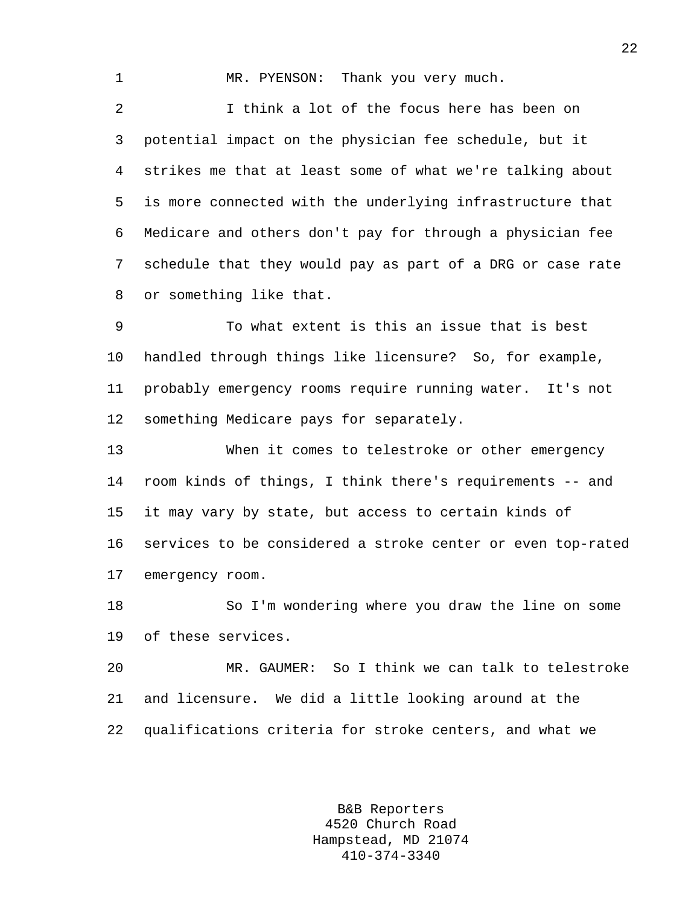1 MR. PYENSON: Thank you very much. 2 I think a lot of the focus here has been on 3 potential impact on the physician fee schedule, but it 4 strikes me that at least some of what we're talking about 5 is more connected with the underlying infrastructure that 6 Medicare and others don't pay for through a physician fee 7 schedule that they would pay as part of a DRG or case rate 8 or something like that.

9 To what extent is this an issue that is best 10 handled through things like licensure? So, for example, 11 probably emergency rooms require running water. It's not 12 something Medicare pays for separately.

13 When it comes to telestroke or other emergency 14 room kinds of things, I think there's requirements -- and 15 it may vary by state, but access to certain kinds of 16 services to be considered a stroke center or even top-rated 17 emergency room.

18 So I'm wondering where you draw the line on some 19 of these services.

20 MR. GAUMER: So I think we can talk to telestroke 21 and licensure. We did a little looking around at the 22 qualifications criteria for stroke centers, and what we

> B&B Reporters 4520 Church Road Hampstead, MD 21074 410-374-3340

22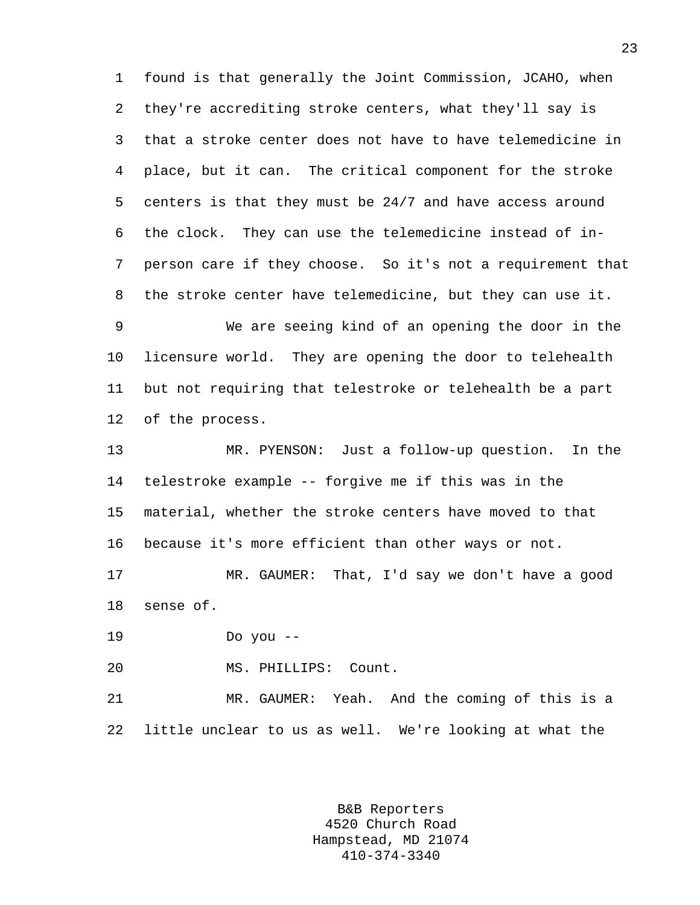1 found is that generally the Joint Commission, JCAHO, when 2 they're accrediting stroke centers, what they'll say is 3 that a stroke center does not have to have telemedicine in 4 place, but it can. The critical component for the stroke 5 centers is that they must be 24/7 and have access around 6 the clock. They can use the telemedicine instead of in-7 person care if they choose. So it's not a requirement that 8 the stroke center have telemedicine, but they can use it.

9 We are seeing kind of an opening the door in the 10 licensure world. They are opening the door to telehealth 11 but not requiring that telestroke or telehealth be a part 12 of the process.

13 MR. PYENSON: Just a follow-up question. In the 14 telestroke example -- forgive me if this was in the 15 material, whether the stroke centers have moved to that 16 because it's more efficient than other ways or not.

17 MR. GAUMER: That, I'd say we don't have a good 18 sense of.

19 Do you --

20 MS. PHILLIPS: Count.

21 MR. GAUMER: Yeah. And the coming of this is a 22 little unclear to us as well. We're looking at what the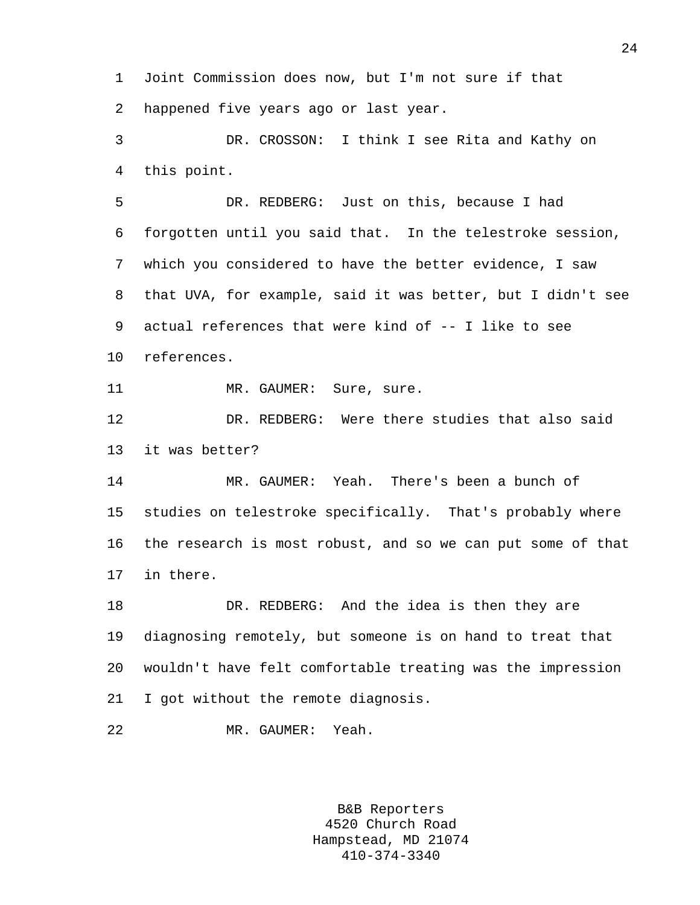1 Joint Commission does now, but I'm not sure if that 2 happened five years ago or last year.

3 DR. CROSSON: I think I see Rita and Kathy on 4 this point.

5 DR. REDBERG: Just on this, because I had 6 forgotten until you said that. In the telestroke session, 7 which you considered to have the better evidence, I saw 8 that UVA, for example, said it was better, but I didn't see 9 actual references that were kind of -- I like to see 10 references.

11 MR. GAUMER: Sure, sure.

12 DR. REDBERG: Were there studies that also said 13 it was better?

14 MR. GAUMER: Yeah. There's been a bunch of 15 studies on telestroke specifically. That's probably where 16 the research is most robust, and so we can put some of that 17 in there.

18 DR. REDBERG: And the idea is then they are 19 diagnosing remotely, but someone is on hand to treat that 20 wouldn't have felt comfortable treating was the impression 21 I got without the remote diagnosis.

22 MR. GAUMER: Yeah.

B&B Reporters 4520 Church Road Hampstead, MD 21074 410-374-3340

24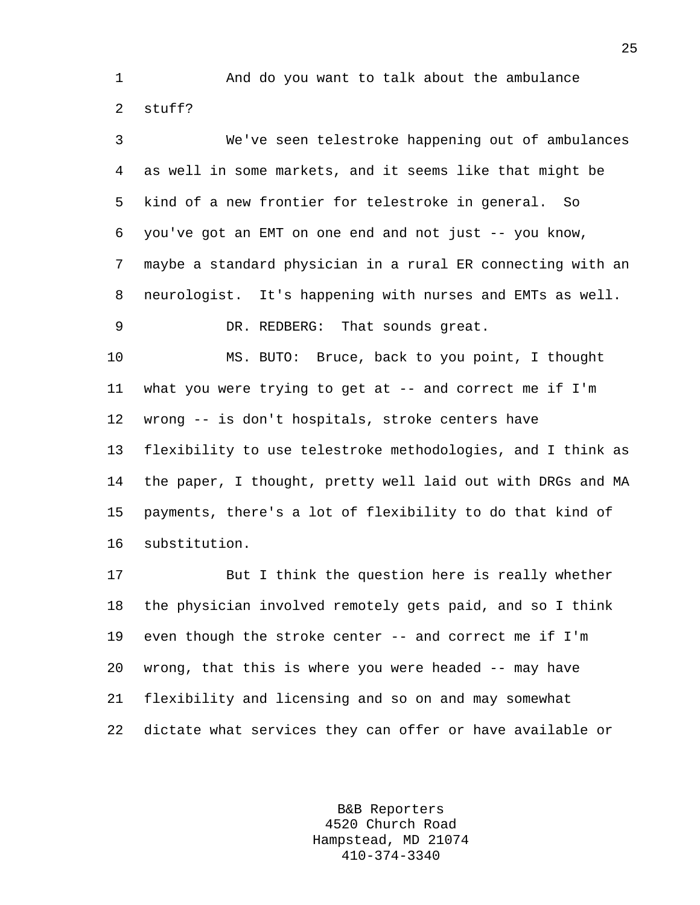1 And do you want to talk about the ambulance 2 stuff?

3 We've seen telestroke happening out of ambulances 4 as well in some markets, and it seems like that might be 5 kind of a new frontier for telestroke in general. So 6 you've got an EMT on one end and not just -- you know, 7 maybe a standard physician in a rural ER connecting with an 8 neurologist. It's happening with nurses and EMTs as well. 9 DR. REDBERG: That sounds great.

10 MS. BUTO: Bruce, back to you point, I thought 11 what you were trying to get at -- and correct me if I'm 12 wrong -- is don't hospitals, stroke centers have 13 flexibility to use telestroke methodologies, and I think as 14 the paper, I thought, pretty well laid out with DRGs and MA 15 payments, there's a lot of flexibility to do that kind of 16 substitution.

17 But I think the question here is really whether 18 the physician involved remotely gets paid, and so I think 19 even though the stroke center -- and correct me if I'm 20 wrong, that this is where you were headed -- may have 21 flexibility and licensing and so on and may somewhat 22 dictate what services they can offer or have available or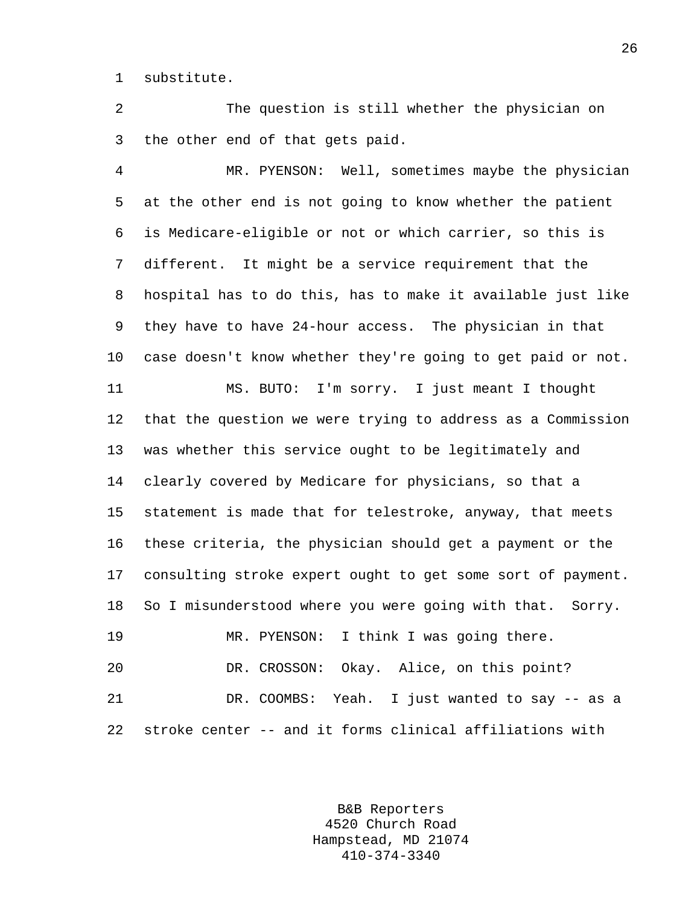1 substitute.

2 The question is still whether the physician on 3 the other end of that gets paid.

4 MR. PYENSON: Well, sometimes maybe the physician 5 at the other end is not going to know whether the patient 6 is Medicare-eligible or not or which carrier, so this is 7 different. It might be a service requirement that the 8 hospital has to do this, has to make it available just like 9 they have to have 24-hour access. The physician in that 10 case doesn't know whether they're going to get paid or not. 11 MS. BUTO: I'm sorry. I just meant I thought 12 that the question we were trying to address as a Commission 13 was whether this service ought to be legitimately and 14 clearly covered by Medicare for physicians, so that a 15 statement is made that for telestroke, anyway, that meets 16 these criteria, the physician should get a payment or the 17 consulting stroke expert ought to get some sort of payment. 18 So I misunderstood where you were going with that. Sorry. 19 MR. PYENSON: I think I was going there. 20 DR. CROSSON: Okay. Alice, on this point? 21 DR. COOMBS: Yeah. I just wanted to say -- as a 22 stroke center -- and it forms clinical affiliations with

> B&B Reporters 4520 Church Road Hampstead, MD 21074 410-374-3340

26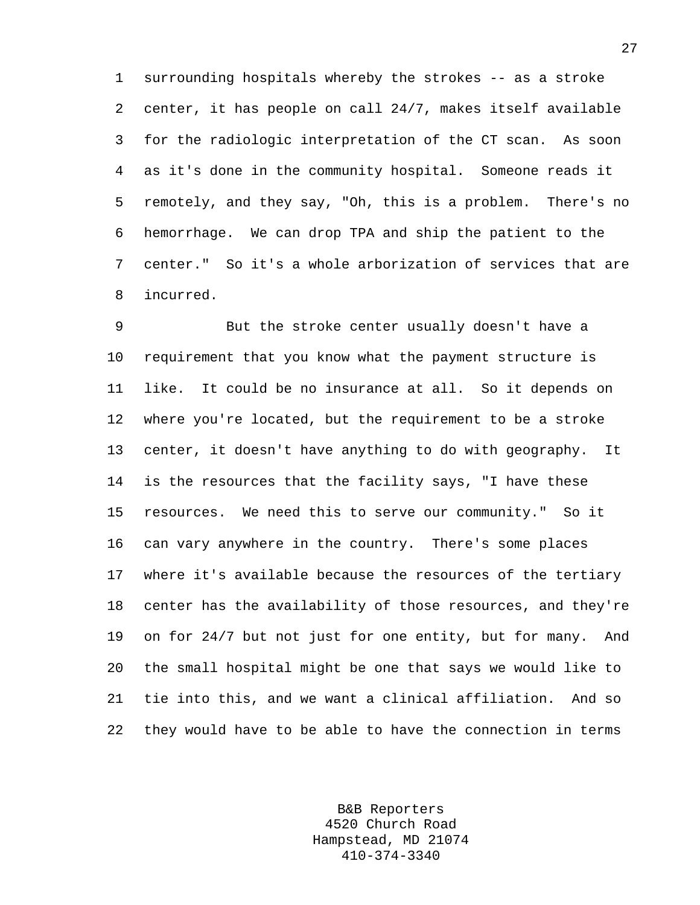1 surrounding hospitals whereby the strokes -- as a stroke 2 center, it has people on call 24/7, makes itself available 3 for the radiologic interpretation of the CT scan. As soon 4 as it's done in the community hospital. Someone reads it 5 remotely, and they say, "Oh, this is a problem. There's no 6 hemorrhage. We can drop TPA and ship the patient to the 7 center." So it's a whole arborization of services that are 8 incurred.

9 But the stroke center usually doesn't have a 10 requirement that you know what the payment structure is 11 like. It could be no insurance at all. So it depends on 12 where you're located, but the requirement to be a stroke 13 center, it doesn't have anything to do with geography. It 14 is the resources that the facility says, "I have these 15 resources. We need this to serve our community." So it 16 can vary anywhere in the country. There's some places 17 where it's available because the resources of the tertiary 18 center has the availability of those resources, and they're 19 on for 24/7 but not just for one entity, but for many. And 20 the small hospital might be one that says we would like to 21 tie into this, and we want a clinical affiliation. And so 22 they would have to be able to have the connection in terms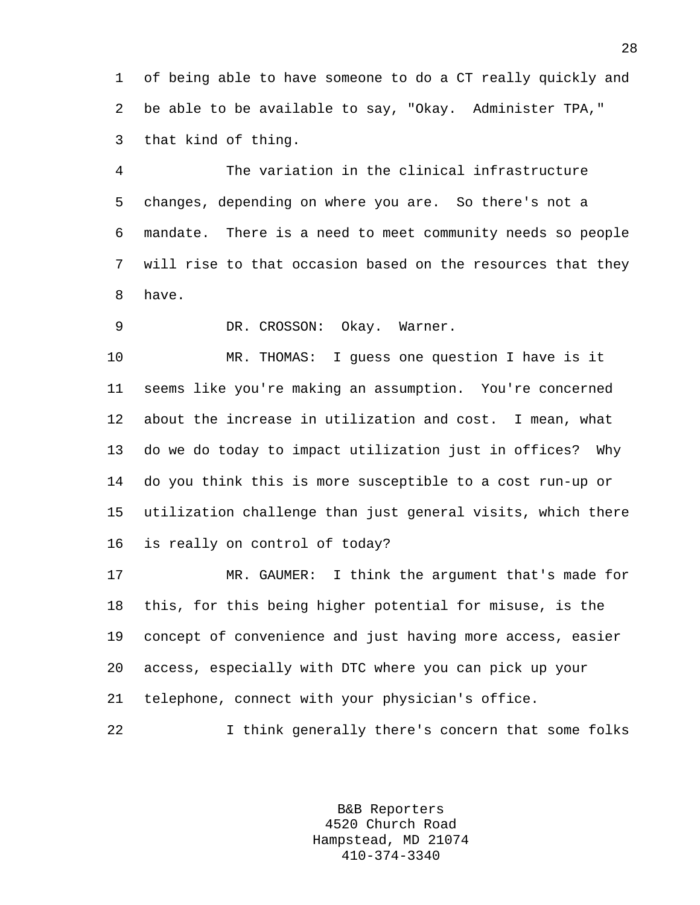1 of being able to have someone to do a CT really quickly and 2 be able to be available to say, "Okay. Administer TPA," 3 that kind of thing.

4 The variation in the clinical infrastructure 5 changes, depending on where you are. So there's not a 6 mandate. There is a need to meet community needs so people 7 will rise to that occasion based on the resources that they 8 have.

9 DR. CROSSON: Okay. Warner.

10 MR. THOMAS: I guess one question I have is it 11 seems like you're making an assumption. You're concerned 12 about the increase in utilization and cost. I mean, what 13 do we do today to impact utilization just in offices? Why 14 do you think this is more susceptible to a cost run-up or 15 utilization challenge than just general visits, which there 16 is really on control of today?

17 MR. GAUMER: I think the argument that's made for 18 this, for this being higher potential for misuse, is the 19 concept of convenience and just having more access, easier 20 access, especially with DTC where you can pick up your 21 telephone, connect with your physician's office.

22 I think generally there's concern that some folks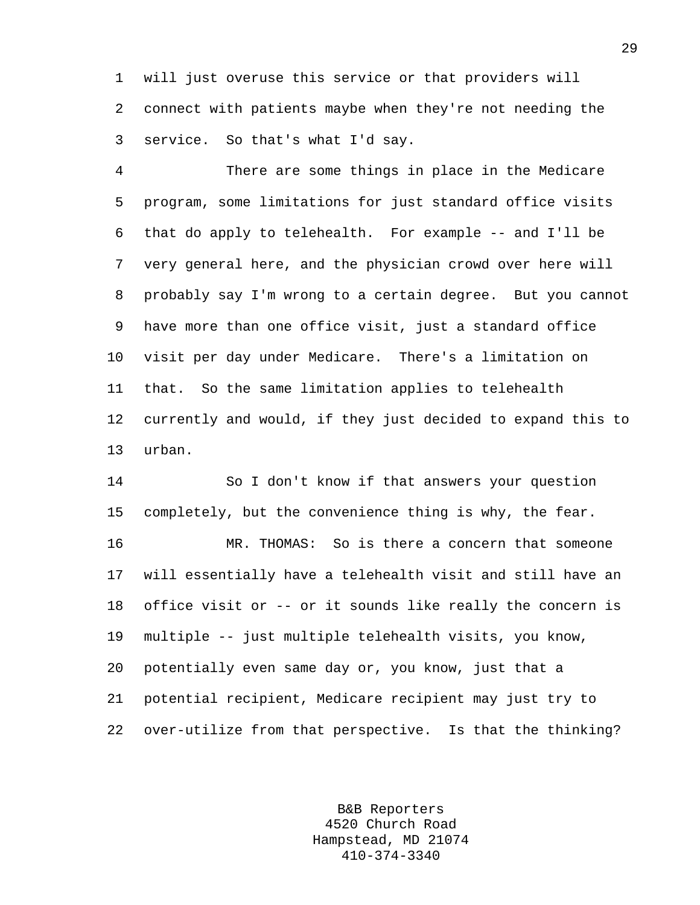1 will just overuse this service or that providers will 2 connect with patients maybe when they're not needing the 3 service. So that's what I'd say.

4 There are some things in place in the Medicare 5 program, some limitations for just standard office visits 6 that do apply to telehealth. For example -- and I'll be 7 very general here, and the physician crowd over here will 8 probably say I'm wrong to a certain degree. But you cannot 9 have more than one office visit, just a standard office 10 visit per day under Medicare. There's a limitation on 11 that. So the same limitation applies to telehealth 12 currently and would, if they just decided to expand this to 13 urban.

14 So I don't know if that answers your question 15 completely, but the convenience thing is why, the fear.

16 MR. THOMAS: So is there a concern that someone 17 will essentially have a telehealth visit and still have an 18 office visit or -- or it sounds like really the concern is 19 multiple -- just multiple telehealth visits, you know, 20 potentially even same day or, you know, just that a 21 potential recipient, Medicare recipient may just try to 22 over-utilize from that perspective. Is that the thinking?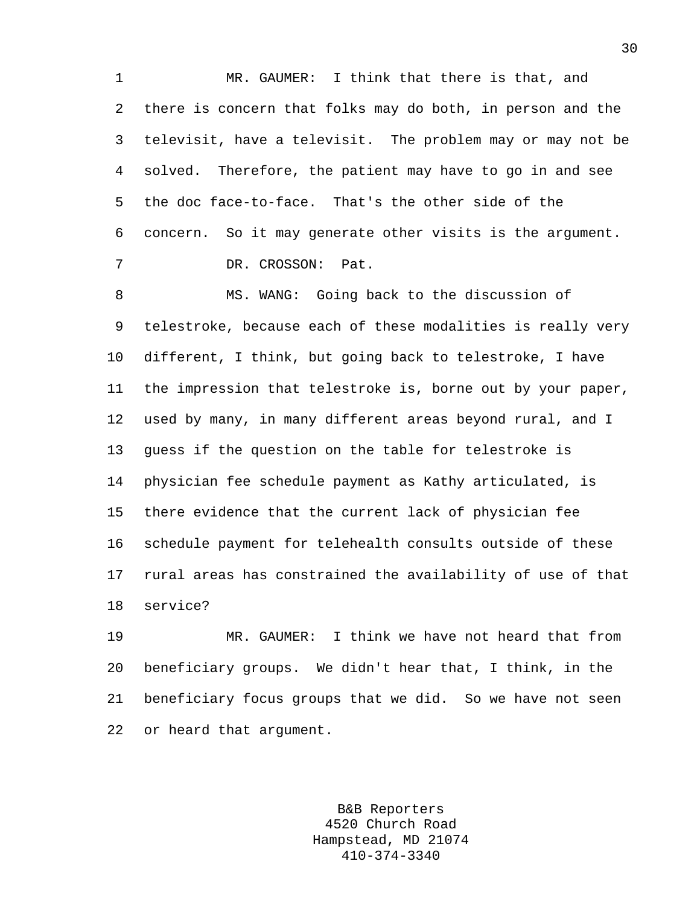1 MR. GAUMER: I think that there is that, and 2 there is concern that folks may do both, in person and the 3 televisit, have a televisit. The problem may or may not be 4 solved. Therefore, the patient may have to go in and see 5 the doc face-to-face. That's the other side of the 6 concern. So it may generate other visits is the argument. 7 DR. CROSSON: Pat.

8 MS. WANG: Going back to the discussion of 9 telestroke, because each of these modalities is really very 10 different, I think, but going back to telestroke, I have 11 the impression that telestroke is, borne out by your paper, 12 used by many, in many different areas beyond rural, and I 13 guess if the question on the table for telestroke is 14 physician fee schedule payment as Kathy articulated, is 15 there evidence that the current lack of physician fee 16 schedule payment for telehealth consults outside of these 17 rural areas has constrained the availability of use of that 18 service?

19 MR. GAUMER: I think we have not heard that from 20 beneficiary groups. We didn't hear that, I think, in the 21 beneficiary focus groups that we did. So we have not seen 22 or heard that argument.

> B&B Reporters 4520 Church Road Hampstead, MD 21074 410-374-3340

30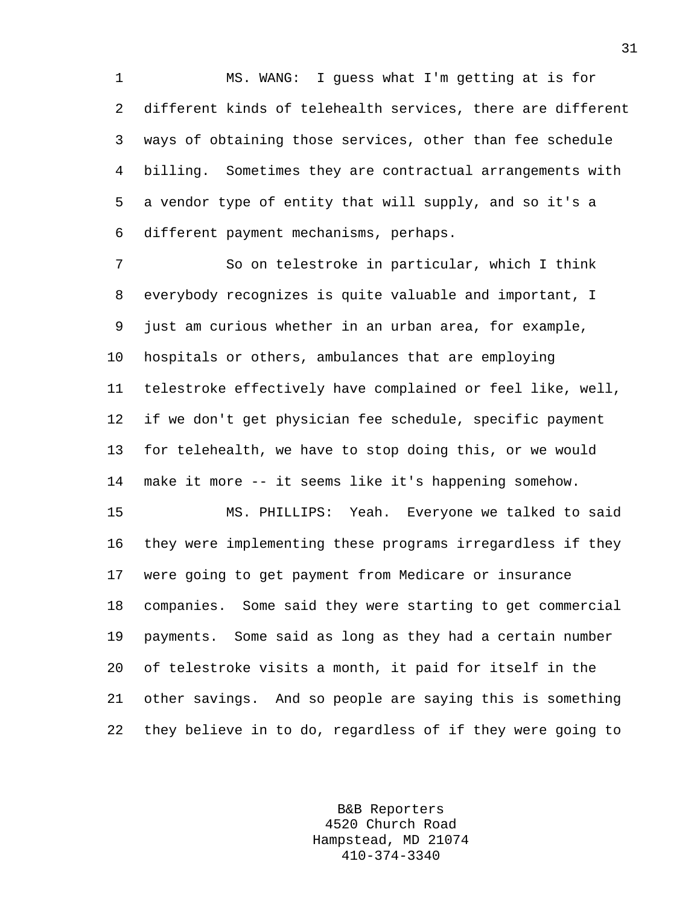1 MS. WANG: I guess what I'm getting at is for 2 different kinds of telehealth services, there are different 3 ways of obtaining those services, other than fee schedule 4 billing. Sometimes they are contractual arrangements with 5 a vendor type of entity that will supply, and so it's a 6 different payment mechanisms, perhaps.

7 So on telestroke in particular, which I think 8 everybody recognizes is quite valuable and important, I 9 just am curious whether in an urban area, for example, 10 hospitals or others, ambulances that are employing 11 telestroke effectively have complained or feel like, well, 12 if we don't get physician fee schedule, specific payment 13 for telehealth, we have to stop doing this, or we would 14 make it more -- it seems like it's happening somehow.

15 MS. PHILLIPS: Yeah. Everyone we talked to said 16 they were implementing these programs irregardless if they 17 were going to get payment from Medicare or insurance 18 companies. Some said they were starting to get commercial 19 payments. Some said as long as they had a certain number 20 of telestroke visits a month, it paid for itself in the 21 other savings. And so people are saying this is something 22 they believe in to do, regardless of if they were going to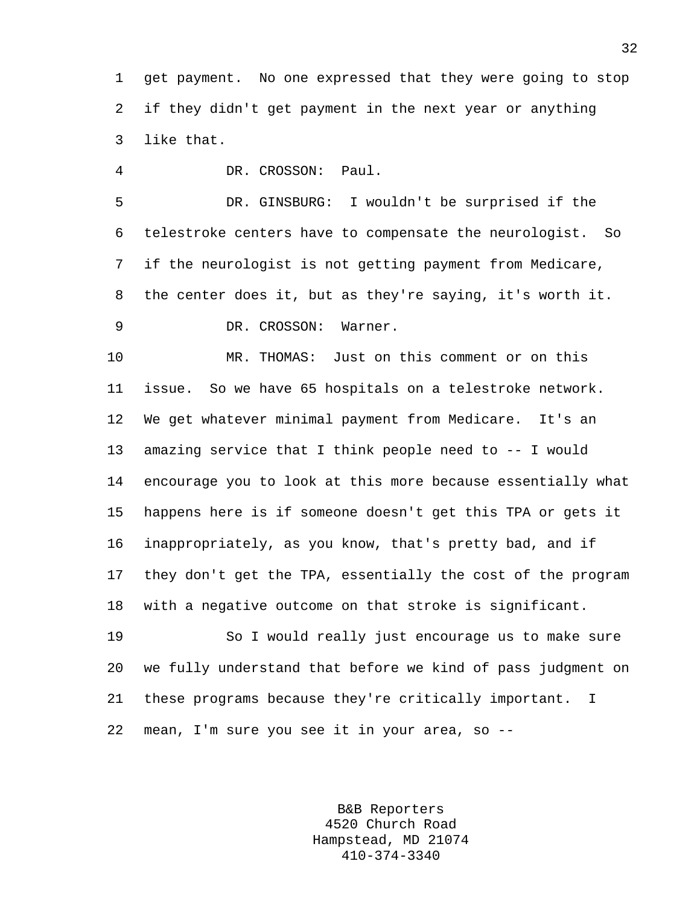1 get payment. No one expressed that they were going to stop 2 if they didn't get payment in the next year or anything 3 like that.

4 DR. CROSSON: Paul.

5 DR. GINSBURG: I wouldn't be surprised if the 6 telestroke centers have to compensate the neurologist. So 7 if the neurologist is not getting payment from Medicare, 8 the center does it, but as they're saying, it's worth it. 9 DR. CROSSON: Warner.

10 MR. THOMAS: Just on this comment or on this 11 issue. So we have 65 hospitals on a telestroke network. 12 We get whatever minimal payment from Medicare. It's an 13 amazing service that I think people need to -- I would 14 encourage you to look at this more because essentially what 15 happens here is if someone doesn't get this TPA or gets it 16 inappropriately, as you know, that's pretty bad, and if 17 they don't get the TPA, essentially the cost of the program 18 with a negative outcome on that stroke is significant.

19 So I would really just encourage us to make sure 20 we fully understand that before we kind of pass judgment on 21 these programs because they're critically important. I 22 mean, I'm sure you see it in your area, so --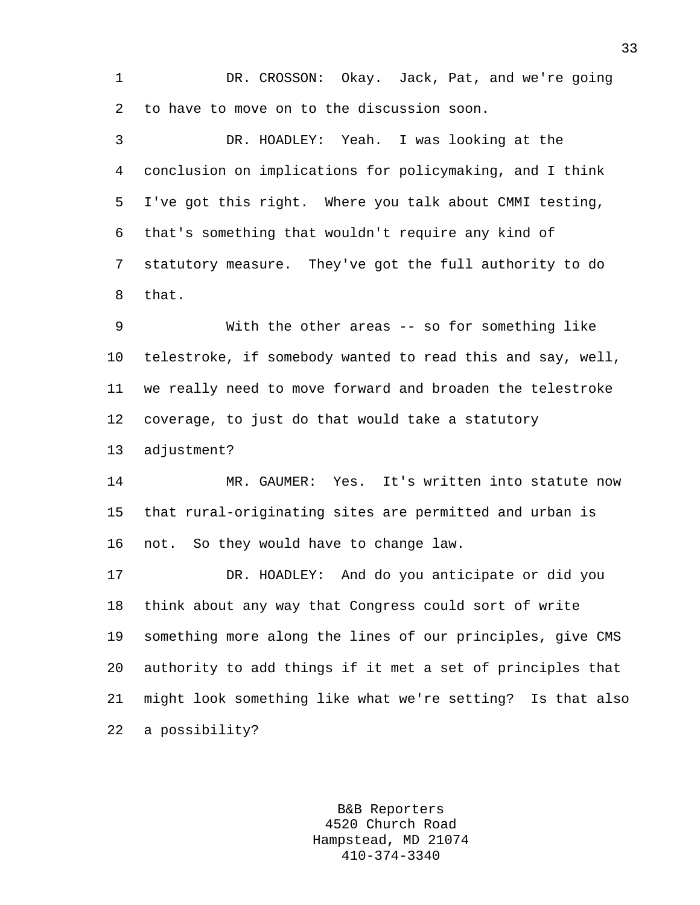1 DR. CROSSON: Okay. Jack, Pat, and we're going 2 to have to move on to the discussion soon.

3 DR. HOADLEY: Yeah. I was looking at the 4 conclusion on implications for policymaking, and I think 5 I've got this right. Where you talk about CMMI testing, 6 that's something that wouldn't require any kind of 7 statutory measure. They've got the full authority to do 8 that.

9 With the other areas -- so for something like 10 telestroke, if somebody wanted to read this and say, well, 11 we really need to move forward and broaden the telestroke 12 coverage, to just do that would take a statutory 13 adjustment?

14 MR. GAUMER: Yes. It's written into statute now 15 that rural-originating sites are permitted and urban is 16 not. So they would have to change law.

17 DR. HOADLEY: And do you anticipate or did you 18 think about any way that Congress could sort of write 19 something more along the lines of our principles, give CMS 20 authority to add things if it met a set of principles that 21 might look something like what we're setting? Is that also 22 a possibility?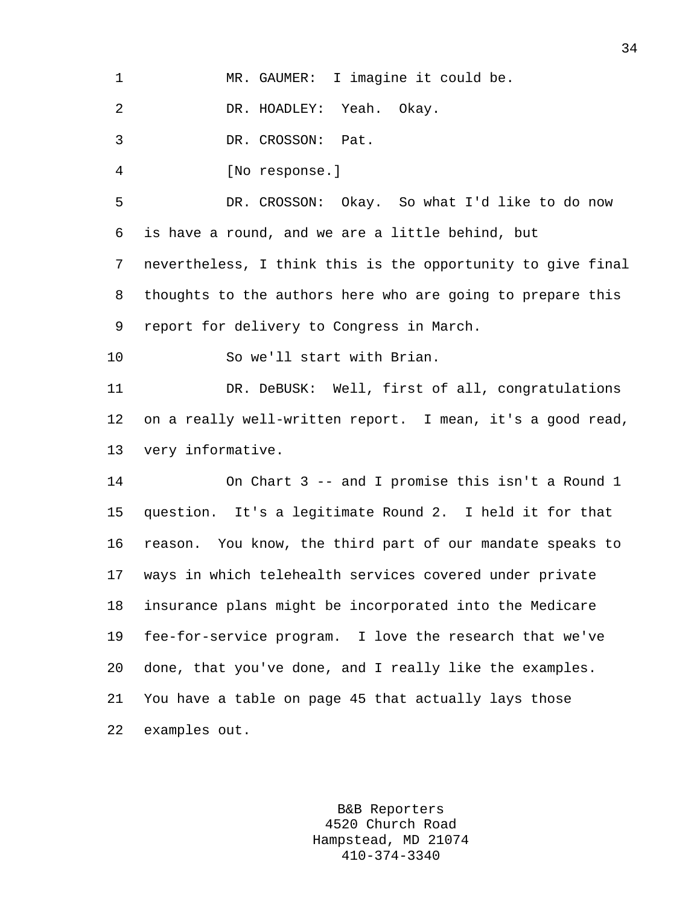| MR. GAUMER: | I imagine it could be. |
|-------------|------------------------|
|-------------|------------------------|

2 DR. HOADLEY: Yeah. Okay.

3 DR. CROSSON: Pat.

4 [No response.]

5 DR. CROSSON: Okay. So what I'd like to do now 6 is have a round, and we are a little behind, but 7 nevertheless, I think this is the opportunity to give final 8 thoughts to the authors here who are going to prepare this 9 report for delivery to Congress in March.

10 So we'll start with Brian.

11 DR. DeBUSK: Well, first of all, congratulations 12 on a really well-written report. I mean, it's a good read, 13 very informative.

14 On Chart 3 -- and I promise this isn't a Round 1 15 question. It's a legitimate Round 2. I held it for that 16 reason. You know, the third part of our mandate speaks to 17 ways in which telehealth services covered under private 18 insurance plans might be incorporated into the Medicare 19 fee-for-service program. I love the research that we've 20 done, that you've done, and I really like the examples. 21 You have a table on page 45 that actually lays those 22 examples out.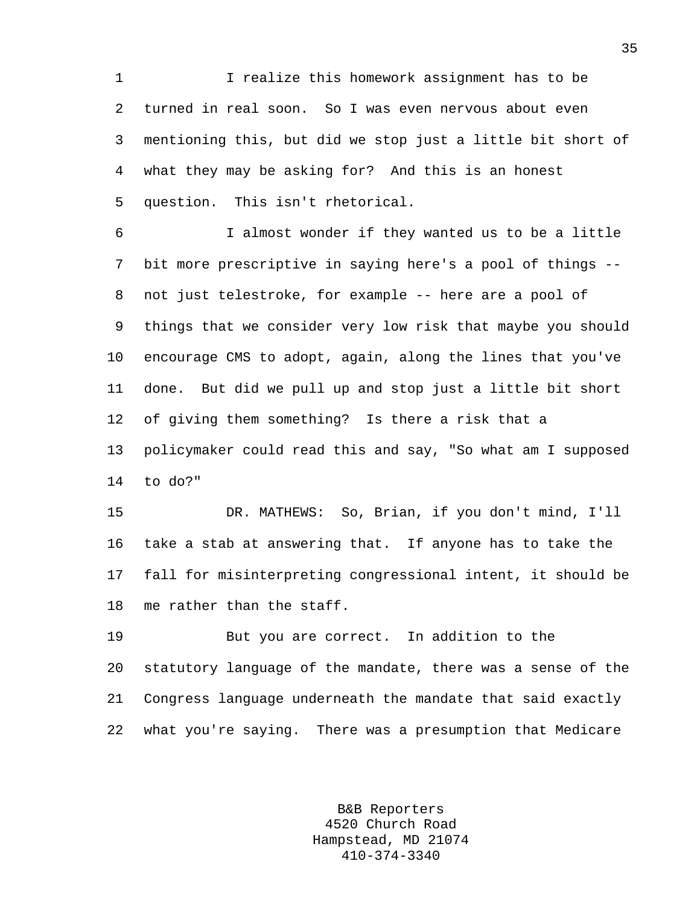1 I realize this homework assignment has to be 2 turned in real soon. So I was even nervous about even 3 mentioning this, but did we stop just a little bit short of 4 what they may be asking for? And this is an honest 5 question. This isn't rhetorical.

6 I almost wonder if they wanted us to be a little 7 bit more prescriptive in saying here's a pool of things -- 8 not just telestroke, for example -- here are a pool of 9 things that we consider very low risk that maybe you should 10 encourage CMS to adopt, again, along the lines that you've 11 done. But did we pull up and stop just a little bit short 12 of giving them something? Is there a risk that a 13 policymaker could read this and say, "So what am I supposed 14 to do?"

15 DR. MATHEWS: So, Brian, if you don't mind, I'll 16 take a stab at answering that. If anyone has to take the 17 fall for misinterpreting congressional intent, it should be 18 me rather than the staff.

19 But you are correct. In addition to the 20 statutory language of the mandate, there was a sense of the 21 Congress language underneath the mandate that said exactly 22 what you're saying. There was a presumption that Medicare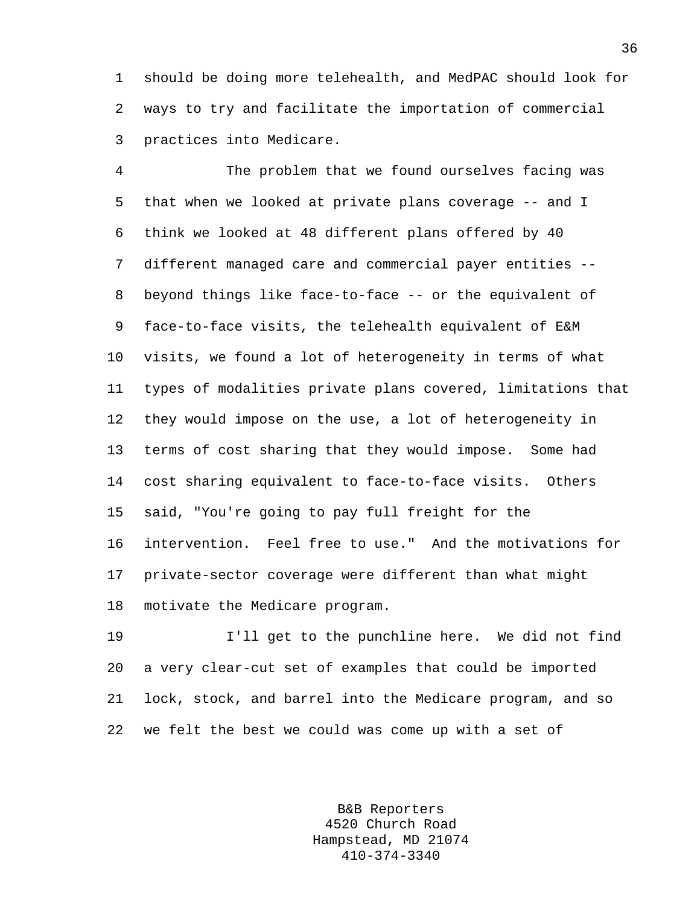1 should be doing more telehealth, and MedPAC should look for 2 ways to try and facilitate the importation of commercial 3 practices into Medicare.

4 The problem that we found ourselves facing was 5 that when we looked at private plans coverage -- and I 6 think we looked at 48 different plans offered by 40 7 different managed care and commercial payer entities -- 8 beyond things like face-to-face -- or the equivalent of 9 face-to-face visits, the telehealth equivalent of E&M 10 visits, we found a lot of heterogeneity in terms of what 11 types of modalities private plans covered, limitations that 12 they would impose on the use, a lot of heterogeneity in 13 terms of cost sharing that they would impose. Some had 14 cost sharing equivalent to face-to-face visits. Others 15 said, "You're going to pay full freight for the 16 intervention. Feel free to use." And the motivations for 17 private-sector coverage were different than what might 18 motivate the Medicare program.

19 I'll get to the punchline here. We did not find 20 a very clear-cut set of examples that could be imported 21 lock, stock, and barrel into the Medicare program, and so 22 we felt the best we could was come up with a set of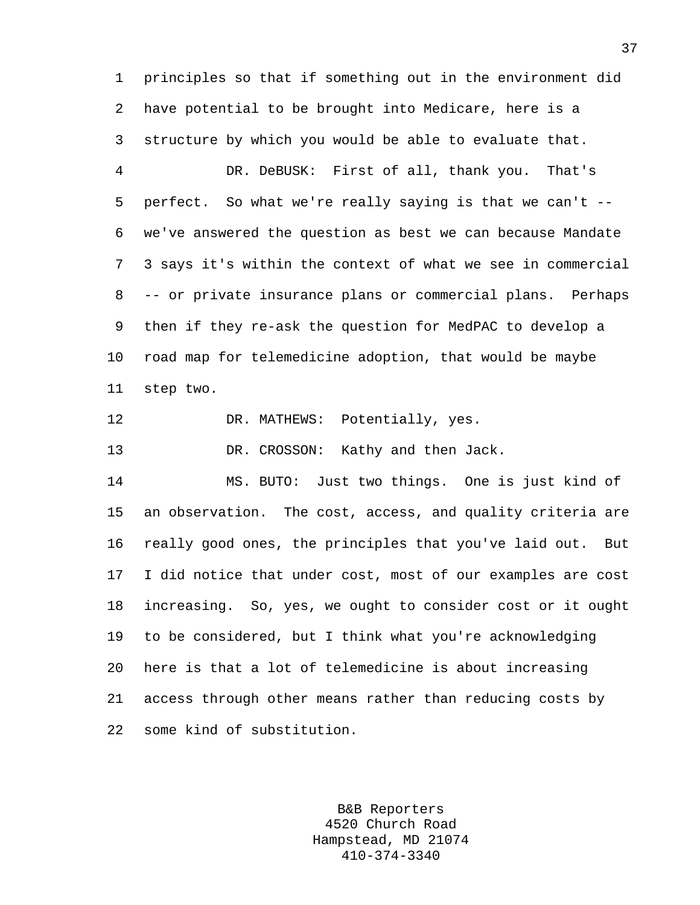1 principles so that if something out in the environment did 2 have potential to be brought into Medicare, here is a 3 structure by which you would be able to evaluate that. 4 DR. DeBUSK: First of all, thank you. That's

5 perfect. So what we're really saying is that we can't -- 6 we've answered the question as best we can because Mandate 7 3 says it's within the context of what we see in commercial 8 -- or private insurance plans or commercial plans. Perhaps 9 then if they re-ask the question for MedPAC to develop a 10 road map for telemedicine adoption, that would be maybe 11 step two.

12 DR. MATHEWS: Potentially, yes.

13 DR. CROSSON: Kathy and then Jack.

14 MS. BUTO: Just two things. One is just kind of 15 an observation. The cost, access, and quality criteria are 16 really good ones, the principles that you've laid out. But 17 I did notice that under cost, most of our examples are cost 18 increasing. So, yes, we ought to consider cost or it ought 19 to be considered, but I think what you're acknowledging 20 here is that a lot of telemedicine is about increasing 21 access through other means rather than reducing costs by 22 some kind of substitution.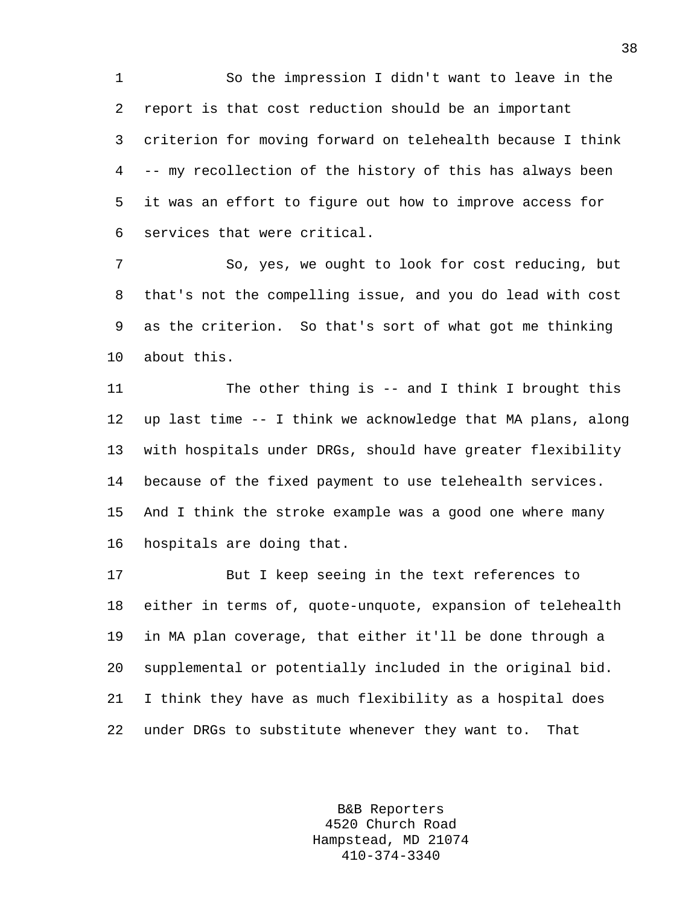1 So the impression I didn't want to leave in the 2 report is that cost reduction should be an important 3 criterion for moving forward on telehealth because I think 4 -- my recollection of the history of this has always been 5 it was an effort to figure out how to improve access for 6 services that were critical.

7 So, yes, we ought to look for cost reducing, but 8 that's not the compelling issue, and you do lead with cost 9 as the criterion. So that's sort of what got me thinking 10 about this.

11 The other thing is -- and I think I brought this 12 up last time -- I think we acknowledge that MA plans, along 13 with hospitals under DRGs, should have greater flexibility 14 because of the fixed payment to use telehealth services. 15 And I think the stroke example was a good one where many 16 hospitals are doing that.

17 But I keep seeing in the text references to 18 either in terms of, quote-unquote, expansion of telehealth 19 in MA plan coverage, that either it'll be done through a 20 supplemental or potentially included in the original bid. 21 I think they have as much flexibility as a hospital does 22 under DRGs to substitute whenever they want to. That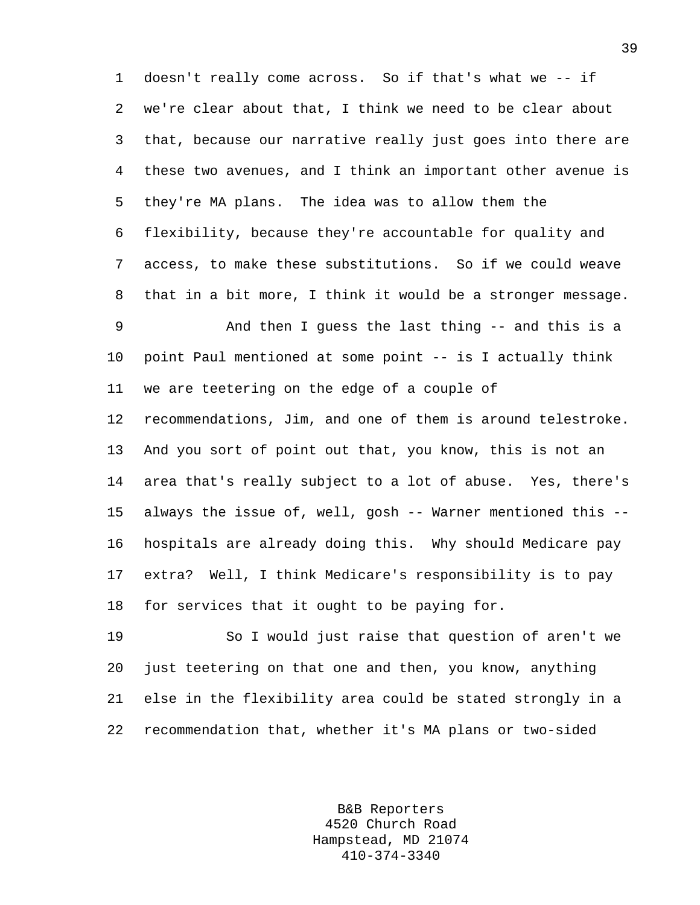1 doesn't really come across. So if that's what we -- if 2 we're clear about that, I think we need to be clear about 3 that, because our narrative really just goes into there are 4 these two avenues, and I think an important other avenue is 5 they're MA plans. The idea was to allow them the 6 flexibility, because they're accountable for quality and 7 access, to make these substitutions. So if we could weave 8 that in a bit more, I think it would be a stronger message. 9 And then I guess the last thing -- and this is a 10 point Paul mentioned at some point -- is I actually think

11 we are teetering on the edge of a couple of

12 recommendations, Jim, and one of them is around telestroke. 13 And you sort of point out that, you know, this is not an 14 area that's really subject to a lot of abuse. Yes, there's 15 always the issue of, well, gosh -- Warner mentioned this -- 16 hospitals are already doing this. Why should Medicare pay 17 extra? Well, I think Medicare's responsibility is to pay 18 for services that it ought to be paying for.

19 So I would just raise that question of aren't we 20 just teetering on that one and then, you know, anything 21 else in the flexibility area could be stated strongly in a 22 recommendation that, whether it's MA plans or two-sided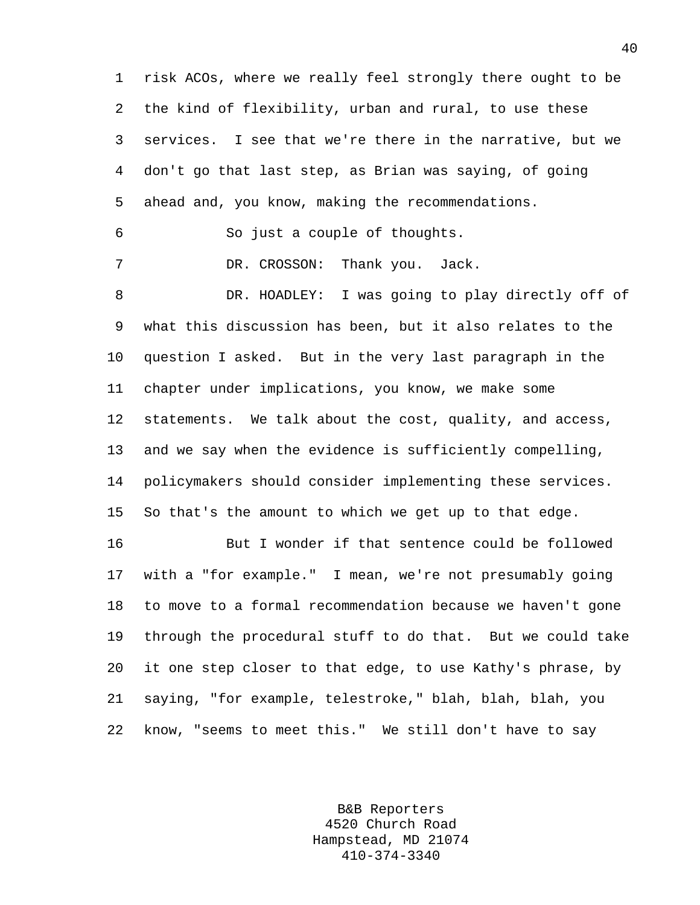1 risk ACOs, where we really feel strongly there ought to be 2 the kind of flexibility, urban and rural, to use these 3 services. I see that we're there in the narrative, but we 4 don't go that last step, as Brian was saying, of going 5 ahead and, you know, making the recommendations. 6 So just a couple of thoughts. 7 DR. CROSSON: Thank you. Jack. 8 DR. HOADLEY: I was going to play directly off of 9 what this discussion has been, but it also relates to the 10 question I asked. But in the very last paragraph in the 11 chapter under implications, you know, we make some 12 statements. We talk about the cost, quality, and access, 13 and we say when the evidence is sufficiently compelling, 14 policymakers should consider implementing these services. 15 So that's the amount to which we get up to that edge. 16 But I wonder if that sentence could be followed 17 with a "for example." I mean, we're not presumably going 18 to move to a formal recommendation because we haven't gone 19 through the procedural stuff to do that. But we could take 20 it one step closer to that edge, to use Kathy's phrase, by 21 saying, "for example, telestroke," blah, blah, blah, you

22 know, "seems to meet this." We still don't have to say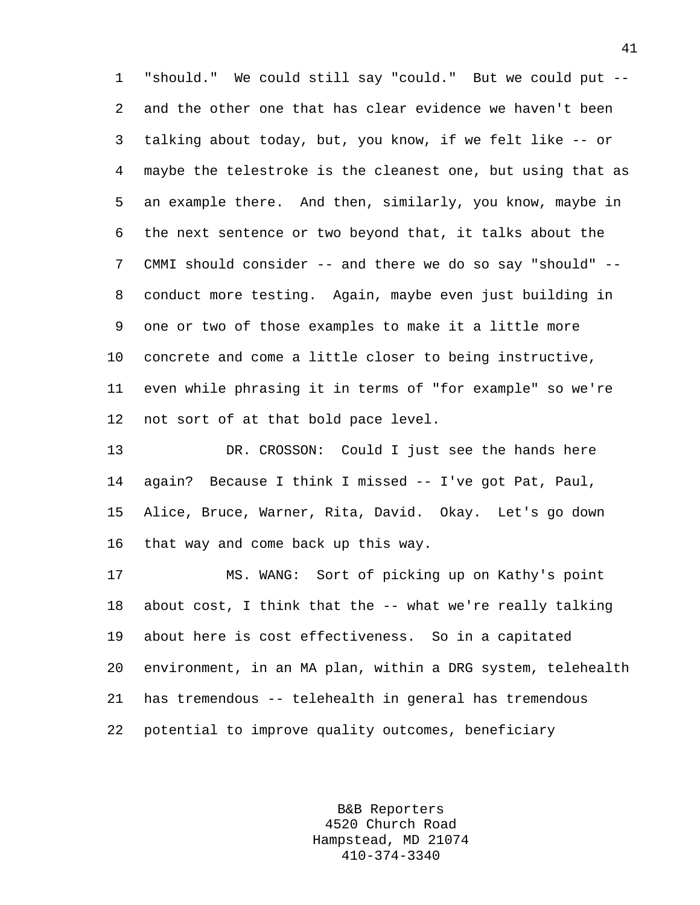1 "should." We could still say "could." But we could put -- 2 and the other one that has clear evidence we haven't been 3 talking about today, but, you know, if we felt like -- or 4 maybe the telestroke is the cleanest one, but using that as 5 an example there. And then, similarly, you know, maybe in 6 the next sentence or two beyond that, it talks about the 7 CMMI should consider -- and there we do so say "should" -- 8 conduct more testing. Again, maybe even just building in 9 one or two of those examples to make it a little more 10 concrete and come a little closer to being instructive, 11 even while phrasing it in terms of "for example" so we're 12 not sort of at that bold pace level.

13 DR. CROSSON: Could I just see the hands here 14 again? Because I think I missed -- I've got Pat, Paul, 15 Alice, Bruce, Warner, Rita, David. Okay. Let's go down 16 that way and come back up this way.

17 MS. WANG: Sort of picking up on Kathy's point 18 about cost, I think that the -- what we're really talking 19 about here is cost effectiveness. So in a capitated 20 environment, in an MA plan, within a DRG system, telehealth 21 has tremendous -- telehealth in general has tremendous 22 potential to improve quality outcomes, beneficiary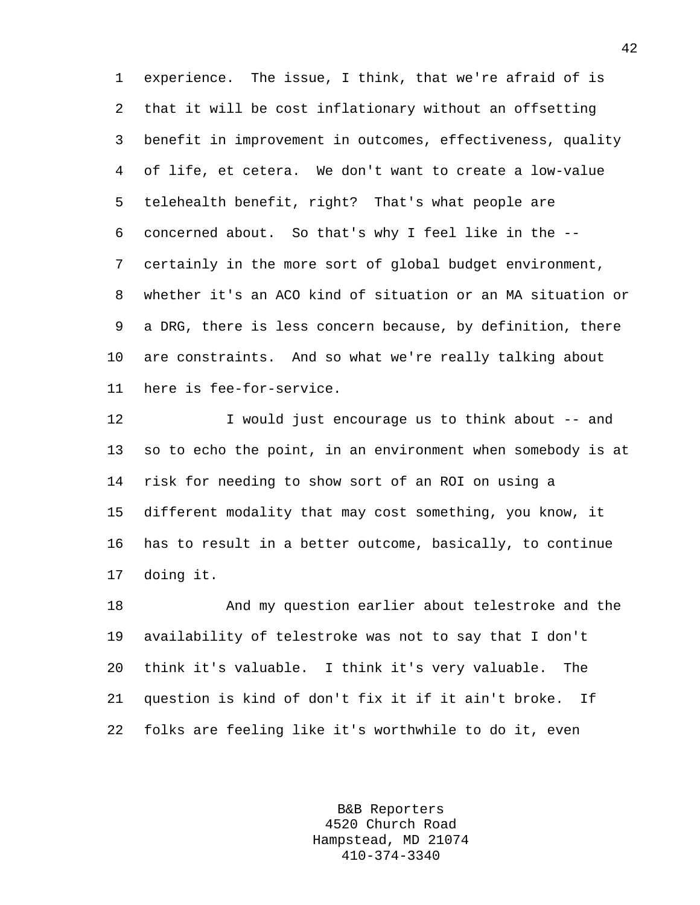1 experience. The issue, I think, that we're afraid of is 2 that it will be cost inflationary without an offsetting 3 benefit in improvement in outcomes, effectiveness, quality 4 of life, et cetera. We don't want to create a low-value 5 telehealth benefit, right? That's what people are 6 concerned about. So that's why I feel like in the -- 7 certainly in the more sort of global budget environment, 8 whether it's an ACO kind of situation or an MA situation or 9 a DRG, there is less concern because, by definition, there 10 are constraints. And so what we're really talking about 11 here is fee-for-service.

12 I would just encourage us to think about -- and 13 so to echo the point, in an environment when somebody is at 14 risk for needing to show sort of an ROI on using a 15 different modality that may cost something, you know, it 16 has to result in a better outcome, basically, to continue 17 doing it.

18 And my question earlier about telestroke and the 19 availability of telestroke was not to say that I don't 20 think it's valuable. I think it's very valuable. The 21 question is kind of don't fix it if it ain't broke. If 22 folks are feeling like it's worthwhile to do it, even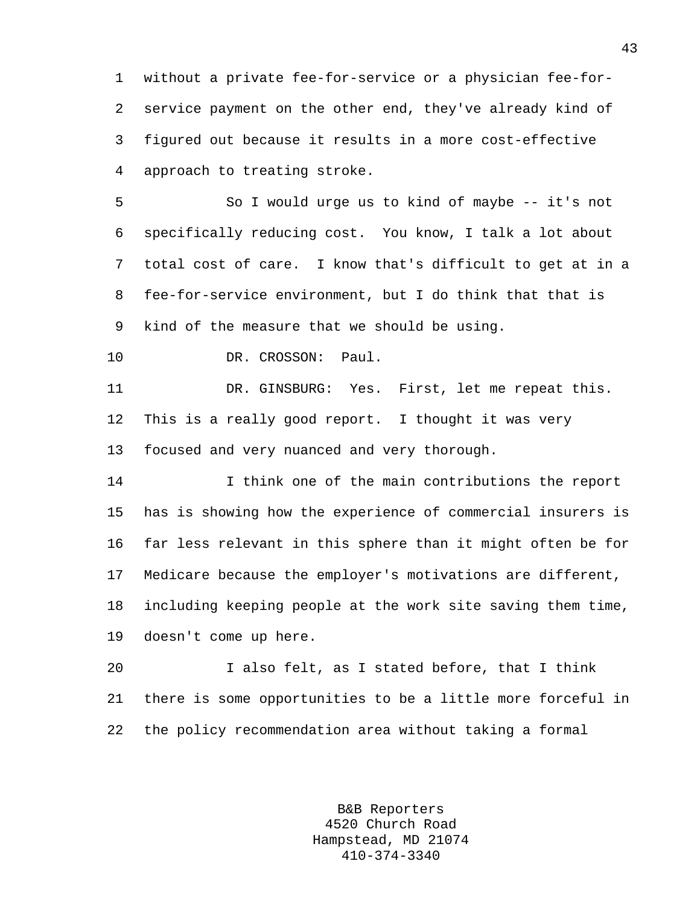1 without a private fee-for-service or a physician fee-for-2 service payment on the other end, they've already kind of 3 figured out because it results in a more cost-effective 4 approach to treating stroke.

5 So I would urge us to kind of maybe -- it's not 6 specifically reducing cost. You know, I talk a lot about 7 total cost of care. I know that's difficult to get at in a 8 fee-for-service environment, but I do think that that is 9 kind of the measure that we should be using.

10 DR. CROSSON: Paul.

11 DR. GINSBURG: Yes. First, let me repeat this. 12 This is a really good report. I thought it was very 13 focused and very nuanced and very thorough.

14 I think one of the main contributions the report 15 has is showing how the experience of commercial insurers is 16 far less relevant in this sphere than it might often be for 17 Medicare because the employer's motivations are different, 18 including keeping people at the work site saving them time, 19 doesn't come up here.

20 I also felt, as I stated before, that I think 21 there is some opportunities to be a little more forceful in 22 the policy recommendation area without taking a formal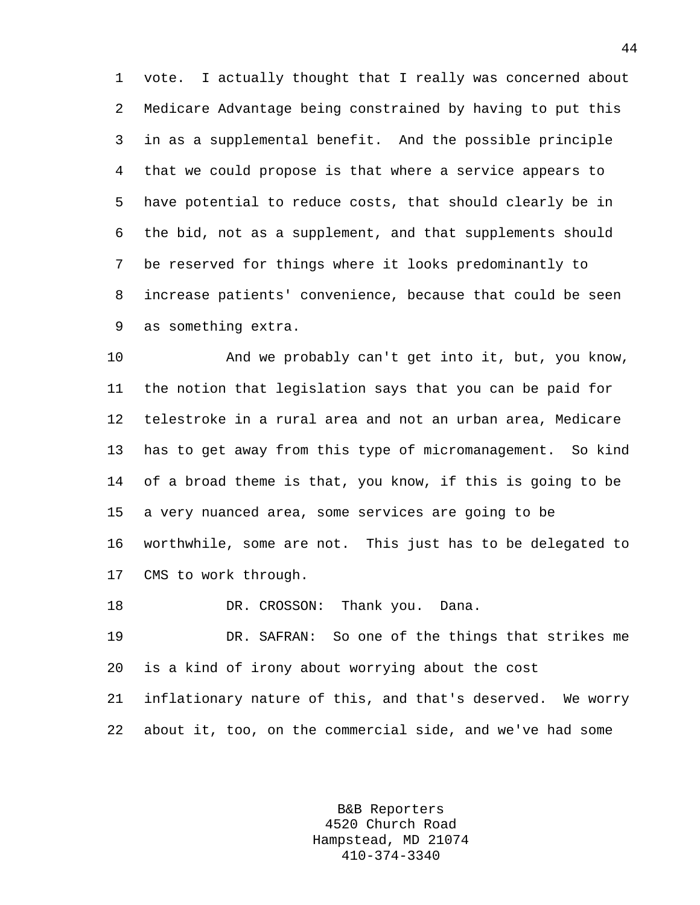1 vote. I actually thought that I really was concerned about 2 Medicare Advantage being constrained by having to put this 3 in as a supplemental benefit. And the possible principle 4 that we could propose is that where a service appears to 5 have potential to reduce costs, that should clearly be in 6 the bid, not as a supplement, and that supplements should 7 be reserved for things where it looks predominantly to 8 increase patients' convenience, because that could be seen 9 as something extra.

10 And we probably can't get into it, but, you know, 11 the notion that legislation says that you can be paid for 12 telestroke in a rural area and not an urban area, Medicare 13 has to get away from this type of micromanagement. So kind 14 of a broad theme is that, you know, if this is going to be 15 a very nuanced area, some services are going to be 16 worthwhile, some are not. This just has to be delegated to 17 CMS to work through.

18 DR. CROSSON: Thank you. Dana.

19 DR. SAFRAN: So one of the things that strikes me 20 is a kind of irony about worrying about the cost 21 inflationary nature of this, and that's deserved. We worry 22 about it, too, on the commercial side, and we've had some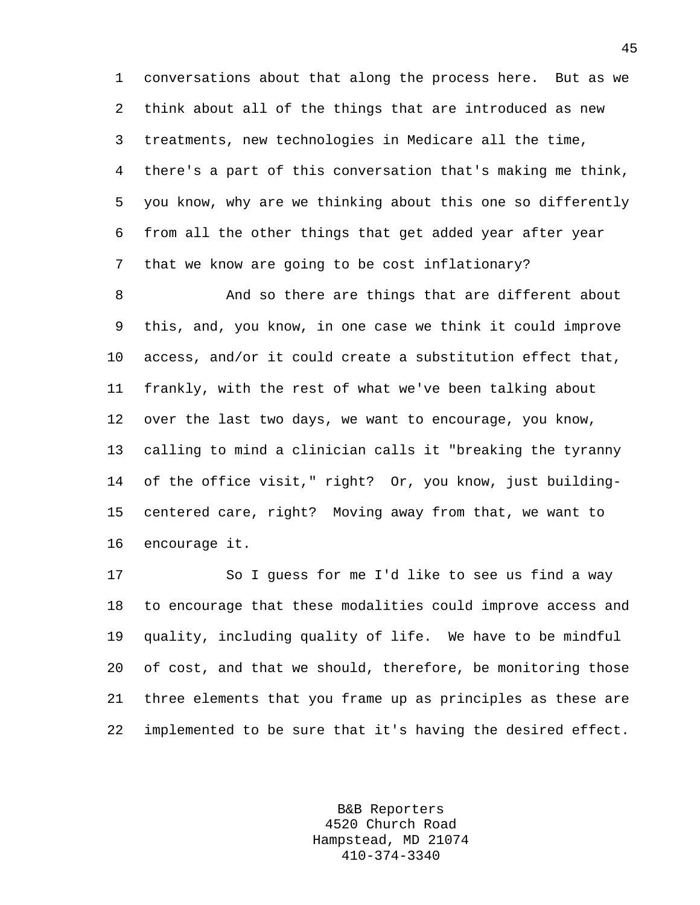1 conversations about that along the process here. But as we 2 think about all of the things that are introduced as new 3 treatments, new technologies in Medicare all the time, 4 there's a part of this conversation that's making me think, 5 you know, why are we thinking about this one so differently 6 from all the other things that get added year after year 7 that we know are going to be cost inflationary?

8 And so there are things that are different about 9 this, and, you know, in one case we think it could improve 10 access, and/or it could create a substitution effect that, 11 frankly, with the rest of what we've been talking about 12 over the last two days, we want to encourage, you know, 13 calling to mind a clinician calls it "breaking the tyranny 14 of the office visit," right? Or, you know, just building-15 centered care, right? Moving away from that, we want to 16 encourage it.

17 So I guess for me I'd like to see us find a way 18 to encourage that these modalities could improve access and 19 quality, including quality of life. We have to be mindful 20 of cost, and that we should, therefore, be monitoring those 21 three elements that you frame up as principles as these are 22 implemented to be sure that it's having the desired effect.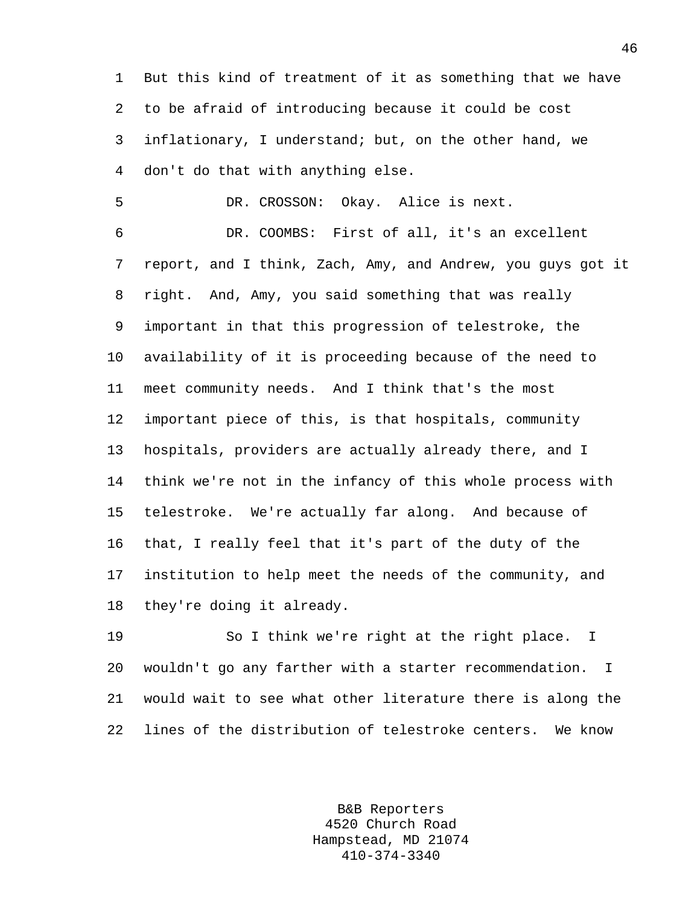1 But this kind of treatment of it as something that we have 2 to be afraid of introducing because it could be cost 3 inflationary, I understand; but, on the other hand, we 4 don't do that with anything else.

5 DR. CROSSON: Okay. Alice is next.

6 DR. COOMBS: First of all, it's an excellent 7 report, and I think, Zach, Amy, and Andrew, you guys got it 8 right. And, Amy, you said something that was really 9 important in that this progression of telestroke, the 10 availability of it is proceeding because of the need to 11 meet community needs. And I think that's the most 12 important piece of this, is that hospitals, community 13 hospitals, providers are actually already there, and I 14 think we're not in the infancy of this whole process with 15 telestroke. We're actually far along. And because of 16 that, I really feel that it's part of the duty of the 17 institution to help meet the needs of the community, and 18 they're doing it already.

19 So I think we're right at the right place. I 20 wouldn't go any farther with a starter recommendation. I 21 would wait to see what other literature there is along the 22 lines of the distribution of telestroke centers. We know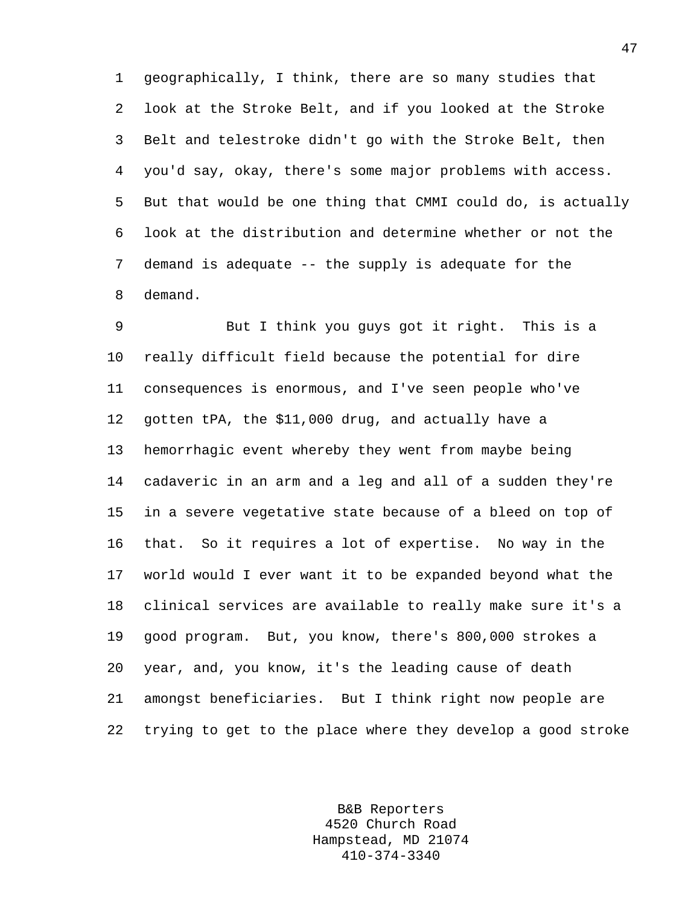1 geographically, I think, there are so many studies that 2 look at the Stroke Belt, and if you looked at the Stroke 3 Belt and telestroke didn't go with the Stroke Belt, then 4 you'd say, okay, there's some major problems with access. 5 But that would be one thing that CMMI could do, is actually 6 look at the distribution and determine whether or not the 7 demand is adequate -- the supply is adequate for the 8 demand.

9 But I think you guys got it right. This is a 10 really difficult field because the potential for dire 11 consequences is enormous, and I've seen people who've 12 gotten tPA, the \$11,000 drug, and actually have a 13 hemorrhagic event whereby they went from maybe being 14 cadaveric in an arm and a leg and all of a sudden they're 15 in a severe vegetative state because of a bleed on top of 16 that. So it requires a lot of expertise. No way in the 17 world would I ever want it to be expanded beyond what the 18 clinical services are available to really make sure it's a 19 good program. But, you know, there's 800,000 strokes a 20 year, and, you know, it's the leading cause of death 21 amongst beneficiaries. But I think right now people are 22 trying to get to the place where they develop a good stroke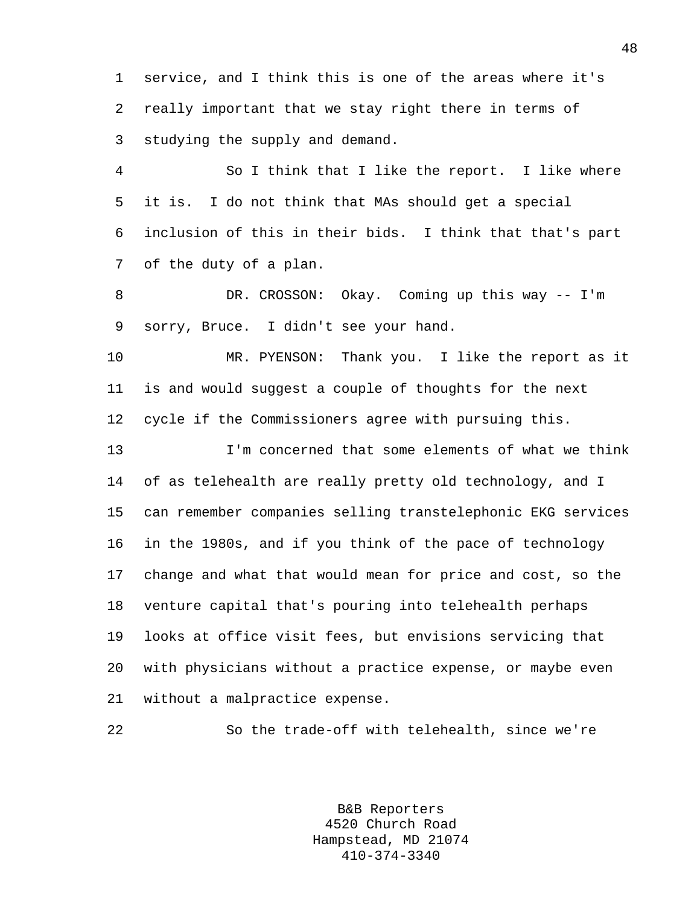1 service, and I think this is one of the areas where it's 2 really important that we stay right there in terms of 3 studying the supply and demand.

4 So I think that I like the report. I like where 5 it is. I do not think that MAs should get a special 6 inclusion of this in their bids. I think that that's part 7 of the duty of a plan.

8 DR. CROSSON: Okay. Coming up this way -- I'm 9 sorry, Bruce. I didn't see your hand.

10 MR. PYENSON: Thank you. I like the report as it 11 is and would suggest a couple of thoughts for the next 12 cycle if the Commissioners agree with pursuing this.

13 I'm concerned that some elements of what we think 14 of as telehealth are really pretty old technology, and I 15 can remember companies selling transtelephonic EKG services 16 in the 1980s, and if you think of the pace of technology 17 change and what that would mean for price and cost, so the 18 venture capital that's pouring into telehealth perhaps 19 looks at office visit fees, but envisions servicing that 20 with physicians without a practice expense, or maybe even 21 without a malpractice expense.

22 So the trade-off with telehealth, since we're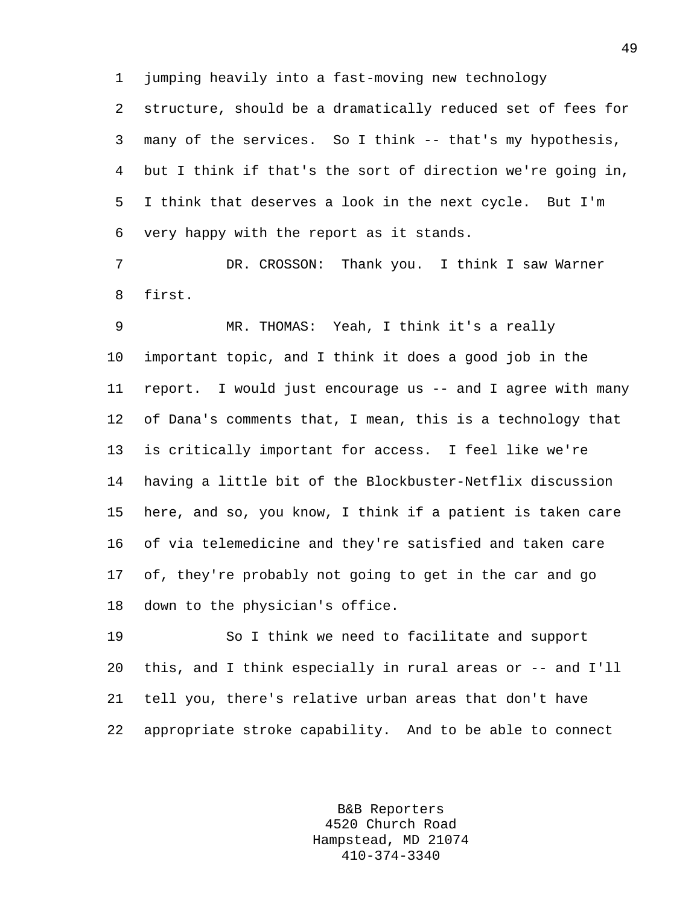1 jumping heavily into a fast-moving new technology

2 structure, should be a dramatically reduced set of fees for 3 many of the services. So I think -- that's my hypothesis, 4 but I think if that's the sort of direction we're going in, 5 I think that deserves a look in the next cycle. But I'm 6 very happy with the report as it stands.

7 DR. CROSSON: Thank you. I think I saw Warner 8 first.

9 MR. THOMAS: Yeah, I think it's a really 10 important topic, and I think it does a good job in the 11 report. I would just encourage us -- and I agree with many 12 of Dana's comments that, I mean, this is a technology that 13 is critically important for access. I feel like we're 14 having a little bit of the Blockbuster-Netflix discussion 15 here, and so, you know, I think if a patient is taken care 16 of via telemedicine and they're satisfied and taken care 17 of, they're probably not going to get in the car and go 18 down to the physician's office.

19 So I think we need to facilitate and support 20 this, and I think especially in rural areas or -- and I'll 21 tell you, there's relative urban areas that don't have 22 appropriate stroke capability. And to be able to connect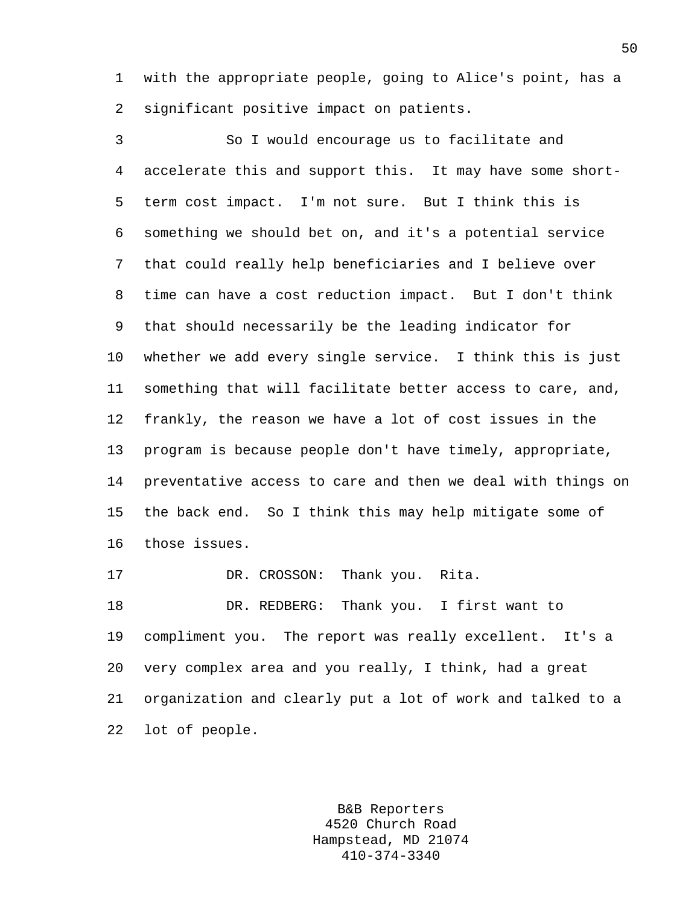1 with the appropriate people, going to Alice's point, has a 2 significant positive impact on patients.

3 So I would encourage us to facilitate and 4 accelerate this and support this. It may have some short-5 term cost impact. I'm not sure. But I think this is 6 something we should bet on, and it's a potential service 7 that could really help beneficiaries and I believe over 8 time can have a cost reduction impact. But I don't think 9 that should necessarily be the leading indicator for 10 whether we add every single service. I think this is just 11 something that will facilitate better access to care, and, 12 frankly, the reason we have a lot of cost issues in the 13 program is because people don't have timely, appropriate, 14 preventative access to care and then we deal with things on 15 the back end. So I think this may help mitigate some of 16 those issues.

17 DR. CROSSON: Thank you. Rita.

18 DR. REDBERG: Thank you. I first want to 19 compliment you. The report was really excellent. It's a 20 very complex area and you really, I think, had a great 21 organization and clearly put a lot of work and talked to a 22 lot of people.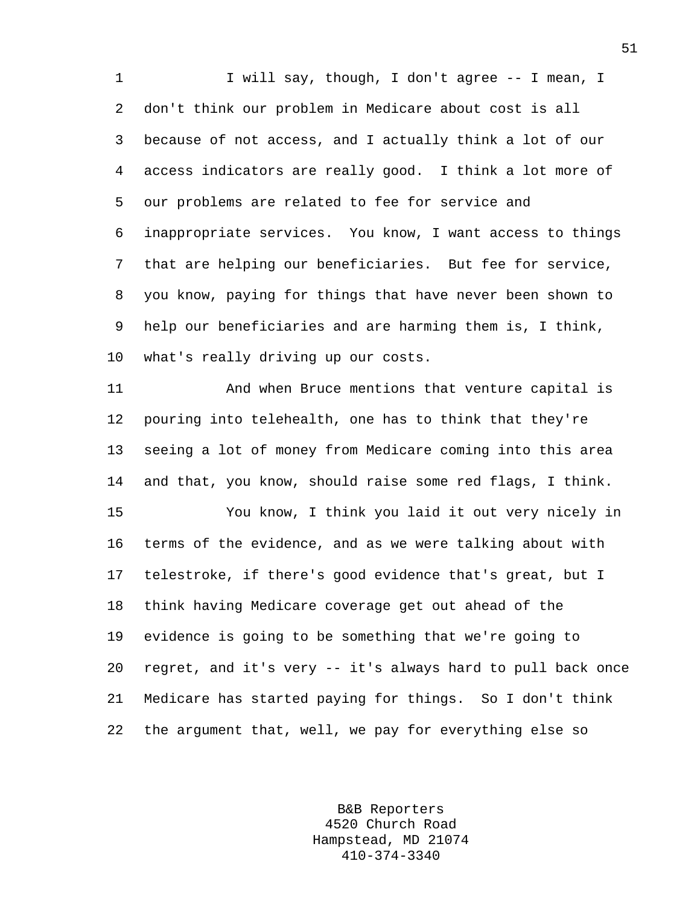1 I will say, though, I don't agree -- I mean, I 2 don't think our problem in Medicare about cost is all 3 because of not access, and I actually think a lot of our 4 access indicators are really good. I think a lot more of 5 our problems are related to fee for service and 6 inappropriate services. You know, I want access to things 7 that are helping our beneficiaries. But fee for service, 8 you know, paying for things that have never been shown to 9 help our beneficiaries and are harming them is, I think, 10 what's really driving up our costs.

11 And when Bruce mentions that venture capital is 12 pouring into telehealth, one has to think that they're 13 seeing a lot of money from Medicare coming into this area 14 and that, you know, should raise some red flags, I think. 15 You know, I think you laid it out very nicely in 16 terms of the evidence, and as we were talking about with 17 telestroke, if there's good evidence that's great, but I 18 think having Medicare coverage get out ahead of the 19 evidence is going to be something that we're going to 20 regret, and it's very -- it's always hard to pull back once 21 Medicare has started paying for things. So I don't think 22 the argument that, well, we pay for everything else so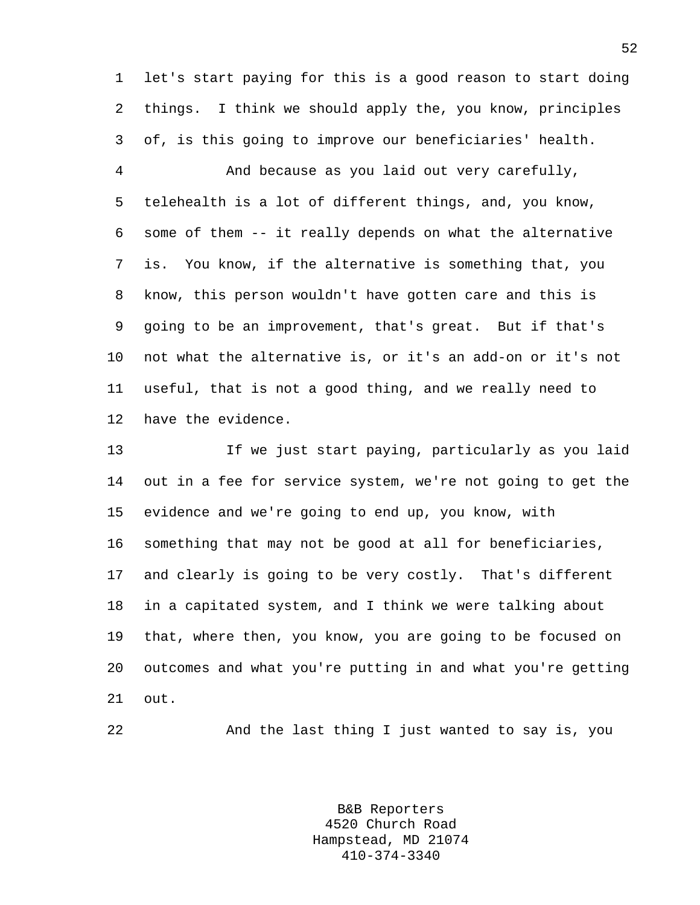1 let's start paying for this is a good reason to start doing 2 things. I think we should apply the, you know, principles 3 of, is this going to improve our beneficiaries' health.

4 And because as you laid out very carefully, 5 telehealth is a lot of different things, and, you know, 6 some of them -- it really depends on what the alternative 7 is. You know, if the alternative is something that, you 8 know, this person wouldn't have gotten care and this is 9 going to be an improvement, that's great. But if that's 10 not what the alternative is, or it's an add-on or it's not 11 useful, that is not a good thing, and we really need to 12 have the evidence.

13 If we just start paying, particularly as you laid 14 out in a fee for service system, we're not going to get the 15 evidence and we're going to end up, you know, with 16 something that may not be good at all for beneficiaries, 17 and clearly is going to be very costly. That's different 18 in a capitated system, and I think we were talking about 19 that, where then, you know, you are going to be focused on 20 outcomes and what you're putting in and what you're getting 21 out.

22 And the last thing I just wanted to say is, you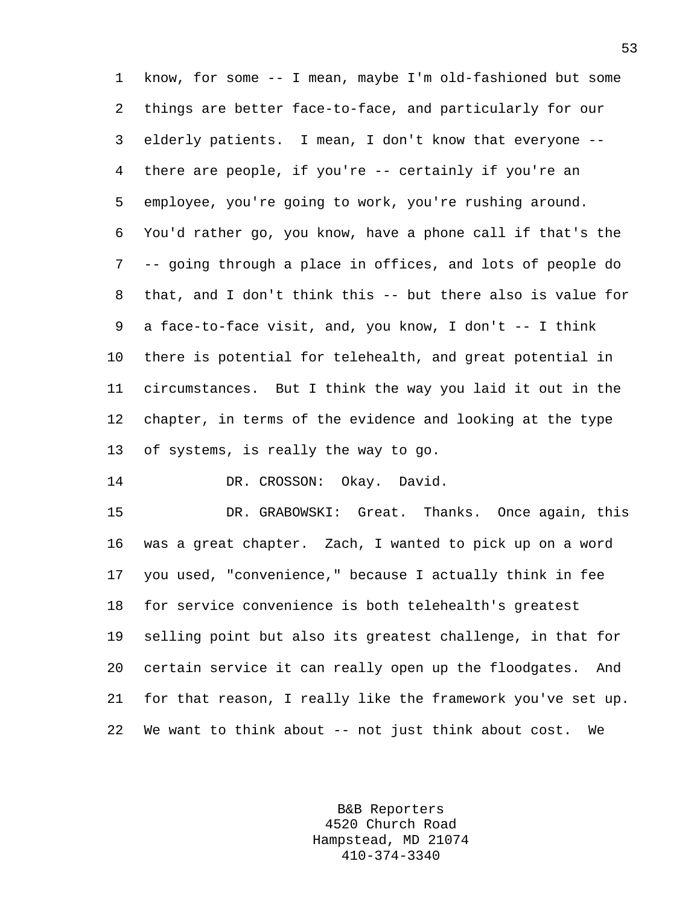1 know, for some -- I mean, maybe I'm old-fashioned but some 2 things are better face-to-face, and particularly for our 3 elderly patients. I mean, I don't know that everyone -- 4 there are people, if you're -- certainly if you're an 5 employee, you're going to work, you're rushing around. 6 You'd rather go, you know, have a phone call if that's the 7 -- going through a place in offices, and lots of people do 8 that, and I don't think this -- but there also is value for 9 a face-to-face visit, and, you know, I don't -- I think 10 there is potential for telehealth, and great potential in 11 circumstances. But I think the way you laid it out in the 12 chapter, in terms of the evidence and looking at the type 13 of systems, is really the way to go.

14 DR. CROSSON: Okay. David.

15 DR. GRABOWSKI: Great. Thanks. Once again, this 16 was a great chapter. Zach, I wanted to pick up on a word 17 you used, "convenience," because I actually think in fee 18 for service convenience is both telehealth's greatest 19 selling point but also its greatest challenge, in that for 20 certain service it can really open up the floodgates. And 21 for that reason, I really like the framework you've set up. 22 We want to think about -- not just think about cost. We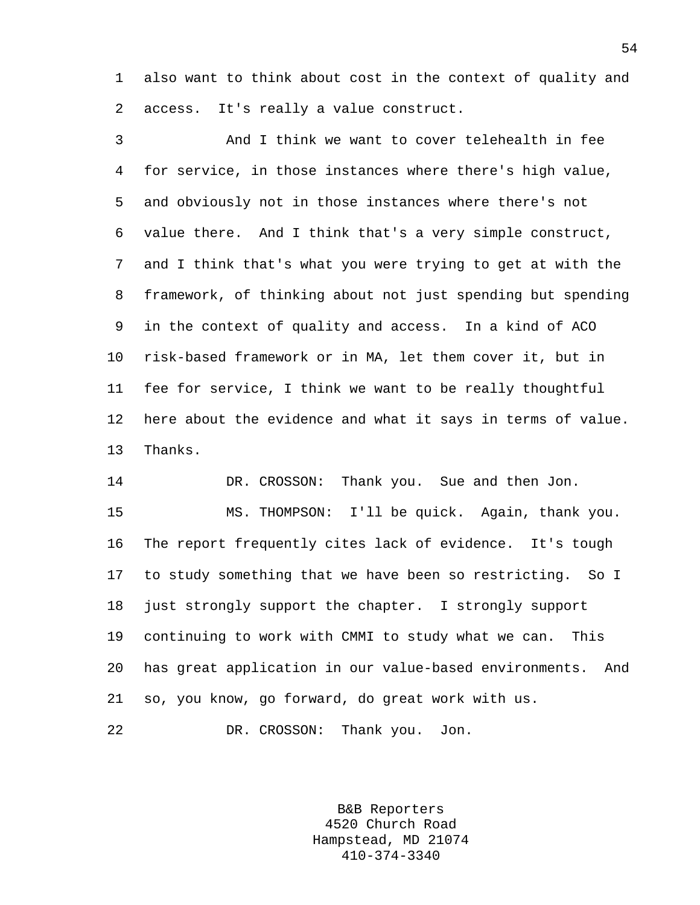1 also want to think about cost in the context of quality and 2 access. It's really a value construct.

3 And I think we want to cover telehealth in fee 4 for service, in those instances where there's high value, 5 and obviously not in those instances where there's not 6 value there. And I think that's a very simple construct, 7 and I think that's what you were trying to get at with the 8 framework, of thinking about not just spending but spending 9 in the context of quality and access. In a kind of ACO 10 risk-based framework or in MA, let them cover it, but in 11 fee for service, I think we want to be really thoughtful 12 here about the evidence and what it says in terms of value. 13 Thanks.

14 DR. CROSSON: Thank you. Sue and then Jon. 15 MS. THOMPSON: I'll be quick. Again, thank you. 16 The report frequently cites lack of evidence. It's tough 17 to study something that we have been so restricting. So I 18 just strongly support the chapter. I strongly support 19 continuing to work with CMMI to study what we can. This 20 has great application in our value-based environments. And 21 so, you know, go forward, do great work with us. 22 DR. CROSSON: Thank you. Jon.

> B&B Reporters 4520 Church Road Hampstead, MD 21074 410-374-3340

54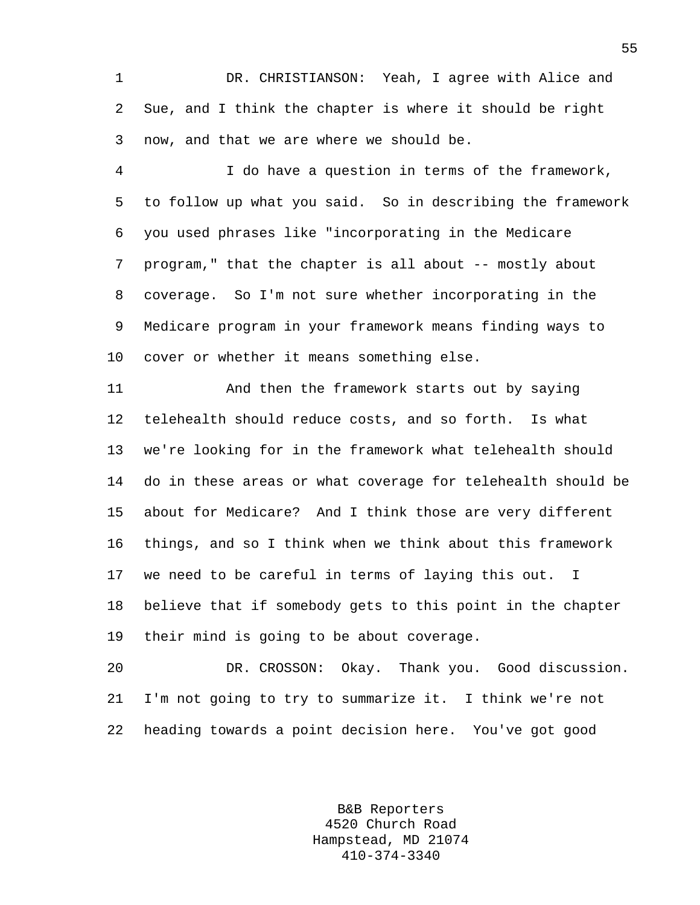1 DR. CHRISTIANSON: Yeah, I agree with Alice and 2 Sue, and I think the chapter is where it should be right 3 now, and that we are where we should be.

4 I do have a question in terms of the framework, 5 to follow up what you said. So in describing the framework 6 you used phrases like "incorporating in the Medicare 7 program," that the chapter is all about -- mostly about 8 coverage. So I'm not sure whether incorporating in the 9 Medicare program in your framework means finding ways to 10 cover or whether it means something else.

11 And then the framework starts out by saying 12 telehealth should reduce costs, and so forth. Is what 13 we're looking for in the framework what telehealth should 14 do in these areas or what coverage for telehealth should be 15 about for Medicare? And I think those are very different 16 things, and so I think when we think about this framework 17 we need to be careful in terms of laying this out. I 18 believe that if somebody gets to this point in the chapter 19 their mind is going to be about coverage.

20 DR. CROSSON: Okay. Thank you. Good discussion. 21 I'm not going to try to summarize it. I think we're not 22 heading towards a point decision here. You've got good

> B&B Reporters 4520 Church Road Hampstead, MD 21074 410-374-3340

55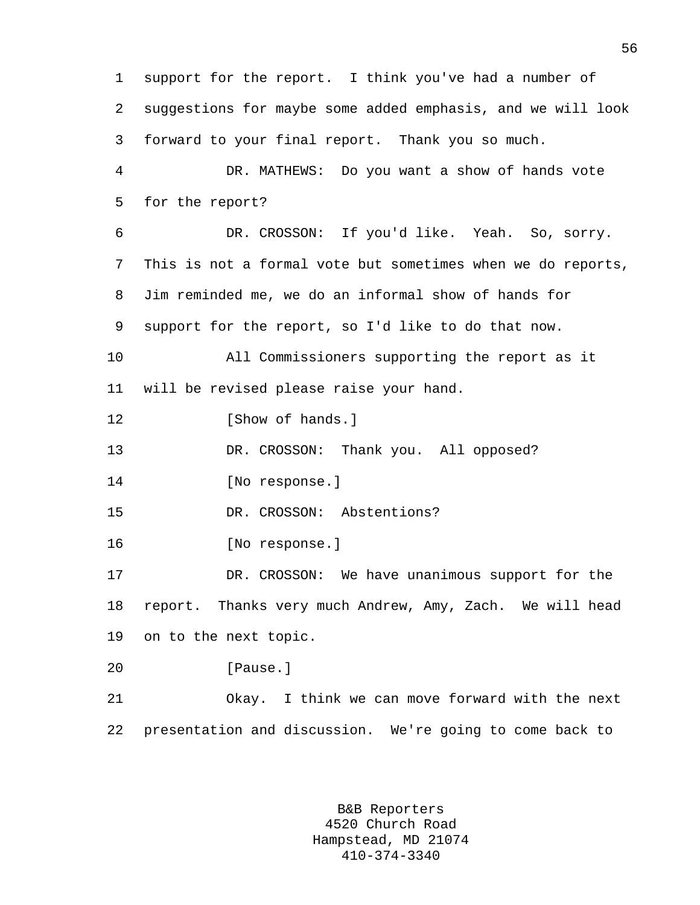1 support for the report. I think you've had a number of 2 suggestions for maybe some added emphasis, and we will look 3 forward to your final report. Thank you so much. 4 DR. MATHEWS: Do you want a show of hands vote 5 for the report? 6 DR. CROSSON: If you'd like. Yeah. So, sorry. 7 This is not a formal vote but sometimes when we do reports, 8 Jim reminded me, we do an informal show of hands for 9 support for the report, so I'd like to do that now. 10 All Commissioners supporting the report as it 11 will be revised please raise your hand. 12 [Show of hands.] 13 DR. CROSSON: Thank you. All opposed? 14 [No response.] 15 DR. CROSSON: Abstentions? 16 [No response.] 17 DR. CROSSON: We have unanimous support for the 18 report. Thanks very much Andrew, Amy, Zach. We will head 19 on to the next topic. 20 [Pause.] 21 Okay. I think we can move forward with the next 22 presentation and discussion. We're going to come back to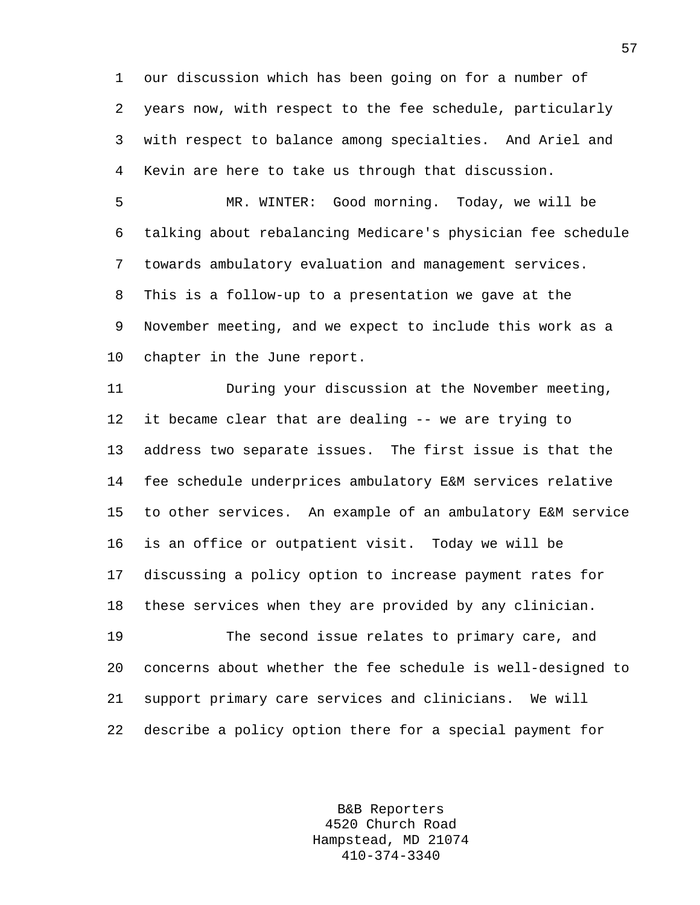1 our discussion which has been going on for a number of 2 years now, with respect to the fee schedule, particularly 3 with respect to balance among specialties. And Ariel and 4 Kevin are here to take us through that discussion.

5 MR. WINTER: Good morning. Today, we will be 6 talking about rebalancing Medicare's physician fee schedule 7 towards ambulatory evaluation and management services. 8 This is a follow-up to a presentation we gave at the 9 November meeting, and we expect to include this work as a 10 chapter in the June report.

11 During your discussion at the November meeting, 12 it became clear that are dealing -- we are trying to 13 address two separate issues. The first issue is that the 14 fee schedule underprices ambulatory E&M services relative 15 to other services. An example of an ambulatory E&M service 16 is an office or outpatient visit. Today we will be 17 discussing a policy option to increase payment rates for 18 these services when they are provided by any clinician. 19 The second issue relates to primary care, and

20 concerns about whether the fee schedule is well-designed to 21 support primary care services and clinicians. We will 22 describe a policy option there for a special payment for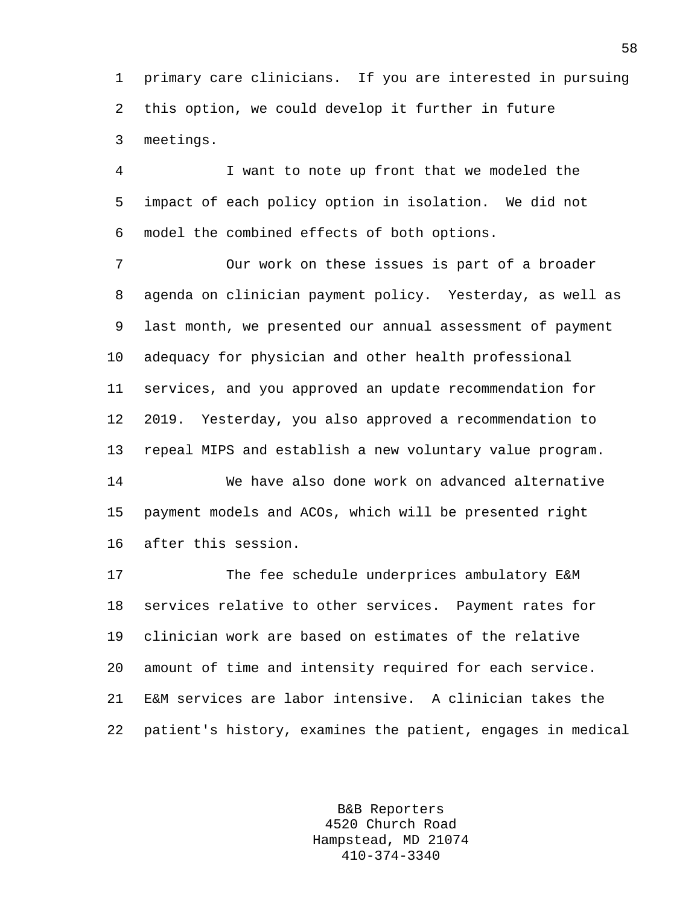1 primary care clinicians. If you are interested in pursuing 2 this option, we could develop it further in future 3 meetings.

4 I want to note up front that we modeled the 5 impact of each policy option in isolation. We did not 6 model the combined effects of both options.

7 Our work on these issues is part of a broader 8 agenda on clinician payment policy. Yesterday, as well as 9 last month, we presented our annual assessment of payment 10 adequacy for physician and other health professional 11 services, and you approved an update recommendation for 12 2019. Yesterday, you also approved a recommendation to 13 repeal MIPS and establish a new voluntary value program.

14 We have also done work on advanced alternative 15 payment models and ACOs, which will be presented right 16 after this session.

17 The fee schedule underprices ambulatory E&M 18 services relative to other services. Payment rates for 19 clinician work are based on estimates of the relative 20 amount of time and intensity required for each service. 21 E&M services are labor intensive. A clinician takes the 22 patient's history, examines the patient, engages in medical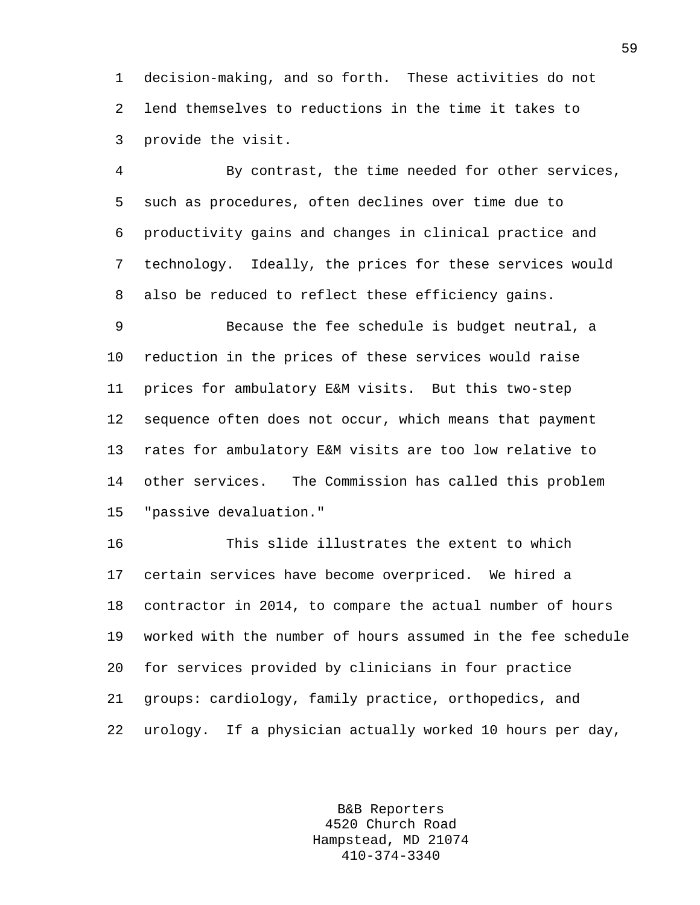1 decision-making, and so forth. These activities do not 2 lend themselves to reductions in the time it takes to 3 provide the visit.

4 By contrast, the time needed for other services, 5 such as procedures, often declines over time due to 6 productivity gains and changes in clinical practice and 7 technology. Ideally, the prices for these services would 8 also be reduced to reflect these efficiency gains.

9 Because the fee schedule is budget neutral, a 10 reduction in the prices of these services would raise 11 prices for ambulatory E&M visits. But this two-step 12 sequence often does not occur, which means that payment 13 rates for ambulatory E&M visits are too low relative to 14 other services. The Commission has called this problem 15 "passive devaluation."

16 This slide illustrates the extent to which 17 certain services have become overpriced. We hired a 18 contractor in 2014, to compare the actual number of hours 19 worked with the number of hours assumed in the fee schedule 20 for services provided by clinicians in four practice 21 groups: cardiology, family practice, orthopedics, and 22 urology. If a physician actually worked 10 hours per day,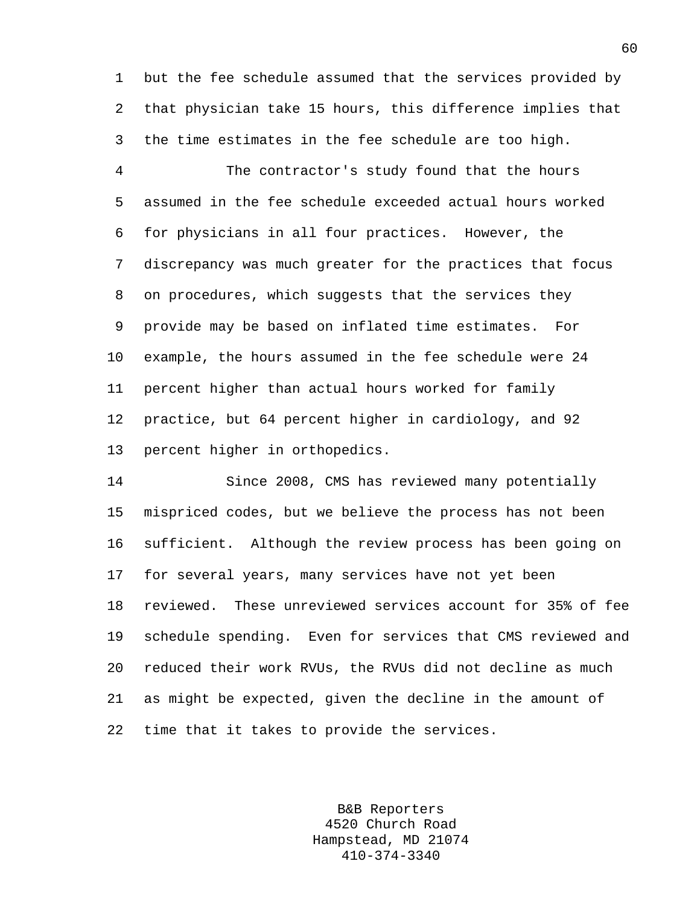1 but the fee schedule assumed that the services provided by 2 that physician take 15 hours, this difference implies that 3 the time estimates in the fee schedule are too high.

4 The contractor's study found that the hours 5 assumed in the fee schedule exceeded actual hours worked 6 for physicians in all four practices. However, the 7 discrepancy was much greater for the practices that focus 8 on procedures, which suggests that the services they 9 provide may be based on inflated time estimates. For 10 example, the hours assumed in the fee schedule were 24 11 percent higher than actual hours worked for family 12 practice, but 64 percent higher in cardiology, and 92 13 percent higher in orthopedics.

14 Since 2008, CMS has reviewed many potentially 15 mispriced codes, but we believe the process has not been 16 sufficient. Although the review process has been going on 17 for several years, many services have not yet been 18 reviewed. These unreviewed services account for 35% of fee 19 schedule spending. Even for services that CMS reviewed and 20 reduced their work RVUs, the RVUs did not decline as much 21 as might be expected, given the decline in the amount of 22 time that it takes to provide the services.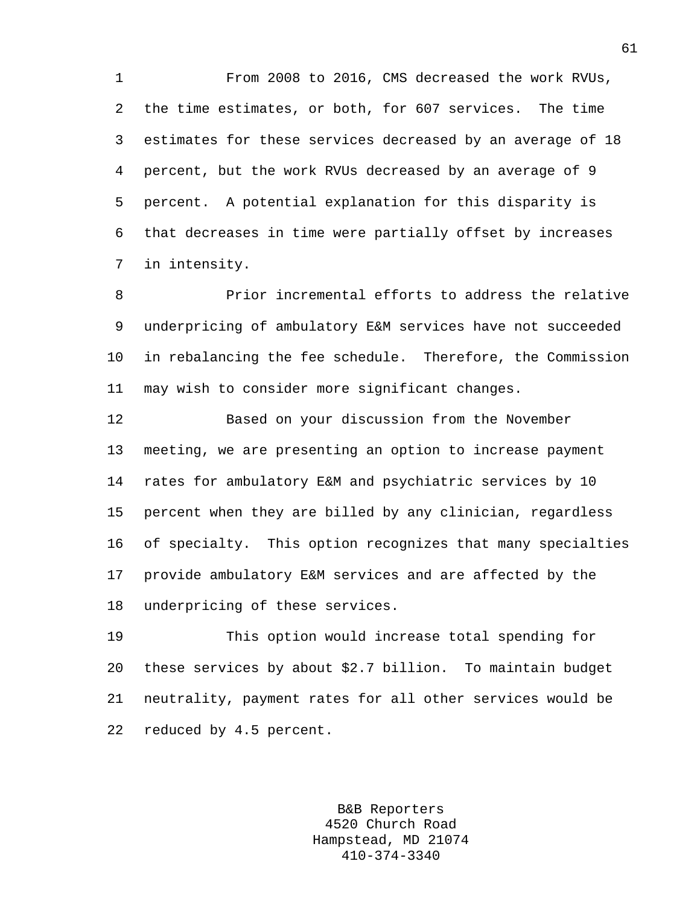1 From 2008 to 2016, CMS decreased the work RVUs, 2 the time estimates, or both, for 607 services. The time 3 estimates for these services decreased by an average of 18 4 percent, but the work RVUs decreased by an average of 9 5 percent. A potential explanation for this disparity is 6 that decreases in time were partially offset by increases 7 in intensity.

8 Prior incremental efforts to address the relative 9 underpricing of ambulatory E&M services have not succeeded 10 in rebalancing the fee schedule. Therefore, the Commission 11 may wish to consider more significant changes.

12 Based on your discussion from the November 13 meeting, we are presenting an option to increase payment 14 rates for ambulatory E&M and psychiatric services by 10 15 percent when they are billed by any clinician, regardless 16 of specialty. This option recognizes that many specialties 17 provide ambulatory E&M services and are affected by the 18 underpricing of these services.

19 This option would increase total spending for 20 these services by about \$2.7 billion. To maintain budget 21 neutrality, payment rates for all other services would be 22 reduced by 4.5 percent.

> B&B Reporters 4520 Church Road Hampstead, MD 21074 410-374-3340

61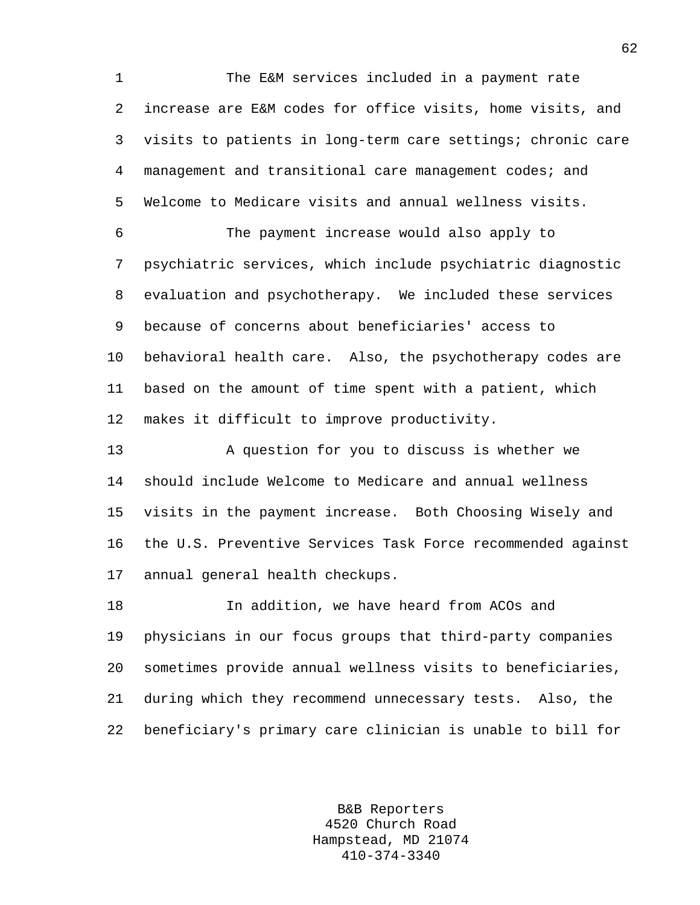1 The E&M services included in a payment rate 2 increase are E&M codes for office visits, home visits, and 3 visits to patients in long-term care settings; chronic care 4 management and transitional care management codes; and 5 Welcome to Medicare visits and annual wellness visits.

6 The payment increase would also apply to 7 psychiatric services, which include psychiatric diagnostic 8 evaluation and psychotherapy. We included these services 9 because of concerns about beneficiaries' access to 10 behavioral health care. Also, the psychotherapy codes are 11 based on the amount of time spent with a patient, which 12 makes it difficult to improve productivity.

13 A question for you to discuss is whether we 14 should include Welcome to Medicare and annual wellness 15 visits in the payment increase. Both Choosing Wisely and 16 the U.S. Preventive Services Task Force recommended against 17 annual general health checkups.

18 In addition, we have heard from ACOs and 19 physicians in our focus groups that third-party companies 20 sometimes provide annual wellness visits to beneficiaries, 21 during which they recommend unnecessary tests. Also, the 22 beneficiary's primary care clinician is unable to bill for

> B&B Reporters 4520 Church Road Hampstead, MD 21074 410-374-3340

62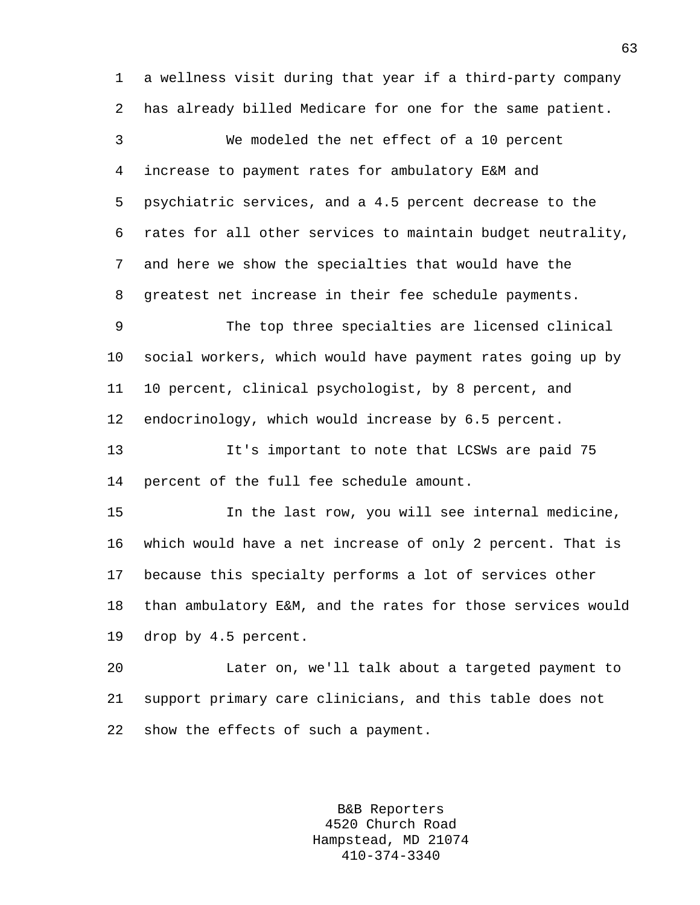1 a wellness visit during that year if a third-party company 2 has already billed Medicare for one for the same patient. 3 We modeled the net effect of a 10 percent 4 increase to payment rates for ambulatory E&M and 5 psychiatric services, and a 4.5 percent decrease to the 6 rates for all other services to maintain budget neutrality, 7 and here we show the specialties that would have the 8 greatest net increase in their fee schedule payments. 9 The top three specialties are licensed clinical 10 social workers, which would have payment rates going up by 11 10 percent, clinical psychologist, by 8 percent, and 12 endocrinology, which would increase by 6.5 percent. 13 It's important to note that LCSWs are paid 75 14 percent of the full fee schedule amount. 15 In the last row, you will see internal medicine, 16 which would have a net increase of only 2 percent. That is 17 because this specialty performs a lot of services other

18 than ambulatory E&M, and the rates for those services would 19 drop by 4.5 percent.

20 Later on, we'll talk about a targeted payment to 21 support primary care clinicians, and this table does not 22 show the effects of such a payment.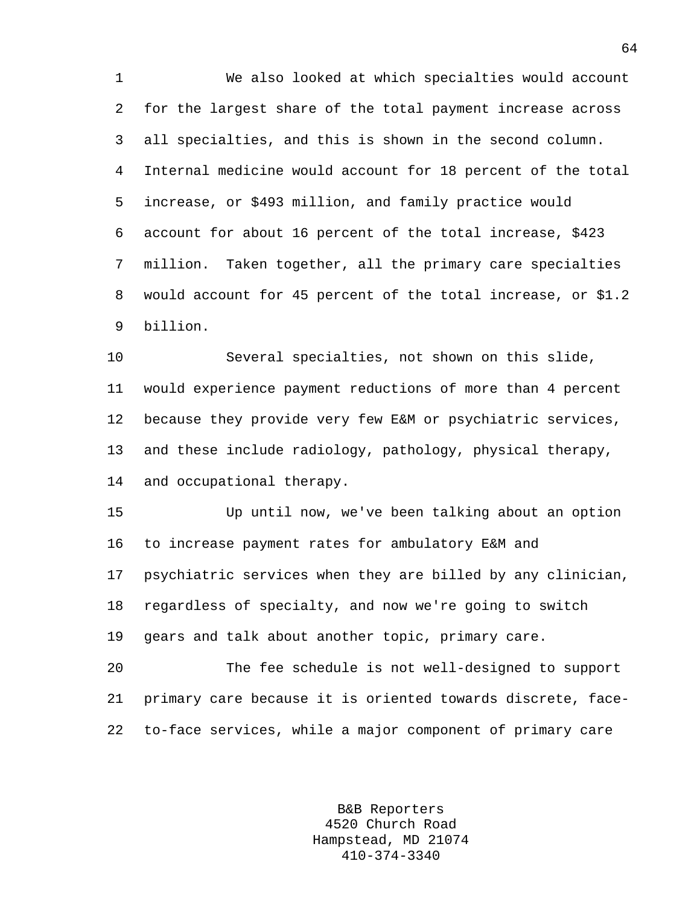1 We also looked at which specialties would account 2 for the largest share of the total payment increase across 3 all specialties, and this is shown in the second column. 4 Internal medicine would account for 18 percent of the total 5 increase, or \$493 million, and family practice would 6 account for about 16 percent of the total increase, \$423 7 million. Taken together, all the primary care specialties 8 would account for 45 percent of the total increase, or \$1.2 9 billion.

10 Several specialties, not shown on this slide, 11 would experience payment reductions of more than 4 percent 12 because they provide very few E&M or psychiatric services, 13 and these include radiology, pathology, physical therapy, 14 and occupational therapy.

15 Up until now, we've been talking about an option 16 to increase payment rates for ambulatory E&M and 17 psychiatric services when they are billed by any clinician, 18 regardless of specialty, and now we're going to switch 19 gears and talk about another topic, primary care.

20 The fee schedule is not well-designed to support 21 primary care because it is oriented towards discrete, face-22 to-face services, while a major component of primary care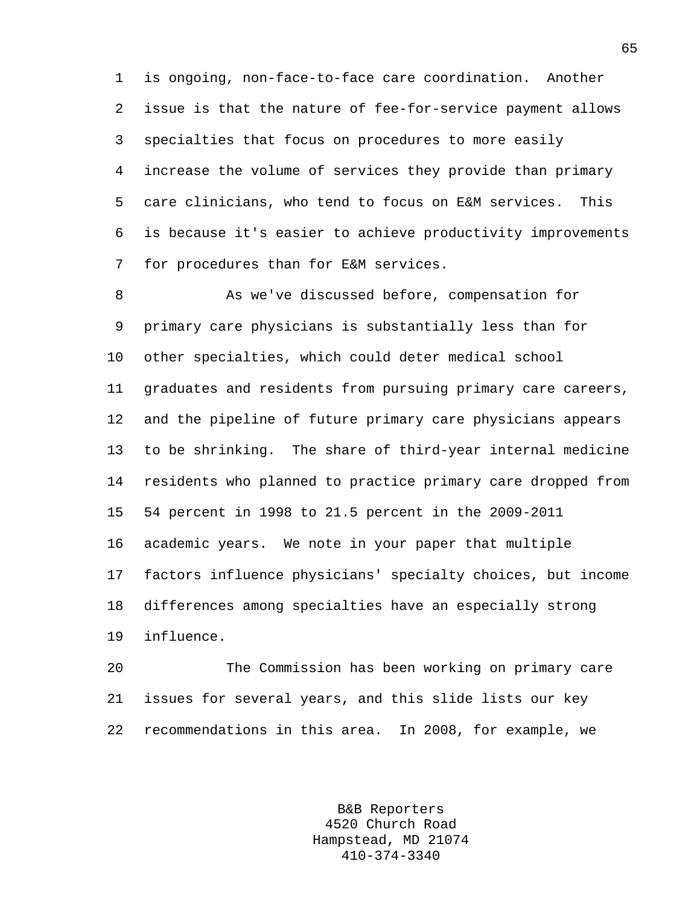1 is ongoing, non-face-to-face care coordination. Another 2 issue is that the nature of fee-for-service payment allows 3 specialties that focus on procedures to more easily 4 increase the volume of services they provide than primary 5 care clinicians, who tend to focus on E&M services. This 6 is because it's easier to achieve productivity improvements 7 for procedures than for E&M services.

8 As we've discussed before, compensation for 9 primary care physicians is substantially less than for 10 other specialties, which could deter medical school 11 graduates and residents from pursuing primary care careers, 12 and the pipeline of future primary care physicians appears 13 to be shrinking. The share of third-year internal medicine 14 residents who planned to practice primary care dropped from 15 54 percent in 1998 to 21.5 percent in the 2009-2011 16 academic years. We note in your paper that multiple 17 factors influence physicians' specialty choices, but income 18 differences among specialties have an especially strong 19 influence.

20 The Commission has been working on primary care 21 issues for several years, and this slide lists our key 22 recommendations in this area. In 2008, for example, we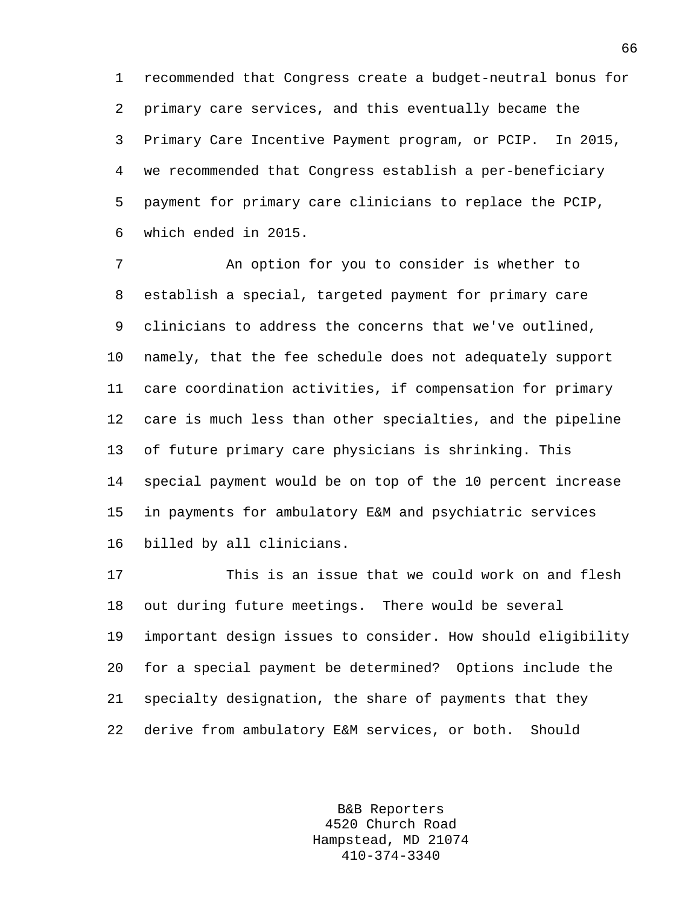1 recommended that Congress create a budget-neutral bonus for 2 primary care services, and this eventually became the 3 Primary Care Incentive Payment program, or PCIP. In 2015, 4 we recommended that Congress establish a per-beneficiary 5 payment for primary care clinicians to replace the PCIP, 6 which ended in 2015.

7 An option for you to consider is whether to 8 establish a special, targeted payment for primary care 9 clinicians to address the concerns that we've outlined, 10 namely, that the fee schedule does not adequately support 11 care coordination activities, if compensation for primary 12 care is much less than other specialties, and the pipeline 13 of future primary care physicians is shrinking. This 14 special payment would be on top of the 10 percent increase 15 in payments for ambulatory E&M and psychiatric services 16 billed by all clinicians.

17 This is an issue that we could work on and flesh 18 out during future meetings. There would be several 19 important design issues to consider. How should eligibility 20 for a special payment be determined? Options include the 21 specialty designation, the share of payments that they 22 derive from ambulatory E&M services, or both. Should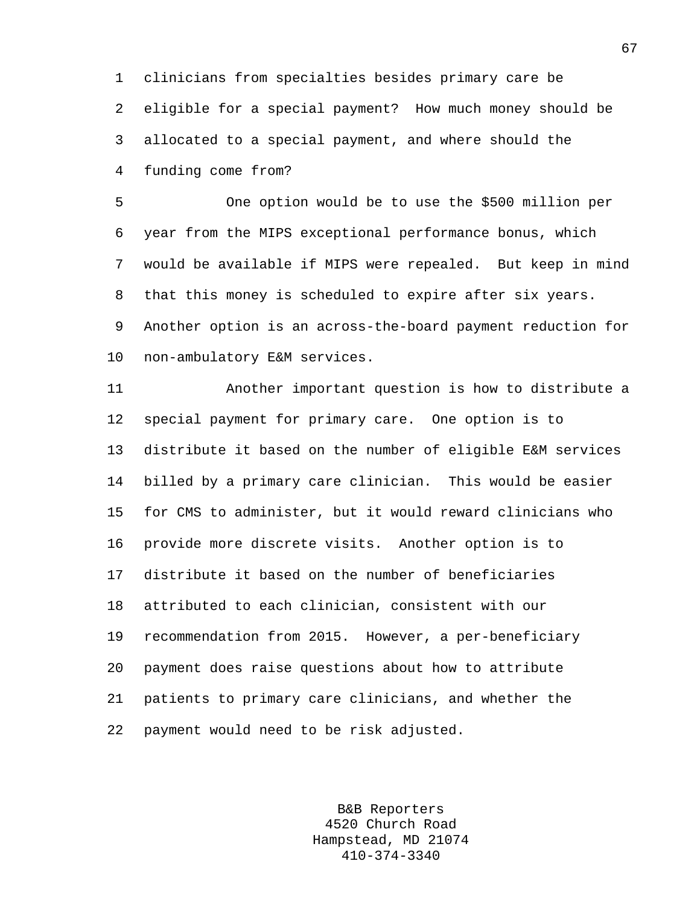1 clinicians from specialties besides primary care be 2 eligible for a special payment? How much money should be 3 allocated to a special payment, and where should the 4 funding come from?

5 One option would be to use the \$500 million per 6 year from the MIPS exceptional performance bonus, which 7 would be available if MIPS were repealed. But keep in mind 8 that this money is scheduled to expire after six years. 9 Another option is an across-the-board payment reduction for 10 non-ambulatory E&M services.

11 Another important question is how to distribute a 12 special payment for primary care. One option is to 13 distribute it based on the number of eligible E&M services 14 billed by a primary care clinician. This would be easier 15 for CMS to administer, but it would reward clinicians who 16 provide more discrete visits. Another option is to 17 distribute it based on the number of beneficiaries 18 attributed to each clinician, consistent with our 19 recommendation from 2015. However, a per-beneficiary 20 payment does raise questions about how to attribute 21 patients to primary care clinicians, and whether the 22 payment would need to be risk adjusted.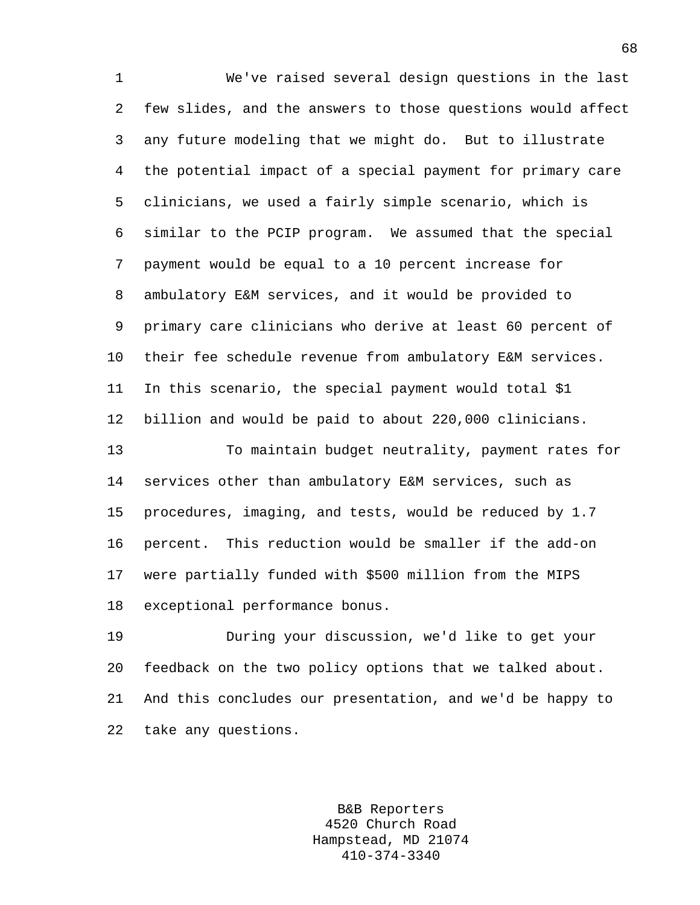1 We've raised several design questions in the last 2 few slides, and the answers to those questions would affect 3 any future modeling that we might do. But to illustrate 4 the potential impact of a special payment for primary care 5 clinicians, we used a fairly simple scenario, which is 6 similar to the PCIP program. We assumed that the special 7 payment would be equal to a 10 percent increase for 8 ambulatory E&M services, and it would be provided to 9 primary care clinicians who derive at least 60 percent of 10 their fee schedule revenue from ambulatory E&M services. 11 In this scenario, the special payment would total \$1 12 billion and would be paid to about 220,000 clinicians. 13 To maintain budget neutrality, payment rates for 14 services other than ambulatory E&M services, such as 15 procedures, imaging, and tests, would be reduced by 1.7 16 percent. This reduction would be smaller if the add-on 17 were partially funded with \$500 million from the MIPS 18 exceptional performance bonus. 19 During your discussion, we'd like to get your 20 feedback on the two policy options that we talked about.

22 take any questions.

B&B Reporters 4520 Church Road Hampstead, MD 21074 410-374-3340

21 And this concludes our presentation, and we'd be happy to

68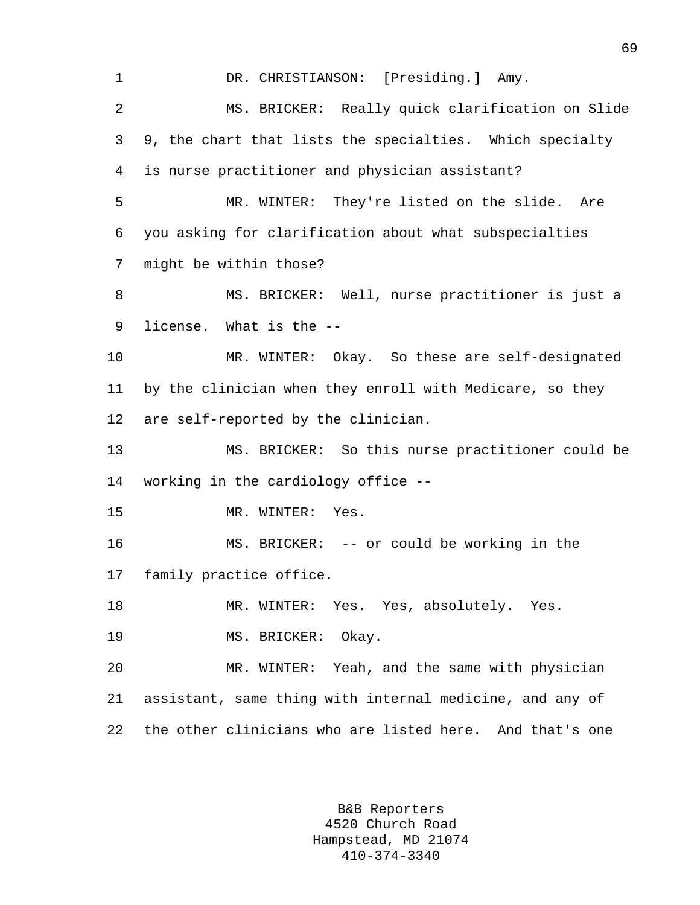1 DR. CHRISTIANSON: [Presiding.] Amy. 2 MS. BRICKER: Really quick clarification on Slide 3 9, the chart that lists the specialties. Which specialty 4 is nurse practitioner and physician assistant? 5 MR. WINTER: They're listed on the slide. Are 6 you asking for clarification about what subspecialties 7 might be within those? 8 MS. BRICKER: Well, nurse practitioner is just a 9 license. What is the -- 10 MR. WINTER: Okay. So these are self-designated 11 by the clinician when they enroll with Medicare, so they 12 are self-reported by the clinician. 13 MS. BRICKER: So this nurse practitioner could be 14 working in the cardiology office -- 15 MR. WINTER: Yes. 16 MS. BRICKER: -- or could be working in the 17 family practice office. 18 MR. WINTER: Yes. Yes, absolutely. Yes. 19 MS. BRICKER: Okay. 20 MR. WINTER: Yeah, and the same with physician 21 assistant, same thing with internal medicine, and any of 22 the other clinicians who are listed here. And that's one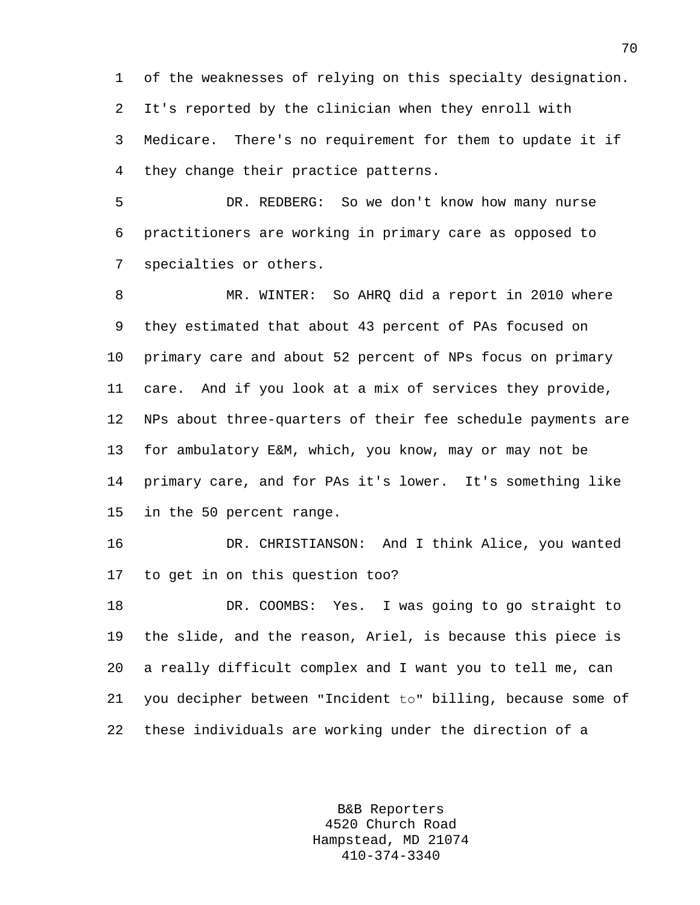1 of the weaknesses of relying on this specialty designation. 2 It's reported by the clinician when they enroll with 3 Medicare. There's no requirement for them to update it if 4 they change their practice patterns.

5 DR. REDBERG: So we don't know how many nurse 6 practitioners are working in primary care as opposed to 7 specialties or others.

8 MR. WINTER: So AHRQ did a report in 2010 where 9 they estimated that about 43 percent of PAs focused on 10 primary care and about 52 percent of NPs focus on primary 11 care. And if you look at a mix of services they provide, 12 NPs about three-quarters of their fee schedule payments are 13 for ambulatory E&M, which, you know, may or may not be 14 primary care, and for PAs it's lower. It's something like 15 in the 50 percent range.

16 DR. CHRISTIANSON: And I think Alice, you wanted 17 to get in on this question too?

18 DR. COOMBS: Yes. I was going to go straight to 19 the slide, and the reason, Ariel, is because this piece is 20 a really difficult complex and I want you to tell me, can 21 you decipher between "Incident to" billing, because some of 22 these individuals are working under the direction of a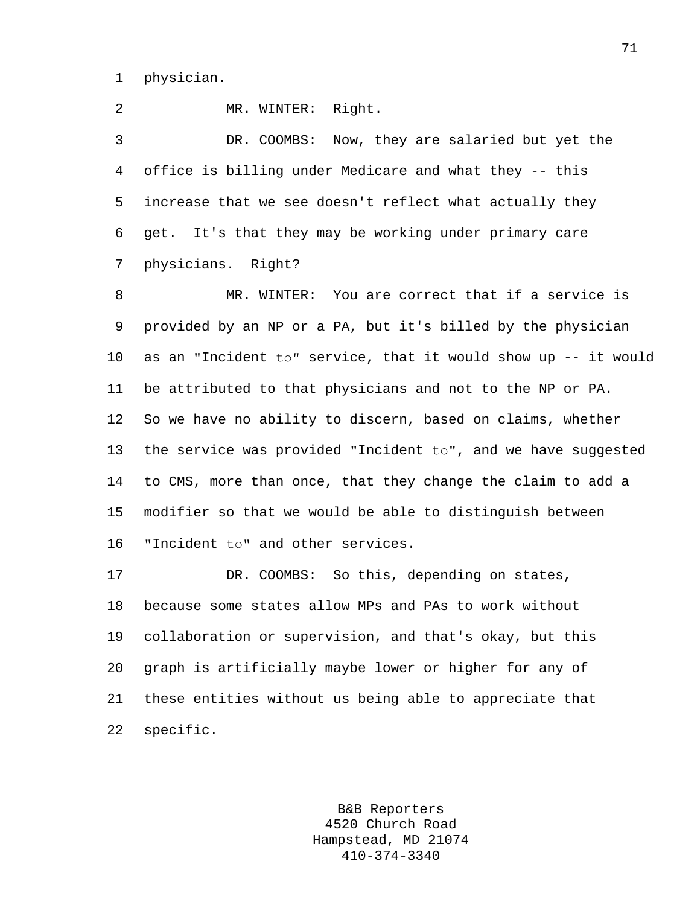1 physician.

2 MR. WINTER: Right.

3 DR. COOMBS: Now, they are salaried but yet the 4 office is billing under Medicare and what they -- this 5 increase that we see doesn't reflect what actually they 6 get. It's that they may be working under primary care 7 physicians. Right?

8 MR. WINTER: You are correct that if a service is 9 provided by an NP or a PA, but it's billed by the physician 10 as an "Incident to" service, that it would show up -- it would 11 be attributed to that physicians and not to the NP or PA. 12 So we have no ability to discern, based on claims, whether 13 the service was provided "Incident to", and we have suggested 14 to CMS, more than once, that they change the claim to add a 15 modifier so that we would be able to distinguish between 16 "Incident to" and other services.

17 DR. COOMBS: So this, depending on states, 18 because some states allow MPs and PAs to work without 19 collaboration or supervision, and that's okay, but this 20 graph is artificially maybe lower or higher for any of 21 these entities without us being able to appreciate that 22 specific.

> B&B Reporters 4520 Church Road Hampstead, MD 21074 410-374-3340

71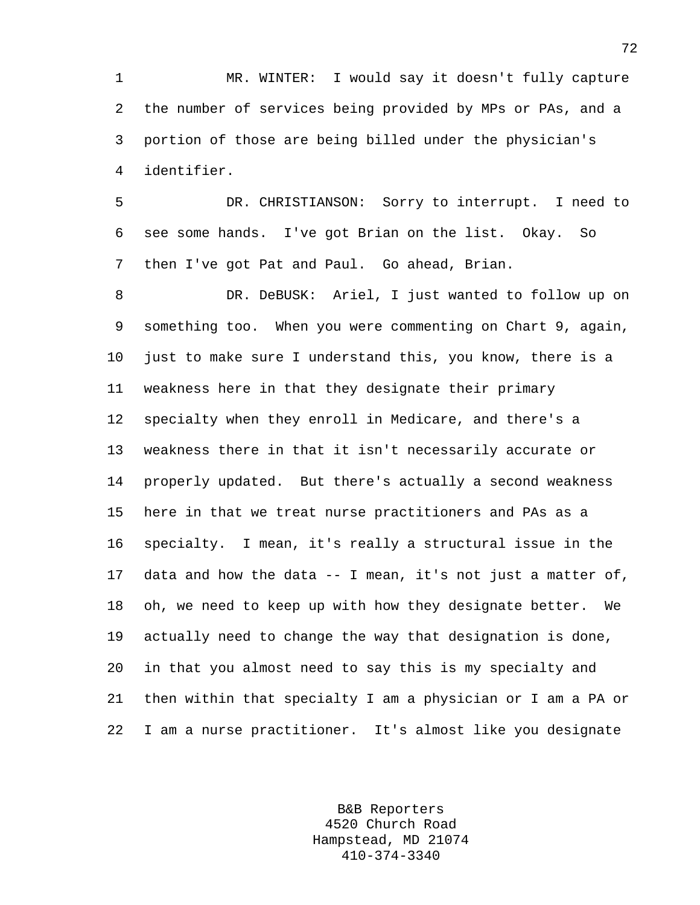1 MR. WINTER: I would say it doesn't fully capture 2 the number of services being provided by MPs or PAs, and a 3 portion of those are being billed under the physician's 4 identifier.

5 DR. CHRISTIANSON: Sorry to interrupt. I need to 6 see some hands. I've got Brian on the list. Okay. So 7 then I've got Pat and Paul. Go ahead, Brian.

8 DR. DeBUSK: Ariel, I just wanted to follow up on 9 something too. When you were commenting on Chart 9, again, 10 just to make sure I understand this, you know, there is a 11 weakness here in that they designate their primary 12 specialty when they enroll in Medicare, and there's a 13 weakness there in that it isn't necessarily accurate or 14 properly updated. But there's actually a second weakness 15 here in that we treat nurse practitioners and PAs as a 16 specialty. I mean, it's really a structural issue in the 17 data and how the data -- I mean, it's not just a matter of, 18 oh, we need to keep up with how they designate better. We 19 actually need to change the way that designation is done, 20 in that you almost need to say this is my specialty and 21 then within that specialty I am a physician or I am a PA or 22 I am a nurse practitioner. It's almost like you designate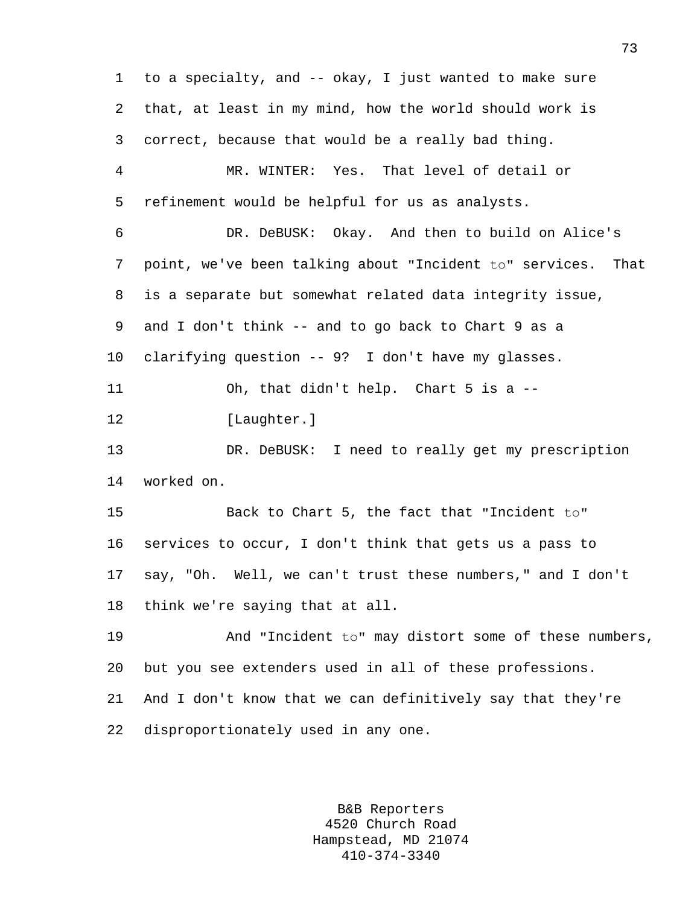1 to a specialty, and -- okay, I just wanted to make sure 2 that, at least in my mind, how the world should work is 3 correct, because that would be a really bad thing. 4 MR. WINTER: Yes. That level of detail or 5 refinement would be helpful for us as analysts. 6 DR. DeBUSK: Okay. And then to build on Alice's 7 point, we've been talking about "Incident to" services. That 8 is a separate but somewhat related data integrity issue, 9 and I don't think -- and to go back to Chart 9 as a 10 clarifying question -- 9? I don't have my glasses. 11 12 13 14 worked on. Oh, that didn't help. Chart 5 is a -- [Laughter.] DR. DeBUSK: I need to really get my prescription 15 Back to Chart 5, the fact that "Incident to" 16 services to occur, I don't think that gets us a pass to 17 say, "Oh. Well, we can't trust these numbers," and I don't 18 think we're saying that at all. 19 And "Incident to" may distort some of these numbers, 20 but you see extenders used in all of these professions. 21 And I don't know that we can definitively say that they're 22 disproportionately used in any one.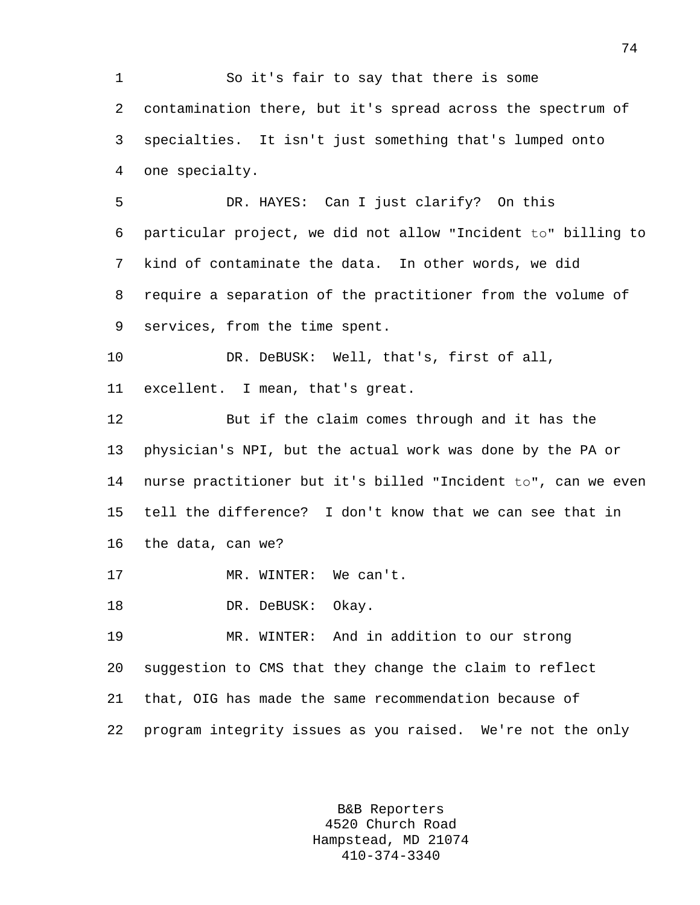1 So it's fair to say that there is some 2 contamination there, but it's spread across the spectrum of 3 specialties. It isn't just something that's lumped onto 4 one specialty. 5 DR. HAYES: Can I just clarify? On this 6 particular project, we did not allow "Incident to" billing to 7 kind of contaminate the data. In other words, we did 8 require a separation of the practitioner from the volume of 9 services, from the time spent. 10 DR. DeBUSK: Well, that's, first of all, 11 excellent. I mean, that's great. 12 But if the claim comes through and it has the 13 physician's NPI, but the actual work was done by the PA or 14 nurse practitioner but it's billed "Incident to", can we even 15 tell the difference? I don't know that we can see that in 16 the data, can we? 17 MR. WINTER: We can't. 18 DR. DeBUSK: Okay. 19 MR. WINTER: And in addition to our strong 20 suggestion to CMS that they change the claim to reflect 21 that, OIG has made the same recommendation because of 22 program integrity issues as you raised. We're not the only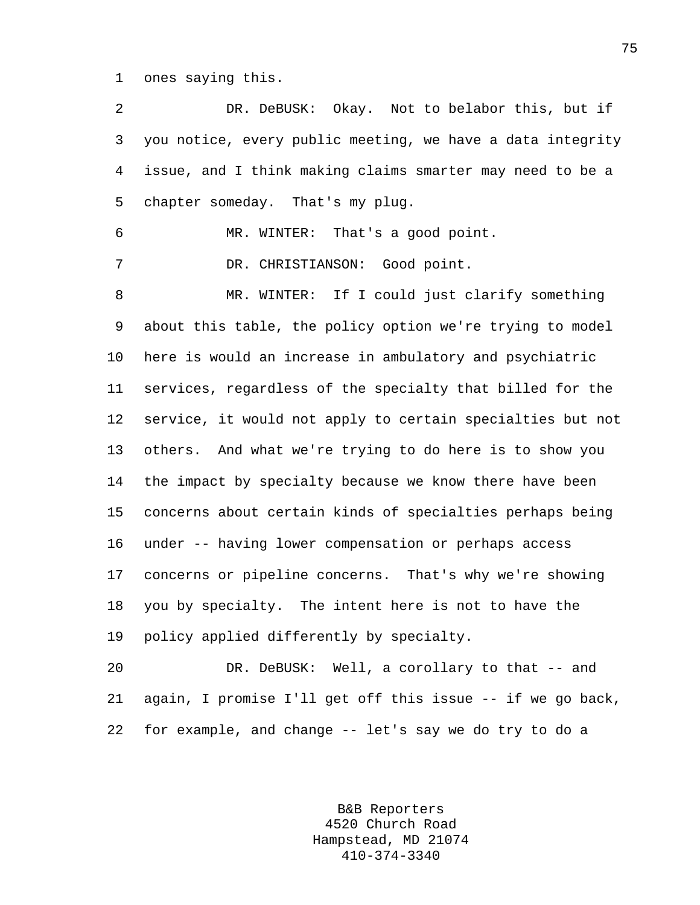1 ones saying this.

2 DR. DeBUSK: Okay. Not to belabor this, but if 3 you notice, every public meeting, we have a data integrity 4 issue, and I think making claims smarter may need to be a 5 chapter someday. That's my plug. 6 MR. WINTER: That's a good point. 7 DR. CHRISTIANSON: Good point. 8 MR. WINTER: If I could just clarify something 9 about this table, the policy option we're trying to model 10 here is would an increase in ambulatory and psychiatric 11 services, regardless of the specialty that billed for the 12 service, it would not apply to certain specialties but not 13 others. And what we're trying to do here is to show you 14 the impact by specialty because we know there have been 15 concerns about certain kinds of specialties perhaps being 16 under -- having lower compensation or perhaps access 17 concerns or pipeline concerns. That's why we're showing 18 you by specialty. The intent here is not to have the 19 policy applied differently by specialty. 20 DR. DeBUSK: Well, a corollary to that -- and 21 again, I promise I'll get off this issue -- if we go back,

> B&B Reporters 4520 Church Road Hampstead, MD 21074 410-374-3340

22 for example, and change -- let's say we do try to do a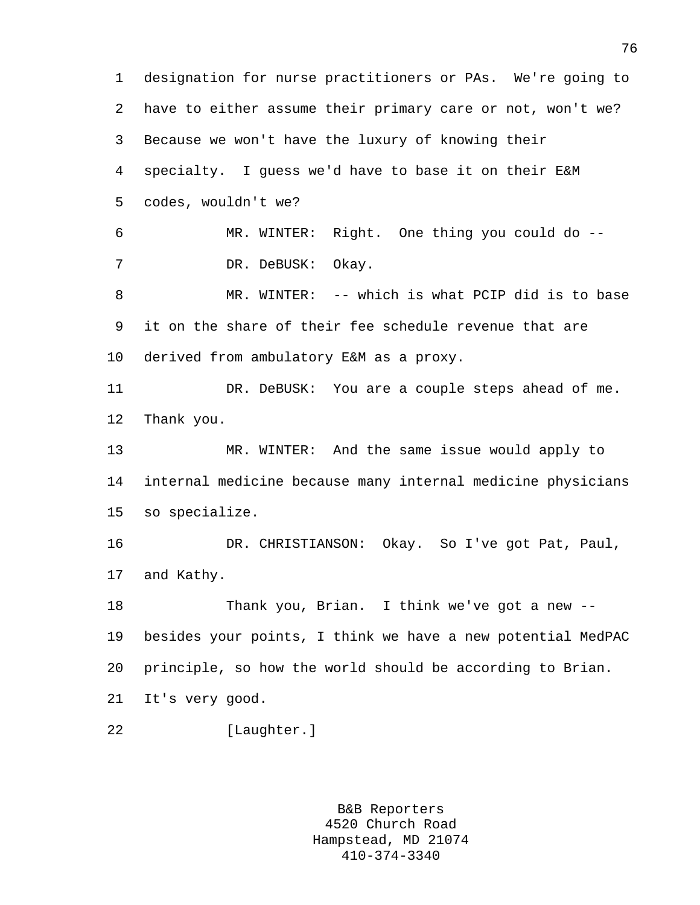1 designation for nurse practitioners or PAs. We're going to 2 have to either assume their primary care or not, won't we? 3 Because we won't have the luxury of knowing their 4 specialty. I guess we'd have to base it on their E&M 5 codes, wouldn't we? 6 MR. WINTER: Right. One thing you could do -- 7 DR. DeBUSK: Okay. 8 MR. WINTER: -- which is what PCIP did is to base 9 it on the share of their fee schedule revenue that are 10 derived from ambulatory E&M as a proxy. 11 DR. DeBUSK: You are a couple steps ahead of me. 12 Thank you. 13 MR. WINTER: And the same issue would apply to 14 internal medicine because many internal medicine physicians 15 so specialize. 16 DR. CHRISTIANSON: Okay. So I've got Pat, Paul, 17 and Kathy. 18 Thank you, Brian. I think we've got a new -- 19 besides your points, I think we have a new potential MedPAC 20 principle, so how the world should be according to Brian. 21 It's very good. 22 [Laughter.]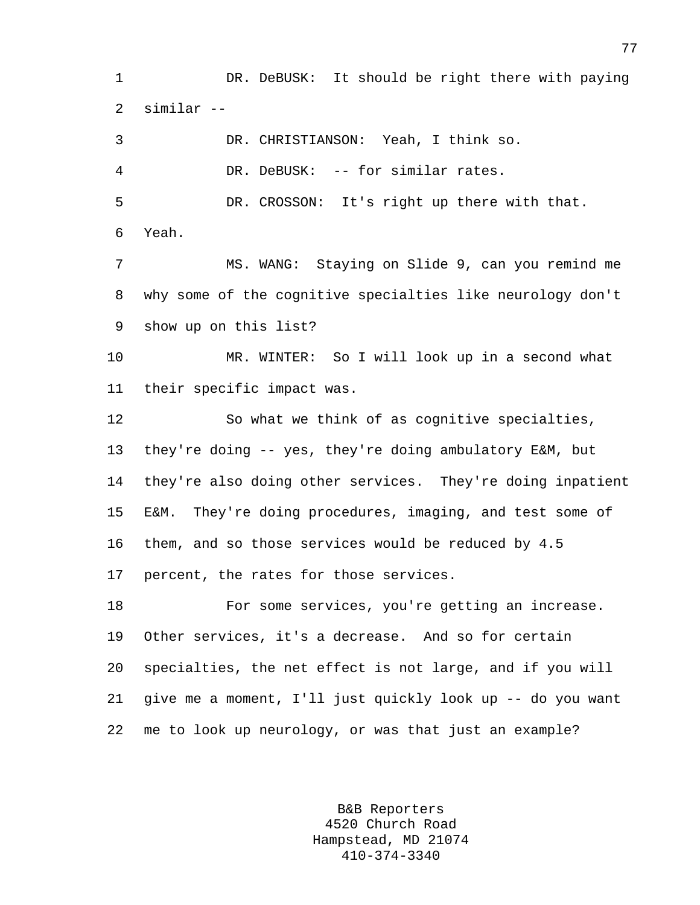1 DR. DeBUSK: It should be right there with paying 2 similar --

3 DR. CHRISTIANSON: Yeah, I think so. 4 DR. DeBUSK: -- for similar rates. 5 DR. CROSSON: It's right up there with that. 6 Yeah. 7 MS. WANG: Staying on Slide 9, can you remind me 8 why some of the cognitive specialties like neurology don't 9 show up on this list? 10 MR. WINTER: So I will look up in a second what 11 their specific impact was. 12 So what we think of as cognitive specialties, 13 they're doing -- yes, they're doing ambulatory E&M, but 14 they're also doing other services. They're doing inpatient 15 E&M. They're doing procedures, imaging, and test some of 16 them, and so those services would be reduced by 4.5 17 percent, the rates for those services. 18 For some services, you're getting an increase.

19 Other services, it's a decrease. And so for certain 20 specialties, the net effect is not large, and if you will 21 give me a moment, I'll just quickly look up -- do you want 22 me to look up neurology, or was that just an example?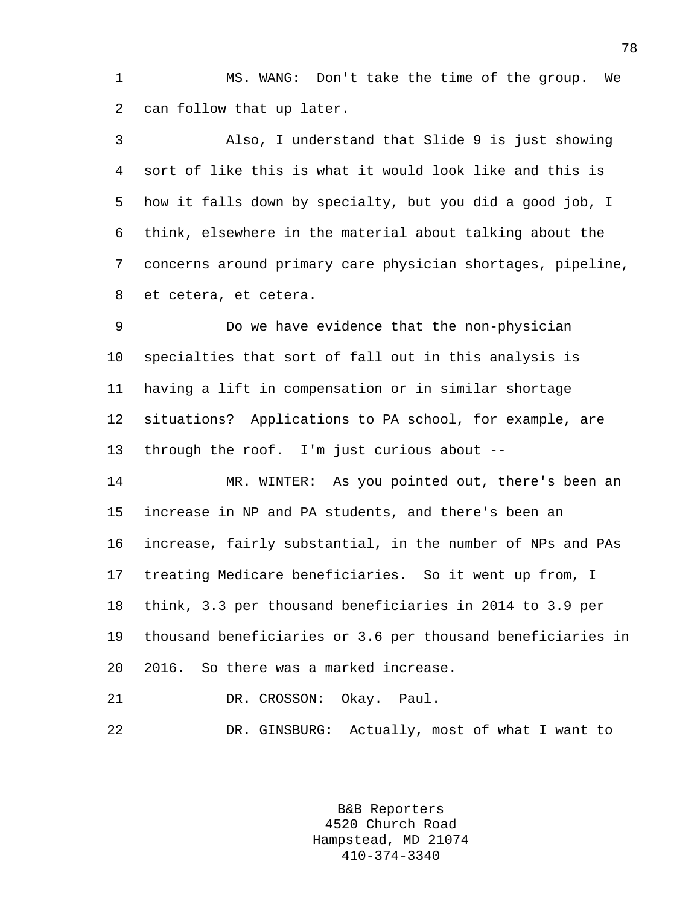1 MS. WANG: Don't take the time of the group. We 2 can follow that up later.

3 Also, I understand that Slide 9 is just showing 4 sort of like this is what it would look like and this is 5 how it falls down by specialty, but you did a good job, I 6 think, elsewhere in the material about talking about the 7 concerns around primary care physician shortages, pipeline, 8 et cetera, et cetera.

9 Do we have evidence that the non-physician 10 specialties that sort of fall out in this analysis is 11 having a lift in compensation or in similar shortage 12 situations? Applications to PA school, for example, are 13 through the roof. I'm just curious about --

14 MR. WINTER: As you pointed out, there's been an 15 increase in NP and PA students, and there's been an 16 increase, fairly substantial, in the number of NPs and PAs 17 treating Medicare beneficiaries. So it went up from, I 18 think, 3.3 per thousand beneficiaries in 2014 to 3.9 per 19 thousand beneficiaries or 3.6 per thousand beneficiaries in 20 2016. So there was a marked increase.

21 DR. CROSSON: Okay. Paul.

22 DR. GINSBURG: Actually, most of what I want to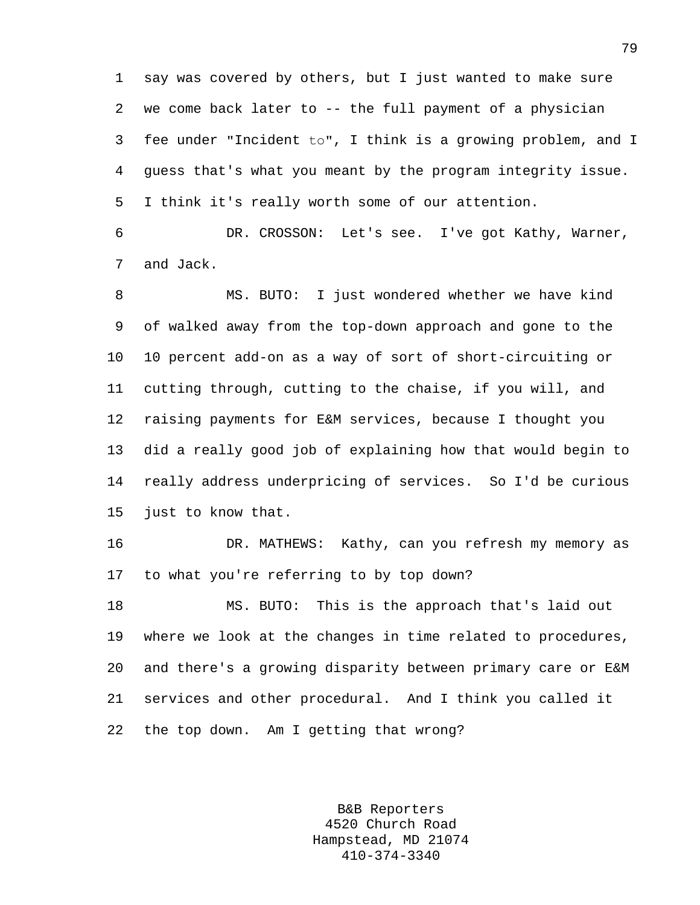1 say was covered by others, but I just wanted to make sure 2 we come back later to -- the full payment of a physician 3 fee under "Incident to", I think is a growing problem, and I 4 guess that's what you meant by the program integrity issue. 5 I think it's really worth some of our attention.

6 DR. CROSSON: Let's see. I've got Kathy, Warner, 7 and Jack.

8 MS. BUTO: I just wondered whether we have kind 9 of walked away from the top-down approach and gone to the 10 10 percent add-on as a way of sort of short-circuiting or 11 cutting through, cutting to the chaise, if you will, and 12 raising payments for E&M services, because I thought you 13 did a really good job of explaining how that would begin to 14 really address underpricing of services. So I'd be curious 15 just to know that.

16 DR. MATHEWS: Kathy, can you refresh my memory as 17 to what you're referring to by top down?

18 MS. BUTO: This is the approach that's laid out 19 where we look at the changes in time related to procedures, 20 and there's a growing disparity between primary care or E&M 21 services and other procedural. And I think you called it 22 the top down. Am I getting that wrong?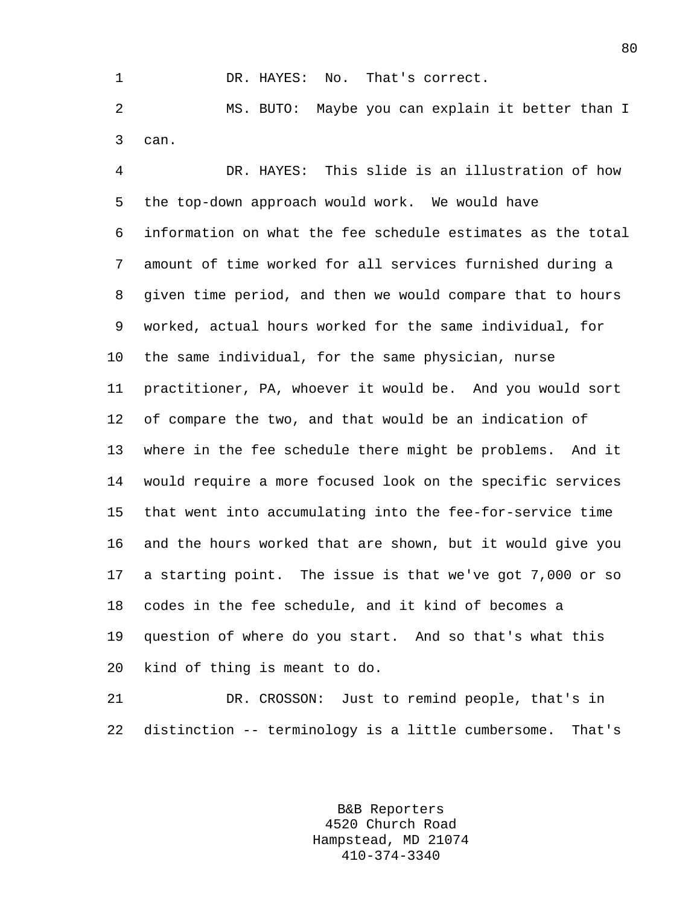1 DR. HAYES: No. That's correct. 2 MS. BUTO: Maybe you can explain it better than I 3 can.

4 DR. HAYES: This slide is an illustration of how 5 the top-down approach would work. We would have 6 information on what the fee schedule estimates as the total 7 amount of time worked for all services furnished during a 8 given time period, and then we would compare that to hours 9 worked, actual hours worked for the same individual, for 10 the same individual, for the same physician, nurse 11 practitioner, PA, whoever it would be. And you would sort 12 of compare the two, and that would be an indication of 13 where in the fee schedule there might be problems. And it 14 would require a more focused look on the specific services 15 that went into accumulating into the fee-for-service time 16 and the hours worked that are shown, but it would give you 17 a starting point. The issue is that we've got 7,000 or so 18 codes in the fee schedule, and it kind of becomes a 19 question of where do you start. And so that's what this 20 kind of thing is meant to do.

21 DR. CROSSON: Just to remind people, that's in 22 distinction -- terminology is a little cumbersome. That's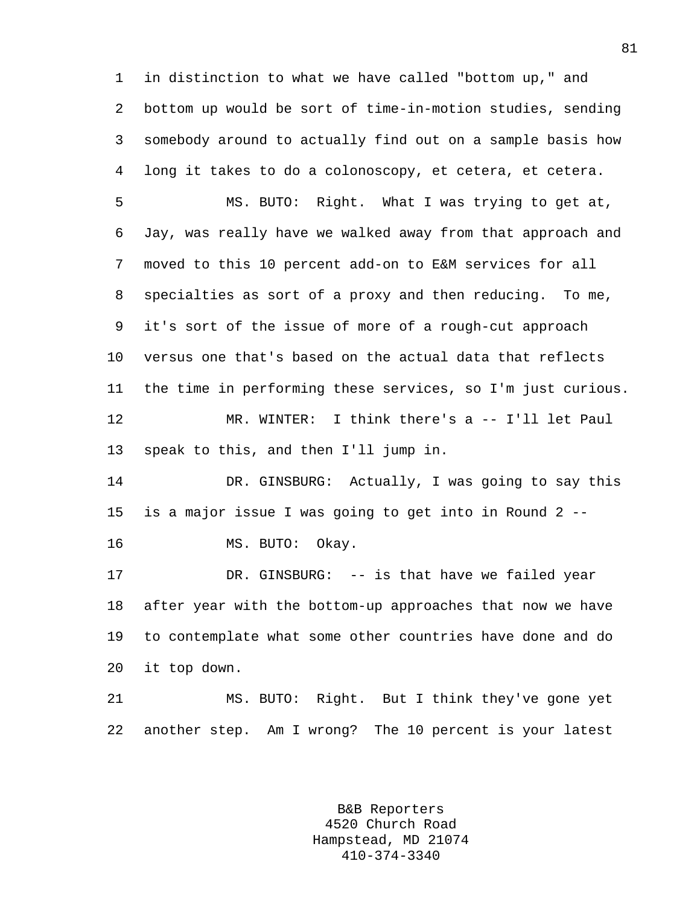1 in distinction to what we have called "bottom up," and 2 bottom up would be sort of time-in-motion studies, sending 3 somebody around to actually find out on a sample basis how 4 long it takes to do a colonoscopy, et cetera, et cetera.

5 MS. BUTO: Right. What I was trying to get at, 6 Jay, was really have we walked away from that approach and 7 moved to this 10 percent add-on to E&M services for all 8 specialties as sort of a proxy and then reducing. To me, 9 it's sort of the issue of more of a rough-cut approach 10 versus one that's based on the actual data that reflects 11 the time in performing these services, so I'm just curious. 12 MR. WINTER: I think there's a -- I'll let Paul 13 speak to this, and then I'll jump in.

14 DR. GINSBURG: Actually, I was going to say this 15 is a major issue I was going to get into in Round 2 --

16 MS. BUTO: Okay.

17 DR. GINSBURG: -- is that have we failed year 18 after year with the bottom-up approaches that now we have 19 to contemplate what some other countries have done and do 20 it top down.

21 MS. BUTO: Right. But I think they've gone yet 22 another step. Am I wrong? The 10 percent is your latest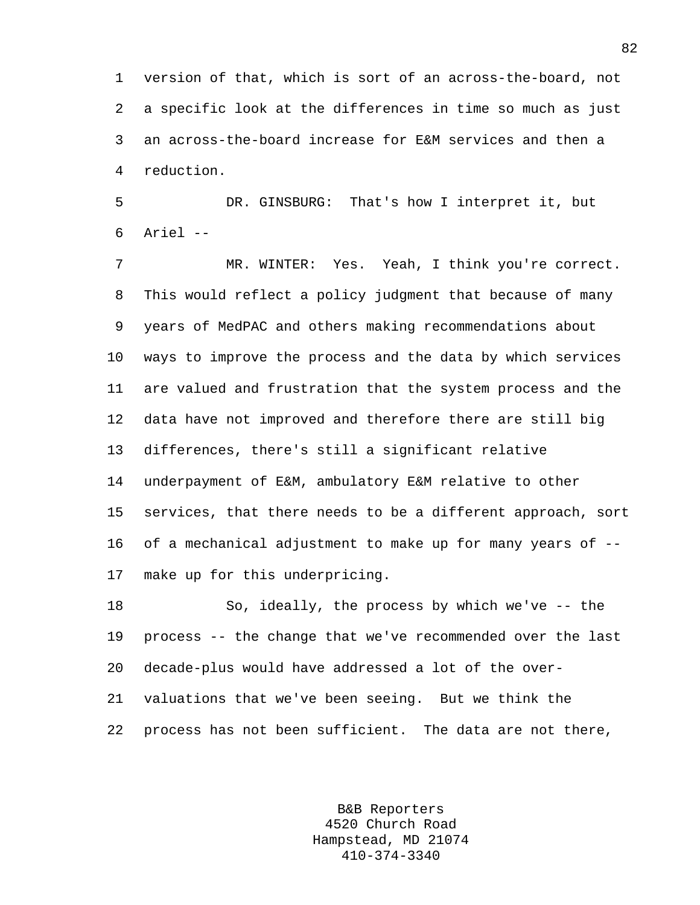1 version of that, which is sort of an across-the-board, not 2 a specific look at the differences in time so much as just 3 an across-the-board increase for E&M services and then a 4 reduction.

5 DR. GINSBURG: That's how I interpret it, but 6 Ariel --

7 MR. WINTER: Yes. Yeah, I think you're correct. 8 This would reflect a policy judgment that because of many 9 years of MedPAC and others making recommendations about 10 ways to improve the process and the data by which services 11 are valued and frustration that the system process and the 12 data have not improved and therefore there are still big 13 differences, there's still a significant relative 14 underpayment of E&M, ambulatory E&M relative to other 15 services, that there needs to be a different approach, sort 16 of a mechanical adjustment to make up for many years of -- 17 make up for this underpricing.

18 So, ideally, the process by which we've -- the 19 process -- the change that we've recommended over the last 20 decade-plus would have addressed a lot of the over-21 valuations that we've been seeing. But we think the 22 process has not been sufficient. The data are not there,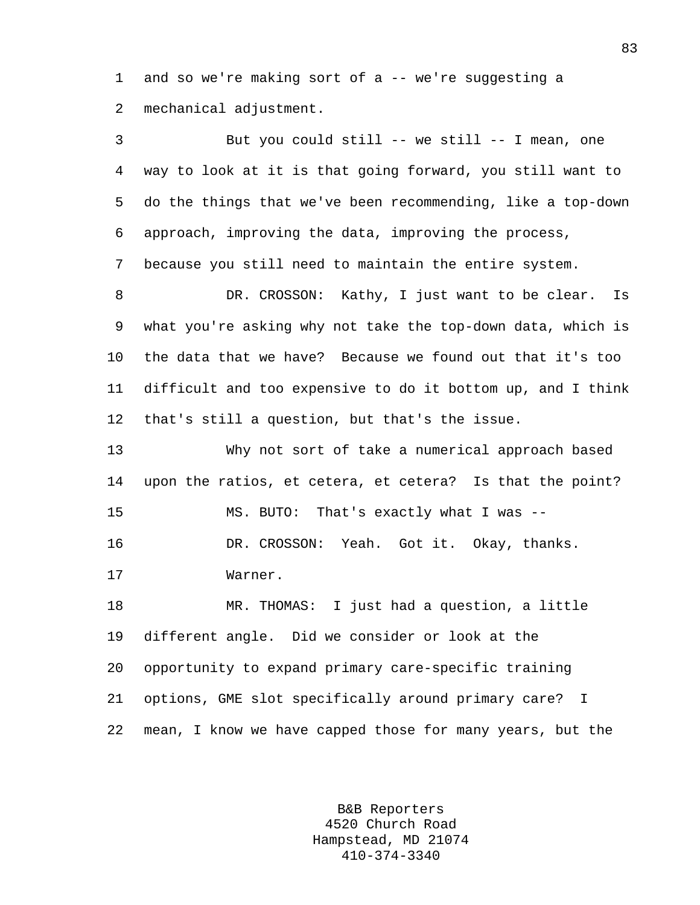1 and so we're making sort of a -- we're suggesting a 2 mechanical adjustment.

3 But you could still -- we still -- I mean, one 4 way to look at it is that going forward, you still want to 5 do the things that we've been recommending, like a top-down 6 approach, improving the data, improving the process, 7 because you still need to maintain the entire system. 8 DR. CROSSON: Kathy, I just want to be clear. Is 9 what you're asking why not take the top-down data, which is 10 the data that we have? Because we found out that it's too 11 difficult and too expensive to do it bottom up, and I think 12 that's still a question, but that's the issue. 13 Why not sort of take a numerical approach based 14 upon the ratios, et cetera, et cetera? Is that the point? 15 MS. BUTO: That's exactly what I was -- 16 DR. CROSSON: Yeah. Got it. Okay, thanks.

17 Warner.

18 MR. THOMAS: I just had a question, a little 19 different angle. Did we consider or look at the 20 opportunity to expand primary care-specific training 21 options, GME slot specifically around primary care? I 22 mean, I know we have capped those for many years, but the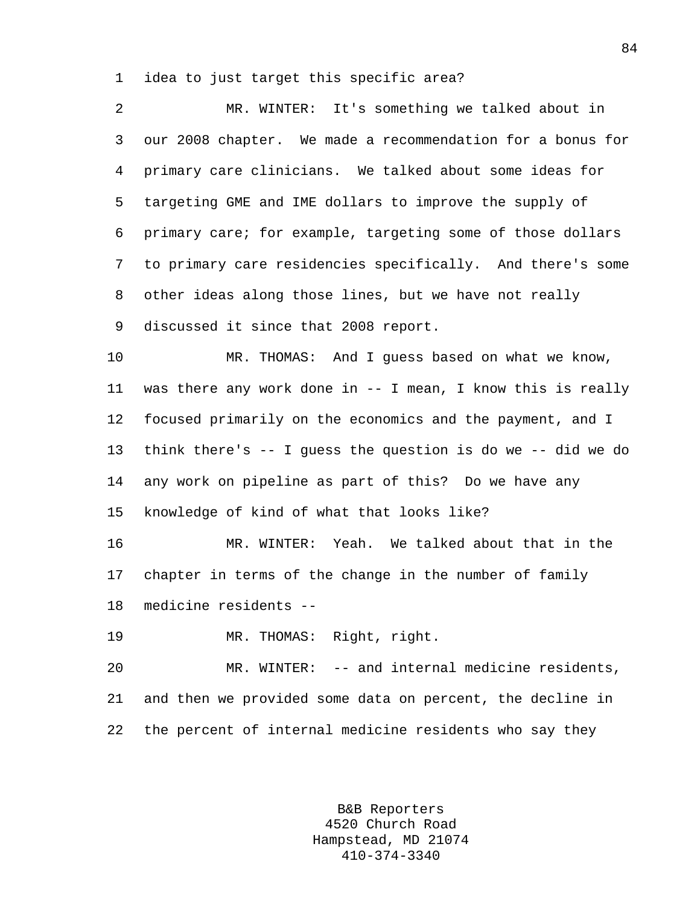1 idea to just target this specific area?

| 2  | MR. WINTER: It's something we talked about in                     |
|----|-------------------------------------------------------------------|
| 3  | our 2008 chapter. We made a recommendation for a bonus for        |
| 4  | primary care clinicians. We talked about some ideas for           |
| 5  | targeting GME and IME dollars to improve the supply of            |
| 6  | primary care; for example, targeting some of those dollars        |
| 7  | to primary care residencies specifically. And there's some        |
| 8  | other ideas along those lines, but we have not really             |
| 9  | discussed it since that 2008 report.                              |
| 10 | MR. THOMAS: And I guess based on what we know,                    |
| 11 | was there any work done in -- I mean, I know this is really       |
| 12 | focused primarily on the economics and the payment, and I         |
| 13 | think there's $-$ - I guess the question is do we $-$ - did we do |
| 14 | any work on pipeline as part of this? Do we have any              |
| 15 | knowledge of kind of what that looks like?                        |
| 16 | MR. WINTER: Yeah. We talked about that in the                     |
| 17 | chapter in terms of the change in the number of family            |
| 18 | medicine residents --                                             |
| 19 | MR. THOMAS: Right, right.                                         |
| 20 | MR. WINTER: -- and internal medicine residents,                   |
| 21 | and then we provided some data on percent, the decline in         |
| 22 | the percent of internal medicine residents who say they           |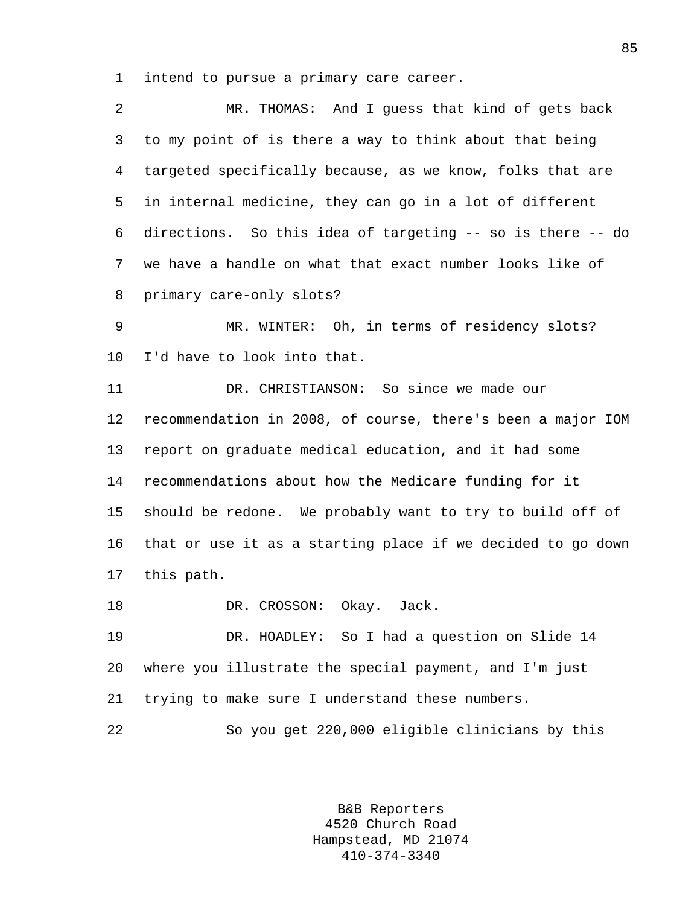1 intend to pursue a primary care career.

| 2  | MR. THOMAS: And I guess that kind of gets back              |
|----|-------------------------------------------------------------|
| 3  | to my point of is there a way to think about that being     |
| 4  | targeted specifically because, as we know, folks that are   |
| 5  | in internal medicine, they can go in a lot of different     |
| 6  | directions. So this idea of targeting -- so is there -- do  |
| 7  | we have a handle on what that exact number looks like of    |
| 8  | primary care-only slots?                                    |
| 9  | MR. WINTER: Oh, in terms of residency slots?                |
| 10 | I'd have to look into that.                                 |
| 11 | DR. CHRISTIANSON: So since we made our                      |
| 12 | recommendation in 2008, of course, there's been a major IOM |
| 13 | report on graduate medical education, and it had some       |
| 14 | recommendations about how the Medicare funding for it       |
| 15 | should be redone. We probably want to try to build off of   |
| 16 | that or use it as a starting place if we decided to go down |
| 17 | this path.                                                  |
| 18 | DR. CROSSON:<br>Okay. Jack.                                 |
| 19 | DR. HOADLEY: So I had a question on Slide 14                |
| 20 | where you illustrate the special payment, and I'm just      |
| 21 | trying to make sure I understand these numbers.             |
| 22 | So you get 220,000 eligible clinicians by this              |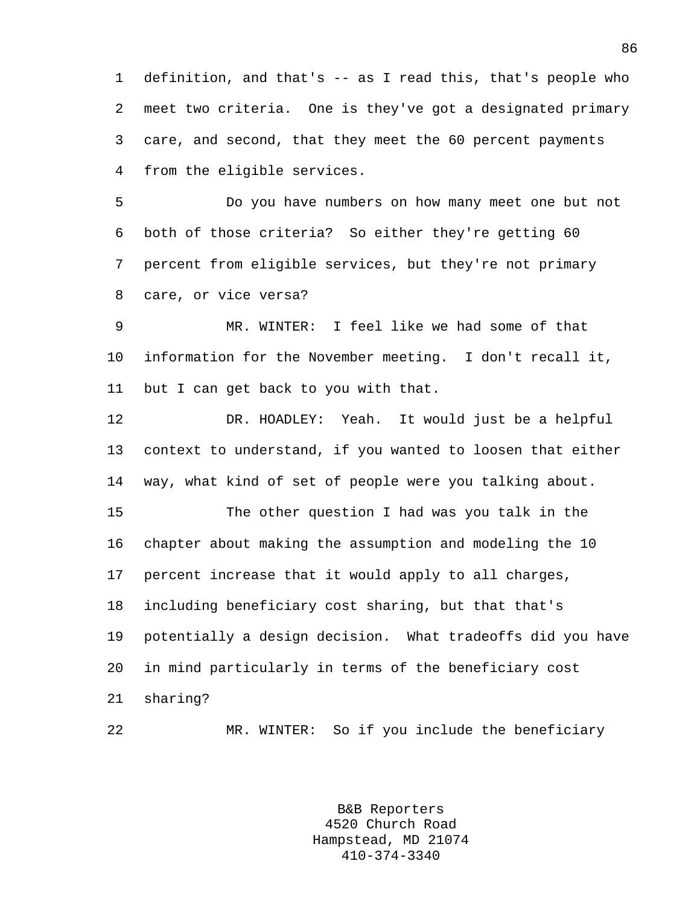1 definition, and that's -- as I read this, that's people who 2 meet two criteria. One is they've got a designated primary 3 care, and second, that they meet the 60 percent payments 4 from the eligible services.

5 Do you have numbers on how many meet one but not 6 both of those criteria? So either they're getting 60 7 percent from eligible services, but they're not primary 8 care, or vice versa?

9 MR. WINTER: I feel like we had some of that 10 information for the November meeting. I don't recall it, 11 but I can get back to you with that.

12 DR. HOADLEY: Yeah. It would just be a helpful 13 context to understand, if you wanted to loosen that either 14 way, what kind of set of people were you talking about.

15 The other question I had was you talk in the 16 chapter about making the assumption and modeling the 10 17 percent increase that it would apply to all charges, 18 including beneficiary cost sharing, but that that's 19 potentially a design decision. What tradeoffs did you have 20 in mind particularly in terms of the beneficiary cost 21 sharing?

22 MR. WINTER: So if you include the beneficiary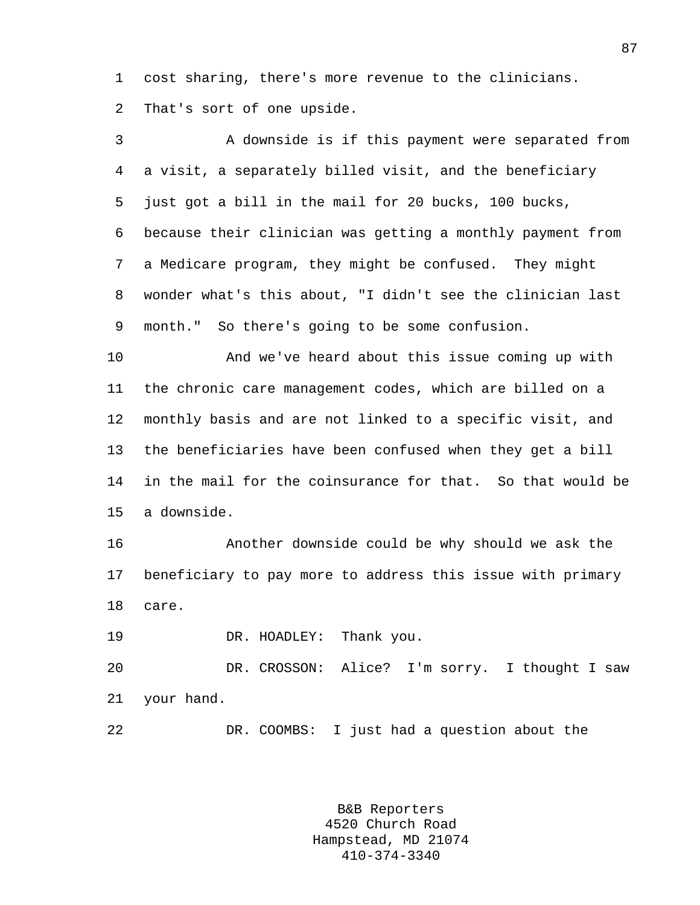1 cost sharing, there's more revenue to the clinicians. 2 That's sort of one upside.

3 A downside is if this payment were separated from 4 a visit, a separately billed visit, and the beneficiary 5 just got a bill in the mail for 20 bucks, 100 bucks, 6 because their clinician was getting a monthly payment from 7 a Medicare program, they might be confused. They might 8 wonder what's this about, "I didn't see the clinician last 9 month." So there's going to be some confusion.

10 And we've heard about this issue coming up with 11 the chronic care management codes, which are billed on a 12 monthly basis and are not linked to a specific visit, and 13 the beneficiaries have been confused when they get a bill 14 in the mail for the coinsurance for that. So that would be 15 a downside.

16 Another downside could be why should we ask the 17 beneficiary to pay more to address this issue with primary 18 care.

19 DR. HOADLEY: Thank you.

20 DR. CROSSON: Alice? I'm sorry. I thought I saw 21 your hand.

22 DR. COOMBS: I just had a question about the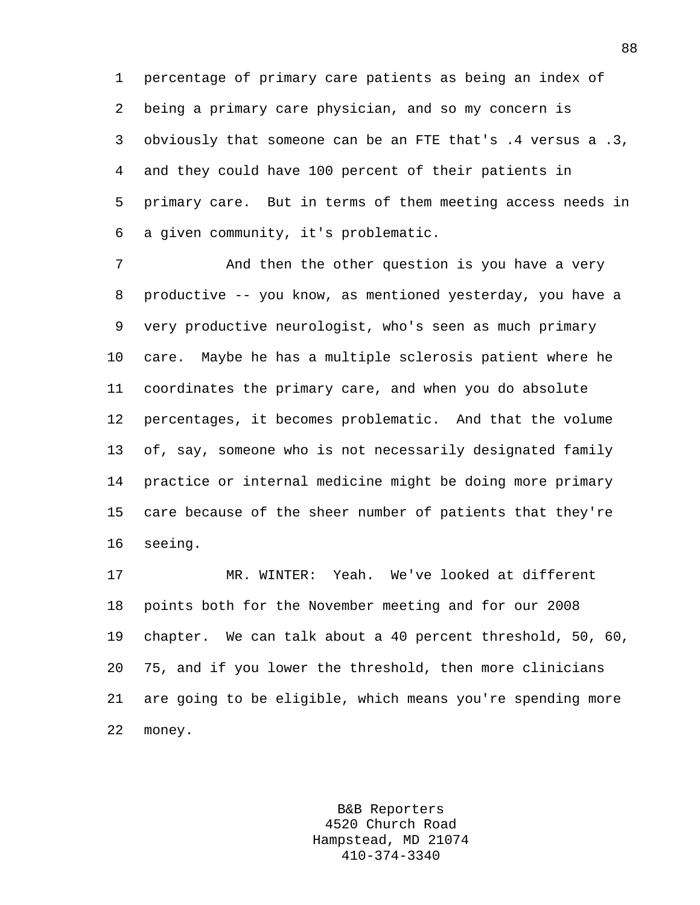1 percentage of primary care patients as being an index of 2 being a primary care physician, and so my concern is 3 obviously that someone can be an FTE that's .4 versus a .3, 4 and they could have 100 percent of their patients in 5 primary care. But in terms of them meeting access needs in 6 a given community, it's problematic.

7 And then the other question is you have a very 8 productive -- you know, as mentioned yesterday, you have a 9 very productive neurologist, who's seen as much primary 10 care. Maybe he has a multiple sclerosis patient where he 11 coordinates the primary care, and when you do absolute 12 percentages, it becomes problematic. And that the volume 13 of, say, someone who is not necessarily designated family 14 practice or internal medicine might be doing more primary 15 care because of the sheer number of patients that they're 16 seeing.

17 MR. WINTER: Yeah. We've looked at different 18 points both for the November meeting and for our 2008 19 chapter. We can talk about a 40 percent threshold, 50, 60, 20 75, and if you lower the threshold, then more clinicians 21 are going to be eligible, which means you're spending more 22 money.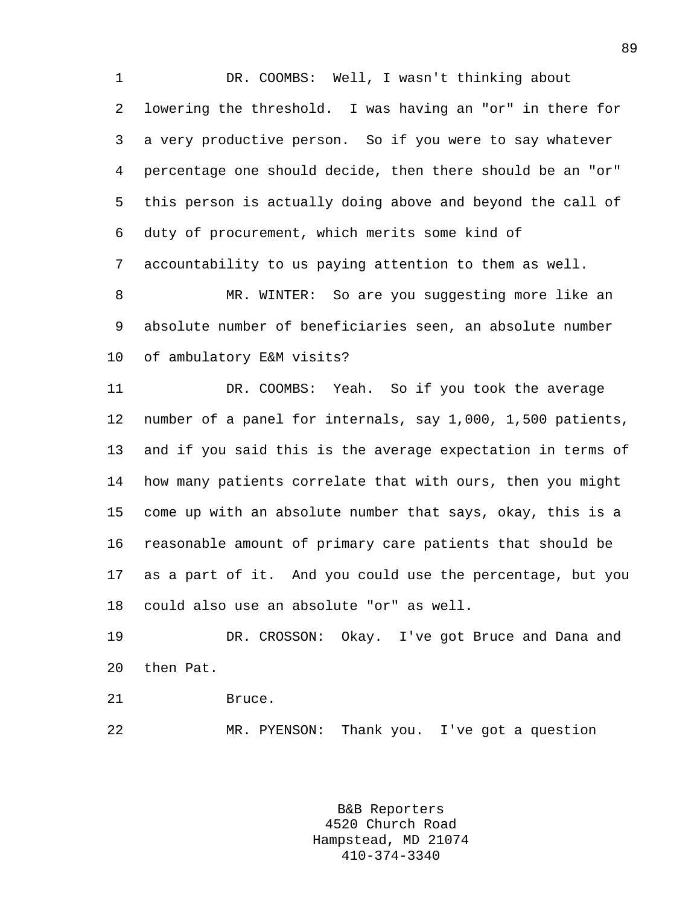1 DR. COOMBS: Well, I wasn't thinking about 2 lowering the threshold. I was having an "or" in there for 3 a very productive person. So if you were to say whatever 4 percentage one should decide, then there should be an "or" 5 this person is actually doing above and beyond the call of 6 duty of procurement, which merits some kind of 7 accountability to us paying attention to them as well.

8 MR. WINTER: So are you suggesting more like an 9 absolute number of beneficiaries seen, an absolute number 10 of ambulatory E&M visits?

11 DR. COOMBS: Yeah. So if you took the average 12 number of a panel for internals, say 1,000, 1,500 patients, 13 and if you said this is the average expectation in terms of 14 how many patients correlate that with ours, then you might 15 come up with an absolute number that says, okay, this is a 16 reasonable amount of primary care patients that should be 17 as a part of it. And you could use the percentage, but you 18 could also use an absolute "or" as well.

19 DR. CROSSON: Okay. I've got Bruce and Dana and 20 then Pat.

21 Bruce.

22 MR. PYENSON: Thank you. I've got a question

B&B Reporters 4520 Church Road Hampstead, MD 21074 410-374-3340

89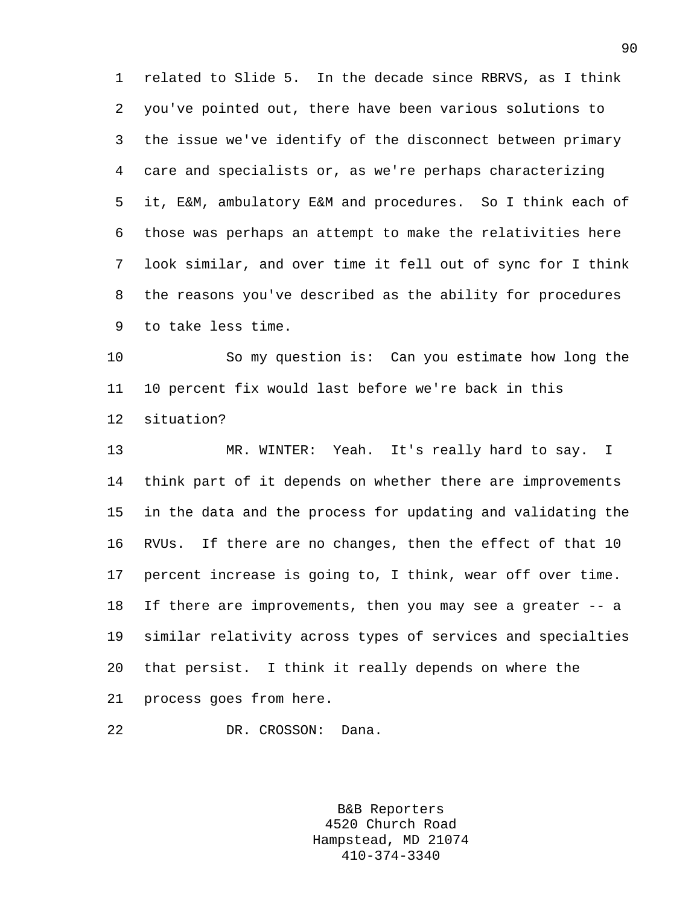1 related to Slide 5. In the decade since RBRVS, as I think 2 you've pointed out, there have been various solutions to 3 the issue we've identify of the disconnect between primary 4 care and specialists or, as we're perhaps characterizing 5 it, E&M, ambulatory E&M and procedures. So I think each of 6 those was perhaps an attempt to make the relativities here 7 look similar, and over time it fell out of sync for I think 8 the reasons you've described as the ability for procedures 9 to take less time.

10 So my question is: Can you estimate how long the 11 10 percent fix would last before we're back in this 12 situation?

13 MR. WINTER: Yeah. It's really hard to say. I 14 think part of it depends on whether there are improvements 15 in the data and the process for updating and validating the 16 RVUs. If there are no changes, then the effect of that 10 17 percent increase is going to, I think, wear off over time. 18 If there are improvements, then you may see a greater -- a 19 similar relativity across types of services and specialties 20 that persist. I think it really depends on where the 21 process goes from here.

22 DR. CROSSON: Dana.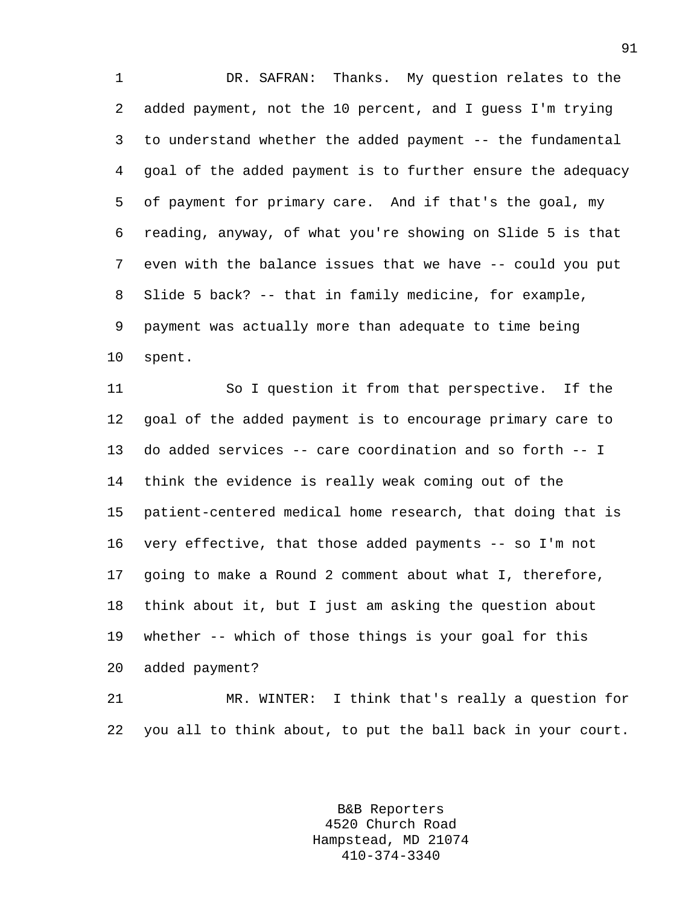1 DR. SAFRAN: Thanks. My question relates to the 2 added payment, not the 10 percent, and I guess I'm trying 3 to understand whether the added payment -- the fundamental 4 goal of the added payment is to further ensure the adequacy 5 of payment for primary care. And if that's the goal, my 6 reading, anyway, of what you're showing on Slide 5 is that 7 even with the balance issues that we have -- could you put 8 Slide 5 back? -- that in family medicine, for example, 9 payment was actually more than adequate to time being 10 spent.

11 So I question it from that perspective. If the 12 goal of the added payment is to encourage primary care to 13 do added services -- care coordination and so forth -- I 14 think the evidence is really weak coming out of the 15 patient-centered medical home research, that doing that is 16 very effective, that those added payments -- so I'm not 17 going to make a Round 2 comment about what I, therefore, 18 think about it, but I just am asking the question about 19 whether -- which of those things is your goal for this 20 added payment?

21 MR. WINTER: I think that's really a question for 22 you all to think about, to put the ball back in your court.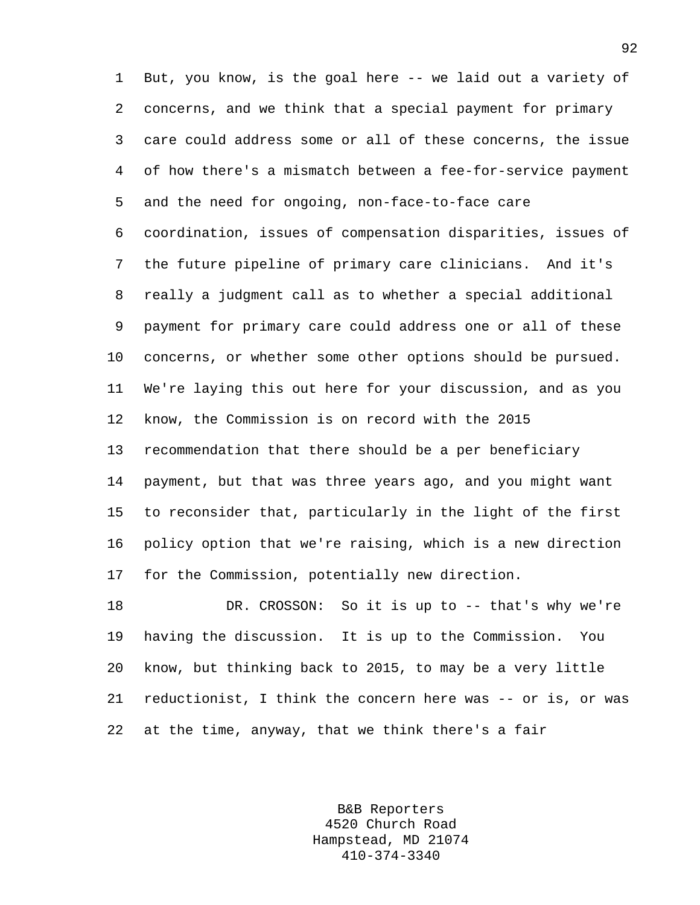1 But, you know, is the goal here -- we laid out a variety of 2 concerns, and we think that a special payment for primary 3 care could address some or all of these concerns, the issue 4 of how there's a mismatch between a fee-for-service payment 5 and the need for ongoing, non-face-to-face care 6 coordination, issues of compensation disparities, issues of 7 the future pipeline of primary care clinicians. And it's 8 really a judgment call as to whether a special additional 9 payment for primary care could address one or all of these 10 concerns, or whether some other options should be pursued. 11 We're laying this out here for your discussion, and as you 12 know, the Commission is on record with the 2015 13 recommendation that there should be a per beneficiary 14 payment, but that was three years ago, and you might want 15 to reconsider that, particularly in the light of the first 16 policy option that we're raising, which is a new direction 17 for the Commission, potentially new direction. 18 DR. CROSSON: So it is up to -- that's why we're

19 having the discussion. It is up to the Commission. You 20 know, but thinking back to 2015, to may be a very little 21 reductionist, I think the concern here was -- or is, or was 22 at the time, anyway, that we think there's a fair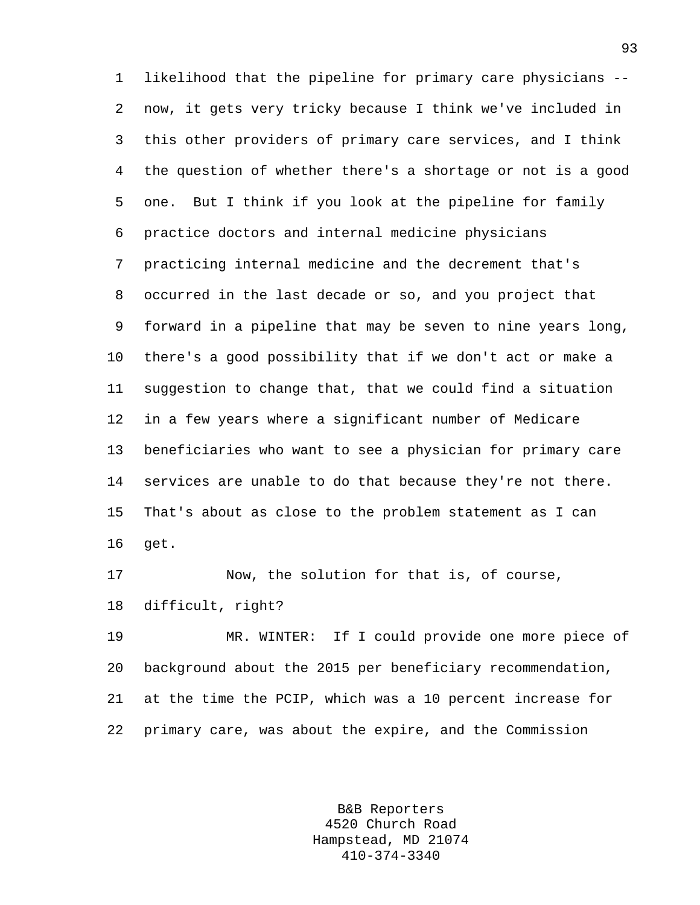1 likelihood that the pipeline for primary care physicians -- 2 now, it gets very tricky because I think we've included in 3 this other providers of primary care services, and I think 4 the question of whether there's a shortage or not is a good 5 one. But I think if you look at the pipeline for family 6 practice doctors and internal medicine physicians 7 practicing internal medicine and the decrement that's 8 occurred in the last decade or so, and you project that 9 forward in a pipeline that may be seven to nine years long, 10 there's a good possibility that if we don't act or make a 11 suggestion to change that, that we could find a situation 12 in a few years where a significant number of Medicare 13 beneficiaries who want to see a physician for primary care 14 services are unable to do that because they're not there. 15 That's about as close to the problem statement as I can 16 get.

17 Now, the solution for that is, of course, 18 difficult, right?

19 MR. WINTER: If I could provide one more piece of 20 background about the 2015 per beneficiary recommendation, 21 at the time the PCIP, which was a 10 percent increase for 22 primary care, was about the expire, and the Commission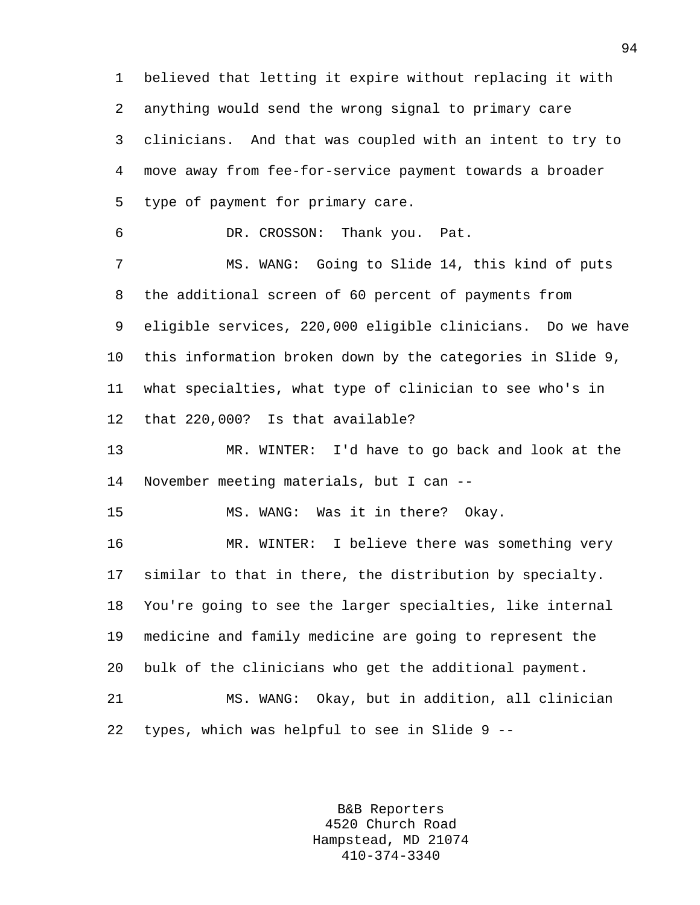1 believed that letting it expire without replacing it with 2 anything would send the wrong signal to primary care 3 clinicians. And that was coupled with an intent to try to 4 move away from fee-for-service payment towards a broader 5 type of payment for primary care. 6 DR. CROSSON: Thank you. Pat. 7 MS. WANG: Going to Slide 14, this kind of puts 8 the additional screen of 60 percent of payments from 9 eligible services, 220,000 eligible clinicians. Do we have 10 this information broken down by the categories in Slide 9, 11 what specialties, what type of clinician to see who's in 12 that 220,000? Is that available? 13 MR. WINTER: I'd have to go back and look at the 14 November meeting materials, but I can -- 15 MS. WANG: Was it in there? Okay. 16 MR. WINTER: I believe there was something very 17 similar to that in there, the distribution by specialty. 18 You're going to see the larger specialties, like internal 19 medicine and family medicine are going to represent the 20 bulk of the clinicians who get the additional payment. 21 MS. WANG: Okay, but in addition, all clinician 22 types, which was helpful to see in Slide 9 --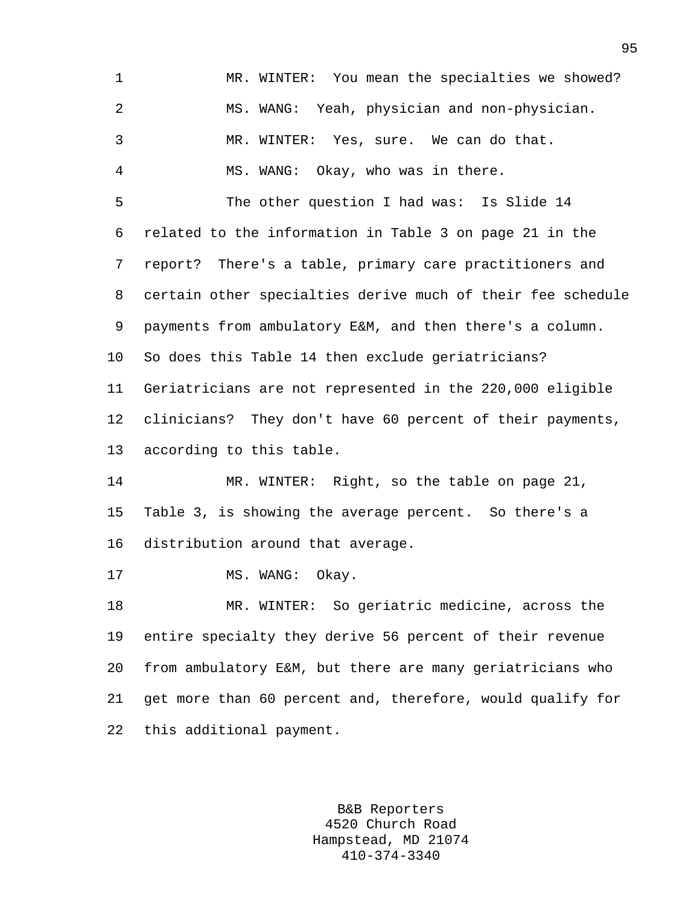| 1              | MR. WINTER: You mean the specialties we showed?             |
|----------------|-------------------------------------------------------------|
| $\overline{2}$ | MS. WANG: Yeah, physician and non-physician.                |
| 3              | MR. WINTER: Yes, sure. We can do that.                      |
| 4              | MS. WANG: Okay, who was in there.                           |
| 5              | The other question I had was: Is Slide 14                   |
| 6              | related to the information in Table 3 on page 21 in the     |
| 7              | report? There's a table, primary care practitioners and     |
| 8              | certain other specialties derive much of their fee schedule |
| 9              | payments from ambulatory E&M, and then there's a column.    |
| $10 \,$        | So does this Table 14 then exclude geriatricians?           |
| 11             | Geriatricians are not represented in the 220,000 eligible   |
| 12             | clinicians? They don't have 60 percent of their payments,   |
| 13             | according to this table.                                    |
| 14             | MR. WINTER: Right, so the table on page 21,                 |
| 15             | Table 3, is showing the average percent. So there's a       |
| 16             | distribution around that average.                           |
| 17             | Okay.<br>MS. WANG:                                          |
| 18             | MR. WINTER: So geriatric medicine, across the               |
| 19             | entire specialty they derive 56 percent of their revenue    |
| 20             | from ambulatory E&M, but there are many geriatricians who   |
| 21             | get more than 60 percent and, therefore, would qualify for  |
|                |                                                             |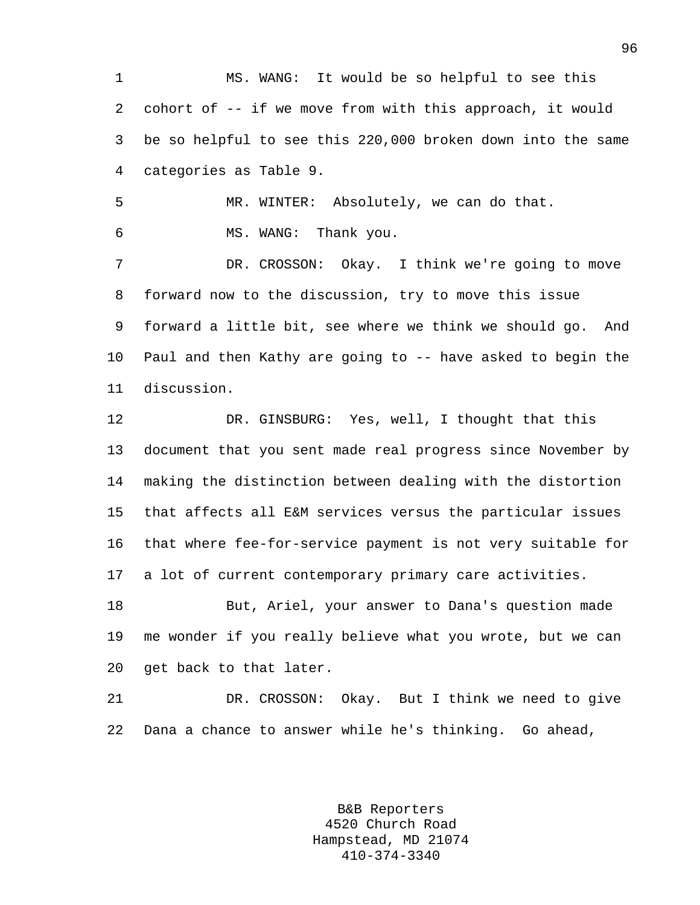1 MS. WANG: It would be so helpful to see this 2 cohort of -- if we move from with this approach, it would 3 be so helpful to see this 220,000 broken down into the same 4 categories as Table 9.

5 MR. WINTER: Absolutely, we can do that. 6 MS. WANG: Thank you.

7 DR. CROSSON: Okay. I think we're going to move 8 forward now to the discussion, try to move this issue 9 forward a little bit, see where we think we should go. And 10 Paul and then Kathy are going to -- have asked to begin the 11 discussion.

12 DR. GINSBURG: Yes, well, I thought that this 13 document that you sent made real progress since November by 14 making the distinction between dealing with the distortion 15 that affects all E&M services versus the particular issues 16 that where fee-for-service payment is not very suitable for 17 a lot of current contemporary primary care activities. 18 But, Ariel, your answer to Dana's question made 19 me wonder if you really believe what you wrote, but we can

20 get back to that later.

21 DR. CROSSON: Okay. But I think we need to give 22 Dana a chance to answer while he's thinking. Go ahead,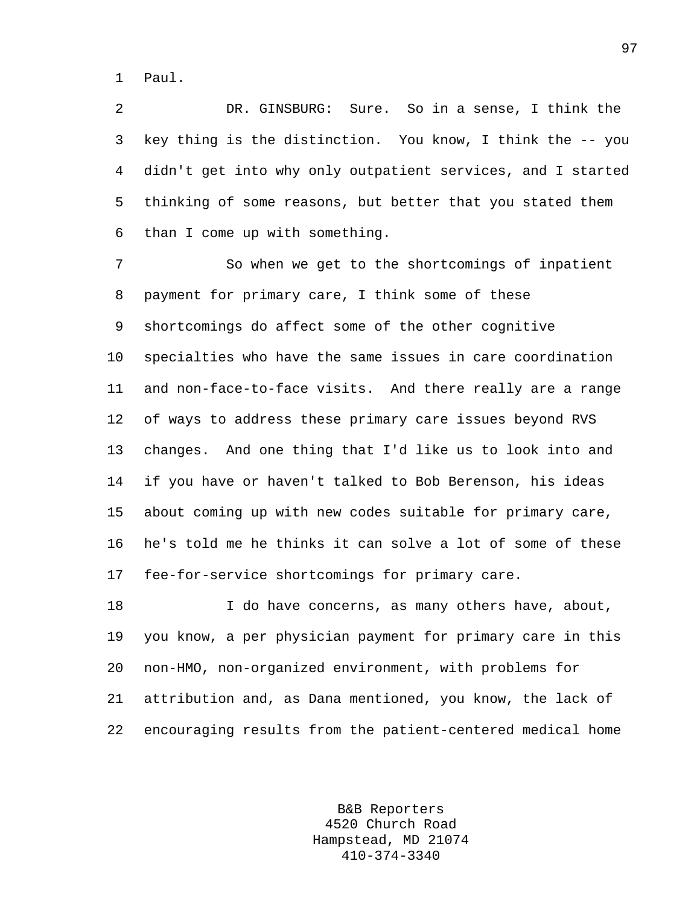1 Paul.

2 DR. GINSBURG: Sure. So in a sense, I think the 3 key thing is the distinction. You know, I think the -- you 4 didn't get into why only outpatient services, and I started 5 thinking of some reasons, but better that you stated them 6 than I come up with something.

7 So when we get to the shortcomings of inpatient 8 payment for primary care, I think some of these 9 shortcomings do affect some of the other cognitive 10 specialties who have the same issues in care coordination 11 and non-face-to-face visits. And there really are a range 12 of ways to address these primary care issues beyond RVS 13 changes. And one thing that I'd like us to look into and 14 if you have or haven't talked to Bob Berenson, his ideas 15 about coming up with new codes suitable for primary care, 16 he's told me he thinks it can solve a lot of some of these 17 fee-for-service shortcomings for primary care.

18 I do have concerns, as many others have, about, 19 you know, a per physician payment for primary care in this 20 non-HMO, non-organized environment, with problems for 21 attribution and, as Dana mentioned, you know, the lack of 22 encouraging results from the patient-centered medical home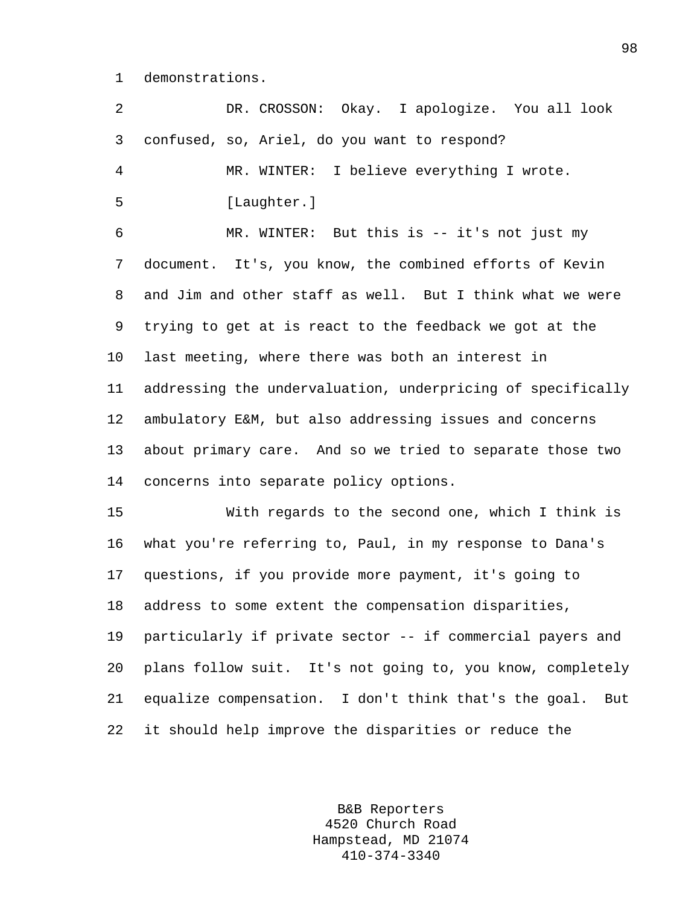1 demonstrations.

| $\overline{a}$ | DR. CROSSON: Okay. I apologize. You all look                 |
|----------------|--------------------------------------------------------------|
| 3              | confused, so, Ariel, do you want to respond?                 |
| 4              | MR. WINTER: I believe everything I wrote.                    |
| 5              | [Laughter.]                                                  |
| 6              | MR. WINTER: But this is -- it's not just my                  |
| 7              | document. It's, you know, the combined efforts of Kevin      |
| 8              | and Jim and other staff as well. But I think what we were    |
| 9              | trying to get at is react to the feedback we got at the      |
| 10             | last meeting, where there was both an interest in            |
| 11             | addressing the undervaluation, underpricing of specifically  |
| 12             | ambulatory E&M, but also addressing issues and concerns      |
| 13             | about primary care. And so we tried to separate those two    |
| 14             | concerns into separate policy options.                       |
| 15             | With regards to the second one, which I think is             |
| 16             | what you're referring to, Paul, in my response to Dana's     |
| 17             | questions, if you provide more payment, it's going to        |
| 18             | address to some extent the compensation disparities,         |
| 19             | particularly if private sector -- if commercial payers and   |
| 20             | plans follow suit. It's not going to, you know, completely   |
| 21             | equalize compensation. I don't think that's the goal.<br>But |
| 22             | it should help improve the disparities or reduce the         |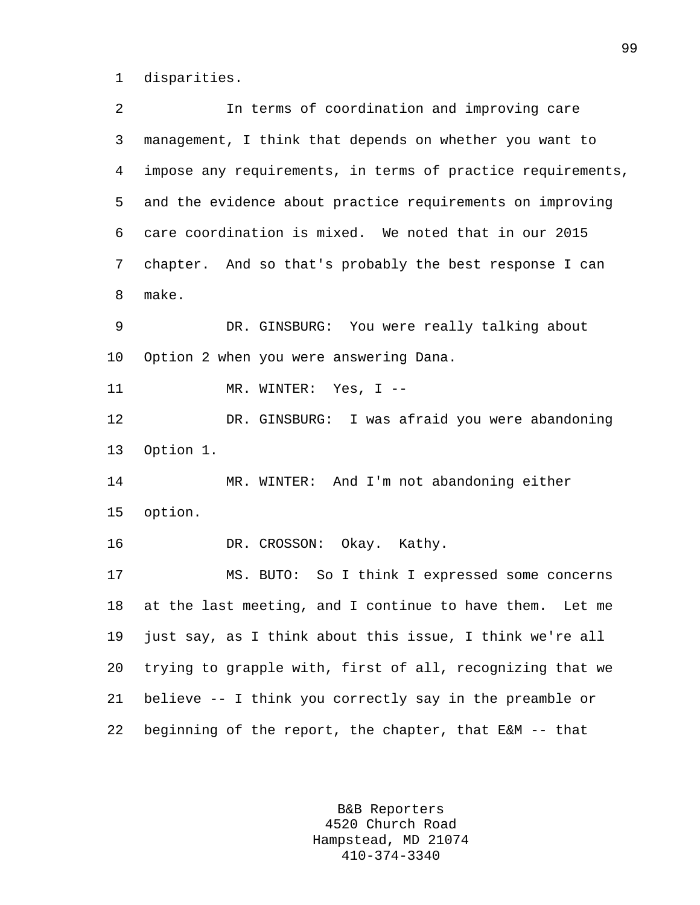1 disparities.

2 In terms of coordination and improving care 3 management, I think that depends on whether you want to 4 impose any requirements, in terms of practice requirements, 5 and the evidence about practice requirements on improving 6 care coordination is mixed. We noted that in our 2015 7 chapter. And so that's probably the best response I can 8 make. 9 DR. GINSBURG: You were really talking about 10 Option 2 when you were answering Dana. 11 MR. WINTER: Yes, I --12 DR. GINSBURG: I was afraid you were abandoning 13 Option 1. 14 MR. WINTER: And I'm not abandoning either 15 option. 16 DR. CROSSON: Okay. Kathy. 17 MS. BUTO: So I think I expressed some concerns 18 at the last meeting, and I continue to have them. Let me 19 just say, as I think about this issue, I think we're all 20 trying to grapple with, first of all, recognizing that we 21 believe -- I think you correctly say in the preamble or 22 beginning of the report, the chapter, that E&M -- that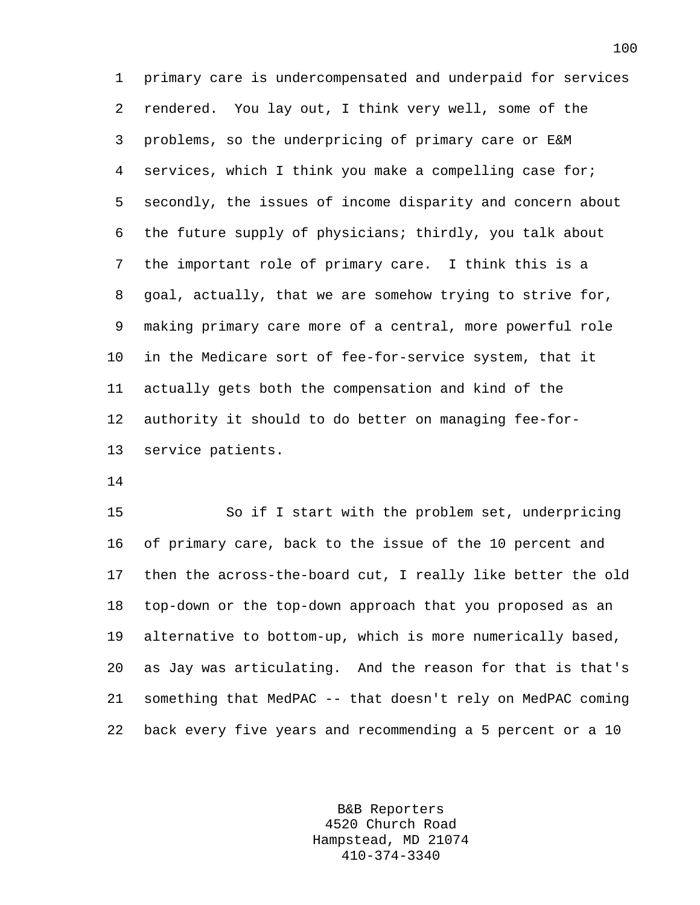1 primary care is undercompensated and underpaid for services 2 rendered. You lay out, I think very well, some of the 3 problems, so the underpricing of primary care or E&M 4 services, which I think you make a compelling case for; 5 secondly, the issues of income disparity and concern about 6 the future supply of physicians; thirdly, you talk about 7 the important role of primary care. I think this is a 8 goal, actually, that we are somehow trying to strive for, 9 making primary care more of a central, more powerful role 10 in the Medicare sort of fee-for-service system, that it 11 actually gets both the compensation and kind of the 12 authority it should to do better on managing fee-for-13 service patients.

14

15 So if I start with the problem set, underpricing 16 of primary care, back to the issue of the 10 percent and 17 then the across-the-board cut, I really like better the old 18 top-down or the top-down approach that you proposed as an 19 alternative to bottom-up, which is more numerically based, 20 as Jay was articulating. And the reason for that is that's 21 something that MedPAC -- that doesn't rely on MedPAC coming 22 back every five years and recommending a 5 percent or a 10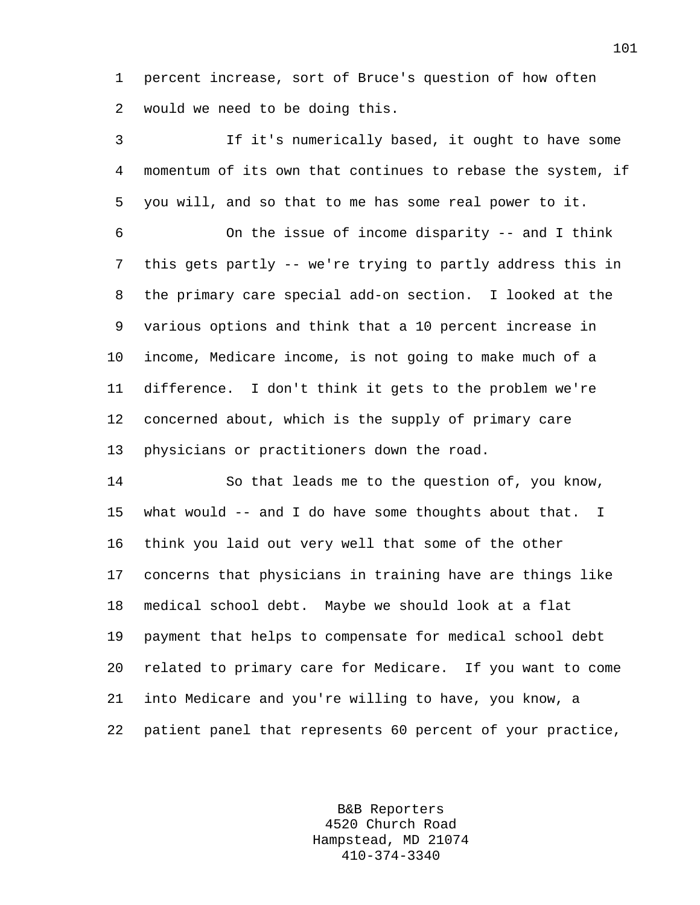1 percent increase, sort of Bruce's question of how often 2 would we need to be doing this.

3 If it's numerically based, it ought to have some 4 momentum of its own that continues to rebase the system, if 5 you will, and so that to me has some real power to it.

6 On the issue of income disparity -- and I think 7 this gets partly -- we're trying to partly address this in 8 the primary care special add-on section. I looked at the 9 various options and think that a 10 percent increase in 10 income, Medicare income, is not going to make much of a 11 difference. I don't think it gets to the problem we're 12 concerned about, which is the supply of primary care 13 physicians or practitioners down the road.

14 So that leads me to the question of, you know, 15 what would -- and I do have some thoughts about that. I 16 think you laid out very well that some of the other 17 concerns that physicians in training have are things like 18 medical school debt. Maybe we should look at a flat 19 payment that helps to compensate for medical school debt 20 related to primary care for Medicare. If you want to come 21 into Medicare and you're willing to have, you know, a 22 patient panel that represents 60 percent of your practice,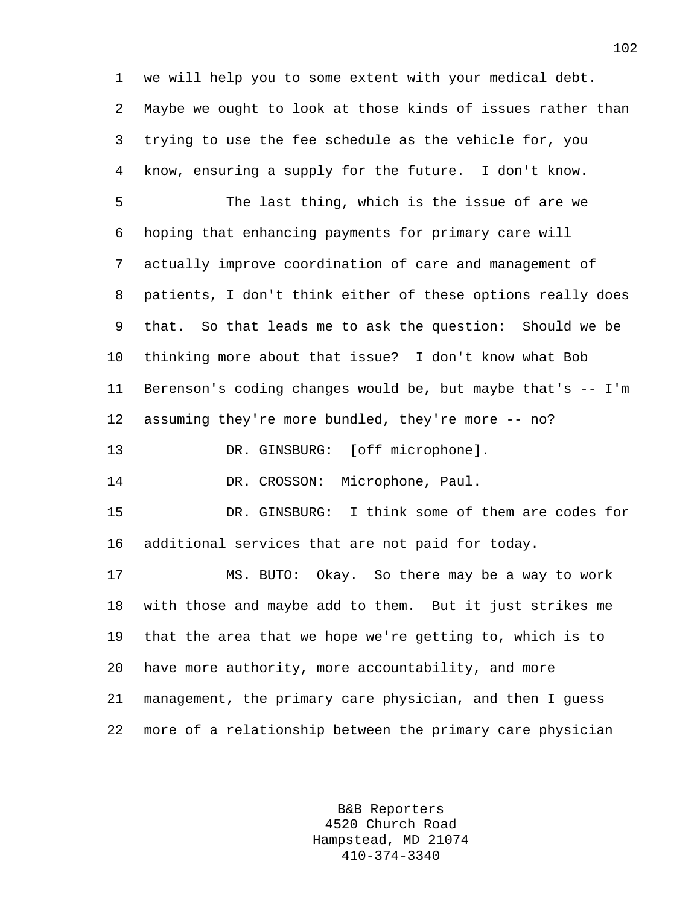1 we will help you to some extent with your medical debt. 2 Maybe we ought to look at those kinds of issues rather than 3 trying to use the fee schedule as the vehicle for, you 4 know, ensuring a supply for the future. I don't know. 5 The last thing, which is the issue of are we 6 hoping that enhancing payments for primary care will 7 actually improve coordination of care and management of 8 patients, I don't think either of these options really does 9 that. So that leads me to ask the question: Should we be 10 thinking more about that issue? I don't know what Bob 11 Berenson's coding changes would be, but maybe that's -- I'm 12 assuming they're more bundled, they're more -- no? 13 DR. GINSBURG: [off microphone]. 14 DR. CROSSON: Microphone, Paul. 15 DR. GINSBURG: I think some of them are codes for 16 additional services that are not paid for today. 17 MS. BUTO: Okay. So there may be a way to work 18 with those and maybe add to them. But it just strikes me 19 that the area that we hope we're getting to, which is to 20 have more authority, more accountability, and more 21 management, the primary care physician, and then I guess 22 more of a relationship between the primary care physician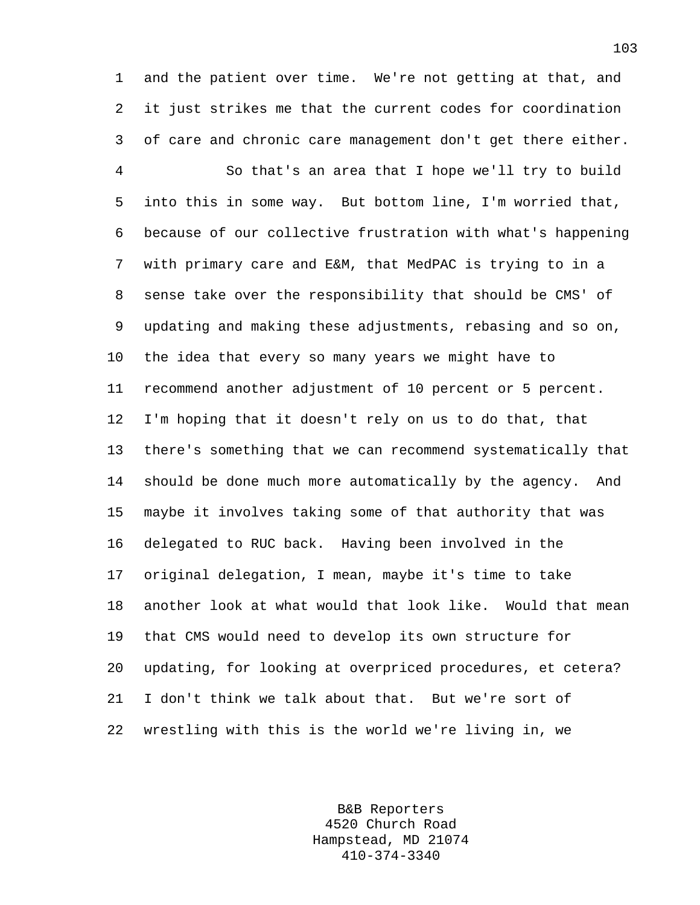1 and the patient over time. We're not getting at that, and 2 it just strikes me that the current codes for coordination 3 of care and chronic care management don't get there either.

4 So that's an area that I hope we'll try to build 5 into this in some way. But bottom line, I'm worried that, 6 because of our collective frustration with what's happening 7 with primary care and E&M, that MedPAC is trying to in a 8 sense take over the responsibility that should be CMS' of 9 updating and making these adjustments, rebasing and so on, 10 the idea that every so many years we might have to 11 recommend another adjustment of 10 percent or 5 percent. 12 I'm hoping that it doesn't rely on us to do that, that 13 there's something that we can recommend systematically that 14 should be done much more automatically by the agency. And 15 maybe it involves taking some of that authority that was 16 delegated to RUC back. Having been involved in the 17 original delegation, I mean, maybe it's time to take 18 another look at what would that look like. Would that mean 19 that CMS would need to develop its own structure for 20 updating, for looking at overpriced procedures, et cetera? 21 I don't think we talk about that. But we're sort of 22 wrestling with this is the world we're living in, we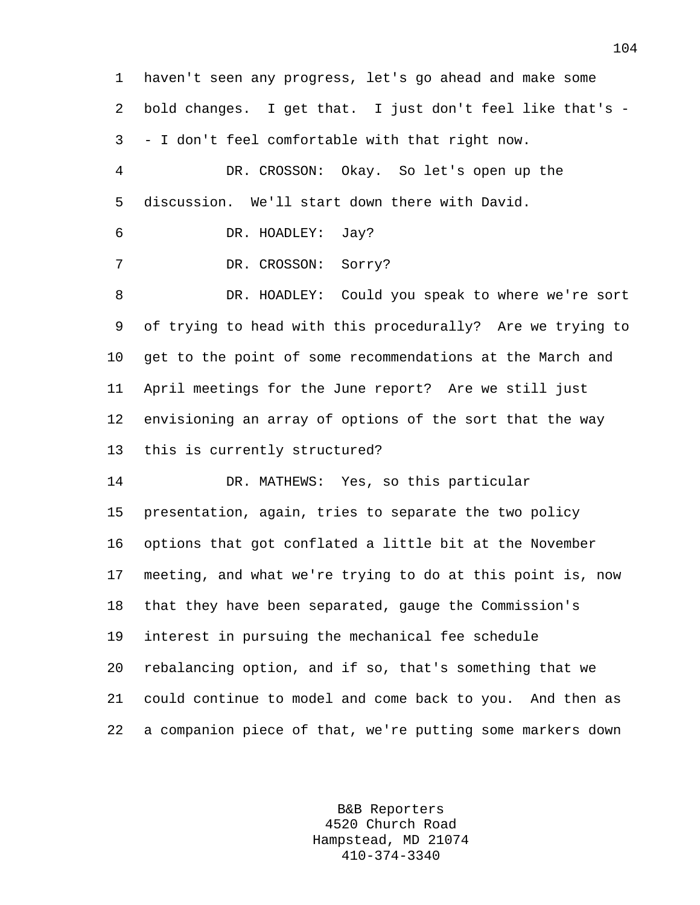1 haven't seen any progress, let's go ahead and make some 2 bold changes. I get that. I just don't feel like that's - 3 - I don't feel comfortable with that right now. 4 DR. CROSSON: Okay. So let's open up the 5 discussion. We'll start down there with David. 6 DR. HOADLEY: Jay? 7 DR. CROSSON: Sorry? 8 DR. HOADLEY: Could you speak to where we're sort 9 of trying to head with this procedurally? Are we trying to 10 get to the point of some recommendations at the March and 11 April meetings for the June report? Are we still just 12 envisioning an array of options of the sort that the way 13 this is currently structured? 14 DR. MATHEWS: Yes, so this particular 15 presentation, again, tries to separate the two policy 16 options that got conflated a little bit at the November 17 meeting, and what we're trying to do at this point is, now 18 that they have been separated, gauge the Commission's 19 interest in pursuing the mechanical fee schedule 20 rebalancing option, and if so, that's something that we 21 could continue to model and come back to you. And then as 22 a companion piece of that, we're putting some markers down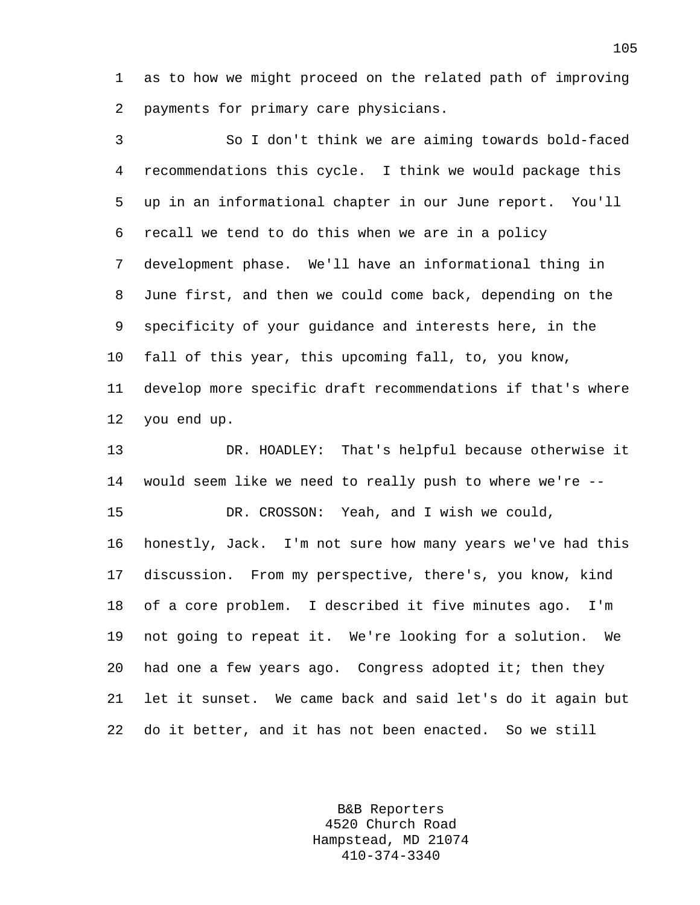1 as to how we might proceed on the related path of improving 2 payments for primary care physicians.

3 So I don't think we are aiming towards bold-faced 4 recommendations this cycle. I think we would package this 5 up in an informational chapter in our June report. You'll 6 recall we tend to do this when we are in a policy 7 development phase. We'll have an informational thing in 8 June first, and then we could come back, depending on the 9 specificity of your guidance and interests here, in the 10 fall of this year, this upcoming fall, to, you know, 11 develop more specific draft recommendations if that's where 12 you end up. 13 DR. HOADLEY: That's helpful because otherwise it 14 would seem like we need to really push to where we're -- 15 DR. CROSSON: Yeah, and I wish we could, 16 honestly, Jack. I'm not sure how many years we've had this 17 discussion. From my perspective, there's, you know, kind

18 of a core problem. I described it five minutes ago. I'm 19 not going to repeat it. We're looking for a solution. We 20 had one a few years ago. Congress adopted it; then they 21 let it sunset. We came back and said let's do it again but 22 do it better, and it has not been enacted. So we still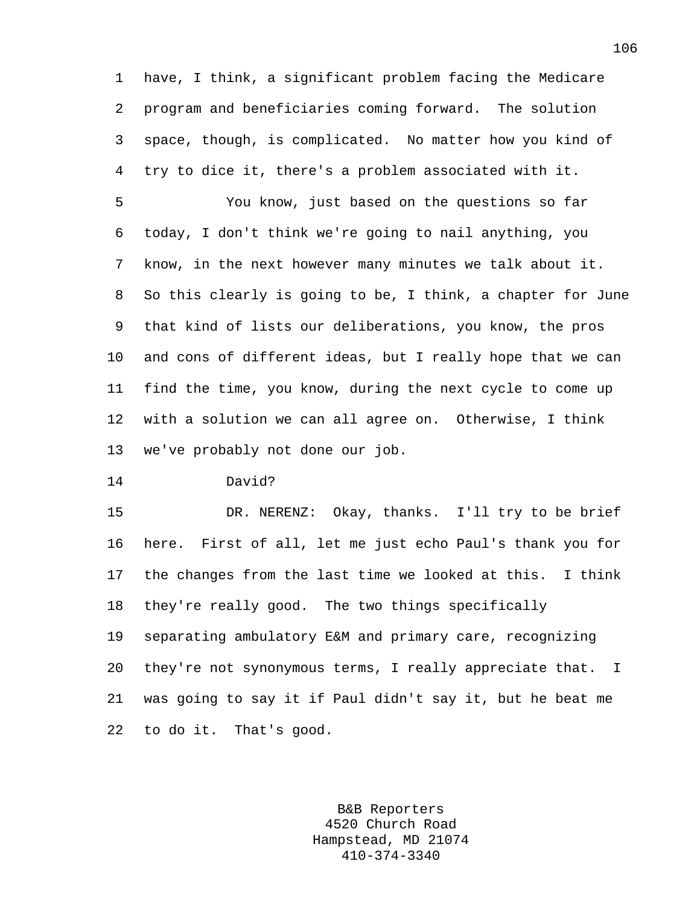1 have, I think, a significant problem facing the Medicare 2 program and beneficiaries coming forward. The solution 3 space, though, is complicated. No matter how you kind of 4 try to dice it, there's a problem associated with it.

5 You know, just based on the questions so far 6 today, I don't think we're going to nail anything, you 7 know, in the next however many minutes we talk about it. 8 So this clearly is going to be, I think, a chapter for June 9 that kind of lists our deliberations, you know, the pros 10 and cons of different ideas, but I really hope that we can 11 find the time, you know, during the next cycle to come up 12 with a solution we can all agree on. Otherwise, I think 13 we've probably not done our job.

14 David?

15 DR. NERENZ: Okay, thanks. I'll try to be brief 16 here. First of all, let me just echo Paul's thank you for 17 the changes from the last time we looked at this. I think 18 they're really good. The two things specifically 19 separating ambulatory E&M and primary care, recognizing 20 they're not synonymous terms, I really appreciate that. I 21 was going to say it if Paul didn't say it, but he beat me 22 to do it. That's good.

> B&B Reporters 4520 Church Road Hampstead, MD 21074 410-374-3340

106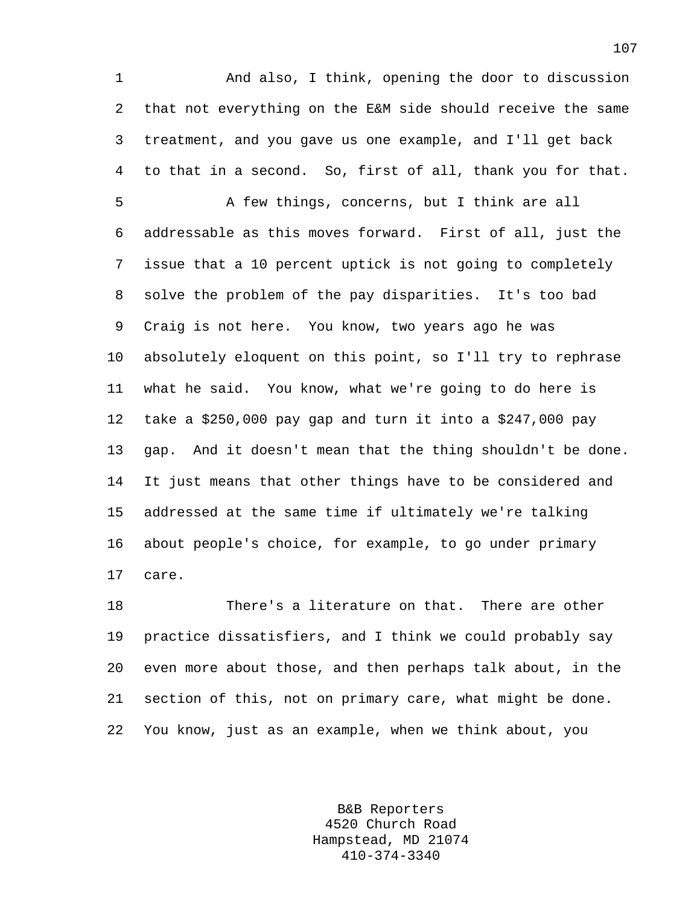1 And also, I think, opening the door to discussion 2 that not everything on the E&M side should receive the same 3 treatment, and you gave us one example, and I'll get back 4 to that in a second. So, first of all, thank you for that.

5 A few things, concerns, but I think are all 6 addressable as this moves forward. First of all, just the 7 issue that a 10 percent uptick is not going to completely 8 solve the problem of the pay disparities. It's too bad 9 Craig is not here. You know, two years ago he was 10 absolutely eloquent on this point, so I'll try to rephrase 11 what he said. You know, what we're going to do here is 12 take a \$250,000 pay gap and turn it into a \$247,000 pay 13 gap. And it doesn't mean that the thing shouldn't be done. 14 It just means that other things have to be considered and 15 addressed at the same time if ultimately we're talking 16 about people's choice, for example, to go under primary 17 care.

18 There's a literature on that. There are other 19 practice dissatisfiers, and I think we could probably say 20 even more about those, and then perhaps talk about, in the 21 section of this, not on primary care, what might be done. 22 You know, just as an example, when we think about, you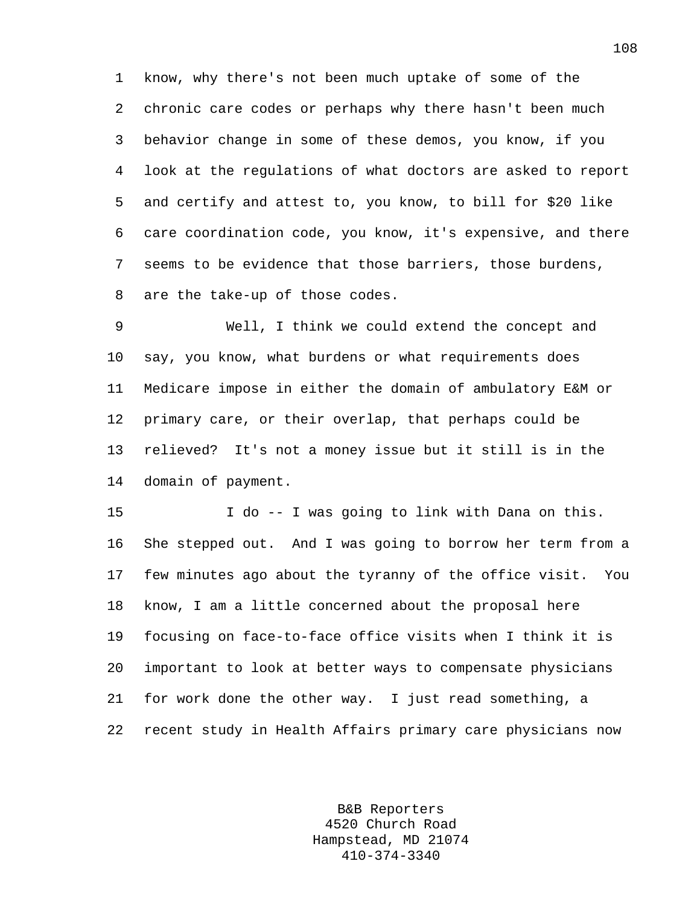1 know, why there's not been much uptake of some of the 2 chronic care codes or perhaps why there hasn't been much 3 behavior change in some of these demos, you know, if you 4 look at the regulations of what doctors are asked to report 5 and certify and attest to, you know, to bill for \$20 like 6 care coordination code, you know, it's expensive, and there 7 seems to be evidence that those barriers, those burdens, 8 are the take-up of those codes.

9 Well, I think we could extend the concept and 10 say, you know, what burdens or what requirements does 11 Medicare impose in either the domain of ambulatory E&M or 12 primary care, or their overlap, that perhaps could be 13 relieved? It's not a money issue but it still is in the 14 domain of payment.

15 I do -- I was going to link with Dana on this. 16 She stepped out. And I was going to borrow her term from a 17 few minutes ago about the tyranny of the office visit. You 18 know, I am a little concerned about the proposal here 19 focusing on face-to-face office visits when I think it is 20 important to look at better ways to compensate physicians 21 for work done the other way. I just read something, a 22 recent study in Health Affairs primary care physicians now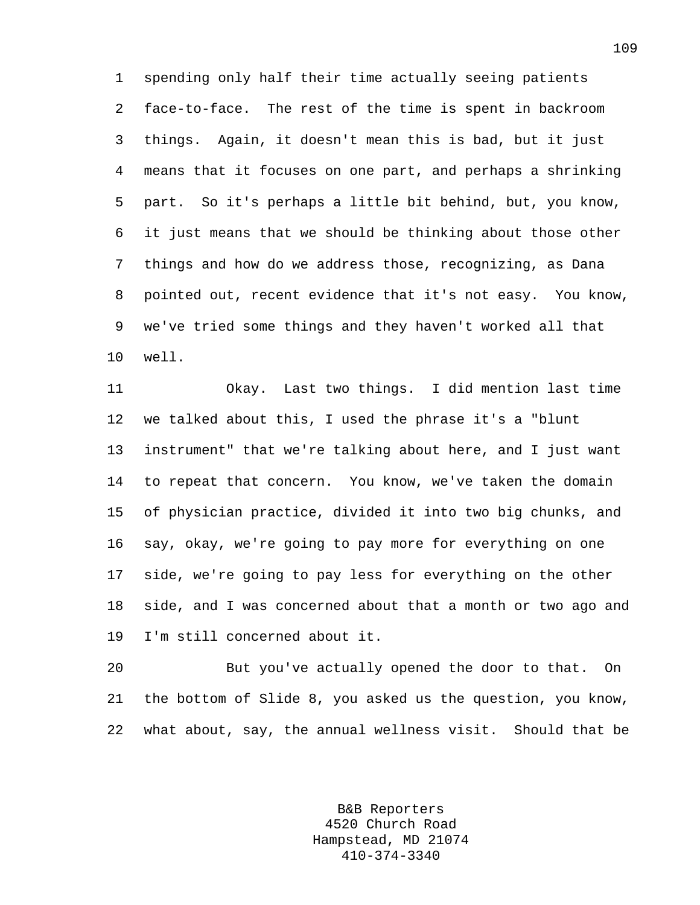1 spending only half their time actually seeing patients 2 face-to-face. The rest of the time is spent in backroom 3 things. Again, it doesn't mean this is bad, but it just 4 means that it focuses on one part, and perhaps a shrinking 5 part. So it's perhaps a little bit behind, but, you know, 6 it just means that we should be thinking about those other 7 things and how do we address those, recognizing, as Dana 8 pointed out, recent evidence that it's not easy. You know, 9 we've tried some things and they haven't worked all that 10 well.

11 Okay. Last two things. I did mention last time 12 we talked about this, I used the phrase it's a "blunt 13 instrument" that we're talking about here, and I just want 14 to repeat that concern. You know, we've taken the domain 15 of physician practice, divided it into two big chunks, and 16 say, okay, we're going to pay more for everything on one 17 side, we're going to pay less for everything on the other 18 side, and I was concerned about that a month or two ago and 19 I'm still concerned about it.

20 But you've actually opened the door to that. On 21 the bottom of Slide 8, you asked us the question, you know, 22 what about, say, the annual wellness visit. Should that be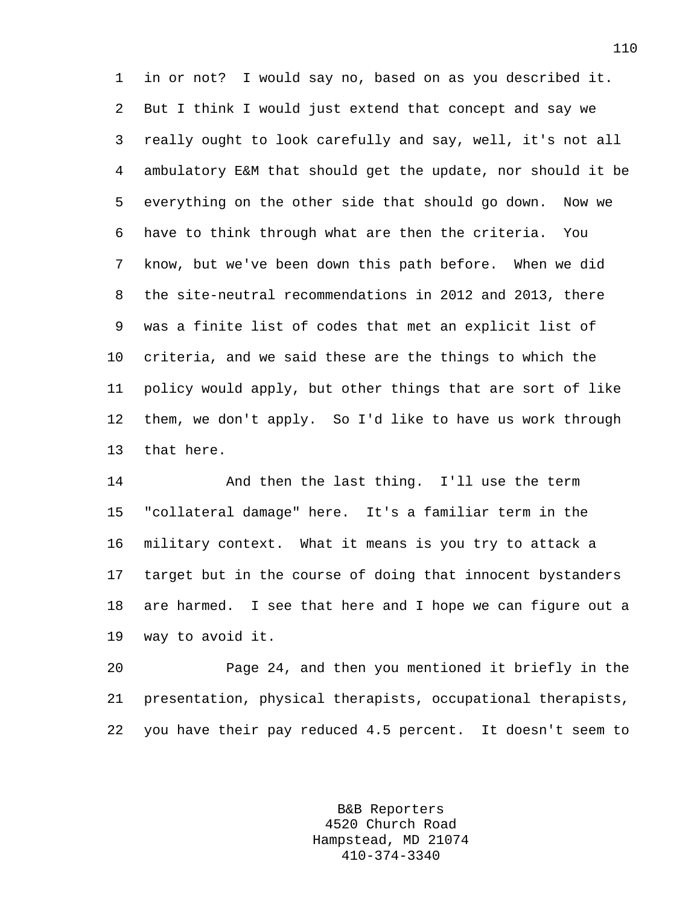1 in or not? I would say no, based on as you described it. 2 But I think I would just extend that concept and say we 3 really ought to look carefully and say, well, it's not all 4 ambulatory E&M that should get the update, nor should it be 5 everything on the other side that should go down. Now we 6 have to think through what are then the criteria. You 7 know, but we've been down this path before. When we did 8 the site-neutral recommendations in 2012 and 2013, there 9 was a finite list of codes that met an explicit list of 10 criteria, and we said these are the things to which the 11 policy would apply, but other things that are sort of like 12 them, we don't apply. So I'd like to have us work through 13 that here.

14 And then the last thing. I'll use the term 15 "collateral damage" here. It's a familiar term in the 16 military context. What it means is you try to attack a 17 target but in the course of doing that innocent bystanders 18 are harmed. I see that here and I hope we can figure out a 19 way to avoid it.

20 Page 24, and then you mentioned it briefly in the 21 presentation, physical therapists, occupational therapists, 22 you have their pay reduced 4.5 percent. It doesn't seem to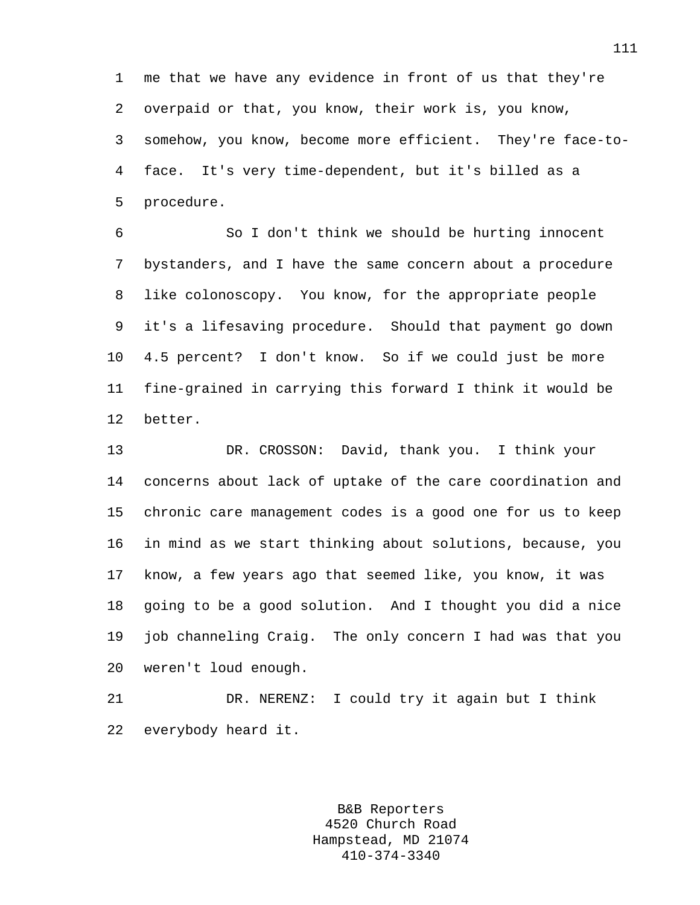1 me that we have any evidence in front of us that they're 2 overpaid or that, you know, their work is, you know, 3 somehow, you know, become more efficient. They're face-to-4 face. It's very time-dependent, but it's billed as a 5 procedure.

6 So I don't think we should be hurting innocent 7 bystanders, and I have the same concern about a procedure 8 like colonoscopy. You know, for the appropriate people 9 it's a lifesaving procedure. Should that payment go down 10 4.5 percent? I don't know. So if we could just be more 11 fine-grained in carrying this forward I think it would be 12 better.

13 DR. CROSSON: David, thank you. I think your 14 concerns about lack of uptake of the care coordination and 15 chronic care management codes is a good one for us to keep 16 in mind as we start thinking about solutions, because, you 17 know, a few years ago that seemed like, you know, it was 18 going to be a good solution. And I thought you did a nice 19 job channeling Craig. The only concern I had was that you 20 weren't loud enough.

21 DR. NERENZ: I could try it again but I think 22 everybody heard it.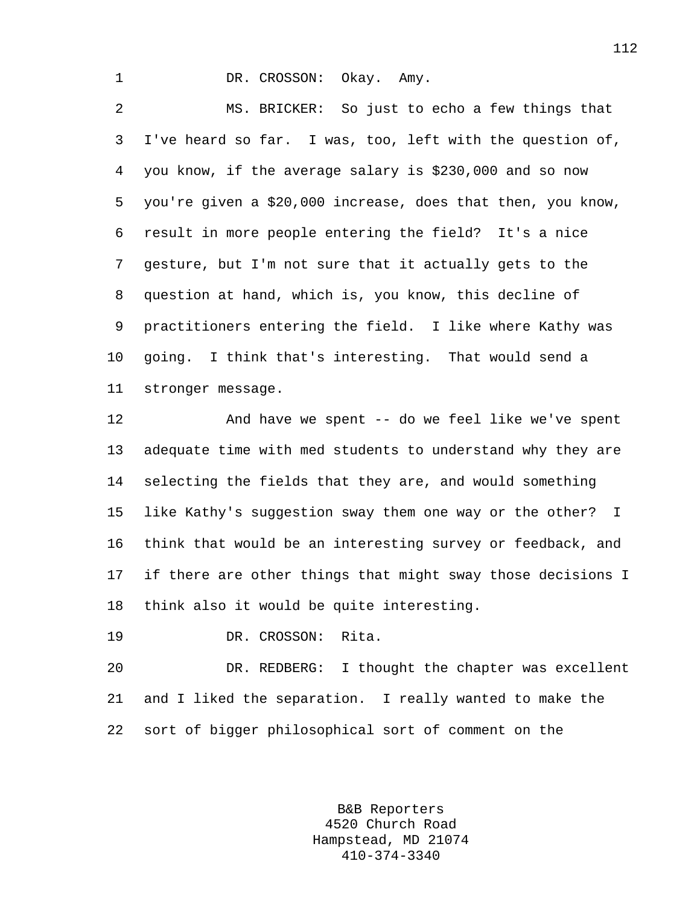1 DR. CROSSON: Okay. Amy.

2 MS. BRICKER: So just to echo a few things that 3 I've heard so far. I was, too, left with the question of, 4 you know, if the average salary is \$230,000 and so now 5 you're given a \$20,000 increase, does that then, you know, 6 result in more people entering the field? It's a nice 7 gesture, but I'm not sure that it actually gets to the 8 question at hand, which is, you know, this decline of 9 practitioners entering the field. I like where Kathy was 10 going. I think that's interesting. That would send a 11 stronger message.

12 And have we spent -- do we feel like we've spent 13 adequate time with med students to understand why they are 14 selecting the fields that they are, and would something 15 like Kathy's suggestion sway them one way or the other? I 16 think that would be an interesting survey or feedback, and 17 if there are other things that might sway those decisions I 18 think also it would be quite interesting.

19 DR. CROSSON: Rita.

20 DR. REDBERG: I thought the chapter was excellent 21 and I liked the separation. I really wanted to make the 22 sort of bigger philosophical sort of comment on the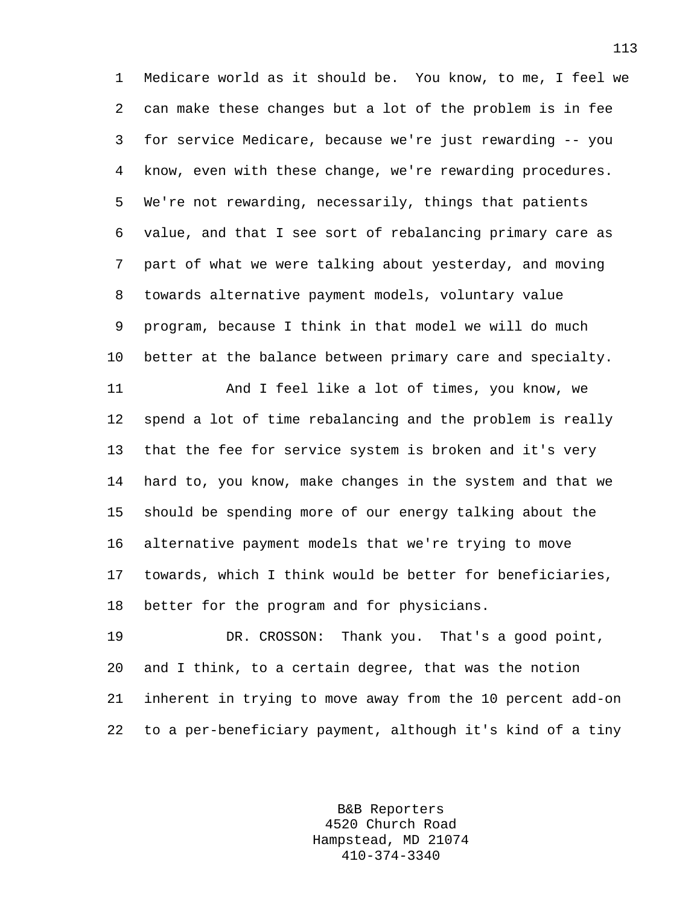1 Medicare world as it should be. You know, to me, I feel we 2 can make these changes but a lot of the problem is in fee 3 for service Medicare, because we're just rewarding -- you 4 know, even with these change, we're rewarding procedures. 5 We're not rewarding, necessarily, things that patients 6 value, and that I see sort of rebalancing primary care as 7 part of what we were talking about yesterday, and moving 8 towards alternative payment models, voluntary value 9 program, because I think in that model we will do much 10 better at the balance between primary care and specialty. 11 And I feel like a lot of times, you know, we 12 spend a lot of time rebalancing and the problem is really 13 that the fee for service system is broken and it's very 14 hard to, you know, make changes in the system and that we 15 should be spending more of our energy talking about the 16 alternative payment models that we're trying to move 17 towards, which I think would be better for beneficiaries, 18 better for the program and for physicians.

19 DR. CROSSON: Thank you. That's a good point, 20 and I think, to a certain degree, that was the notion 21 inherent in trying to move away from the 10 percent add-on 22 to a per-beneficiary payment, although it's kind of a tiny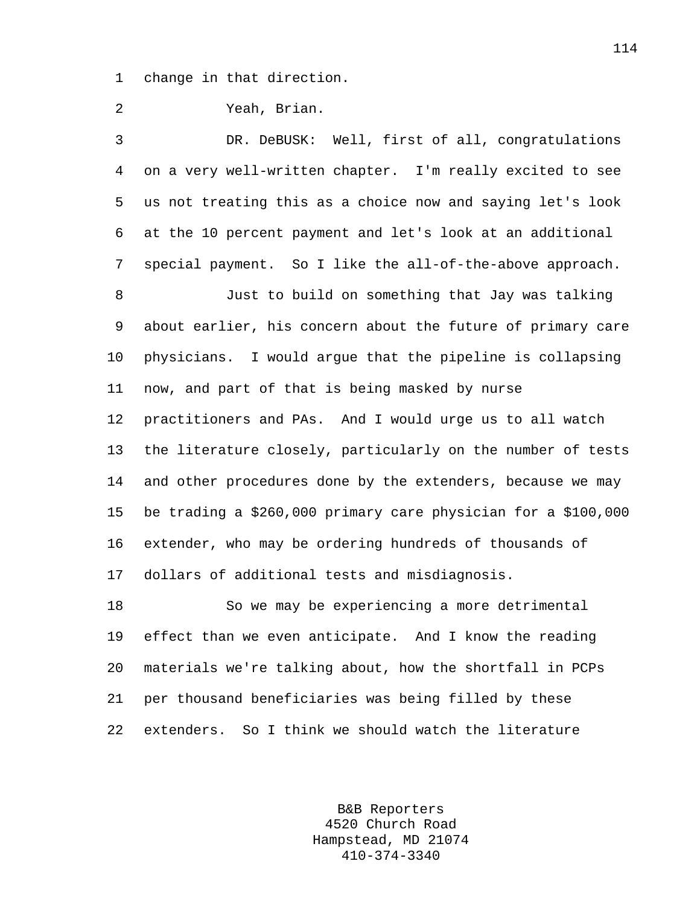1 change in that direction.

2 Yeah, Brian.

3 DR. DeBUSK: Well, first of all, congratulations 4 on a very well-written chapter. I'm really excited to see 5 us not treating this as a choice now and saying let's look 6 at the 10 percent payment and let's look at an additional 7 special payment. So I like the all-of-the-above approach.

8 Just to build on something that Jay was talking 9 about earlier, his concern about the future of primary care 10 physicians. I would argue that the pipeline is collapsing 11 now, and part of that is being masked by nurse 12 practitioners and PAs. And I would urge us to all watch 13 the literature closely, particularly on the number of tests 14 and other procedures done by the extenders, because we may 15 be trading a \$260,000 primary care physician for a \$100,000 16 extender, who may be ordering hundreds of thousands of 17 dollars of additional tests and misdiagnosis.

18 So we may be experiencing a more detrimental 19 effect than we even anticipate. And I know the reading 20 materials we're talking about, how the shortfall in PCPs 21 per thousand beneficiaries was being filled by these 22 extenders. So I think we should watch the literature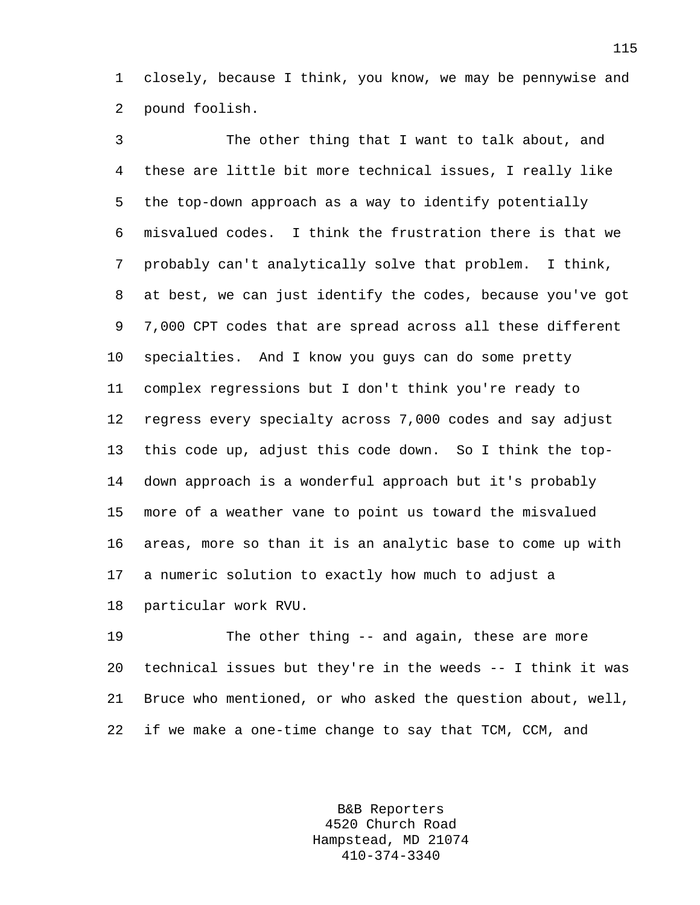1 closely, because I think, you know, we may be pennywise and 2 pound foolish.

3 The other thing that I want to talk about, and 4 these are little bit more technical issues, I really like 5 the top-down approach as a way to identify potentially 6 misvalued codes. I think the frustration there is that we 7 probably can't analytically solve that problem. I think, 8 at best, we can just identify the codes, because you've got 9 7,000 CPT codes that are spread across all these different 10 specialties. And I know you guys can do some pretty 11 complex regressions but I don't think you're ready to 12 regress every specialty across 7,000 codes and say adjust 13 this code up, adjust this code down. So I think the top-14 down approach is a wonderful approach but it's probably 15 more of a weather vane to point us toward the misvalued 16 areas, more so than it is an analytic base to come up with 17 a numeric solution to exactly how much to adjust a 18 particular work RVU.

19 The other thing -- and again, these are more 20 technical issues but they're in the weeds -- I think it was 21 Bruce who mentioned, or who asked the question about, well, 22 if we make a one-time change to say that TCM, CCM, and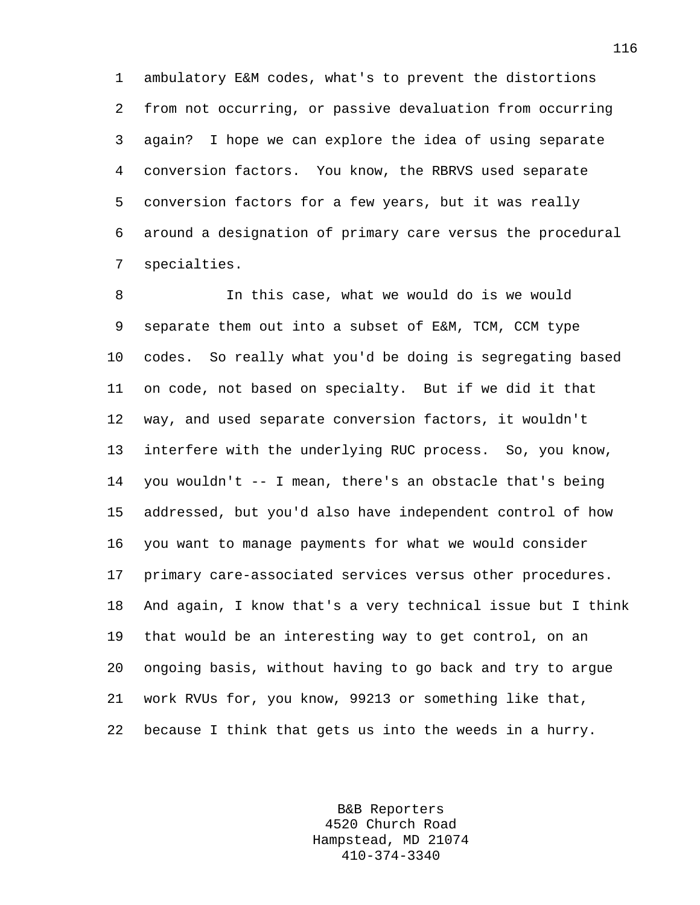1 ambulatory E&M codes, what's to prevent the distortions 2 from not occurring, or passive devaluation from occurring 3 again? I hope we can explore the idea of using separate 4 conversion factors. You know, the RBRVS used separate 5 conversion factors for a few years, but it was really 6 around a designation of primary care versus the procedural 7 specialties.

8 In this case, what we would do is we would 9 separate them out into a subset of E&M, TCM, CCM type 10 codes. So really what you'd be doing is segregating based 11 on code, not based on specialty. But if we did it that 12 way, and used separate conversion factors, it wouldn't 13 interfere with the underlying RUC process. So, you know, 14 you wouldn't -- I mean, there's an obstacle that's being 15 addressed, but you'd also have independent control of how 16 you want to manage payments for what we would consider 17 primary care-associated services versus other procedures. 18 And again, I know that's a very technical issue but I think 19 that would be an interesting way to get control, on an 20 ongoing basis, without having to go back and try to argue 21 work RVUs for, you know, 99213 or something like that, 22 because I think that gets us into the weeds in a hurry.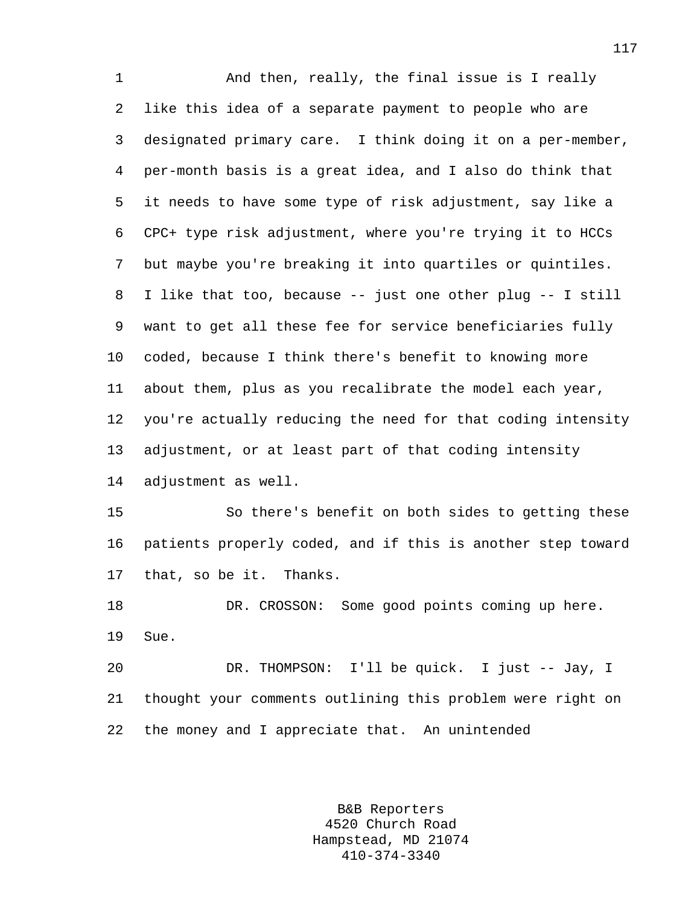1 And then, really, the final issue is I really 2 like this idea of a separate payment to people who are 3 designated primary care. I think doing it on a per-member, 4 per-month basis is a great idea, and I also do think that 5 it needs to have some type of risk adjustment, say like a 6 CPC+ type risk adjustment, where you're trying it to HCCs 7 but maybe you're breaking it into quartiles or quintiles. 8 I like that too, because -- just one other plug -- I still 9 want to get all these fee for service beneficiaries fully 10 coded, because I think there's benefit to knowing more 11 about them, plus as you recalibrate the model each year, 12 you're actually reducing the need for that coding intensity 13 adjustment, or at least part of that coding intensity 14 adjustment as well. 15 So there's benefit on both sides to getting these 16 patients properly coded, and if this is another step toward

17 that, so be it. Thanks.

18 DR. CROSSON: Some good points coming up here. 19 Sue.

20 DR. THOMPSON: I'll be quick. I just -- Jay, I 21 thought your comments outlining this problem were right on 22 the money and I appreciate that. An unintended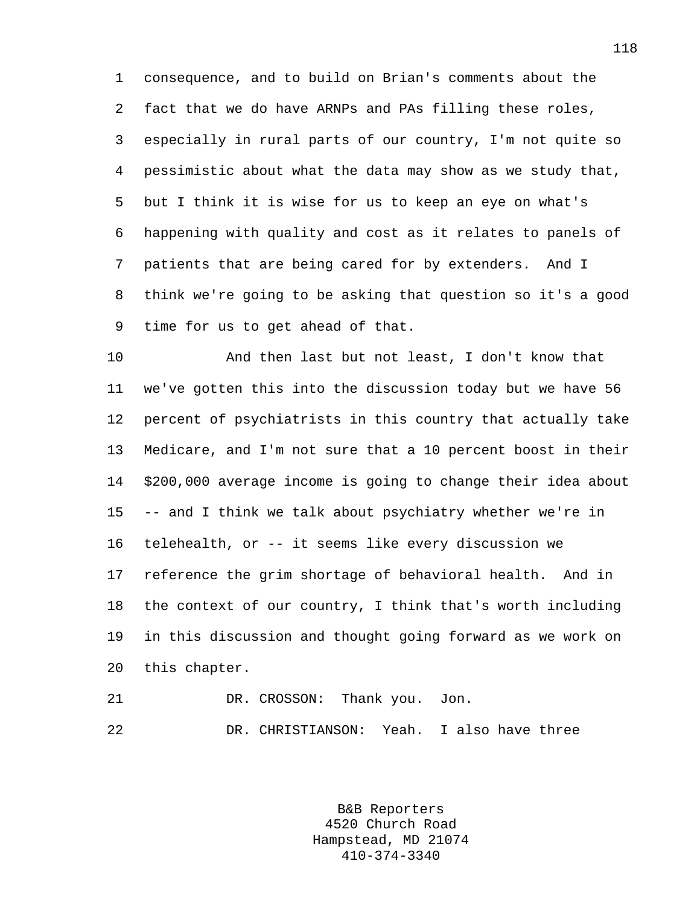1 consequence, and to build on Brian's comments about the 2 fact that we do have ARNPs and PAs filling these roles, 3 especially in rural parts of our country, I'm not quite so 4 pessimistic about what the data may show as we study that, 5 but I think it is wise for us to keep an eye on what's 6 happening with quality and cost as it relates to panels of 7 patients that are being cared for by extenders. And I 8 think we're going to be asking that question so it's a good 9 time for us to get ahead of that.

10 And then last but not least, I don't know that 11 we've gotten this into the discussion today but we have 56 12 percent of psychiatrists in this country that actually take 13 Medicare, and I'm not sure that a 10 percent boost in their 14 \$200,000 average income is going to change their idea about 15 -- and I think we talk about psychiatry whether we're in 16 telehealth, or -- it seems like every discussion we 17 reference the grim shortage of behavioral health. And in 18 the context of our country, I think that's worth including 19 in this discussion and thought going forward as we work on 20 this chapter.

21 DR. CROSSON: Thank you. Jon. 22 DR. CHRISTIANSON: Yeah. I also have three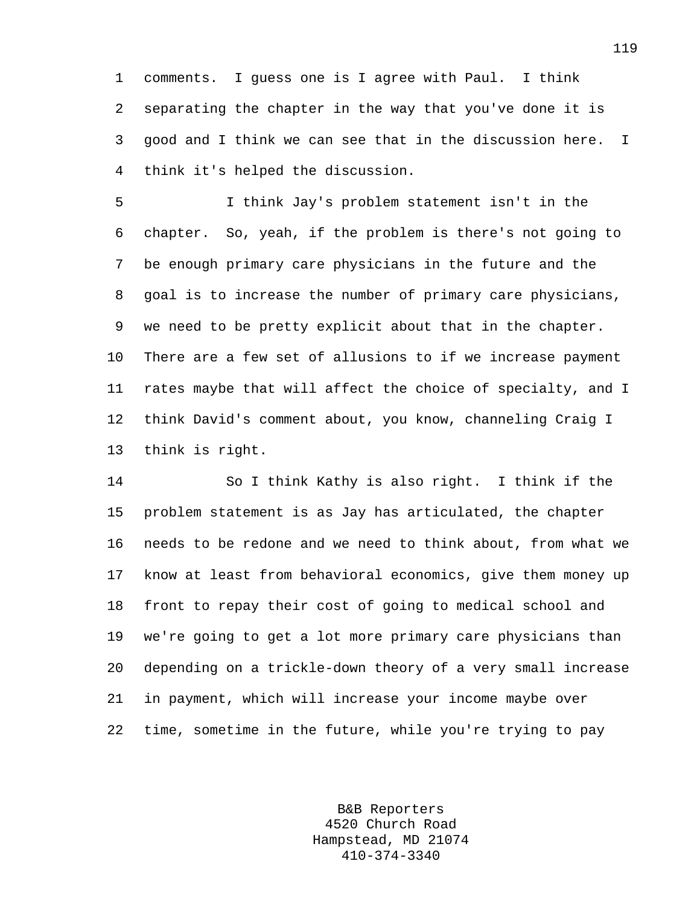1 comments. I guess one is I agree with Paul. I think 2 separating the chapter in the way that you've done it is 3 good and I think we can see that in the discussion here. I 4 think it's helped the discussion.

5 I think Jay's problem statement isn't in the 6 chapter. So, yeah, if the problem is there's not going to 7 be enough primary care physicians in the future and the 8 goal is to increase the number of primary care physicians, 9 we need to be pretty explicit about that in the chapter. 10 There are a few set of allusions to if we increase payment 11 rates maybe that will affect the choice of specialty, and I 12 think David's comment about, you know, channeling Craig I 13 think is right.

14 So I think Kathy is also right. I think if the 15 problem statement is as Jay has articulated, the chapter 16 needs to be redone and we need to think about, from what we 17 know at least from behavioral economics, give them money up 18 front to repay their cost of going to medical school and 19 we're going to get a lot more primary care physicians than 20 depending on a trickle-down theory of a very small increase 21 in payment, which will increase your income maybe over 22 time, sometime in the future, while you're trying to pay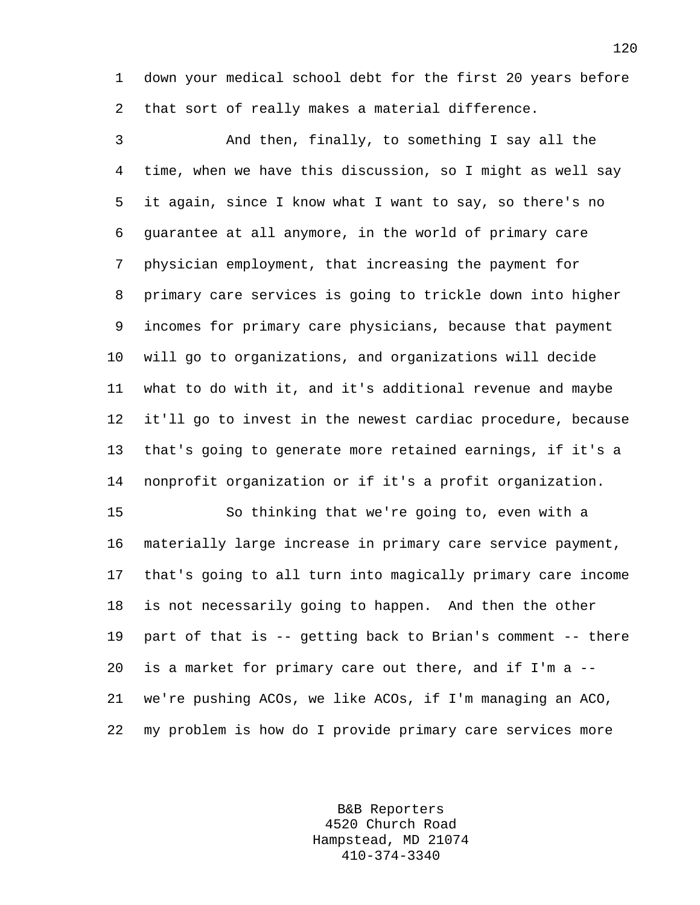1 down your medical school debt for the first 20 years before 2 that sort of really makes a material difference.

3 And then, finally, to something I say all the 4 time, when we have this discussion, so I might as well say 5 it again, since I know what I want to say, so there's no 6 guarantee at all anymore, in the world of primary care 7 physician employment, that increasing the payment for 8 primary care services is going to trickle down into higher 9 incomes for primary care physicians, because that payment 10 will go to organizations, and organizations will decide 11 what to do with it, and it's additional revenue and maybe 12 it'll go to invest in the newest cardiac procedure, because 13 that's going to generate more retained earnings, if it's a 14 nonprofit organization or if it's a profit organization.

15 So thinking that we're going to, even with a 16 materially large increase in primary care service payment, 17 that's going to all turn into magically primary care income 18 is not necessarily going to happen. And then the other 19 part of that is -- getting back to Brian's comment -- there 20 is a market for primary care out there, and if I'm a -- 21 we're pushing ACOs, we like ACOs, if I'm managing an ACO, 22 my problem is how do I provide primary care services more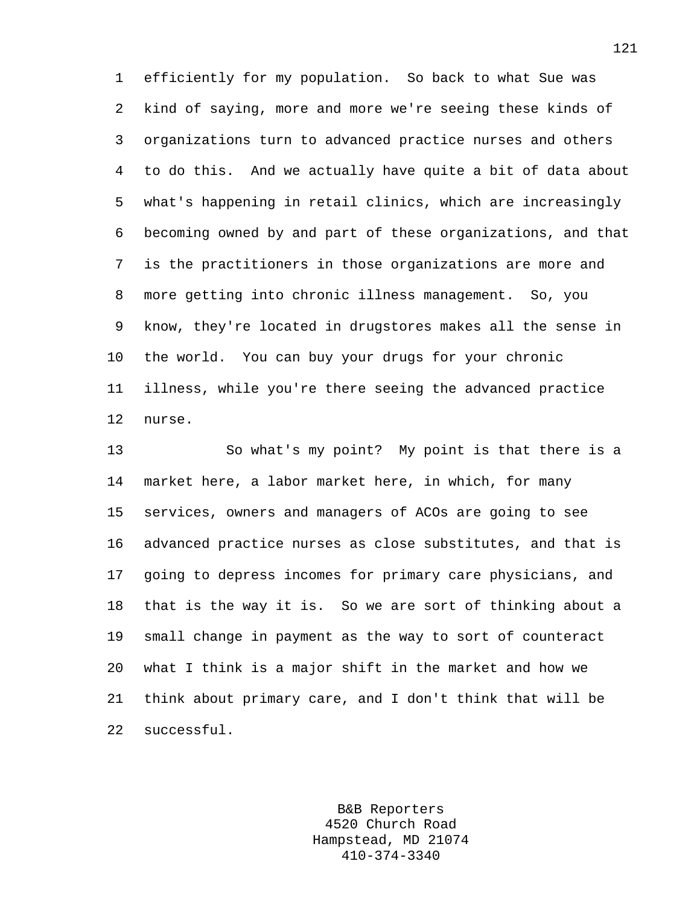1 efficiently for my population. So back to what Sue was 2 kind of saying, more and more we're seeing these kinds of 3 organizations turn to advanced practice nurses and others 4 to do this. And we actually have quite a bit of data about 5 what's happening in retail clinics, which are increasingly 6 becoming owned by and part of these organizations, and that 7 is the practitioners in those organizations are more and 8 more getting into chronic illness management. So, you 9 know, they're located in drugstores makes all the sense in 10 the world. You can buy your drugs for your chronic 11 illness, while you're there seeing the advanced practice 12 nurse.

13 So what's my point? My point is that there is a 14 market here, a labor market here, in which, for many 15 services, owners and managers of ACOs are going to see 16 advanced practice nurses as close substitutes, and that is 17 going to depress incomes for primary care physicians, and 18 that is the way it is. So we are sort of thinking about a 19 small change in payment as the way to sort of counteract 20 what I think is a major shift in the market and how we 21 think about primary care, and I don't think that will be 22 successful.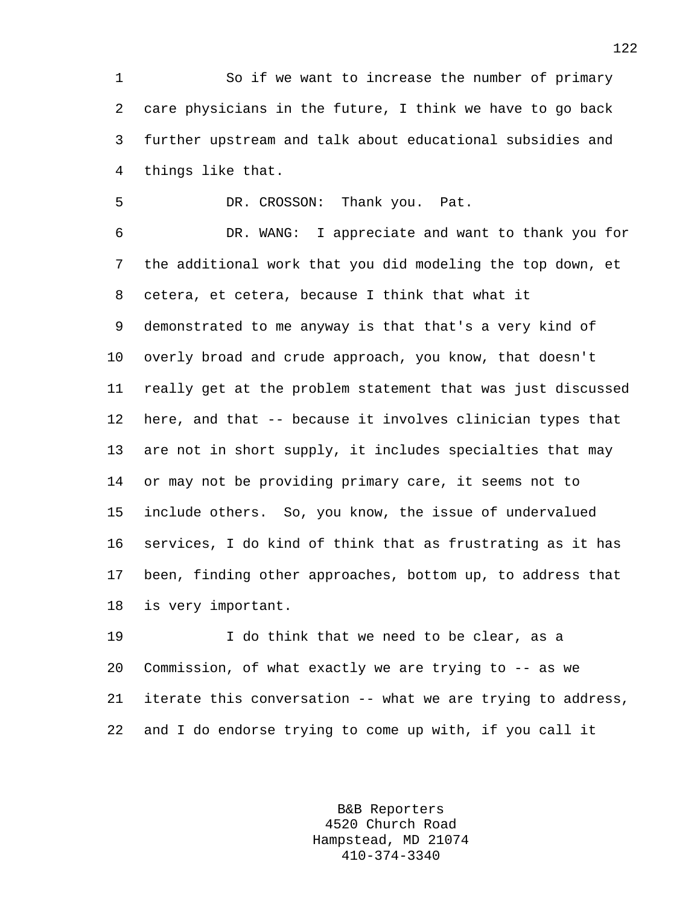1 So if we want to increase the number of primary 2 care physicians in the future, I think we have to go back 3 further upstream and talk about educational subsidies and 4 things like that.

5 DR. CROSSON: Thank you. Pat.

6 DR. WANG: I appreciate and want to thank you for 7 the additional work that you did modeling the top down, et 8 cetera, et cetera, because I think that what it 9 demonstrated to me anyway is that that's a very kind of 10 overly broad and crude approach, you know, that doesn't 11 really get at the problem statement that was just discussed 12 here, and that -- because it involves clinician types that 13 are not in short supply, it includes specialties that may 14 or may not be providing primary care, it seems not to 15 include others. So, you know, the issue of undervalued 16 services, I do kind of think that as frustrating as it has 17 been, finding other approaches, bottom up, to address that 18 is very important.

19 I do think that we need to be clear, as a 20 Commission, of what exactly we are trying to -- as we 21 iterate this conversation -- what we are trying to address, 22 and I do endorse trying to come up with, if you call it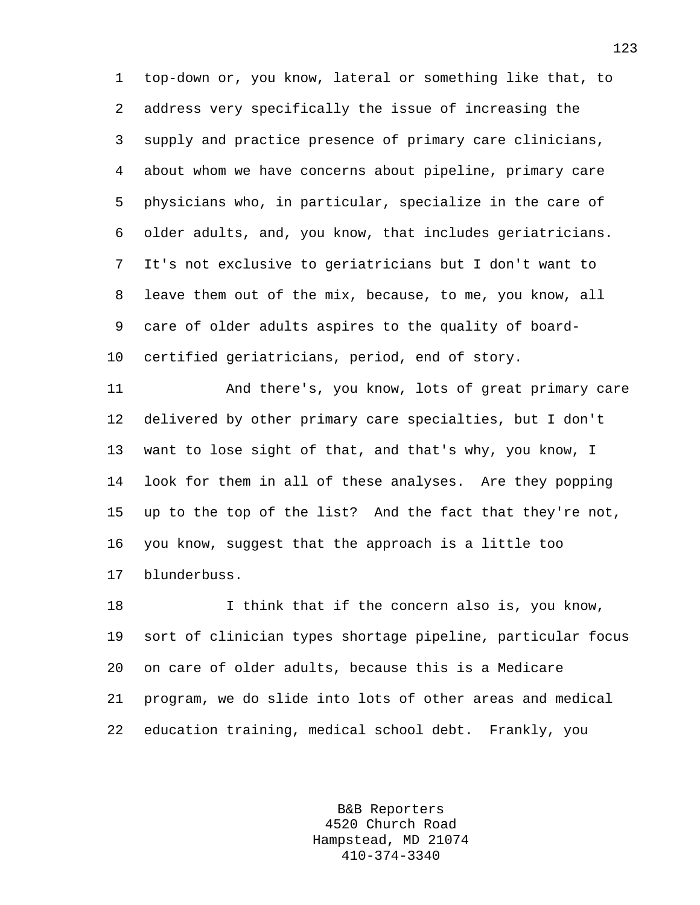1 top-down or, you know, lateral or something like that, to 2 address very specifically the issue of increasing the 3 supply and practice presence of primary care clinicians, 4 about whom we have concerns about pipeline, primary care 5 physicians who, in particular, specialize in the care of 6 older adults, and, you know, that includes geriatricians. 7 It's not exclusive to geriatricians but I don't want to 8 leave them out of the mix, because, to me, you know, all 9 care of older adults aspires to the quality of board-10 certified geriatricians, period, end of story.

11 And there's, you know, lots of great primary care 12 delivered by other primary care specialties, but I don't 13 want to lose sight of that, and that's why, you know, I 14 look for them in all of these analyses. Are they popping 15 up to the top of the list? And the fact that they're not, 16 you know, suggest that the approach is a little too 17 blunderbuss.

18 I think that if the concern also is, you know, 19 sort of clinician types shortage pipeline, particular focus 20 on care of older adults, because this is a Medicare 21 program, we do slide into lots of other areas and medical 22 education training, medical school debt. Frankly, you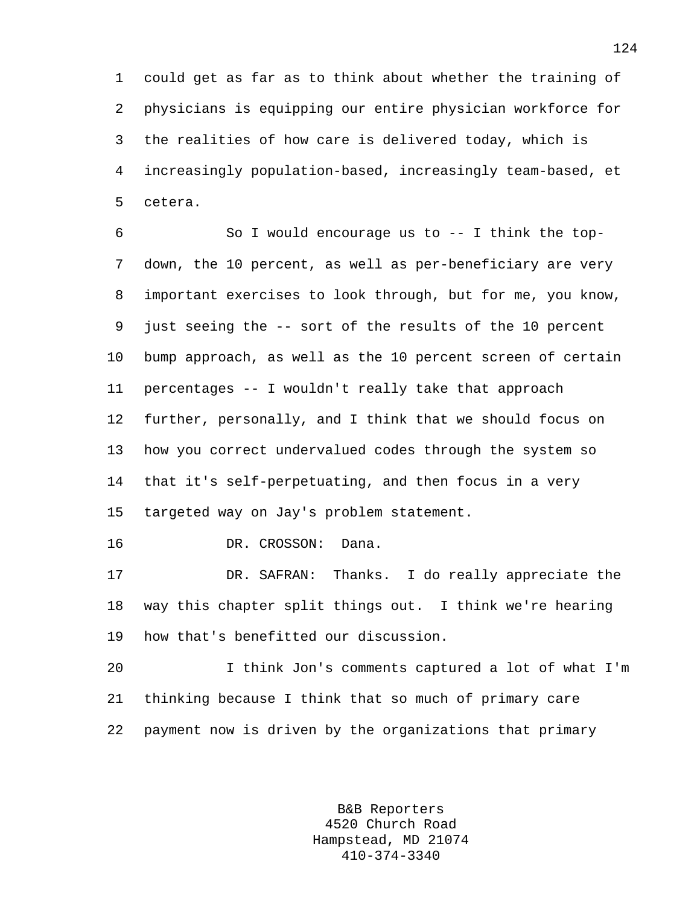1 could get as far as to think about whether the training of 2 physicians is equipping our entire physician workforce for 3 the realities of how care is delivered today, which is 4 increasingly population-based, increasingly team-based, et 5 cetera.

6 So I would encourage us to -- I think the top-7 down, the 10 percent, as well as per-beneficiary are very 8 important exercises to look through, but for me, you know, 9 just seeing the -- sort of the results of the 10 percent 10 bump approach, as well as the 10 percent screen of certain 11 percentages -- I wouldn't really take that approach 12 further, personally, and I think that we should focus on 13 how you correct undervalued codes through the system so 14 that it's self-perpetuating, and then focus in a very 15 targeted way on Jay's problem statement.

16 DR. CROSSON: Dana.

17 DR. SAFRAN: Thanks. I do really appreciate the 18 way this chapter split things out. I think we're hearing 19 how that's benefitted our discussion.

20 I think Jon's comments captured a lot of what I'm 21 thinking because I think that so much of primary care 22 payment now is driven by the organizations that primary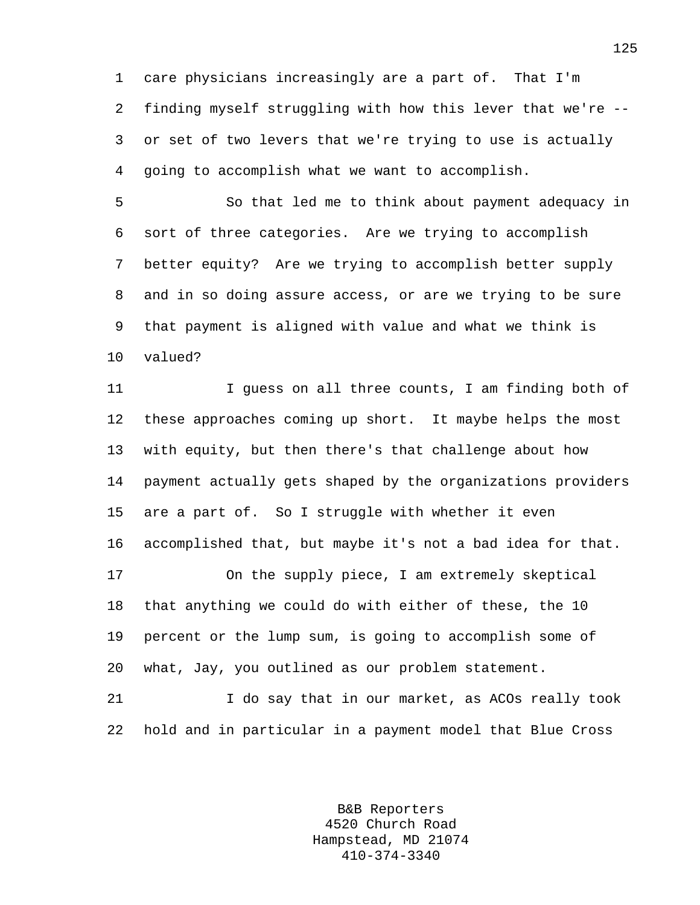1 care physicians increasingly are a part of. That I'm 2 finding myself struggling with how this lever that we're -- 3 or set of two levers that we're trying to use is actually 4 going to accomplish what we want to accomplish.

5 So that led me to think about payment adequacy in 6 sort of three categories. Are we trying to accomplish 7 better equity? Are we trying to accomplish better supply 8 and in so doing assure access, or are we trying to be sure 9 that payment is aligned with value and what we think is 10 valued?

11 I guess on all three counts, I am finding both of 12 these approaches coming up short. It maybe helps the most 13 with equity, but then there's that challenge about how 14 payment actually gets shaped by the organizations providers 15 are a part of. So I struggle with whether it even 16 accomplished that, but maybe it's not a bad idea for that. 17 On the supply piece, I am extremely skeptical 18 that anything we could do with either of these, the 10 19 percent or the lump sum, is going to accomplish some of 20 what, Jay, you outlined as our problem statement. 21 I do say that in our market, as ACOs really took

22 hold and in particular in a payment model that Blue Cross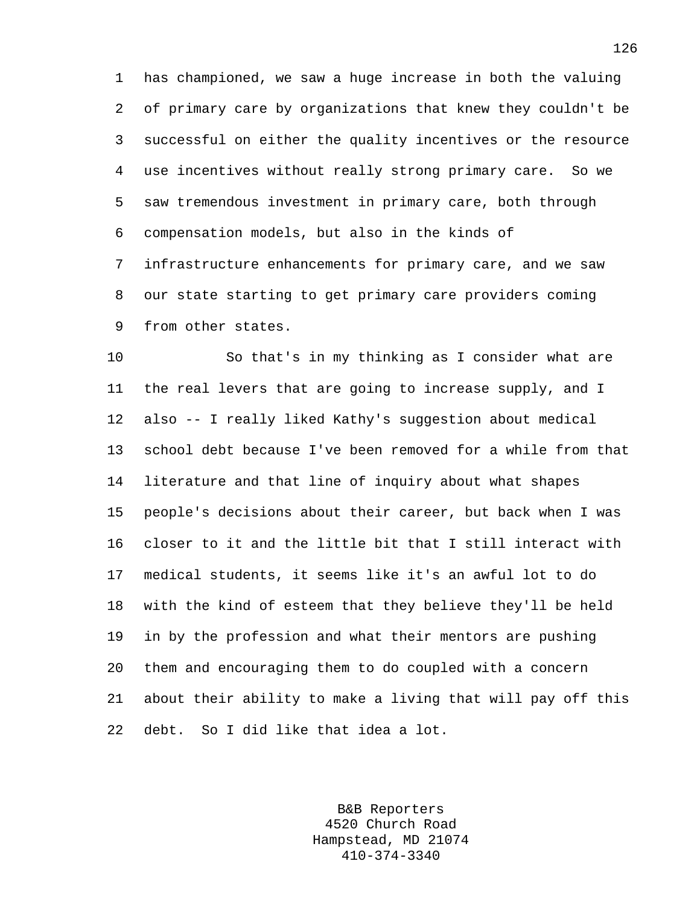1 has championed, we saw a huge increase in both the valuing 2 of primary care by organizations that knew they couldn't be 3 successful on either the quality incentives or the resource 4 use incentives without really strong primary care. So we 5 saw tremendous investment in primary care, both through 6 compensation models, but also in the kinds of 7 infrastructure enhancements for primary care, and we saw 8 our state starting to get primary care providers coming 9 from other states.

10 So that's in my thinking as I consider what are 11 the real levers that are going to increase supply, and I 12 also -- I really liked Kathy's suggestion about medical 13 school debt because I've been removed for a while from that 14 literature and that line of inquiry about what shapes 15 people's decisions about their career, but back when I was 16 closer to it and the little bit that I still interact with 17 medical students, it seems like it's an awful lot to do 18 with the kind of esteem that they believe they'll be held 19 in by the profession and what their mentors are pushing 20 them and encouraging them to do coupled with a concern 21 about their ability to make a living that will pay off this 22 debt. So I did like that idea a lot.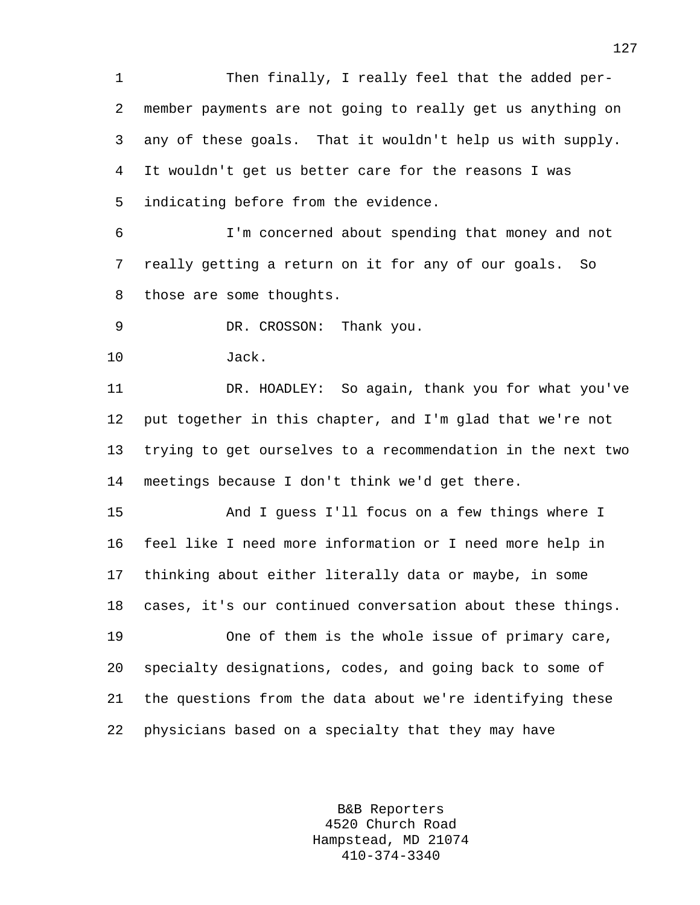1 Then finally, I really feel that the added per-2 member payments are not going to really get us anything on 3 any of these goals. That it wouldn't help us with supply. 4 It wouldn't get us better care for the reasons I was 5 indicating before from the evidence.

6 I'm concerned about spending that money and not 7 really getting a return on it for any of our goals. So 8 those are some thoughts.

9 DR. CROSSON: Thank you.

10 Jack.

11 DR. HOADLEY: So again, thank you for what you've 12 put together in this chapter, and I'm glad that we're not 13 trying to get ourselves to a recommendation in the next two 14 meetings because I don't think we'd get there.

15 And I guess I'll focus on a few things where I 16 feel like I need more information or I need more help in 17 thinking about either literally data or maybe, in some 18 cases, it's our continued conversation about these things. 19 One of them is the whole issue of primary care, 20 specialty designations, codes, and going back to some of 21 the questions from the data about we're identifying these

22 physicians based on a specialty that they may have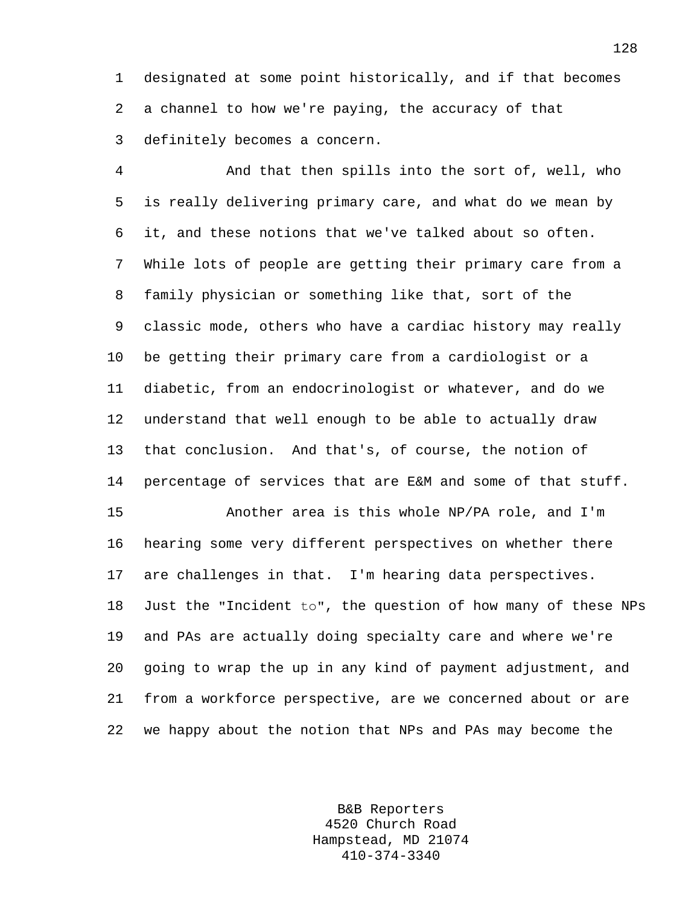1 designated at some point historically, and if that becomes 2 a channel to how we're paying, the accuracy of that 3 definitely becomes a concern.

4 And that then spills into the sort of, well, who 5 is really delivering primary care, and what do we mean by 6 it, and these notions that we've talked about so often. 7 While lots of people are getting their primary care from a 8 family physician or something like that, sort of the 9 classic mode, others who have a cardiac history may really 10 be getting their primary care from a cardiologist or a 11 diabetic, from an endocrinologist or whatever, and do we 12 understand that well enough to be able to actually draw 13 that conclusion. And that's, of course, the notion of 14 percentage of services that are E&M and some of that stuff. 15 Another area is this whole NP/PA role, and I'm 16 hearing some very different perspectives on whether there

17 are challenges in that. I'm hearing data perspectives. 18 Just the "Incident to", the question of how many of these NPs 19 and PAs are actually doing specialty care and where we're 20 going to wrap the up in any kind of payment adjustment, and 21 from a workforce perspective, are we concerned about or are 22 we happy about the notion that NPs and PAs may become the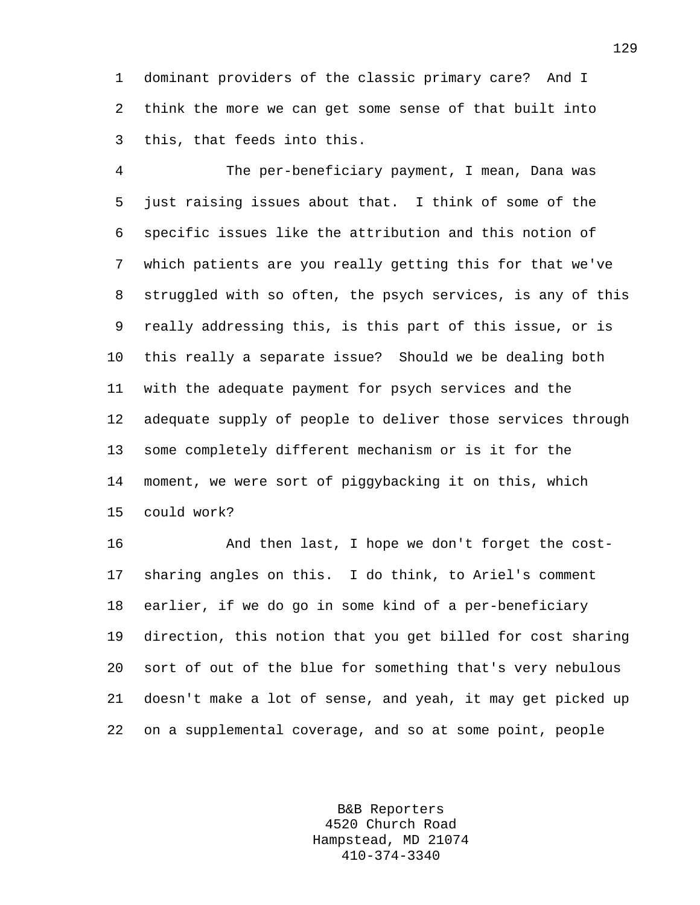1 dominant providers of the classic primary care? And I 2 think the more we can get some sense of that built into 3 this, that feeds into this.

4 The per-beneficiary payment, I mean, Dana was 5 just raising issues about that. I think of some of the 6 specific issues like the attribution and this notion of 7 which patients are you really getting this for that we've 8 struggled with so often, the psych services, is any of this 9 really addressing this, is this part of this issue, or is 10 this really a separate issue? Should we be dealing both 11 with the adequate payment for psych services and the 12 adequate supply of people to deliver those services through 13 some completely different mechanism or is it for the 14 moment, we were sort of piggybacking it on this, which 15 could work?

16 And then last, I hope we don't forget the cost-17 sharing angles on this. I do think, to Ariel's comment 18 earlier, if we do go in some kind of a per-beneficiary 19 direction, this notion that you get billed for cost sharing 20 sort of out of the blue for something that's very nebulous 21 doesn't make a lot of sense, and yeah, it may get picked up 22 on a supplemental coverage, and so at some point, people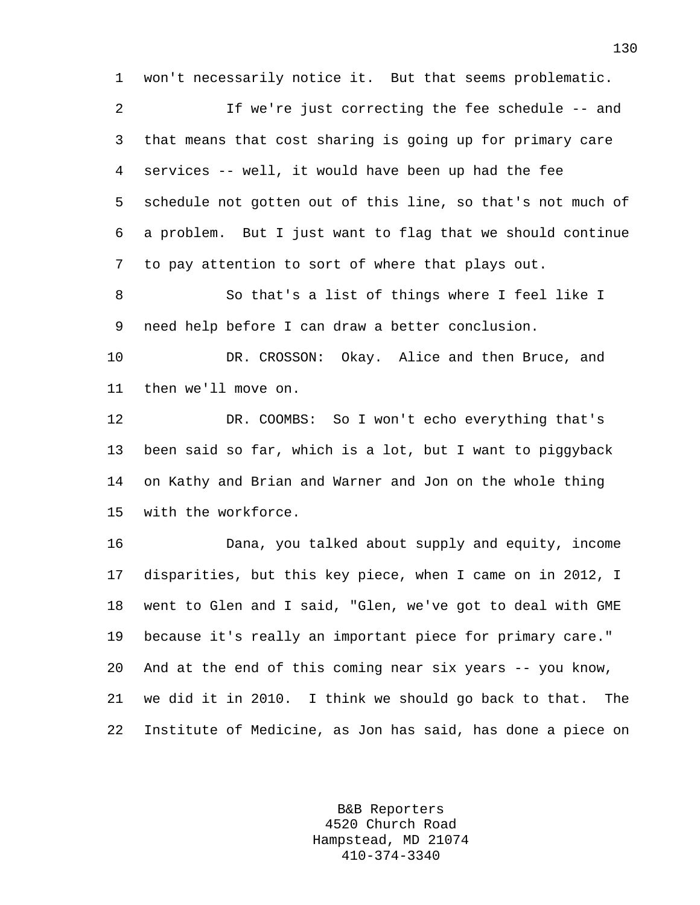1 won't necessarily notice it. But that seems problematic.

2 If we're just correcting the fee schedule -- and 3 that means that cost sharing is going up for primary care 4 services -- well, it would have been up had the fee 5 schedule not gotten out of this line, so that's not much of 6 a problem. But I just want to flag that we should continue 7 to pay attention to sort of where that plays out.

8 So that's a list of things where I feel like I 9 need help before I can draw a better conclusion.

10 DR. CROSSON: Okay. Alice and then Bruce, and 11 then we'll move on.

12 DR. COOMBS: So I won't echo everything that's 13 been said so far, which is a lot, but I want to piggyback 14 on Kathy and Brian and Warner and Jon on the whole thing 15 with the workforce.

16 Dana, you talked about supply and equity, income 17 disparities, but this key piece, when I came on in 2012, I 18 went to Glen and I said, "Glen, we've got to deal with GME 19 because it's really an important piece for primary care." 20 And at the end of this coming near six years -- you know, 21 we did it in 2010. I think we should go back to that. The 22 Institute of Medicine, as Jon has said, has done a piece on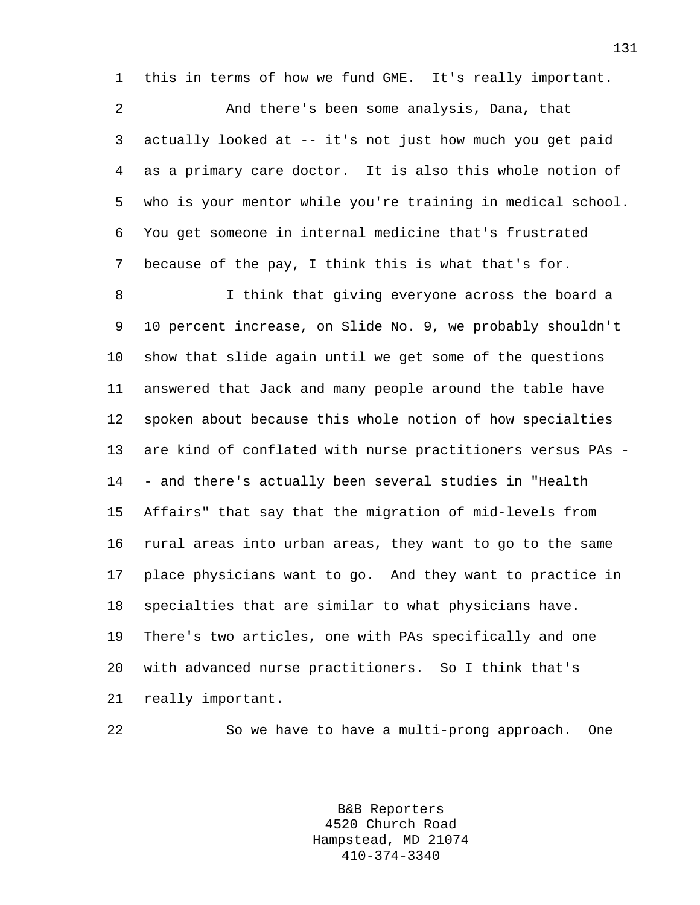1 this in terms of how we fund GME. It's really important.

2 And there's been some analysis, Dana, that 3 actually looked at -- it's not just how much you get paid 4 as a primary care doctor. It is also this whole notion of 5 who is your mentor while you're training in medical school. 6 You get someone in internal medicine that's frustrated 7 because of the pay, I think this is what that's for.

8 I think that giving everyone across the board a 9 10 percent increase, on Slide No. 9, we probably shouldn't 10 show that slide again until we get some of the questions 11 answered that Jack and many people around the table have 12 spoken about because this whole notion of how specialties 13 are kind of conflated with nurse practitioners versus PAs - 14 - and there's actually been several studies in "Health 15 Affairs" that say that the migration of mid-levels from 16 rural areas into urban areas, they want to go to the same 17 place physicians want to go. And they want to practice in 18 specialties that are similar to what physicians have. 19 There's two articles, one with PAs specifically and one 20 with advanced nurse practitioners. So I think that's 21 really important.

22 So we have to have a multi-prong approach. One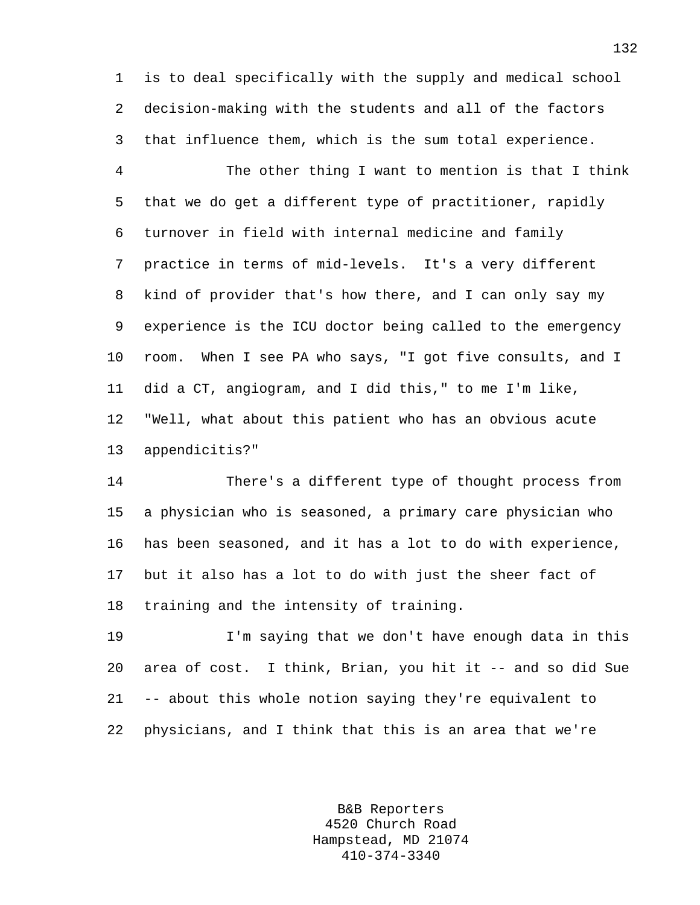1 is to deal specifically with the supply and medical school 2 decision-making with the students and all of the factors 3 that influence them, which is the sum total experience.

4 The other thing I want to mention is that I think 5 that we do get a different type of practitioner, rapidly 6 turnover in field with internal medicine and family 7 practice in terms of mid-levels. It's a very different 8 kind of provider that's how there, and I can only say my 9 experience is the ICU doctor being called to the emergency 10 room. When I see PA who says, "I got five consults, and I 11 did a CT, angiogram, and I did this," to me I'm like, 12 "Well, what about this patient who has an obvious acute 13 appendicitis?"

14 There's a different type of thought process from 15 a physician who is seasoned, a primary care physician who 16 has been seasoned, and it has a lot to do with experience, 17 but it also has a lot to do with just the sheer fact of 18 training and the intensity of training.

19 I'm saying that we don't have enough data in this 20 area of cost. I think, Brian, you hit it -- and so did Sue 21 -- about this whole notion saying they're equivalent to 22 physicians, and I think that this is an area that we're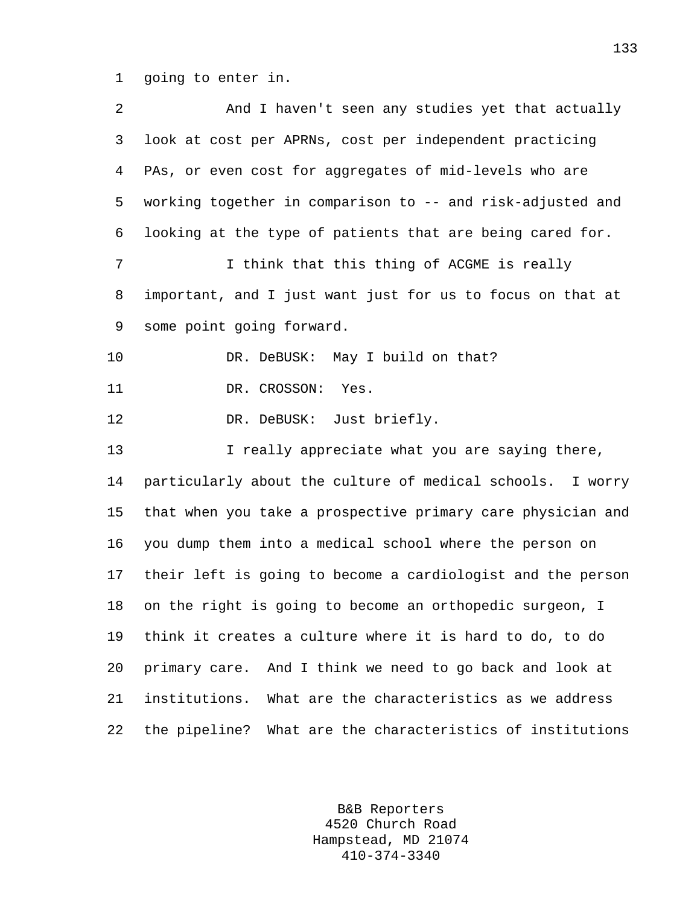1 going to enter in.

2 And I haven't seen any studies yet that actually 3 look at cost per APRNs, cost per independent practicing 4 PAs, or even cost for aggregates of mid-levels who are 5 working together in comparison to -- and risk-adjusted and 6 looking at the type of patients that are being cared for. 7 I think that this thing of ACGME is really 8 important, and I just want just for us to focus on that at 9 some point going forward. 10 DR. DeBUSK: May I build on that? 11 DR. CROSSON: Yes. 12 DR. DeBUSK: Just briefly. 13 I really appreciate what you are saying there, 14 particularly about the culture of medical schools. I worry 15 that when you take a prospective primary care physician and 16 you dump them into a medical school where the person on 17 their left is going to become a cardiologist and the person 18 on the right is going to become an orthopedic surgeon, I 19 think it creates a culture where it is hard to do, to do 20 primary care. And I think we need to go back and look at 21 institutions. What are the characteristics as we address 22 the pipeline? What are the characteristics of institutions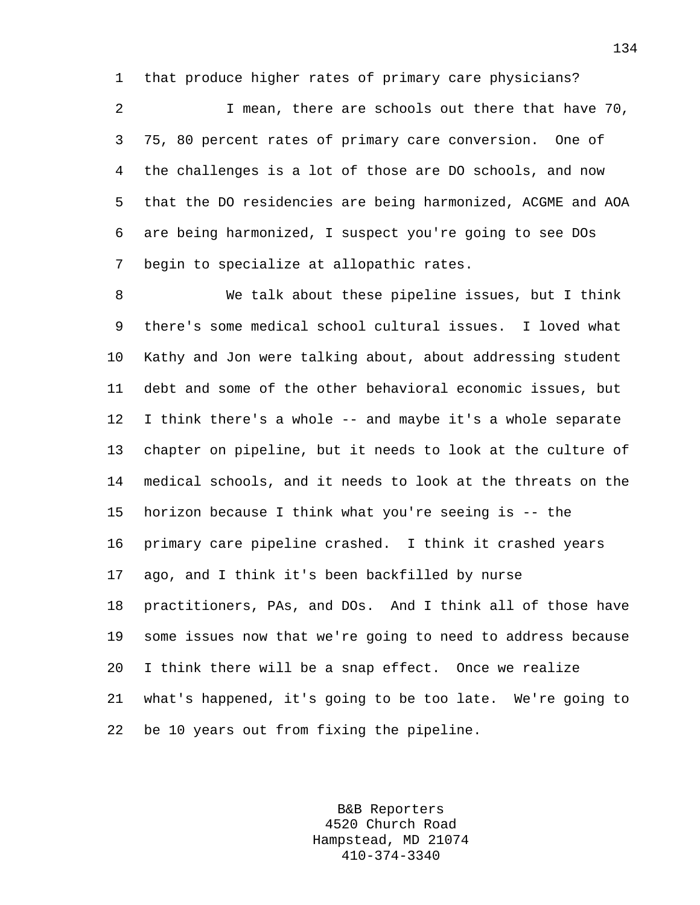1 that produce higher rates of primary care physicians?

2 I mean, there are schools out there that have 70, 3 75, 80 percent rates of primary care conversion. One of 4 the challenges is a lot of those are DO schools, and now 5 that the DO residencies are being harmonized, ACGME and AOA 6 are being harmonized, I suspect you're going to see DOs 7 begin to specialize at allopathic rates.

8 We talk about these pipeline issues, but I think 9 there's some medical school cultural issues. I loved what 10 Kathy and Jon were talking about, about addressing student 11 debt and some of the other behavioral economic issues, but 12 I think there's a whole -- and maybe it's a whole separate 13 chapter on pipeline, but it needs to look at the culture of 14 medical schools, and it needs to look at the threats on the 15 horizon because I think what you're seeing is -- the 16 primary care pipeline crashed. I think it crashed years 17 ago, and I think it's been backfilled by nurse 18 practitioners, PAs, and DOs. And I think all of those have 19 some issues now that we're going to need to address because 20 I think there will be a snap effect. Once we realize 21 what's happened, it's going to be too late. We're going to 22 be 10 years out from fixing the pipeline.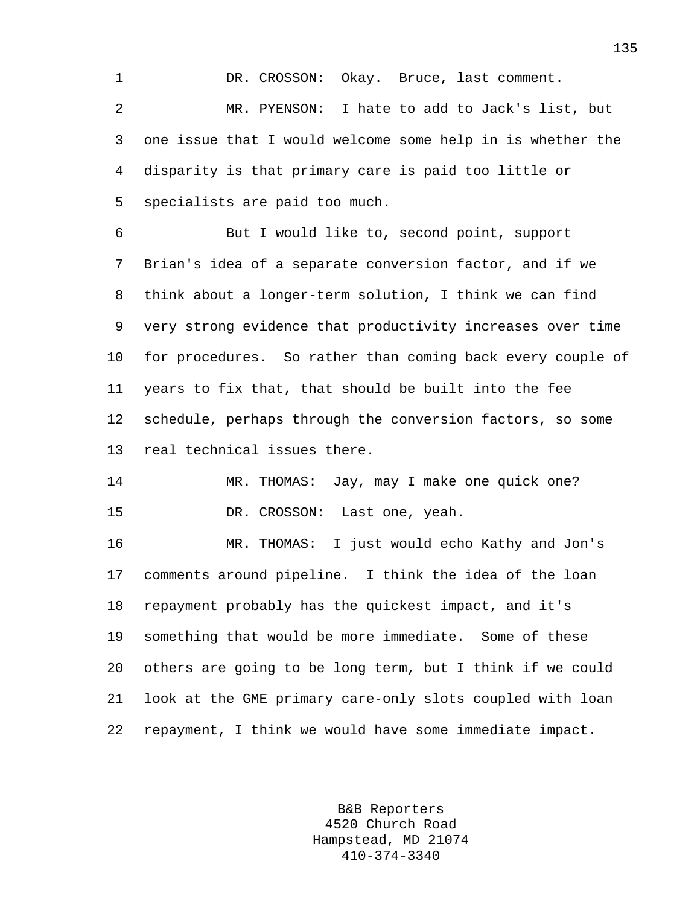1 DR. CROSSON: Okay. Bruce, last comment. 2 MR. PYENSON: I hate to add to Jack's list, but 3 one issue that I would welcome some help in is whether the 4 disparity is that primary care is paid too little or 5 specialists are paid too much.

6 But I would like to, second point, support 7 Brian's idea of a separate conversion factor, and if we 8 think about a longer-term solution, I think we can find 9 very strong evidence that productivity increases over time 10 for procedures. So rather than coming back every couple of 11 years to fix that, that should be built into the fee 12 schedule, perhaps through the conversion factors, so some 13 real technical issues there.

14 MR. THOMAS: Jay, may I make one quick one? 15 DR. CROSSON: Last one, yeah.

16 MR. THOMAS: I just would echo Kathy and Jon's 17 comments around pipeline. I think the idea of the loan 18 repayment probably has the quickest impact, and it's 19 something that would be more immediate. Some of these 20 others are going to be long term, but I think if we could 21 look at the GME primary care-only slots coupled with loan 22 repayment, I think we would have some immediate impact.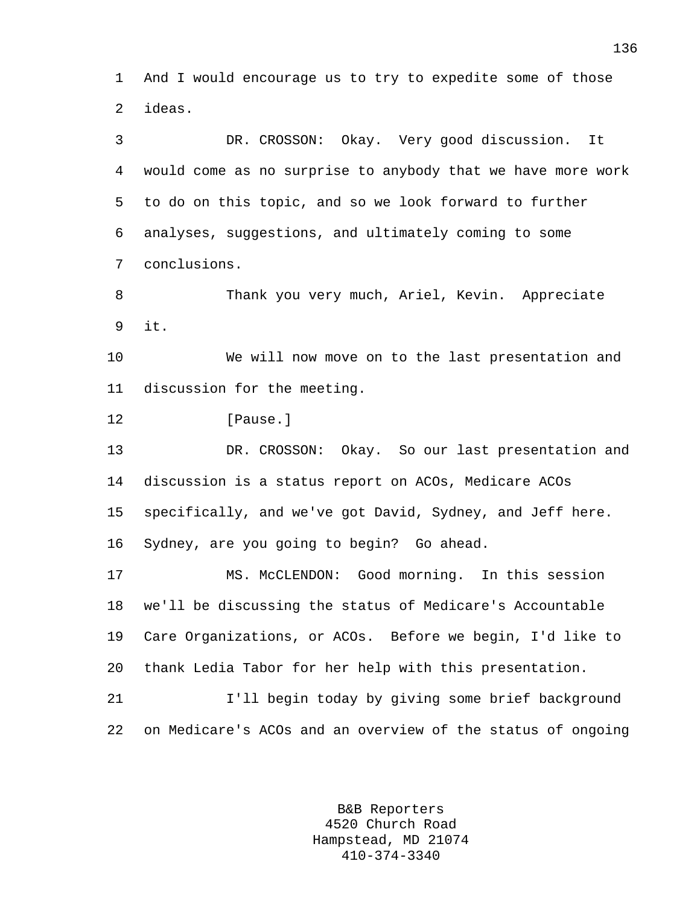1 And I would encourage us to try to expedite some of those 2 ideas.

3 DR. CROSSON: Okay. Very good discussion. It 4 would come as no surprise to anybody that we have more work 5 to do on this topic, and so we look forward to further 6 analyses, suggestions, and ultimately coming to some 7 conclusions.

8 Thank you very much, Ariel, Kevin. Appreciate 9 it.

10 We will now move on to the last presentation and 11 discussion for the meeting.

12 [Pause.]

13 DR. CROSSON: Okay. So our last presentation and 14 discussion is a status report on ACOs, Medicare ACOs 15 specifically, and we've got David, Sydney, and Jeff here. 16 Sydney, are you going to begin? Go ahead.

17 MS. McCLENDON: Good morning. In this session 18 we'll be discussing the status of Medicare's Accountable 19 Care Organizations, or ACOs. Before we begin, I'd like to 20 thank Ledia Tabor for her help with this presentation. 21 I'll begin today by giving some brief background

22 on Medicare's ACOs and an overview of the status of ongoing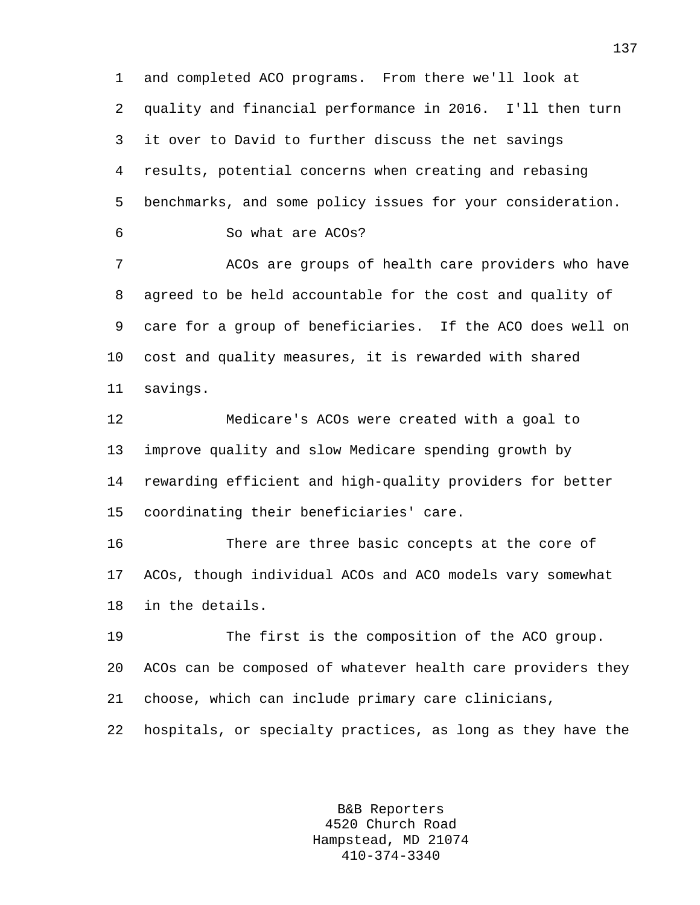1 and completed ACO programs. From there we'll look at 2 quality and financial performance in 2016. I'll then turn 3 it over to David to further discuss the net savings 4 results, potential concerns when creating and rebasing 5 benchmarks, and some policy issues for your consideration. 6 So what are ACOs?

7 ACOs are groups of health care providers who have 8 agreed to be held accountable for the cost and quality of 9 care for a group of beneficiaries. If the ACO does well on 10 cost and quality measures, it is rewarded with shared 11 savings.

12 Medicare's ACOs were created with a goal to 13 improve quality and slow Medicare spending growth by 14 rewarding efficient and high-quality providers for better 15 coordinating their beneficiaries' care.

16 There are three basic concepts at the core of 17 ACOs, though individual ACOs and ACO models vary somewhat 18 in the details.

19 The first is the composition of the ACO group. 20 ACOs can be composed of whatever health care providers they 21 choose, which can include primary care clinicians,

22 hospitals, or specialty practices, as long as they have the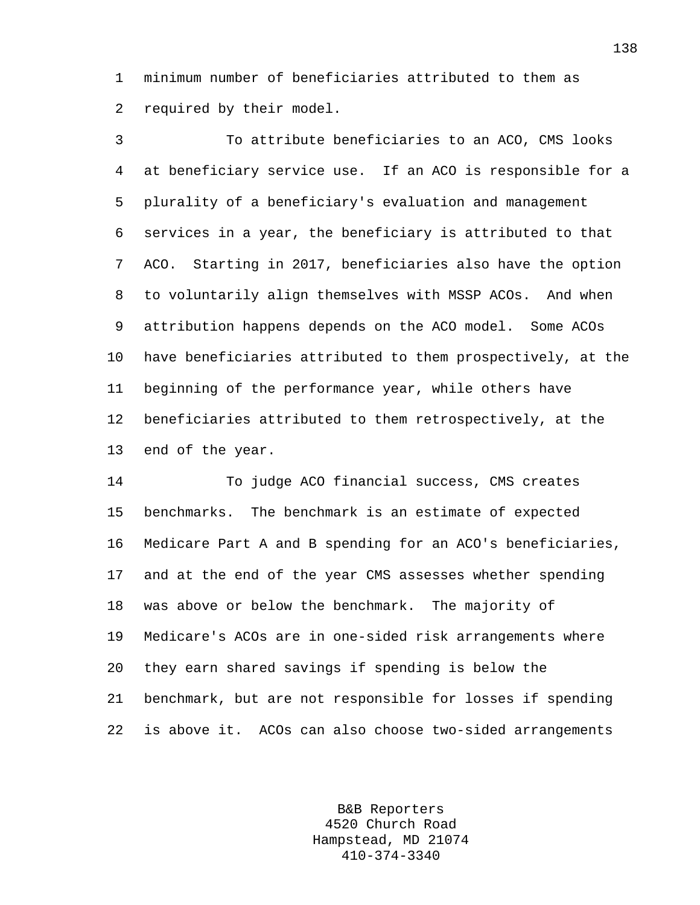1 minimum number of beneficiaries attributed to them as 2 required by their model.

3 To attribute beneficiaries to an ACO, CMS looks 4 at beneficiary service use. If an ACO is responsible for a 5 plurality of a beneficiary's evaluation and management 6 services in a year, the beneficiary is attributed to that 7 ACO. Starting in 2017, beneficiaries also have the option 8 to voluntarily align themselves with MSSP ACOs. And when 9 attribution happens depends on the ACO model. Some ACOs 10 have beneficiaries attributed to them prospectively, at the 11 beginning of the performance year, while others have 12 beneficiaries attributed to them retrospectively, at the 13 end of the year.

14 To judge ACO financial success, CMS creates 15 benchmarks. The benchmark is an estimate of expected 16 Medicare Part A and B spending for an ACO's beneficiaries, 17 and at the end of the year CMS assesses whether spending 18 was above or below the benchmark. The majority of 19 Medicare's ACOs are in one-sided risk arrangements where 20 they earn shared savings if spending is below the 21 benchmark, but are not responsible for losses if spending 22 is above it. ACOs can also choose two-sided arrangements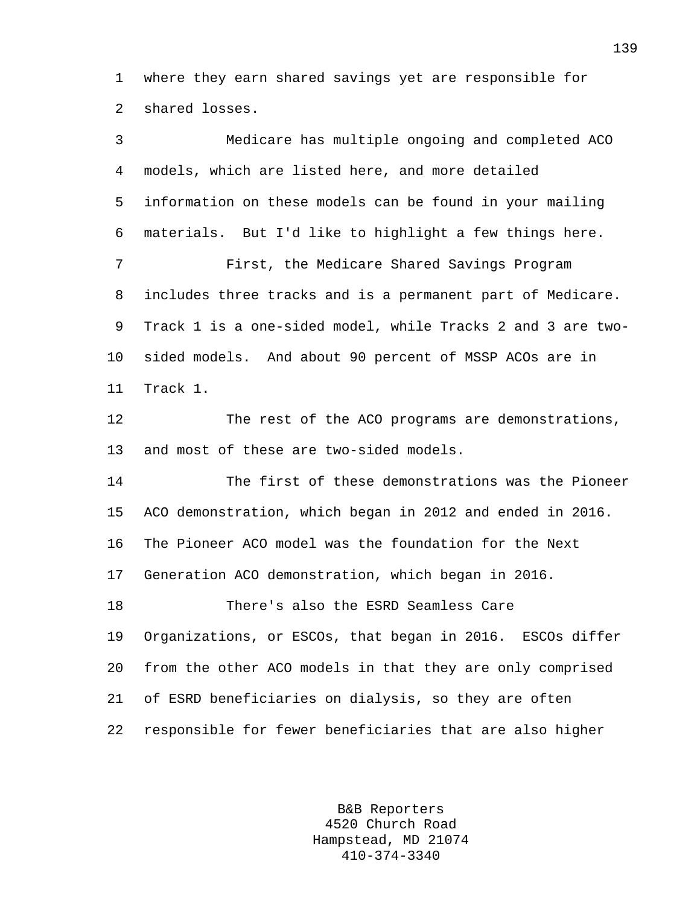1 where they earn shared savings yet are responsible for 2 shared losses.

| 3       | Medicare has multiple ongoing and completed ACO             |
|---------|-------------------------------------------------------------|
| 4       | models, which are listed here, and more detailed            |
| 5       | information on these models can be found in your mailing    |
| 6       | materials. But I'd like to highlight a few things here.     |
| 7       | First, the Medicare Shared Savings Program                  |
| 8       | includes three tracks and is a permanent part of Medicare.  |
| 9       | Track 1 is a one-sided model, while Tracks 2 and 3 are two- |
| $10 \,$ | sided models. And about 90 percent of MSSP ACOs are in      |
| 11      | Track 1.                                                    |
| 12      | The rest of the ACO programs are demonstrations,            |
| 13      | and most of these are two-sided models.                     |
| 14      | The first of these demonstrations was the Pioneer           |
| 15      | ACO demonstration, which began in 2012 and ended in 2016.   |
| 16      | The Pioneer ACO model was the foundation for the Next       |
| 17      | Generation ACO demonstration, which began in 2016.          |
| 18      | There's also the ESRD Seamless Care                         |
| 19      | Organizations, or ESCOs, that began in 2016. ESCOs differ   |
| 20      | from the other ACO models in that they are only comprised   |
| 21      | of ESRD beneficiaries on dialysis, so they are often        |
| 22      | responsible for fewer beneficiaries that are also higher    |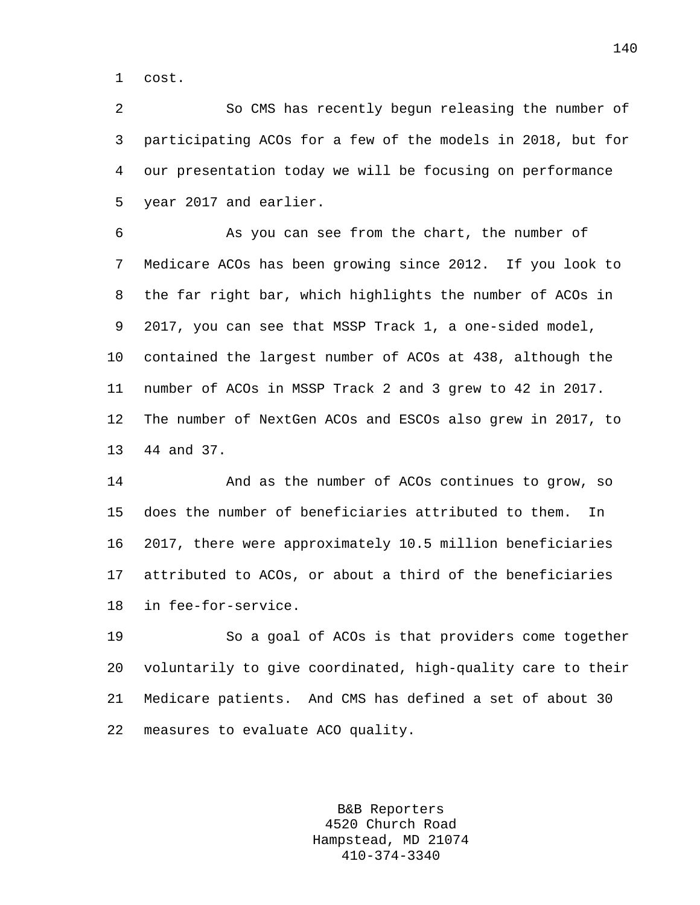1 cost.

2 So CMS has recently begun releasing the number of 3 participating ACOs for a few of the models in 2018, but for 4 our presentation today we will be focusing on performance 5 year 2017 and earlier.

6 As you can see from the chart, the number of 7 Medicare ACOs has been growing since 2012. If you look to 8 the far right bar, which highlights the number of ACOs in 9 2017, you can see that MSSP Track 1, a one-sided model, 10 contained the largest number of ACOs at 438, although the 11 number of ACOs in MSSP Track 2 and 3 grew to 42 in 2017. 12 The number of NextGen ACOs and ESCOs also grew in 2017, to 13 44 and 37.

14 And as the number of ACOs continues to grow, so 15 does the number of beneficiaries attributed to them. In 16 2017, there were approximately 10.5 million beneficiaries 17 attributed to ACOs, or about a third of the beneficiaries 18 in fee-for-service.

19 So a goal of ACOs is that providers come together 20 voluntarily to give coordinated, high-quality care to their 21 Medicare patients. And CMS has defined a set of about 30 22 measures to evaluate ACO quality.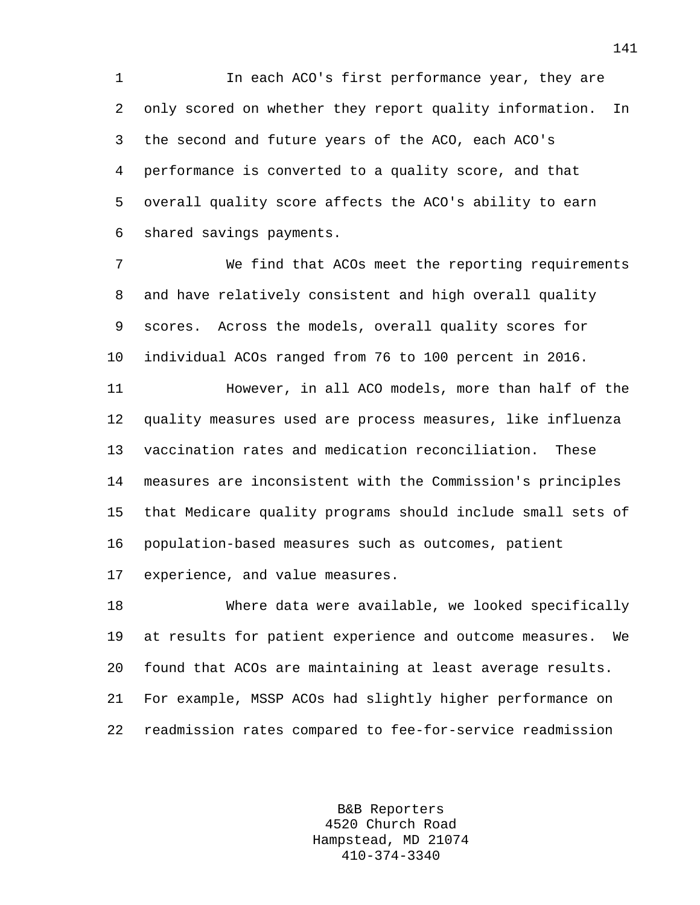1 In each ACO's first performance year, they are 2 only scored on whether they report quality information. In 3 the second and future years of the ACO, each ACO's 4 performance is converted to a quality score, and that 5 overall quality score affects the ACO's ability to earn 6 shared savings payments.

7 We find that ACOs meet the reporting requirements 8 and have relatively consistent and high overall quality 9 scores. Across the models, overall quality scores for 10 individual ACOs ranged from 76 to 100 percent in 2016. 11 However, in all ACO models, more than half of the 12 quality measures used are process measures, like influenza 13 vaccination rates and medication reconciliation. These 14 measures are inconsistent with the Commission's principles

15 that Medicare quality programs should include small sets of 16 population-based measures such as outcomes, patient

17 experience, and value measures.

18 Where data were available, we looked specifically 19 at results for patient experience and outcome measures. We 20 found that ACOs are maintaining at least average results. 21 For example, MSSP ACOs had slightly higher performance on 22 readmission rates compared to fee-for-service readmission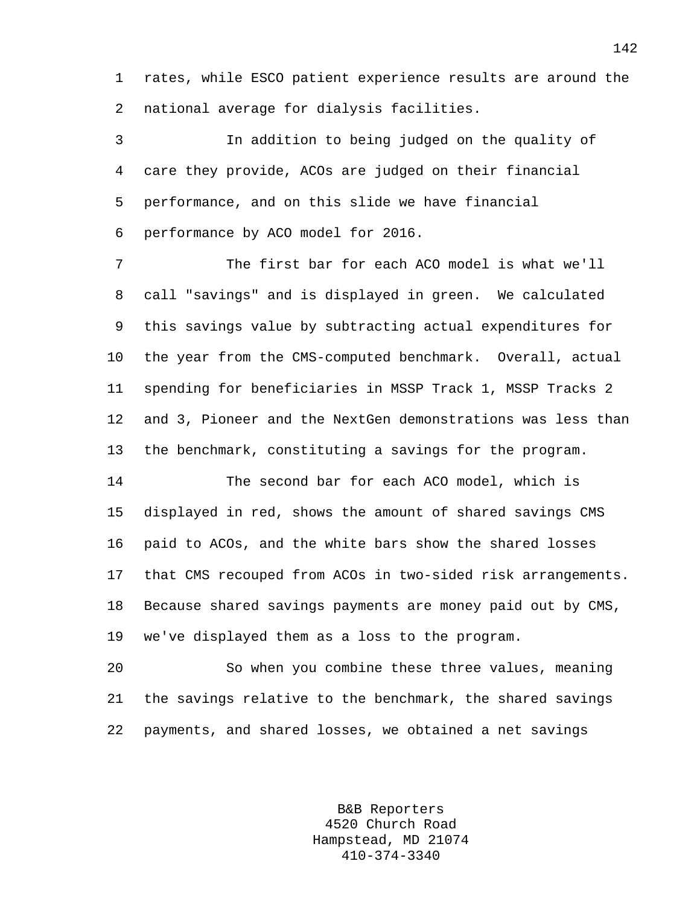1 rates, while ESCO patient experience results are around the 2 national average for dialysis facilities.

3 In addition to being judged on the quality of 4 care they provide, ACOs are judged on their financial 5 performance, and on this slide we have financial 6 performance by ACO model for 2016.

7 The first bar for each ACO model is what we'll 8 call "savings" and is displayed in green. We calculated 9 this savings value by subtracting actual expenditures for 10 the year from the CMS-computed benchmark. Overall, actual 11 spending for beneficiaries in MSSP Track 1, MSSP Tracks 2 12 and 3, Pioneer and the NextGen demonstrations was less than 13 the benchmark, constituting a savings for the program.

14 The second bar for each ACO model, which is 15 displayed in red, shows the amount of shared savings CMS 16 paid to ACOs, and the white bars show the shared losses 17 that CMS recouped from ACOs in two-sided risk arrangements. 18 Because shared savings payments are money paid out by CMS, 19 we've displayed them as a loss to the program.

20 So when you combine these three values, meaning 21 the savings relative to the benchmark, the shared savings 22 payments, and shared losses, we obtained a net savings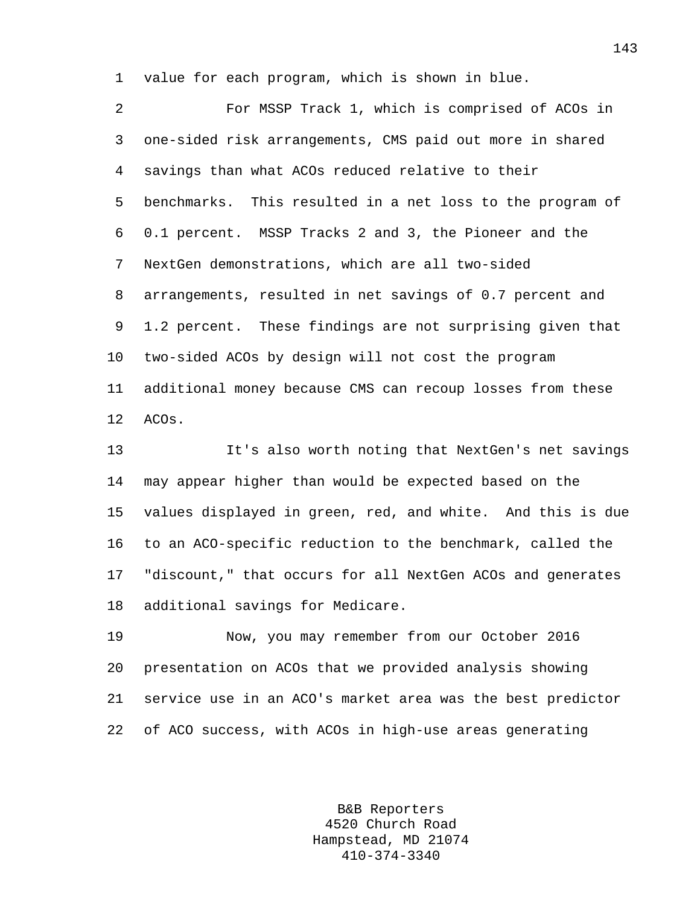1 value for each program, which is shown in blue.

2 For MSSP Track 1, which is comprised of ACOs in 3 one-sided risk arrangements, CMS paid out more in shared 4 savings than what ACOs reduced relative to their 5 benchmarks. This resulted in a net loss to the program of 6 0.1 percent. MSSP Tracks 2 and 3, the Pioneer and the 7 NextGen demonstrations, which are all two-sided 8 arrangements, resulted in net savings of 0.7 percent and 9 1.2 percent. These findings are not surprising given that 10 two-sided ACOs by design will not cost the program 11 additional money because CMS can recoup losses from these 12 ACOs.

13 It's also worth noting that NextGen's net savings 14 may appear higher than would be expected based on the 15 values displayed in green, red, and white. And this is due 16 to an ACO-specific reduction to the benchmark, called the 17 "discount," that occurs for all NextGen ACOs and generates 18 additional savings for Medicare.

19 Now, you may remember from our October 2016 20 presentation on ACOs that we provided analysis showing 21 service use in an ACO's market area was the best predictor 22 of ACO success, with ACOs in high-use areas generating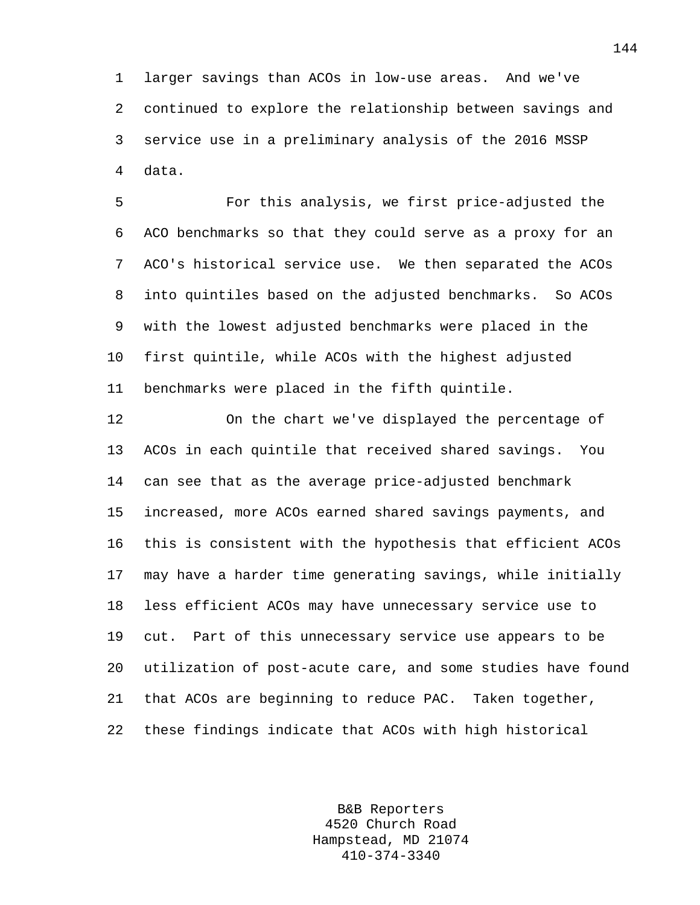1 larger savings than ACOs in low-use areas. And we've 2 continued to explore the relationship between savings and 3 service use in a preliminary analysis of the 2016 MSSP 4 data.

5 For this analysis, we first price-adjusted the 6 ACO benchmarks so that they could serve as a proxy for an 7 ACO's historical service use. We then separated the ACOs 8 into quintiles based on the adjusted benchmarks. So ACOs 9 with the lowest adjusted benchmarks were placed in the 10 first quintile, while ACOs with the highest adjusted 11 benchmarks were placed in the fifth quintile.

12 On the chart we've displayed the percentage of 13 ACOs in each quintile that received shared savings. You 14 can see that as the average price-adjusted benchmark 15 increased, more ACOs earned shared savings payments, and 16 this is consistent with the hypothesis that efficient ACOs 17 may have a harder time generating savings, while initially 18 less efficient ACOs may have unnecessary service use to 19 cut. Part of this unnecessary service use appears to be 20 utilization of post-acute care, and some studies have found 21 that ACOs are beginning to reduce PAC. Taken together, 22 these findings indicate that ACOs with high historical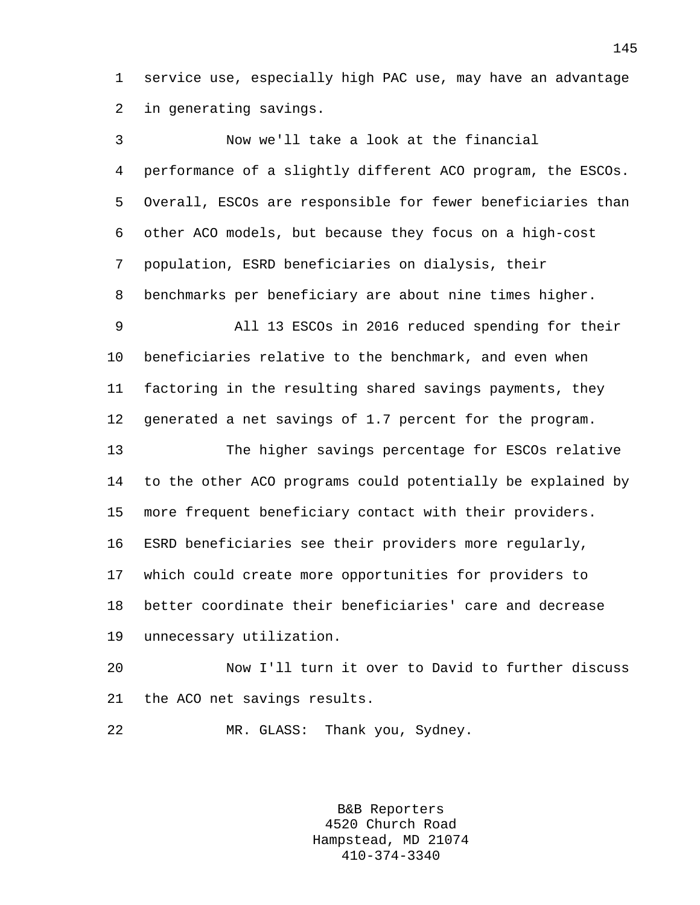1 service use, especially high PAC use, may have an advantage 2 in generating savings.

3 Now we'll take a look at the financial 4 performance of a slightly different ACO program, the ESCOs. 5 Overall, ESCOs are responsible for fewer beneficiaries than 6 other ACO models, but because they focus on a high-cost 7 population, ESRD beneficiaries on dialysis, their 8 benchmarks per beneficiary are about nine times higher. 9 All 13 ESCOs in 2016 reduced spending for their 10 beneficiaries relative to the benchmark, and even when 11 factoring in the resulting shared savings payments, they 12 generated a net savings of 1.7 percent for the program. 13 The higher savings percentage for ESCOs relative 14 to the other ACO programs could potentially be explained by 15 more frequent beneficiary contact with their providers. 16 ESRD beneficiaries see their providers more regularly, 17 which could create more opportunities for providers to 18 better coordinate their beneficiaries' care and decrease 19 unnecessary utilization. 20 Now I'll turn it over to David to further discuss

21 the ACO net savings results.

22 MR. GLASS: Thank you, Sydney.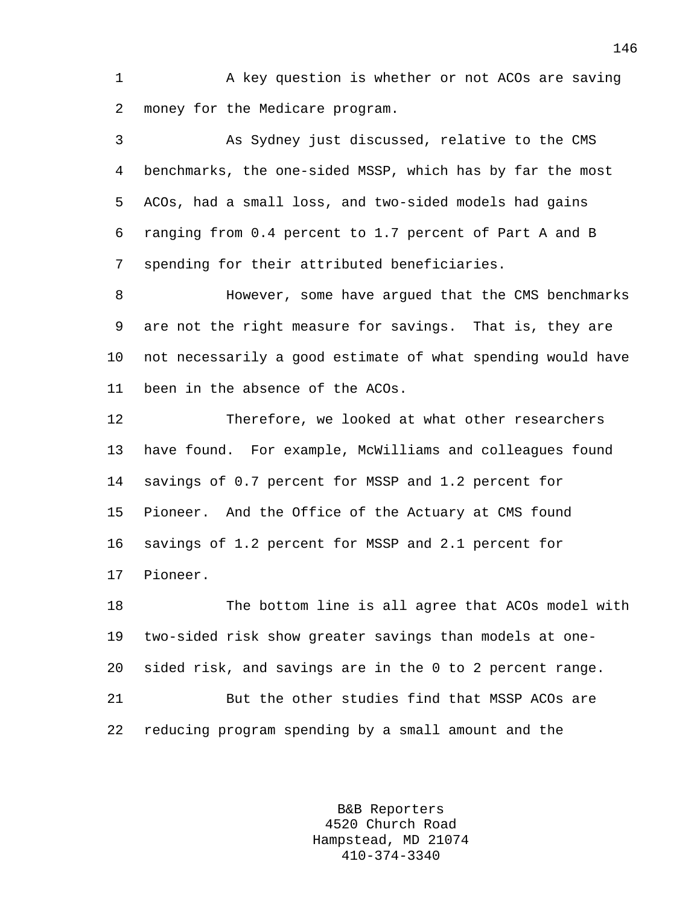1 A key question is whether or not ACOs are saving 2 money for the Medicare program.

3 As Sydney just discussed, relative to the CMS 4 benchmarks, the one-sided MSSP, which has by far the most 5 ACOs, had a small loss, and two-sided models had gains 6 ranging from 0.4 percent to 1.7 percent of Part A and B 7 spending for their attributed beneficiaries.

8 **Books** However, some have argued that the CMS benchmarks 9 are not the right measure for savings. That is, they are 10 not necessarily a good estimate of what spending would have 11 been in the absence of the ACOs.

12 Therefore, we looked at what other researchers 13 have found. For example, McWilliams and colleagues found 14 savings of 0.7 percent for MSSP and 1.2 percent for 15 Pioneer. And the Office of the Actuary at CMS found 16 savings of 1.2 percent for MSSP and 2.1 percent for 17 Pioneer.

18 The bottom line is all agree that ACOs model with 19 two-sided risk show greater savings than models at one-20 sided risk, and savings are in the 0 to 2 percent range. 21 But the other studies find that MSSP ACOs are 22 reducing program spending by a small amount and the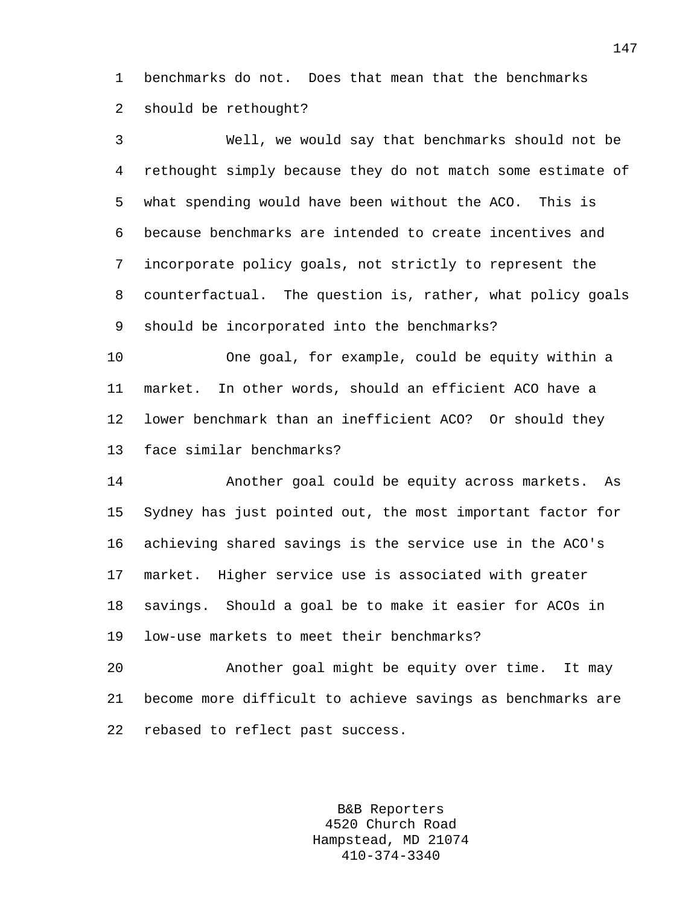1 benchmarks do not. Does that mean that the benchmarks 2 should be rethought?

3 Well, we would say that benchmarks should not be 4 rethought simply because they do not match some estimate of 5 what spending would have been without the ACO. This is 6 because benchmarks are intended to create incentives and 7 incorporate policy goals, not strictly to represent the 8 counterfactual. The question is, rather, what policy goals 9 should be incorporated into the benchmarks?

10 One goal, for example, could be equity within a 11 market. In other words, should an efficient ACO have a 12 lower benchmark than an inefficient ACO? Or should they 13 face similar benchmarks?

14 Another goal could be equity across markets. As 15 Sydney has just pointed out, the most important factor for 16 achieving shared savings is the service use in the ACO's 17 market. Higher service use is associated with greater 18 savings. Should a goal be to make it easier for ACOs in 19 low-use markets to meet their benchmarks?

20 Another goal might be equity over time. It may 21 become more difficult to achieve savings as benchmarks are 22 rebased to reflect past success.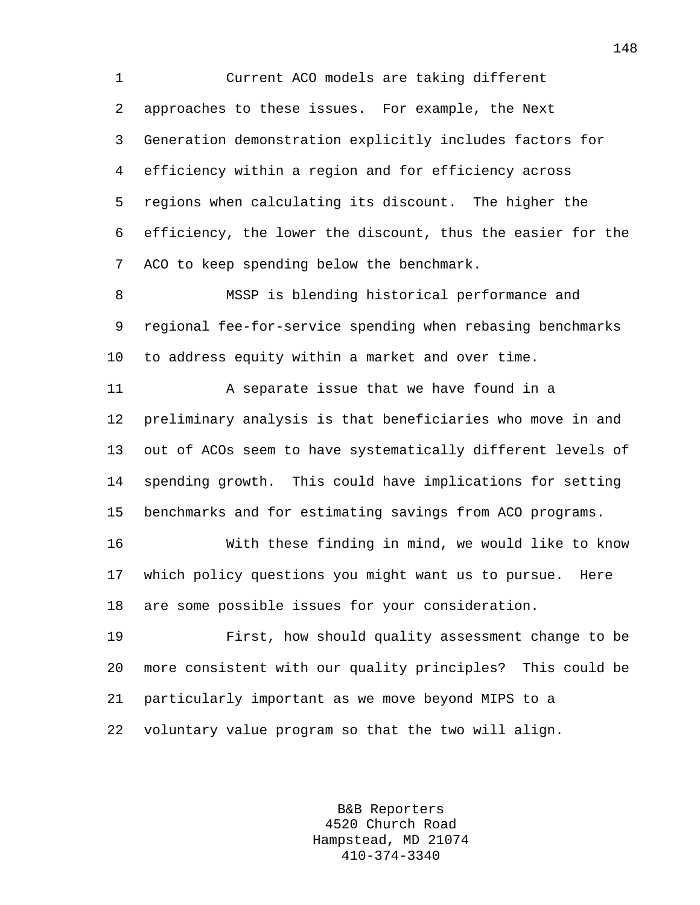1 Current ACO models are taking different 2 approaches to these issues. For example, the Next 3 Generation demonstration explicitly includes factors for 4 efficiency within a region and for efficiency across 5 regions when calculating its discount. The higher the 6 efficiency, the lower the discount, thus the easier for the 7 ACO to keep spending below the benchmark.

8 MSSP is blending historical performance and 9 regional fee-for-service spending when rebasing benchmarks 10 to address equity within a market and over time.

11 A separate issue that we have found in a 12 preliminary analysis is that beneficiaries who move in and 13 out of ACOs seem to have systematically different levels of 14 spending growth. This could have implications for setting 15 benchmarks and for estimating savings from ACO programs.

16 With these finding in mind, we would like to know 17 which policy questions you might want us to pursue. Here 18 are some possible issues for your consideration.

19 First, how should quality assessment change to be 20 more consistent with our quality principles? This could be 21 particularly important as we move beyond MIPS to a 22 voluntary value program so that the two will align.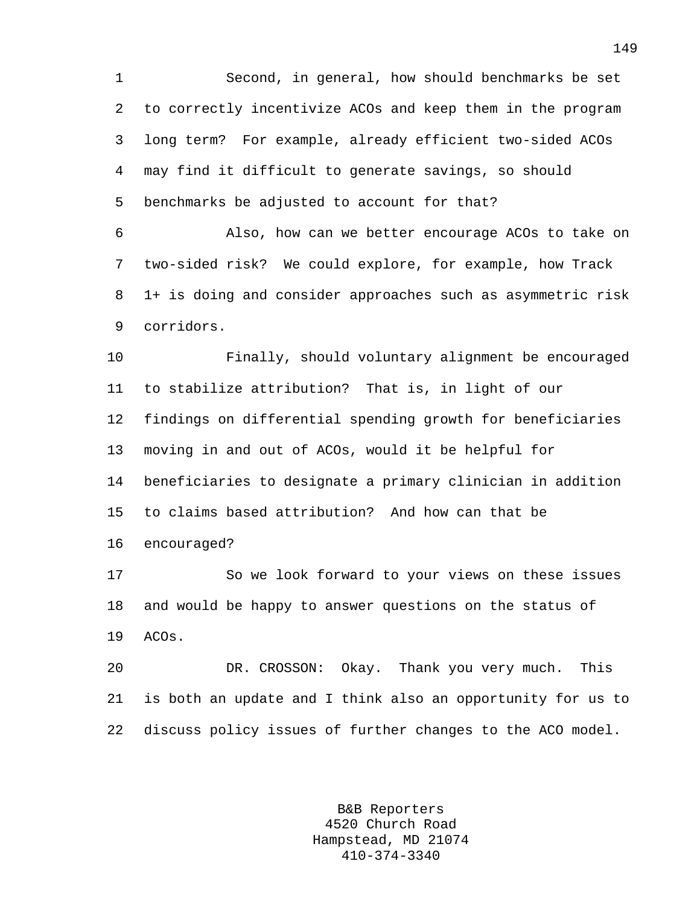1 Second, in general, how should benchmarks be set 2 to correctly incentivize ACOs and keep them in the program 3 long term? For example, already efficient two-sided ACOs 4 may find it difficult to generate savings, so should 5 benchmarks be adjusted to account for that?

6 Also, how can we better encourage ACOs to take on 7 two-sided risk? We could explore, for example, how Track 8 1+ is doing and consider approaches such as asymmetric risk 9 corridors.

10 Finally, should voluntary alignment be encouraged 11 to stabilize attribution? That is, in light of our 12 findings on differential spending growth for beneficiaries 13 moving in and out of ACOs, would it be helpful for 14 beneficiaries to designate a primary clinician in addition 15 to claims based attribution? And how can that be 16 encouraged?

17 So we look forward to your views on these issues 18 and would be happy to answer questions on the status of 19 ACOs.

20 DR. CROSSON: Okay. Thank you very much. This 21 is both an update and I think also an opportunity for us to 22 discuss policy issues of further changes to the ACO model.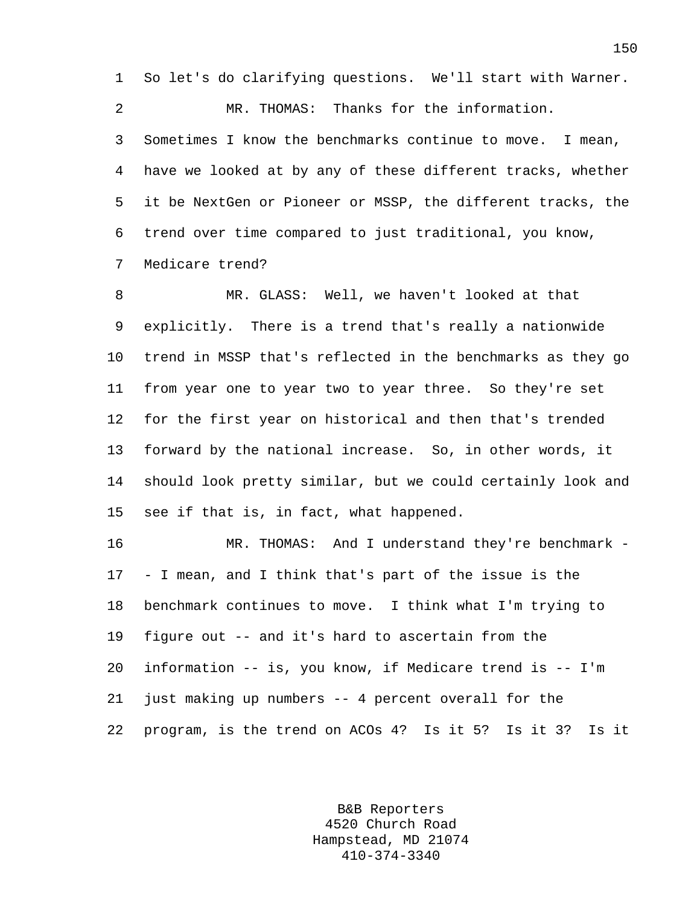1 So let's do clarifying questions. We'll start with Warner.

2 MR. THOMAS: Thanks for the information.

3 Sometimes I know the benchmarks continue to move. I mean, 4 have we looked at by any of these different tracks, whether 5 it be NextGen or Pioneer or MSSP, the different tracks, the 6 trend over time compared to just traditional, you know, 7 Medicare trend?

8 MR. GLASS: Well, we haven't looked at that 9 explicitly. There is a trend that's really a nationwide 10 trend in MSSP that's reflected in the benchmarks as they go 11 from year one to year two to year three. So they're set 12 for the first year on historical and then that's trended 13 forward by the national increase. So, in other words, it 14 should look pretty similar, but we could certainly look and 15 see if that is, in fact, what happened.

16 MR. THOMAS: And I understand they're benchmark - 17 - I mean, and I think that's part of the issue is the 18 benchmark continues to move. I think what I'm trying to 19 figure out -- and it's hard to ascertain from the 20 information -- is, you know, if Medicare trend is -- I'm 21 just making up numbers -- 4 percent overall for the 22 program, is the trend on ACOs 4? Is it 5? Is it 3? Is it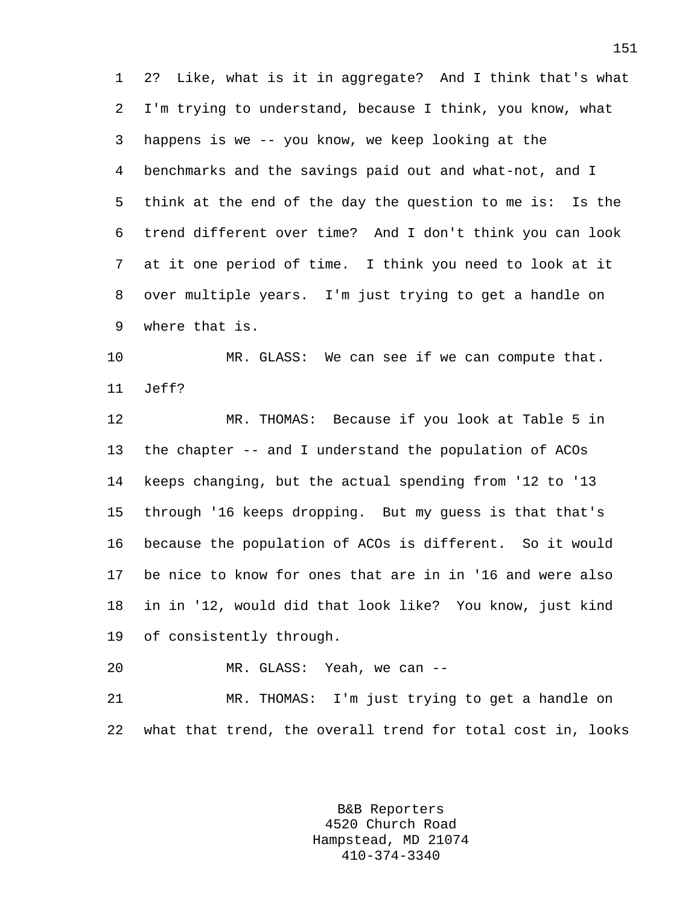1 2? Like, what is it in aggregate? And I think that's what 2 I'm trying to understand, because I think, you know, what 3 happens is we -- you know, we keep looking at the 4 benchmarks and the savings paid out and what-not, and I 5 think at the end of the day the question to me is: Is the 6 trend different over time? And I don't think you can look 7 at it one period of time. I think you need to look at it 8 over multiple years. I'm just trying to get a handle on 9 where that is.

10 MR. GLASS: We can see if we can compute that. 11 Jeff?

12 MR. THOMAS: Because if you look at Table 5 in 13 the chapter -- and I understand the population of ACOs 14 keeps changing, but the actual spending from '12 to '13 15 through '16 keeps dropping. But my guess is that that's 16 because the population of ACOs is different. So it would 17 be nice to know for ones that are in in '16 and were also 18 in in '12, would did that look like? You know, just kind 19 of consistently through.

20 MR. GLASS: Yeah, we can --

21 MR. THOMAS: I'm just trying to get a handle on 22 what that trend, the overall trend for total cost in, looks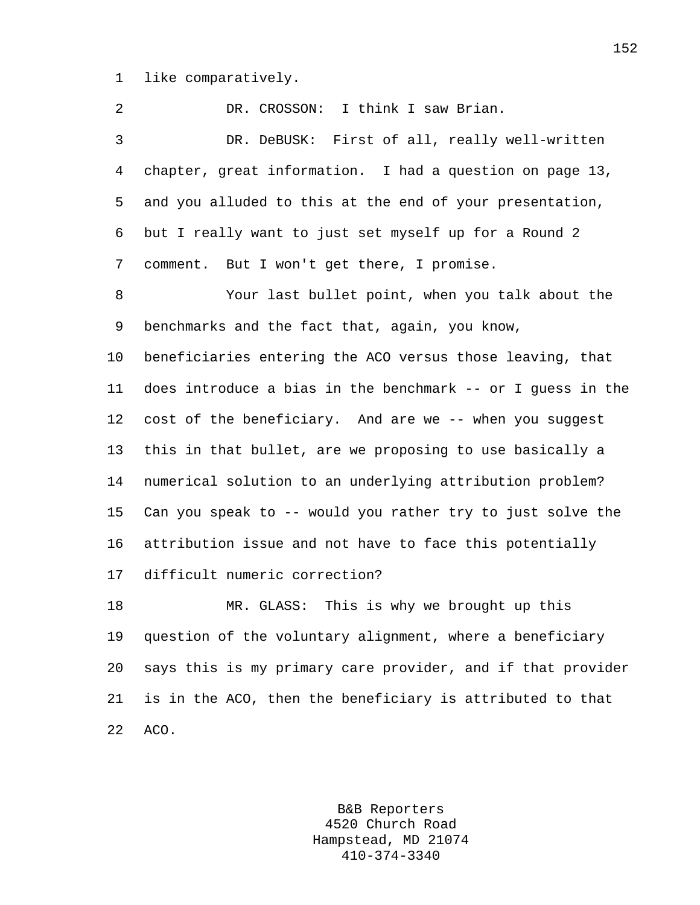1 like comparatively.

| 2  | DR. CROSSON: I think I saw Brian.                           |
|----|-------------------------------------------------------------|
| 3  | DR. DeBUSK: First of all, really well-written               |
| 4  | chapter, great information. I had a question on page 13,    |
| 5  | and you alluded to this at the end of your presentation,    |
| 6  | but I really want to just set myself up for a Round 2       |
| 7  | comment. But I won't get there, I promise.                  |
| 8  | Your last bullet point, when you talk about the             |
| 9  | benchmarks and the fact that, again, you know,              |
| 10 | beneficiaries entering the ACO versus those leaving, that   |
| 11 | does introduce a bias in the benchmark -- or I quess in the |
| 12 | cost of the beneficiary. And are we -- when you suggest     |
| 13 | this in that bullet, are we proposing to use basically a    |
| 14 | numerical solution to an underlying attribution problem?    |
| 15 | Can you speak to -- would you rather try to just solve the  |
| 16 | attribution issue and not have to face this potentially     |
| 17 | difficult numeric correction?                               |
| 18 | This is why we brought up this<br>MR. GLASS:                |
| 19 | question of the voluntary alignment, where a beneficiary    |
| 20 | says this is my primary care provider, and if that provider |
| 21 | is in the ACO, then the beneficiary is attributed to that   |
| 22 | ACO.                                                        |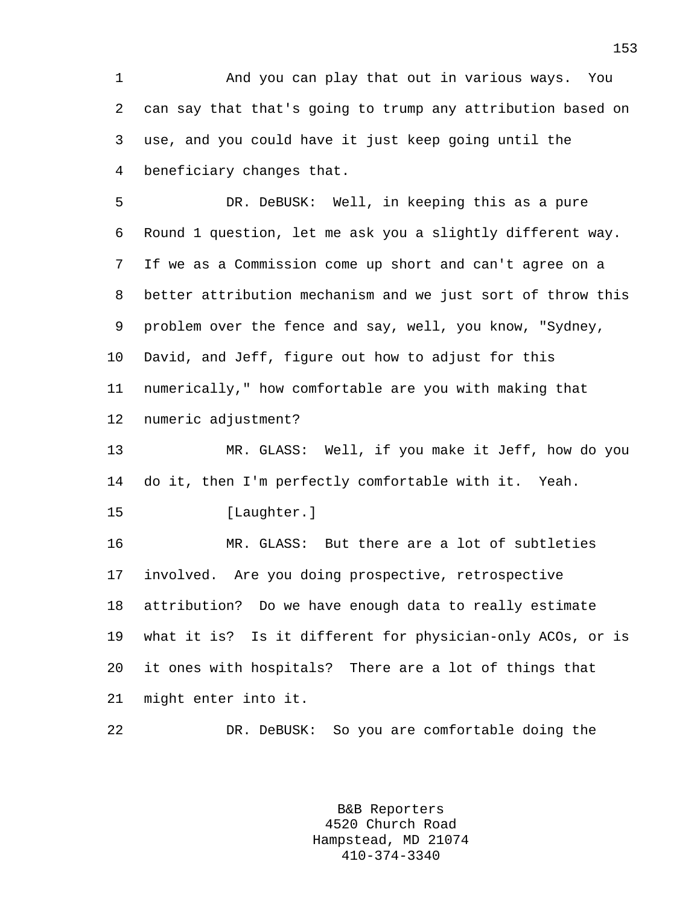1 And you can play that out in various ways. You 2 can say that that's going to trump any attribution based on 3 use, and you could have it just keep going until the 4 beneficiary changes that.

5 DR. DeBUSK: Well, in keeping this as a pure 6 Round 1 question, let me ask you a slightly different way. 7 If we as a Commission come up short and can't agree on a 8 better attribution mechanism and we just sort of throw this 9 problem over the fence and say, well, you know, "Sydney, 10 David, and Jeff, figure out how to adjust for this 11 numerically," how comfortable are you with making that 12 numeric adjustment?

13 MR. GLASS: Well, if you make it Jeff, how do you 14 do it, then I'm perfectly comfortable with it. Yeah.

15 [Laughter.]

16 MR. GLASS: But there are a lot of subtleties 17 involved. Are you doing prospective, retrospective 18 attribution? Do we have enough data to really estimate 19 what it is? Is it different for physician-only ACOs, or is 20 it ones with hospitals? There are a lot of things that 21 might enter into it.

22 DR. DeBUSK: So you are comfortable doing the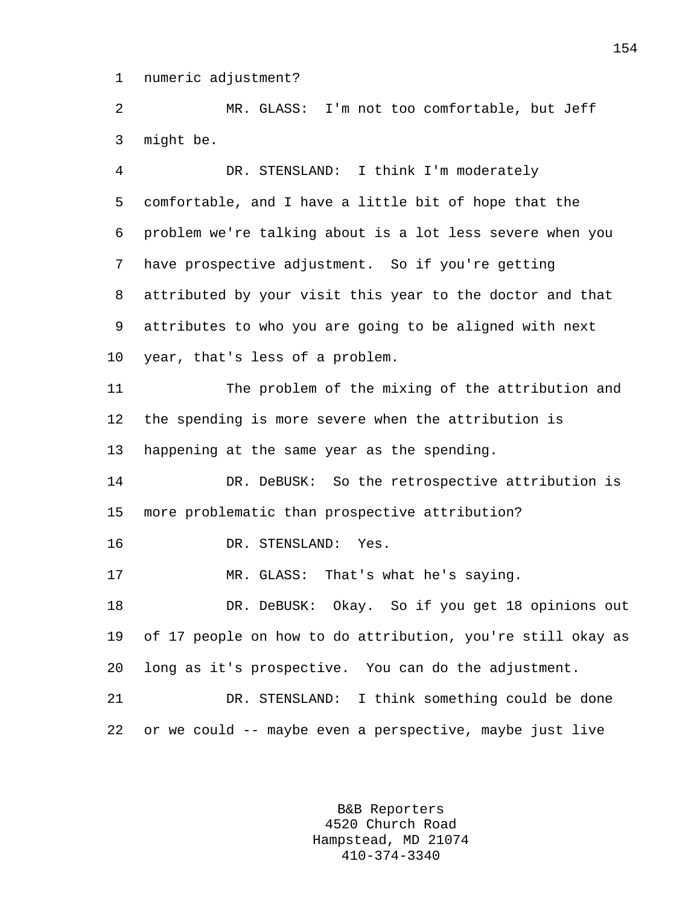1 numeric adjustment?

2 MR. GLASS: I'm not too comfortable, but Jeff 3 might be.

4 DR. STENSLAND: I think I'm moderately 5 comfortable, and I have a little bit of hope that the 6 problem we're talking about is a lot less severe when you 7 have prospective adjustment. So if you're getting 8 attributed by your visit this year to the doctor and that 9 attributes to who you are going to be aligned with next 10 year, that's less of a problem. 11 The problem of the mixing of the attribution and 12 the spending is more severe when the attribution is 13 happening at the same year as the spending. 14 DR. DeBUSK: So the retrospective attribution is 15 more problematic than prospective attribution? 16 DR. STENSLAND: Yes. 17 MR. GLASS: That's what he's saying. 18 DR. DeBUSK: Okay. So if you get 18 opinions out 19 of 17 people on how to do attribution, you're still okay as 20 long as it's prospective. You can do the adjustment. 21 DR. STENSLAND: I think something could be done 22 or we could -- maybe even a perspective, maybe just live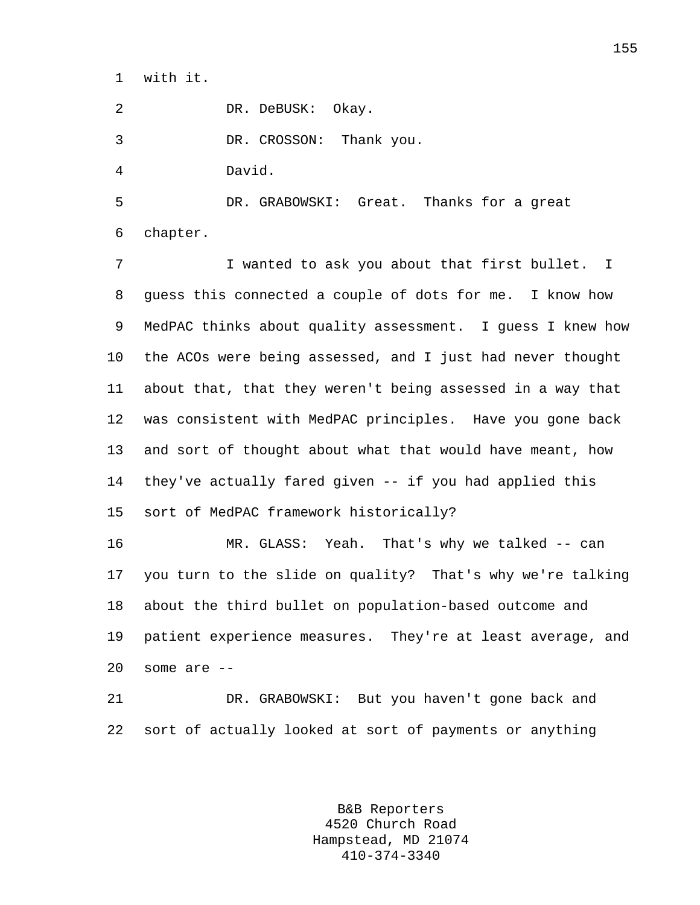1 with it.

2 DR. DeBUSK: Okay.

3 DR. CROSSON: Thank you.

4 David.

5 DR. GRABOWSKI: Great. Thanks for a great 6 chapter.

7 I wanted to ask you about that first bullet. I 8 guess this connected a couple of dots for me. I know how 9 MedPAC thinks about quality assessment. I guess I knew how 10 the ACOs were being assessed, and I just had never thought 11 about that, that they weren't being assessed in a way that 12 was consistent with MedPAC principles. Have you gone back 13 and sort of thought about what that would have meant, how 14 they've actually fared given -- if you had applied this 15 sort of MedPAC framework historically?

16 MR. GLASS: Yeah. That's why we talked -- can 17 you turn to the slide on quality? That's why we're talking 18 about the third bullet on population-based outcome and 19 patient experience measures. They're at least average, and 20 some are --

21 DR. GRABOWSKI: But you haven't gone back and 22 sort of actually looked at sort of payments or anything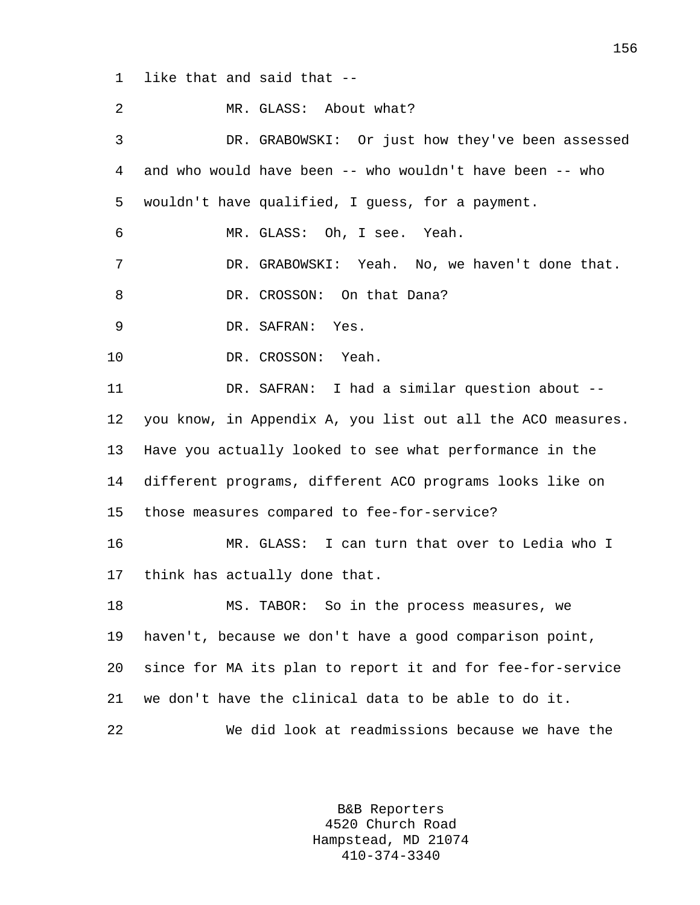1 like that and said that --

| 2  | MR. GLASS: About what?                                      |
|----|-------------------------------------------------------------|
| 3  | DR. GRABOWSKI: Or just how they've been assessed            |
| 4  | and who would have been -- who wouldn't have been -- who    |
| 5  | wouldn't have qualified, I guess, for a payment.            |
| 6  | MR. GLASS: Oh, I see. Yeah.                                 |
| 7  | DR. GRABOWSKI: Yeah. No, we haven't done that.              |
| 8  | DR. CROSSON: On that Dana?                                  |
| 9  | DR. SAFRAN: Yes.                                            |
| 10 | DR. CROSSON: Yeah.                                          |
| 11 | DR. SAFRAN: I had a similar question about --               |
| 12 | you know, in Appendix A, you list out all the ACO measures. |
| 13 | Have you actually looked to see what performance in the     |
| 14 | different programs, different ACO programs looks like on    |
| 15 | those measures compared to fee-for-service?                 |
| 16 | MR. GLASS: I can turn that over to Ledia who I              |
| 17 | think has actually done that.                               |
| 18 | MS. TABOR: So in the process measures, we                   |
| 19 | haven't, because we don't have a good comparison point,     |
| 20 | since for MA its plan to report it and for fee-for-service  |
| 21 | we don't have the clinical data to be able to do it.        |
| 22 | We did look at readmissions because we have the             |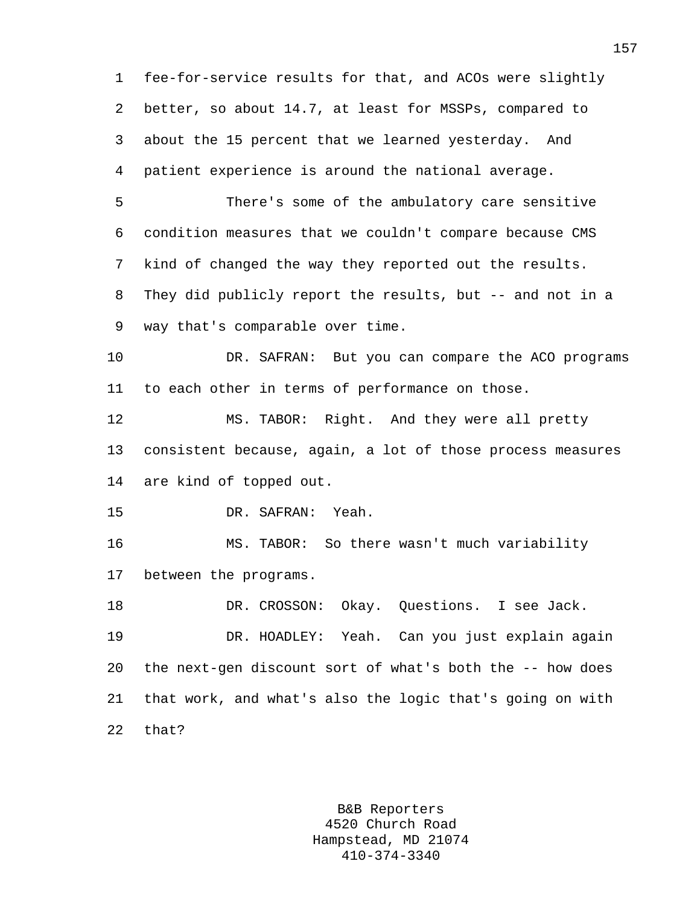1 fee-for-service results for that, and ACOs were slightly 2 better, so about 14.7, at least for MSSPs, compared to 3 about the 15 percent that we learned yesterday. And 4 patient experience is around the national average.

5 There's some of the ambulatory care sensitive 6 condition measures that we couldn't compare because CMS 7 kind of changed the way they reported out the results. 8 They did publicly report the results, but -- and not in a 9 way that's comparable over time.

10 DR. SAFRAN: But you can compare the ACO programs 11 to each other in terms of performance on those.

12 MS. TABOR: Right. And they were all pretty 13 consistent because, again, a lot of those process measures 14 are kind of topped out.

15 DR. SAFRAN: Yeah.

16 MS. TABOR: So there wasn't much variability 17 between the programs.

18 DR. CROSSON: Okay. Questions. I see Jack. 19 DR. HOADLEY: Yeah. Can you just explain again 20 the next-gen discount sort of what's both the -- how does 21 that work, and what's also the logic that's going on with 22 that?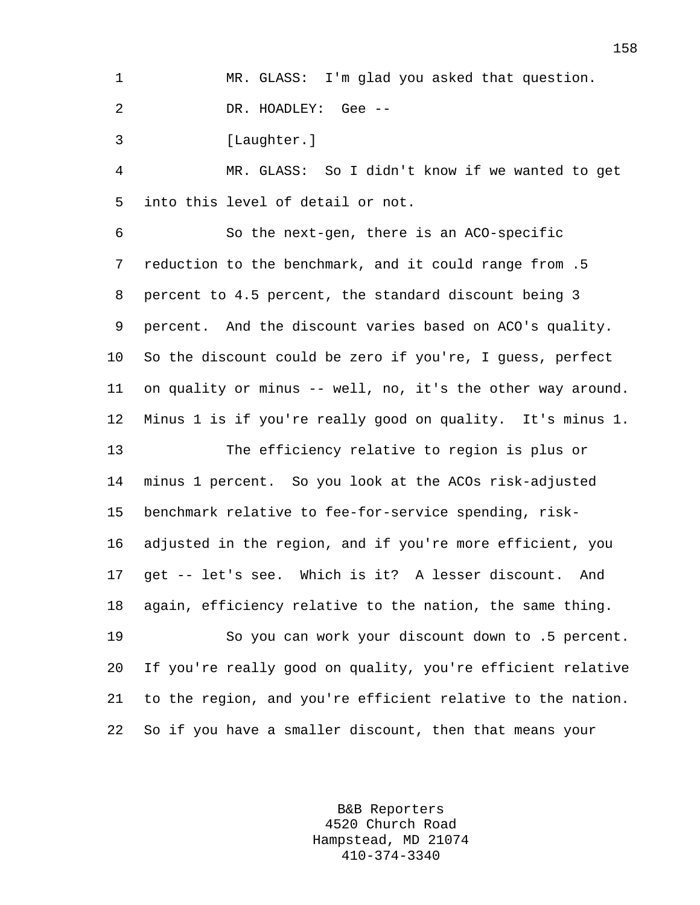1 MR. GLASS: I'm glad you asked that question.

2 DR. HOADLEY: Gee --

3 [Laughter.]

4 MR. GLASS: So I didn't know if we wanted to get 5 into this level of detail or not.

6 So the next-gen, there is an ACO-specific 7 reduction to the benchmark, and it could range from .5 8 percent to 4.5 percent, the standard discount being 3 9 percent. And the discount varies based on ACO's quality. 10 So the discount could be zero if you're, I guess, perfect 11 on quality or minus -- well, no, it's the other way around. 12 Minus 1 is if you're really good on quality. It's minus 1. 13 The efficiency relative to region is plus or 14 minus 1 percent. So you look at the ACOs risk-adjusted 15 benchmark relative to fee-for-service spending, risk-16 adjusted in the region, and if you're more efficient, you 17 get -- let's see. Which is it? A lesser discount. And 18 again, efficiency relative to the nation, the same thing.

19 So you can work your discount down to .5 percent. 20 If you're really good on quality, you're efficient relative 21 to the region, and you're efficient relative to the nation. 22 So if you have a smaller discount, then that means your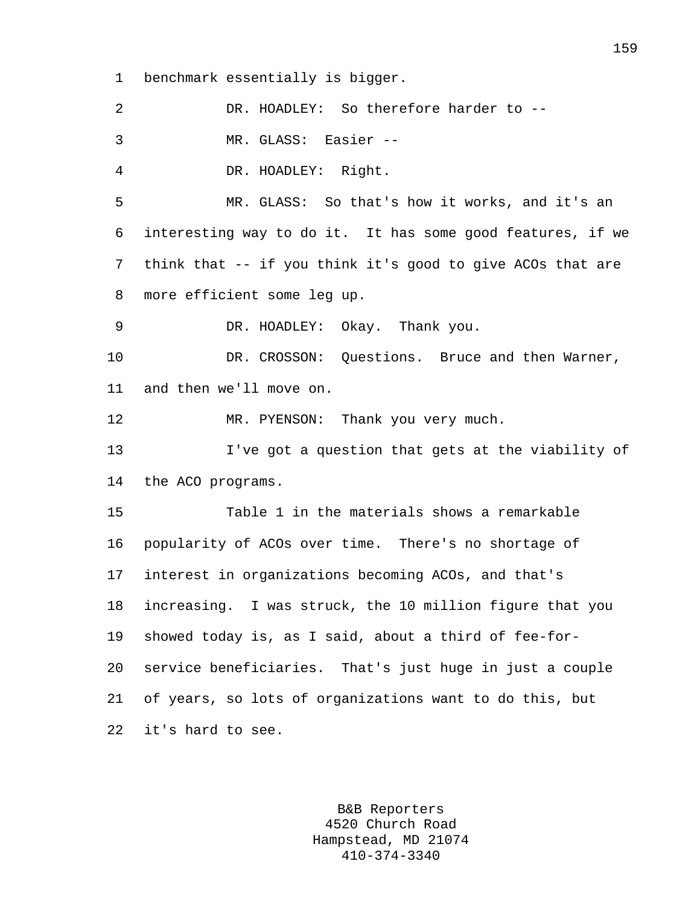1 benchmark essentially is bigger.

2 DR. HOADLEY: So therefore harder to -- 3 MR. GLASS: Easier -- 4 DR. HOADLEY: Right. 5 MR. GLASS: So that's how it works, and it's an 6 interesting way to do it. It has some good features, if we 7 think that -- if you think it's good to give ACOs that are 8 more efficient some leg up. 9 DR. HOADLEY: Okay. Thank you. 10 DR. CROSSON: Questions. Bruce and then Warner, 11 and then we'll move on. 12 MR. PYENSON: Thank you very much. 13 I've got a question that gets at the viability of 14 the ACO programs. 15 Table 1 in the materials shows a remarkable 16 popularity of ACOs over time. There's no shortage of 17 interest in organizations becoming ACOs, and that's 18 increasing. I was struck, the 10 million figure that you 19 showed today is, as I said, about a third of fee-for-20 service beneficiaries. That's just huge in just a couple 21 of years, so lots of organizations want to do this, but 22 it's hard to see.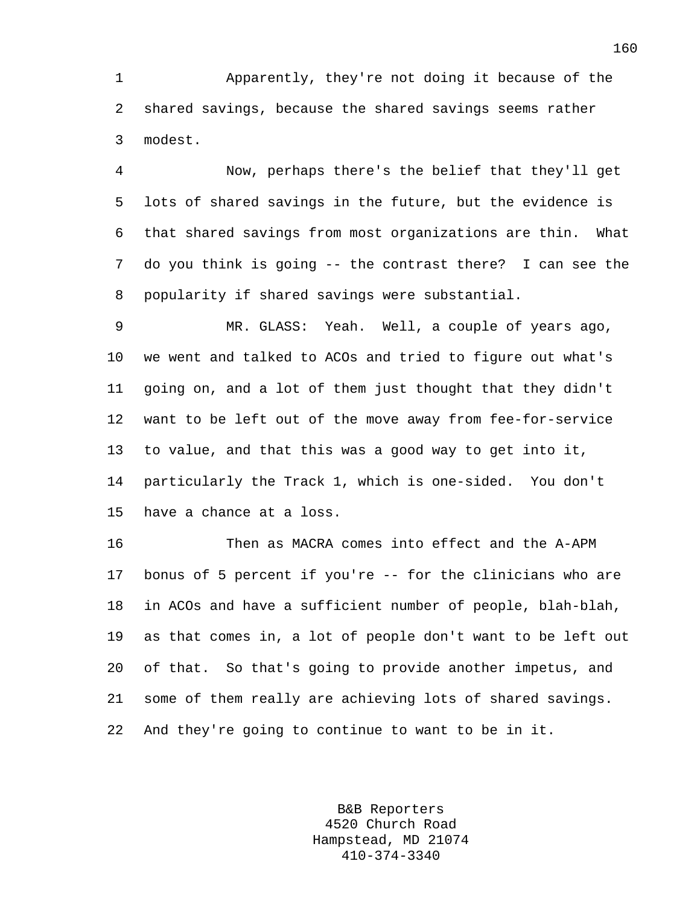1 Apparently, they're not doing it because of the 2 shared savings, because the shared savings seems rather 3 modest.

4 Now, perhaps there's the belief that they'll get 5 lots of shared savings in the future, but the evidence is 6 that shared savings from most organizations are thin. What 7 do you think is going -- the contrast there? I can see the 8 popularity if shared savings were substantial.

9 MR. GLASS: Yeah. Well, a couple of years ago, 10 we went and talked to ACOs and tried to figure out what's 11 going on, and a lot of them just thought that they didn't 12 want to be left out of the move away from fee-for-service 13 to value, and that this was a good way to get into it, 14 particularly the Track 1, which is one-sided. You don't 15 have a chance at a loss.

16 Then as MACRA comes into effect and the A-APM 17 bonus of 5 percent if you're -- for the clinicians who are 18 in ACOs and have a sufficient number of people, blah-blah, 19 as that comes in, a lot of people don't want to be left out 20 of that. So that's going to provide another impetus, and 21 some of them really are achieving lots of shared savings. 22 And they're going to continue to want to be in it.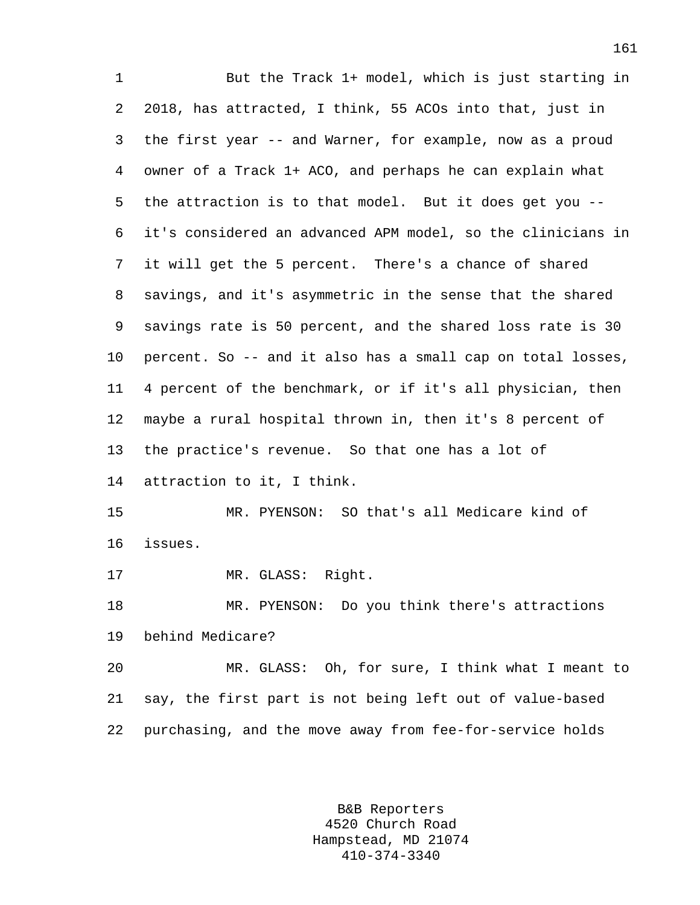1 But the Track 1+ model, which is just starting in 2 2018, has attracted, I think, 55 ACOs into that, just in 3 the first year -- and Warner, for example, now as a proud 4 owner of a Track 1+ ACO, and perhaps he can explain what 5 the attraction is to that model. But it does get you -- 6 it's considered an advanced APM model, so the clinicians in 7 it will get the 5 percent. There's a chance of shared 8 savings, and it's asymmetric in the sense that the shared 9 savings rate is 50 percent, and the shared loss rate is 30 10 percent. So -- and it also has a small cap on total losses, 11 4 percent of the benchmark, or if it's all physician, then 12 maybe a rural hospital thrown in, then it's 8 percent of 13 the practice's revenue. So that one has a lot of 14 attraction to it, I think. 15 MR. PYENSON: SO that's all Medicare kind of 16 issues. 17 MR. GLASS: Right. 18 MR. PYENSON: Do you think there's attractions 19 behind Medicare? 20 MR. GLASS: Oh, for sure, I think what I meant to 21 say, the first part is not being left out of value-based 22 purchasing, and the move away from fee-for-service holds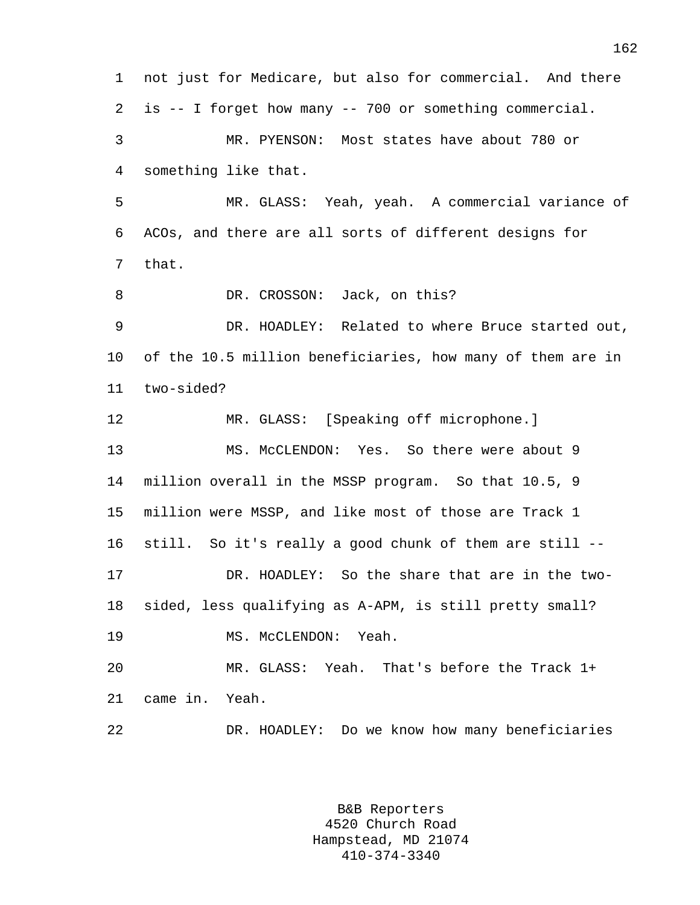1 not just for Medicare, but also for commercial. And there 2 is -- I forget how many -- 700 or something commercial. 3 MR. PYENSON: Most states have about 780 or 4 something like that. 5 MR. GLASS: Yeah, yeah. A commercial variance of 6 ACOs, and there are all sorts of different designs for 7 that. 8 DR. CROSSON: Jack, on this? 9 DR. HOADLEY: Related to where Bruce started out, 10 of the 10.5 million beneficiaries, how many of them are in 11 two-sided? 12 MR. GLASS: [Speaking off microphone.] 13 MS. McCLENDON: Yes. So there were about 9 14 million overall in the MSSP program. So that 10.5, 9 15 million were MSSP, and like most of those are Track 1 16 still. So it's really a good chunk of them are still -- 17 DR. HOADLEY: So the share that are in the two-18 sided, less qualifying as A-APM, is still pretty small? 19 MS. McCLENDON: Yeah. 20 MR. GLASS: Yeah. That's before the Track 1+ 21 came in. Yeah. 22 DR. HOADLEY: Do we know how many beneficiaries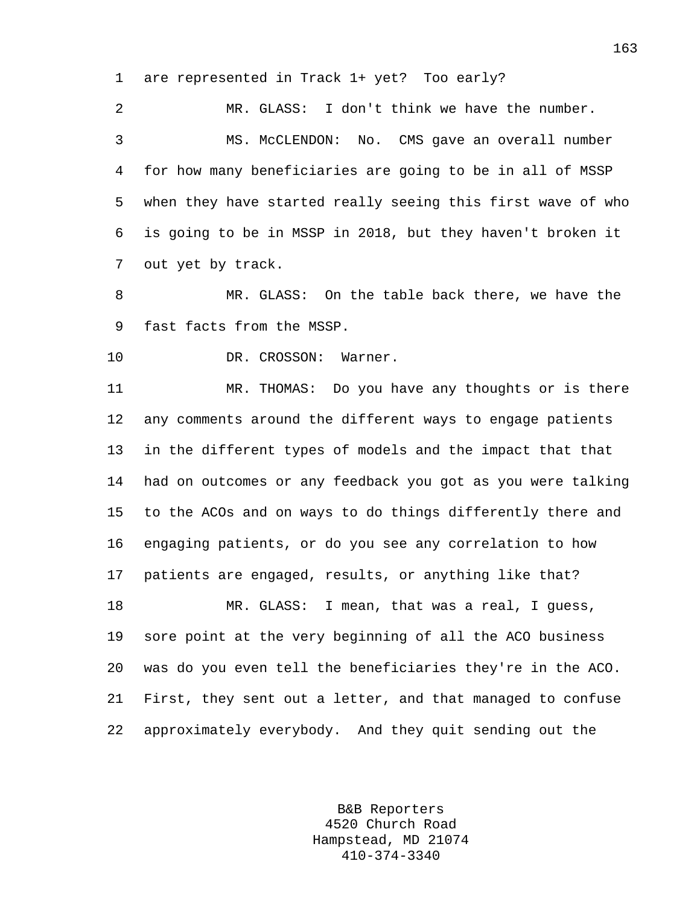1 are represented in Track 1+ yet? Too early?

2 MR. GLASS: I don't think we have the number. 3 MS. McCLENDON: No. CMS gave an overall number 4 for how many beneficiaries are going to be in all of MSSP 5 when they have started really seeing this first wave of who 6 is going to be in MSSP in 2018, but they haven't broken it 7 out yet by track.

8 MR. GLASS: On the table back there, we have the 9 fast facts from the MSSP.

10 DR. CROSSON: Warner.

11 MR. THOMAS: Do you have any thoughts or is there 12 any comments around the different ways to engage patients 13 in the different types of models and the impact that that 14 had on outcomes or any feedback you got as you were talking 15 to the ACOs and on ways to do things differently there and 16 engaging patients, or do you see any correlation to how 17 patients are engaged, results, or anything like that? 18 MR. GLASS: I mean, that was a real, I guess, 19 sore point at the very beginning of all the ACO business 20 was do you even tell the beneficiaries they're in the ACO. 21 First, they sent out a letter, and that managed to confuse 22 approximately everybody. And they quit sending out the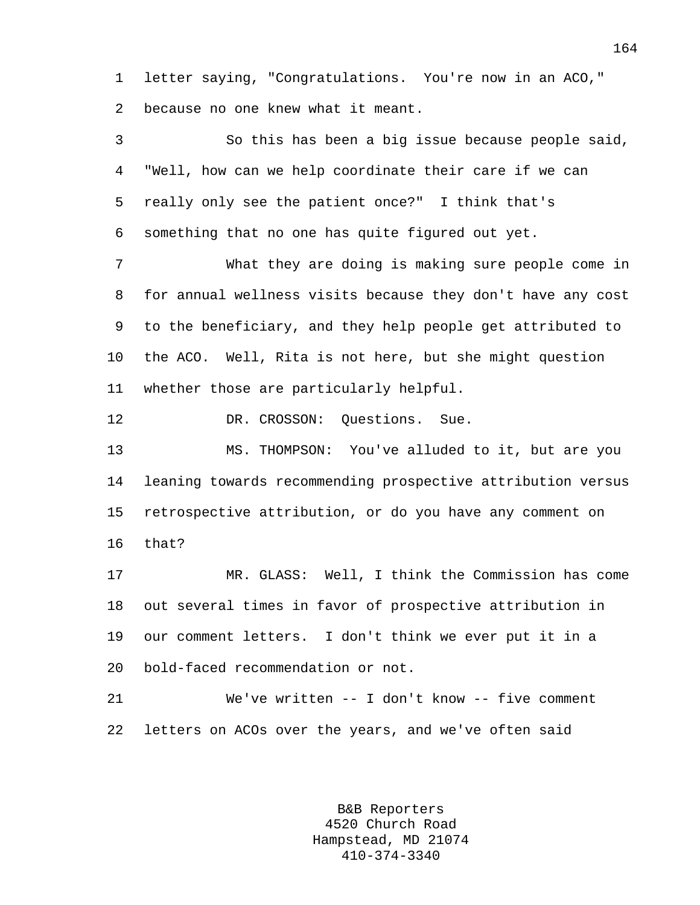1 letter saying, "Congratulations. You're now in an ACO," 2 because no one knew what it meant.

3 So this has been a big issue because people said, 4 "Well, how can we help coordinate their care if we can 5 really only see the patient once?" I think that's 6 something that no one has quite figured out yet. 7 What they are doing is making sure people come in 8 for annual wellness visits because they don't have any cost 9 to the beneficiary, and they help people get attributed to 10 the ACO. Well, Rita is not here, but she might question 11 whether those are particularly helpful. 12 DR. CROSSON: Questions. Sue. 13 MS. THOMPSON: You've alluded to it, but are you 14 leaning towards recommending prospective attribution versus 15 retrospective attribution, or do you have any comment on 16 that? 17 MR. GLASS: Well, I think the Commission has come 18 out several times in favor of prospective attribution in 19 our comment letters. I don't think we ever put it in a 20 bold-faced recommendation or not. 21 We've written -- I don't know -- five comment 22 letters on ACOs over the years, and we've often said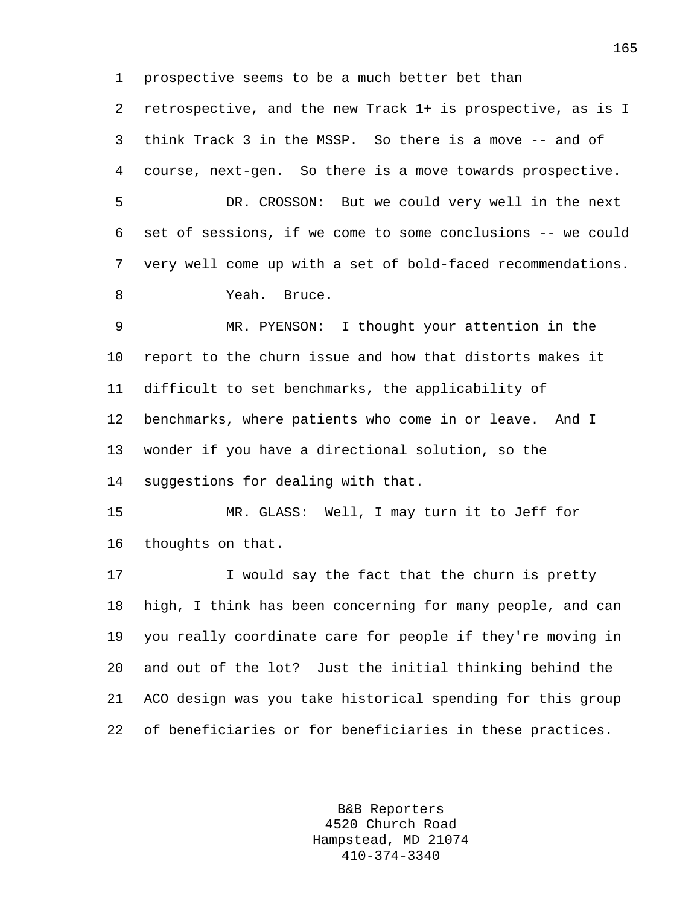1 prospective seems to be a much better bet than

2 retrospective, and the new Track 1+ is prospective, as is I 3 think Track 3 in the MSSP. So there is a move -- and of 4 course, next-gen. So there is a move towards prospective.

5 DR. CROSSON: But we could very well in the next 6 set of sessions, if we come to some conclusions -- we could 7 very well come up with a set of bold-faced recommendations. 8 Yeah. Bruce.

9 MR. PYENSON: I thought your attention in the 10 report to the churn issue and how that distorts makes it 11 difficult to set benchmarks, the applicability of 12 benchmarks, where patients who come in or leave. And I 13 wonder if you have a directional solution, so the 14 suggestions for dealing with that.

15 MR. GLASS: Well, I may turn it to Jeff for 16 thoughts on that.

17 I would say the fact that the churn is pretty 18 high, I think has been concerning for many people, and can 19 you really coordinate care for people if they're moving in 20 and out of the lot? Just the initial thinking behind the 21 ACO design was you take historical spending for this group 22 of beneficiaries or for beneficiaries in these practices.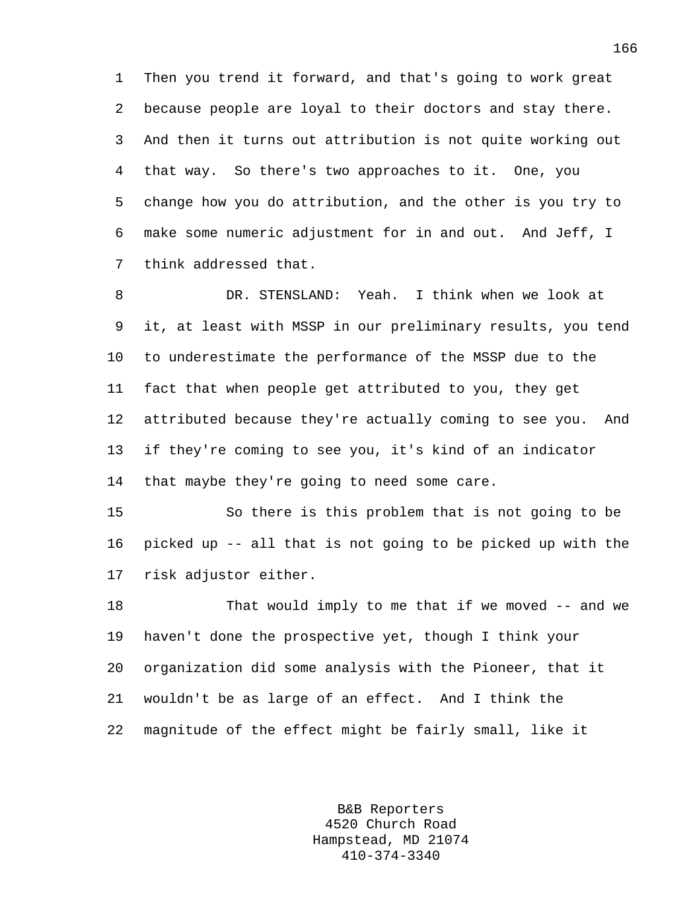1 Then you trend it forward, and that's going to work great 2 because people are loyal to their doctors and stay there. 3 And then it turns out attribution is not quite working out 4 that way. So there's two approaches to it. One, you 5 change how you do attribution, and the other is you try to 6 make some numeric adjustment for in and out. And Jeff, I 7 think addressed that.

8 DR. STENSLAND: Yeah. I think when we look at 9 it, at least with MSSP in our preliminary results, you tend 10 to underestimate the performance of the MSSP due to the 11 fact that when people get attributed to you, they get 12 attributed because they're actually coming to see you. And 13 if they're coming to see you, it's kind of an indicator 14 that maybe they're going to need some care.

15 So there is this problem that is not going to be 16 picked up -- all that is not going to be picked up with the 17 risk adjustor either.

18 That would imply to me that if we moved -- and we 19 haven't done the prospective yet, though I think your 20 organization did some analysis with the Pioneer, that it 21 wouldn't be as large of an effect. And I think the 22 magnitude of the effect might be fairly small, like it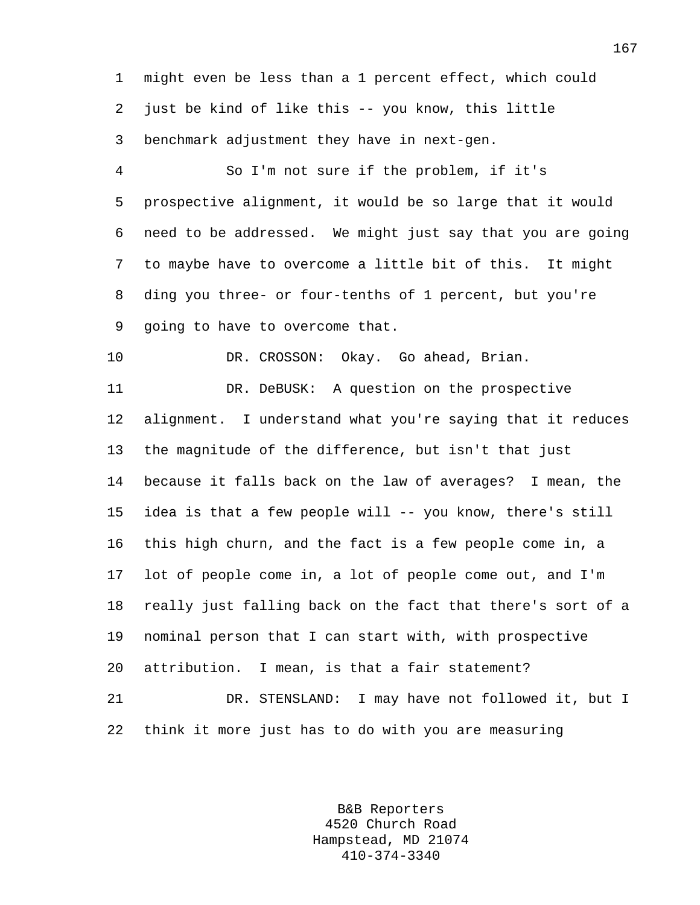1 might even be less than a 1 percent effect, which could 2 just be kind of like this -- you know, this little 3 benchmark adjustment they have in next-gen.

4 So I'm not sure if the problem, if it's 5 prospective alignment, it would be so large that it would 6 need to be addressed. We might just say that you are going 7 to maybe have to overcome a little bit of this. It might 8 ding you three- or four-tenths of 1 percent, but you're 9 going to have to overcome that.

10 DR. CROSSON: Okay. Go ahead, Brian.

11 DR. DeBUSK: A question on the prospective 12 alignment. I understand what you're saying that it reduces 13 the magnitude of the difference, but isn't that just 14 because it falls back on the law of averages? I mean, the 15 idea is that a few people will -- you know, there's still 16 this high churn, and the fact is a few people come in, a 17 lot of people come in, a lot of people come out, and I'm 18 really just falling back on the fact that there's sort of a 19 nominal person that I can start with, with prospective 20 attribution. I mean, is that a fair statement? 21 DR. STENSLAND: I may have not followed it, but I 22 think it more just has to do with you are measuring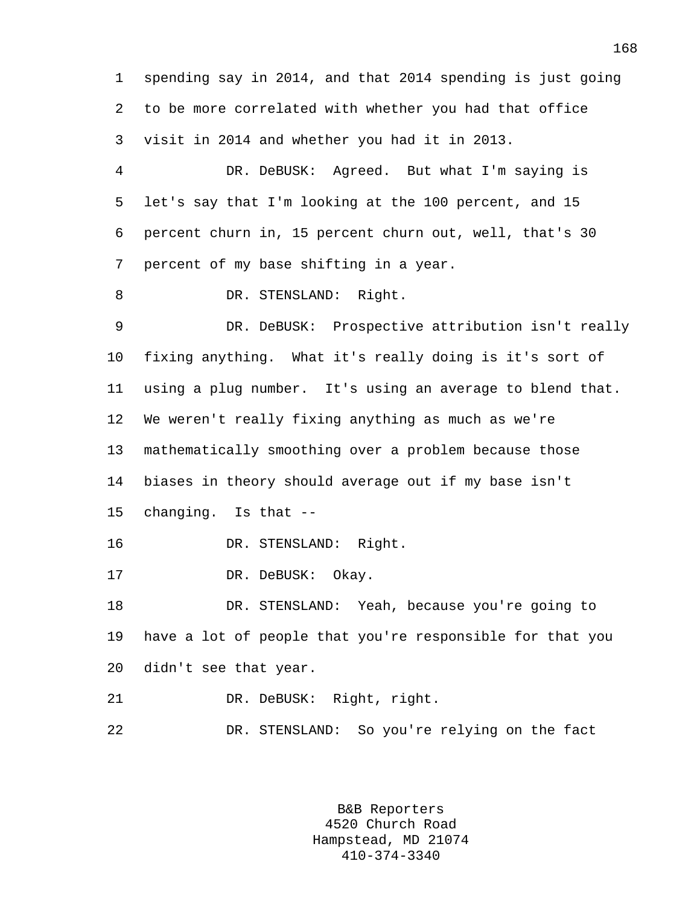1 spending say in 2014, and that 2014 spending is just going 2 to be more correlated with whether you had that office 3 visit in 2014 and whether you had it in 2013. 4 DR. DeBUSK: Agreed. But what I'm saying is 5 let's say that I'm looking at the 100 percent, and 15 6 percent churn in, 15 percent churn out, well, that's 30 7 percent of my base shifting in a year. 8 DR. STENSLAND: Right. 9 DR. DeBUSK: Prospective attribution isn't really 10 fixing anything. What it's really doing is it's sort of 11 using a plug number. It's using an average to blend that. 12 We weren't really fixing anything as much as we're 13 mathematically smoothing over a problem because those 14 biases in theory should average out if my base isn't 15 changing. Is that -- 16 DR. STENSLAND: Right. 17 DR. DeBUSK: Okay. 18 DR. STENSLAND: Yeah, because you're going to 19 have a lot of people that you're responsible for that you 20 didn't see that year. 21 DR. DeBUSK: Right, right. 22 DR. STENSLAND: So you're relying on the fact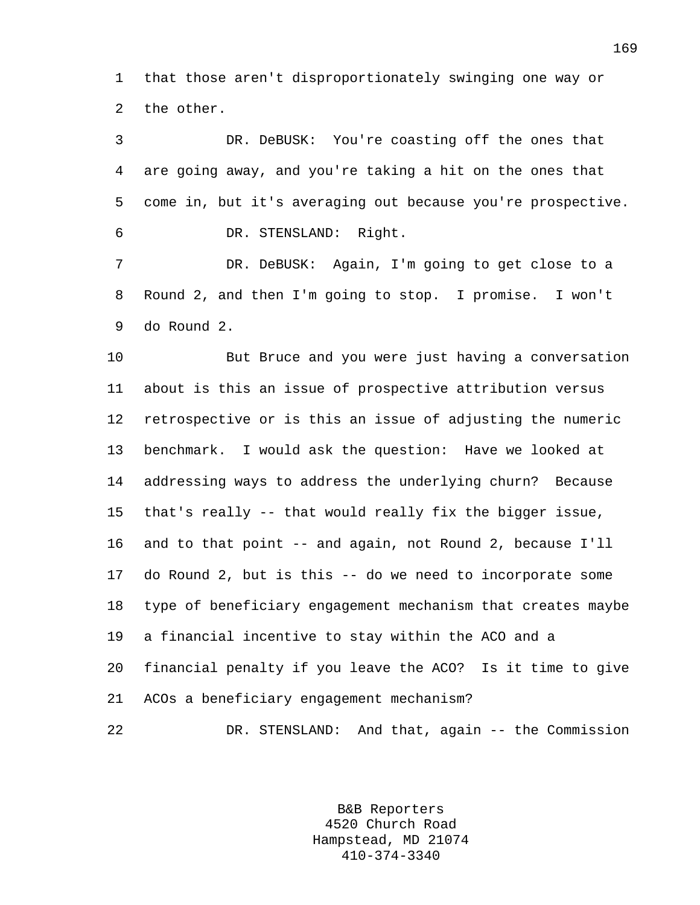1 that those aren't disproportionately swinging one way or 2 the other.

3 DR. DeBUSK: You're coasting off the ones that 4 are going away, and you're taking a hit on the ones that 5 come in, but it's averaging out because you're prospective. 6 DR. STENSLAND: Right. 7 DR. DeBUSK: Again, I'm going to get close to a 8 Round 2, and then I'm going to stop. I promise. I won't

9 do Round 2.

10 But Bruce and you were just having a conversation 11 about is this an issue of prospective attribution versus 12 retrospective or is this an issue of adjusting the numeric 13 benchmark. I would ask the question: Have we looked at 14 addressing ways to address the underlying churn? Because 15 that's really -- that would really fix the bigger issue, 16 and to that point -- and again, not Round 2, because I'll 17 do Round 2, but is this -- do we need to incorporate some 18 type of beneficiary engagement mechanism that creates maybe 19 a financial incentive to stay within the ACO and a 20 financial penalty if you leave the ACO? Is it time to give 21 ACOs a beneficiary engagement mechanism? 22 DR. STENSLAND: And that, again -- the Commission

> B&B Reporters 4520 Church Road Hampstead, MD 21074 410-374-3340

169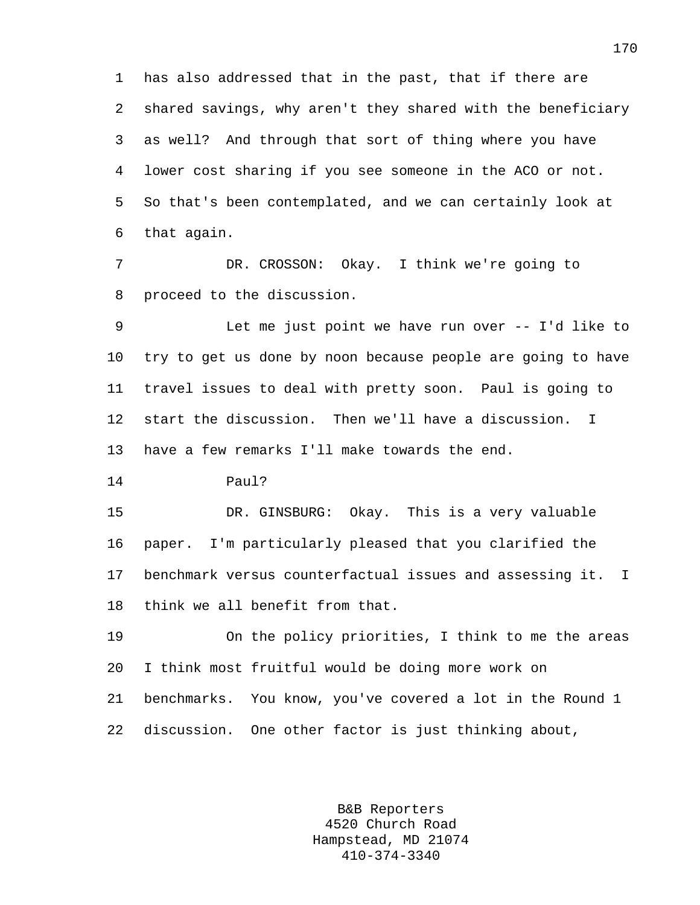1 has also addressed that in the past, that if there are 2 shared savings, why aren't they shared with the beneficiary 3 as well? And through that sort of thing where you have 4 lower cost sharing if you see someone in the ACO or not. 5 So that's been contemplated, and we can certainly look at 6 that again.

7 DR. CROSSON: Okay. I think we're going to 8 proceed to the discussion.

9 Let me just point we have run over -- I'd like to 10 try to get us done by noon because people are going to have 11 travel issues to deal with pretty soon. Paul is going to 12 start the discussion. Then we'll have a discussion. I 13 have a few remarks I'll make towards the end.

14 Paul?

15 DR. GINSBURG: Okay. This is a very valuable 16 paper. I'm particularly pleased that you clarified the 17 benchmark versus counterfactual issues and assessing it. I 18 think we all benefit from that.

19 On the policy priorities, I think to me the areas 20 I think most fruitful would be doing more work on 21 benchmarks. You know, you've covered a lot in the Round 1 22 discussion. One other factor is just thinking about,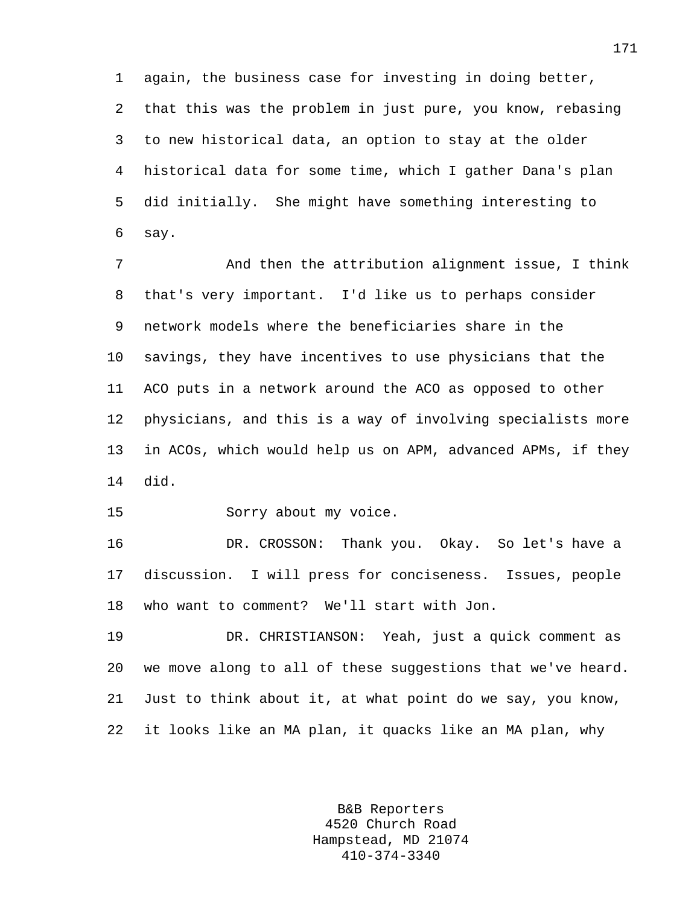1 again, the business case for investing in doing better, 2 that this was the problem in just pure, you know, rebasing 3 to new historical data, an option to stay at the older 4 historical data for some time, which I gather Dana's plan 5 did initially. She might have something interesting to 6 say.

7 And then the attribution alignment issue, I think 8 that's very important. I'd like us to perhaps consider 9 network models where the beneficiaries share in the 10 savings, they have incentives to use physicians that the 11 ACO puts in a network around the ACO as opposed to other 12 physicians, and this is a way of involving specialists more 13 in ACOs, which would help us on APM, advanced APMs, if they 14 did.

15 Sorry about my voice.

16 DR. CROSSON: Thank you. Okay. So let's have a 17 discussion. I will press for conciseness. Issues, people 18 who want to comment? We'll start with Jon.

19 DR. CHRISTIANSON: Yeah, just a quick comment as 20 we move along to all of these suggestions that we've heard. 21 Just to think about it, at what point do we say, you know, 22 it looks like an MA plan, it quacks like an MA plan, why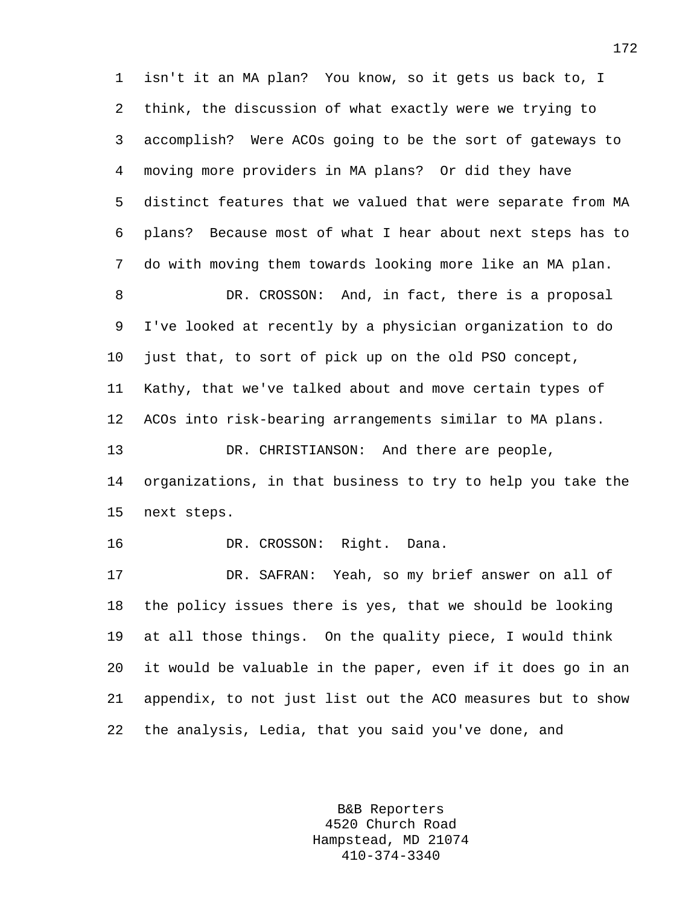1 isn't it an MA plan? You know, so it gets us back to, I 2 think, the discussion of what exactly were we trying to 3 accomplish? Were ACOs going to be the sort of gateways to 4 moving more providers in MA plans? Or did they have 5 distinct features that we valued that were separate from MA 6 plans? Because most of what I hear about next steps has to 7 do with moving them towards looking more like an MA plan. 8 DR. CROSSON: And, in fact, there is a proposal 9 I've looked at recently by a physician organization to do 10 just that, to sort of pick up on the old PSO concept, 11 Kathy, that we've talked about and move certain types of 12 ACOs into risk-bearing arrangements similar to MA plans. 13 DR. CHRISTIANSON: And there are people, 14 organizations, in that business to try to help you take the 15 next steps. 16 DR. CROSSON: Right. Dana. 17 DR. SAFRAN: Yeah, so my brief answer on all of 18 the policy issues there is yes, that we should be looking 19 at all those things. On the quality piece, I would think 20 it would be valuable in the paper, even if it does go in an

22 the analysis, Ledia, that you said you've done, and

21 appendix, to not just list out the ACO measures but to show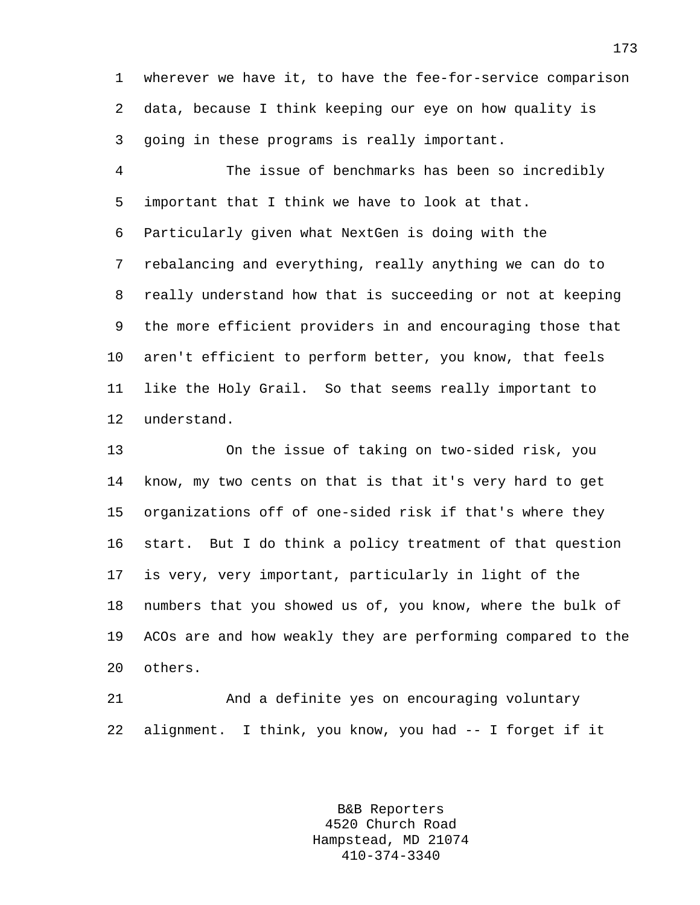1 wherever we have it, to have the fee-for-service comparison 2 data, because I think keeping our eye on how quality is 3 going in these programs is really important.

4 The issue of benchmarks has been so incredibly 5 important that I think we have to look at that. 6 Particularly given what NextGen is doing with the 7 rebalancing and everything, really anything we can do to 8 really understand how that is succeeding or not at keeping 9 the more efficient providers in and encouraging those that 10 aren't efficient to perform better, you know, that feels 11 like the Holy Grail. So that seems really important to 12 understand.

13 On the issue of taking on two-sided risk, you 14 know, my two cents on that is that it's very hard to get 15 organizations off of one-sided risk if that's where they 16 start. But I do think a policy treatment of that question 17 is very, very important, particularly in light of the 18 numbers that you showed us of, you know, where the bulk of 19 ACOs are and how weakly they are performing compared to the 20 others.

21 And a definite yes on encouraging voluntary 22 alignment. I think, you know, you had -- I forget if it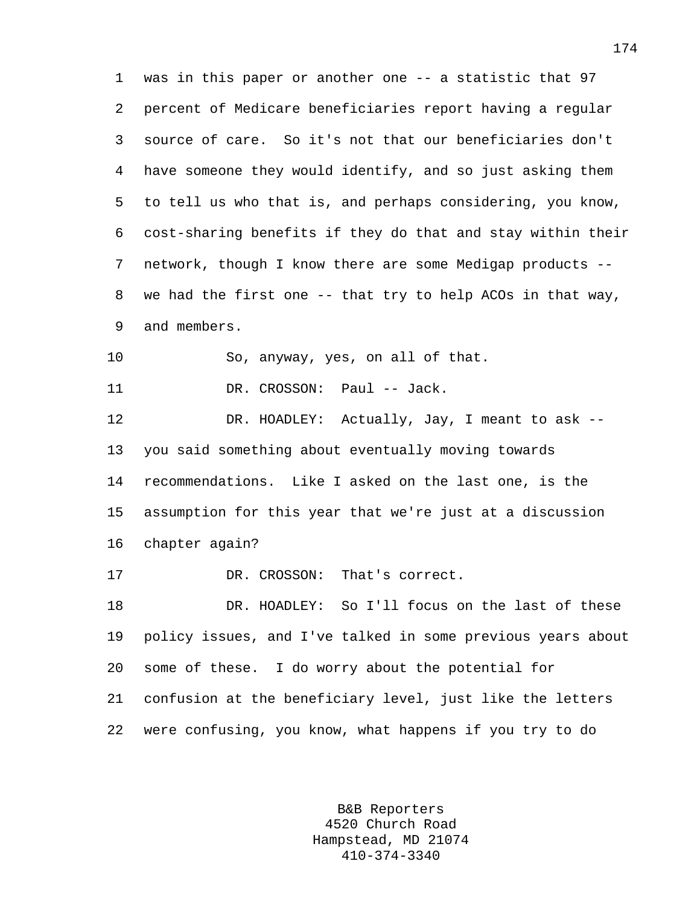1 was in this paper or another one -- a statistic that 97 2 percent of Medicare beneficiaries report having a regular 3 source of care. So it's not that our beneficiaries don't 4 have someone they would identify, and so just asking them 5 to tell us who that is, and perhaps considering, you know, 6 cost-sharing benefits if they do that and stay within their 7 network, though I know there are some Medigap products -- 8 we had the first one -- that try to help ACOs in that way, 9 and members. 10 So, anyway, yes, on all of that. 11 DR. CROSSON: Paul -- Jack. 12 DR. HOADLEY: Actually, Jay, I meant to ask -- 13 you said something about eventually moving towards 14 recommendations. Like I asked on the last one, is the 15 assumption for this year that we're just at a discussion 16 chapter again?

17 DR. CROSSON: That's correct.

18 DR. HOADLEY: So I'll focus on the last of these 19 policy issues, and I've talked in some previous years about 20 some of these. I do worry about the potential for 21 confusion at the beneficiary level, just like the letters 22 were confusing, you know, what happens if you try to do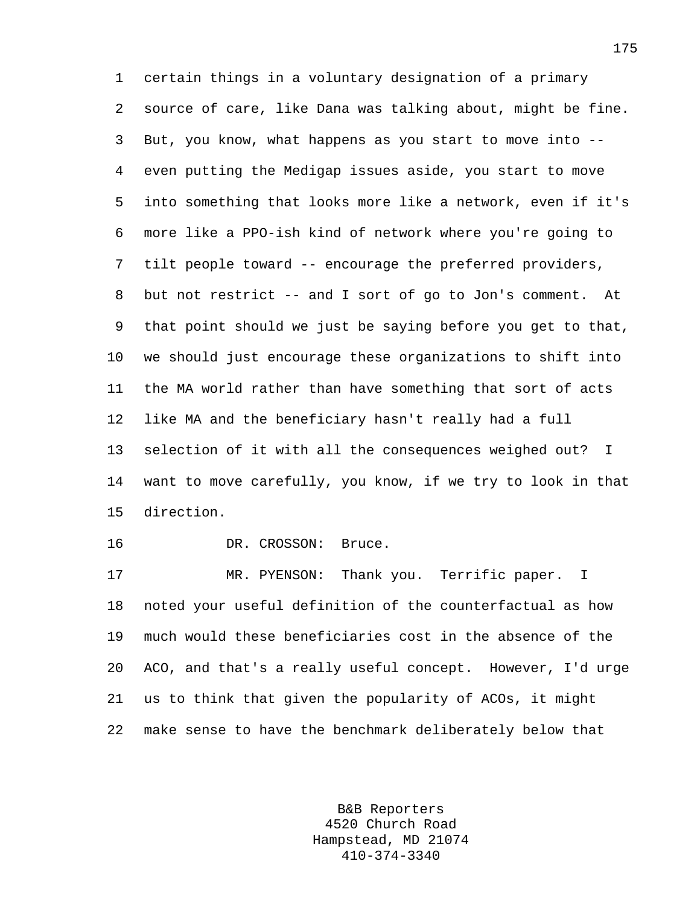1 certain things in a voluntary designation of a primary 2 source of care, like Dana was talking about, might be fine. 3 But, you know, what happens as you start to move into -- 4 even putting the Medigap issues aside, you start to move 5 into something that looks more like a network, even if it's 6 more like a PPO-ish kind of network where you're going to 7 tilt people toward -- encourage the preferred providers, 8 but not restrict -- and I sort of go to Jon's comment. At 9 that point should we just be saying before you get to that, 10 we should just encourage these organizations to shift into 11 the MA world rather than have something that sort of acts 12 like MA and the beneficiary hasn't really had a full 13 selection of it with all the consequences weighed out? I 14 want to move carefully, you know, if we try to look in that 15 direction.

16 DR. CROSSON: Bruce.

17 MR. PYENSON: Thank you. Terrific paper. I 18 noted your useful definition of the counterfactual as how 19 much would these beneficiaries cost in the absence of the 20 ACO, and that's a really useful concept. However, I'd urge 21 us to think that given the popularity of ACOs, it might 22 make sense to have the benchmark deliberately below that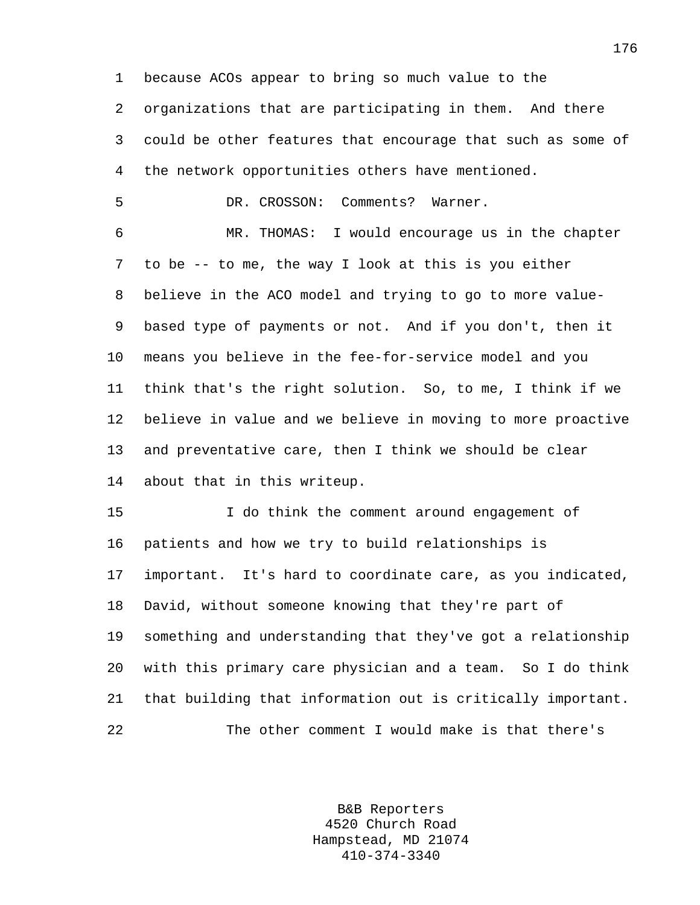1 because ACOs appear to bring so much value to the 2 organizations that are participating in them. And there 3 could be other features that encourage that such as some of 4 the network opportunities others have mentioned. 5 DR. CROSSON: Comments? Warner. 6 MR. THOMAS: I would encourage us in the chapter 7 to be -- to me, the way I look at this is you either 8 believe in the ACO model and trying to go to more value-9 based type of payments or not. And if you don't, then it 10 means you believe in the fee-for-service model and you 11 think that's the right solution. So, to me, I think if we 12 believe in value and we believe in moving to more proactive 13 and preventative care, then I think we should be clear 14 about that in this writeup. 15 I do think the comment around engagement of 16 patients and how we try to build relationships is 17 important. It's hard to coordinate care, as you indicated, 18 David, without someone knowing that they're part of 19 something and understanding that they've got a relationship 20 with this primary care physician and a team. So I do think

22 The other comment I would make is that there's

21 that building that information out is critically important.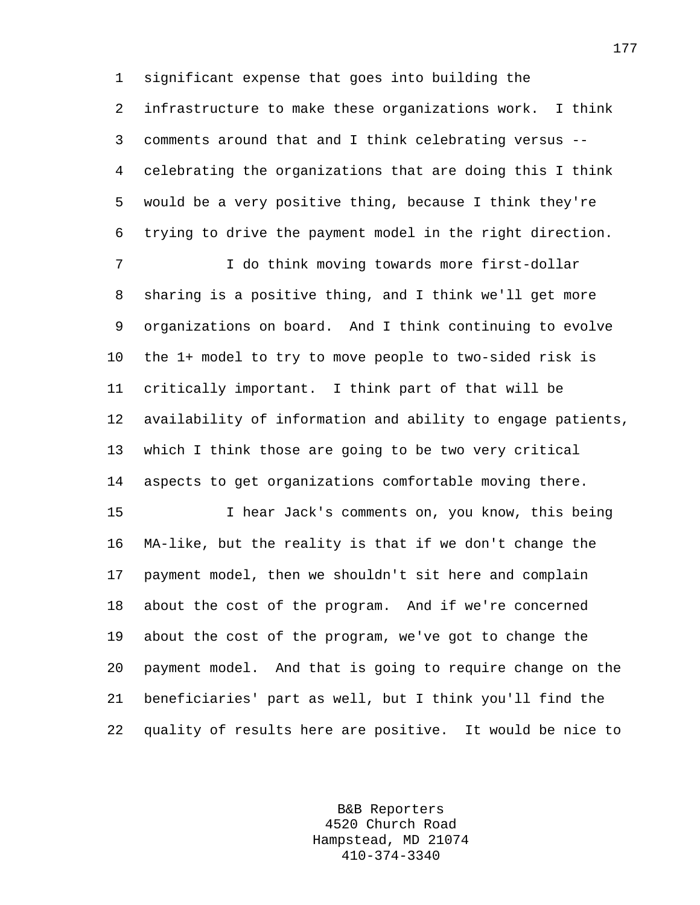1 significant expense that goes into building the

2 infrastructure to make these organizations work. I think 3 comments around that and I think celebrating versus -- 4 celebrating the organizations that are doing this I think 5 would be a very positive thing, because I think they're 6 trying to drive the payment model in the right direction.

7 I do think moving towards more first-dollar 8 sharing is a positive thing, and I think we'll get more 9 organizations on board. And I think continuing to evolve 10 the 1+ model to try to move people to two-sided risk is 11 critically important. I think part of that will be 12 availability of information and ability to engage patients, 13 which I think those are going to be two very critical 14 aspects to get organizations comfortable moving there.

15 I hear Jack's comments on, you know, this being 16 MA-like, but the reality is that if we don't change the 17 payment model, then we shouldn't sit here and complain 18 about the cost of the program. And if we're concerned 19 about the cost of the program, we've got to change the 20 payment model. And that is going to require change on the 21 beneficiaries' part as well, but I think you'll find the 22 quality of results here are positive. It would be nice to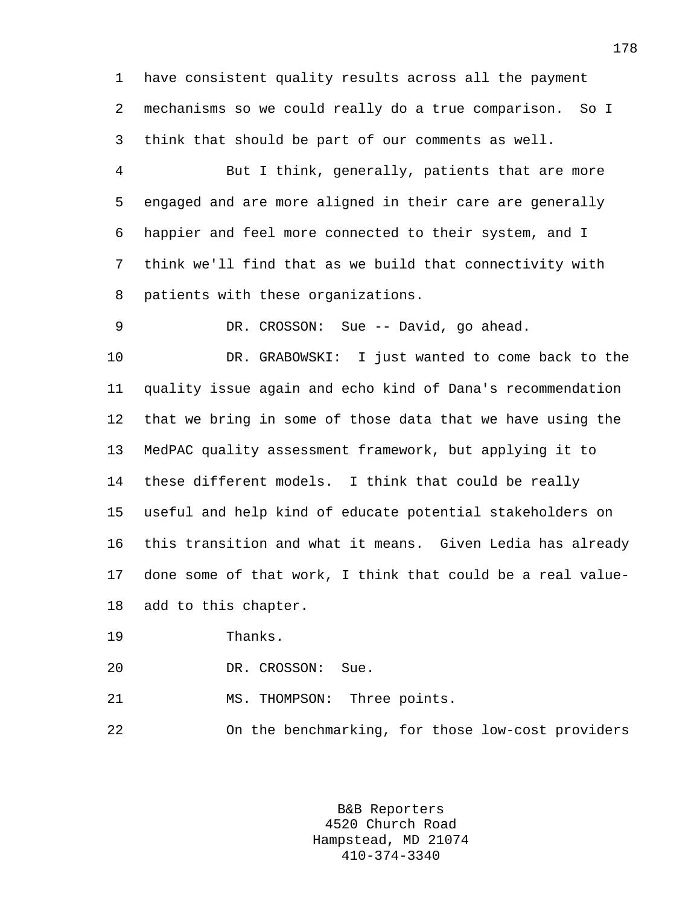1 have consistent quality results across all the payment 2 mechanisms so we could really do a true comparison. So I 3 think that should be part of our comments as well.

4 But I think, generally, patients that are more 5 engaged and are more aligned in their care are generally 6 happier and feel more connected to their system, and I 7 think we'll find that as we build that connectivity with 8 patients with these organizations.

9 DR. CROSSON: Sue -- David, go ahead.

10 DR. GRABOWSKI: I just wanted to come back to the 11 quality issue again and echo kind of Dana's recommendation 12 that we bring in some of those data that we have using the 13 MedPAC quality assessment framework, but applying it to 14 these different models. I think that could be really 15 useful and help kind of educate potential stakeholders on 16 this transition and what it means. Given Ledia has already 17 done some of that work, I think that could be a real value-18 add to this chapter.

19 Thanks.

20 DR. CROSSON: Sue.

21 MS. THOMPSON: Three points.

22 On the benchmarking, for those low-cost providers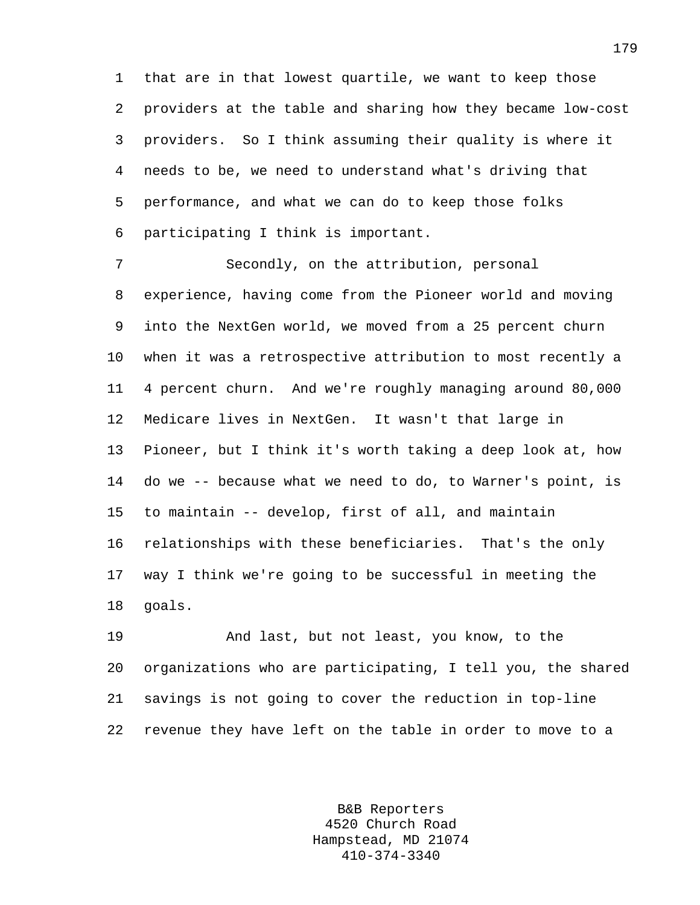1 that are in that lowest quartile, we want to keep those 2 providers at the table and sharing how they became low-cost 3 providers. So I think assuming their quality is where it 4 needs to be, we need to understand what's driving that 5 performance, and what we can do to keep those folks 6 participating I think is important.

7 Secondly, on the attribution, personal 8 experience, having come from the Pioneer world and moving 9 into the NextGen world, we moved from a 25 percent churn 10 when it was a retrospective attribution to most recently a 11 4 percent churn. And we're roughly managing around 80,000 12 Medicare lives in NextGen. It wasn't that large in 13 Pioneer, but I think it's worth taking a deep look at, how 14 do we -- because what we need to do, to Warner's point, is 15 to maintain -- develop, first of all, and maintain 16 relationships with these beneficiaries. That's the only 17 way I think we're going to be successful in meeting the 18 goals.

19 And last, but not least, you know, to the 20 organizations who are participating, I tell you, the shared 21 savings is not going to cover the reduction in top-line 22 revenue they have left on the table in order to move to a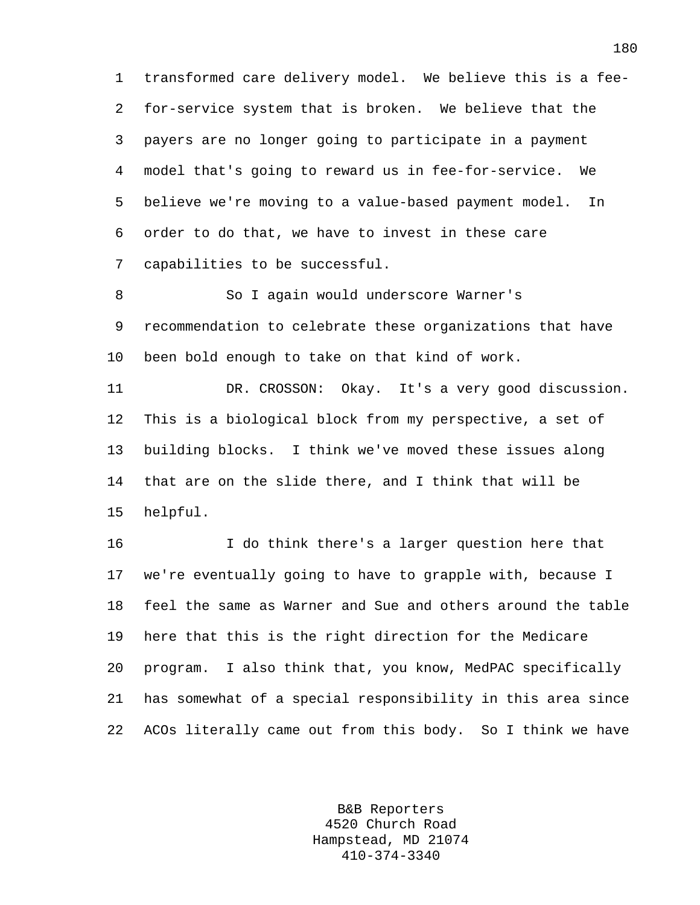1 transformed care delivery model. We believe this is a fee-2 for-service system that is broken. We believe that the 3 payers are no longer going to participate in a payment 4 model that's going to reward us in fee-for-service. We 5 believe we're moving to a value-based payment model. In 6 order to do that, we have to invest in these care 7 capabilities to be successful.

8 So I again would underscore Warner's 9 recommendation to celebrate these organizations that have 10 been bold enough to take on that kind of work.

11 DR. CROSSON: Okay. It's a very good discussion. 12 This is a biological block from my perspective, a set of 13 building blocks. I think we've moved these issues along 14 that are on the slide there, and I think that will be 15 helpful.

16 I do think there's a larger question here that 17 we're eventually going to have to grapple with, because I 18 feel the same as Warner and Sue and others around the table 19 here that this is the right direction for the Medicare 20 program. I also think that, you know, MedPAC specifically 21 has somewhat of a special responsibility in this area since 22 ACOs literally came out from this body. So I think we have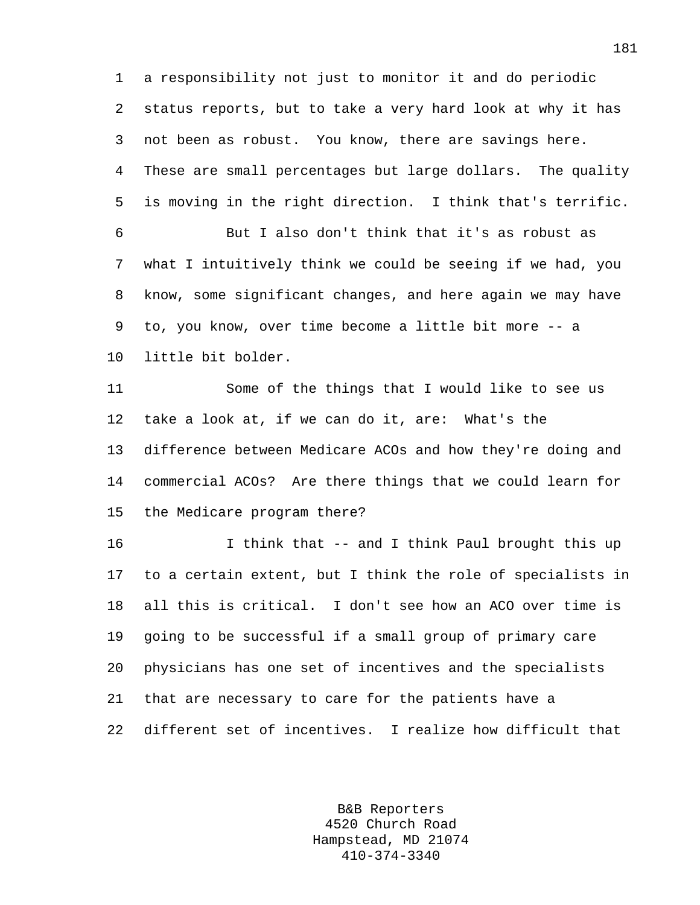1 a responsibility not just to monitor it and do periodic 2 status reports, but to take a very hard look at why it has 3 not been as robust. You know, there are savings here. 4 These are small percentages but large dollars. The quality 5 is moving in the right direction. I think that's terrific. 6 But I also don't think that it's as robust as 7 what I intuitively think we could be seeing if we had, you 8 know, some significant changes, and here again we may have 9 to, you know, over time become a little bit more -- a 10 little bit bolder. 11 Some of the things that I would like to see us

12 take a look at, if we can do it, are: What's the 13 difference between Medicare ACOs and how they're doing and 14 commercial ACOs? Are there things that we could learn for 15 the Medicare program there?

16 I think that -- and I think Paul brought this up 17 to a certain extent, but I think the role of specialists in 18 all this is critical. I don't see how an ACO over time is 19 going to be successful if a small group of primary care 20 physicians has one set of incentives and the specialists 21 that are necessary to care for the patients have a 22 different set of incentives. I realize how difficult that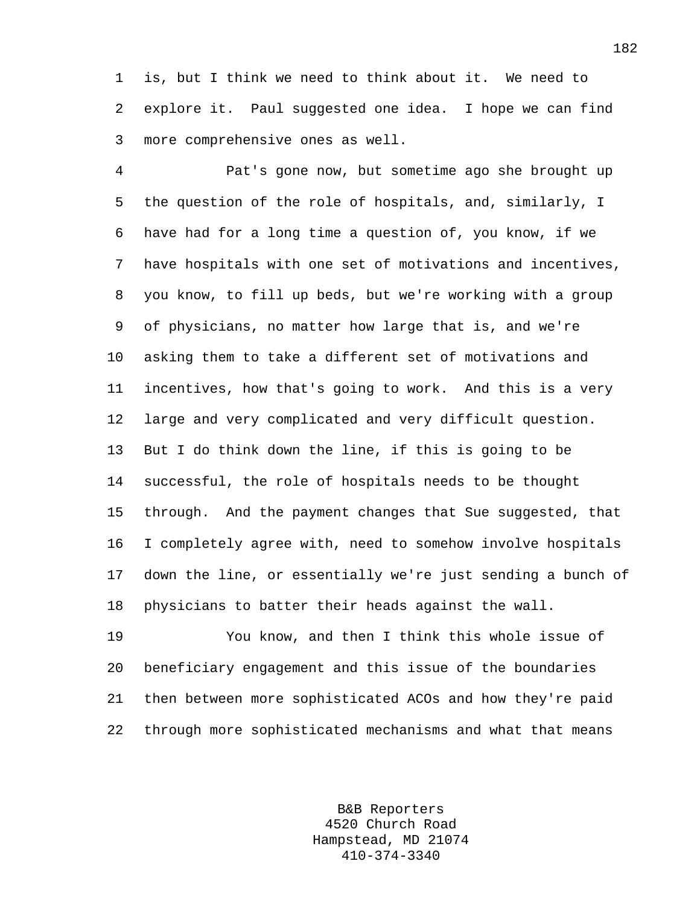1 is, but I think we need to think about it. We need to 2 explore it. Paul suggested one idea. I hope we can find 3 more comprehensive ones as well.

4 Pat's gone now, but sometime ago she brought up 5 the question of the role of hospitals, and, similarly, I 6 have had for a long time a question of, you know, if we 7 have hospitals with one set of motivations and incentives, 8 you know, to fill up beds, but we're working with a group 9 of physicians, no matter how large that is, and we're 10 asking them to take a different set of motivations and 11 incentives, how that's going to work. And this is a very 12 large and very complicated and very difficult question. 13 But I do think down the line, if this is going to be 14 successful, the role of hospitals needs to be thought 15 through. And the payment changes that Sue suggested, that 16 I completely agree with, need to somehow involve hospitals 17 down the line, or essentially we're just sending a bunch of 18 physicians to batter their heads against the wall.

19 You know, and then I think this whole issue of 20 beneficiary engagement and this issue of the boundaries 21 then between more sophisticated ACOs and how they're paid 22 through more sophisticated mechanisms and what that means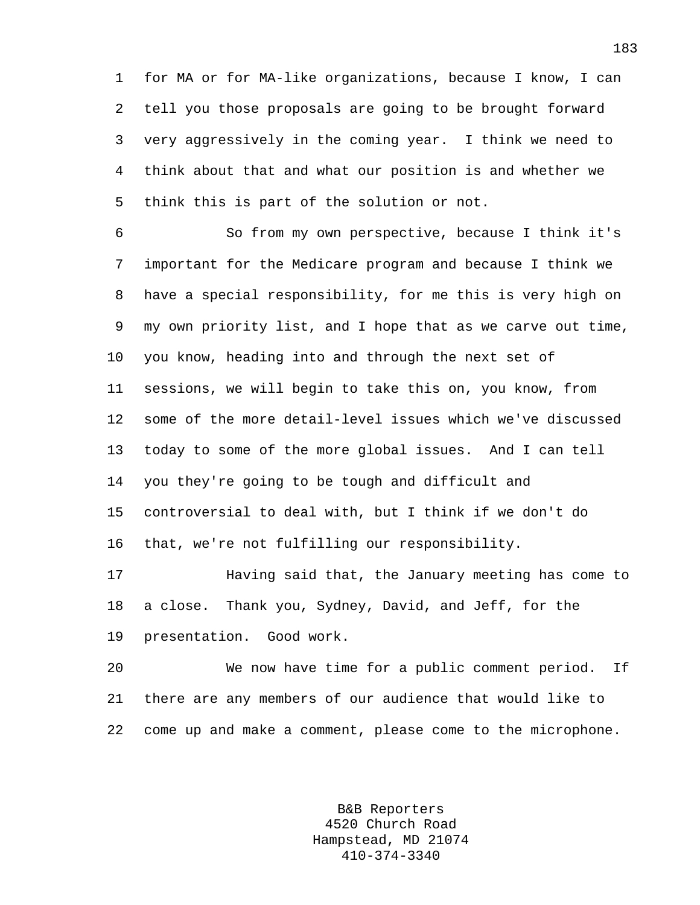1 for MA or for MA-like organizations, because I know, I can 2 tell you those proposals are going to be brought forward 3 very aggressively in the coming year. I think we need to 4 think about that and what our position is and whether we 5 think this is part of the solution or not.

6 So from my own perspective, because I think it's 7 important for the Medicare program and because I think we 8 have a special responsibility, for me this is very high on 9 my own priority list, and I hope that as we carve out time, 10 you know, heading into and through the next set of 11 sessions, we will begin to take this on, you know, from 12 some of the more detail-level issues which we've discussed 13 today to some of the more global issues. And I can tell 14 you they're going to be tough and difficult and 15 controversial to deal with, but I think if we don't do 16 that, we're not fulfilling our responsibility.

17 Having said that, the January meeting has come to 18 a close. Thank you, Sydney, David, and Jeff, for the 19 presentation. Good work.

20 We now have time for a public comment period. If 21 there are any members of our audience that would like to 22 come up and make a comment, please come to the microphone.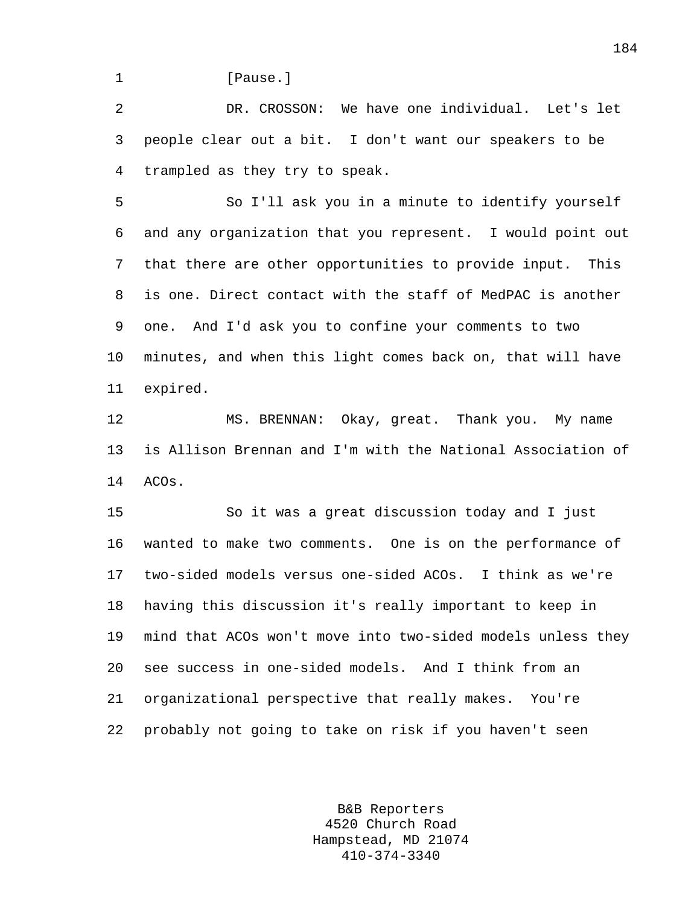1 **I** Pause.

2 DR. CROSSON: We have one individual. Let's let 3 people clear out a bit. I don't want our speakers to be 4 trampled as they try to speak.

5 So I'll ask you in a minute to identify yourself 6 and any organization that you represent. I would point out 7 that there are other opportunities to provide input. This 8 is one. Direct contact with the staff of MedPAC is another 9 one. And I'd ask you to confine your comments to two 10 minutes, and when this light comes back on, that will have 11 expired.

12 MS. BRENNAN: Okay, great. Thank you. My name 13 is Allison Brennan and I'm with the National Association of 14 ACOs.

15 So it was a great discussion today and I just 16 wanted to make two comments. One is on the performance of 17 two-sided models versus one-sided ACOs. I think as we're 18 having this discussion it's really important to keep in 19 mind that ACOs won't move into two-sided models unless they 20 see success in one-sided models. And I think from an 21 organizational perspective that really makes. You're 22 probably not going to take on risk if you haven't seen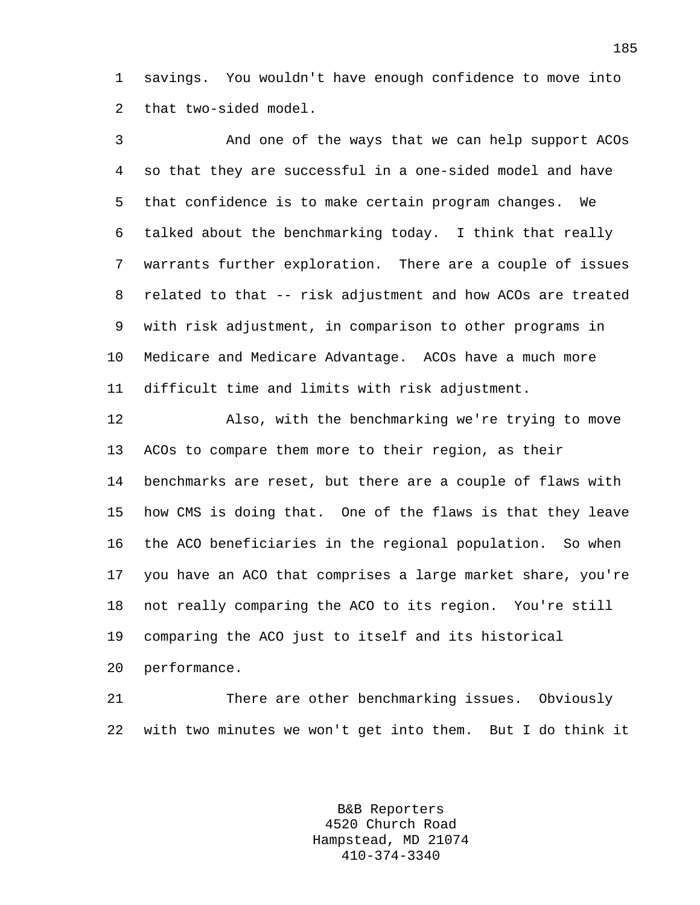1 savings. You wouldn't have enough confidence to move into 2 that two-sided model.

3 And one of the ways that we can help support ACOs 4 so that they are successful in a one-sided model and have 5 that confidence is to make certain program changes. We 6 talked about the benchmarking today. I think that really 7 warrants further exploration. There are a couple of issues 8 related to that -- risk adjustment and how ACOs are treated 9 with risk adjustment, in comparison to other programs in 10 Medicare and Medicare Advantage. ACOs have a much more 11 difficult time and limits with risk adjustment.

12 Also, with the benchmarking we're trying to move 13 ACOs to compare them more to their region, as their 14 benchmarks are reset, but there are a couple of flaws with 15 how CMS is doing that. One of the flaws is that they leave 16 the ACO beneficiaries in the regional population. So when 17 you have an ACO that comprises a large market share, you're 18 not really comparing the ACO to its region. You're still 19 comparing the ACO just to itself and its historical 20 performance.

21 There are other benchmarking issues. Obviously 22 with two minutes we won't get into them. But I do think it